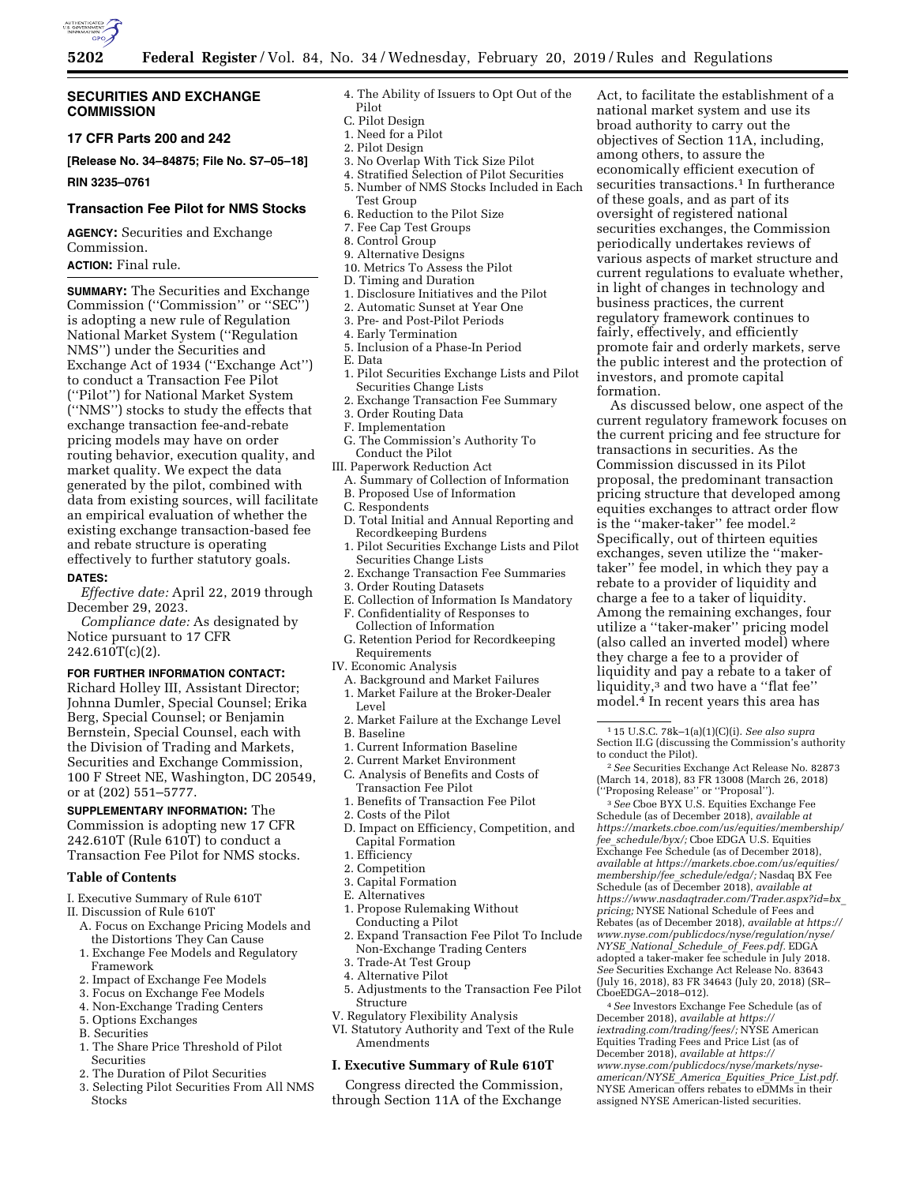

## **SECURITIES AND EXCHANGE COMMISSION**

**17 CFR Parts 200 and 242** 

**[Release No. 34–84875; File No. S7–05–18]** 

**RIN 3235–0761** 

## **Transaction Fee Pilot for NMS Stocks**

**AGENCY:** Securities and Exchange Commission.

## **ACTION:** Final rule.

**SUMMARY:** The Securities and Exchange Commission (''Commission'' or ''SEC'') is adopting a new rule of Regulation National Market System (''Regulation NMS'') under the Securities and Exchange Act of 1934 (''Exchange Act'') to conduct a Transaction Fee Pilot (''Pilot'') for National Market System (''NMS'') stocks to study the effects that exchange transaction fee-and-rebate pricing models may have on order routing behavior, execution quality, and market quality. We expect the data generated by the pilot, combined with data from existing sources, will facilitate an empirical evaluation of whether the existing exchange transaction-based fee and rebate structure is operating effectively to further statutory goals.

#### **DATES:**

*Effective date:* April 22, 2019 through December 29, 2023.

*Compliance date:* As designated by Notice pursuant to 17 CFR  $242.610T(c)(2)$ .

#### **FOR FURTHER INFORMATION CONTACT:**

Richard Holley III, Assistant Director; Johnna Dumler, Special Counsel; Erika Berg, Special Counsel; or Benjamin Bernstein, Special Counsel, each with the Division of Trading and Markets, Securities and Exchange Commission, 100 F Street NE, Washington, DC 20549, or at (202) 551–5777.

**SUPPLEMENTARY INFORMATION:** The Commission is adopting new 17 CFR 242.610T (Rule 610T) to conduct a Transaction Fee Pilot for NMS stocks.

### **Table of Contents**

- I. Executive Summary of Rule 610T
- II. Discussion of Rule 610T
	- A. Focus on Exchange Pricing Models and the Distortions They Can Cause
	- 1. Exchange Fee Models and Regulatory Framework
	- 2. Impact of Exchange Fee Models
	- 3. Focus on Exchange Fee Models
	- 4. Non-Exchange Trading Centers
	- 5. Options Exchanges
	- B. Securities
	- 1. The Share Price Threshold of Pilot Securities
	- 2. The Duration of Pilot Securities
	- 3. Selecting Pilot Securities From All NMS **Stocks**
- 4. The Ability of Issuers to Opt Out of the Pilot
- C. Pilot Design
- 1. Need for a Pilot
- 2. Pilot Design
- 3. No Overlap With Tick Size Pilot
- 4. Stratified Selection of Pilot Securities
- 5. Number of NMS Stocks Included in Each
- Test Group 6. Reduction to the Pilot Size
- 7. Fee Cap Test Groups
- 8. Control Group
- 9. Alternative Designs
- 10. Metrics To Assess the Pilot
- D. Timing and Duration
- 1. Disclosure Initiatives and the Pilot
- 2. Automatic Sunset at Year One
- 3. Pre- and Post-Pilot Periods
- 4. Early Termination
- 5. Inclusion of a Phase-In Period
- E. Data
- 1. Pilot Securities Exchange Lists and Pilot Securities Change Lists
- 2. Exchange Transaction Fee Summary
- 3. Order Routing Data
- F. Implementation
- G. The Commission's Authority To Conduct the Pilot
- III. Paperwork Reduction Act
- A. Summary of Collection of Information B. Proposed Use of Information
- C. Respondents
- D. Total Initial and Annual Reporting and Recordkeeping Burdens
- 1. Pilot Securities Exchange Lists and Pilot
- Securities Change Lists 2. Exchange Transaction Fee Summaries
- 3. Order Routing Datasets
- E. Collection of Information Is Mandatory
- F. Confidentiality of Responses to Collection of Information
- G. Retention Period for Recordkeeping Requirements
- IV. Economic Analysis
- A. Background and Market Failures
- 1. Market Failure at the Broker-Dealer Level
- 2. Market Failure at the Exchange Level
- B. Baseline
- 1. Current Information Baseline
- 2. Current Market Environment
- C. Analysis of Benefits and Costs of Transaction Fee Pilot
- 1. Benefits of Transaction Fee Pilot
- 2. Costs of the Pilot
- D. Impact on Efficiency, Competition, and Capital Formation
- 1. Efficiency
- 2. Competition
- 3. Capital Formation
- E. Alternatives
- 1. Propose Rulemaking Without Conducting a Pilot
- 2. Expand Transaction Fee Pilot To Include Non-Exchange Trading Centers
- 3. Trade-At Test Group
- 4. Alternative Pilot
- 5. Adjustments to the Transaction Fee Pilot Structure
	- V. Regulatory Flexibility Analysis
	- VI. Statutory Authority and Text of the Rule Amendments

## **I. Executive Summary of Rule 610T**

Congress directed the Commission, through Section 11A of the Exchange

Act, to facilitate the establishment of a national market system and use its broad authority to carry out the objectives of Section 11A, including, among others, to assure the economically efficient execution of securities transactions.<sup>1</sup> In furtherance of these goals, and as part of its oversight of registered national securities exchanges, the Commission periodically undertakes reviews of various aspects of market structure and current regulations to evaluate whether, in light of changes in technology and business practices, the current regulatory framework continues to fairly, effectively, and efficiently promote fair and orderly markets, serve the public interest and the protection of investors, and promote capital formation.

As discussed below, one aspect of the current regulatory framework focuses on the current pricing and fee structure for transactions in securities. As the Commission discussed in its Pilot proposal, the predominant transaction pricing structure that developed among equities exchanges to attract order flow is the "maker-taker" fee model.<sup>2</sup> Specifically, out of thirteen equities exchanges, seven utilize the ''makertaker'' fee model, in which they pay a rebate to a provider of liquidity and charge a fee to a taker of liquidity. Among the remaining exchanges, four utilize a ''taker-maker'' pricing model (also called an inverted model) where they charge a fee to a provider of liquidity and pay a rebate to a taker of liquidity,<sup>3</sup> and two have a "flat fee" model.4 In recent years this area has

 $\sqrt[2]{2}$  See Securities Exchange Act Release No. 82873 (March 14, 2018), 83 FR 13008 (March 26, 2018) (''Proposing Release'' or ''Proposal''). 3*See* Cboe BYX U.S. Equities Exchange Fee

Schedule (as of December 2018), *available at [https://markets.cboe.com/us/equities/membership/](https://markets.cboe.com/us/equities/membership/fee_schedule/byx/)  fee*\_*[schedule/byx/;](https://markets.cboe.com/us/equities/membership/fee_schedule/byx/)* Cboe EDGA U.S. Equities Exchange Fee Schedule (as of December 2018), *available at [https://markets.cboe.com/us/equities/](https://markets.cboe.com/us/equities/membership/fee_schedule/edga/)  [membership/fee](https://markets.cboe.com/us/equities/membership/fee_schedule/edga/)*\_*schedule/edga/;* Nasdaq BX Fee Schedule (as of December 2018), *available at [https://www.nasdaqtrader.com/Trader.aspx?id=bx](https://www.nasdaqtrader.com/Trader.aspx?id=bx_pricing)*\_ *[pricing;](https://www.nasdaqtrader.com/Trader.aspx?id=bx_pricing)* NYSE National Schedule of Fees and Rebates (as of December 2018), *available at [https://](https://www.nyse.com/publicdocs/nyse/regulation/nyse/NYSE_National_Schedule_of_Fees.pdf) [www.nyse.com/publicdocs/nyse/regulation/nyse/](https://www.nyse.com/publicdocs/nyse/regulation/nyse/NYSE_National_Schedule_of_Fees.pdf)  NYSE*\_*National*\_*[Schedule](https://www.nyse.com/publicdocs/nyse/regulation/nyse/NYSE_National_Schedule_of_Fees.pdf)*\_*of*\_*Fees.pdf.* EDGA adopted a taker-maker fee schedule in July 2018. *See* Securities Exchange Act Release No. 83643 (July 16, 2018), 83 FR 34643 (July 20, 2018) (SR– CboeEDGA–2018–012).

4*See* Investors Exchange Fee Schedule (as of December 2018), *available at [https://](https://iextrading.com/trading/fees/) [iextrading.com/trading/fees/;](https://iextrading.com/trading/fees/)* NYSE American Equities Trading Fees and Price List (as of December 2018), *available at [https://](https://www.nyse.com/publicdocs/nyse/markets/nyse-american/NYSE_America_Equities_Price_List.pdf) [www.nyse.com/publicdocs/nyse/markets/nyse-](https://www.nyse.com/publicdocs/nyse/markets/nyse-american/NYSE_America_Equities_Price_List.pdf)[american/NYSE](https://www.nyse.com/publicdocs/nyse/markets/nyse-american/NYSE_America_Equities_Price_List.pdf)*\_*America*\_*Equities*\_*Price*\_*List.pdf.*  NYSE American offers rebates to eDMMs in their assigned NYSE American-listed securities.

<sup>1</sup> 15 U.S.C. 78k–1(a)(1)(C)(i). *See also supra*  Section II.G (discussing the Commission's authority<br>to conduct the Pilot).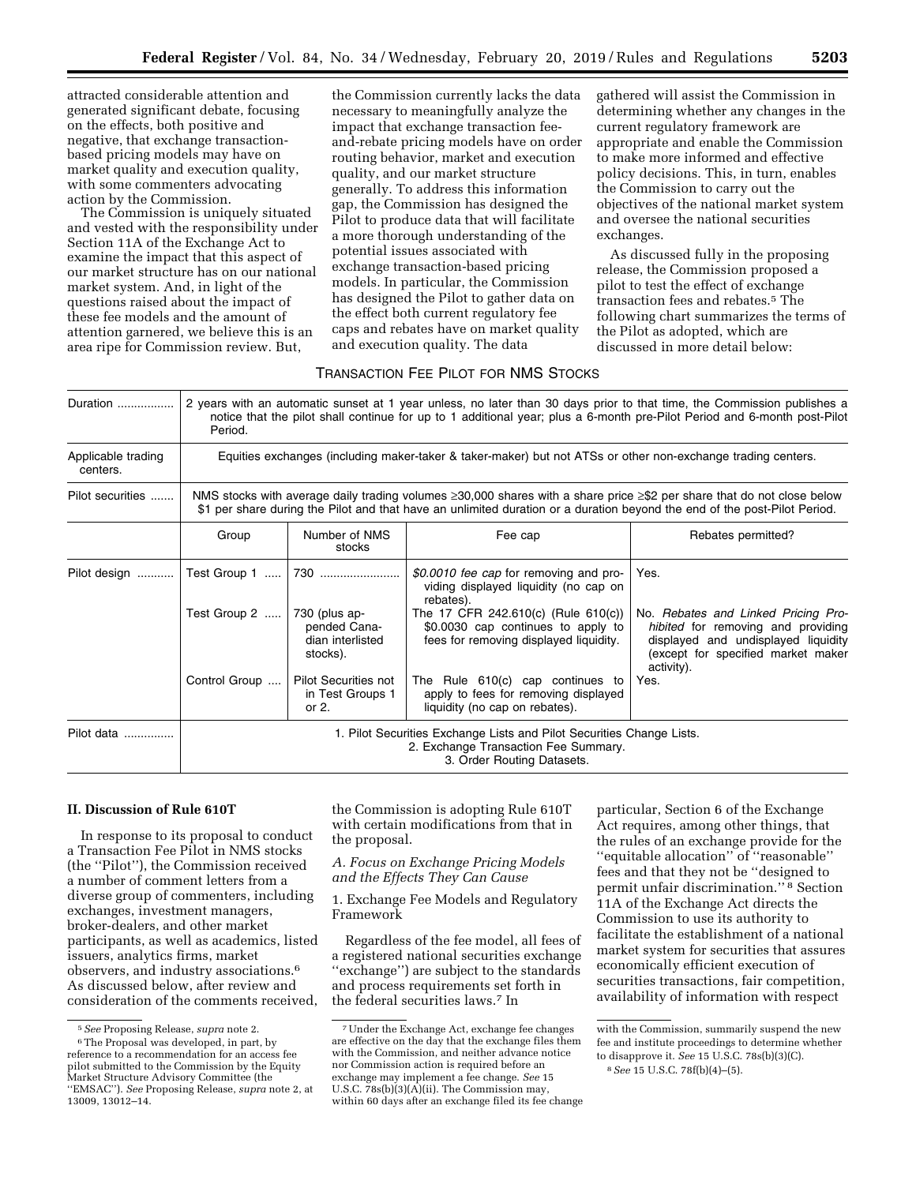attracted considerable attention and generated significant debate, focusing on the effects, both positive and negative, that exchange transactionbased pricing models may have on market quality and execution quality, with some commenters advocating action by the Commission.

The Commission is uniquely situated and vested with the responsibility under Section 11A of the Exchange Act to examine the impact that this aspect of our market structure has on our national market system. And, in light of the questions raised about the impact of these fee models and the amount of attention garnered, we believe this is an area ripe for Commission review. But,

the Commission currently lacks the data necessary to meaningfully analyze the impact that exchange transaction feeand-rebate pricing models have on order routing behavior, market and execution quality, and our market structure generally. To address this information gap, the Commission has designed the Pilot to produce data that will facilitate a more thorough understanding of the potential issues associated with exchange transaction-based pricing models. In particular, the Commission has designed the Pilot to gather data on the effect both current regulatory fee caps and rebates have on market quality and execution quality. The data

gathered will assist the Commission in determining whether any changes in the current regulatory framework are appropriate and enable the Commission to make more informed and effective policy decisions. This, in turn, enables the Commission to carry out the objectives of the national market system and oversee the national securities exchanges.

As discussed fully in the proposing release, the Commission proposed a pilot to test the effect of exchange transaction fees and rebates.5 The following chart summarizes the terms of the Pilot as adopted, which are discussed in more detail below:

## TRANSACTION FEE PILOT FOR NMS STOCKS

| Duration                       | 2 years with an automatic sunset at 1 year unless, no later than 30 days prior to that time, the Commission publishes a<br>notice that the pilot shall continue for up to 1 additional year; plus a 6-month pre-Pilot Period and 6-month post-Pilot<br>Period.  |                                                             |                                                                                                                                                                           |                                                                                         |
|--------------------------------|-----------------------------------------------------------------------------------------------------------------------------------------------------------------------------------------------------------------------------------------------------------------|-------------------------------------------------------------|---------------------------------------------------------------------------------------------------------------------------------------------------------------------------|-----------------------------------------------------------------------------------------|
| Applicable trading<br>centers. | Equities exchanges (including maker-taker & taker-maker) but not ATSs or other non-exchange trading centers.                                                                                                                                                    |                                                             |                                                                                                                                                                           |                                                                                         |
| Pilot securities               | NMS stocks with average daily trading volumes $\geq 30,000$ shares with a share price $\geq$ \$2 per share that do not close below<br>\$1 per share during the Pilot and that have an unlimited duration or a duration beyond the end of the post-Pilot Period. |                                                             |                                                                                                                                                                           |                                                                                         |
|                                | Group                                                                                                                                                                                                                                                           | Number of NMS<br>stocks                                     | Fee cap                                                                                                                                                                   | Rebates permitted?                                                                      |
| Pilot design<br>.              | Test Group 1<br>Test Group 2                                                                                                                                                                                                                                    | 730<br>$730$ (plus ap-<br>pended Cana-                      | \$0.0010 fee cap for removing and pro-<br>viding displayed liquidity (no cap on<br>rebates).<br>The 17 CFR 242.610(c) (Rule 610(c))<br>\$0.0030 cap continues to apply to | Yes.<br>No. Rebates and Linked Pricing Pro-<br>hibited for removing and providing       |
|                                |                                                                                                                                                                                                                                                                 | dian interlisted<br>stocks).                                | fees for removing displayed liquidity.                                                                                                                                    | displayed and undisplayed liquidity<br>(except for specified market maker<br>activity). |
|                                | Control Group                                                                                                                                                                                                                                                   | <b>Pilot Securities not</b><br>in Test Groups 1<br>or $2$ . | The Rule 610(c) cap continues to<br>apply to fees for removing displayed<br>liquidity (no cap on rebates).                                                                | Yes.                                                                                    |
| Pilot data                     | 1. Pilot Securities Exchange Lists and Pilot Securities Change Lists.<br>2. Exchange Transaction Fee Summary.<br>3. Order Routing Datasets.                                                                                                                     |                                                             |                                                                                                                                                                           |                                                                                         |

#### **II. Discussion of Rule 610T**

In response to its proposal to conduct a Transaction Fee Pilot in NMS stocks (the ''Pilot''), the Commission received a number of comment letters from a diverse group of commenters, including exchanges, investment managers, broker-dealers, and other market participants, as well as academics, listed issuers, analytics firms, market observers, and industry associations.6 As discussed below, after review and consideration of the comments received,

the Commission is adopting Rule 610T with certain modifications from that in the proposal.

*A. Focus on Exchange Pricing Models and the Effects They Can Cause* 

1. Exchange Fee Models and Regulatory Framework

Regardless of the fee model, all fees of a registered national securities exchange ''exchange'') are subject to the standards and process requirements set forth in the federal securities laws.7 In

particular, Section 6 of the Exchange Act requires, among other things, that the rules of an exchange provide for the ''equitable allocation'' of ''reasonable'' fees and that they not be ''designed to permit unfair discrimination.'' 8 Section 11A of the Exchange Act directs the Commission to use its authority to facilitate the establishment of a national market system for securities that assures economically efficient execution of securities transactions, fair competition, availability of information with respect

<sup>5</sup>*See* Proposing Release, *supra* note 2. 6The Proposal was developed, in part, by reference to a recommendation for an access fee pilot submitted to the Commission by the Equity Market Structure Advisory Committee (the ''EMSAC''). *See* Proposing Release, *supra* note 2, at 13009, 13012–14.

<sup>7</sup>Under the Exchange Act, exchange fee changes are effective on the day that the exchange files them with the Commission, and neither advance notice nor Commission action is required before an exchange may implement a fee change. *See* 15 U.S.C.  $78s(b)(3)(A)(ii)$ . The Commission may, within 60 days after an exchange filed its fee change

with the Commission, summarily suspend the new fee and institute proceedings to determine whether to disapprove it. *See* 15 U.S.C. 78s(b)(3)(C).

<sup>8</sup>*See* 15 U.S.C. 78f(b)(4)–(5).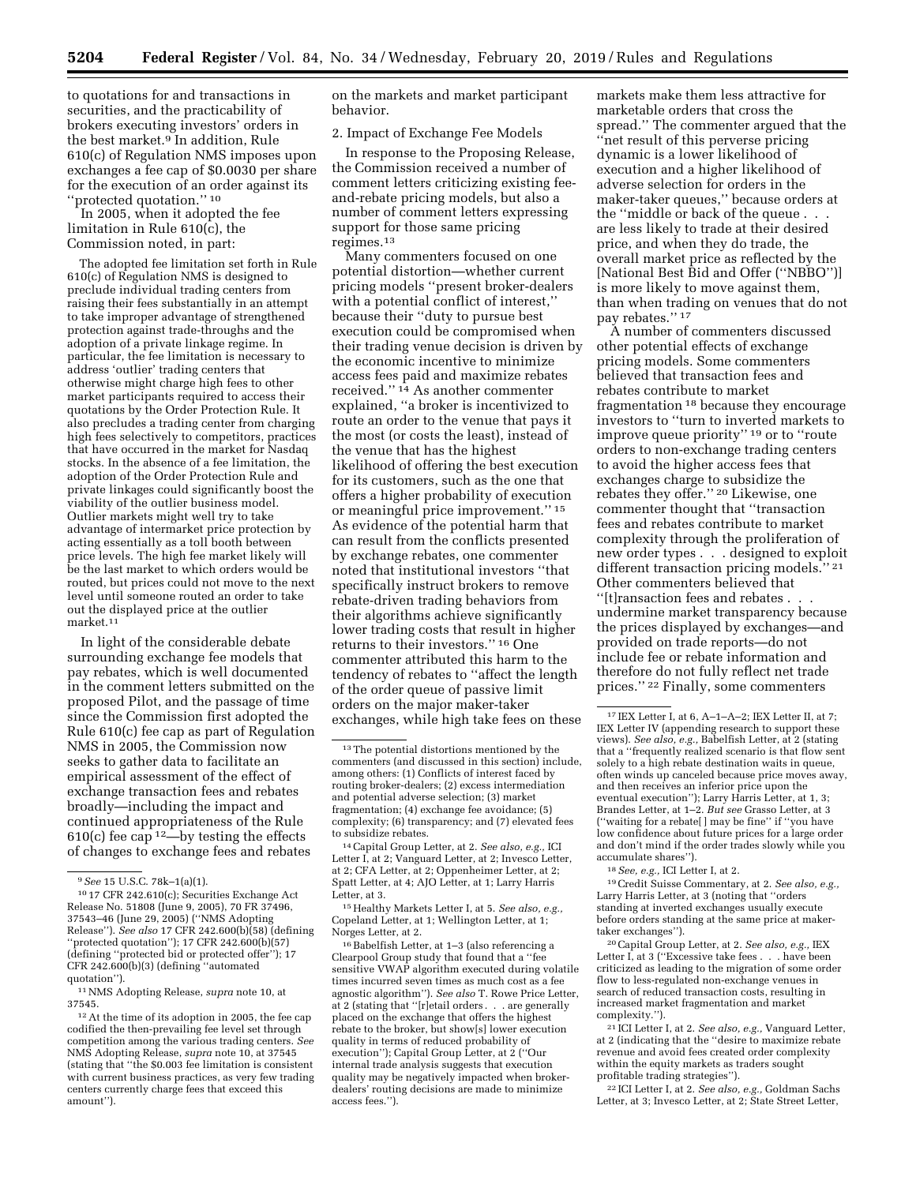to quotations for and transactions in securities, and the practicability of brokers executing investors' orders in the best market.<sup>9</sup> In addition, Rule 610(c) of Regulation NMS imposes upon exchanges a fee cap of \$0.0030 per share for the execution of an order against its ''protected quotation.'' 10

In 2005, when it adopted the fee limitation in Rule 610(c), the Commission noted, in part:

The adopted fee limitation set forth in Rule 610(c) of Regulation NMS is designed to preclude individual trading centers from raising their fees substantially in an attempt to take improper advantage of strengthened protection against trade-throughs and the adoption of a private linkage regime. In particular, the fee limitation is necessary to address 'outlier' trading centers that otherwise might charge high fees to other market participants required to access their quotations by the Order Protection Rule. It also precludes a trading center from charging high fees selectively to competitors, practices that have occurred in the market for Nasdaq stocks. In the absence of a fee limitation, the adoption of the Order Protection Rule and private linkages could significantly boost the viability of the outlier business model. Outlier markets might well try to take advantage of intermarket price protection by acting essentially as a toll booth between price levels. The high fee market likely will be the last market to which orders would be routed, but prices could not move to the next level until someone routed an order to take out the displayed price at the outlier market.11

In light of the considerable debate surrounding exchange fee models that pay rebates, which is well documented in the comment letters submitted on the proposed Pilot, and the passage of time since the Commission first adopted the Rule 610(c) fee cap as part of Regulation NMS in 2005, the Commission now seeks to gather data to facilitate an empirical assessment of the effect of exchange transaction fees and rebates broadly—including the impact and continued appropriateness of the Rule  $610(c)$  fee cap<sup>12</sup>—by testing the effects of changes to exchange fees and rebates

11NMS Adopting Release, *supra* note 10, at 37545.

on the markets and market participant behavior.

2. Impact of Exchange Fee Models

In response to the Proposing Release, the Commission received a number of comment letters criticizing existing feeand-rebate pricing models, but also a number of comment letters expressing support for those same pricing regimes.13

Many commenters focused on one potential distortion—whether current pricing models ''present broker-dealers with a potential conflict of interest,'' because their ''duty to pursue best execution could be compromised when their trading venue decision is driven by the economic incentive to minimize access fees paid and maximize rebates received.'' 14 As another commenter explained, ''a broker is incentivized to route an order to the venue that pays it the most (or costs the least), instead of the venue that has the highest likelihood of offering the best execution for its customers, such as the one that offers a higher probability of execution or meaningful price improvement.'' 15 As evidence of the potential harm that can result from the conflicts presented by exchange rebates, one commenter noted that institutional investors ''that specifically instruct brokers to remove rebate-driven trading behaviors from their algorithms achieve significantly lower trading costs that result in higher returns to their investors.'' 16 One commenter attributed this harm to the tendency of rebates to ''affect the length of the order queue of passive limit orders on the major maker-taker exchanges, while high take fees on these

15Healthy Markets Letter I, at 5. *See also, e.g.,*  Copeland Letter, at 1; Wellington Letter, at 1; Norges Letter, at 2.

16Babelfish Letter, at 1–3 (also referencing a Clearpool Group study that found that a ''fee sensitive VWAP algorithm executed during volatile times incurred seven times as much cost as a fee agnostic algorithm''). *See also* T. Rowe Price Letter, at 2 (stating that ''[r]etail orders . . . are generally placed on the exchange that offers the highest rebate to the broker, but show[s] lower execution quality in terms of reduced probability of execution''); Capital Group Letter, at 2 (''Our internal trade analysis suggests that execution quality may be negatively impacted when brokerdealers' routing decisions are made to minimize access fees.'').

markets make them less attractive for marketable orders that cross the spread.'' The commenter argued that the ''net result of this perverse pricing dynamic is a lower likelihood of execution and a higher likelihood of adverse selection for orders in the maker-taker queues,'' because orders at the ''middle or back of the queue . . . are less likely to trade at their desired price, and when they do trade, the overall market price as reflected by the [National Best Bid and Offer (''NBBO'')] is more likely to move against them, than when trading on venues that do not pay rebates.'' 17

A number of commenters discussed other potential effects of exchange pricing models. Some commenters believed that transaction fees and rebates contribute to market fragmentation 18 because they encourage investors to ''turn to inverted markets to improve queue priority'' 19 or to ''route orders to non-exchange trading centers to avoid the higher access fees that exchanges charge to subsidize the rebates they offer."<sup>20</sup> Likewise, one commenter thought that ''transaction fees and rebates contribute to market complexity through the proliferation of new order types . . . designed to exploit different transaction pricing models."<sup>21</sup> Other commenters believed that ''[t]ransaction fees and rebates . . . undermine market transparency because the prices displayed by exchanges—and provided on trade reports—do not

 $^{17}$  IEX Letter I, at 6, A–1–A–2; IEX Letter II, at 7;  $\,$ IEX Letter IV (appending research to support these views). *See also, e.g.,* Babelfish Letter, at 2 (stating that a ''frequently realized scenario is that flow sent solely to a high rebate destination waits in queue, often winds up canceled because price moves away, and then receives an inferior price upon the eventual execution''); Larry Harris Letter, at 1, 3; Brandes Letter, at 1–2. *But see* Grasso Letter, at 3 (''waiting for a rebate[ ] may be fine'' if ''you have low confidence about future prices for a large order and don't mind if the order trades slowly while you therefore do not fully reflect net trade prices.'' 22 Finally, some commenters

include fee or rebate information and

accumulate shares''). 18*See, e.g.,* ICI Letter I, at 2.

19Credit Suisse Commentary, at 2. *See also, e.g.,*  Larry Harris Letter, at 3 (noting that ''orders standing at inverted exchanges usually execute before orders standing at the same price at makertaker exchanges'').

20Capital Group Letter, at 2. *See also, e.g.,* IEX Letter  $\overline{I}$ , at 3 ("Excessive take fees  $\ldots$  . have been criticized as leading to the migration of some order flow to less-regulated non-exchange venues in search of reduced transaction costs, resulting in increased market fragmentation and market complexity.'').

21 ICI Letter I, at 2. *See also, e.g.,* Vanguard Letter, at 2 (indicating that the ''desire to maximize rebate revenue and avoid fees created order complexity within the equity markets as traders sought profitable trading strategies'').

22 ICI Letter I, at 2. *See also, e.g.,* Goldman Sachs Letter, at 3; Invesco Letter, at 2; State Street Letter,

<sup>9</sup>*See* 15 U.S.C. 78k–1(a)(1).

<sup>10</sup> 17 CFR 242.610(c); Securities Exchange Act Release No. 51808 (June 9, 2005), 70 FR 37496, 37543–46 (June 29, 2005) (''NMS Adopting Release''). *See also* 17 CFR 242.600(b)(58) (defining ''protected quotation''); 17 CFR 242.600(b)(57) (defining ''protected bid or protected offer''); 17 CFR 242.600(b)(3) (defining ''automated quotation'').

<sup>12</sup>At the time of its adoption in 2005, the fee cap codified the then-prevailing fee level set through competition among the various trading centers. *See*  NMS Adopting Release, *supra* note 10, at 37545 (stating that ''the \$0.003 fee limitation is consistent with current business practices, as very few trading centers currently charge fees that exceed this amount'').

<sup>&</sup>lt;sup>13</sup>The potential distortions mentioned by the commenters (and discussed in this section) include, among others: (1) Conflicts of interest faced by routing broker-dealers; (2) excess intermediation and potential adverse selection; (3) market fragmentation; (4) exchange fee avoidance; (5) complexity; (6) transparency; and (7) elevated fees to subsidize rebates.

<sup>14</sup>Capital Group Letter, at 2. *See also, e.g.,* ICI Letter I, at 2; Vanguard Letter, at 2; Invesco Letter, at 2; CFA Letter, at 2; Oppenheimer Letter, at 2; Spatt Letter, at 4; AJO Letter, at 1; Larry Harris Letter, at 3.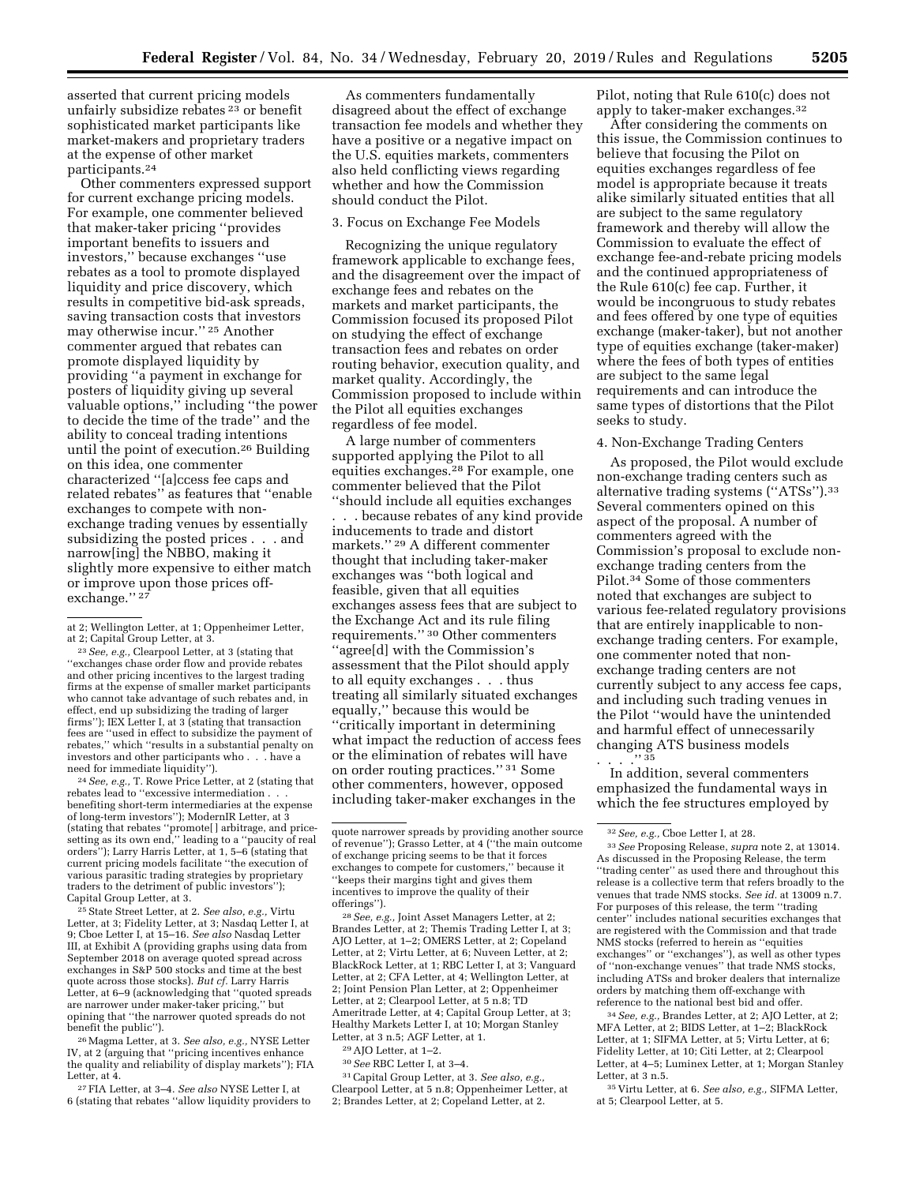asserted that current pricing models unfairly subsidize rebates 23 or benefit sophisticated market participants like market-makers and proprietary traders at the expense of other market participants.24

Other commenters expressed support for current exchange pricing models. For example, one commenter believed that maker-taker pricing ''provides important benefits to issuers and investors,'' because exchanges ''use rebates as a tool to promote displayed liquidity and price discovery, which results in competitive bid-ask spreads, saving transaction costs that investors may otherwise incur.'' 25 Another commenter argued that rebates can promote displayed liquidity by providing ''a payment in exchange for posters of liquidity giving up several valuable options,'' including ''the power to decide the time of the trade'' and the ability to conceal trading intentions until the point of execution.26 Building on this idea, one commenter characterized ''[a]ccess fee caps and related rebates'' as features that ''enable exchanges to compete with nonexchange trading venues by essentially subsidizing the posted prices . . . and narrow[ing] the NBBO, making it slightly more expensive to either match or improve upon those prices offexchange."<sup>27</sup>

<sup>23</sup> See, e.g., Clearpool Letter, at 3 (stating that ''exchanges chase order flow and provide rebates and other pricing incentives to the largest trading firms at the expense of smaller market participants who cannot take advantage of such rebates and, in effect, end up subsidizing the trading of larger firms"); IEX Letter I, at 3 (stating that transaction fees are ''used in effect to subsidize the payment of rebates," which "results in a substantial penalty on investors and other participants who . . . have a investors and other participants who . . need for immediate liquidity'').

24*See, e.g.,* T. Rowe Price Letter, at 2 (stating that rebates lead to ''excessive intermediation . . . benefiting short-term intermediaries at the expense of long-term investors''); ModernIR Letter, at 3 (stating that rebates ''promote[ ] arbitrage, and price-setting as its own end,'' leading to a ''paucity of real orders''); Larry Harris Letter, at 1, 5–6 (stating that current pricing models facilitate ''the execution of various parasitic trading strategies by proprietary traders to the detriment of public investors''); Capital Group Letter, at 3.

25State Street Letter, at 2. *See also, e.g.,* Virtu Letter, at 3; Fidelity Letter, at 3; Nasdaq Letter I, at 9; Cboe Letter I, at 15–16. *See also* Nasdaq Letter III, at Exhibit A (providing graphs using data from September 2018 on average quoted spread across exchanges in S&P 500 stocks and time at the best quote across those stocks). *But cf.* Larry Harris Letter, at 6–9 (acknowledging that ''quoted spreads are narrower under maker-taker pricing,'' but opining that ''the narrower quoted spreads do not benefit the public'').

26Magma Letter, at 3. *See also, e.g.,* NYSE Letter IV, at 2 (arguing that ''pricing incentives enhance the quality and reliability of display markets''); FIA

Letter, at 4. 27FIA Letter, at 3–4. *See also* NYSE Letter I, at 6 (stating that rebates ''allow liquidity providers to

As commenters fundamentally disagreed about the effect of exchange transaction fee models and whether they have a positive or a negative impact on the U.S. equities markets, commenters also held conflicting views regarding whether and how the Commission should conduct the Pilot.

#### 3. Focus on Exchange Fee Models

Recognizing the unique regulatory framework applicable to exchange fees, and the disagreement over the impact of exchange fees and rebates on the markets and market participants, the Commission focused its proposed Pilot on studying the effect of exchange transaction fees and rebates on order routing behavior, execution quality, and market quality. Accordingly, the Commission proposed to include within the Pilot all equities exchanges regardless of fee model.

A large number of commenters supported applying the Pilot to all equities exchanges.28 For example, one commenter believed that the Pilot ''should include all equities exchanges

. . . because rebates of any kind provide inducements to trade and distort markets.'' 29 A different commenter thought that including taker-maker exchanges was ''both logical and feasible, given that all equities exchanges assess fees that are subject to the Exchange Act and its rule filing requirements.'' 30 Other commenters ''agree[d] with the Commission's assessment that the Pilot should apply to all equity exchanges . . . thus treating all similarly situated exchanges equally,'' because this would be ''critically important in determining what impact the reduction of access fees or the elimination of rebates will have on order routing practices.'' 31 Some other commenters, however, opposed including taker-maker exchanges in the

28*See, e.g.,* Joint Asset Managers Letter, at 2; Brandes Letter, at 2; Themis Trading Letter I, at 3; AJO Letter, at 1–2; OMERS Letter, at 2; Copeland Letter, at 2; Virtu Letter, at 6; Nuveen Letter, at 2; BlackRock Letter, at 1; RBC Letter I, at 3; Vanguard Letter, at 2; CFA Letter, at 4; Wellington Letter, at 2; Joint Pension Plan Letter, at 2; Oppenheimer Letter, at 2; Clearpool Letter, at 5 n.8; TD Ameritrade Letter, at 4; Capital Group Letter, at 3; Healthy Markets Letter I, at 10; Morgan Stanley Letter, at 3 n.5; AGF Letter, at 1.

31Capital Group Letter, at 3. *See also, e.g.,*  Clearpool Letter, at 5 n.8; Oppenheimer Letter, at 2; Brandes Letter, at 2; Copeland Letter, at 2.

Pilot, noting that Rule 610(c) does not apply to taker-maker exchanges.32

After considering the comments on this issue, the Commission continues to believe that focusing the Pilot on equities exchanges regardless of fee model is appropriate because it treats alike similarly situated entities that all are subject to the same regulatory framework and thereby will allow the Commission to evaluate the effect of exchange fee-and-rebate pricing models and the continued appropriateness of the Rule 610(c) fee cap. Further, it would be incongruous to study rebates and fees offered by one type of equities exchange (maker-taker), but not another type of equities exchange (taker-maker) where the fees of both types of entities are subject to the same legal requirements and can introduce the same types of distortions that the Pilot seeks to study.

#### 4. Non-Exchange Trading Centers

As proposed, the Pilot would exclude non-exchange trading centers such as alternative trading systems ("ATSs").<sup>33</sup> Several commenters opined on this aspect of the proposal. A number of commenters agreed with the Commission's proposal to exclude nonexchange trading centers from the Pilot.34 Some of those commenters noted that exchanges are subject to various fee-related regulatory provisions that are entirely inapplicable to nonexchange trading centers. For example, one commenter noted that nonexchange trading centers are not currently subject to any access fee caps, and including such trading venues in the Pilot ''would have the unintended and harmful effect of unnecessarily changing ATS business models  $\cdot$  . . . . . . 35

In addition, several commenters emphasized the fundamental ways in which the fee structures employed by

34*See, e.g.,* Brandes Letter, at 2; AJO Letter, at 2; MFA Letter, at 2; BIDS Letter, at 1–2; BlackRock Letter, at 1; SIFMA Letter, at 5; Virtu Letter, at 6; Fidelity Letter, at 10; Citi Letter, at 2; Clearpool Letter, at 4–5; Luminex Letter, at 1; Morgan Stanley Letter, at 3 n.5.

35 Virtu Letter, at 6. *See also, e.g.,* SIFMA Letter, at 5; Clearpool Letter, at 5.

at 2; Wellington Letter, at 1; Oppenheimer Letter,

quote narrower spreads by providing another source of revenue''); Grasso Letter, at 4 (''the main outcome of exchange pricing seems to be that it forces exchanges to compete for customers,'' because it ''keeps their margins tight and gives them incentives to improve the quality of their offerings'').

<sup>29</sup>AJO Letter, at 1–2.

<sup>30</sup>*See* RBC Letter I, at 3–4.

<sup>32</sup>*See, e.g.,* Cboe Letter I, at 28.

<sup>33</sup>*See* Proposing Release, *supra* note 2, at 13014. As discussed in the Proposing Release, the term ''trading center'' as used there and throughout this release is a collective term that refers broadly to the venues that trade NMS stocks. *See id.* at 13009 n.7. For purposes of this release, the term ''trading center'' includes national securities exchanges that are registered with the Commission and that trade NMS stocks (referred to herein as ''equities exchanges'' or ''exchanges''), as well as other types of ''non-exchange venues'' that trade NMS stocks, including ATSs and broker dealers that internalize orders by matching them off-exchange with reference to the national best bid and offer.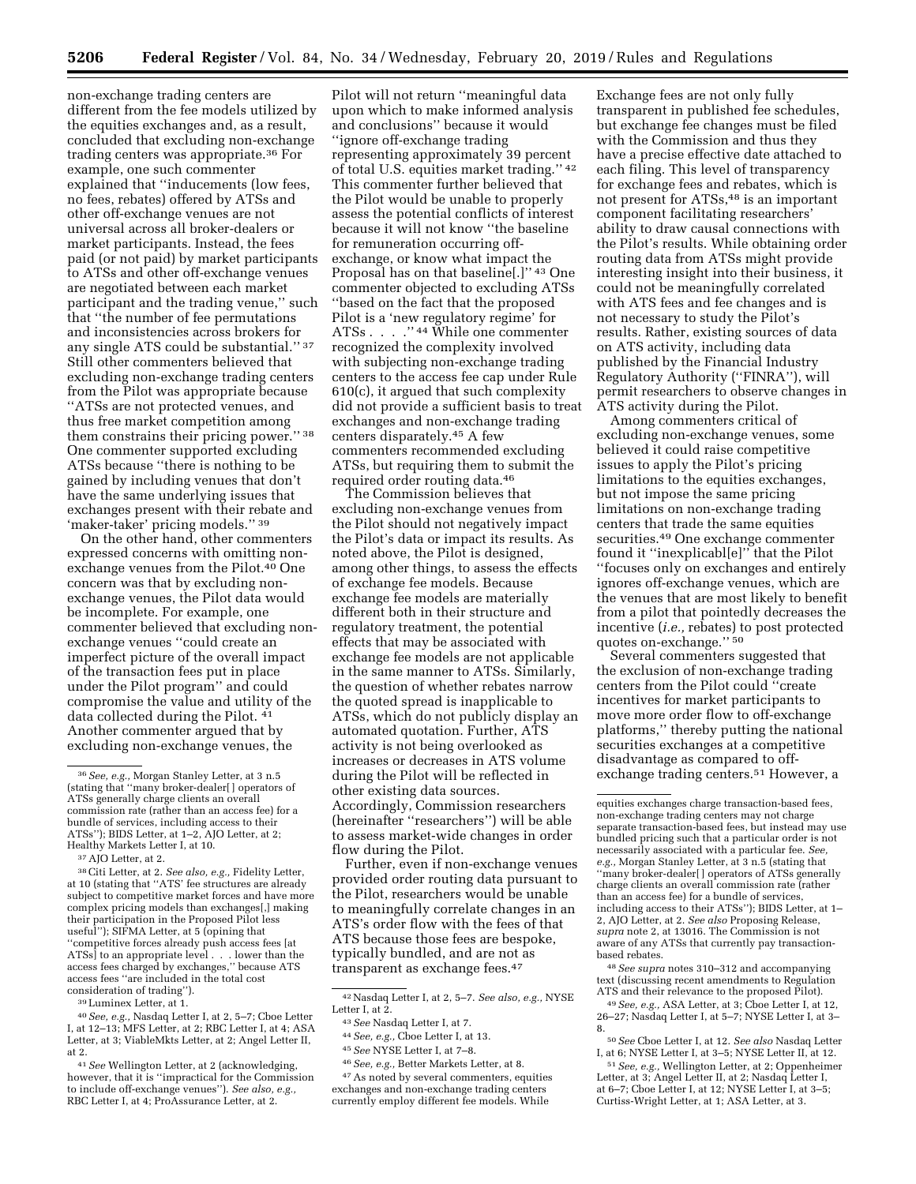non-exchange trading centers are different from the fee models utilized by the equities exchanges and, as a result, concluded that excluding non-exchange trading centers was appropriate.36 For example, one such commenter explained that ''inducements (low fees, no fees, rebates) offered by ATSs and other off-exchange venues are not universal across all broker-dealers or market participants. Instead, the fees paid (or not paid) by market participants to ATSs and other off-exchange venues are negotiated between each market participant and the trading venue,'' such that ''the number of fee permutations and inconsistencies across brokers for any single ATS could be substantial.'' 37 Still other commenters believed that excluding non-exchange trading centers from the Pilot was appropriate because ''ATSs are not protected venues, and thus free market competition among them constrains their pricing power.'' 38 One commenter supported excluding ATSs because ''there is nothing to be gained by including venues that don't have the same underlying issues that exchanges present with their rebate and 'maker-taker' pricing models.'' 39

On the other hand, other commenters expressed concerns with omitting nonexchange venues from the Pilot.<sup>40</sup> One concern was that by excluding nonexchange venues, the Pilot data would be incomplete. For example, one commenter believed that excluding nonexchange venues ''could create an imperfect picture of the overall impact of the transaction fees put in place under the Pilot program'' and could compromise the value and utility of the data collected during the Pilot. 41 Another commenter argued that by excluding non-exchange venues, the

Pilot will not return ''meaningful data upon which to make informed analysis and conclusions'' because it would ''ignore off-exchange trading representing approximately 39 percent of total U.S. equities market trading.'' 42 This commenter further believed that the Pilot would be unable to properly assess the potential conflicts of interest because it will not know ''the baseline for remuneration occurring offexchange, or know what impact the Proposal has on that baseline[.]'' 43 One commenter objected to excluding ATSs ''based on the fact that the proposed Pilot is a 'new regulatory regime' for ATSs . . . . "44 While one commenter recognized the complexity involved with subjecting non-exchange trading centers to the access fee cap under Rule 610(c), it argued that such complexity did not provide a sufficient basis to treat exchanges and non-exchange trading centers disparately.45 A few commenters recommended excluding ATSs, but requiring them to submit the required order routing data.46

The Commission believes that excluding non-exchange venues from the Pilot should not negatively impact the Pilot's data or impact its results. As noted above, the Pilot is designed, among other things, to assess the effects of exchange fee models. Because exchange fee models are materially different both in their structure and regulatory treatment, the potential effects that may be associated with exchange fee models are not applicable in the same manner to ATSs. Similarly, the question of whether rebates narrow the quoted spread is inapplicable to ATSs, which do not publicly display an automated quotation. Further, ATS activity is not being overlooked as increases or decreases in ATS volume during the Pilot will be reflected in other existing data sources. Accordingly, Commission researchers (hereinafter ''researchers'') will be able to assess market-wide changes in order flow during the Pilot.

Further, even if non-exchange venues provided order routing data pursuant to the Pilot, researchers would be unable to meaningfully correlate changes in an ATS's order flow with the fees of that ATS because those fees are bespoke, typically bundled, and are not as transparent as exchange fees.47

Exchange fees are not only fully transparent in published fee schedules, but exchange fee changes must be filed with the Commission and thus they have a precise effective date attached to each filing. This level of transparency for exchange fees and rebates, which is not present for ATSs,<sup>48</sup> is an important component facilitating researchers' ability to draw causal connections with the Pilot's results. While obtaining order routing data from ATSs might provide interesting insight into their business, it could not be meaningfully correlated with ATS fees and fee changes and is not necessary to study the Pilot's results. Rather, existing sources of data on ATS activity, including data published by the Financial Industry Regulatory Authority (''FINRA''), will permit researchers to observe changes in ATS activity during the Pilot.

Among commenters critical of excluding non-exchange venues, some believed it could raise competitive issues to apply the Pilot's pricing limitations to the equities exchanges, but not impose the same pricing limitations on non-exchange trading centers that trade the same equities securities.49 One exchange commenter found it ''inexplicabl[e]'' that the Pilot ''focuses only on exchanges and entirely ignores off-exchange venues, which are the venues that are most likely to benefit from a pilot that pointedly decreases the incentive (*i.e.,* rebates) to post protected quotes on-exchange.'' 50

Several commenters suggested that the exclusion of non-exchange trading centers from the Pilot could ''create incentives for market participants to move more order flow to off-exchange platforms,'' thereby putting the national securities exchanges at a competitive disadvantage as compared to offexchange trading centers.51 However, a

48*See supra* notes 310–312 and accompanying text (discussing recent amendments to Regulation ATS and their relevance to the proposed Pilot). 49*See, e.g.,* ASA Letter, at 3; Cboe Letter I, at 12,

<sup>51</sup> See, e.g., Wellington Letter, at 2; Oppenheimer Letter, at 3; Angel Letter II, at 2; Nasdaq Letter I, at 6–7; Cboe Letter I, at 12; NYSE Letter I, at 3–5; Curtiss-Wright Letter, at 1; ASA Letter, at 3.

<sup>36</sup>*See, e.g.,* Morgan Stanley Letter, at 3 n.5 (stating that ''many broker-dealer[ ] operators of ATSs generally charge clients an overall commission rate (rather than an access fee) for a bundle of services, including access to their ATSs''); BIDS Letter, at 1–2, AJO Letter, at 2; Healthy Markets Letter I, at 10.<br><sup>37</sup> AJO Letter, at 2.

<sup>38</sup>Citi Letter, at 2. *See also, e.g.,* Fidelity Letter, at 10 (stating that ''ATS' fee structures are already subject to competitive market forces and have more complex pricing models than exchanges[,] making their participation in the Proposed Pilot less useful''); SIFMA Letter, at 5 (opining that ''competitive forces already push access fees [at ATSs] to an appropriate level . . . lower than the access fees charged by exchanges,'' because ATS access fees ''are included in the total cost consideration of trading'').

<sup>39</sup>Luminex Letter, at 1.

<sup>40</sup>*See, e.g.,* Nasdaq Letter I, at 2, 5–7; Cboe Letter I, at 12–13; MFS Letter, at 2; RBC Letter I, at 4; ASA Letter, at 3; ViableMkts Letter, at 2; Angel Letter II, at 2.

<sup>41</sup>*See* Wellington Letter, at 2 (acknowledging, however, that it is ''impractical for the Commission to include off-exchange venues''). *See also, e.g.,*  RBC Letter I, at 4; ProAssurance Letter, at 2.

<sup>42</sup>Nasdaq Letter I, at 2, 5–7. *See also, e.g.,* NYSE Letter I, at 2.

<sup>43</sup>*See* Nasdaq Letter I, at 7.

<sup>44</sup>*See, e.g.,* Cboe Letter I, at 13.

<sup>45</sup>*See* NYSE Letter I, at 7–8.

<sup>46</sup>*See, e.g.,* Better Markets Letter, at 8.

<sup>47</sup>As noted by several commenters, equities exchanges and non-exchange trading centers currently employ different fee models. While

equities exchanges charge transaction-based fees, non-exchange trading centers may not charge separate transaction-based fees, but instead may use bundled pricing such that a particular order is not necessarily associated with a particular fee. *See, e.g.,* Morgan Stanley Letter, at 3 n.5 (stating that ''many broker-dealer[ ] operators of ATSs generally charge clients an overall commission rate (rather than an access fee) for a bundle of services, including access to their ATSs''); BIDS Letter, at 1– 2, AJO Letter, at 2. *See also* Proposing Release, *supra* note 2, at 13016. The Commission is not aware of any ATSs that currently pay transactionbased rebates.

<sup>26–27;</sup> Nasdaq Letter I, at 5–7; NYSE Letter I, at 3–

<sup>8. 50</sup>*See* Cboe Letter I, at 12. *See also* Nasdaq Letter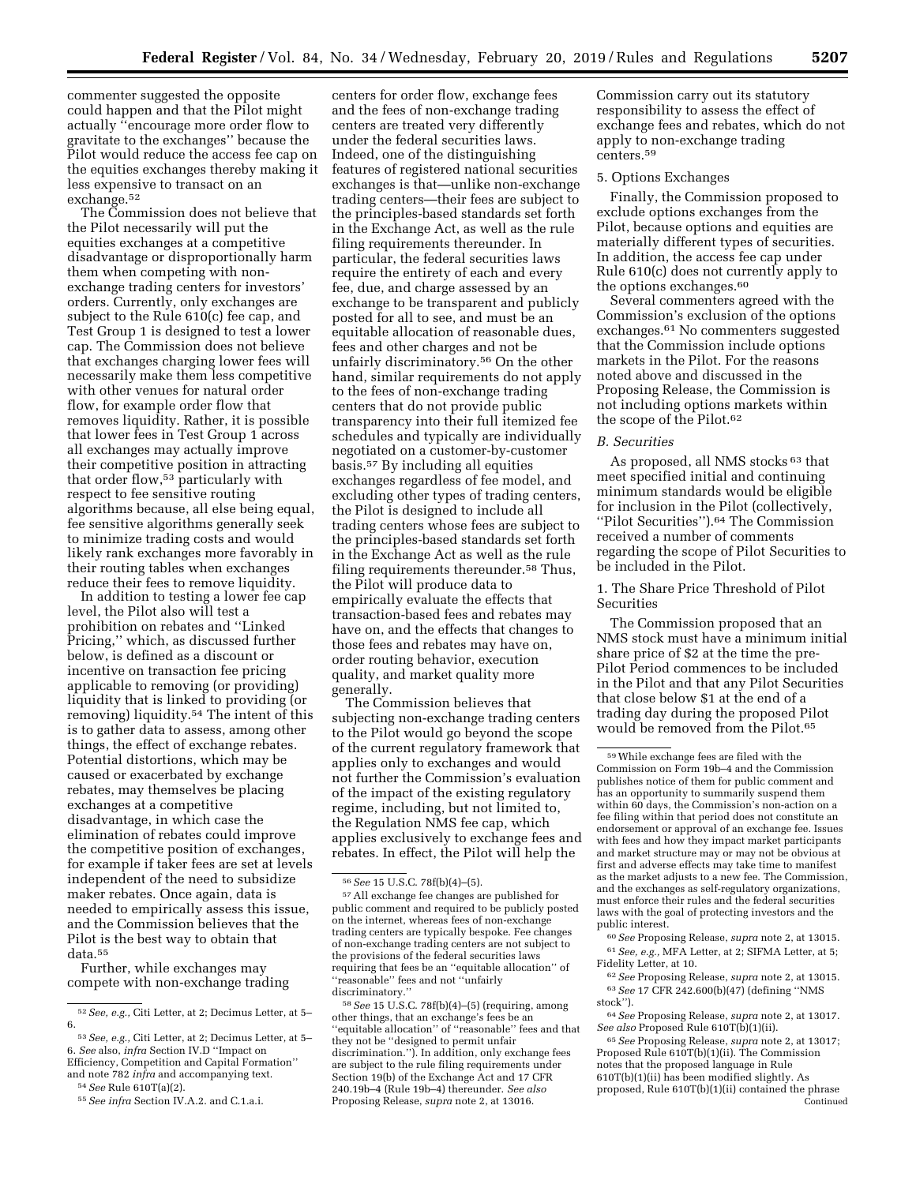commenter suggested the opposite could happen and that the Pilot might actually ''encourage more order flow to gravitate to the exchanges'' because the Pilot would reduce the access fee cap on the equities exchanges thereby making it less expensive to transact on an exchange.52

The Commission does not believe that the Pilot necessarily will put the equities exchanges at a competitive disadvantage or disproportionally harm them when competing with nonexchange trading centers for investors' orders. Currently, only exchanges are subject to the Rule 610(c) fee cap, and Test Group 1 is designed to test a lower cap. The Commission does not believe that exchanges charging lower fees will necessarily make them less competitive with other venues for natural order flow, for example order flow that removes liquidity. Rather, it is possible that lower fees in Test Group 1 across all exchanges may actually improve their competitive position in attracting that order flow,53 particularly with respect to fee sensitive routing algorithms because, all else being equal, fee sensitive algorithms generally seek to minimize trading costs and would likely rank exchanges more favorably in their routing tables when exchanges reduce their fees to remove liquidity.

In addition to testing a lower fee cap level, the Pilot also will test a prohibition on rebates and ''Linked Pricing,'' which, as discussed further below, is defined as a discount or incentive on transaction fee pricing applicable to removing (or providing) liquidity that is linked to providing (or removing) liquidity.54 The intent of this is to gather data to assess, among other things, the effect of exchange rebates. Potential distortions, which may be caused or exacerbated by exchange rebates, may themselves be placing exchanges at a competitive disadvantage, in which case the elimination of rebates could improve the competitive position of exchanges, for example if taker fees are set at levels independent of the need to subsidize maker rebates. Once again, data is needed to empirically assess this issue, and the Commission believes that the Pilot is the best way to obtain that data.55

Further, while exchanges may compete with non-exchange trading

centers for order flow, exchange fees and the fees of non-exchange trading centers are treated very differently under the federal securities laws. Indeed, one of the distinguishing features of registered national securities exchanges is that—unlike non-exchange trading centers—their fees are subject to the principles-based standards set forth in the Exchange Act, as well as the rule filing requirements thereunder. In particular, the federal securities laws require the entirety of each and every fee, due, and charge assessed by an exchange to be transparent and publicly posted for all to see, and must be an equitable allocation of reasonable dues, fees and other charges and not be unfairly discriminatory.56 On the other hand, similar requirements do not apply to the fees of non-exchange trading centers that do not provide public transparency into their full itemized fee schedules and typically are individually negotiated on a customer-by-customer basis.57 By including all equities exchanges regardless of fee model, and excluding other types of trading centers, the Pilot is designed to include all trading centers whose fees are subject to the principles-based standards set forth in the Exchange Act as well as the rule filing requirements thereunder.58 Thus, the Pilot will produce data to empirically evaluate the effects that transaction-based fees and rebates may have on, and the effects that changes to those fees and rebates may have on, order routing behavior, execution quality, and market quality more generally.

The Commission believes that subjecting non-exchange trading centers to the Pilot would go beyond the scope of the current regulatory framework that applies only to exchanges and would not further the Commission's evaluation of the impact of the existing regulatory regime, including, but not limited to, the Regulation NMS fee cap, which applies exclusively to exchange fees and rebates. In effect, the Pilot will help the

58*See* 15 U.S.C. 78f(b)(4)–(5) (requiring, among other things, that an exchange's fees be an "equitable allocation" of "reasonable" fees and that they not be ''designed to permit unfair discrimination.''). In addition, only exchange fees are subject to the rule filing requirements under Section 19(b) of the Exchange Act and 17 CFR 240.19b–4 (Rule 19b–4) thereunder. *See also*  Proposing Release, *supra* note 2, at 13016.

Commission carry out its statutory responsibility to assess the effect of exchange fees and rebates, which do not apply to non-exchange trading centers.59

## 5. Options Exchanges

Finally, the Commission proposed to exclude options exchanges from the Pilot, because options and equities are materially different types of securities. In addition, the access fee cap under Rule 610(c) does not currently apply to the options exchanges.60

Several commenters agreed with the Commission's exclusion of the options exchanges.61 No commenters suggested that the Commission include options markets in the Pilot. For the reasons noted above and discussed in the Proposing Release, the Commission is not including options markets within the scope of the Pilot.62

#### *B. Securities*

As proposed, all NMS stocks<sup>63</sup> that meet specified initial and continuing minimum standards would be eligible for inclusion in the Pilot (collectively, ''Pilot Securities'').64 The Commission received a number of comments regarding the scope of Pilot Securities to be included in the Pilot.

1. The Share Price Threshold of Pilot Securities

The Commission proposed that an NMS stock must have a minimum initial share price of \$2 at the time the pre-Pilot Period commences to be included in the Pilot and that any Pilot Securities that close below \$1 at the end of a trading day during the proposed Pilot would be removed from the Pilot.<sup>65</sup>

60*See* Proposing Release, *supra* note 2, at 13015. 61*See, e.g.,* MFA Letter, at 2; SIFMA Letter, at 5; Fidelity Letter, at 10.

62*See* Proposing Release, *supra* note 2, at 13015. 63*See* 17 CFR 242.600(b)(47) (defining ''NMS stock'').

64*See* Proposing Release, *supra* note 2, at 13017. *See also* Proposed Rule 610T(b)(1)(ii).

65*See* Proposing Release, *supra* note 2, at 13017; Proposed Rule 610T(b)(1)(ii). The Commission notes that the proposed language in Rule 610T(b)(1)(ii) has been modified slightly. As proposed, Rule 610T(b)(1)(ii) contained the phrase Continued

<sup>52</sup>*See, e.g.,* Citi Letter, at 2; Decimus Letter, at 5– 6.

<sup>53</sup>*See, e.g.,* Citi Letter, at 2; Decimus Letter, at 5– 6. *See* also, *infra* Section IV.D ''Impact on Efficiency, Competition and Capital Formation'' and note 782 *infra* and accompanying text.

<sup>54</sup>*See* Rule 610T(a)(2).

<sup>55</sup>*See infra* Section IV.A.2. and C.1.a.i.

<sup>56</sup>*See* 15 U.S.C. 78f(b)(4)–(5).

<sup>57</sup>All exchange fee changes are published for public comment and required to be publicly posted on the internet, whereas fees of non-exchange trading centers are typically bespoke. Fee changes of non-exchange trading centers are not subject to the provisions of the federal securities laws requiring that fees be an ''equitable allocation'' of ''reasonable'' fees and not ''unfairly discriminatory.''

<sup>59</sup>While exchange fees are filed with the Commission on Form 19b–4 and the Commission publishes notice of them for public comment and has an opportunity to summarily suspend them within 60 days, the Commission's non-action on a fee filing within that period does not constitute an endorsement or approval of an exchange fee. Issues with fees and how they impact market participants and market structure may or may not be obvious at first and adverse effects may take time to manifest as the market adjusts to a new fee. The Commission, and the exchanges as self-regulatory organizations, must enforce their rules and the federal securities laws with the goal of protecting investors and the public interest.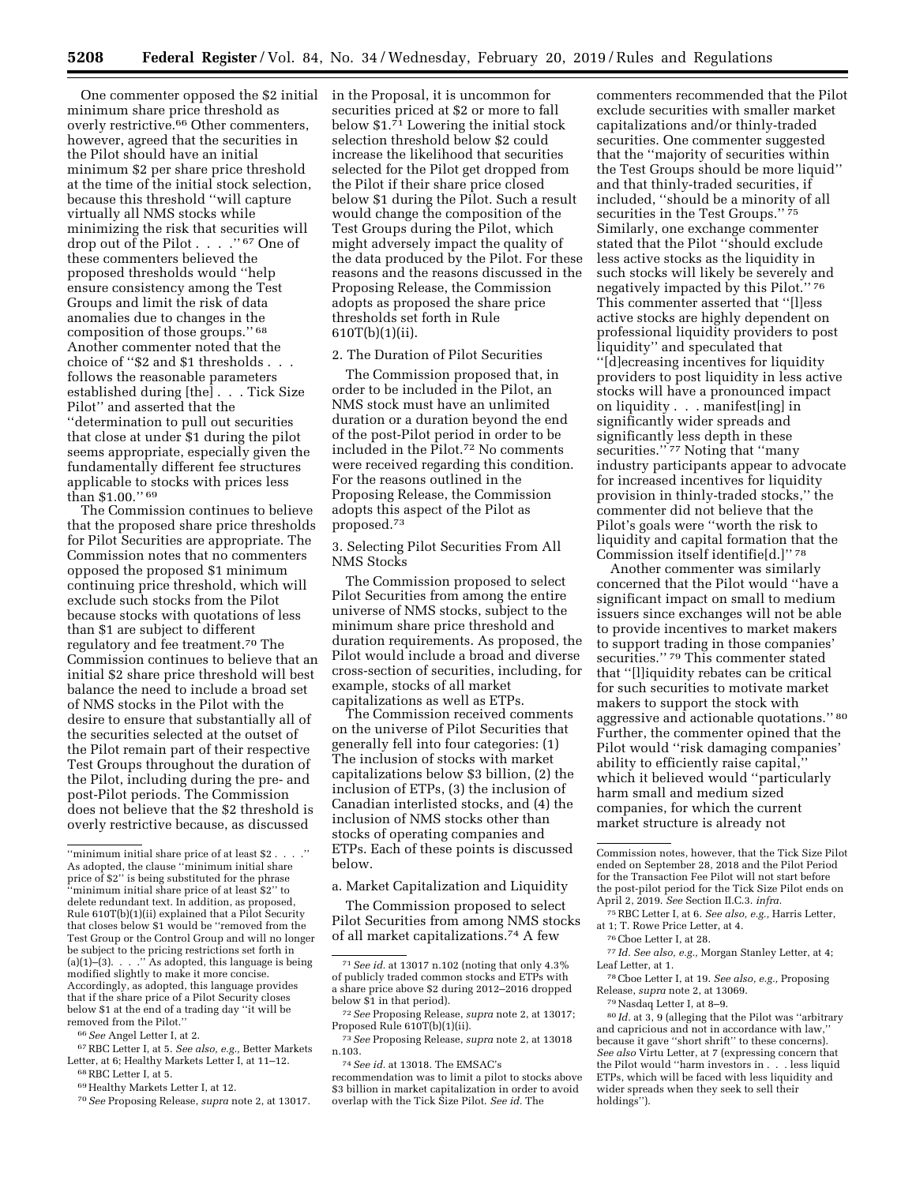One commenter opposed the \$2 initial minimum share price threshold as overly restrictive.66 Other commenters, however, agreed that the securities in the Pilot should have an initial minimum \$2 per share price threshold at the time of the initial stock selection, because this threshold ''will capture virtually all NMS stocks while minimizing the risk that securities will drop out of the Pilot . . . .'' 67 One of these commenters believed the proposed thresholds would ''help ensure consistency among the Test Groups and limit the risk of data anomalies due to changes in the composition of those groups.'' 68 Another commenter noted that the choice of ''\$2 and \$1 thresholds . . . follows the reasonable parameters established during [the] . . . Tick Size Pilot'' and asserted that the ''determination to pull out securities that close at under \$1 during the pilot seems appropriate, especially given the fundamentally different fee structures applicable to stocks with prices less than \$1.00.'' 69

The Commission continues to believe that the proposed share price thresholds for Pilot Securities are appropriate. The Commission notes that no commenters opposed the proposed \$1 minimum continuing price threshold, which will exclude such stocks from the Pilot because stocks with quotations of less than \$1 are subject to different regulatory and fee treatment.70 The Commission continues to believe that an initial \$2 share price threshold will best balance the need to include a broad set of NMS stocks in the Pilot with the desire to ensure that substantially all of the securities selected at the outset of the Pilot remain part of their respective Test Groups throughout the duration of the Pilot, including during the pre- and post-Pilot periods. The Commission does not believe that the \$2 threshold is overly restrictive because, as discussed

66*See* Angel Letter I, at 2.

in the Proposal, it is uncommon for securities priced at \$2 or more to fall below \$1.71 Lowering the initial stock selection threshold below \$2 could increase the likelihood that securities selected for the Pilot get dropped from the Pilot if their share price closed below \$1 during the Pilot. Such a result would change the composition of the Test Groups during the Pilot, which might adversely impact the quality of the data produced by the Pilot. For these reasons and the reasons discussed in the Proposing Release, the Commission adopts as proposed the share price thresholds set forth in Rule 610T(b)(1)(ii).

### 2. The Duration of Pilot Securities

The Commission proposed that, in order to be included in the Pilot, an NMS stock must have an unlimited duration or a duration beyond the end of the post-Pilot period in order to be included in the Pilot.72 No comments were received regarding this condition. For the reasons outlined in the Proposing Release, the Commission adopts this aspect of the Pilot as proposed.73

3. Selecting Pilot Securities From All NMS Stocks

The Commission proposed to select Pilot Securities from among the entire universe of NMS stocks, subject to the minimum share price threshold and duration requirements. As proposed, the Pilot would include a broad and diverse cross-section of securities, including, for example, stocks of all market capitalizations as well as ETPs.

The Commission received comments on the universe of Pilot Securities that generally fell into four categories: (1) The inclusion of stocks with market capitalizations below \$3 billion, (2) the inclusion of ETPs, (3) the inclusion of Canadian interlisted stocks, and (4) the inclusion of NMS stocks other than stocks of operating companies and ETPs. Each of these points is discussed below.

a. Market Capitalization and Liquidity

The Commission proposed to select Pilot Securities from among NMS stocks of all market capitalizations.74 A few

commenters recommended that the Pilot exclude securities with smaller market capitalizations and/or thinly-traded securities. One commenter suggested that the ''majority of securities within the Test Groups should be more liquid'' and that thinly-traded securities, if included, ''should be a minority of all securities in the Test Groups.'' 75 Similarly, one exchange commenter stated that the Pilot ''should exclude less active stocks as the liquidity in such stocks will likely be severely and negatively impacted by this Pilot.'' 76 This commenter asserted that ''[l]ess active stocks are highly dependent on professional liquidity providers to post liquidity'' and speculated that ''[d]ecreasing incentives for liquidity providers to post liquidity in less active stocks will have a pronounced impact on liquidity . . . manifest[ing] in significantly wider spreads and significantly less depth in these securities."<sup>77</sup> Noting that "many industry participants appear to advocate for increased incentives for liquidity provision in thinly-traded stocks,'' the commenter did not believe that the Pilot's goals were ''worth the risk to liquidity and capital formation that the Commission itself identifie[d.]'' 78

Another commenter was similarly concerned that the Pilot would ''have a significant impact on small to medium issuers since exchanges will not be able to provide incentives to market makers to support trading in those companies' securities."<sup>79</sup> This commenter stated that ''[l]iquidity rebates can be critical for such securities to motivate market makers to support the stock with aggressive and actionable quotations.'' 80 Further, the commenter opined that the Pilot would ''risk damaging companies' ability to efficiently raise capital,'' which it believed would ''particularly harm small and medium sized companies, for which the current market structure is already not

75RBC Letter I, at 6. *See also, e.g.,* Harris Letter, at 1; T. Rowe Price Letter, at 4.

77 *Id. See also, e.g.,* Morgan Stanley Letter, at 4; Leaf Letter, at 1.

78Cboe Letter I, at 19. *See also, e.g.,* Proposing Release, *supra* note 2, at 13069.

79Nasdaq Letter I, at 8–9.

80 *Id.* at 3, 9 (alleging that the Pilot was ''arbitrary and capricious and not in accordance with law, because it gave ''short shrift'' to these concerns). *See also* Virtu Letter, at 7 (expressing concern that the Pilot would ''harm investors in . . . less liquid ETPs, which will be faced with less liquidity and wider spreads when they seek to sell their holdings'').

<sup>&</sup>quot;minimum initial share price of at least  $$2\ldots$  .  $'$ As adopted, the clause ''minimum initial share price of \$2" is being substituted for the phrase ''minimum initial share price of at least \$2'' to delete redundant text. In addition, as proposed, Rule 610T(b)(1)(ii) explained that a Pilot Security that closes below \$1 would be ''removed from the Test Group or the Control Group and will no longer be subject to the pricing restrictions set forth in (a)(1)–(3). . . .'' As adopted, this language is being modified slightly to make it more concise. Accordingly, as adopted, this language provides that if the share price of a Pilot Security closes below \$1 at the end of a trading day ''it will be removed from the Pilot.''

<sup>67</sup>RBC Letter I, at 5. *See also, e.g.,* Better Markets Letter, at 6; Healthy Markets Letter I, at 11–12. 68RBC Letter I, at 5.

<sup>69</sup>Healthy Markets Letter I, at 12.

<sup>70</sup>*See* Proposing Release, *supra* note 2, at 13017.

<sup>71</sup>*See id.* at 13017 n.102 (noting that only 4.3% of publicly traded common stocks and ETPs with a share price above \$2 during 2012–2016 dropped below \$1 in that period).

<sup>72</sup>*See* Proposing Release, *supra* note 2, at 13017; Proposed Rule 610T(b)(1)(ii).

<sup>73</sup>*See* Proposing Release, *supra* note 2, at 13018 n.103.

<sup>74</sup>*See id.* at 13018. The EMSAC's

recommendation was to limit a pilot to stocks above \$3 billion in market capitalization in order to avoid overlap with the Tick Size Pilot. *See id.* The

Commission notes, however, that the Tick Size Pilot ended on September 28, 2018 and the Pilot Period for the Transaction Fee Pilot will not start before the post-pilot period for the Tick Size Pilot ends on April 2, 2019. *See* Section II.C.3. *infra.* 

<sup>76</sup>Cboe Letter I, at 28.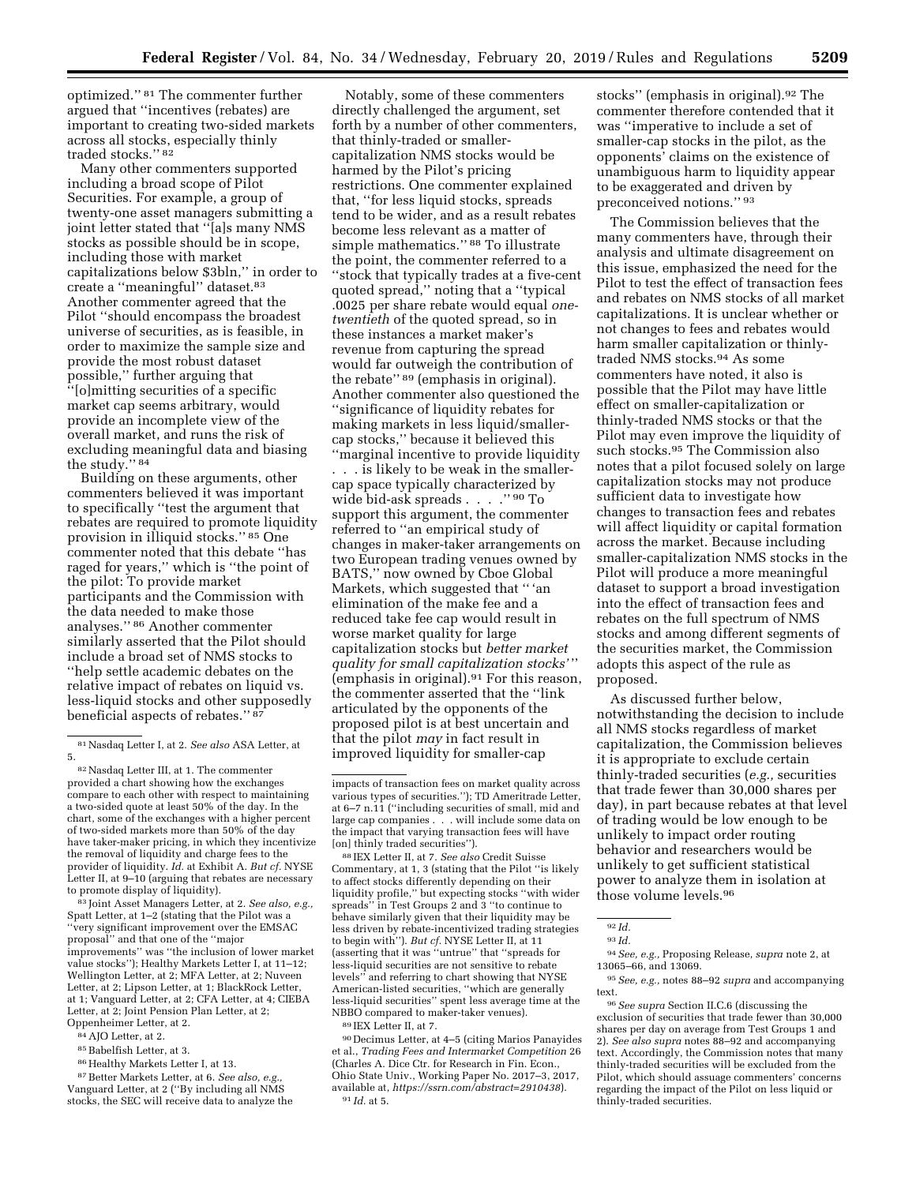optimized.'' 81 The commenter further argued that ''incentives (rebates) are important to creating two-sided markets across all stocks, especially thinly traded stocks.'' 82

Many other commenters supported including a broad scope of Pilot Securities. For example, a group of twenty-one asset managers submitting a joint letter stated that ''[a]s many NMS stocks as possible should be in scope, including those with market capitalizations below \$3bln,'' in order to create a ''meaningful'' dataset.83 Another commenter agreed that the Pilot ''should encompass the broadest universe of securities, as is feasible, in order to maximize the sample size and provide the most robust dataset possible,'' further arguing that ''[o]mitting securities of a specific market cap seems arbitrary, would provide an incomplete view of the overall market, and runs the risk of excluding meaningful data and biasing the study.'' 84

Building on these arguments, other commenters believed it was important to specifically ''test the argument that rebates are required to promote liquidity provision in illiquid stocks.'' 85 One commenter noted that this debate ''has raged for years,'' which is ''the point of the pilot: To provide market participants and the Commission with the data needed to make those analyses.'' 86 Another commenter similarly asserted that the Pilot should include a broad set of NMS stocks to ''help settle academic debates on the relative impact of rebates on liquid vs. less-liquid stocks and other supposedly beneficial aspects of rebates.'' 87

83 Joint Asset Managers Letter, at 2. *See also, e.g.,*  Spatt Letter, at 1–2 (stating that the Pilot was a ''very significant improvement over the EMSAC proposal'' and that one of the ''major improvements'' was ''the inclusion of lower market value stocks''); Healthy Markets Letter I, at 11–12; Wellington Letter, at 2; MFA Letter, at 2; Nuveen Letter, at 2; Lipson Letter, at 1; BlackRock Letter, at 1; Vanguard Letter, at 2; CFA Letter, at 4; CIEBA Letter, at 2; Joint Pension Plan Letter, at 2; Oppenheimer Letter, at 2.

- 85Babelfish Letter, at 3.
- 86Healthy Markets Letter I, at 13.

87Better Markets Letter, at 6. *See also, e.g.,*  Vanguard Letter, at 2 (''By including all NMS stocks, the SEC will receive data to analyze the

Notably, some of these commenters directly challenged the argument, set forth by a number of other commenters, that thinly-traded or smallercapitalization NMS stocks would be harmed by the Pilot's pricing restrictions. One commenter explained that, ''for less liquid stocks, spreads tend to be wider, and as a result rebates become less relevant as a matter of simple mathematics.'' 88 To illustrate the point, the commenter referred to a ''stock that typically trades at a five-cent quoted spread,'' noting that a ''typical .0025 per share rebate would equal *onetwentieth* of the quoted spread, so in these instances a market maker's revenue from capturing the spread would far outweigh the contribution of the rebate'' 89 (emphasis in original). Another commenter also questioned the ''significance of liquidity rebates for making markets in less liquid/smallercap stocks,'' because it believed this ''marginal incentive to provide liquidity

. . . is likely to be weak in the smallercap space typically characterized by wide bid-ask spreads . . . . "  $^{90}$  To support this argument, the commenter referred to ''an empirical study of changes in maker-taker arrangements on two European trading venues owned by BATS,'' now owned by Cboe Global Markets, which suggested that '' 'an elimination of the make fee and a reduced take fee cap would result in worse market quality for large capitalization stocks but *better market quality for small capitalization stocks'* '' (emphasis in original). $91$  For this reason, the commenter asserted that the ''link articulated by the opponents of the proposed pilot is at best uncertain and that the pilot *may* in fact result in improved liquidity for smaller-cap

88 IEX Letter II, at 7. *See also* Credit Suisse Commentary, at 1, 3 (stating that the Pilot ''is likely to affect stocks differently depending on their liquidity profile,'' but expecting stocks ''with wider spreads'' in Test Groups 2 and 3 ''to continue to behave similarly given that their liquidity may be less driven by rebate-incentivized trading strategies to begin with''). *But cf.* NYSE Letter II, at 11 (asserting that it was ''untrue'' that ''spreads for less-liquid securities are not sensitive to rebate levels'' and referring to chart showing that NYSE American-listed securities, ''which are generally less-liquid securities'' spent less average time at the NBBO compared to maker-taker venues). 89 IEX Letter II, at 7.

90 Decimus Letter, at 4–5 (citing Marios Panayides et al., *Trading Fees and Intermarket Competition* 26 (Charles A. Dice Ctr. for Research in Fin. Econ. Ohio State Univ., Working Paper No. 2017–3, 2017, available at, *<https://ssrn.com/abstract=2910438>*). 91 *Id.* at 5.

stocks'' (emphasis in original).92 The commenter therefore contended that it was ''imperative to include a set of smaller-cap stocks in the pilot, as the opponents' claims on the existence of unambiguous harm to liquidity appear to be exaggerated and driven by preconceived notions.'' 93

The Commission believes that the many commenters have, through their analysis and ultimate disagreement on this issue, emphasized the need for the Pilot to test the effect of transaction fees and rebates on NMS stocks of all market capitalizations. It is unclear whether or not changes to fees and rebates would harm smaller capitalization or thinlytraded NMS stocks.94 As some commenters have noted, it also is possible that the Pilot may have little effect on smaller-capitalization or thinly-traded NMS stocks or that the Pilot may even improve the liquidity of such stocks.95 The Commission also notes that a pilot focused solely on large capitalization stocks may not produce sufficient data to investigate how changes to transaction fees and rebates will affect liquidity or capital formation across the market. Because including smaller-capitalization NMS stocks in the Pilot will produce a more meaningful dataset to support a broad investigation into the effect of transaction fees and rebates on the full spectrum of NMS stocks and among different segments of the securities market, the Commission adopts this aspect of the rule as proposed.

As discussed further below, notwithstanding the decision to include all NMS stocks regardless of market capitalization, the Commission believes it is appropriate to exclude certain thinly-traded securities (*e.g.,* securities that trade fewer than 30,000 shares per day), in part because rebates at that level of trading would be low enough to be unlikely to impact order routing behavior and researchers would be unlikely to get sufficient statistical power to analyze them in isolation at those volume levels.96

94*See, e.g.,* Proposing Release, *supra* note 2, at 13065–66, and 13069.

<sup>81</sup>Nasdaq Letter I, at 2. *See also* ASA Letter, at 5.

 $\rm ^{82}Nasdaq$  Letter III, at 1. The commenter provided a chart showing how the exchanges compare to each other with respect to maintaining a two-sided quote at least 50% of the day. In the chart, some of the exchanges with a higher percent of two-sided markets more than 50% of the day have taker-maker pricing, in which they incentivize the removal of liquidity and charge fees to the provider of liquidity. *Id.* at Exhibit A. *But cf.* NYSE Letter II, at 9–10 (arguing that rebates are necessary to promote display of liquidity).

<sup>84</sup>AJO Letter, at 2.

impacts of transaction fees on market quality across various types of securities.''); TD Ameritrade Letter, at 6–7 n.11 (''including securities of small, mid and large cap companies . . . will include some data on the impact that varying transaction fees will have [on] thinly traded securities'').

<sup>92</sup> *Id.* 

<sup>93</sup> *Id.* 

<sup>95</sup>*See, e.g.,* notes 88–92 *supra* and accompanying text.

<sup>96</sup>*See supra* Section II.C.6 (discussing the exclusion of securities that trade fewer than 30,000 shares per day on average from Test Groups 1 and 2). *See also supra* notes 88–92 and accompanying text. Accordingly, the Commission notes that many thinly-traded securities will be excluded from the Pilot, which should assuage commenters' concerns regarding the impact of the Pilot on less liquid or thinly-traded securities.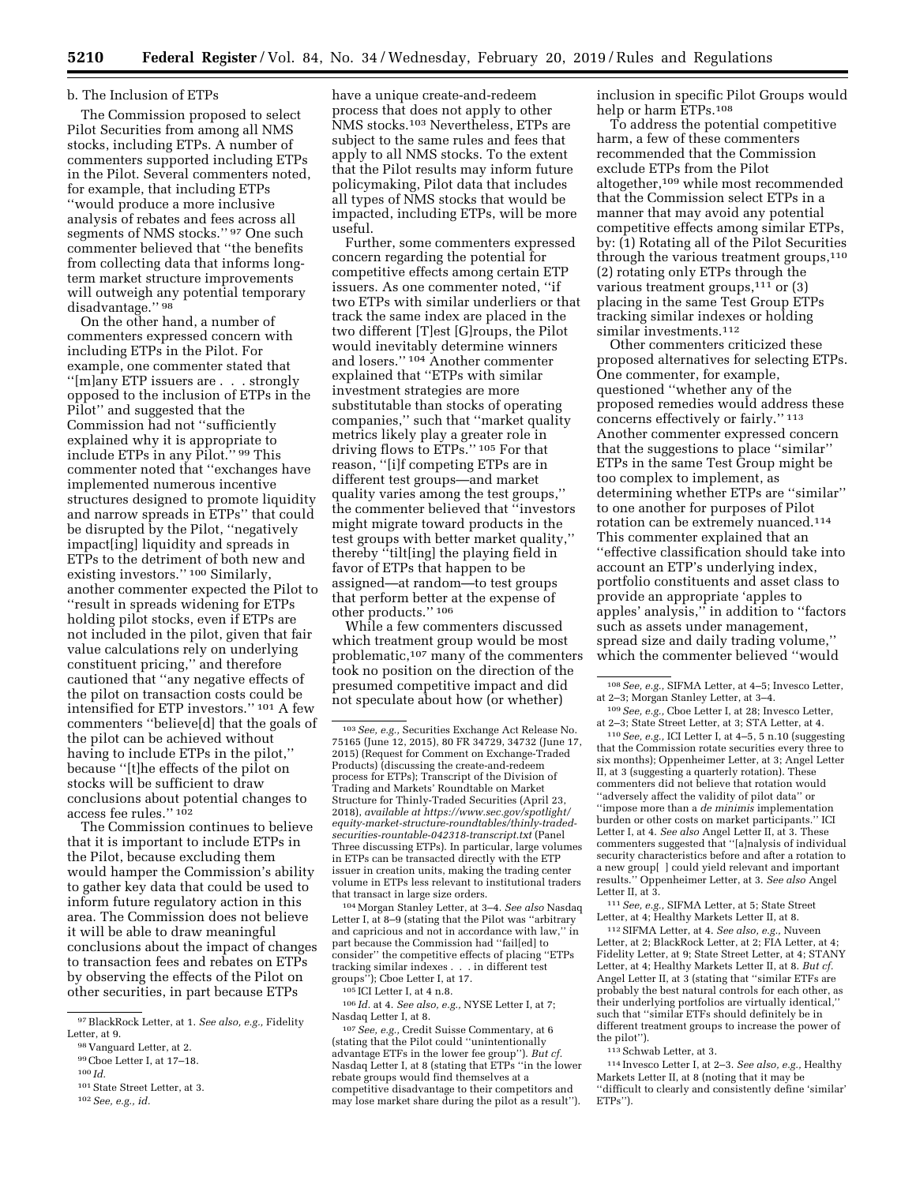#### b. The Inclusion of ETPs

The Commission proposed to select Pilot Securities from among all NMS stocks, including ETPs. A number of commenters supported including ETPs in the Pilot. Several commenters noted, for example, that including ETPs ''would produce a more inclusive analysis of rebates and fees across all segments of NMS stocks.'' 97 One such commenter believed that ''the benefits from collecting data that informs longterm market structure improvements will outweigh any potential temporary disadvantage." 98

On the other hand, a number of commenters expressed concern with including ETPs in the Pilot. For example, one commenter stated that ''[m]any ETP issuers are . . . strongly opposed to the inclusion of ETPs in the Pilot'' and suggested that the Commission had not ''sufficiently explained why it is appropriate to include ETPs in any Pilot.'' 99 This commenter noted that ''exchanges have implemented numerous incentive structures designed to promote liquidity and narrow spreads in ETPs'' that could be disrupted by the Pilot, ''negatively impact[ing] liquidity and spreads in ETPs to the detriment of both new and existing investors." 100 Similarly, another commenter expected the Pilot to ''result in spreads widening for ETPs holding pilot stocks, even if ETPs are not included in the pilot, given that fair value calculations rely on underlying constituent pricing,'' and therefore cautioned that ''any negative effects of the pilot on transaction costs could be intensified for ETP investors.'' 101 A few commenters ''believe[d] that the goals of the pilot can be achieved without having to include ETPs in the pilot,'' because ''[t]he effects of the pilot on stocks will be sufficient to draw conclusions about potential changes to access fee rules.'' 102

The Commission continues to believe that it is important to include ETPs in the Pilot, because excluding them would hamper the Commission's ability to gather key data that could be used to inform future regulatory action in this area. The Commission does not believe it will be able to draw meaningful conclusions about the impact of changes to transaction fees and rebates on ETPs by observing the effects of the Pilot on other securities, in part because ETPs

have a unique create-and-redeem process that does not apply to other NMS stocks.103 Nevertheless, ETPs are subject to the same rules and fees that apply to all NMS stocks. To the extent that the Pilot results may inform future policymaking, Pilot data that includes all types of NMS stocks that would be impacted, including ETPs, will be more useful.

Further, some commenters expressed concern regarding the potential for competitive effects among certain ETP issuers. As one commenter noted, ''if two ETPs with similar underliers or that track the same index are placed in the two different [T]est [G]roups, the Pilot would inevitably determine winners and losers.'' 104 Another commenter explained that ''ETPs with similar investment strategies are more substitutable than stocks of operating companies,'' such that ''market quality metrics likely play a greater role in driving flows to ETPs.'' 105 For that reason, ''[i]f competing ETPs are in different test groups—and market quality varies among the test groups,'' the commenter believed that ''investors might migrate toward products in the test groups with better market quality,'' thereby ''tilt[ing] the playing field in favor of ETPs that happen to be assigned—at random—to test groups that perform better at the expense of other products.'' 106

While a few commenters discussed which treatment group would be most problematic,107 many of the commenters took no position on the direction of the presumed competitive impact and did not speculate about how (or whether)

104Morgan Stanley Letter, at 3–4. *See also* Nasdaq Letter I, at 8–9 (stating that the Pilot was ''arbitrary and capricious and not in accordance with law,'' in part because the Commission had ''fail[ed] to consider'' the competitive effects of placing ''ETPs tracking similar indexes . . . in different test groups''); Cboe Letter I, at 17.

 $105\,\mathrm{ICI}$  Letter I, at 4 n.8.

106 *Id.* at 4. *See also, e.g.,* NYSE Letter I, at 7; Nasdaq Letter I, at 8.

107*See, e.g.,* Credit Suisse Commentary, at 6 (stating that the Pilot could ''unintentionally advantage ETFs in the lower fee group''). *But cf.*  Nasdaq Letter I, at 8 (stating that ETPs ''in the lower rebate groups would find themselves at a competitive disadvantage to their competitors and may lose market share during the pilot as a result'').

inclusion in specific Pilot Groups would help or harm ETPs.108

To address the potential competitive harm, a few of these commenters recommended that the Commission exclude ETPs from the Pilot altogether,109 while most recommended that the Commission select ETPs in a manner that may avoid any potential competitive effects among similar ETPs, by: (1) Rotating all of the Pilot Securities through the various treatment groups,<sup>110</sup> (2) rotating only ETPs through the various treatment groups, $111$  or (3) placing in the same Test Group ETPs tracking similar indexes or holding similar investments.<sup>112</sup>

Other commenters criticized these proposed alternatives for selecting ETPs. One commenter, for example, questioned ''whether any of the proposed remedies would address these concerns effectively or fairly.'' 113 Another commenter expressed concern that the suggestions to place ''similar'' ETPs in the same Test Group might be too complex to implement, as determining whether ETPs are ''similar'' to one another for purposes of Pilot rotation can be extremely nuanced.114 This commenter explained that an ''effective classification should take into account an ETP's underlying index, portfolio constituents and asset class to provide an appropriate 'apples to apples' analysis,'' in addition to ''factors such as assets under management, spread size and daily trading volume,'' which the commenter believed ''would

110*See, e.g.,* ICI Letter I, at 4–5, 5 n.10 (suggesting that the Commission rotate securities every three to six months); Oppenheimer Letter, at 3; Angel Letter II, at 3 (suggesting a quarterly rotation). These commenters did not believe that rotation would ''adversely affect the validity of pilot data'' or ''impose more than a *de minimis* implementation burden or other costs on market participants.'' ICI Letter I, at 4. *See also* Angel Letter II, at 3. These commenters suggested that ''[a]nalysis of individual security characteristics before and after a rotation to a new group[ ] could yield relevant and important results.'' Oppenheimer Letter, at 3. *See also* Angel Letter II, at 3.

111*See, e.g.,* SIFMA Letter, at 5; State Street Letter, at 4; Healthy Markets Letter II, at 8.

112SIFMA Letter, at 4. *See also, e.g.,* Nuveen Letter, at 2; BlackRock Letter, at 2; FIA Letter, at 4; Fidelity Letter, at 9; State Street Letter, at 4; STANY Letter, at 4; Healthy Markets Letter II, at 8. *But cf.*  Angel Letter II, at 3 (stating that ''similar ETFs are probably the best natural controls for each other, as their underlying portfolios are virtually identical, such that ''similar ETFs should definitely be in different treatment groups to increase the power of the pilot'').

113Schwab Letter, at 3.

<sup>97</sup>BlackRock Letter, at 1. *See also, e.g.,* Fidelity Letter, at 9.

<sup>98</sup> Vanguard Letter, at 2.

<sup>99</sup>Cboe Letter I, at 17–18.

<sup>100</sup> *Id.* 

<sup>101</sup>State Street Letter, at 3. 102*See, e.g., id.* 

<sup>103</sup>*See, e.g.,* Securities Exchange Act Release No. 75165 (June 12, 2015), 80 FR 34729, 34732 (June 17, 2015) (Request for Comment on Exchange-Traded Products) (discussing the create-and-redeem process for ETPs); Transcript of the Division of Trading and Markets' Roundtable on Market Structure for Thinly-Traded Securities (April 23, 2018), *available at [https://www.sec.gov/spotlight/](https://www.sec.gov/spotlight/equity-market-structure-roundtables/thinly-traded-securities-rountable-042318-transcript.txt) [equity-market-structure-roundtables/thinly-traded](https://www.sec.gov/spotlight/equity-market-structure-roundtables/thinly-traded-securities-rountable-042318-transcript.txt)[securities-rountable-042318-transcript.txt](https://www.sec.gov/spotlight/equity-market-structure-roundtables/thinly-traded-securities-rountable-042318-transcript.txt)* (Panel Three discussing ETPs). In particular, large volumes in ETPs can be transacted directly with the ETP issuer in creation units, making the trading center volume in ETPs less relevant to institutional traders that transact in large size orders.

<sup>108</sup>*See, e.g.,* SIFMA Letter, at 4–5; Invesco Letter, at 2–3; Morgan Stanley Letter, at 3–4.

<sup>109</sup>*See, e.g.,* Cboe Letter I, at 28; Invesco Letter, at 2–3; State Street Letter, at 3; STA Letter, at 4.

<sup>114</sup> Invesco Letter I, at 2–3. *See also, e.g.,* Healthy Markets Letter II, at 8 (noting that it may be ''difficult to clearly and consistently define 'similar' ETPs'').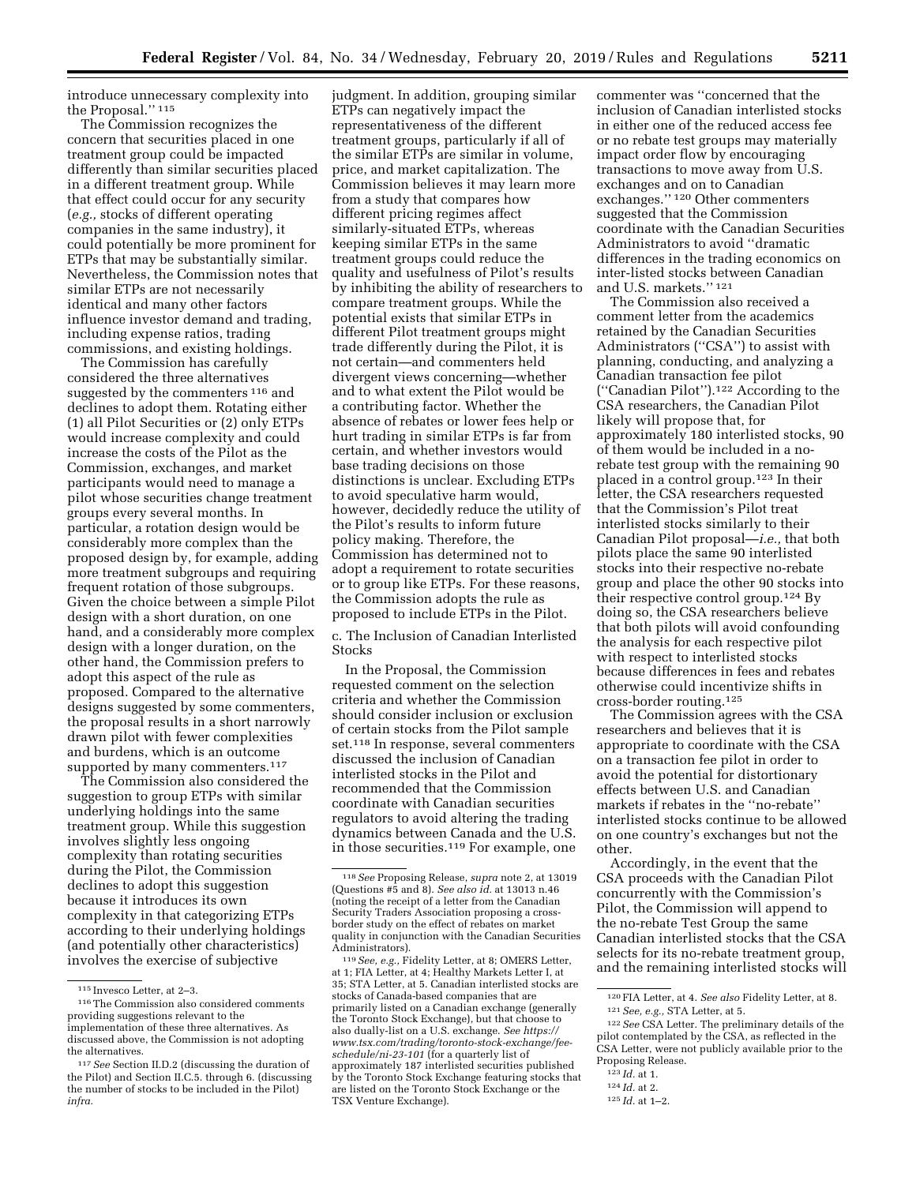introduce unnecessary complexity into the Proposal.'' 115

The Commission recognizes the concern that securities placed in one treatment group could be impacted differently than similar securities placed in a different treatment group. While that effect could occur for any security (*e.g.,* stocks of different operating companies in the same industry), it could potentially be more prominent for ETPs that may be substantially similar. Nevertheless, the Commission notes that similar ETPs are not necessarily identical and many other factors influence investor demand and trading, including expense ratios, trading commissions, and existing holdings.

The Commission has carefully considered the three alternatives suggested by the commenters <sup>116</sup> and declines to adopt them. Rotating either (1) all Pilot Securities or (2) only ETPs would increase complexity and could increase the costs of the Pilot as the Commission, exchanges, and market participants would need to manage a pilot whose securities change treatment groups every several months. In particular, a rotation design would be considerably more complex than the proposed design by, for example, adding more treatment subgroups and requiring frequent rotation of those subgroups. Given the choice between a simple Pilot design with a short duration, on one hand, and a considerably more complex design with a longer duration, on the other hand, the Commission prefers to adopt this aspect of the rule as proposed. Compared to the alternative designs suggested by some commenters, the proposal results in a short narrowly drawn pilot with fewer complexities and burdens, which is an outcome supported by many commenters.<sup>117</sup>

The Commission also considered the suggestion to group ETPs with similar underlying holdings into the same treatment group. While this suggestion involves slightly less ongoing complexity than rotating securities during the Pilot, the Commission declines to adopt this suggestion because it introduces its own complexity in that categorizing ETPs according to their underlying holdings (and potentially other characteristics) involves the exercise of subjective

judgment. In addition, grouping similar ETPs can negatively impact the representativeness of the different treatment groups, particularly if all of the similar ETPs are similar in volume, price, and market capitalization. The Commission believes it may learn more from a study that compares how different pricing regimes affect similarly-situated ETPs, whereas keeping similar ETPs in the same treatment groups could reduce the quality and usefulness of Pilot's results by inhibiting the ability of researchers to compare treatment groups. While the potential exists that similar ETPs in different Pilot treatment groups might trade differently during the Pilot, it is not certain—and commenters held divergent views concerning—whether and to what extent the Pilot would be a contributing factor. Whether the absence of rebates or lower fees help or hurt trading in similar ETPs is far from certain, and whether investors would base trading decisions on those distinctions is unclear. Excluding ETPs to avoid speculative harm would, however, decidedly reduce the utility of the Pilot's results to inform future policy making. Therefore, the Commission has determined not to adopt a requirement to rotate securities or to group like ETPs. For these reasons, the Commission adopts the rule as proposed to include ETPs in the Pilot.

c. The Inclusion of Canadian Interlisted Stocks

In the Proposal, the Commission requested comment on the selection criteria and whether the Commission should consider inclusion or exclusion of certain stocks from the Pilot sample set.118 In response, several commenters discussed the inclusion of Canadian interlisted stocks in the Pilot and recommended that the Commission coordinate with Canadian securities regulators to avoid altering the trading dynamics between Canada and the U.S. in those securities.119 For example, one

119*See, e.g.,* Fidelity Letter, at 8; OMERS Letter, at 1; FIA Letter, at 4; Healthy Markets Letter I, at 35; STA Letter, at 5. Canadian interlisted stocks are stocks of Canada-based companies that are primarily listed on a Canadian exchange (generally the Toronto Stock Exchange), but that choose to also dually-list on a U.S. exchange. *See [https://](https://www.tsx.com/trading/toronto-stock-exchange/fee-schedule/ni-23-101) [www.tsx.com/trading/toronto-stock-exchange/fee](https://www.tsx.com/trading/toronto-stock-exchange/fee-schedule/ni-23-101)[schedule/ni-23-101](https://www.tsx.com/trading/toronto-stock-exchange/fee-schedule/ni-23-101)* (for a quarterly list of approximately 187 interlisted securities published by the Toronto Stock Exchange featuring stocks that are listed on the Toronto Stock Exchange or the TSX Venture Exchange).

commenter was ''concerned that the inclusion of Canadian interlisted stocks in either one of the reduced access fee or no rebate test groups may materially impact order flow by encouraging transactions to move away from U.S. exchanges and on to Canadian exchanges.'' 120 Other commenters suggested that the Commission coordinate with the Canadian Securities Administrators to avoid ''dramatic differences in the trading economics on inter-listed stocks between Canadian and U.S. markets.'' 121

The Commission also received a comment letter from the academics retained by the Canadian Securities Administrators ("CSA") to assist with planning, conducting, and analyzing a Canadian transaction fee pilot (''Canadian Pilot'').122 According to the CSA researchers, the Canadian Pilot likely will propose that, for approximately 180 interlisted stocks, 90 of them would be included in a norebate test group with the remaining 90 placed in a control group.123 In their letter, the CSA researchers requested that the Commission's Pilot treat interlisted stocks similarly to their Canadian Pilot proposal—*i.e.,* that both pilots place the same 90 interlisted stocks into their respective no-rebate group and place the other 90 stocks into their respective control group.124 By doing so, the CSA researchers believe that both pilots will avoid confounding the analysis for each respective pilot with respect to interlisted stocks because differences in fees and rebates otherwise could incentivize shifts in cross-border routing.125

The Commission agrees with the CSA researchers and believes that it is appropriate to coordinate with the CSA on a transaction fee pilot in order to avoid the potential for distortionary effects between U.S. and Canadian markets if rebates in the ''no-rebate'' interlisted stocks continue to be allowed on one country's exchanges but not the other.

Accordingly, in the event that the CSA proceeds with the Canadian Pilot concurrently with the Commission's Pilot, the Commission will append to the no-rebate Test Group the same Canadian interlisted stocks that the CSA selects for its no-rebate treatment group, and the remaining interlisted stocks will

- 123 *Id.* at 1.
- 124 *Id.* at 2.

<sup>115</sup> Invesco Letter, at 2–3.

<sup>116</sup>The Commission also considered comments providing suggestions relevant to the implementation of these three alternatives. As discussed above, the Commission is not adopting the alternatives.

<sup>117</sup>*See* Section II.D.2 (discussing the duration of the Pilot) and Section II.C.5. through 6. (discussing the number of stocks to be included in the Pilot) *infra.* 

<sup>118</sup>*See* Proposing Release, *supra* note 2, at 13019 (Questions #5 and 8). *See also id.* at 13013 n.46 (noting the receipt of a letter from the Canadian Security Traders Association proposing a crossborder study on the effect of rebates on market quality in conjunction with the Canadian Securities Administrators).

<sup>120</sup>FIA Letter, at 4. *See also* Fidelity Letter, at 8. 121*See, e.g.,* STA Letter, at 5.

<sup>122</sup>*See* CSA Letter. The preliminary details of the pilot contemplated by the CSA, as reflected in the CSA Letter, were not publicly available prior to the Proposing Release.

<sup>125</sup> *Id.* at 1–2.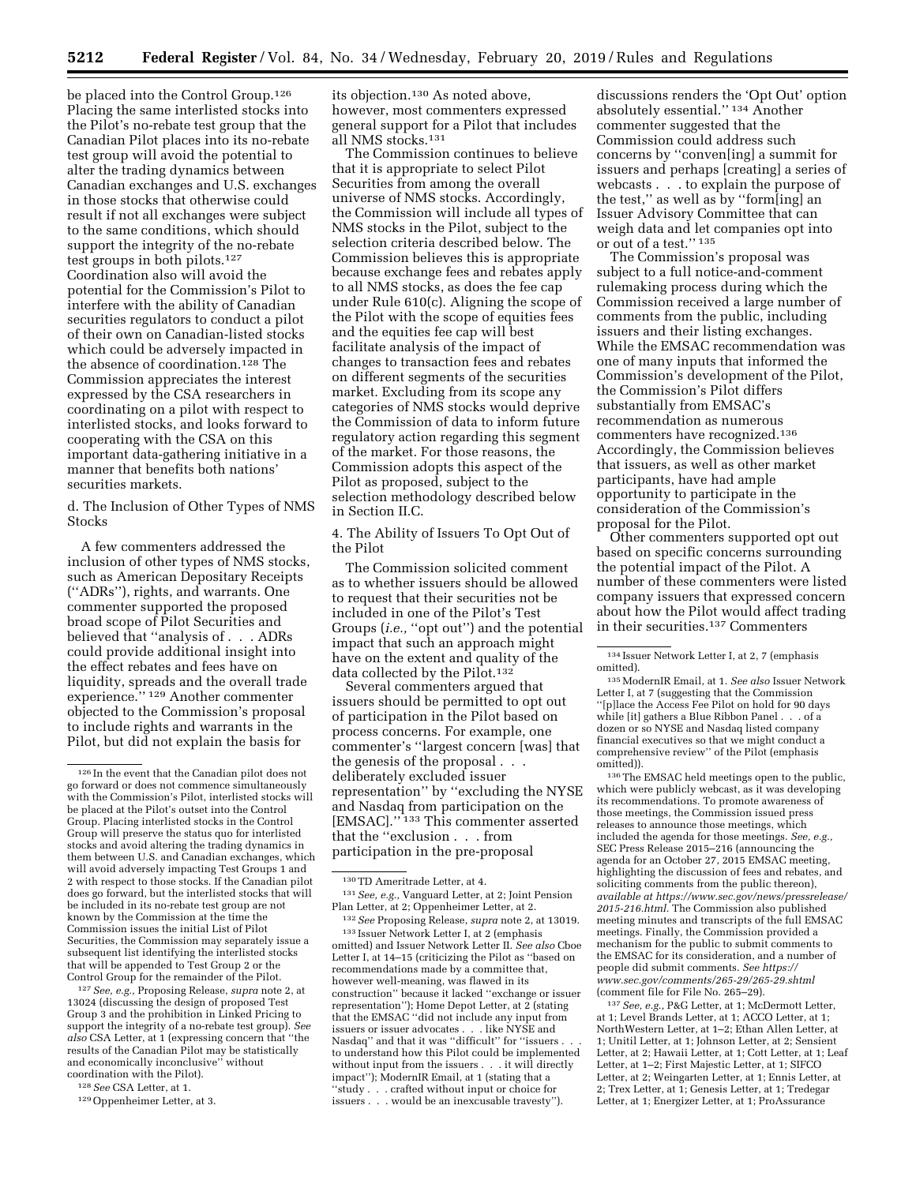be placed into the Control Group.126 Placing the same interlisted stocks into the Pilot's no-rebate test group that the Canadian Pilot places into its no-rebate test group will avoid the potential to alter the trading dynamics between Canadian exchanges and U.S. exchanges in those stocks that otherwise could result if not all exchanges were subject to the same conditions, which should support the integrity of the no-rebate test groups in both pilots.127 Coordination also will avoid the potential for the Commission's Pilot to interfere with the ability of Canadian securities regulators to conduct a pilot of their own on Canadian-listed stocks which could be adversely impacted in the absence of coordination.128 The Commission appreciates the interest expressed by the CSA researchers in coordinating on a pilot with respect to interlisted stocks, and looks forward to cooperating with the CSA on this important data-gathering initiative in a manner that benefits both nations' securities markets.

d. The Inclusion of Other Types of NMS Stocks

A few commenters addressed the inclusion of other types of NMS stocks, such as American Depositary Receipts (''ADRs''), rights, and warrants. One commenter supported the proposed broad scope of Pilot Securities and believed that ''analysis of . . . ADRs could provide additional insight into the effect rebates and fees have on liquidity, spreads and the overall trade experience.'' 129 Another commenter objected to the Commission's proposal to include rights and warrants in the Pilot, but did not explain the basis for

127*See, e.g.,* Proposing Release, *supra* note 2, at 13024 (discussing the design of proposed Test Group 3 and the prohibition in Linked Pricing to support the integrity of a no-rebate test group). *See also* CSA Letter, at 1 (expressing concern that ''the results of the Canadian Pilot may be statistically and economically inconclusive'' without coordination with the Pilot).

128*See* CSA Letter, at 1.

its objection.130 As noted above, however, most commenters expressed general support for a Pilot that includes all NMS stocks.131

The Commission continues to believe that it is appropriate to select Pilot Securities from among the overall universe of NMS stocks. Accordingly, the Commission will include all types of NMS stocks in the Pilot, subject to the selection criteria described below. The Commission believes this is appropriate because exchange fees and rebates apply to all NMS stocks, as does the fee cap under Rule 610(c). Aligning the scope of the Pilot with the scope of equities fees and the equities fee cap will best facilitate analysis of the impact of changes to transaction fees and rebates on different segments of the securities market. Excluding from its scope any categories of NMS stocks would deprive the Commission of data to inform future regulatory action regarding this segment of the market. For those reasons, the Commission adopts this aspect of the Pilot as proposed, subject to the selection methodology described below in Section II.C.

4. The Ability of Issuers To Opt Out of the Pilot

The Commission solicited comment as to whether issuers should be allowed to request that their securities not be included in one of the Pilot's Test Groups *(i.e.,* "opt out") and the potential impact that such an approach might have on the extent and quality of the data collected by the Pilot.132

Several commenters argued that issuers should be permitted to opt out of participation in the Pilot based on process concerns. For example, one commenter's ''largest concern [was] that the genesis of the proposal . . . deliberately excluded issuer representation'' by ''excluding the NYSE and Nasdaq from participation on the [EMSAC].'' 133 This commenter asserted that the ''exclusion . . . from participation in the pre-proposal

133 Issuer Network Letter I, at 2 (emphasis omitted) and Issuer Network Letter II. *See also* Cboe Letter I, at 14–15 (criticizing the Pilot as ''based on recommendations made by a committee that, however well-meaning, was flawed in its construction'' because it lacked ''exchange or issuer representation''); Home Depot Letter, at 2 (stating that the EMSAC ''did not include any input from issuers or issuer advocates . . . like NYSE and Nasdaq" and that it was "difficult" for "issuers . to understand how this Pilot could be implemented without input from the issuers . . . it will directly impact''); ModernIR Email, at 1 (stating that a ''study . . . crafted without input or choice for issuers . . . would be an inexcusable travesty'').

discussions renders the 'Opt Out' option absolutely essential.'' 134 Another commenter suggested that the Commission could address such concerns by ''conven[ing] a summit for issuers and perhaps [creating] a series of webcasts . . . to explain the purpose of the test,'' as well as by ''form[ing] an Issuer Advisory Committee that can weigh data and let companies opt into or out of a test.'' 135

The Commission's proposal was subject to a full notice-and-comment rulemaking process during which the Commission received a large number of comments from the public, including issuers and their listing exchanges. While the EMSAC recommendation was one of many inputs that informed the Commission's development of the Pilot, the Commission's Pilot differs substantially from EMSAC's recommendation as numerous commenters have recognized.136 Accordingly, the Commission believes that issuers, as well as other market participants, have had ample opportunity to participate in the consideration of the Commission's proposal for the Pilot.

Other commenters supported opt out based on specific concerns surrounding the potential impact of the Pilot. A number of these commenters were listed company issuers that expressed concern about how the Pilot would affect trading in their securities.137 Commenters

136The EMSAC held meetings open to the public, which were publicly webcast, as it was developing its recommendations. To promote awareness of those meetings, the Commission issued press releases to announce those meetings, which included the agenda for those meetings. *See, e.g.,*  SEC Press Release 2015–216 (announcing the agenda for an October 27, 2015 EMSAC meeting, highlighting the discussion of fees and rebates, and soliciting comments from the public thereon), *available at [https://www.sec.gov/news/pressrelease/](https://www.sec.gov/news/pressrelease/2015-216.html)  [2015-216.html.](https://www.sec.gov/news/pressrelease/2015-216.html)* The Commission also published meeting minutes and transcripts of the full EMSAC meetings. Finally, the Commission provided a mechanism for the public to submit comments to the EMSAC for its consideration, and a number of people did submit comments. *See [https://](https://www.sec.gov/comments/265-29/265-29.shtml) [www.sec.gov/comments/265-29/265-29.shtml](https://www.sec.gov/comments/265-29/265-29.shtml)*  (comment file for File No. 265–29).

137*See, e.g.,* P&G Letter, at 1; McDermott Letter, at 1; Level Brands Letter, at 1; ACCO Letter, at 1; NorthWestern Letter, at 1–2; Ethan Allen Letter, at 1; Unitil Letter, at 1; Johnson Letter, at 2; Sensient Letter, at 2; Hawaii Letter, at 1; Cott Letter, at 1; Leaf Letter, at 1–2; First Majestic Letter, at 1; SIFCO Letter, at 2; Weingarten Letter, at 1; Ennis Letter, at 2; Trex Letter, at 1; Genesis Letter, at 1; Tredegar Letter, at 1; Energizer Letter, at 1; ProAssurance

<sup>126</sup> In the event that the Canadian pilot does not go forward or does not commence simultaneously with the Commission's Pilot, interlisted stocks will be placed at the Pilot's outset into the Control Group. Placing interlisted stocks in the Control Group will preserve the status quo for interlisted stocks and avoid altering the trading dynamics in them between U.S. and Canadian exchanges, which will avoid adversely impacting Test Groups 1 and 2 with respect to those stocks. If the Canadian pilot does go forward, but the interlisted stocks that will be included in its no-rebate test group are not known by the Commission at the time the Commission issues the initial List of Pilot Securities, the Commission may separately issue a subsequent list identifying the interlisted stocks that will be appended to Test Group 2 or the Control Group for the remainder of the Pilot.

<sup>129</sup>Oppenheimer Letter, at 3.

<sup>130</sup>TD Ameritrade Letter, at 4. 131*See, e.g.,* Vanguard Letter, at 2; Joint Pension

Plan Letter, at 2; Oppenheimer Letter, at 2. 132*See* Proposing Release, *supra* note 2, at 13019.

<sup>134</sup> Issuer Network Letter I, at 2, 7 (emphasis omitted).

<sup>135</sup>ModernIR Email, at 1. *See also* Issuer Network Letter I, at 7 (suggesting that the Commission ''[p]lace the Access Fee Pilot on hold for 90 days while [it] gathers a Blue Ribbon Panel . . . of a dozen or so NYSE and Nasdaq listed company financial executives so that we might conduct a comprehensive review'' of the Pilot (emphasis omitted)).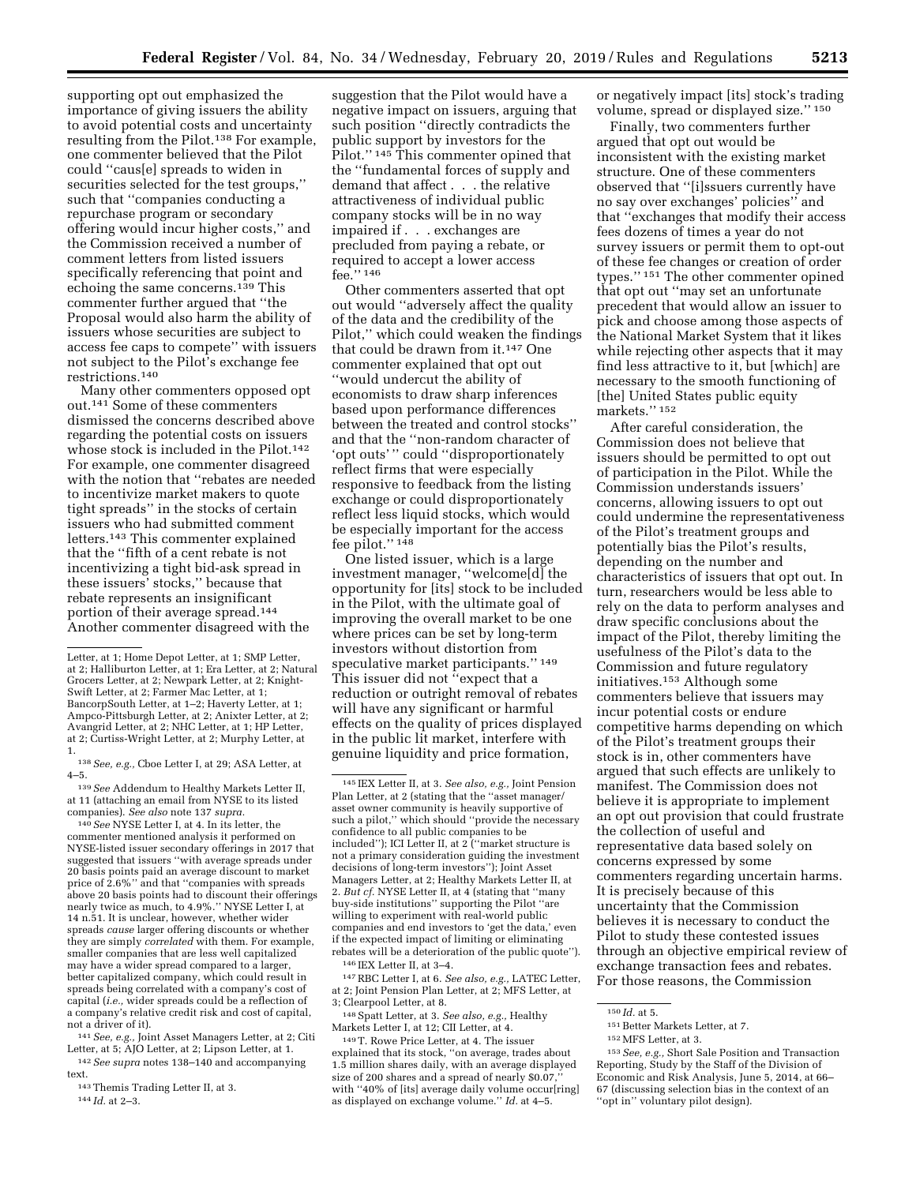supporting opt out emphasized the importance of giving issuers the ability to avoid potential costs and uncertainty resulting from the Pilot.138 For example, one commenter believed that the Pilot could ''caus[e] spreads to widen in securities selected for the test groups,'' such that ''companies conducting a repurchase program or secondary offering would incur higher costs,'' and the Commission received a number of comment letters from listed issuers specifically referencing that point and echoing the same concerns.<sup>139</sup> This commenter further argued that ''the Proposal would also harm the ability of issuers whose securities are subject to access fee caps to compete'' with issuers not subject to the Pilot's exchange fee restrictions.140

Many other commenters opposed opt out.141 Some of these commenters dismissed the concerns described above regarding the potential costs on issuers whose stock is included in the Pilot.<sup>142</sup> For example, one commenter disagreed with the notion that ''rebates are needed to incentivize market makers to quote tight spreads'' in the stocks of certain issuers who had submitted comment letters.143 This commenter explained that the ''fifth of a cent rebate is not incentivizing a tight bid-ask spread in these issuers' stocks,'' because that rebate represents an insignificant portion of their average spread.144 Another commenter disagreed with the

 $^{138}See, e.g.,$  Cboe Letter I, at 29; ASA Letter, at  $4-5.$ 

4–5. 139*See* Addendum to Healthy Markets Letter II, at 11 (attaching an email from NYSE to its listed companies). *See also* note 137 *supra.* 

140*See* NYSE Letter I, at 4. In its letter, the commenter mentioned analysis it performed on NYSE-listed issuer secondary offerings in 2017 that suggested that issuers ''with average spreads under 20 basis points paid an average discount to market price of 2.6%'' and that ''companies with spreads above 20 basis points had to discount their offerings nearly twice as much, to 4.9%.'' NYSE Letter I, at 14 n.51. It is unclear, however, whether wider spreads *cause* larger offering discounts or whether they are simply *correlated* with them. For example, smaller companies that are less well capitalized may have a wider spread compared to a larger, better capitalized company, which could result in spreads being correlated with a company's cost of capital (*i.e.,* wider spreads could be a reflection of a company's relative credit risk and cost of capital, not a driver of it).

141*See, e.g.,* Joint Asset Managers Letter, at 2; Citi Letter, at 5; AJO Letter, at 2; Lipson Letter, at 1. 142*See supra* notes 138–140 and accompanying

text.

143Themis Trading Letter II, at 3. 144 *Id.* at 2–3.

suggestion that the Pilot would have a negative impact on issuers, arguing that such position ''directly contradicts the public support by investors for the Pilot."<sup>145</sup> This commenter opined that the ''fundamental forces of supply and demand that affect . . . the relative attractiveness of individual public company stocks will be in no way impaired if . . . exchanges are precluded from paying a rebate, or required to accept a lower access fee.'' 146

Other commenters asserted that opt out would ''adversely affect the quality of the data and the credibility of the Pilot,'' which could weaken the findings that could be drawn from it.147 One commenter explained that opt out ''would undercut the ability of economists to draw sharp inferences based upon performance differences between the treated and control stocks'' and that the ''non-random character of 'opt outs' '' could ''disproportionately reflect firms that were especially responsive to feedback from the listing exchange or could disproportionately reflect less liquid stocks, which would be especially important for the access fee pilot.'' 148

One listed issuer, which is a large investment manager, ''welcome[d] the opportunity for [its] stock to be included in the Pilot, with the ultimate goal of improving the overall market to be one where prices can be set by long-term investors without distortion from speculative market participants.'' 149 This issuer did not ''expect that a reduction or outright removal of rebates will have any significant or harmful effects on the quality of prices displayed in the public lit market, interfere with genuine liquidity and price formation,

147RBC Letter I, at 6. *See also, e.g.,* LATEC Letter, at 2; Joint Pension Plan Letter, at 2; MFS Letter, at 3; Clearpool Letter, at 8.

148Spatt Letter, at 3. *See also, e.g.,* Healthy Markets Letter I, at 12; CII Letter, at 4.

149T. Rowe Price Letter, at 4. The issuer explained that its stock, ''on average, trades about 1.5 million shares daily, with an average displayed size of 200 shares and a spread of nearly \$0.07,'' with ''40% of [its] average daily volume occur[ring] as displayed on exchange volume.'' *Id.* at 4–5.

or negatively impact [its] stock's trading volume, spread or displayed size.'' 150

Finally, two commenters further argued that opt out would be inconsistent with the existing market structure. One of these commenters observed that ''[i]ssuers currently have no say over exchanges' policies'' and that ''exchanges that modify their access fees dozens of times a year do not survey issuers or permit them to opt-out of these fee changes or creation of order types.'' 151 The other commenter opined that opt out ''may set an unfortunate precedent that would allow an issuer to pick and choose among those aspects of the National Market System that it likes while rejecting other aspects that it may find less attractive to it, but [which] are necessary to the smooth functioning of [the] United States public equity markets.'' 152

After careful consideration, the Commission does not believe that issuers should be permitted to opt out of participation in the Pilot. While the Commission understands issuers' concerns, allowing issuers to opt out could undermine the representativeness of the Pilot's treatment groups and potentially bias the Pilot's results, depending on the number and characteristics of issuers that opt out. In turn, researchers would be less able to rely on the data to perform analyses and draw specific conclusions about the impact of the Pilot, thereby limiting the usefulness of the Pilot's data to the Commission and future regulatory initiatives.153 Although some commenters believe that issuers may incur potential costs or endure competitive harms depending on which of the Pilot's treatment groups their stock is in, other commenters have argued that such effects are unlikely to manifest. The Commission does not believe it is appropriate to implement an opt out provision that could frustrate the collection of useful and representative data based solely on concerns expressed by some commenters regarding uncertain harms. It is precisely because of this uncertainty that the Commission believes it is necessary to conduct the Pilot to study these contested issues through an objective empirical review of exchange transaction fees and rebates. For those reasons, the Commission

Letter, at 1; Home Depot Letter, at 1; SMP Letter, at 2; Halliburton Letter, at 1; Era Letter, at 2; Natural Grocers Letter, at 2; Newpark Letter, at 2; Knight-Swift Letter, at 2; Farmer Mac Letter, at 1; BancorpSouth Letter, at 1–2; Haverty Letter, at 1; Ampco-Pittsburgh Letter, at 2; Anixter Letter, at 2; Avangrid Letter, at 2; NHC Letter, at 1; HP Letter, at 2; Curtiss-Wright Letter, at 2; Murphy Letter, at 1.

<sup>145</sup> IEX Letter II, at 3. *See also, e.g.,* Joint Pension Plan Letter, at 2 (stating that the ''asset manager/ asset owner community is heavily supportive of such a pilot," which should "provide the necessary confidence to all public companies to be included''); ICI Letter II, at 2 (''market structure is not a primary consideration guiding the investment decisions of long-term investors''); Joint Asset Managers Letter, at 2; Healthy Markets Letter II, at 2. *But cf.* NYSE Letter II, at 4 (stating that ''many buy-side institutions'' supporting the Pilot ''are willing to experiment with real-world public companies and end investors to 'get the data,' even if the expected impact of limiting or eliminating rebates will be a deterioration of the public quote''). 146 IEX Letter II, at 3–4.

<sup>150</sup> *Id.* at 5.

<sup>151</sup>Better Markets Letter, at 7.

<sup>152</sup>MFS Letter, at 3.

<sup>153</sup>*See, e.g.,* Short Sale Position and Transaction Reporting, Study by the Staff of the Division of Economic and Risk Analysis, June 5, 2014, at 66– 67 (discussing selection bias in the context of an ''opt in'' voluntary pilot design).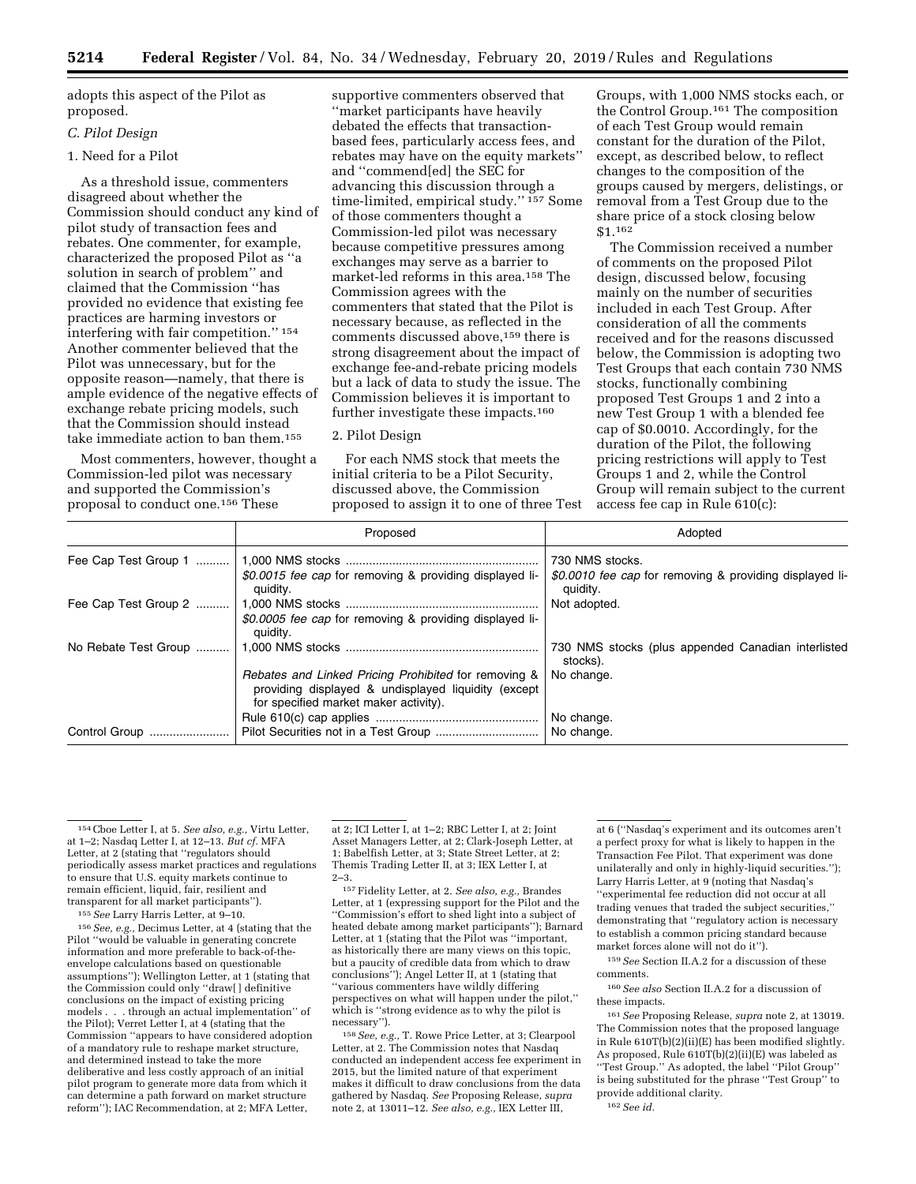adopts this aspect of the Pilot as proposed.

## *C. Pilot Design*

## 1. Need for a Pilot

As a threshold issue, commenters disagreed about whether the Commission should conduct any kind of pilot study of transaction fees and rebates. One commenter, for example, characterized the proposed Pilot as ''a solution in search of problem'' and claimed that the Commission ''has provided no evidence that existing fee practices are harming investors or interfering with fair competition.'' 154 Another commenter believed that the Pilot was unnecessary, but for the opposite reason—namely, that there is ample evidence of the negative effects of exchange rebate pricing models, such that the Commission should instead take immediate action to ban them.155

Most commenters, however, thought a Commission-led pilot was necessary and supported the Commission's proposal to conduct one.156 These

supportive commenters observed that ''market participants have heavily debated the effects that transactionbased fees, particularly access fees, and rebates may have on the equity markets'' and ''commend[ed] the SEC for advancing this discussion through a time-limited, empirical study.'' 157 Some of those commenters thought a Commission-led pilot was necessary because competitive pressures among exchanges may serve as a barrier to market-led reforms in this area.158 The Commission agrees with the commenters that stated that the Pilot is necessary because, as reflected in the comments discussed above,<sup>159</sup> there is strong disagreement about the impact of exchange fee-and-rebate pricing models but a lack of data to study the issue. The Commission believes it is important to further investigate these impacts.160

#### 2. Pilot Design

For each NMS stock that meets the initial criteria to be a Pilot Security, discussed above, the Commission proposed to assign it to one of three Test

Groups, with 1,000 NMS stocks each, or the Control Group.161 The composition of each Test Group would remain constant for the duration of the Pilot, except, as described below, to reflect changes to the composition of the groups caused by mergers, delistings, or removal from a Test Group due to the share price of a stock closing below \$1.162

The Commission received a number of comments on the proposed Pilot design, discussed below, focusing mainly on the number of securities included in each Test Group. After consideration of all the comments received and for the reasons discussed below, the Commission is adopting two Test Groups that each contain 730 NMS stocks, functionally combining proposed Test Groups 1 and 2 into a new Test Group 1 with a blended fee cap of \$0.0010. Accordingly, for the duration of the Pilot, the following pricing restrictions will apply to Test Groups 1 and 2, while the Control Group will remain subject to the current access fee cap in Rule 610(c):

|                      | Proposed                                                                                                                                             | Adopted                                                                                |
|----------------------|------------------------------------------------------------------------------------------------------------------------------------------------------|----------------------------------------------------------------------------------------|
| Fee Cap Test Group 1 | \$0.0015 fee cap for removing & providing displayed li-<br>quidity.                                                                                  | 730 NMS stocks.<br>\$0.0010 fee cap for removing & providing displayed li-<br>quidity. |
| Fee Cap Test Group 2 | \$0.0005 fee cap for removing & providing displayed li-<br>quidity.                                                                                  | Not adopted.                                                                           |
| No Rebate Test Group |                                                                                                                                                      | 730 NMS stocks (plus appended Canadian interlisted<br>stocks).                         |
|                      | Rebates and Linked Pricing Prohibited for removing &<br>providing displayed & undisplayed liquidity (except<br>for specified market maker activity). | No change.                                                                             |
| Control Group        |                                                                                                                                                      | No change.<br>No change.                                                               |

155*See* Larry Harris Letter, at 9–10.

156*See, e.g.,* Decimus Letter, at 4 (stating that the Pilot ''would be valuable in generating concrete information and more preferable to back-of-theenvelope calculations based on questionable assumptions''); Wellington Letter, at 1 (stating that the Commission could only ''draw[ ] definitive conclusions on the impact of existing pricing models . . . through an actual implementation'' of the Pilot); Verret Letter I, at 4 (stating that the Commission ''appears to have considered adoption of a mandatory rule to reshape market structure, and determined instead to take the more deliberative and less costly approach of an initial pilot program to generate more data from which it can determine a path forward on market structure reform''); IAC Recommendation, at 2; MFA Letter,

at 2; ICI Letter I, at 1–2; RBC Letter I, at 2; Joint Asset Managers Letter, at 2; Clark-Joseph Letter, at 1; Babelfish Letter, at 3; State Street Letter, at 2; Themis Trading Letter II, at 3; IEX Letter I, at 2–3.

157Fidelity Letter, at 2. *See also, e.g.,* Brandes Letter, at 1 (expressing support for the Pilot and the ''Commission's effort to shed light into a subject of heated debate among market participants''); Barnard Letter, at 1 (stating that the Pilot was ''important, as historically there are many views on this topic, but a paucity of credible data from which to draw conclusions''); Angel Letter II, at 1 (stating that ''various commenters have wildly differing perspectives on what will happen under the pilot,'' which is "strong evidence as to why the pilot is necessary'').

158*See, e.g.,* T. Rowe Price Letter, at 3; Clearpool Letter, at 2. The Commission notes that Nasdaq conducted an independent access fee experiment in 2015, but the limited nature of that experiment makes it difficult to draw conclusions from the data gathered by Nasdaq. *See* Proposing Release, *supra*  note 2, at 13011–12. *See also, e.g.,* IEX Letter III,

at 6 (''Nasdaq's experiment and its outcomes aren't a perfect proxy for what is likely to happen in the Transaction Fee Pilot. That experiment was done unilaterally and only in highly-liquid securities.''); Larry Harris Letter, at 9 (noting that Nasdaq's ''experimental fee reduction did not occur at all trading venues that traded the subject securities,'' demonstrating that ''regulatory action is necessary to establish a common pricing standard because market forces alone will not do it'').

159*See* Section II.A.2 for a discussion of these comments.

160*See also* Section II.A.2 for a discussion of these impacts.

161*See* Proposing Release, *supra* note 2, at 13019. The Commission notes that the proposed language in Rule 610T(b)(2)(ii)(E) has been modified slightly. As proposed, Rule 610T(b)(2)(ii)(E) was labeled as ''Test Group.'' As adopted, the label ''Pilot Group'' is being substituted for the phrase ''Test Group'' to provide additional clarity.

162*See id.* 

<sup>154</sup>Cboe Letter I, at 5. *See also, e.g.,* Virtu Letter, at 1–2; Nasdaq Letter I, at 12–13. *But cf.* MFA Letter, at 2 (stating that ''regulators should periodically assess market practices and regulations to ensure that U.S. equity markets continue to remain efficient, liquid, fair, resilient and transparent for all market participants'').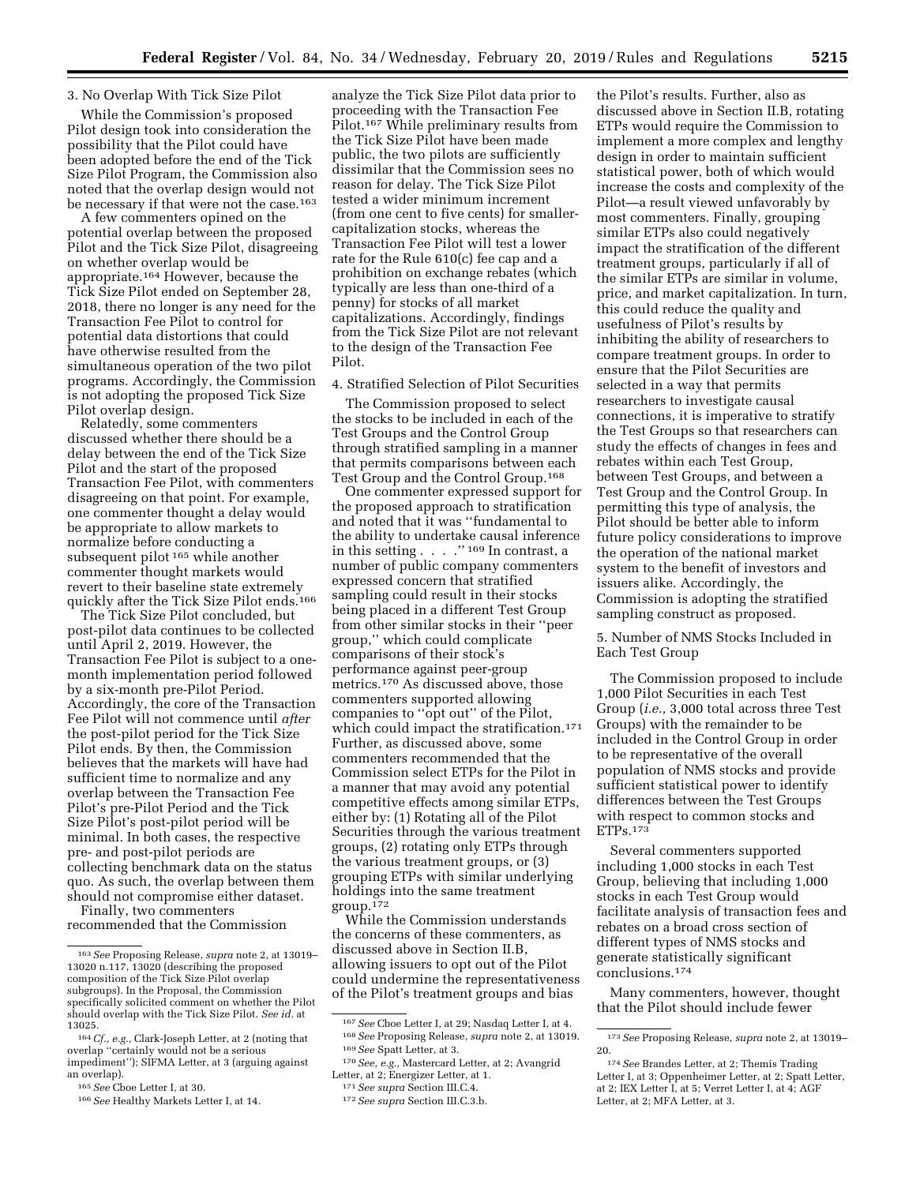## 3. No Overlap With Tick Size Pilot

While the Commission's proposed Pilot design took into consideration the possibility that the Pilot could have been adopted before the end of the Tick Size Pilot Program, the Commission also noted that the overlap design would not be necessary if that were not the case.<sup>163</sup>

A few commenters opined on the potential overlap between the proposed Pilot and the Tick Size Pilot, disagreeing on whether overlap would be appropriate.164 However, because the Tick Size Pilot ended on September 28, 2018, there no longer is any need for the Transaction Fee Pilot to control for potential data distortions that could have otherwise resulted from the simultaneous operation of the two pilot programs. Accordingly, the Commission is not adopting the proposed Tick Size Pilot overlap design.

Relatedly, some commenters discussed whether there should be a delay between the end of the Tick Size Pilot and the start of the proposed Transaction Fee Pilot, with commenters disagreeing on that point. For example, one commenter thought a delay would be appropriate to allow markets to normalize before conducting a subsequent pilot 165 while another commenter thought markets would revert to their baseline state extremely quickly after the Tick Size Pilot ends.166

The Tick Size Pilot concluded, but post-pilot data continues to be collected until April 2, 2019. However, the Transaction Fee Pilot is subject to a onemonth implementation period followed by a six-month pre-Pilot Period. Accordingly, the core of the Transaction Fee Pilot will not commence until *after*  the post-pilot period for the Tick Size Pilot ends. By then, the Commission believes that the markets will have had sufficient time to normalize and any overlap between the Transaction Fee Pilot's pre-Pilot Period and the Tick Size Pilot's post-pilot period will be minimal. In both cases, the respective pre- and post-pilot periods are collecting benchmark data on the status quo. As such, the overlap between them should not compromise either dataset.

Finally, two commenters recommended that the Commission

analyze the Tick Size Pilot data prior to proceeding with the Transaction Fee Pilot.167 While preliminary results from the Tick Size Pilot have been made public, the two pilots are sufficiently dissimilar that the Commission sees no reason for delay. The Tick Size Pilot tested a wider minimum increment (from one cent to five cents) for smallercapitalization stocks, whereas the Transaction Fee Pilot will test a lower rate for the Rule 610(c) fee cap and a prohibition on exchange rebates (which typically are less than one-third of a penny) for stocks of all market capitalizations. Accordingly, findings from the Tick Size Pilot are not relevant to the design of the Transaction Fee Pilot.

4. Stratified Selection of Pilot Securities

The Commission proposed to select the stocks to be included in each of the Test Groups and the Control Group through stratified sampling in a manner that permits comparisons between each Test Group and the Control Group.168

One commenter expressed support for the proposed approach to stratification and noted that it was ''fundamental to the ability to undertake causal inference in this setting . . . . "  $^{169}$  In contrast, a number of public company commenters expressed concern that stratified sampling could result in their stocks being placed in a different Test Group from other similar stocks in their ''peer group,'' which could complicate comparisons of their stock's performance against peer-group metrics.170 As discussed above, those commenters supported allowing companies to ''opt out'' of the Pilot, which could impact the stratification.171 Further, as discussed above, some commenters recommended that the Commission select ETPs for the Pilot in a manner that may avoid any potential competitive effects among similar ETPs, either by: (1) Rotating all of the Pilot Securities through the various treatment groups, (2) rotating only ETPs through the various treatment groups, or (3) grouping ETPs with similar underlying holdings into the same treatment group.172

While the Commission understands the concerns of these commenters, as discussed above in Section II.B, allowing issuers to opt out of the Pilot could undermine the representativeness of the Pilot's treatment groups and bias

the Pilot's results. Further, also as discussed above in Section II.B, rotating ETPs would require the Commission to implement a more complex and lengthy design in order to maintain sufficient statistical power, both of which would increase the costs and complexity of the Pilot—a result viewed unfavorably by most commenters. Finally, grouping similar ETPs also could negatively impact the stratification of the different treatment groups, particularly if all of the similar ETPs are similar in volume, price, and market capitalization. In turn, this could reduce the quality and usefulness of Pilot's results by inhibiting the ability of researchers to compare treatment groups. In order to ensure that the Pilot Securities are selected in a way that permits researchers to investigate causal connections, it is imperative to stratify the Test Groups so that researchers can study the effects of changes in fees and rebates within each Test Group, between Test Groups, and between a Test Group and the Control Group. In permitting this type of analysis, the Pilot should be better able to inform future policy considerations to improve the operation of the national market system to the benefit of investors and issuers alike. Accordingly, the Commission is adopting the stratified sampling construct as proposed.

5. Number of NMS Stocks Included in Each Test Group

The Commission proposed to include 1,000 Pilot Securities in each Test Group (*i.e.,* 3,000 total across three Test Groups) with the remainder to be included in the Control Group in order to be representative of the overall population of NMS stocks and provide sufficient statistical power to identify differences between the Test Groups with respect to common stocks and ETPs.173

Several commenters supported including 1,000 stocks in each Test Group, believing that including 1,000 stocks in each Test Group would facilitate analysis of transaction fees and rebates on a broad cross section of different types of NMS stocks and generate statistically significant conclusions.174

Many commenters, however, thought that the Pilot should include fewer

<sup>163</sup>*See* Proposing Release, *supra* note 2, at 13019– 13020 n.117, 13020 (describing the proposed composition of the Tick Size Pilot overlap subgroups). In the Proposal, the Commission specifically solicited comment on whether the Pilot should overlap with the Tick Size Pilot. *See id.* at 13025.

<sup>164</sup>*Cf., e.g.,* Clark-Joseph Letter, at 2 (noting that overlap ''certainly would not be a serious impediment''); SIFMA Letter, at 3 (arguing against an overlap).

<sup>165</sup>*See* Cboe Letter I, at 30.

<sup>166</sup>*See* Healthy Markets Letter I, at 14.

<sup>167</sup>*See* Cboe Letter I, at 29; Nasdaq Letter I, at 4. 168*See* Proposing Release, *supra* note 2, at 13019. 169*See* Spatt Letter, at 3. 170*See, e.g.,* Mastercard Letter, at 2; Avangrid

<sup>&</sup>lt;sup>171</sup> See supra Section III.C.4.<br><sup>172</sup> See supra Section III.C.3.b.

<sup>173</sup>*See* Proposing Release, *supra* note 2, at 13019– 20.

<sup>174</sup>*See* Brandes Letter, at 2; Themis Trading Letter I, at 3; Oppenheimer Letter, at 2; Spatt Letter, at 2; IEX Letter I, at 5; Verret Letter I, at 4; AGF Letter, at 2; MFA Letter, at 3.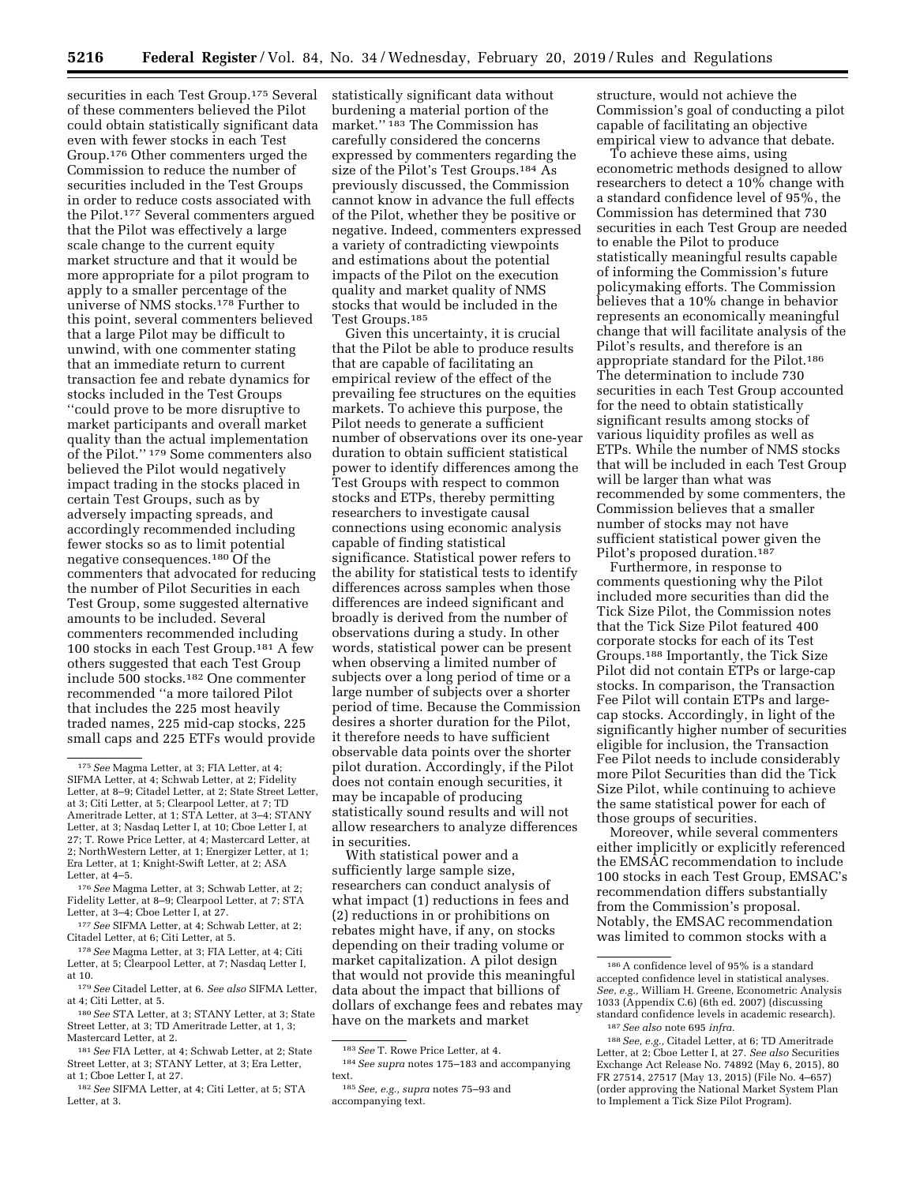securities in each Test Group.175 Several of these commenters believed the Pilot could obtain statistically significant data even with fewer stocks in each Test Group.176 Other commenters urged the Commission to reduce the number of securities included in the Test Groups in order to reduce costs associated with the Pilot.177 Several commenters argued that the Pilot was effectively a large scale change to the current equity market structure and that it would be more appropriate for a pilot program to apply to a smaller percentage of the universe of NMS stocks.178 Further to this point, several commenters believed that a large Pilot may be difficult to unwind, with one commenter stating that an immediate return to current transaction fee and rebate dynamics for stocks included in the Test Groups ''could prove to be more disruptive to market participants and overall market quality than the actual implementation of the Pilot.'' 179 Some commenters also believed the Pilot would negatively impact trading in the stocks placed in certain Test Groups, such as by adversely impacting spreads, and accordingly recommended including fewer stocks so as to limit potential negative consequences.180 Of the commenters that advocated for reducing the number of Pilot Securities in each Test Group, some suggested alternative amounts to be included. Several commenters recommended including 100 stocks in each Test Group.181 A few others suggested that each Test Group include 500 stocks.182 One commenter recommended ''a more tailored Pilot that includes the 225 most heavily traded names, 225 mid-cap stocks, 225 small caps and 225 ETFs would provide

statistically significant data without burdening a material portion of the market.'' 183 The Commission has carefully considered the concerns expressed by commenters regarding the size of the Pilot's Test Groups.184 As previously discussed, the Commission cannot know in advance the full effects of the Pilot, whether they be positive or negative. Indeed, commenters expressed a variety of contradicting viewpoints and estimations about the potential impacts of the Pilot on the execution quality and market quality of NMS stocks that would be included in the Test Groups.185

Given this uncertainty, it is crucial that the Pilot be able to produce results that are capable of facilitating an empirical review of the effect of the prevailing fee structures on the equities markets. To achieve this purpose, the Pilot needs to generate a sufficient number of observations over its one-year duration to obtain sufficient statistical power to identify differences among the Test Groups with respect to common stocks and ETPs, thereby permitting researchers to investigate causal connections using economic analysis capable of finding statistical significance. Statistical power refers to the ability for statistical tests to identify differences across samples when those differences are indeed significant and broadly is derived from the number of observations during a study. In other words, statistical power can be present when observing a limited number of subjects over a long period of time or a large number of subjects over a shorter period of time. Because the Commission desires a shorter duration for the Pilot, it therefore needs to have sufficient observable data points over the shorter pilot duration. Accordingly, if the Pilot does not contain enough securities, it may be incapable of producing statistically sound results and will not allow researchers to analyze differences in securities.

With statistical power and a sufficiently large sample size, researchers can conduct analysis of what impact (1) reductions in fees and (2) reductions in or prohibitions on rebates might have, if any, on stocks depending on their trading volume or market capitalization. A pilot design that would not provide this meaningful data about the impact that billions of dollars of exchange fees and rebates may have on the markets and market

structure, would not achieve the Commission's goal of conducting a pilot capable of facilitating an objective empirical view to advance that debate.

To achieve these aims, using econometric methods designed to allow researchers to detect a 10% change with a standard confidence level of 95%, the Commission has determined that 730 securities in each Test Group are needed to enable the Pilot to produce statistically meaningful results capable of informing the Commission's future policymaking efforts. The Commission believes that a 10% change in behavior represents an economically meaningful change that will facilitate analysis of the Pilot's results, and therefore is an appropriate standard for the Pilot.186 The determination to include 730 securities in each Test Group accounted for the need to obtain statistically significant results among stocks of various liquidity profiles as well as ETPs. While the number of NMS stocks that will be included in each Test Group will be larger than what was recommended by some commenters, the Commission believes that a smaller number of stocks may not have sufficient statistical power given the Pilot's proposed duration.<sup>187</sup>

Furthermore, in response to comments questioning why the Pilot included more securities than did the Tick Size Pilot, the Commission notes that the Tick Size Pilot featured 400 corporate stocks for each of its Test Groups.188 Importantly, the Tick Size Pilot did not contain ETPs or large-cap stocks. In comparison, the Transaction Fee Pilot will contain ETPs and largecap stocks. Accordingly, in light of the significantly higher number of securities eligible for inclusion, the Transaction Fee Pilot needs to include considerably more Pilot Securities than did the Tick Size Pilot, while continuing to achieve the same statistical power for each of those groups of securities.

Moreover, while several commenters either implicitly or explicitly referenced the EMSAC recommendation to include 100 stocks in each Test Group, EMSAC's recommendation differs substantially from the Commission's proposal. Notably, the EMSAC recommendation was limited to common stocks with a

<sup>175</sup>*See* Magma Letter, at 3; FIA Letter, at 4; SIFMA Letter, at 4; Schwab Letter, at 2; Fidelity Letter, at 8–9; Citadel Letter, at 2; State Street Letter, at 3; Citi Letter, at 5; Clearpool Letter, at 7; TD Ameritrade Letter, at 1; STA Letter, at 3–4; STANY Letter, at 3; Nasdaq Letter I, at 10; Cboe Letter I, at 27; T. Rowe Price Letter, at 4; Mastercard Letter, at 2; NorthWestern Letter, at 1; Energizer Letter, at 1; Era Letter, at 1; Knight-Swift Letter, at 2; ASA Letter, at 4–5.

<sup>176</sup>*See* Magma Letter, at 3; Schwab Letter, at 2; Fidelity Letter, at 8–9; Clearpool Letter, at 7; STA Letter, at 3–4; Cboe Letter I, at 27.

<sup>177</sup>*See* SIFMA Letter, at 4; Schwab Letter, at 2; Citadel Letter, at 6; Citi Letter, at 5.

<sup>178</sup>*See* Magma Letter, at 3; FIA Letter, at 4; Citi Letter, at 5; Clearpool Letter, at 7; Nasdaq Letter I, at 10.

<sup>179</sup>*See* Citadel Letter, at 6. *See also* SIFMA Letter, at 4; Citi Letter, at 5.

<sup>180</sup>*See* STA Letter, at 3; STANY Letter, at 3; State Street Letter, at 3; TD Ameritrade Letter, at 1, 3; Mastercard Letter, at 2.

<sup>181</sup>*See* FIA Letter, at 4; Schwab Letter, at 2; State Street Letter, at 3; STANY Letter, at 3; Era Letter, at 1; Cboe Letter I, at 27.

<sup>182</sup>*See* SIFMA Letter, at 4; Citi Letter, at 5; STA Letter, at 3.

<sup>183</sup>*See* T. Rowe Price Letter, at 4.

<sup>184</sup>*See supra* notes 175–183 and accompanying text.

<sup>185</sup>*See, e.g., supra* notes 75–93 and accompanying text.

<sup>186</sup>A confidence level of 95% is a standard accepted confidence level in statistical analyses. *See, e.g.,* William H. Greene, Econometric Analysis 1033 (Appendix C.6) (6th ed. 2007) (discussing standard confidence levels in academic research). 187*See also* note 695 *infra.* 

<sup>188</sup>*See, e.g.,* Citadel Letter, at 6; TD Ameritrade Letter, at 2; Cboe Letter I, at 27. *See also* Securities Exchange Act Release No. 74892 (May 6, 2015), 80 FR 27514, 27517 (May 13, 2015) (File No. 4–657) (order approving the National Market System Plan to Implement a Tick Size Pilot Program).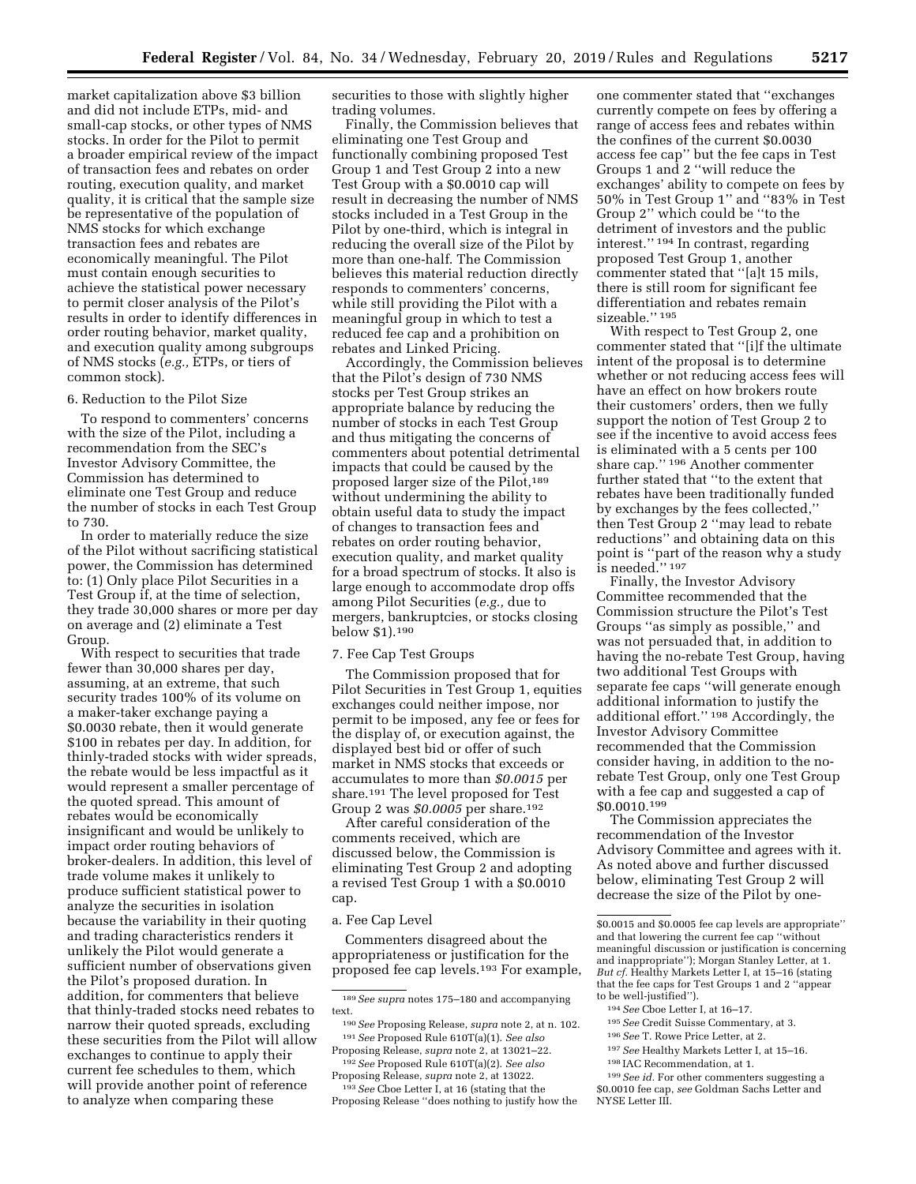market capitalization above \$3 billion and did not include ETPs, mid- and small-cap stocks, or other types of NMS stocks. In order for the Pilot to permit a broader empirical review of the impact of transaction fees and rebates on order routing, execution quality, and market quality, it is critical that the sample size be representative of the population of NMS stocks for which exchange transaction fees and rebates are economically meaningful. The Pilot must contain enough securities to achieve the statistical power necessary to permit closer analysis of the Pilot's results in order to identify differences in order routing behavior, market quality, and execution quality among subgroups of NMS stocks (*e.g.,* ETPs, or tiers of common stock).

## 6. Reduction to the Pilot Size

To respond to commenters' concerns with the size of the Pilot, including a recommendation from the SEC's Investor Advisory Committee, the Commission has determined to eliminate one Test Group and reduce the number of stocks in each Test Group to 730.

In order to materially reduce the size of the Pilot without sacrificing statistical power, the Commission has determined to: (1) Only place Pilot Securities in a Test Group if, at the time of selection, they trade 30,000 shares or more per day on average and (2) eliminate a Test Group.

With respect to securities that trade fewer than 30,000 shares per day, assuming, at an extreme, that such security trades 100% of its volume on a maker-taker exchange paying a \$0.0030 rebate, then it would generate \$100 in rebates per day. In addition, for thinly-traded stocks with wider spreads, the rebate would be less impactful as it would represent a smaller percentage of the quoted spread. This amount of rebates would be economically insignificant and would be unlikely to impact order routing behaviors of broker-dealers. In addition, this level of trade volume makes it unlikely to produce sufficient statistical power to analyze the securities in isolation because the variability in their quoting and trading characteristics renders it unlikely the Pilot would generate a sufficient number of observations given the Pilot's proposed duration. In addition, for commenters that believe that thinly-traded stocks need rebates to narrow their quoted spreads, excluding these securities from the Pilot will allow exchanges to continue to apply their current fee schedules to them, which will provide another point of reference to analyze when comparing these

securities to those with slightly higher trading volumes.

Finally, the Commission believes that eliminating one Test Group and functionally combining proposed Test Group 1 and Test Group 2 into a new Test Group with a \$0.0010 cap will result in decreasing the number of NMS stocks included in a Test Group in the Pilot by one-third, which is integral in reducing the overall size of the Pilot by more than one-half. The Commission believes this material reduction directly responds to commenters' concerns, while still providing the Pilot with a meaningful group in which to test a reduced fee cap and a prohibition on rebates and Linked Pricing.

Accordingly, the Commission believes that the Pilot's design of 730 NMS stocks per Test Group strikes an appropriate balance by reducing the number of stocks in each Test Group and thus mitigating the concerns of commenters about potential detrimental impacts that could be caused by the proposed larger size of the Pilot,<sup>189</sup> without undermining the ability to obtain useful data to study the impact of changes to transaction fees and rebates on order routing behavior, execution quality, and market quality for a broad spectrum of stocks. It also is large enough to accommodate drop offs among Pilot Securities (*e.g.,* due to mergers, bankruptcies, or stocks closing below \$1).190

## 7. Fee Cap Test Groups

The Commission proposed that for Pilot Securities in Test Group 1, equities exchanges could neither impose, nor permit to be imposed, any fee or fees for the display of, or execution against, the displayed best bid or offer of such market in NMS stocks that exceeds or accumulates to more than *\$0.0015* per share.191 The level proposed for Test Group 2 was *\$0.0005* per share.192

After careful consideration of the comments received, which are discussed below, the Commission is eliminating Test Group 2 and adopting a revised Test Group 1 with a \$0.0010 cap.

#### a. Fee Cap Level

Commenters disagreed about the appropriateness or justification for the proposed fee cap levels.193 For example,

Proposing Release, *supra* note 2, at 13021–22. 192*See* Proposed Rule 610T(a)(2). *See also* 

Proposing Release, *supra* note 2, at 13022. 193*See* Cboe Letter I, at 16 (stating that the

Proposing Release ''does nothing to justify how the

one commenter stated that ''exchanges currently compete on fees by offering a range of access fees and rebates within the confines of the current \$0.0030 access fee cap'' but the fee caps in Test Groups 1 and 2 ''will reduce the exchanges' ability to compete on fees by 50% in Test Group 1'' and ''83% in Test Group 2'' which could be ''to the detriment of investors and the public interest.'' 194 In contrast, regarding proposed Test Group 1, another commenter stated that ''[a]t 15 mils, there is still room for significant fee differentiation and rebates remain sizeable."<sup>195</sup>

With respect to Test Group 2, one commenter stated that ''[i]f the ultimate intent of the proposal is to determine whether or not reducing access fees will have an effect on how brokers route their customers' orders, then we fully support the notion of Test Group 2 to see if the incentive to avoid access fees is eliminated with a 5 cents per 100 share cap.'' 196 Another commenter further stated that ''to the extent that rebates have been traditionally funded by exchanges by the fees collected,'' then Test Group 2 ''may lead to rebate reductions'' and obtaining data on this point is ''part of the reason why a study is needed.'' 197

Finally, the Investor Advisory Committee recommended that the Commission structure the Pilot's Test Groups ''as simply as possible,'' and was not persuaded that, in addition to having the no-rebate Test Group, having two additional Test Groups with separate fee caps ''will generate enough additional information to justify the additional effort.'' 198 Accordingly, the Investor Advisory Committee recommended that the Commission consider having, in addition to the norebate Test Group, only one Test Group with a fee cap and suggested a cap of \$0.0010.199

The Commission appreciates the recommendation of the Investor Advisory Committee and agrees with it. As noted above and further discussed below, eliminating Test Group 2 will decrease the size of the Pilot by one-

- 194*See* Cboe Letter I, at 16–17.
- 195*See* Credit Suisse Commentary, at 3.
- 196*See* T. Rowe Price Letter, at 2.
- 197*See* Healthy Markets Letter I, at 15–16.
- 198 IAC Recommendation, at 1.

<sup>189</sup>*See supra* notes 175–180 and accompanying text.

<sup>190</sup>*See* Proposing Release, *supra* note 2, at n. 102. 191*See* Proposed Rule 610T(a)(1). *See also* 

<sup>\$0.0015</sup> and \$0.0005 fee cap levels are appropriate'' and that lowering the current fee cap ''without meaningful discussion or justification is concerning and inappropriate''); Morgan Stanley Letter, at 1. *But cf.* Healthy Markets Letter I, at 15–16 (stating that the fee caps for Test Groups 1 and 2 ''appear to be well-justified'').

<sup>199</sup>*See id.* For other commenters suggesting a \$0.0010 fee cap, *see* Goldman Sachs Letter and NYSE Letter III.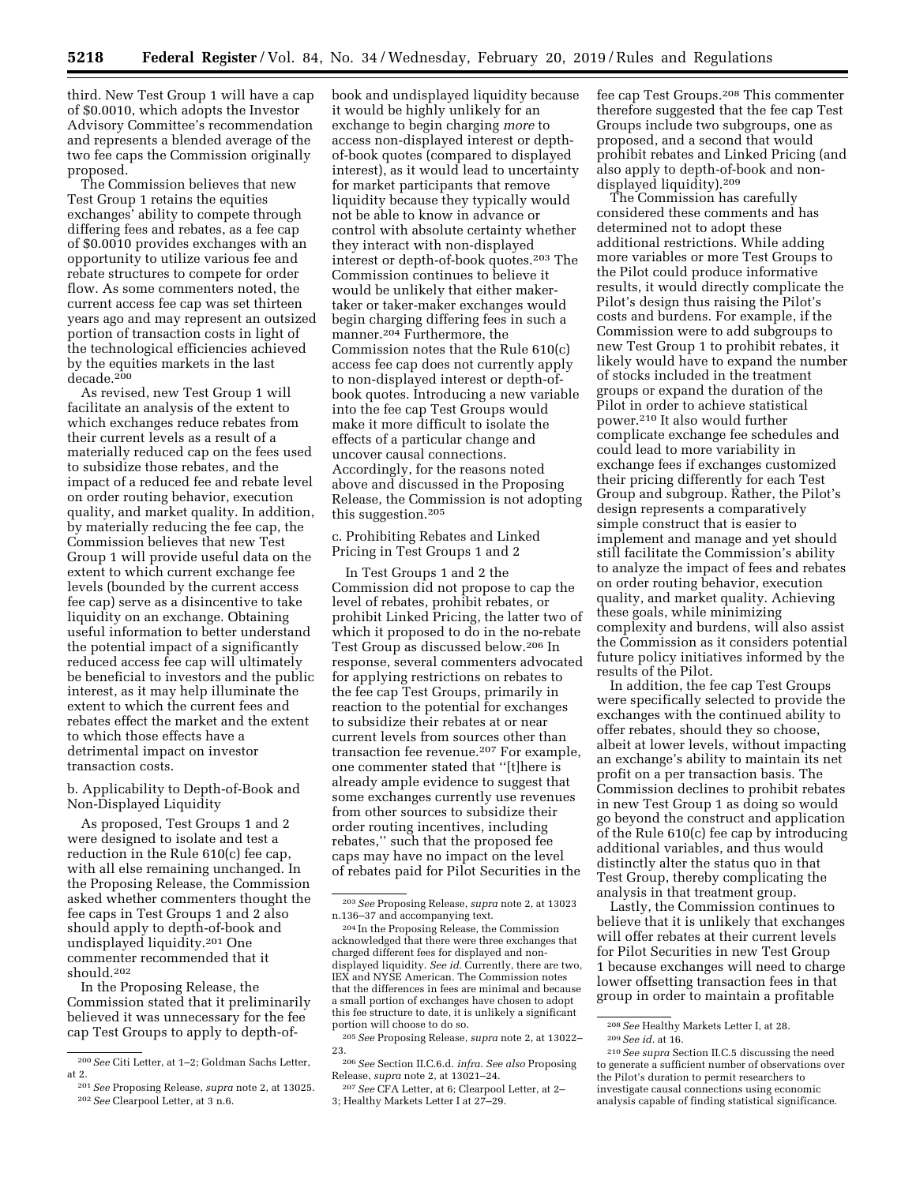third. New Test Group 1 will have a cap of \$0.0010, which adopts the Investor Advisory Committee's recommendation and represents a blended average of the two fee caps the Commission originally proposed.

The Commission believes that new Test Group 1 retains the equities exchanges' ability to compete through differing fees and rebates, as a fee cap of \$0.0010 provides exchanges with an opportunity to utilize various fee and rebate structures to compete for order flow. As some commenters noted, the current access fee cap was set thirteen years ago and may represent an outsized portion of transaction costs in light of the technological efficiencies achieved by the equities markets in the last decade.200

As revised, new Test Group 1 will facilitate an analysis of the extent to which exchanges reduce rebates from their current levels as a result of a materially reduced cap on the fees used to subsidize those rebates, and the impact of a reduced fee and rebate level on order routing behavior, execution quality, and market quality. In addition, by materially reducing the fee cap, the Commission believes that new Test Group 1 will provide useful data on the extent to which current exchange fee levels (bounded by the current access fee cap) serve as a disincentive to take liquidity on an exchange. Obtaining useful information to better understand the potential impact of a significantly reduced access fee cap will ultimately be beneficial to investors and the public interest, as it may help illuminate the extent to which the current fees and rebates effect the market and the extent to which those effects have a detrimental impact on investor transaction costs.

b. Applicability to Depth-of-Book and Non-Displayed Liquidity

As proposed, Test Groups 1 and 2 were designed to isolate and test a reduction in the Rule 610(c) fee cap, with all else remaining unchanged. In the Proposing Release, the Commission asked whether commenters thought the fee caps in Test Groups 1 and 2 also should apply to depth-of-book and undisplayed liquidity.201 One commenter recommended that it should.202

In the Proposing Release, the Commission stated that it preliminarily believed it was unnecessary for the fee cap Test Groups to apply to depth-of-

book and undisplayed liquidity because it would be highly unlikely for an exchange to begin charging *more* to access non-displayed interest or depthof-book quotes (compared to displayed interest), as it would lead to uncertainty for market participants that remove liquidity because they typically would not be able to know in advance or control with absolute certainty whether they interact with non-displayed interest or depth-of-book quotes.203 The Commission continues to believe it would be unlikely that either makertaker or taker-maker exchanges would begin charging differing fees in such a manner.204 Furthermore, the Commission notes that the Rule 610(c) access fee cap does not currently apply to non-displayed interest or depth-ofbook quotes. Introducing a new variable into the fee cap Test Groups would make it more difficult to isolate the effects of a particular change and uncover causal connections. Accordingly, for the reasons noted above and discussed in the Proposing Release, the Commission is not adopting this suggestion.205

c. Prohibiting Rebates and Linked Pricing in Test Groups 1 and 2

In Test Groups 1 and 2 the Commission did not propose to cap the level of rebates, prohibit rebates, or prohibit Linked Pricing, the latter two of which it proposed to do in the no-rebate Test Group as discussed below.206 In response, several commenters advocated for applying restrictions on rebates to the fee cap Test Groups, primarily in reaction to the potential for exchanges to subsidize their rebates at or near current levels from sources other than transaction fee revenue.207 For example, one commenter stated that ''[t]here is already ample evidence to suggest that some exchanges currently use revenues from other sources to subsidize their order routing incentives, including rebates,'' such that the proposed fee caps may have no impact on the level of rebates paid for Pilot Securities in the

fee cap Test Groups.208 This commenter therefore suggested that the fee cap Test Groups include two subgroups, one as proposed, and a second that would prohibit rebates and Linked Pricing (and also apply to depth-of-book and nondisplayed liquidity).209

The Commission has carefully considered these comments and has determined not to adopt these additional restrictions. While adding more variables or more Test Groups to the Pilot could produce informative results, it would directly complicate the Pilot's design thus raising the Pilot's costs and burdens. For example, if the Commission were to add subgroups to new Test Group 1 to prohibit rebates, it likely would have to expand the number of stocks included in the treatment groups or expand the duration of the Pilot in order to achieve statistical power.210 It also would further complicate exchange fee schedules and could lead to more variability in exchange fees if exchanges customized their pricing differently for each Test Group and subgroup. Rather, the Pilot's design represents a comparatively simple construct that is easier to implement and manage and yet should still facilitate the Commission's ability to analyze the impact of fees and rebates on order routing behavior, execution quality, and market quality. Achieving these goals, while minimizing complexity and burdens, will also assist the Commission as it considers potential future policy initiatives informed by the results of the Pilot.

In addition, the fee cap Test Groups were specifically selected to provide the exchanges with the continued ability to offer rebates, should they so choose, albeit at lower levels, without impacting an exchange's ability to maintain its net profit on a per transaction basis. The Commission declines to prohibit rebates in new Test Group 1 as doing so would go beyond the construct and application of the Rule 610(c) fee cap by introducing additional variables, and thus would distinctly alter the status quo in that Test Group, thereby complicating the analysis in that treatment group.

Lastly, the Commission continues to believe that it is unlikely that exchanges will offer rebates at their current levels for Pilot Securities in new Test Group 1 because exchanges will need to charge lower offsetting transaction fees in that group in order to maintain a profitable

<sup>200</sup>*See* Citi Letter, at 1–2; Goldman Sachs Letter, at 2.

<sup>201</sup>*See* Proposing Release, *supra* note 2, at 13025. 202*See* Clearpool Letter, at 3 n.6.

<sup>203</sup>*See* Proposing Release, *supra* note 2, at 13023 n.136–37 and accompanying text.

<sup>204</sup> In the Proposing Release, the Commission acknowledged that there were three exchanges that charged different fees for displayed and nondisplayed liquidity. *See id.* Currently, there are two, IEX and NYSE American. The Commission notes that the differences in fees are minimal and because a small portion of exchanges have chosen to adopt this fee structure to date, it is unlikely a significant portion will choose to do so.

<sup>205</sup>*See* Proposing Release, *supra* note 2, at 13022– 23.

<sup>206</sup>*See* Section II.C.6.d. *infra. See also* Proposing Release, *supra* note 2, at 13021–24.

<sup>207</sup>*See* CFA Letter, at 6; Clearpool Letter, at 2– 3; Healthy Markets Letter I at 27–29.

<sup>208</sup>*See* Healthy Markets Letter I, at 28.

<sup>209</sup>*See id.* at 16.

<sup>210</sup>*See supra* Section II.C.5 discussing the need to generate a sufficient number of observations over the Pilot's duration to permit researchers to investigate causal connections using economic analysis capable of finding statistical significance.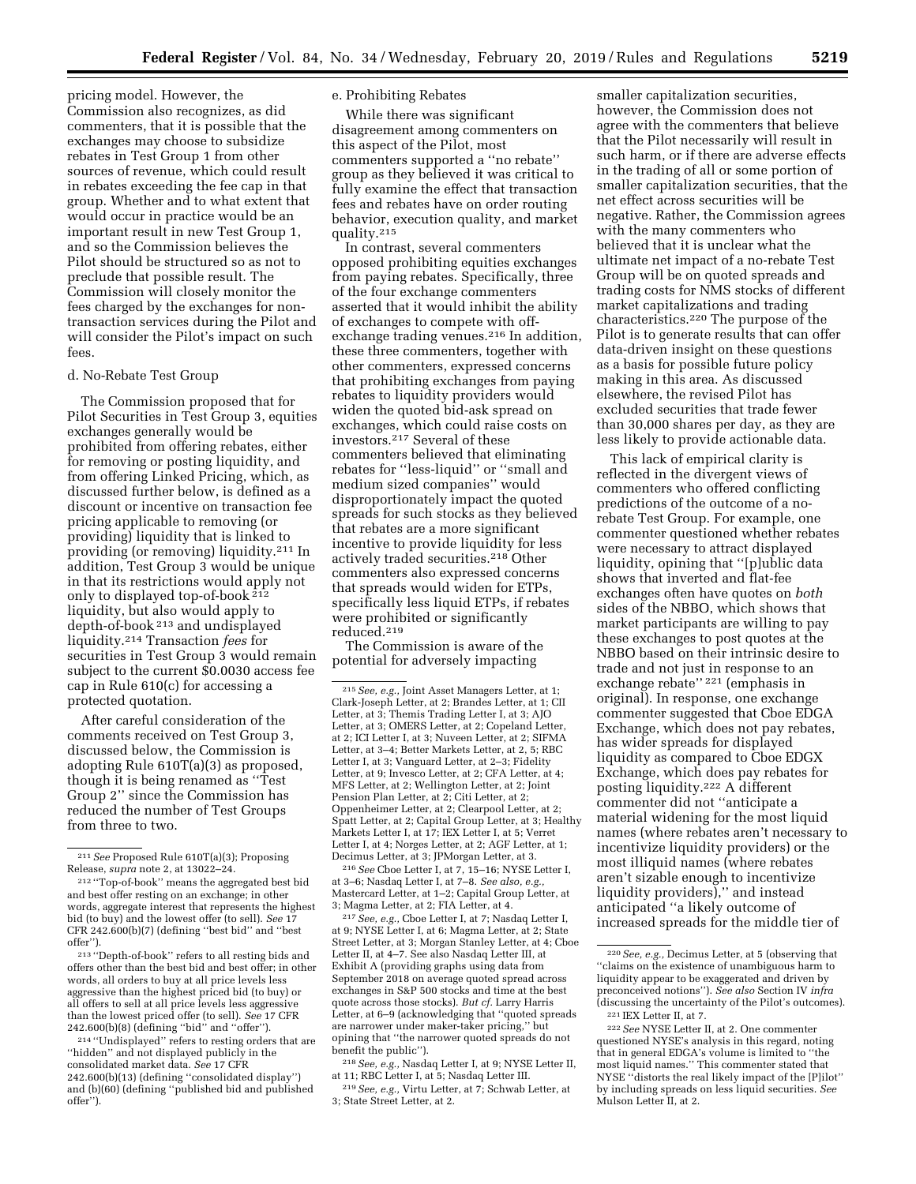pricing model. However, the Commission also recognizes, as did commenters, that it is possible that the exchanges may choose to subsidize rebates in Test Group 1 from other sources of revenue, which could result in rebates exceeding the fee cap in that group. Whether and to what extent that would occur in practice would be an important result in new Test Group 1, and so the Commission believes the Pilot should be structured so as not to preclude that possible result. The Commission will closely monitor the fees charged by the exchanges for nontransaction services during the Pilot and will consider the Pilot's impact on such fees.

#### d. No-Rebate Test Group

The Commission proposed that for Pilot Securities in Test Group 3, equities exchanges generally would be prohibited from offering rebates, either for removing or posting liquidity, and from offering Linked Pricing, which, as discussed further below, is defined as a discount or incentive on transaction fee pricing applicable to removing (or providing) liquidity that is linked to providing (or removing) liquidity.211 In addition, Test Group 3 would be unique in that its restrictions would apply not only to displayed top-of-book 212 liquidity, but also would apply to depth-of-book 213 and undisplayed liquidity.214 Transaction *fees* for securities in Test Group 3 would remain subject to the current \$0.0030 access fee cap in Rule 610(c) for accessing a protected quotation.

After careful consideration of the comments received on Test Group 3, discussed below, the Commission is adopting Rule 610T(a)(3) as proposed, though it is being renamed as ''Test Group 2'' since the Commission has reduced the number of Test Groups from three to two.

213 ''Depth-of-book'' refers to all resting bids and offers other than the best bid and best offer; in other words, all orders to buy at all price levels less aggressive than the highest priced bid (to buy) or all offers to sell at all price levels less aggressive than the lowest priced offer (to sell). *See* 17 CFR 242.600(b)(8) (defining ''bid'' and ''offer'').

214 ''Undisplayed'' refers to resting orders that are ''hidden'' and not displayed publicly in the consolidated market data. *See* 17 CFR 242.600(b)(13) (defining ''consolidated display'') and (b)(60) (defining ''published bid and published offer'').

## e. Prohibiting Rebates

While there was significant disagreement among commenters on this aspect of the Pilot, most commenters supported a ''no rebate'' group as they believed it was critical to fully examine the effect that transaction fees and rebates have on order routing behavior, execution quality, and market quality.215

In contrast, several commenters opposed prohibiting equities exchanges from paying rebates. Specifically, three of the four exchange commenters asserted that it would inhibit the ability of exchanges to compete with offexchange trading venues.216 In addition, these three commenters, together with other commenters, expressed concerns that prohibiting exchanges from paying rebates to liquidity providers would widen the quoted bid-ask spread on exchanges, which could raise costs on investors.217 Several of these commenters believed that eliminating rebates for ''less-liquid'' or ''small and medium sized companies'' would disproportionately impact the quoted spreads for such stocks as they believed that rebates are a more significant incentive to provide liquidity for less actively traded securities.218 Other commenters also expressed concerns that spreads would widen for ETPs, specifically less liquid ETPs, if rebates were prohibited or significantly reduced.219

The Commission is aware of the potential for adversely impacting

215*See, e.g.,* Joint Asset Managers Letter, at 1; Clark-Joseph Letter, at 2; Brandes Letter, at 1; CII Letter, at 3; Themis Trading Letter I, at 3; AJO Letter, at 3; OMERS Letter, at 2; Copeland Letter, at 2; ICI Letter I, at 3; Nuveen Letter, at 2; SIFMA Letter, at 3–4; Better Markets Letter, at 2, 5; RBC Letter I, at 3; Vanguard Letter, at 2–3; Fidelity Letter, at 9; Invesco Letter, at 2; CFA Letter, at 4; MFS Letter, at 2; Wellington Letter, at 2; Joint Pension Plan Letter, at 2; Citi Letter, at 2; Oppenheimer Letter, at 2; Clearpool Letter, at 2; Spatt Letter, at 2; Capital Group Letter, at 3; Healthy Markets Letter I, at 17; IEX Letter I, at 5; Verret Letter I, at 4; Norges Letter, at 2; AGF Letter, at 1; Decimus Letter, at 3; JPMorgan Letter, at 3.

216*See* Cboe Letter I, at 7, 15–16; NYSE Letter I, at 3–6; Nasdaq Letter I, at 7–8. *See also, e.g.,*  Mastercard Letter, at 1–2; Capital Group Letter, at 3; Magma Letter, at 2; FIA Letter, at 4.

217*See, e.g.,* Cboe Letter I, at 7; Nasdaq Letter I, at 9; NYSE Letter I, at 6; Magma Letter, at 2; State Street Letter, at 3; Morgan Stanley Letter, at 4; Cboe Letter II, at 4–7. See also Nasdaq Letter III, at Exhibit A (providing graphs using data from September 2018 on average quoted spread across exchanges in S&P 500 stocks and time at the best quote across those stocks). *But cf.* Larry Harris Letter, at 6–9 (acknowledging that ''quoted spreads are narrower under maker-taker pricing,'' but opining that ''the narrower quoted spreads do not benefit the public'').

218*See, e.g.,* Nasdaq Letter I, at 9; NYSE Letter II, at 11; RBC Letter I, at 5; Nasdaq Letter III.

219*See, e.g.,* Virtu Letter, at 7; Schwab Letter, at 3; State Street Letter, at 2.

smaller capitalization securities, however, the Commission does not agree with the commenters that believe that the Pilot necessarily will result in such harm, or if there are adverse effects in the trading of all or some portion of smaller capitalization securities, that the net effect across securities will be negative. Rather, the Commission agrees with the many commenters who believed that it is unclear what the ultimate net impact of a no-rebate Test Group will be on quoted spreads and trading costs for NMS stocks of different market capitalizations and trading characteristics.220 The purpose of the Pilot is to generate results that can offer data-driven insight on these questions as a basis for possible future policy making in this area. As discussed elsewhere, the revised Pilot has excluded securities that trade fewer than 30,000 shares per day, as they are less likely to provide actionable data.

This lack of empirical clarity is reflected in the divergent views of commenters who offered conflicting predictions of the outcome of a norebate Test Group. For example, one commenter questioned whether rebates were necessary to attract displayed liquidity, opining that ''[p]ublic data shows that inverted and flat-fee exchanges often have quotes on *both*  sides of the NBBO, which shows that market participants are willing to pay these exchanges to post quotes at the NBBO based on their intrinsic desire to trade and not just in response to an exchange rebate'' 221 (emphasis in original). In response, one exchange commenter suggested that Cboe EDGA Exchange, which does not pay rebates, has wider spreads for displayed liquidity as compared to Cboe EDGX Exchange, which does pay rebates for posting liquidity.222 A different commenter did not ''anticipate a material widening for the most liquid names (where rebates aren't necessary to incentivize liquidity providers) or the most illiquid names (where rebates aren't sizable enough to incentivize liquidity providers),'' and instead anticipated ''a likely outcome of increased spreads for the middle tier of

<sup>211</sup>*See* Proposed Rule 610T(a)(3); Proposing Release, *supra* note 2, at 13022–24.

<sup>212</sup> ''Top-of-book'' means the aggregated best bid and best offer resting on an exchange; in other words, aggregate interest that represents the highest bid (to buy) and the lowest offer (to sell). *See* 17 CFR 242.600(b)(7) (defining ''best bid'' and ''best offer'').

<sup>220</sup>*See, e.g.,* Decimus Letter, at 5 (observing that ''claims on the existence of unambiguous harm to liquidity appear to be exaggerated and driven by preconceived notions''). *See also* Section IV *infra*  (discussing the uncertainty of the Pilot's outcomes). 221 IEX Letter II, at 7.

<sup>222</sup>*See* NYSE Letter II, at 2. One commenter questioned NYSE's analysis in this regard, noting that in general EDGA's volume is limited to ''the most liquid names.'' This commenter stated that NYSE ''distorts the real likely impact of the [P]ilot'' by including spreads on less liquid securities. *See*  Mulson Letter II, at 2.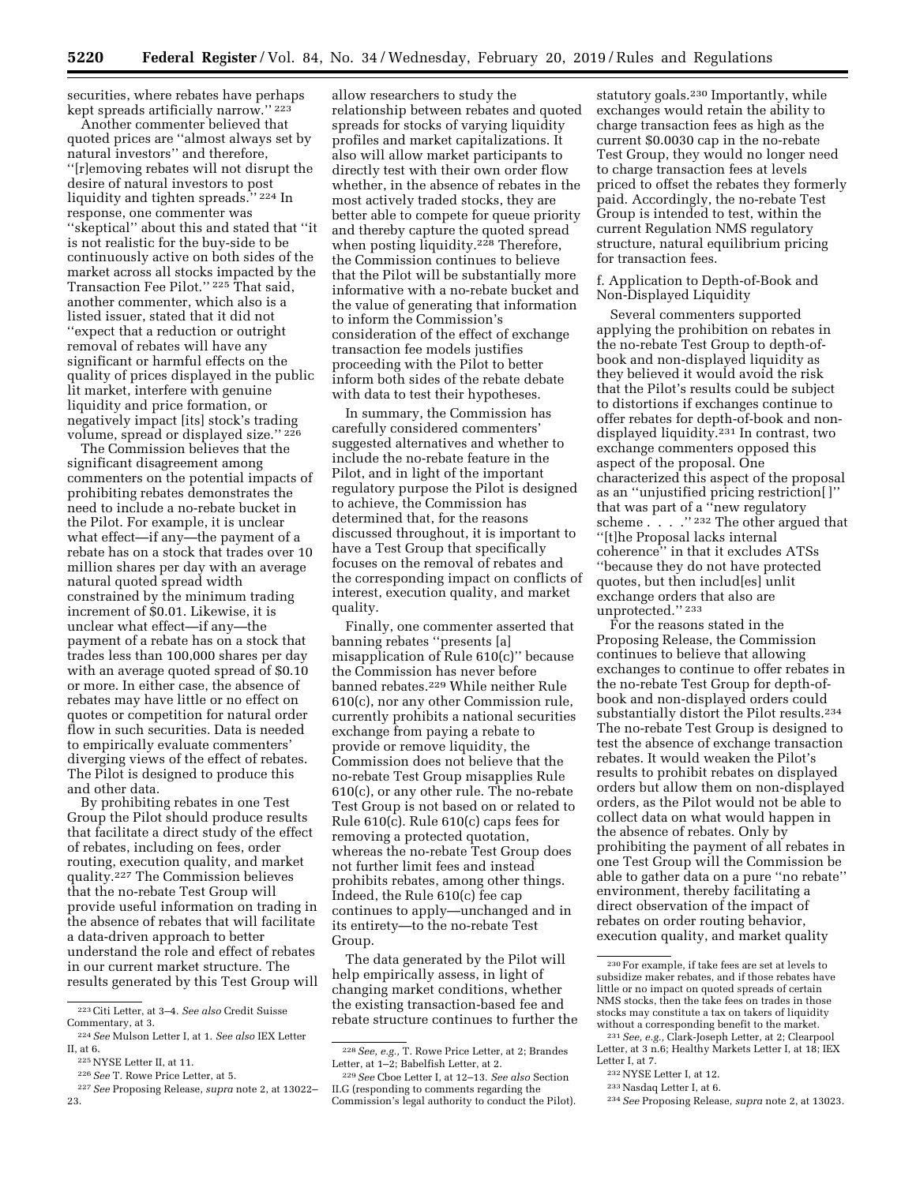securities, where rebates have perhaps kept spreads artificially narrow.'' 223

Another commenter believed that quoted prices are ''almost always set by natural investors'' and therefore, ''[r]emoving rebates will not disrupt the desire of natural investors to post liquidity and tighten spreads.'' 224 In response, one commenter was ''skeptical'' about this and stated that ''it is not realistic for the buy-side to be continuously active on both sides of the market across all stocks impacted by the Transaction Fee Pilot.'' 225 That said, another commenter, which also is a listed issuer, stated that it did not ''expect that a reduction or outright removal of rebates will have any significant or harmful effects on the quality of prices displayed in the public lit market, interfere with genuine liquidity and price formation, or negatively impact [its] stock's trading volume, spread or displayed size.'' 226

The Commission believes that the significant disagreement among commenters on the potential impacts of prohibiting rebates demonstrates the need to include a no-rebate bucket in the Pilot. For example, it is unclear what effect—if any—the payment of a rebate has on a stock that trades over 10 million shares per day with an average natural quoted spread width constrained by the minimum trading increment of \$0.01. Likewise, it is unclear what effect—if any—the payment of a rebate has on a stock that trades less than 100,000 shares per day with an average quoted spread of \$0.10 or more. In either case, the absence of rebates may have little or no effect on quotes or competition for natural order flow in such securities. Data is needed to empirically evaluate commenters' diverging views of the effect of rebates. The Pilot is designed to produce this and other data.

By prohibiting rebates in one Test Group the Pilot should produce results that facilitate a direct study of the effect of rebates, including on fees, order routing, execution quality, and market quality.227 The Commission believes that the no-rebate Test Group will provide useful information on trading in the absence of rebates that will facilitate a data-driven approach to better understand the role and effect of rebates in our current market structure. The results generated by this Test Group will

allow researchers to study the relationship between rebates and quoted spreads for stocks of varying liquidity profiles and market capitalizations. It also will allow market participants to directly test with their own order flow whether, in the absence of rebates in the most actively traded stocks, they are better able to compete for queue priority and thereby capture the quoted spread when posting liquidity.<sup>228</sup> Therefore, the Commission continues to believe that the Pilot will be substantially more informative with a no-rebate bucket and the value of generating that information to inform the Commission's consideration of the effect of exchange transaction fee models justifies proceeding with the Pilot to better inform both sides of the rebate debate with data to test their hypotheses.

In summary, the Commission has carefully considered commenters' suggested alternatives and whether to include the no-rebate feature in the Pilot, and in light of the important regulatory purpose the Pilot is designed to achieve, the Commission has determined that, for the reasons discussed throughout, it is important to have a Test Group that specifically focuses on the removal of rebates and the corresponding impact on conflicts of interest, execution quality, and market quality.

Finally, one commenter asserted that banning rebates ''presents [a] misapplication of Rule 610(c)'' because the Commission has never before banned rebates.229 While neither Rule 610(c), nor any other Commission rule, currently prohibits a national securities exchange from paying a rebate to provide or remove liquidity, the Commission does not believe that the no-rebate Test Group misapplies Rule 610(c), or any other rule. The no-rebate Test Group is not based on or related to Rule 610(c). Rule 610(c) caps fees for removing a protected quotation, whereas the no-rebate Test Group does not further limit fees and instead prohibits rebates, among other things. Indeed, the Rule 610(c) fee cap continues to apply—unchanged and in its entirety—to the no-rebate Test Group.

The data generated by the Pilot will help empirically assess, in light of changing market conditions, whether the existing transaction-based fee and rebate structure continues to further the

statutory goals.230 Importantly, while exchanges would retain the ability to charge transaction fees as high as the current \$0.0030 cap in the no-rebate Test Group, they would no longer need to charge transaction fees at levels priced to offset the rebates they formerly paid. Accordingly, the no-rebate Test Group is intended to test, within the current Regulation NMS regulatory structure, natural equilibrium pricing for transaction fees.

f. Application to Depth-of-Book and Non-Displayed Liquidity

Several commenters supported applying the prohibition on rebates in the no-rebate Test Group to depth-ofbook and non-displayed liquidity as they believed it would avoid the risk that the Pilot's results could be subject to distortions if exchanges continue to offer rebates for depth-of-book and nondisplayed liquidity.231 In contrast, two exchange commenters opposed this aspect of the proposal. One characterized this aspect of the proposal as an ''unjustified pricing restriction[ ]'' that was part of a ''new regulatory scheme . . . .'' 232 The other argued that ''[t]he Proposal lacks internal coherence'' in that it excludes ATSs ''because they do not have protected quotes, but then includ[es] unlit exchange orders that also are unprotected.'' 233

For the reasons stated in the Proposing Release, the Commission continues to believe that allowing exchanges to continue to offer rebates in the no-rebate Test Group for depth-ofbook and non-displayed orders could substantially distort the Pilot results.234 The no-rebate Test Group is designed to test the absence of exchange transaction rebates. It would weaken the Pilot's results to prohibit rebates on displayed orders but allow them on non-displayed orders, as the Pilot would not be able to collect data on what would happen in the absence of rebates. Only by prohibiting the payment of all rebates in one Test Group will the Commission be able to gather data on a pure ''no rebate'' environment, thereby facilitating a direct observation of the impact of rebates on order routing behavior, execution quality, and market quality

234*See* Proposing Release, *supra* note 2, at 13023.

<sup>223</sup>Citi Letter, at 3–4. *See also* Credit Suisse Commentary, at 3.

<sup>224</sup>*See* Mulson Letter I, at 1. *See also* IEX Letter II, at 6.

<sup>225</sup>NYSE Letter II, at 11.

<sup>226</sup>*See* T. Rowe Price Letter, at 5.

<sup>227</sup>*See* Proposing Release, *supra* note 2, at 13022– 23.

<sup>228</sup>*See, e.g.,* T. Rowe Price Letter, at 2; Brandes Letter, at 1–2; Babelfish Letter, at 2.

<sup>229</sup>*See* Cboe Letter I, at 12–13. *See also* Section II.G (responding to comments regarding the Commission's legal authority to conduct the Pilot).

<sup>230</sup>For example, if take fees are set at levels to subsidize maker rebates, and if those rebates have little or no impact on quoted spreads of certain NMS stocks, then the take fees on trades in those stocks may constitute a tax on takers of liquidity without a corresponding benefit to the market. 231*See, e.g.,* Clark-Joseph Letter, at 2; Clearpool

Letter, at 3 n.6; Healthy Markets Letter I, at 18; IEX Letter I, at 7.

<sup>232</sup>NYSE Letter I, at 12.

<sup>233</sup>Nasdaq Letter I, at 6.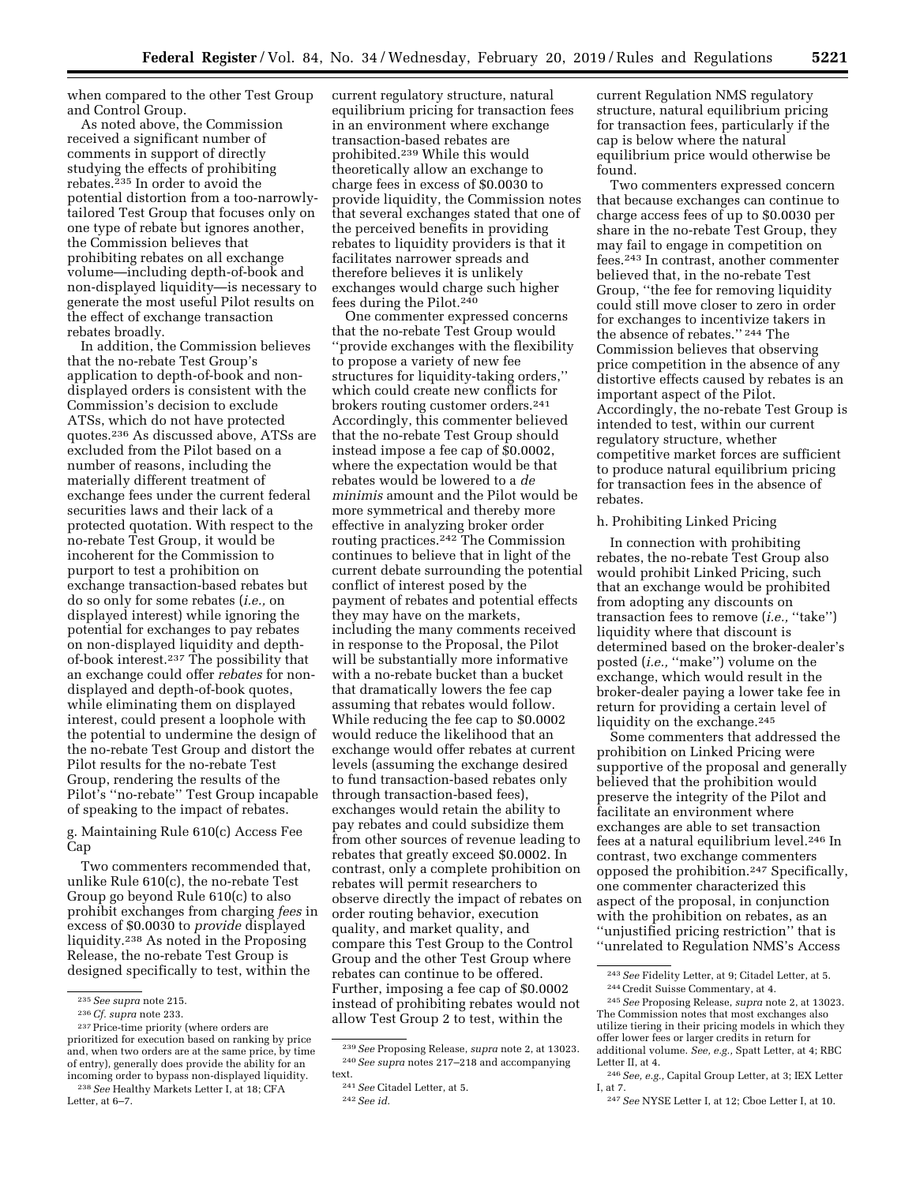when compared to the other Test Group and Control Group.

As noted above, the Commission received a significant number of comments in support of directly studying the effects of prohibiting rebates.<sup>235</sup> In order to avoid the potential distortion from a too-narrowlytailored Test Group that focuses only on one type of rebate but ignores another, the Commission believes that prohibiting rebates on all exchange volume—including depth-of-book and non-displayed liquidity—is necessary to generate the most useful Pilot results on the effect of exchange transaction rebates broadly.

In addition, the Commission believes that the no-rebate Test Group's application to depth-of-book and nondisplayed orders is consistent with the Commission's decision to exclude ATSs, which do not have protected quotes.236 As discussed above, ATSs are excluded from the Pilot based on a number of reasons, including the materially different treatment of exchange fees under the current federal securities laws and their lack of a protected quotation. With respect to the no-rebate Test Group, it would be incoherent for the Commission to purport to test a prohibition on exchange transaction-based rebates but do so only for some rebates (*i.e.,* on displayed interest) while ignoring the potential for exchanges to pay rebates on non-displayed liquidity and depthof-book interest.237 The possibility that an exchange could offer *rebates* for nondisplayed and depth-of-book quotes, while eliminating them on displayed interest, could present a loophole with the potential to undermine the design of the no-rebate Test Group and distort the Pilot results for the no-rebate Test Group, rendering the results of the Pilot's ''no-rebate'' Test Group incapable of speaking to the impact of rebates.

g. Maintaining Rule 610(c) Access Fee Cap

Two commenters recommended that, unlike Rule 610(c), the no-rebate Test Group go beyond Rule 610(c) to also prohibit exchanges from charging *fees* in excess of \$0.0030 to *provide* displayed liquidity.238 As noted in the Proposing Release, the no-rebate Test Group is designed specifically to test, within the

Letter, at 6–7.

current regulatory structure, natural equilibrium pricing for transaction fees in an environment where exchange transaction-based rebates are prohibited.239 While this would theoretically allow an exchange to charge fees in excess of \$0.0030 to provide liquidity, the Commission notes that several exchanges stated that one of the perceived benefits in providing rebates to liquidity providers is that it facilitates narrower spreads and therefore believes it is unlikely exchanges would charge such higher fees during the Pilot.240

One commenter expressed concerns that the no-rebate Test Group would ''provide exchanges with the flexibility to propose a variety of new fee structures for liquidity-taking orders,'' which could create new conflicts for brokers routing customer orders.241 Accordingly, this commenter believed that the no-rebate Test Group should instead impose a fee cap of \$0.0002, where the expectation would be that rebates would be lowered to a *de minimis* amount and the Pilot would be more symmetrical and thereby more effective in analyzing broker order routing practices.242 The Commission continues to believe that in light of the current debate surrounding the potential conflict of interest posed by the payment of rebates and potential effects they may have on the markets, including the many comments received in response to the Proposal, the Pilot will be substantially more informative with a no-rebate bucket than a bucket that dramatically lowers the fee cap assuming that rebates would follow. While reducing the fee cap to \$0.0002 would reduce the likelihood that an exchange would offer rebates at current levels (assuming the exchange desired to fund transaction-based rebates only through transaction-based fees), exchanges would retain the ability to pay rebates and could subsidize them from other sources of revenue leading to rebates that greatly exceed \$0.0002. In contrast, only a complete prohibition on rebates will permit researchers to observe directly the impact of rebates on order routing behavior, execution quality, and market quality, and compare this Test Group to the Control Group and the other Test Group where rebates can continue to be offered. Further, imposing a fee cap of \$0.0002 instead of prohibiting rebates would not allow Test Group 2 to test, within the

current Regulation NMS regulatory structure, natural equilibrium pricing for transaction fees, particularly if the cap is below where the natural equilibrium price would otherwise be found.

Two commenters expressed concern that because exchanges can continue to charge access fees of up to \$0.0030 per share in the no-rebate Test Group, they may fail to engage in competition on fees.243 In contrast, another commenter believed that, in the no-rebate Test Group, ''the fee for removing liquidity could still move closer to zero in order for exchanges to incentivize takers in the absence of rebates.'' 244 The Commission believes that observing price competition in the absence of any distortive effects caused by rebates is an important aspect of the Pilot. Accordingly, the no-rebate Test Group is intended to test, within our current regulatory structure, whether competitive market forces are sufficient to produce natural equilibrium pricing for transaction fees in the absence of rebates.

## h. Prohibiting Linked Pricing

In connection with prohibiting rebates, the no-rebate Test Group also would prohibit Linked Pricing, such that an exchange would be prohibited from adopting any discounts on transaction fees to remove (*i.e.,* ''take'') liquidity where that discount is determined based on the broker-dealer's posted (*i.e.,* ''make'') volume on the exchange, which would result in the broker-dealer paying a lower take fee in return for providing a certain level of liquidity on the exchange.<sup>245</sup>

Some commenters that addressed the prohibition on Linked Pricing were supportive of the proposal and generally believed that the prohibition would preserve the integrity of the Pilot and facilitate an environment where exchanges are able to set transaction fees at a natural equilibrium level.246 In contrast, two exchange commenters opposed the prohibition.247 Specifically, one commenter characterized this aspect of the proposal, in conjunction with the prohibition on rebates, as an ''unjustified pricing restriction'' that is ''unrelated to Regulation NMS's Access

<sup>235</sup>*See supra* note 215.

<sup>236</sup>*Cf. supra* note 233.

<sup>&</sup>lt;sup>237</sup> Price-time priority (where orders are prioritized for execution based on ranking by price and, when two orders are at the same price, by time of entry), generally does provide the ability for an incoming order to bypass non-displayed liquidity. 238*See* Healthy Markets Letter I, at 18; CFA

<sup>239</sup>*See* Proposing Release, *supra* note 2, at 13023. 240*See supra* notes 217–218 and accompanying text.

<sup>241</sup>*See* Citadel Letter, at 5.

<sup>242</sup>*See id.* 

<sup>243</sup>*See* Fidelity Letter, at 9; Citadel Letter, at 5. 244Credit Suisse Commentary, at 4.

<sup>245</sup>*See* Proposing Release, *supra* note 2, at 13023. The Commission notes that most exchanges also utilize tiering in their pricing models in which they offer lower fees or larger credits in return for additional volume. *See, e.g.,* Spatt Letter, at 4; RBC Letter II, at 4.

<sup>246</sup>*See, e.g.,* Capital Group Letter, at 3; IEX Letter I, at 7.

<sup>247</sup>*See* NYSE Letter I, at 12; Cboe Letter I, at 10.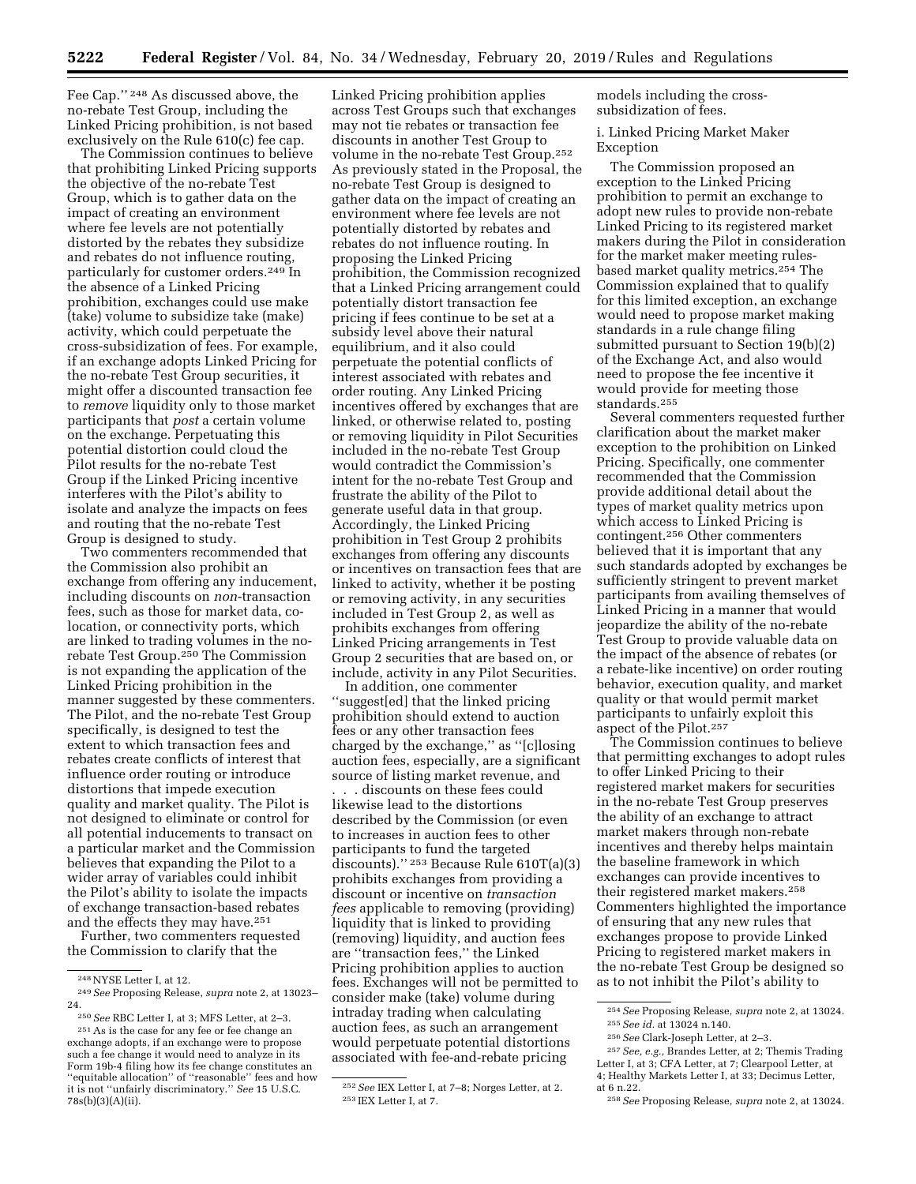Fee Cap.'' 248 As discussed above, the no-rebate Test Group, including the Linked Pricing prohibition, is not based exclusively on the Rule 610(c) fee cap.

The Commission continues to believe that prohibiting Linked Pricing supports the objective of the no-rebate Test Group, which is to gather data on the impact of creating an environment where fee levels are not potentially distorted by the rebates they subsidize and rebates do not influence routing, particularly for customer orders.249 In the absence of a Linked Pricing prohibition, exchanges could use make (take) volume to subsidize take (make) activity, which could perpetuate the cross-subsidization of fees. For example, if an exchange adopts Linked Pricing for the no-rebate Test Group securities, it might offer a discounted transaction fee to *remove* liquidity only to those market participants that *post* a certain volume on the exchange. Perpetuating this potential distortion could cloud the Pilot results for the no-rebate Test Group if the Linked Pricing incentive interferes with the Pilot's ability to isolate and analyze the impacts on fees and routing that the no-rebate Test Group is designed to study.

Two commenters recommended that the Commission also prohibit an exchange from offering any inducement, including discounts on *non*-transaction fees, such as those for market data, colocation, or connectivity ports, which are linked to trading volumes in the norebate Test Group.250 The Commission is not expanding the application of the Linked Pricing prohibition in the manner suggested by these commenters. The Pilot, and the no-rebate Test Group specifically, is designed to test the extent to which transaction fees and rebates create conflicts of interest that influence order routing or introduce distortions that impede execution quality and market quality. The Pilot is not designed to eliminate or control for all potential inducements to transact on a particular market and the Commission believes that expanding the Pilot to a wider array of variables could inhibit the Pilot's ability to isolate the impacts of exchange transaction-based rebates and the effects they may have.251

Further, two commenters requested the Commission to clarify that the

Linked Pricing prohibition applies across Test Groups such that exchanges may not tie rebates or transaction fee discounts in another Test Group to volume in the no-rebate Test Group.252 As previously stated in the Proposal, the no-rebate Test Group is designed to gather data on the impact of creating an environment where fee levels are not potentially distorted by rebates and rebates do not influence routing. In proposing the Linked Pricing prohibition, the Commission recognized that a Linked Pricing arrangement could potentially distort transaction fee pricing if fees continue to be set at a subsidy level above their natural equilibrium, and it also could perpetuate the potential conflicts of interest associated with rebates and order routing. Any Linked Pricing incentives offered by exchanges that are linked, or otherwise related to, posting or removing liquidity in Pilot Securities included in the no-rebate Test Group would contradict the Commission's intent for the no-rebate Test Group and frustrate the ability of the Pilot to generate useful data in that group. Accordingly, the Linked Pricing prohibition in Test Group 2 prohibits exchanges from offering any discounts or incentives on transaction fees that are linked to activity, whether it be posting or removing activity, in any securities included in Test Group 2, as well as prohibits exchanges from offering Linked Pricing arrangements in Test Group 2 securities that are based on, or include, activity in any Pilot Securities.

In addition, one commenter ''suggest[ed] that the linked pricing prohibition should extend to auction fees or any other transaction fees charged by the exchange,'' as ''[c]losing auction fees, especially, are a significant source of listing market revenue, and

. . . discounts on these fees could likewise lead to the distortions described by the Commission (or even to increases in auction fees to other participants to fund the targeted discounts).'' 253 Because Rule 610T(a)(3) prohibits exchanges from providing a discount or incentive on *transaction fees* applicable to removing (providing) liquidity that is linked to providing (removing) liquidity, and auction fees are ''transaction fees,'' the Linked Pricing prohibition applies to auction fees. Exchanges will not be permitted to consider make (take) volume during intraday trading when calculating auction fees, as such an arrangement would perpetuate potential distortions associated with fee-and-rebate pricing

models including the crosssubsidization of fees.

i. Linked Pricing Market Maker Exception

The Commission proposed an exception to the Linked Pricing prohibition to permit an exchange to adopt new rules to provide non-rebate Linked Pricing to its registered market makers during the Pilot in consideration for the market maker meeting rulesbased market quality metrics.254 The Commission explained that to qualify for this limited exception, an exchange would need to propose market making standards in a rule change filing submitted pursuant to Section 19(b)(2) of the Exchange Act, and also would need to propose the fee incentive it would provide for meeting those standards.255

Several commenters requested further clarification about the market maker exception to the prohibition on Linked Pricing. Specifically, one commenter recommended that the Commission provide additional detail about the types of market quality metrics upon which access to Linked Pricing is contingent.256 Other commenters believed that it is important that any such standards adopted by exchanges be sufficiently stringent to prevent market participants from availing themselves of Linked Pricing in a manner that would jeopardize the ability of the no-rebate Test Group to provide valuable data on the impact of the absence of rebates (or a rebate-like incentive) on order routing behavior, execution quality, and market quality or that would permit market participants to unfairly exploit this aspect of the Pilot.257

The Commission continues to believe that permitting exchanges to adopt rules to offer Linked Pricing to their registered market makers for securities in the no-rebate Test Group preserves the ability of an exchange to attract market makers through non-rebate incentives and thereby helps maintain the baseline framework in which exchanges can provide incentives to their registered market makers.258 Commenters highlighted the importance of ensuring that any new rules that exchanges propose to provide Linked Pricing to registered market makers in the no-rebate Test Group be designed so as to not inhibit the Pilot's ability to

<sup>248</sup>NYSE Letter I, at 12. 249*See* Proposing Release, *supra* note 2, at 13023–

<sup>&</sup>lt;sup>250</sup> See RBC Letter I, at 3; MFS Letter, at 2–3.<br><sup>251</sup> As is the case for any fee or fee change an exchange adopts, if an exchange were to propose such a fee change it would need to analyze in its Form 19b-4 filing how its fee change constitutes an ''equitable allocation'' of ''reasonable'' fees and how it is not ''unfairly discriminatory.'' *See* 15 U.S.C. 78s(b)(3)(A)(ii).

<sup>252</sup>*See* IEX Letter I, at 7–8; Norges Letter, at 2. 253 IEX Letter I, at 7.

<sup>254</sup>*See* Proposing Release, *supra* note 2, at 13024. 255*See id.* at 13024 n.140.

<sup>256</sup>*See* Clark-Joseph Letter, at 2–3.

<sup>257</sup>*See, e.g.,* Brandes Letter, at 2; Themis Trading Letter I, at 3; CFA Letter, at 7; Clearpool Letter, at 4; Healthy Markets Letter I, at 33; Decimus Letter,

at 6 n.22.

<sup>258</sup>*See* Proposing Release, *supra* note 2, at 13024.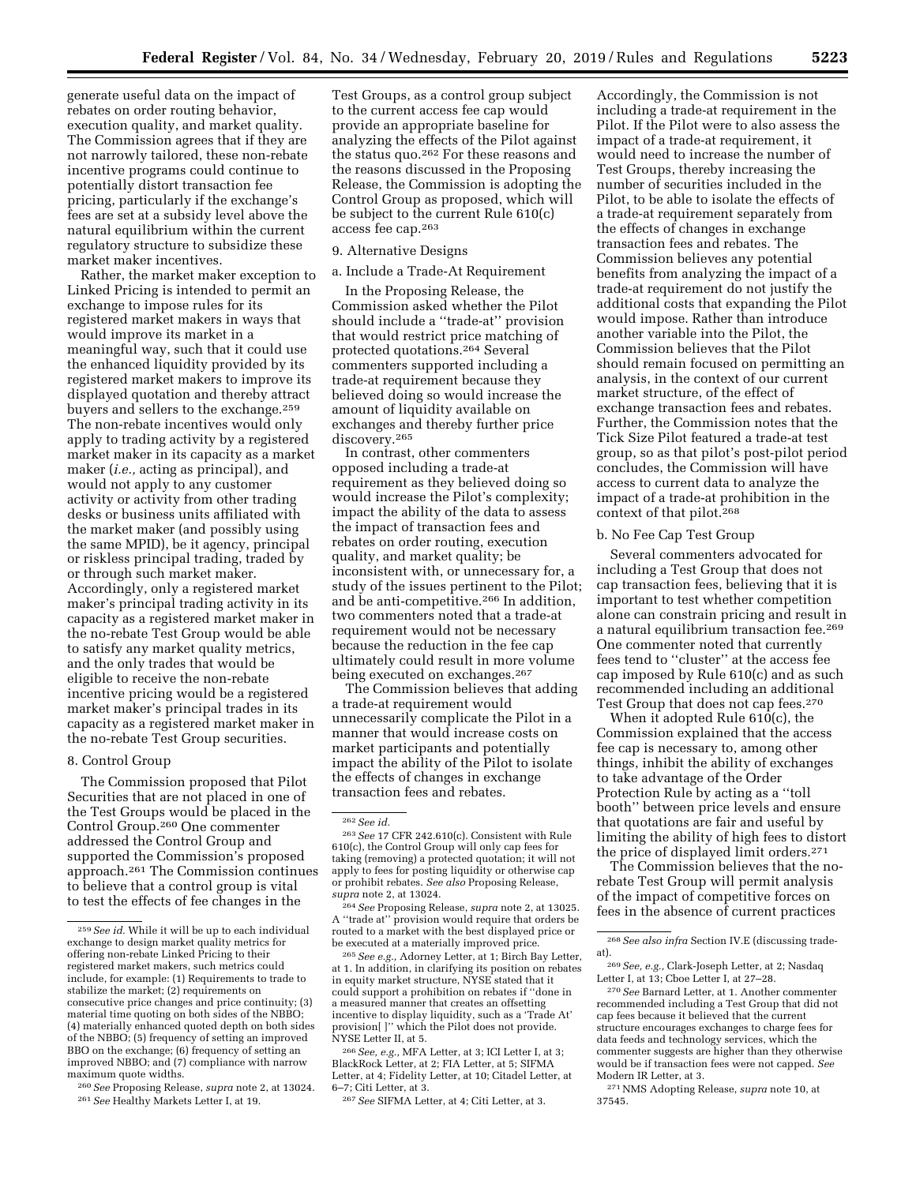generate useful data on the impact of rebates on order routing behavior, execution quality, and market quality. The Commission agrees that if they are not narrowly tailored, these non-rebate incentive programs could continue to potentially distort transaction fee pricing, particularly if the exchange's fees are set at a subsidy level above the natural equilibrium within the current regulatory structure to subsidize these market maker incentives.

Rather, the market maker exception to Linked Pricing is intended to permit an exchange to impose rules for its registered market makers in ways that would improve its market in a meaningful way, such that it could use the enhanced liquidity provided by its registered market makers to improve its displayed quotation and thereby attract buyers and sellers to the exchange.<sup>259</sup> The non-rebate incentives would only apply to trading activity by a registered market maker in its capacity as a market maker (*i.e.,* acting as principal), and would not apply to any customer activity or activity from other trading desks or business units affiliated with the market maker (and possibly using the same MPID), be it agency, principal or riskless principal trading, traded by or through such market maker. Accordingly, only a registered market maker's principal trading activity in its capacity as a registered market maker in the no-rebate Test Group would be able to satisfy any market quality metrics, and the only trades that would be eligible to receive the non-rebate incentive pricing would be a registered market maker's principal trades in its capacity as a registered market maker in the no-rebate Test Group securities.

### 8. Control Group

The Commission proposed that Pilot Securities that are not placed in one of the Test Groups would be placed in the Control Group.260 One commenter addressed the Control Group and supported the Commission's proposed approach.261 The Commission continues to believe that a control group is vital to test the effects of fee changes in the

260*See* Proposing Release, *supra* note 2, at 13024. 261*See* Healthy Markets Letter I, at 19.

Test Groups, as a control group subject to the current access fee cap would provide an appropriate baseline for analyzing the effects of the Pilot against the status quo.262 For these reasons and the reasons discussed in the Proposing Release, the Commission is adopting the Control Group as proposed, which will be subject to the current Rule 610(c) access fee cap.263

### 9. Alternative Designs

### a. Include a Trade-At Requirement

In the Proposing Release, the Commission asked whether the Pilot should include a ''trade-at'' provision that would restrict price matching of protected quotations.264 Several commenters supported including a trade-at requirement because they believed doing so would increase the amount of liquidity available on exchanges and thereby further price discovery.265

In contrast, other commenters opposed including a trade-at requirement as they believed doing so would increase the Pilot's complexity; impact the ability of the data to assess the impact of transaction fees and rebates on order routing, execution quality, and market quality; be inconsistent with, or unnecessary for, a study of the issues pertinent to the Pilot; and be anti-competitive.266 In addition, two commenters noted that a trade-at requirement would not be necessary because the reduction in the fee cap ultimately could result in more volume being executed on exchanges.267

The Commission believes that adding a trade-at requirement would unnecessarily complicate the Pilot in a manner that would increase costs on market participants and potentially impact the ability of the Pilot to isolate the effects of changes in exchange transaction fees and rebates.

264*See* Proposing Release, *supra* note 2, at 13025. A ''trade at'' provision would require that orders be routed to a market with the best displayed price or be executed at a materially improved price.

265*See e.g.,* Adorney Letter, at 1; Birch Bay Letter, at 1. In addition, in clarifying its position on rebates in equity market structure, NYSE stated that it could support a prohibition on rebates if ''done in a measured manner that creates an offsetting incentive to display liquidity, such as a 'Trade At' provision[ ]'' which the Pilot does not provide. NYSE Letter II, at 5.

266*See, e.g.,* MFA Letter, at 3; ICI Letter I, at 3; BlackRock Letter, at 2; FIA Letter, at 5; SIFMA Letter, at 4; Fidelity Letter, at 10; Citadel Letter, at 6–7; Citi Letter, at 3.

267*See* SIFMA Letter, at 4; Citi Letter, at 3.

Accordingly, the Commission is not including a trade-at requirement in the Pilot. If the Pilot were to also assess the impact of a trade-at requirement, it would need to increase the number of Test Groups, thereby increasing the number of securities included in the Pilot, to be able to isolate the effects of a trade-at requirement separately from the effects of changes in exchange transaction fees and rebates. The Commission believes any potential benefits from analyzing the impact of a trade-at requirement do not justify the additional costs that expanding the Pilot would impose. Rather than introduce another variable into the Pilot, the Commission believes that the Pilot should remain focused on permitting an analysis, in the context of our current market structure, of the effect of exchange transaction fees and rebates. Further, the Commission notes that the Tick Size Pilot featured a trade-at test group, so as that pilot's post-pilot period concludes, the Commission will have access to current data to analyze the impact of a trade-at prohibition in the context of that pilot.268

## b. No Fee Cap Test Group

Several commenters advocated for including a Test Group that does not cap transaction fees, believing that it is important to test whether competition alone can constrain pricing and result in a natural equilibrium transaction fee.269 One commenter noted that currently fees tend to ''cluster'' at the access fee cap imposed by Rule 610(c) and as such recommended including an additional Test Group that does not cap fees.270

When it adopted Rule  $610(c)$ , the Commission explained that the access fee cap is necessary to, among other things, inhibit the ability of exchanges to take advantage of the Order Protection Rule by acting as a ''toll booth'' between price levels and ensure that quotations are fair and useful by limiting the ability of high fees to distort the price of displayed limit orders.271

The Commission believes that the norebate Test Group will permit analysis of the impact of competitive forces on fees in the absence of current practices

271NMS Adopting Release, *supra* note 10, at 37545.

<sup>259</sup>*See id.* While it will be up to each individual exchange to design market quality metrics for offering non-rebate Linked Pricing to their registered market makers, such metrics could include, for example: (1) Requirements to trade to stabilize the market; (2) requirements on consecutive price changes and price continuity; (3) material time quoting on both sides of the NBBO; (4) materially enhanced quoted depth on both sides of the NBBO; (5) frequency of setting an improved BBO on the exchange; (6) frequency of setting an improved NBBO; and (7) compliance with narrow maximum quote widths.

<sup>262</sup>*See id.* 

<sup>263</sup>*See* 17 CFR 242.610(c). Consistent with Rule 610(c), the Control Group will only cap fees for taking (removing) a protected quotation; it will not apply to fees for posting liquidity or otherwise cap or prohibit rebates. *See also* Proposing Release, *supra* note 2, at 13024.

<sup>268</sup>*See also infra* Section IV.E (discussing tradeat).

<sup>269</sup>*See, e.g.,* Clark-Joseph Letter, at 2; Nasdaq Letter I, at 13; Cboe Letter I, at 27–28.

<sup>270</sup>*See* Barnard Letter, at 1. Another commenter recommended including a Test Group that did not cap fees because it believed that the current structure encourages exchanges to charge fees for data feeds and technology services, which the commenter suggests are higher than they otherwise would be if transaction fees were not capped. *See*  Modern IR Letter, at 3.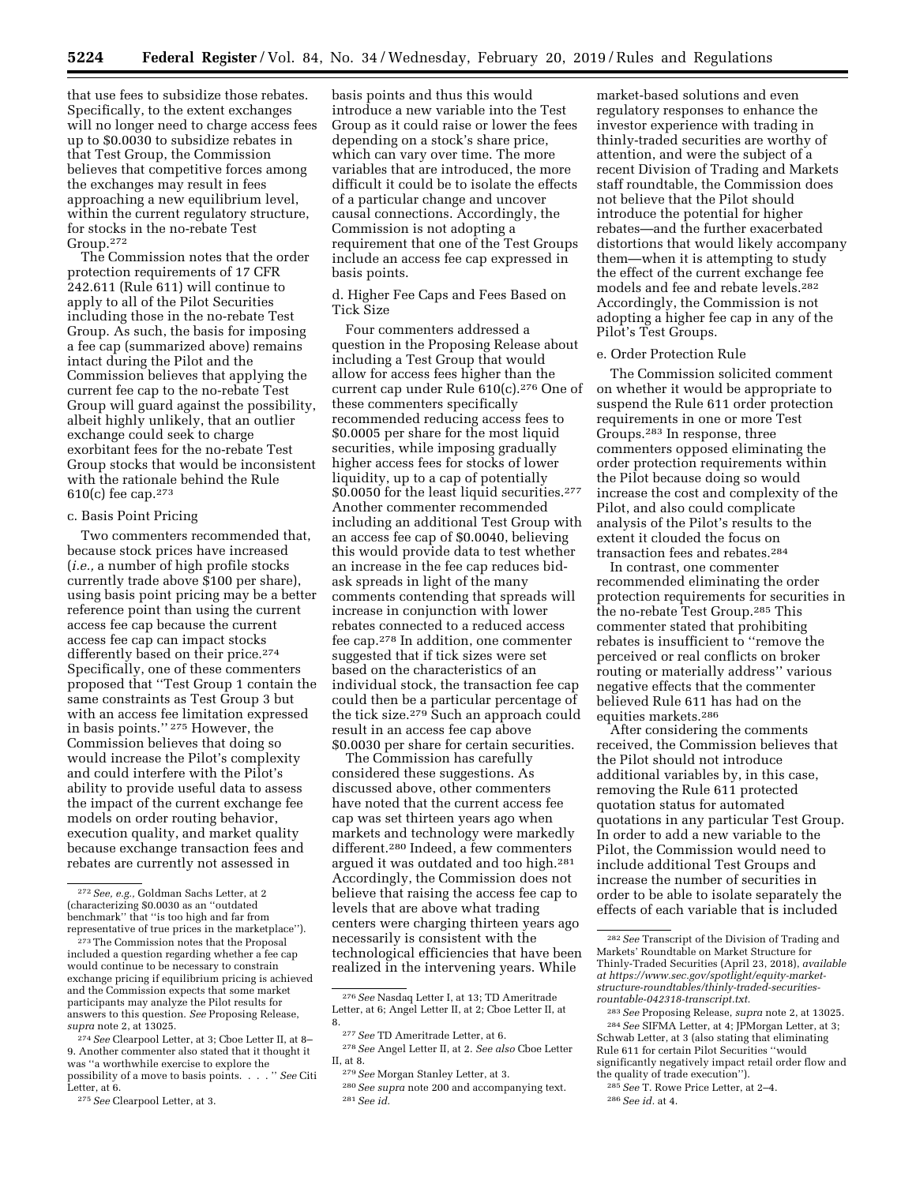that use fees to subsidize those rebates. Specifically, to the extent exchanges will no longer need to charge access fees up to \$0.0030 to subsidize rebates in that Test Group, the Commission believes that competitive forces among the exchanges may result in fees approaching a new equilibrium level, within the current regulatory structure, for stocks in the no-rebate Test Group.272

The Commission notes that the order protection requirements of 17 CFR 242.611 (Rule 611) will continue to apply to all of the Pilot Securities including those in the no-rebate Test Group. As such, the basis for imposing a fee cap (summarized above) remains intact during the Pilot and the Commission believes that applying the current fee cap to the no-rebate Test Group will guard against the possibility, albeit highly unlikely, that an outlier exchange could seek to charge exorbitant fees for the no-rebate Test Group stocks that would be inconsistent with the rationale behind the Rule 610(c) fee cap.273

## c. Basis Point Pricing

Two commenters recommended that, because stock prices have increased (*i.e.,* a number of high profile stocks currently trade above \$100 per share), using basis point pricing may be a better reference point than using the current access fee cap because the current access fee cap can impact stocks differently based on their price.<sup>274</sup> Specifically, one of these commenters proposed that ''Test Group 1 contain the same constraints as Test Group 3 but with an access fee limitation expressed in basis points.'' 275 However, the Commission believes that doing so would increase the Pilot's complexity and could interfere with the Pilot's ability to provide useful data to assess the impact of the current exchange fee models on order routing behavior, execution quality, and market quality because exchange transaction fees and rebates are currently not assessed in

275*See* Clearpool Letter, at 3.

basis points and thus this would introduce a new variable into the Test Group as it could raise or lower the fees depending on a stock's share price, which can vary over time. The more variables that are introduced, the more difficult it could be to isolate the effects of a particular change and uncover causal connections. Accordingly, the Commission is not adopting a requirement that one of the Test Groups include an access fee cap expressed in basis points.

d. Higher Fee Caps and Fees Based on Tick Size

Four commenters addressed a question in the Proposing Release about including a Test Group that would allow for access fees higher than the current cap under Rule 610(c).276 One of these commenters specifically recommended reducing access fees to \$0.0005 per share for the most liquid securities, while imposing gradually higher access fees for stocks of lower liquidity, up to a cap of potentially \$0.0050 for the least liquid securities.277 Another commenter recommended including an additional Test Group with an access fee cap of \$0.0040, believing this would provide data to test whether an increase in the fee cap reduces bidask spreads in light of the many comments contending that spreads will increase in conjunction with lower rebates connected to a reduced access fee cap.278 In addition, one commenter suggested that if tick sizes were set based on the characteristics of an individual stock, the transaction fee cap could then be a particular percentage of the tick size.279 Such an approach could result in an access fee cap above \$0.0030 per share for certain securities.

The Commission has carefully considered these suggestions. As discussed above, other commenters have noted that the current access fee cap was set thirteen years ago when markets and technology were markedly different.280 Indeed, a few commenters argued it was outdated and too high.281 Accordingly, the Commission does not believe that raising the access fee cap to levels that are above what trading centers were charging thirteen years ago necessarily is consistent with the technological efficiencies that have been realized in the intervening years. While

market-based solutions and even regulatory responses to enhance the investor experience with trading in thinly-traded securities are worthy of attention, and were the subject of a recent Division of Trading and Markets staff roundtable, the Commission does not believe that the Pilot should introduce the potential for higher rebates—and the further exacerbated distortions that would likely accompany them—when it is attempting to study the effect of the current exchange fee models and fee and rebate levels.282 Accordingly, the Commission is not adopting a higher fee cap in any of the Pilot's Test Groups.

#### e. Order Protection Rule

The Commission solicited comment on whether it would be appropriate to suspend the Rule 611 order protection requirements in one or more Test Groups.283 In response, three commenters opposed eliminating the order protection requirements within the Pilot because doing so would increase the cost and complexity of the Pilot, and also could complicate analysis of the Pilot's results to the extent it clouded the focus on transaction fees and rebates.284

In contrast, one commenter recommended eliminating the order protection requirements for securities in the no-rebate Test Group.285 This commenter stated that prohibiting rebates is insufficient to ''remove the perceived or real conflicts on broker routing or materially address'' various negative effects that the commenter believed Rule 611 has had on the equities markets.286

After considering the comments received, the Commission believes that the Pilot should not introduce additional variables by, in this case, removing the Rule 611 protected quotation status for automated quotations in any particular Test Group. In order to add a new variable to the Pilot, the Commission would need to include additional Test Groups and increase the number of securities in order to be able to isolate separately the effects of each variable that is included

<sup>272</sup>*See, e.g.,* Goldman Sachs Letter, at 2 (characterizing \$0.0030 as an ''outdated benchmark'' that ''is too high and far from representative of true prices in the marketplace'').

<sup>273</sup>The Commission notes that the Proposal included a question regarding whether a fee cap would continue to be necessary to constrain exchange pricing if equilibrium pricing is achieved and the Commission expects that some market participants may analyze the Pilot results for answers to this question. *See* Proposing Release, *supra* note 2, at 13025.

<sup>274</sup>*See* Clearpool Letter, at 3; Cboe Letter II, at 8– 9. Another commenter also stated that it thought it was ''a worthwhile exercise to explore the possibility of a move to basis points. . . . '' *See* Citi Letter, at 6.

<sup>276</sup>*See* Nasdaq Letter I, at 13; TD Ameritrade Letter, at 6; Angel Letter II, at 2; Cboe Letter II, at 8.

<sup>277</sup>*See* TD Ameritrade Letter, at 6. 278*See* Angel Letter II, at 2. *See also* Cboe Letter

II, at 8.

<sup>279</sup>*See* Morgan Stanley Letter, at 3.

<sup>280</sup>*See supra* note 200 and accompanying text. 281*See id.* 

<sup>282</sup>*See* Transcript of the Division of Trading and Markets' Roundtable on Market Structure for Thinly-Traded Securities (April 23, 2018), *available at [https://www.sec.gov/spotlight/equity-market](https://www.sec.gov/spotlight/equity-market-structure-roundtables/thinly-traded-securities-rountable-042318-transcript.txt)[structure-roundtables/thinly-traded-securities](https://www.sec.gov/spotlight/equity-market-structure-roundtables/thinly-traded-securities-rountable-042318-transcript.txt)[rountable-042318-transcript.txt.](https://www.sec.gov/spotlight/equity-market-structure-roundtables/thinly-traded-securities-rountable-042318-transcript.txt)* 

<sup>283</sup>*See* Proposing Release, *supra* note 2, at 13025. 284*See* SIFMA Letter, at 4; JPMorgan Letter, at 3; Schwab Letter, at 3 (also stating that eliminating Rule 611 for certain Pilot Securities ''would significantly negatively impact retail order flow and the quality of trade execution'').

<sup>285</sup>*See* T. Rowe Price Letter, at 2–4.

<sup>286</sup>*See id.* at 4.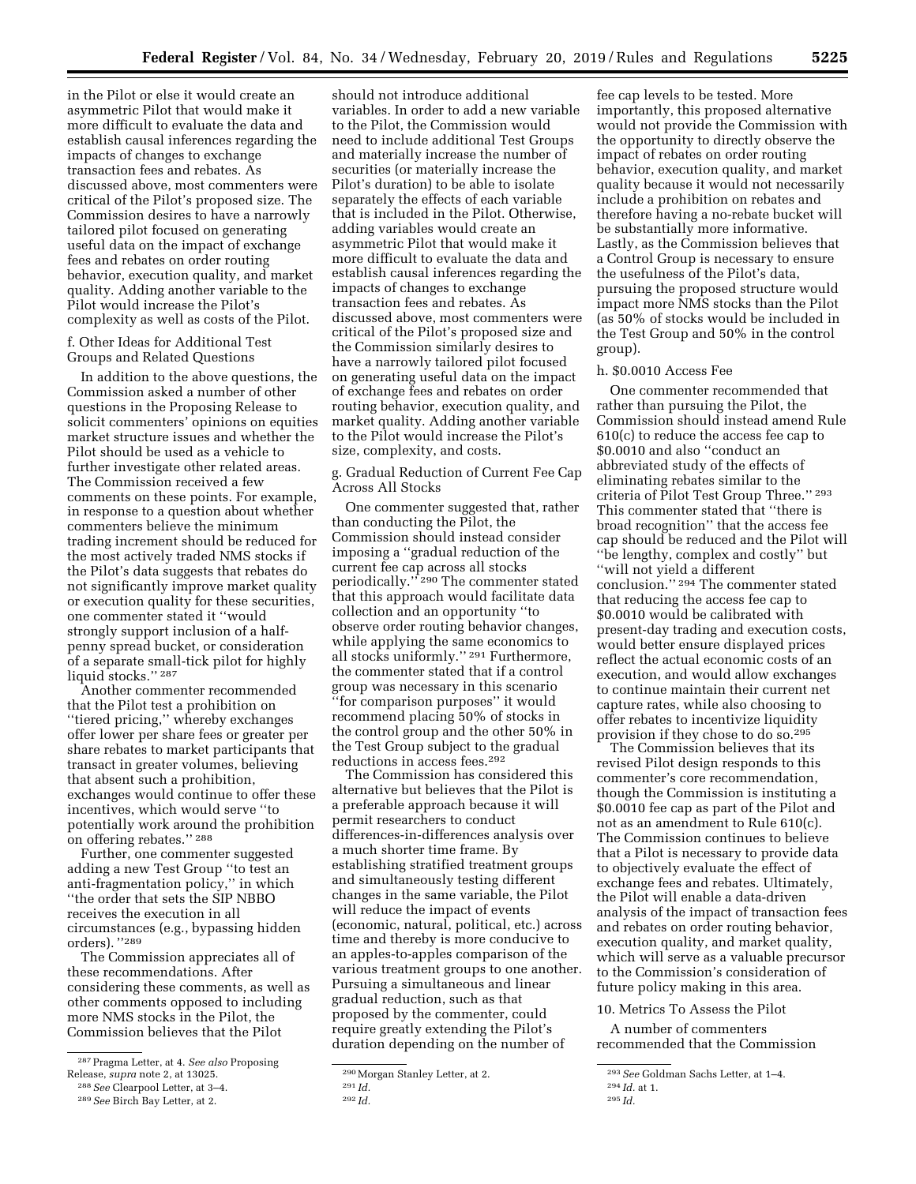in the Pilot or else it would create an asymmetric Pilot that would make it more difficult to evaluate the data and establish causal inferences regarding the impacts of changes to exchange transaction fees and rebates. As discussed above, most commenters were critical of the Pilot's proposed size. The Commission desires to have a narrowly tailored pilot focused on generating useful data on the impact of exchange fees and rebates on order routing behavior, execution quality, and market quality. Adding another variable to the Pilot would increase the Pilot's complexity as well as costs of the Pilot.

f. Other Ideas for Additional Test Groups and Related Questions

In addition to the above questions, the Commission asked a number of other questions in the Proposing Release to solicit commenters' opinions on equities market structure issues and whether the Pilot should be used as a vehicle to further investigate other related areas. The Commission received a few comments on these points. For example, in response to a question about whether commenters believe the minimum trading increment should be reduced for the most actively traded NMS stocks if the Pilot's data suggests that rebates do not significantly improve market quality or execution quality for these securities, one commenter stated it ''would strongly support inclusion of a halfpenny spread bucket, or consideration of a separate small-tick pilot for highly liquid stocks.'' 287

Another commenter recommended that the Pilot test a prohibition on ''tiered pricing,'' whereby exchanges offer lower per share fees or greater per share rebates to market participants that transact in greater volumes, believing that absent such a prohibition, exchanges would continue to offer these incentives, which would serve ''to potentially work around the prohibition on offering rebates.'' 288

Further, one commenter suggested adding a new Test Group ''to test an anti-fragmentation policy,'' in which ''the order that sets the SIP NBBO receives the execution in all circumstances (e.g., bypassing hidden orders). ''289

The Commission appreciates all of these recommendations. After considering these comments, as well as other comments opposed to including more NMS stocks in the Pilot, the Commission believes that the Pilot

should not introduce additional variables. In order to add a new variable to the Pilot, the Commission would need to include additional Test Groups and materially increase the number of securities (or materially increase the Pilot's duration) to be able to isolate separately the effects of each variable that is included in the Pilot. Otherwise, adding variables would create an asymmetric Pilot that would make it more difficult to evaluate the data and establish causal inferences regarding the impacts of changes to exchange transaction fees and rebates. As discussed above, most commenters were critical of the Pilot's proposed size and the Commission similarly desires to have a narrowly tailored pilot focused on generating useful data on the impact of exchange fees and rebates on order routing behavior, execution quality, and market quality. Adding another variable to the Pilot would increase the Pilot's size, complexity, and costs.

g. Gradual Reduction of Current Fee Cap Across All Stocks

One commenter suggested that, rather than conducting the Pilot, the Commission should instead consider imposing a ''gradual reduction of the current fee cap across all stocks periodically.'' 290 The commenter stated that this approach would facilitate data collection and an opportunity ''to observe order routing behavior changes, while applying the same economics to all stocks uniformly.'' 291 Furthermore, the commenter stated that if a control group was necessary in this scenario ''for comparison purposes'' it would recommend placing 50% of stocks in the control group and the other 50% in the Test Group subject to the gradual reductions in access fees.292

The Commission has considered this alternative but believes that the Pilot is a preferable approach because it will permit researchers to conduct differences-in-differences analysis over a much shorter time frame. By establishing stratified treatment groups and simultaneously testing different changes in the same variable, the Pilot will reduce the impact of events (economic, natural, political, etc.) across time and thereby is more conducive to an apples-to-apples comparison of the various treatment groups to one another. Pursuing a simultaneous and linear gradual reduction, such as that proposed by the commenter, could require greatly extending the Pilot's duration depending on the number of

fee cap levels to be tested. More importantly, this proposed alternative would not provide the Commission with the opportunity to directly observe the impact of rebates on order routing behavior, execution quality, and market quality because it would not necessarily include a prohibition on rebates and therefore having a no-rebate bucket will be substantially more informative. Lastly, as the Commission believes that a Control Group is necessary to ensure the usefulness of the Pilot's data, pursuing the proposed structure would impact more NMS stocks than the Pilot (as 50% of stocks would be included in the Test Group and 50% in the control group).

#### h. \$0.0010 Access Fee

One commenter recommended that rather than pursuing the Pilot, the Commission should instead amend Rule 610(c) to reduce the access fee cap to \$0.0010 and also ''conduct an abbreviated study of the effects of eliminating rebates similar to the criteria of Pilot Test Group Three.'' 293 This commenter stated that ''there is broad recognition'' that the access fee cap should be reduced and the Pilot will ''be lengthy, complex and costly'' but ''will not yield a different conclusion.'' 294 The commenter stated that reducing the access fee cap to \$0.0010 would be calibrated with

present-day trading and execution costs, would better ensure displayed prices reflect the actual economic costs of an execution, and would allow exchanges to continue maintain their current net capture rates, while also choosing to offer rebates to incentivize liquidity provision if they chose to do so.295

The Commission believes that its revised Pilot design responds to this commenter's core recommendation, though the Commission is instituting a \$0.0010 fee cap as part of the Pilot and not as an amendment to Rule 610(c). The Commission continues to believe that a Pilot is necessary to provide data to objectively evaluate the effect of exchange fees and rebates. Ultimately, the Pilot will enable a data-driven analysis of the impact of transaction fees and rebates on order routing behavior, execution quality, and market quality, which will serve as a valuable precursor to the Commission's consideration of future policy making in this area.

10. Metrics To Assess the Pilot

A number of commenters recommended that the Commission

<sup>287</sup>Pragma Letter, at 4. *See also* Proposing Release, *supra* note 2, at 13025. 288*See* Clearpool Letter, at 3–4.

<sup>289</sup>*See* Birch Bay Letter, at 2.

<sup>290</sup>Morgan Stanley Letter, at 2.

<sup>291</sup> *Id.* 

<sup>292</sup> *Id.* 

<sup>293</sup>*See* Goldman Sachs Letter, at 1–4.

<sup>294</sup> *Id.* at 1.

<sup>295</sup> *Id.*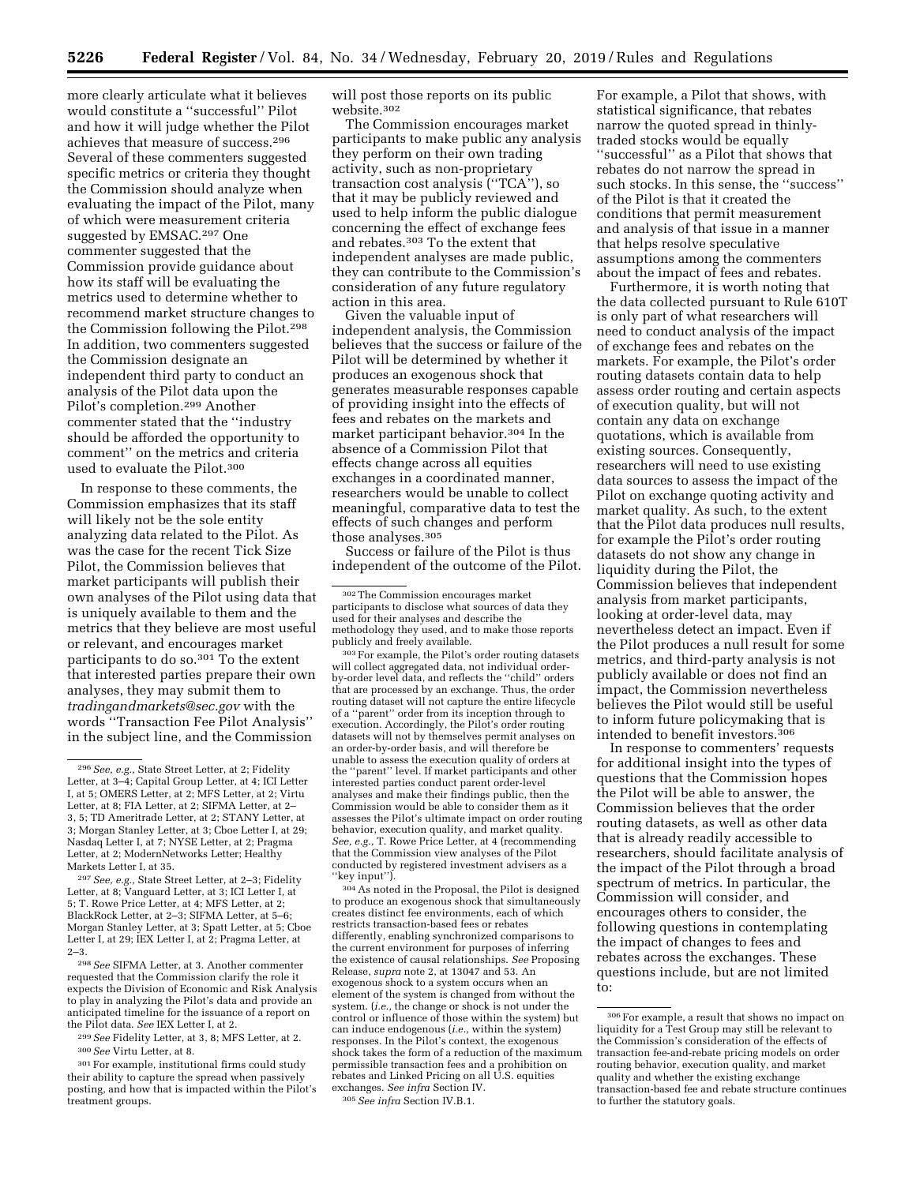more clearly articulate what it believes would constitute a ''successful'' Pilot and how it will judge whether the Pilot achieves that measure of success.296 Several of these commenters suggested specific metrics or criteria they thought the Commission should analyze when evaluating the impact of the Pilot, many of which were measurement criteria suggested by EMSAC.297 One commenter suggested that the Commission provide guidance about how its staff will be evaluating the metrics used to determine whether to recommend market structure changes to the Commission following the Pilot.298 In addition, two commenters suggested the Commission designate an independent third party to conduct an analysis of the Pilot data upon the Pilot's completion.299 Another commenter stated that the ''industry should be afforded the opportunity to comment'' on the metrics and criteria used to evaluate the Pilot.300

In response to these comments, the Commission emphasizes that its staff will likely not be the sole entity analyzing data related to the Pilot. As was the case for the recent Tick Size Pilot, the Commission believes that market participants will publish their own analyses of the Pilot using data that is uniquely available to them and the metrics that they believe are most useful or relevant, and encourages market participants to do so.<sup>301</sup> To the extent that interested parties prepare their own analyses, they may submit them to *[tradingandmarkets@sec.gov](mailto:tradingandmarkets@sec.gov)* with the words ''Transaction Fee Pilot Analysis'' in the subject line, and the Commission

298*See* SIFMA Letter, at 3. Another commenter requested that the Commission clarify the role it expects the Division of Economic and Risk Analysis to play in analyzing the Pilot's data and provide an anticipated timeline for the issuance of a report on the Pilot data. *See* IEX Letter I, at 2.

299*See* Fidelity Letter, at 3, 8; MFS Letter, at 2. 300*See* Virtu Letter, at 8.

301For example, institutional firms could study their ability to capture the spread when passively posting, and how that is impacted within the Pilot's treatment groups.

will post those reports on its public website.302

The Commission encourages market participants to make public any analysis they perform on their own trading activity, such as non-proprietary transaction cost analysis (''TCA''), so that it may be publicly reviewed and used to help inform the public dialogue concerning the effect of exchange fees and rebates.303 To the extent that independent analyses are made public, they can contribute to the Commission's consideration of any future regulatory action in this area.

Given the valuable input of independent analysis, the Commission believes that the success or failure of the Pilot will be determined by whether it produces an exogenous shock that generates measurable responses capable of providing insight into the effects of fees and rebates on the markets and market participant behavior.304 In the absence of a Commission Pilot that effects change across all equities exchanges in a coordinated manner, researchers would be unable to collect meaningful, comparative data to test the effects of such changes and perform those analyses.305

Success or failure of the Pilot is thus independent of the outcome of the Pilot.

<sup>303</sup> For example, the Pilot's order routing datasets will collect aggregated data, not individual orderby-order level data, and reflects the ''child'' orders that are processed by an exchange. Thus, the order routing dataset will not capture the entire lifecycle of a ''parent'' order from its inception through to execution. Accordingly, the Pilot's order routing datasets will not by themselves permit analyses on an order-by-order basis, and will therefore be unable to assess the execution quality of orders at the ''parent'' level. If market participants and other interested parties conduct parent order-level analyses and make their findings public, then the Commission would be able to consider them as it assesses the Pilot's ultimate impact on order routing behavior, execution quality, and market quality. *See, e.g.,* T. Rowe Price Letter, at 4 (recommending that the Commission view analyses of the Pilot conducted by registered investment advisers as a ''key input'').

304As noted in the Proposal, the Pilot is designed to produce an exogenous shock that simultaneously creates distinct fee environments, each of which restricts transaction-based fees or rebates differently, enabling synchronized comparisons to the current environment for purposes of inferring the existence of causal relationships. *See* Proposing Release, *supra* note 2, at 13047 and 53. An exogenous shock to a system occurs when an element of the system is changed from without the system. (*i.e.,* the change or shock is not under the control or influence of those within the system) but can induce endogenous (*i.e.,* within the system) responses. In the Pilot's context, the exogenous shock takes the form of a reduction of the maximum permissible transaction fees and a prohibition on rebates and Linked Pricing on all U.S. equities exchanges. *See infra* Section IV. 305*See infra* Section IV.B.1.

For example, a Pilot that shows, with statistical significance, that rebates narrow the quoted spread in thinlytraded stocks would be equally ''successful'' as a Pilot that shows that rebates do not narrow the spread in such stocks. In this sense, the ''success'' of the Pilot is that it created the conditions that permit measurement and analysis of that issue in a manner that helps resolve speculative assumptions among the commenters about the impact of fees and rebates.

Furthermore, it is worth noting that the data collected pursuant to Rule 610T is only part of what researchers will need to conduct analysis of the impact of exchange fees and rebates on the markets. For example, the Pilot's order routing datasets contain data to help assess order routing and certain aspects of execution quality, but will not contain any data on exchange quotations, which is available from existing sources. Consequently, researchers will need to use existing data sources to assess the impact of the Pilot on exchange quoting activity and market quality. As such, to the extent that the Pilot data produces null results, for example the Pilot's order routing datasets do not show any change in liquidity during the Pilot, the Commission believes that independent analysis from market participants, looking at order-level data, may nevertheless detect an impact. Even if the Pilot produces a null result for some metrics, and third-party analysis is not publicly available or does not find an impact, the Commission nevertheless believes the Pilot would still be useful to inform future policymaking that is intended to benefit investors.306

In response to commenters' requests for additional insight into the types of questions that the Commission hopes the Pilot will be able to answer, the Commission believes that the order routing datasets, as well as other data that is already readily accessible to researchers, should facilitate analysis of the impact of the Pilot through a broad spectrum of metrics. In particular, the Commission will consider, and encourages others to consider, the following questions in contemplating the impact of changes to fees and rebates across the exchanges. These questions include, but are not limited to:

<sup>296</sup>*See, e.g.,* State Street Letter, at 2; Fidelity Letter, at 3–4; Capital Group Letter, at 4; ICI Letter I, at 5; OMERS Letter, at 2; MFS Letter, at 2; Virtu Letter, at 8; FIA Letter, at 2; SIFMA Letter, at 2– 3, 5; TD Ameritrade Letter, at 2; STANY Letter, at 3; Morgan Stanley Letter, at 3; Cboe Letter I, at 29; Nasdaq Letter I, at 7; NYSE Letter, at 2; Pragma Letter, at 2; ModernNetworks Letter; Healthy Markets Letter I, at 35.

<sup>297</sup>*See, e.g.,* State Street Letter, at 2–3; Fidelity Letter, at 8; Vanguard Letter, at 3; ICI Letter I, at 5; T. Rowe Price Letter, at 4; MFS Letter, at 2; BlackRock Letter, at 2–3; SIFMA Letter, at 5–6; Morgan Stanley Letter, at 3; Spatt Letter, at 5; Cboe Letter I, at 29; IEX Letter I, at 2; Pragma Letter, at  $2 - 3$ .

<sup>302</sup>The Commission encourages market participants to disclose what sources of data they used for their analyses and describe the methodology they used, and to make those reports

<sup>306</sup>For example, a result that shows no impact on liquidity for a Test Group may still be relevant to the Commission's consideration of the effects of transaction fee-and-rebate pricing models on order routing behavior, execution quality, and market quality and whether the existing exchange transaction-based fee and rebate structure continues to further the statutory goals.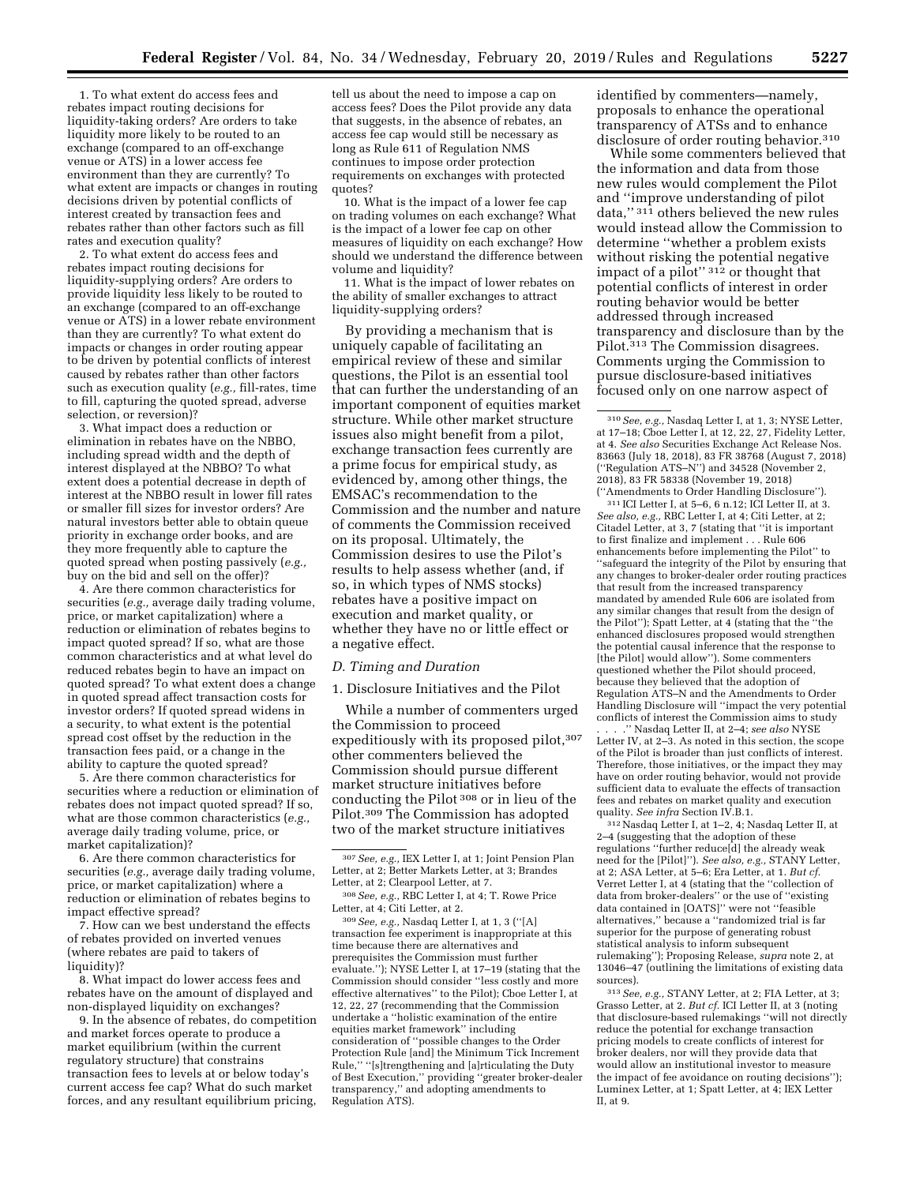1. To what extent do access fees and rebates impact routing decisions for liquidity-taking orders? Are orders to take liquidity more likely to be routed to an exchange (compared to an off-exchange venue or ATS) in a lower access fee environment than they are currently? To what extent are impacts or changes in routing decisions driven by potential conflicts of interest created by transaction fees and rebates rather than other factors such as fill rates and execution quality?

2. To what extent do access fees and rebates impact routing decisions for liquidity-supplying orders? Are orders to provide liquidity less likely to be routed to an exchange (compared to an off-exchange venue or ATS) in a lower rebate environment than they are currently? To what extent do impacts or changes in order routing appear to be driven by potential conflicts of interest caused by rebates rather than other factors such as execution quality (*e.g.,* fill-rates, time to fill, capturing the quoted spread, adverse selection, or reversion)?

3. What impact does a reduction or elimination in rebates have on the NBBO, including spread width and the depth of interest displayed at the NBBO? To what extent does a potential decrease in depth of interest at the NBBO result in lower fill rates or smaller fill sizes for investor orders? Are natural investors better able to obtain queue priority in exchange order books, and are they more frequently able to capture the quoted spread when posting passively (*e.g.,*  buy on the bid and sell on the offer)?

4. Are there common characteristics for securities (*e.g.,* average daily trading volume, price, or market capitalization) where a reduction or elimination of rebates begins to impact quoted spread? If so, what are those common characteristics and at what level do reduced rebates begin to have an impact on quoted spread? To what extent does a change in quoted spread affect transaction costs for investor orders? If quoted spread widens in a security, to what extent is the potential spread cost offset by the reduction in the transaction fees paid, or a change in the ability to capture the quoted spread?

5. Are there common characteristics for securities where a reduction or elimination of rebates does not impact quoted spread? If so, what are those common characteristics (*e.g.,*  average daily trading volume, price, or market capitalization)?

6. Are there common characteristics for securities (*e.g.,* average daily trading volume, price, or market capitalization) where a reduction or elimination of rebates begins to impact effective spread?

7. How can we best understand the effects of rebates provided on inverted venues (where rebates are paid to takers of liquidity)?

8. What impact do lower access fees and rebates have on the amount of displayed and non-displayed liquidity on exchanges?

9. In the absence of rebates, do competition and market forces operate to produce a market equilibrium (within the current regulatory structure) that constrains transaction fees to levels at or below today's current access fee cap? What do such market forces, and any resultant equilibrium pricing,

tell us about the need to impose a cap on access fees? Does the Pilot provide any data that suggests, in the absence of rebates, an access fee cap would still be necessary as long as Rule 611 of Regulation NMS continues to impose order protection requirements on exchanges with protected quotes?

10. What is the impact of a lower fee cap on trading volumes on each exchange? What is the impact of a lower fee cap on other measures of liquidity on each exchange? How should we understand the difference between volume and liquidity?

11. What is the impact of lower rebates on the ability of smaller exchanges to attract liquidity-supplying orders?

By providing a mechanism that is uniquely capable of facilitating an empirical review of these and similar questions, the Pilot is an essential tool that can further the understanding of an important component of equities market structure. While other market structure issues also might benefit from a pilot, exchange transaction fees currently are a prime focus for empirical study, as evidenced by, among other things, the EMSAC's recommendation to the Commission and the number and nature of comments the Commission received on its proposal. Ultimately, the Commission desires to use the Pilot's results to help assess whether (and, if so, in which types of NMS stocks) rebates have a positive impact on execution and market quality, or whether they have no or little effect or a negative effect.

#### *D. Timing and Duration*

1. Disclosure Initiatives and the Pilot

While a number of commenters urged the Commission to proceed expeditiously with its proposed pilot, 307 other commenters believed the Commission should pursue different market structure initiatives before conducting the Pilot 308 or in lieu of the Pilot.309 The Commission has adopted two of the market structure initiatives

309*See, e.g.,* Nasdaq Letter I, at 1, 3 (''[A] transaction fee experiment is inappropriate at this time because there are alternatives and prerequisites the Commission must further evaluate.''); NYSE Letter I, at 17–19 (stating that the Commission should consider ''less costly and more effective alternatives'' to the Pilot); Cboe Letter I, at 12, 22, 27 (recommending that the Commission undertake a ''holistic examination of the entire equities market framework'' including consideration of ''possible changes to the Order Protection Rule [and] the Minimum Tick Increment Rule,'' ''[s]trengthening and [a]rticulating the Duty of Best Execution,'' providing ''greater broker-dealer transparency,'' and adopting amendments to Regulation ATS).

identified by commenters—namely, proposals to enhance the operational transparency of ATSs and to enhance disclosure of order routing behavior.310

While some commenters believed that the information and data from those new rules would complement the Pilot and ''improve understanding of pilot data,'' 311 others believed the new rules would instead allow the Commission to determine ''whether a problem exists without risking the potential negative impact of a pilot'' 312 or thought that potential conflicts of interest in order routing behavior would be better addressed through increased transparency and disclosure than by the Pilot.313 The Commission disagrees. Comments urging the Commission to pursue disclosure-based initiatives focused only on one narrow aspect of

311 ICI Letter I, at 5–6, 6 n.12; ICI Letter II, at 3. *See also, e.g.,* RBC Letter I, at 4; Citi Letter, at 2; Citadel Letter, at 3, 7 (stating that ''it is important to first finalize and implement . . . Rule 606 enhancements before implementing the Pilot'' to ''safeguard the integrity of the Pilot by ensuring that any changes to broker-dealer order routing practices that result from the increased transparency mandated by amended Rule 606 are isolated from any similar changes that result from the design of the Pilot''); Spatt Letter, at 4 (stating that the ''the enhanced disclosures proposed would strengthen the potential causal inference that the response to [the Pilot] would allow''). Some commenters questioned whether the Pilot should proceed, because they believed that the adoption of Regulation ATS–N and the Amendments to Order Handling Disclosure will ''impact the very potential conflicts of interest the Commission aims to study

. . . .'' Nasdaq Letter II, at 2–4; *see also* NYSE Letter IV, at 2–3. As noted in this section, the scope of the Pilot is broader than just conflicts of interest. Therefore, those initiatives, or the impact they may have on order routing behavior, would not provide sufficient data to evaluate the effects of transaction fees and rebates on market quality and execution quality. *See infra* Section IV.B.1.

312Nasdaq Letter I, at 1–2, 4; Nasdaq Letter II, at 2–4 (suggesting that the adoption of these regulations ''further reduce[d] the already weak need for the [Pilot]''). *See also, e.g.,* STANY Letter, at 2; ASA Letter, at 5–6; Era Letter, at 1. *But cf.*  Verret Letter I, at 4 (stating that the ''collection of data from broker-dealers'' or the use of ''existing data contained in [OATS]'' were not ''feasible alternatives,'' because a ''randomized trial is far superior for the purpose of generating robust statistical analysis to inform subsequent rulemaking''); Proposing Release, *supra* note 2, at 13046–47 (outlining the limitations of existing data sources).

313*See, e.g.,* STANY Letter, at 2; FIA Letter, at 3; Grasso Letter, at 2. *But cf.* ICI Letter II, at 3 (noting that disclosure-based rulemakings ''will not directly reduce the potential for exchange transaction pricing models to create conflicts of interest for broker dealers, nor will they provide data that would allow an institutional investor to measure the impact of fee avoidance on routing decisions''); Luminex Letter, at 1; Spatt Letter, at 4; IEX Letter II, at 9.

<sup>307</sup>*See, e.g.,* IEX Letter I, at 1; Joint Pension Plan Letter, at 2; Better Markets Letter, at 3; Brandes Letter, at 2; Clearpool Letter, at 7.

<sup>308</sup>*See, e.g.,* RBC Letter I, at 4; T. Rowe Price Letter, at 4; Citi Letter, at 2.

<sup>310</sup>*See, e.g.,* Nasdaq Letter I, at 1, 3; NYSE Letter, at 17–18; Cboe Letter I, at 12, 22, 27, Fidelity Letter, at 4. *See also* Securities Exchange Act Release Nos. 83663 (July 18, 2018), 83 FR 38768 (August 7, 2018) (''Regulation ATS–N'') and 34528 (November 2, 2018), 83 FR 58338 (November 19, 2018) (''Amendments to Order Handling Disclosure'').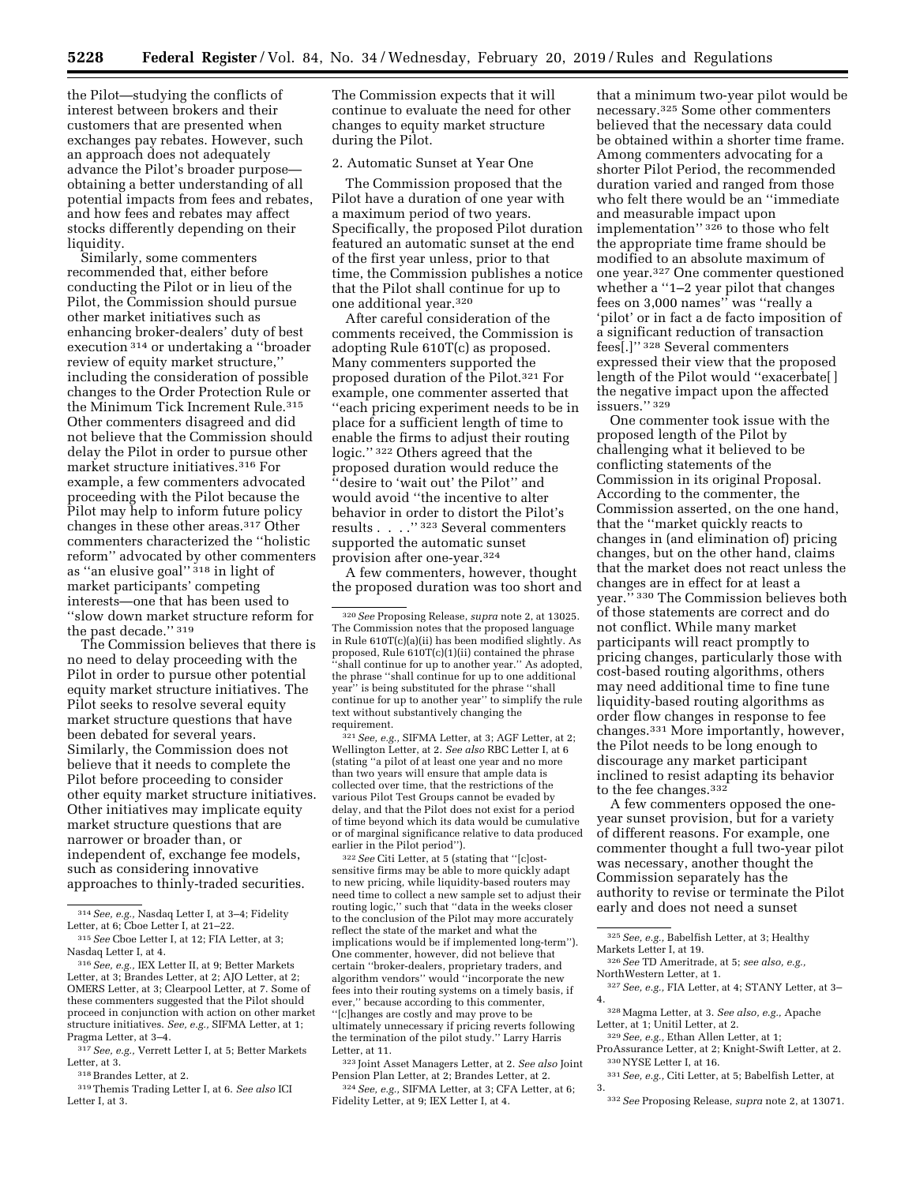the Pilot—studying the conflicts of interest between brokers and their customers that are presented when exchanges pay rebates. However, such an approach does not adequately advance the Pilot's broader purpose obtaining a better understanding of all potential impacts from fees and rebates, and how fees and rebates may affect stocks differently depending on their liquidity.

Similarly, some commenters recommended that, either before conducting the Pilot or in lieu of the Pilot, the Commission should pursue other market initiatives such as enhancing broker-dealers' duty of best execution 314 or undertaking a ''broader review of equity market structure,'' including the consideration of possible changes to the Order Protection Rule or the Minimum Tick Increment Rule.315 Other commenters disagreed and did not believe that the Commission should delay the Pilot in order to pursue other market structure initiatives.316 For example, a few commenters advocated proceeding with the Pilot because the Pilot may help to inform future policy changes in these other areas.317 Other commenters characterized the ''holistic reform'' advocated by other commenters as ''an elusive goal'' 318 in light of market participants' competing interests—one that has been used to ''slow down market structure reform for the past decade.'' 319

The Commission believes that there is no need to delay proceeding with the Pilot in order to pursue other potential equity market structure initiatives. The Pilot seeks to resolve several equity market structure questions that have been debated for several years. Similarly, the Commission does not believe that it needs to complete the Pilot before proceeding to consider other equity market structure initiatives. Other initiatives may implicate equity market structure questions that are narrower or broader than, or independent of, exchange fee models, such as considering innovative approaches to thinly-traded securities.

 $^{\rm 318}\!\!$  Brandes Letter, at 2.

319Themis Trading Letter I, at 6. *See also* ICI Letter I, at 3.

The Commission expects that it will continue to evaluate the need for other changes to equity market structure during the Pilot.

## 2. Automatic Sunset at Year One

The Commission proposed that the Pilot have a duration of one year with a maximum period of two years. Specifically, the proposed Pilot duration featured an automatic sunset at the end of the first year unless, prior to that time, the Commission publishes a notice that the Pilot shall continue for up to one additional year.320

After careful consideration of the comments received, the Commission is adopting Rule 610T(c) as proposed. Many commenters supported the proposed duration of the Pilot.321 For example, one commenter asserted that ''each pricing experiment needs to be in place for a sufficient length of time to enable the firms to adjust their routing logic.'' 322 Others agreed that the proposed duration would reduce the ''desire to 'wait out' the Pilot'' and would avoid ''the incentive to alter behavior in order to distort the Pilot's results . . . .'' 323 Several commenters supported the automatic sunset provision after one-year.324

A few commenters, however, thought the proposed duration was too short and

321*See, e.g.,* SIFMA Letter, at 3; AGF Letter, at 2; Wellington Letter, at 2. *See also* RBC Letter I, at 6 (stating ''a pilot of at least one year and no more than two years will ensure that ample data is collected over time, that the restrictions of the various Pilot Test Groups cannot be evaded by delay, and that the Pilot does not exist for a period of time beyond which its data would be cumulative or of marginal significance relative to data produced earlier in the Pilot period").

322*See* Citi Letter, at 5 (stating that ''[c]ostsensitive firms may be able to more quickly adapt to new pricing, while liquidity-based routers may need time to collect a new sample set to adjust their routing logic,'' such that ''data in the weeks closer to the conclusion of the Pilot may more accurately reflect the state of the market and what the implications would be if implemented long-term''). One commenter, however, did not believe that certain ''broker-dealers, proprietary traders, and algorithm vendors'' would ''incorporate the new fees into their routing systems on a timely basis, if ever,'' because according to this commenter, ''[c]hanges are costly and may prove to be ultimately unnecessary if pricing reverts following the termination of the pilot study.'' Larry Harris Letter, at 11.

323 Joint Asset Managers Letter, at 2. *See also* Joint Pension Plan Letter, at 2; Brandes Letter, at 2.

324*See, e.g.,* SIFMA Letter, at 3; CFA Letter, at 6; Fidelity Letter, at 9; IEX Letter I, at 4.

that a minimum two-year pilot would be necessary.325 Some other commenters believed that the necessary data could be obtained within a shorter time frame. Among commenters advocating for a shorter Pilot Period, the recommended duration varied and ranged from those who felt there would be an ''immediate and measurable impact upon implementation'' 326 to those who felt the appropriate time frame should be modified to an absolute maximum of one year.327 One commenter questioned whether a ''1–2 year pilot that changes fees on 3,000 names'' was ''really a 'pilot' or in fact a de facto imposition of a significant reduction of transaction fees[.]'' 328 Several commenters expressed their view that the proposed length of the Pilot would ''exacerbate[ ] the negative impact upon the affected issuers.'' 329

One commenter took issue with the proposed length of the Pilot by challenging what it believed to be conflicting statements of the Commission in its original Proposal. According to the commenter, the Commission asserted, on the one hand, that the ''market quickly reacts to changes in (and elimination of) pricing changes, but on the other hand, claims that the market does not react unless the changes are in effect for at least a year.'' 330 The Commission believes both of those statements are correct and do not conflict. While many market participants will react promptly to pricing changes, particularly those with cost-based routing algorithms, others may need additional time to fine tune liquidity-based routing algorithms as order flow changes in response to fee changes.331 More importantly, however, the Pilot needs to be long enough to discourage any market participant inclined to resist adapting its behavior to the fee changes.332

A few commenters opposed the oneyear sunset provision, but for a variety of different reasons. For example, one commenter thought a full two-year pilot was necessary, another thought the Commission separately has the authority to revise or terminate the Pilot early and does not need a sunset

NorthWestern Letter, at 1.

327*See, e.g.,* FIA Letter, at 4; STANY Letter, at 3– 4.

328Magma Letter, at 3. *See also, e.g.,* Apache Letter, at 1; Unitil Letter, at 2.

- 329*See, e.g.,* Ethan Allen Letter, at 1; ProAssurance Letter, at 2; Knight-Swift Letter, at 2.
- 330NYSE Letter I, at 16.

331*See, e.g.,* Citi Letter, at 5; Babelfish Letter, at 3.

<sup>314</sup>*See, e.g.,* Nasdaq Letter I, at 3–4; Fidelity Letter, at 6; Cboe Letter I, at 21–22.

<sup>315</sup>*See* Cboe Letter I, at 12; FIA Letter, at 3; Nasdaq Letter I, at 4.

<sup>316</sup>*See, e.g.,* IEX Letter II, at 9; Better Markets Letter, at 3; Brandes Letter, at 2; AJO Letter, at 2; OMERS Letter, at 3; Clearpool Letter, at 7. Some of these commenters suggested that the Pilot should proceed in conjunction with action on other market structure initiatives. *See, e.g.,* SIFMA Letter, at 1; Pragma Letter, at 3–4.

<sup>317</sup>*See, e.g.,* Verrett Letter I, at 5; Better Markets Letter, at 3.

<sup>320</sup>*See* Proposing Release, *supra* note 2, at 13025. The Commission notes that the proposed language in Rule 610T(c)(a)(ii) has been modified slightly. As proposed, Rule 610T(c)(1)(ii) contained the phrase ''shall continue for up to another year.'' As adopted, the phrase ''shall continue for up to one additional year'' is being substituted for the phrase ''shall continue for up to another year'' to simplify the rule text without substantively changing the requirement.

<sup>325</sup>*See, e.g.,* Babelfish Letter, at 3; Healthy Markets Letter I, at 19. 326*See* TD Ameritrade, at 5; *see also, e.g.,* 

<sup>332</sup>*See* Proposing Release, *supra* note 2, at 13071.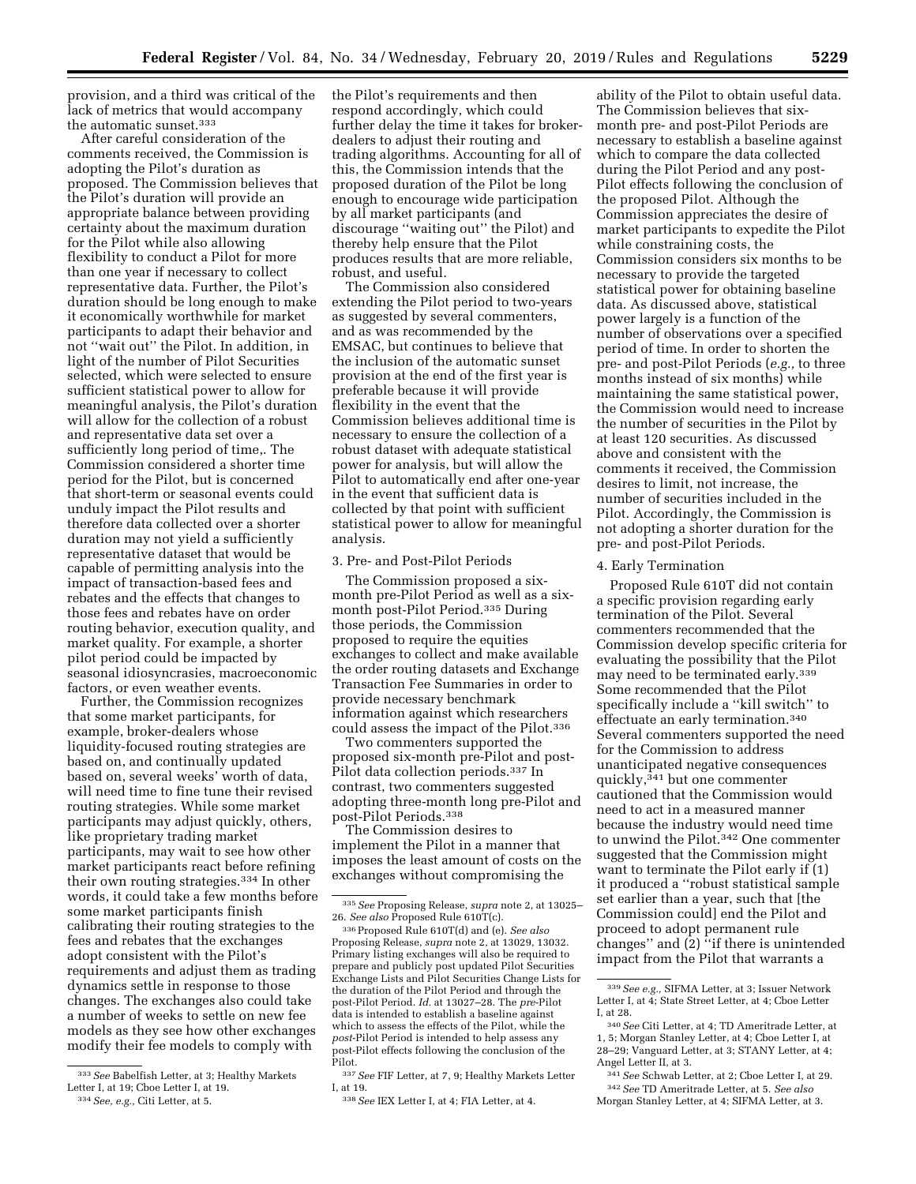provision, and a third was critical of the lack of metrics that would accompany the automatic sunset.333

After careful consideration of the comments received, the Commission is adopting the Pilot's duration as proposed. The Commission believes that the Pilot's duration will provide an appropriate balance between providing certainty about the maximum duration for the Pilot while also allowing flexibility to conduct a Pilot for more than one year if necessary to collect representative data. Further, the Pilot's duration should be long enough to make it economically worthwhile for market participants to adapt their behavior and not ''wait out'' the Pilot. In addition, in light of the number of Pilot Securities selected, which were selected to ensure sufficient statistical power to allow for meaningful analysis, the Pilot's duration will allow for the collection of a robust and representative data set over a sufficiently long period of time,. The Commission considered a shorter time period for the Pilot, but is concerned that short-term or seasonal events could unduly impact the Pilot results and therefore data collected over a shorter duration may not yield a sufficiently representative dataset that would be capable of permitting analysis into the impact of transaction-based fees and rebates and the effects that changes to those fees and rebates have on order routing behavior, execution quality, and market quality. For example, a shorter pilot period could be impacted by seasonal idiosyncrasies, macroeconomic factors, or even weather events.

Further, the Commission recognizes that some market participants, for example, broker-dealers whose liquidity-focused routing strategies are based on, and continually updated based on, several weeks' worth of data, will need time to fine tune their revised routing strategies. While some market participants may adjust quickly, others, like proprietary trading market participants, may wait to see how other market participants react before refining their own routing strategies.334 In other words, it could take a few months before some market participants finish calibrating their routing strategies to the fees and rebates that the exchanges adopt consistent with the Pilot's requirements and adjust them as trading dynamics settle in response to those changes. The exchanges also could take a number of weeks to settle on new fee models as they see how other exchanges modify their fee models to comply with

the Pilot's requirements and then respond accordingly, which could further delay the time it takes for brokerdealers to adjust their routing and trading algorithms. Accounting for all of this, the Commission intends that the proposed duration of the Pilot be long enough to encourage wide participation by all market participants (and discourage ''waiting out'' the Pilot) and thereby help ensure that the Pilot produces results that are more reliable, robust, and useful.

The Commission also considered extending the Pilot period to two-years as suggested by several commenters, and as was recommended by the EMSAC, but continues to believe that the inclusion of the automatic sunset provision at the end of the first year is preferable because it will provide flexibility in the event that the Commission believes additional time is necessary to ensure the collection of a robust dataset with adequate statistical power for analysis, but will allow the Pilot to automatically end after one-year in the event that sufficient data is collected by that point with sufficient statistical power to allow for meaningful analysis.

## 3. Pre- and Post-Pilot Periods

The Commission proposed a sixmonth pre-Pilot Period as well as a sixmonth post-Pilot Period.335 During those periods, the Commission proposed to require the equities exchanges to collect and make available the order routing datasets and Exchange Transaction Fee Summaries in order to provide necessary benchmark information against which researchers could assess the impact of the Pilot.336

Two commenters supported the proposed six-month pre-Pilot and post-Pilot data collection periods.337 In contrast, two commenters suggested adopting three-month long pre-Pilot and post-Pilot Periods.338

The Commission desires to implement the Pilot in a manner that imposes the least amount of costs on the exchanges without compromising the

337*See* FIF Letter, at 7, 9; Healthy Markets Letter I, at 19.

ability of the Pilot to obtain useful data. The Commission believes that sixmonth pre- and post-Pilot Periods are necessary to establish a baseline against which to compare the data collected during the Pilot Period and any post-Pilot effects following the conclusion of the proposed Pilot. Although the Commission appreciates the desire of market participants to expedite the Pilot while constraining costs, the Commission considers six months to be necessary to provide the targeted statistical power for obtaining baseline data. As discussed above, statistical power largely is a function of the number of observations over a specified period of time. In order to shorten the pre- and post-Pilot Periods (*e.g.,* to three months instead of six months) while maintaining the same statistical power, the Commission would need to increase the number of securities in the Pilot by at least 120 securities. As discussed above and consistent with the comments it received, the Commission desires to limit, not increase, the number of securities included in the Pilot. Accordingly, the Commission is not adopting a shorter duration for the pre- and post-Pilot Periods.

#### 4. Early Termination

Proposed Rule 610T did not contain a specific provision regarding early termination of the Pilot. Several commenters recommended that the Commission develop specific criteria for evaluating the possibility that the Pilot may need to be terminated early.339 Some recommended that the Pilot specifically include a ''kill switch'' to effectuate an early termination.340 Several commenters supported the need for the Commission to address unanticipated negative consequences quickly,<sup>341</sup> but one commenter cautioned that the Commission would need to act in a measured manner because the industry would need time to unwind the Pilot.342 One commenter suggested that the Commission might want to terminate the Pilot early if (1) it produced a ''robust statistical sample set earlier than a year, such that [the Commission could] end the Pilot and proceed to adopt permanent rule changes" and  $(2)$  "if there is unintended impact from the Pilot that warrants a

<sup>333</sup>*See* Babelfish Letter, at 3; Healthy Markets Letter I, at 19; Cboe Letter I, at 19. 334*See, e.g.,* Citi Letter, at 5.

<sup>335</sup>*See* Proposing Release, *supra* note 2, at 13025– 26. *See also* Proposed Rule 610T(c).

<sup>336</sup>Proposed Rule 610T(d) and (e). *See also*  Proposing Release, *supra* note 2, at 13029, 13032. Primary listing exchanges will also be required to prepare and publicly post updated Pilot Securities Exchange Lists and Pilot Securities Change Lists for the duration of the Pilot Period and through the post-Pilot Period. *Id.* at 13027–28. The *pre*-Pilot data is intended to establish a baseline against which to assess the effects of the Pilot, while the *post*-Pilot Period is intended to help assess any post-Pilot effects following the conclusion of the Pilot.

<sup>338</sup>*See* IEX Letter I, at 4; FIA Letter, at 4.

<sup>339</sup>*See e.g.,* SIFMA Letter, at 3; Issuer Network Letter I, at 4; State Street Letter, at 4; Cboe Letter I, at 28.

<sup>340</sup>*See* Citi Letter, at 4; TD Ameritrade Letter, at 1, 5; Morgan Stanley Letter, at 4; Cboe Letter I, at 28–29; Vanguard Letter, at 3; STANY Letter, at 4; Angel Letter II, at 3.

<sup>341</sup>*See* Schwab Letter, at 2; Cboe Letter I, at 29. 342*See* TD Ameritrade Letter, at 5. *See also*  Morgan Stanley Letter, at 4; SIFMA Letter, at 3.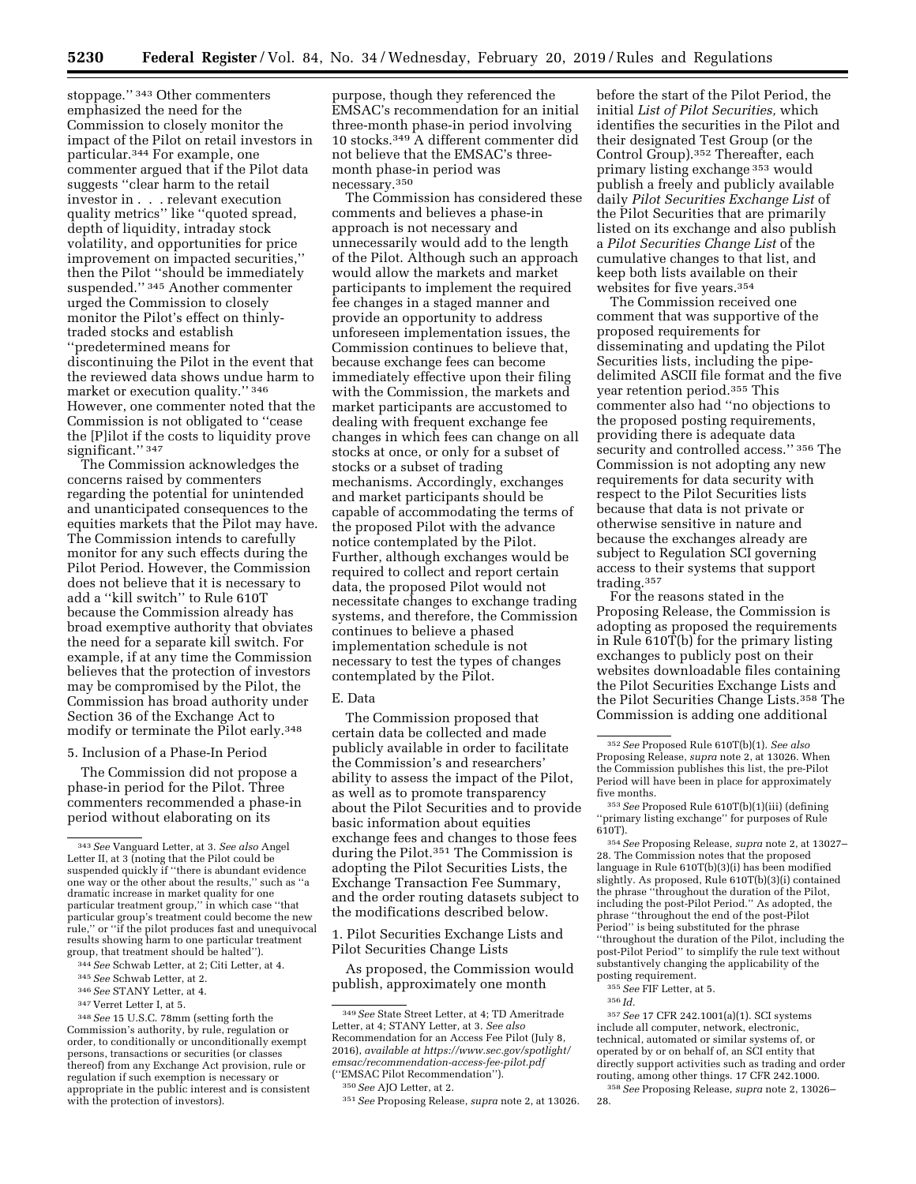stoppage.'' 343 Other commenters emphasized the need for the Commission to closely monitor the impact of the Pilot on retail investors in particular.344 For example, one commenter argued that if the Pilot data suggests ''clear harm to the retail investor in . . . relevant execution quality metrics'' like ''quoted spread, depth of liquidity, intraday stock volatility, and opportunities for price improvement on impacted securities,'' then the Pilot ''should be immediately suspended.'' 345 Another commenter urged the Commission to closely monitor the Pilot's effect on thinlytraded stocks and establish ''predetermined means for discontinuing the Pilot in the event that the reviewed data shows undue harm to market or execution quality.'' 346 However, one commenter noted that the Commission is not obligated to ''cease the [P]ilot if the costs to liquidity prove significant." 347

The Commission acknowledges the concerns raised by commenters regarding the potential for unintended and unanticipated consequences to the equities markets that the Pilot may have. The Commission intends to carefully monitor for any such effects during the Pilot Period. However, the Commission does not believe that it is necessary to add a ''kill switch'' to Rule 610T because the Commission already has broad exemptive authority that obviates the need for a separate kill switch. For example, if at any time the Commission believes that the protection of investors may be compromised by the Pilot, the Commission has broad authority under Section 36 of the Exchange Act to modify or terminate the Pilot early.348

#### 5. Inclusion of a Phase-In Period

The Commission did not propose a phase-in period for the Pilot. Three commenters recommended a phase-in period without elaborating on its

<sup>344</sup>*See* Schwab Letter, at 2; Citi Letter, at 4. 345*See* Schwab Letter, at 2.

purpose, though they referenced the EMSAC's recommendation for an initial three-month phase-in period involving 10 stocks.349 A different commenter did not believe that the EMSAC's threemonth phase-in period was necessary.350

The Commission has considered these comments and believes a phase-in approach is not necessary and unnecessarily would add to the length of the Pilot. Although such an approach would allow the markets and market participants to implement the required fee changes in a staged manner and provide an opportunity to address unforeseen implementation issues, the Commission continues to believe that, because exchange fees can become immediately effective upon their filing with the Commission, the markets and market participants are accustomed to dealing with frequent exchange fee changes in which fees can change on all stocks at once, or only for a subset of stocks or a subset of trading mechanisms. Accordingly, exchanges and market participants should be capable of accommodating the terms of the proposed Pilot with the advance notice contemplated by the Pilot. Further, although exchanges would be required to collect and report certain data, the proposed Pilot would not necessitate changes to exchange trading systems, and therefore, the Commission continues to believe a phased implementation schedule is not necessary to test the types of changes contemplated by the Pilot.

## E. Data

The Commission proposed that certain data be collected and made publicly available in order to facilitate the Commission's and researchers' ability to assess the impact of the Pilot, as well as to promote transparency about the Pilot Securities and to provide basic information about equities exchange fees and changes to those fees during the Pilot.351 The Commission is adopting the Pilot Securities Lists, the Exchange Transaction Fee Summary, and the order routing datasets subject to the modifications described below.

1. Pilot Securities Exchange Lists and Pilot Securities Change Lists

As proposed, the Commission would publish, approximately one month

before the start of the Pilot Period, the initial *List of Pilot Securities,* which identifies the securities in the Pilot and their designated Test Group (or the Control Group).352 Thereafter, each primary listing exchange 353 would publish a freely and publicly available daily *Pilot Securities Exchange List* of the Pilot Securities that are primarily listed on its exchange and also publish a *Pilot Securities Change List* of the cumulative changes to that list, and keep both lists available on their websites for five years.354

The Commission received one comment that was supportive of the proposed requirements for disseminating and updating the Pilot Securities lists, including the pipedelimited ASCII file format and the five year retention period.355 This commenter also had ''no objections to the proposed posting requirements, providing there is adequate data security and controlled access." 356 The Commission is not adopting any new requirements for data security with respect to the Pilot Securities lists because that data is not private or otherwise sensitive in nature and because the exchanges already are subject to Regulation SCI governing access to their systems that support trading.357

For the reasons stated in the Proposing Release, the Commission is adopting as proposed the requirements in Rule 610T(b) for the primary listing exchanges to publicly post on their websites downloadable files containing the Pilot Securities Exchange Lists and the Pilot Securities Change Lists.358 The Commission is adding one additional

357*See* 17 CFR 242.1001(a)(1). SCI systems include all computer, network, electronic, technical, automated or similar systems of, or operated by or on behalf of, an SCI entity that directly support activities such as trading and order routing, among other things. 17 CFR 242.1000.

358*See* Proposing Release, *supra* note 2, 13026– 28.

<sup>343</sup>*See* Vanguard Letter, at 3. *See also* Angel Letter II, at 3 (noting that the Pilot could be suspended quickly if ''there is abundant evidence one way or the other about the results," such as dramatic increase in market quality for one particular treatment group,'' in which case ''that particular group's treatment could become the new rule,'' or ''if the pilot produces fast and unequivocal results showing harm to one particular treatment group, that treatment should be halted'').

<sup>346</sup>*See* STANY Letter, at 4.

<sup>347</sup> Verret Letter I, at 5.

<sup>348</sup>*See* 15 U.S.C. 78mm (setting forth the Commission's authority, by rule, regulation or order, to conditionally or unconditionally exempt persons, transactions or securities (or classes thereof) from any Exchange Act provision, rule or regulation if such exemption is necessary or appropriate in the public interest and is consistent with the protection of investors).

<sup>349</sup>*See* State Street Letter, at 4; TD Ameritrade Letter, at 4; STANY Letter, at 3. *See also*  Recommendation for an Access Fee Pilot (July 8, 2016), *available at [https://www.sec.gov/spotlight/](https://www.sec.gov/spotlight/emsac/recommendation-access-fee-pilot.pdf) [emsac/recommendation-access-fee-pilot.pdf](https://www.sec.gov/spotlight/emsac/recommendation-access-fee-pilot.pdf)*  (''EMSAC Pilot Recommendation'').

<sup>350</sup>*See* AJO Letter, at 2.

<sup>351</sup>*See* Proposing Release, *supra* note 2, at 13026.

<sup>352</sup>*See* Proposed Rule 610T(b)(1). *See also*  Proposing Release, *supra* note 2, at 13026. When the Commission publishes this list, the pre-Pilot Period will have been in place for approximately five months.

<sup>353</sup>*See* Proposed Rule 610T(b)(1)(iii) (defining ''primary listing exchange'' for purposes of Rule 610T).

<sup>354</sup>*See* Proposing Release, *supra* note 2, at 13027– 28. The Commission notes that the proposed language in Rule 610T(b)(3)(i) has been modified slightly. As proposed, Rule 610T(b)(3)(i) contained the phrase ''throughout the duration of the Pilot, including the post-Pilot Period.'' As adopted, the phrase ''throughout the end of the post-Pilot Period'' is being substituted for the phrase ''throughout the duration of the Pilot, including the post-Pilot Period'' to simplify the rule text without substantively changing the applicability of the posting requirement.

<sup>355</sup>*See* FIF Letter, at 5.

<sup>356</sup> *Id.*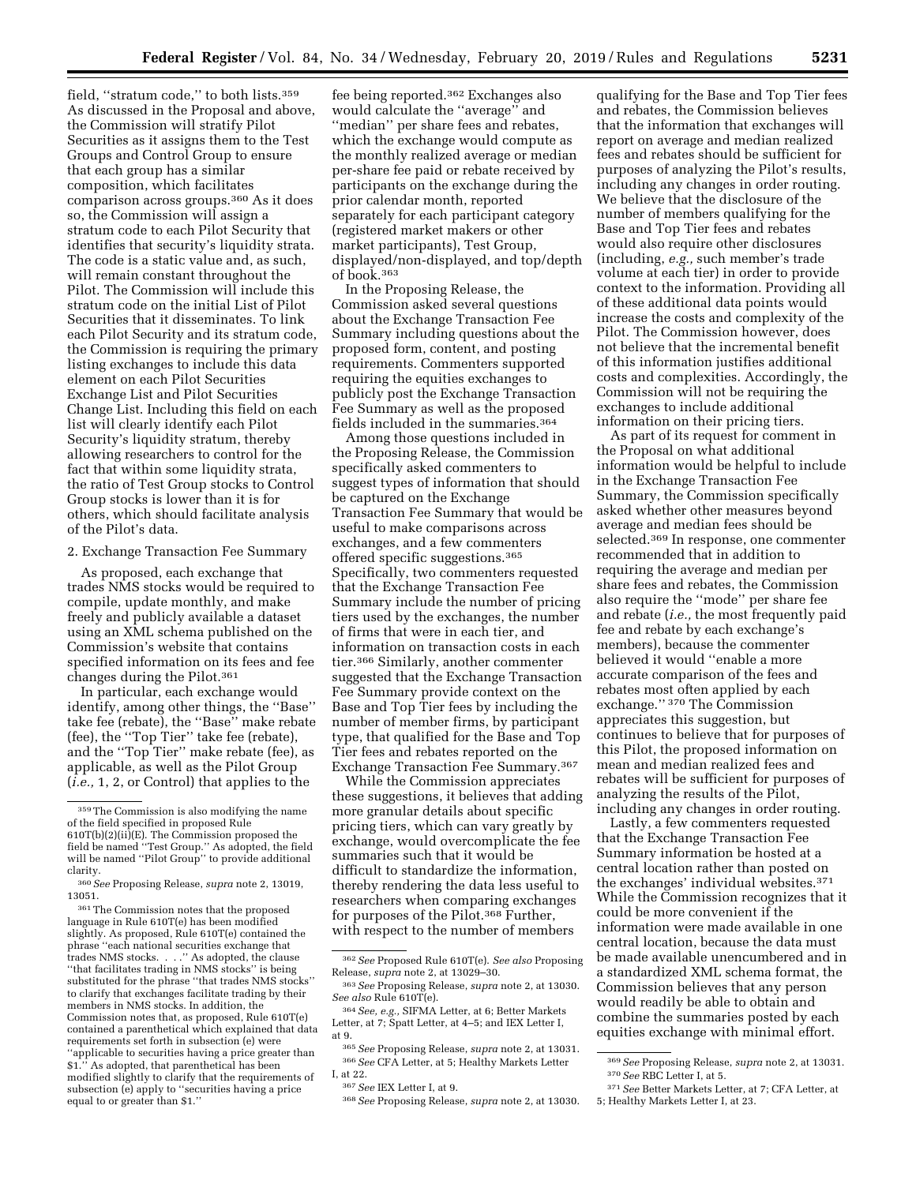field, "stratum code," to both lists.<sup>359</sup> As discussed in the Proposal and above, the Commission will stratify Pilot Securities as it assigns them to the Test Groups and Control Group to ensure that each group has a similar composition, which facilitates comparison across groups.360 As it does so, the Commission will assign a stratum code to each Pilot Security that identifies that security's liquidity strata. The code is a static value and, as such, will remain constant throughout the Pilot. The Commission will include this stratum code on the initial List of Pilot Securities that it disseminates. To link each Pilot Security and its stratum code, the Commission is requiring the primary listing exchanges to include this data element on each Pilot Securities Exchange List and Pilot Securities Change List. Including this field on each list will clearly identify each Pilot Security's liquidity stratum, thereby allowing researchers to control for the fact that within some liquidity strata, the ratio of Test Group stocks to Control Group stocks is lower than it is for others, which should facilitate analysis of the Pilot's data.

2. Exchange Transaction Fee Summary

As proposed, each exchange that trades NMS stocks would be required to compile, update monthly, and make freely and publicly available a dataset using an XML schema published on the Commission's website that contains specified information on its fees and fee changes during the Pilot.361

In particular, each exchange would identify, among other things, the ''Base'' take fee (rebate), the ''Base'' make rebate (fee), the ''Top Tier'' take fee (rebate), and the ''Top Tier'' make rebate (fee), as applicable, as well as the Pilot Group (*i.e.,* 1, 2, or Control) that applies to the

361The Commission notes that the proposed language in Rule 610T(e) has been modified slightly. As proposed, Rule 610T(e) contained the phrase ''each national securities exchange that trades NMS stocks. . . .'' As adopted, the clause ''that facilitates trading in NMS stocks'' is being substituted for the phrase ''that trades NMS stocks'' to clarify that exchanges facilitate trading by their members in NMS stocks. In addition, the Commission notes that, as proposed, Rule 610T(e) contained a parenthetical which explained that data requirements set forth in subsection (e) were ''applicable to securities having a price greater than \$1.'' As adopted, that parenthetical has been modified slightly to clarify that the requirements of subsection (e) apply to ''securities having a price equal to or greater than \$1.''

fee being reported.362 Exchanges also would calculate the ''average'' and ''median'' per share fees and rebates, which the exchange would compute as the monthly realized average or median per-share fee paid or rebate received by participants on the exchange during the prior calendar month, reported separately for each participant category (registered market makers or other market participants), Test Group, displayed/non-displayed, and top/depth of book.363

In the Proposing Release, the Commission asked several questions about the Exchange Transaction Fee Summary including questions about the proposed form, content, and posting requirements. Commenters supported requiring the equities exchanges to publicly post the Exchange Transaction Fee Summary as well as the proposed fields included in the summaries.364

Among those questions included in the Proposing Release, the Commission specifically asked commenters to suggest types of information that should be captured on the Exchange Transaction Fee Summary that would be useful to make comparisons across exchanges, and a few commenters offered specific suggestions.365 Specifically, two commenters requested that the Exchange Transaction Fee Summary include the number of pricing tiers used by the exchanges, the number of firms that were in each tier, and information on transaction costs in each tier.366 Similarly, another commenter suggested that the Exchange Transaction Fee Summary provide context on the Base and Top Tier fees by including the number of member firms, by participant type, that qualified for the Base and Top Tier fees and rebates reported on the Exchange Transaction Fee Summary.367

While the Commission appreciates these suggestions, it believes that adding more granular details about specific pricing tiers, which can vary greatly by exchange, would overcomplicate the fee summaries such that it would be difficult to standardize the information, thereby rendering the data less useful to researchers when comparing exchanges for purposes of the Pilot.368 Further, with respect to the number of members

368*See* Proposing Release, *supra* note 2, at 13030.

qualifying for the Base and Top Tier fees and rebates, the Commission believes that the information that exchanges will report on average and median realized fees and rebates should be sufficient for purposes of analyzing the Pilot's results, including any changes in order routing. We believe that the disclosure of the number of members qualifying for the Base and Top Tier fees and rebates would also require other disclosures (including, *e.g.,* such member's trade volume at each tier) in order to provide context to the information. Providing all of these additional data points would increase the costs and complexity of the Pilot. The Commission however, does not believe that the incremental benefit of this information justifies additional costs and complexities. Accordingly, the Commission will not be requiring the exchanges to include additional information on their pricing tiers.

As part of its request for comment in the Proposal on what additional information would be helpful to include in the Exchange Transaction Fee Summary, the Commission specifically asked whether other measures beyond average and median fees should be selected.369 In response, one commenter recommended that in addition to requiring the average and median per share fees and rebates, the Commission also require the ''mode'' per share fee and rebate (*i.e.,* the most frequently paid fee and rebate by each exchange's members), because the commenter believed it would ''enable a more accurate comparison of the fees and rebates most often applied by each exchange.'' 370 The Commission appreciates this suggestion, but continues to believe that for purposes of this Pilot, the proposed information on mean and median realized fees and rebates will be sufficient for purposes of analyzing the results of the Pilot, including any changes in order routing.

Lastly, a few commenters requested that the Exchange Transaction Fee Summary information be hosted at a central location rather than posted on the exchanges' individual websites.371 While the Commission recognizes that it could be more convenient if the information were made available in one central location, because the data must be made available unencumbered and in a standardized XML schema format, the Commission believes that any person would readily be able to obtain and combine the summaries posted by each equities exchange with minimal effort.

<sup>359</sup>The Commission is also modifying the name of the field specified in proposed Rule 610T(b)(2)(ii)(E). The Commission proposed the field be named ''Test Group.'' As adopted, the field will be named ''Pilot Group'' to provide additional clarity.

<sup>360</sup>*See* Proposing Release, *supra* note 2, 13019, 13051.

<sup>362</sup>*See* Proposed Rule 610T(e). *See also* Proposing Release, *supra* note 2, at 13029–30.

<sup>363</sup>*See* Proposing Release, *supra* note 2, at 13030. *See also* Rule 610T(e).

<sup>364</sup>*See, e.g.,* SIFMA Letter, at 6; Better Markets Letter, at 7; Spatt Letter, at 4–5; and IEX Letter I, at 9.

<sup>365</sup>*See* Proposing Release, *supra* note 2, at 13031. 366*See* CFA Letter, at 5; Healthy Markets Letter I, at 22.

<sup>367</sup>*See* IEX Letter I, at 9.

<sup>369</sup>*See* Proposing Release, *supra* note 2, at 13031. 370*See* RBC Letter I, at 5.

<sup>371</sup>*See* Better Markets Letter, at 7; CFA Letter, at 5; Healthy Markets Letter I, at 23.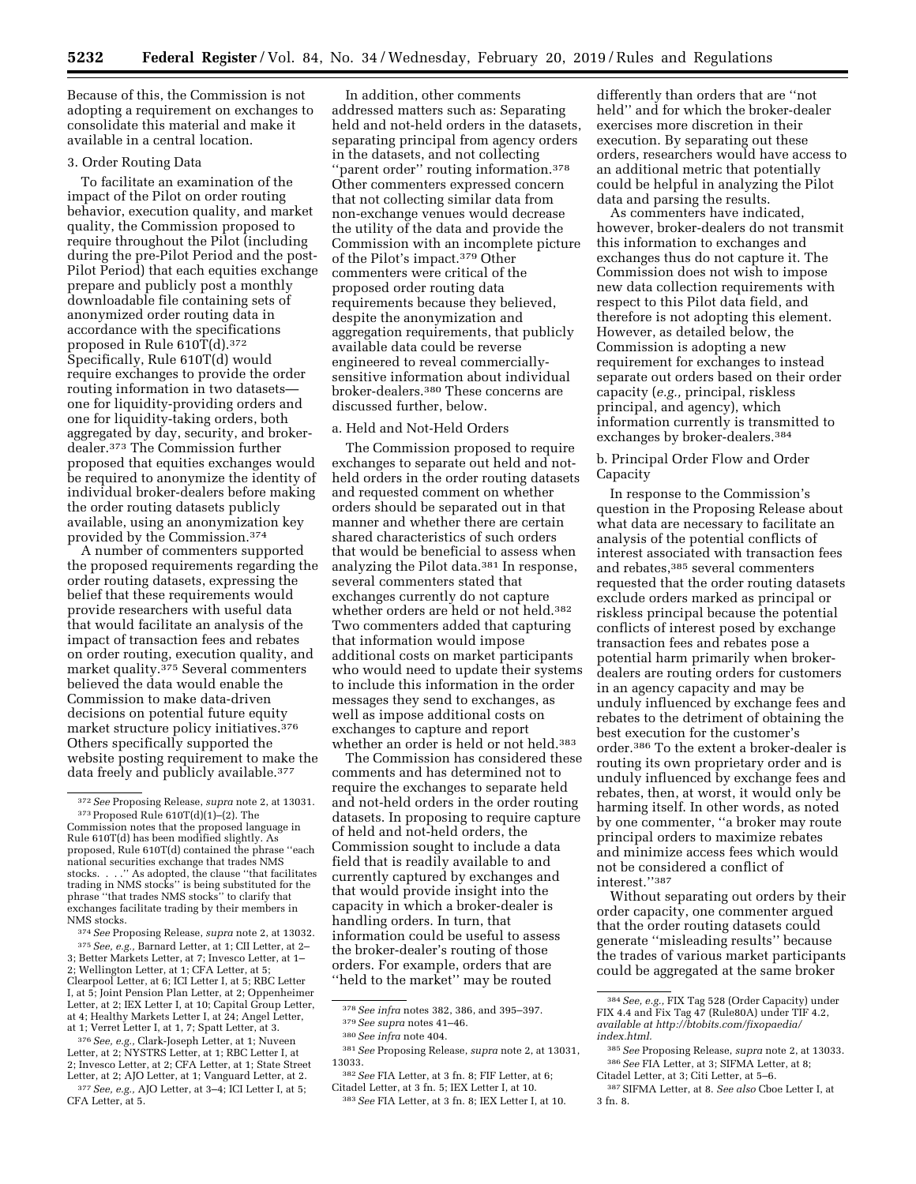Because of this, the Commission is not adopting a requirement on exchanges to consolidate this material and make it available in a central location.

#### 3. Order Routing Data

To facilitate an examination of the impact of the Pilot on order routing behavior, execution quality, and market quality, the Commission proposed to require throughout the Pilot (including during the pre-Pilot Period and the post-Pilot Period) that each equities exchange prepare and publicly post a monthly downloadable file containing sets of anonymized order routing data in accordance with the specifications proposed in Rule 610T(d).<sup>372</sup> Specifically, Rule 610T(d) would require exchanges to provide the order routing information in two datasets one for liquidity-providing orders and one for liquidity-taking orders, both aggregated by day, security, and brokerdealer.373 The Commission further proposed that equities exchanges would be required to anonymize the identity of individual broker-dealers before making the order routing datasets publicly available, using an anonymization key provided by the Commission.374

A number of commenters supported the proposed requirements regarding the order routing datasets, expressing the belief that these requirements would provide researchers with useful data that would facilitate an analysis of the impact of transaction fees and rebates on order routing, execution quality, and market quality.<sup>375</sup> Several commenters believed the data would enable the Commission to make data-driven decisions on potential future equity market structure policy initiatives.376 Others specifically supported the website posting requirement to make the data freely and publicly available.<sup>377</sup>

<sup>374</sup>*See* Proposing Release, *supra* note 2, at 13032. 375*See, e.g.,* Barnard Letter, at 1; CII Letter, at 2– 3; Better Markets Letter, at 7; Invesco Letter, at 1– 2; Wellington Letter, at 1; CFA Letter, at 5; Clearpool Letter, at 6; ICI Letter I, at 5; RBC Letter I, at 5; Joint Pension Plan Letter, at 2; Oppenheimer Letter, at 2; IEX Letter I, at 10; Capital Group Letter, at 4; Healthy Markets Letter I, at 24; Angel Letter,<br>at 1; Verret Letter I, at 1, 7; Spatt Letter, at 3.

at 1; Verret Letter I, at 1, 7; Spatt Letter, at 3.<br><sup>376</sup> *See, e.g.,* Clark-Joseph Letter, at 1; Nuveen<br>Letter, at 2; NYSTRS Letter, at 1; RBC Letter I, at 2; Invesco Letter, at 2; CFA Letter, at 1; State Street <sup>377</sup> See, e.g., AJO Letter, at 3-4; ICI Letter I, at 5; CFA Letter, at 5.

In addition, other comments addressed matters such as: Separating held and not-held orders in the datasets, separating principal from agency orders in the datasets, and not collecting ''parent order'' routing information.378 Other commenters expressed concern that not collecting similar data from non-exchange venues would decrease the utility of the data and provide the Commission with an incomplete picture of the Pilot's impact.379 Other commenters were critical of the proposed order routing data requirements because they believed, despite the anonymization and aggregation requirements, that publicly available data could be reverse engineered to reveal commerciallysensitive information about individual broker-dealers.380 These concerns are discussed further, below.

#### a. Held and Not-Held Orders

The Commission proposed to require exchanges to separate out held and notheld orders in the order routing datasets and requested comment on whether orders should be separated out in that manner and whether there are certain shared characteristics of such orders that would be beneficial to assess when analyzing the Pilot data.381 In response, several commenters stated that exchanges currently do not capture whether orders are held or not held.382 Two commenters added that capturing that information would impose additional costs on market participants who would need to update their systems to include this information in the order messages they send to exchanges, as well as impose additional costs on exchanges to capture and report whether an order is held or not held.383

The Commission has considered these comments and has determined not to require the exchanges to separate held and not-held orders in the order routing datasets. In proposing to require capture of held and not-held orders, the Commission sought to include a data field that is readily available to and currently captured by exchanges and that would provide insight into the capacity in which a broker-dealer is handling orders. In turn, that information could be useful to assess the broker-dealer's routing of those orders. For example, orders that are ''held to the market'' may be routed

differently than orders that are ''not held'' and for which the broker-dealer exercises more discretion in their execution. By separating out these orders, researchers would have access to an additional metric that potentially could be helpful in analyzing the Pilot data and parsing the results.

As commenters have indicated, however, broker-dealers do not transmit this information to exchanges and exchanges thus do not capture it. The Commission does not wish to impose new data collection requirements with respect to this Pilot data field, and therefore is not adopting this element. However, as detailed below, the Commission is adopting a new requirement for exchanges to instead separate out orders based on their order capacity (*e.g.,* principal, riskless principal, and agency), which information currently is transmitted to exchanges by broker-dealers.384

## b. Principal Order Flow and Order Capacity

In response to the Commission's question in the Proposing Release about what data are necessary to facilitate an analysis of the potential conflicts of interest associated with transaction fees and rebates,385 several commenters requested that the order routing datasets exclude orders marked as principal or riskless principal because the potential conflicts of interest posed by exchange transaction fees and rebates pose a potential harm primarily when brokerdealers are routing orders for customers in an agency capacity and may be unduly influenced by exchange fees and rebates to the detriment of obtaining the best execution for the customer's order.386 To the extent a broker-dealer is routing its own proprietary order and is unduly influenced by exchange fees and rebates, then, at worst, it would only be harming itself. In other words, as noted by one commenter, ''a broker may route principal orders to maximize rebates and minimize access fees which would not be considered a conflict of interest.''387

Without separating out orders by their order capacity, one commenter argued that the order routing datasets could generate ''misleading results'' because the trades of various market participants could be aggregated at the same broker

<sup>372</sup>*See* Proposing Release, *supra* note 2, at 13031. 373Proposed Rule 610T(d)(1)–(2). The Commission notes that the proposed language in Rule 610T(d) has been modified slightly. As proposed, Rule 610T(d) contained the phrase ''each national securities exchange that trades NMS stocks. . . .'' As adopted, the clause ''that facilitates trading in NMS stocks'' is being substituted for the phrase ''that trades NMS stocks'' to clarify that exchanges facilitate trading by their members in NMS stocks.

<sup>378</sup>*See infra* notes 382, 386, and 395–397. 379*See supra* notes 41–46.

<sup>380</sup>*See infra* note 404.

<sup>381</sup>*See* Proposing Release, *supra* note 2, at 13031,

<sup>13033.</sup> 

<sup>382</sup>*See* FIA Letter, at 3 fn. 8; FIF Letter, at 6; Citadel Letter, at 3 fn. 5; IEX Letter I, at 10. 383*See* FIA Letter, at 3 fn. 8; IEX Letter I, at 10.

<sup>384</sup>*See, e.g.,* FIX Tag 528 (Order Capacity) under FIX 4.4 and Fix Tag 47 (Rule80A) under TIF 4.2, *available at [http://btobits.com/fixopaedia/](http://btobits.com/fixopaedia/index.html) [index.html.](http://btobits.com/fixopaedia/index.html)* 

<sup>385</sup>*See* Proposing Release, *supra* note 2, at 13033. 386*See* FIA Letter, at 3; SIFMA Letter, at 8; Citadel Letter, at 3; Citi Letter, at 5–6.

<sup>387</sup>SIFMA Letter, at 8. *See also* Cboe Letter I, at 3 fn. 8.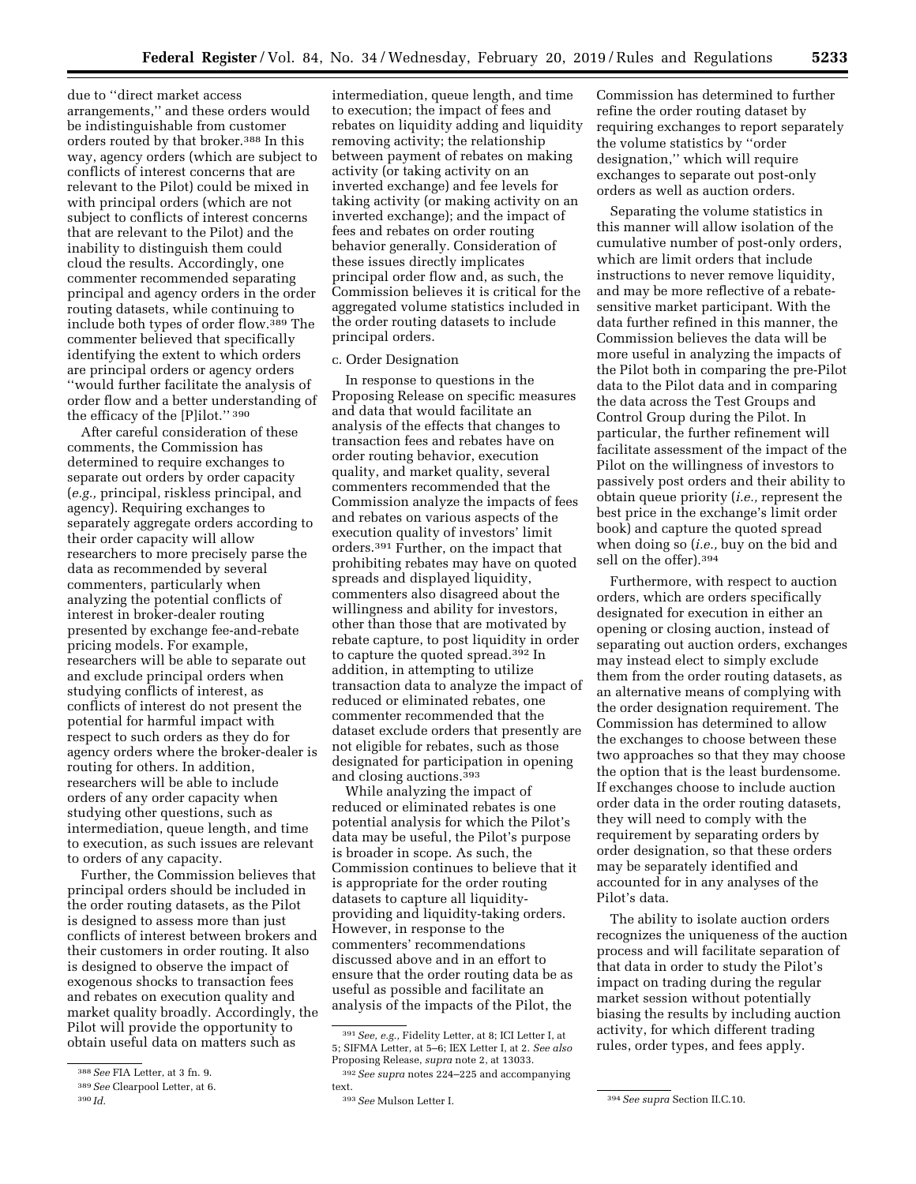due to ''direct market access arrangements,'' and these orders would be indistinguishable from customer orders routed by that broker.388 In this way, agency orders (which are subject to conflicts of interest concerns that are relevant to the Pilot) could be mixed in with principal orders (which are not subject to conflicts of interest concerns that are relevant to the Pilot) and the inability to distinguish them could cloud the results. Accordingly, one commenter recommended separating principal and agency orders in the order routing datasets, while continuing to include both types of order flow.389 The commenter believed that specifically identifying the extent to which orders are principal orders or agency orders ''would further facilitate the analysis of order flow and a better understanding of the efficacy of the [P]ilot.'' 390

After careful consideration of these comments, the Commission has determined to require exchanges to separate out orders by order capacity (*e.g.,* principal, riskless principal, and agency). Requiring exchanges to separately aggregate orders according to their order capacity will allow researchers to more precisely parse the data as recommended by several commenters, particularly when analyzing the potential conflicts of interest in broker-dealer routing presented by exchange fee-and-rebate pricing models. For example, researchers will be able to separate out and exclude principal orders when studying conflicts of interest, as conflicts of interest do not present the potential for harmful impact with respect to such orders as they do for agency orders where the broker-dealer is routing for others. In addition, researchers will be able to include orders of any order capacity when studying other questions, such as intermediation, queue length, and time to execution, as such issues are relevant to orders of any capacity.

Further, the Commission believes that principal orders should be included in the order routing datasets, as the Pilot is designed to assess more than just conflicts of interest between brokers and their customers in order routing. It also is designed to observe the impact of exogenous shocks to transaction fees and rebates on execution quality and market quality broadly. Accordingly, the Pilot will provide the opportunity to obtain useful data on matters such as

intermediation, queue length, and time to execution; the impact of fees and rebates on liquidity adding and liquidity removing activity; the relationship between payment of rebates on making activity (or taking activity on an inverted exchange) and fee levels for taking activity (or making activity on an inverted exchange); and the impact of fees and rebates on order routing behavior generally. Consideration of these issues directly implicates principal order flow and, as such, the Commission believes it is critical for the aggregated volume statistics included in the order routing datasets to include principal orders.

# c. Order Designation

In response to questions in the Proposing Release on specific measures and data that would facilitate an analysis of the effects that changes to transaction fees and rebates have on order routing behavior, execution quality, and market quality, several commenters recommended that the Commission analyze the impacts of fees and rebates on various aspects of the execution quality of investors' limit orders.391 Further, on the impact that prohibiting rebates may have on quoted spreads and displayed liquidity, commenters also disagreed about the willingness and ability for investors, other than those that are motivated by rebate capture, to post liquidity in order to capture the quoted spread.392 In addition, in attempting to utilize transaction data to analyze the impact of reduced or eliminated rebates, one commenter recommended that the dataset exclude orders that presently are not eligible for rebates, such as those designated for participation in opening and closing auctions.393

While analyzing the impact of reduced or eliminated rebates is one potential analysis for which the Pilot's data may be useful, the Pilot's purpose is broader in scope. As such, the Commission continues to believe that it is appropriate for the order routing datasets to capture all liquidityproviding and liquidity-taking orders. However, in response to the commenters' recommendations discussed above and in an effort to ensure that the order routing data be as useful as possible and facilitate an analysis of the impacts of the Pilot, the

Commission has determined to further refine the order routing dataset by requiring exchanges to report separately the volume statistics by ''order designation,'' which will require exchanges to separate out post-only orders as well as auction orders.

Separating the volume statistics in this manner will allow isolation of the cumulative number of post-only orders, which are limit orders that include instructions to never remove liquidity, and may be more reflective of a rebatesensitive market participant. With the data further refined in this manner, the Commission believes the data will be more useful in analyzing the impacts of the Pilot both in comparing the pre-Pilot data to the Pilot data and in comparing the data across the Test Groups and Control Group during the Pilot. In particular, the further refinement will facilitate assessment of the impact of the Pilot on the willingness of investors to passively post orders and their ability to obtain queue priority (*i.e.,* represent the best price in the exchange's limit order book) and capture the quoted spread when doing so (*i.e.,* buy on the bid and sell on the offer).394

Furthermore, with respect to auction orders, which are orders specifically designated for execution in either an opening or closing auction, instead of separating out auction orders, exchanges may instead elect to simply exclude them from the order routing datasets, as an alternative means of complying with the order designation requirement. The Commission has determined to allow the exchanges to choose between these two approaches so that they may choose the option that is the least burdensome. If exchanges choose to include auction order data in the order routing datasets, they will need to comply with the requirement by separating orders by order designation, so that these orders may be separately identified and accounted for in any analyses of the Pilot's data.

The ability to isolate auction orders recognizes the uniqueness of the auction process and will facilitate separation of that data in order to study the Pilot's impact on trading during the regular market session without potentially biasing the results by including auction activity, for which different trading rules, order types, and fees apply.

<sup>388</sup>*See* FIA Letter, at 3 fn. 9.

<sup>389</sup>*See* Clearpool Letter, at 6.

<sup>390</sup> *Id.* 

<sup>391</sup>*See, e.g.,* Fidelity Letter, at 8; ICI Letter I, at 5; SIFMA Letter, at 5–6; IEX Letter I, at 2. *See also*  Proposing Release, *supra* note 2, at 13033.

<sup>392</sup>*See supra* notes 224–225 and accompanying text.<br><sup>393</sup> See Mulson Letter I.

<sup>&</sup>lt;sup>394</sup> See supra Section II.C.10.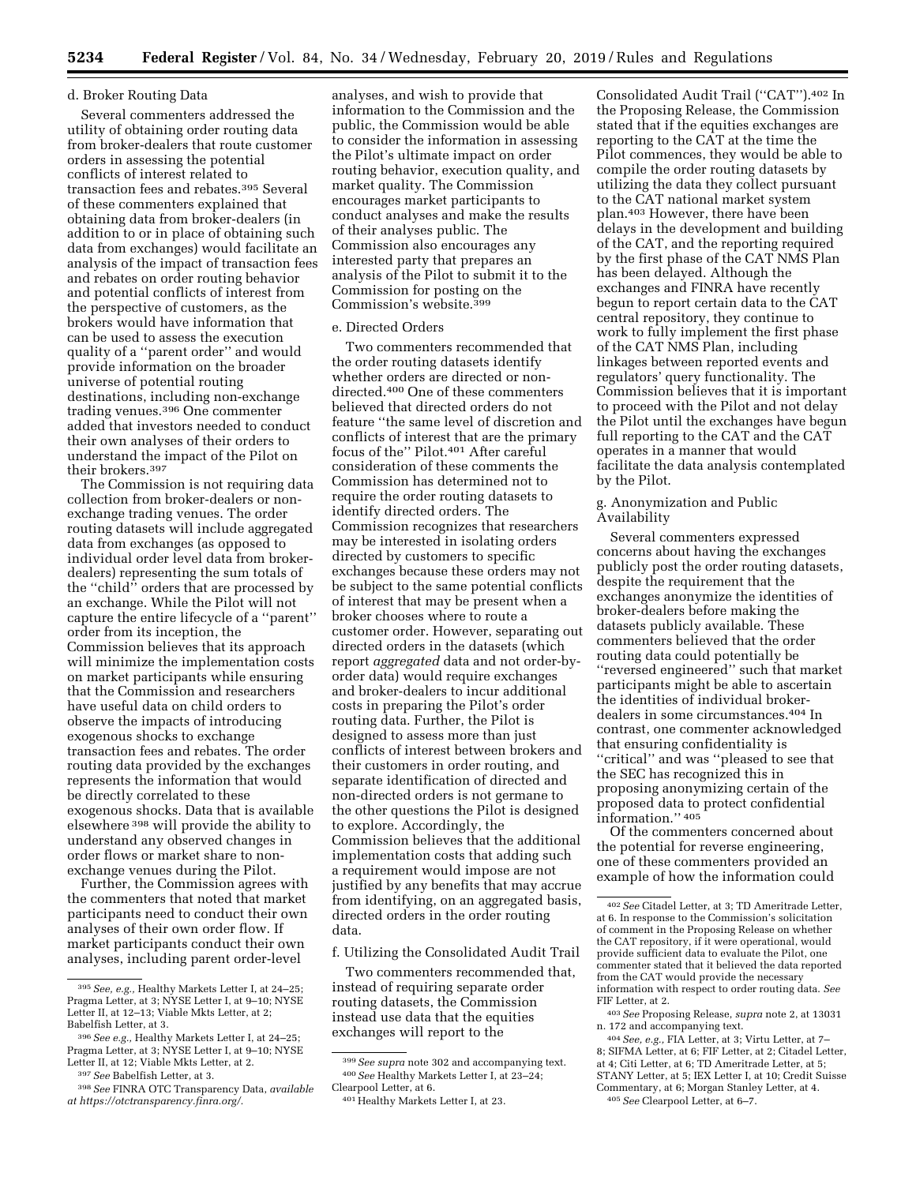## d. Broker Routing Data

Several commenters addressed the utility of obtaining order routing data from broker-dealers that route customer orders in assessing the potential conflicts of interest related to transaction fees and rebates.395 Several of these commenters explained that obtaining data from broker-dealers (in addition to or in place of obtaining such data from exchanges) would facilitate an analysis of the impact of transaction fees and rebates on order routing behavior and potential conflicts of interest from the perspective of customers, as the brokers would have information that can be used to assess the execution quality of a ''parent order'' and would provide information on the broader universe of potential routing destinations, including non-exchange trading venues.396 One commenter added that investors needed to conduct their own analyses of their orders to understand the impact of the Pilot on their brokers.397

The Commission is not requiring data collection from broker-dealers or nonexchange trading venues. The order routing datasets will include aggregated data from exchanges (as opposed to individual order level data from brokerdealers) representing the sum totals of the ''child'' orders that are processed by an exchange. While the Pilot will not capture the entire lifecycle of a ''parent'' order from its inception, the Commission believes that its approach will minimize the implementation costs on market participants while ensuring that the Commission and researchers have useful data on child orders to observe the impacts of introducing exogenous shocks to exchange transaction fees and rebates. The order routing data provided by the exchanges represents the information that would be directly correlated to these exogenous shocks. Data that is available elsewhere 398 will provide the ability to understand any observed changes in order flows or market share to nonexchange venues during the Pilot.

Further, the Commission agrees with the commenters that noted that market participants need to conduct their own analyses of their own order flow. If market participants conduct their own analyses, including parent order-level

analyses, and wish to provide that information to the Commission and the public, the Commission would be able to consider the information in assessing the Pilot's ultimate impact on order routing behavior, execution quality, and market quality. The Commission encourages market participants to conduct analyses and make the results of their analyses public. The Commission also encourages any interested party that prepares an analysis of the Pilot to submit it to the Commission for posting on the Commission's website.399

## e. Directed Orders

Two commenters recommended that the order routing datasets identify whether orders are directed or nondirected.400 One of these commenters believed that directed orders do not feature ''the same level of discretion and conflicts of interest that are the primary focus of the'' Pilot.401 After careful consideration of these comments the Commission has determined not to require the order routing datasets to identify directed orders. The Commission recognizes that researchers may be interested in isolating orders directed by customers to specific exchanges because these orders may not be subject to the same potential conflicts of interest that may be present when a broker chooses where to route a customer order. However, separating out directed orders in the datasets (which report *aggregated* data and not order-byorder data) would require exchanges and broker-dealers to incur additional costs in preparing the Pilot's order routing data. Further, the Pilot is designed to assess more than just conflicts of interest between brokers and their customers in order routing, and separate identification of directed and non-directed orders is not germane to the other questions the Pilot is designed to explore. Accordingly, the Commission believes that the additional implementation costs that adding such a requirement would impose are not justified by any benefits that may accrue from identifying, on an aggregated basis, directed orders in the order routing data.

f. Utilizing the Consolidated Audit Trail

Two commenters recommended that, instead of requiring separate order routing datasets, the Commission instead use data that the equities exchanges will report to the

Consolidated Audit Trail (''CAT'').402 In the Proposing Release, the Commission stated that if the equities exchanges are reporting to the CAT at the time the Pilot commences, they would be able to compile the order routing datasets by utilizing the data they collect pursuant to the CAT national market system plan.403 However, there have been delays in the development and building of the CAT, and the reporting required by the first phase of the CAT NMS Plan has been delayed. Although the exchanges and FINRA have recently begun to report certain data to the CAT central repository, they continue to work to fully implement the first phase of the CAT NMS Plan, including linkages between reported events and regulators' query functionality. The Commission believes that it is important to proceed with the Pilot and not delay the Pilot until the exchanges have begun full reporting to the CAT and the CAT operates in a manner that would facilitate the data analysis contemplated by the Pilot.

g. Anonymization and Public **Availability** 

Several commenters expressed concerns about having the exchanges publicly post the order routing datasets, despite the requirement that the exchanges anonymize the identities of broker-dealers before making the datasets publicly available. These commenters believed that the order routing data could potentially be ''reversed engineered'' such that market participants might be able to ascertain the identities of individual brokerdealers in some circumstances.404 In contrast, one commenter acknowledged that ensuring confidentiality is ''critical'' and was ''pleased to see that the SEC has recognized this in proposing anonymizing certain of the proposed data to protect confidential information.'' 405

Of the commenters concerned about the potential for reverse engineering, one of these commenters provided an example of how the information could

<sup>395</sup>*See, e.g.,* Healthy Markets Letter I, at 24–25; Pragma Letter, at 3; NYSE Letter I, at 9–10; NYSE Letter II, at 12–13; Viable Mkts Letter, at 2; Babelfish Letter, at 3.

<sup>396</sup>*See e.g.,* Healthy Markets Letter I, at 24–25; Pragma Letter, at 3; NYSE Letter I, at 9-10; NYSE Letter II, at 12; Viable Mkts Letter, at 2.

<sup>397</sup>*See* Babelfish Letter, at 3.

<sup>398</sup>*See* FINRA OTC Transparency Data, *available at [https://otctransparency.finra.org/.](https://otctransparency.finra.org/)* 

<sup>399</sup>*See supra* note 302 and accompanying text. 400*See* Healthy Markets Letter I, at 23–24; Clearpool Letter, at 6.

<sup>401</sup>Healthy Markets Letter I, at 23.

<sup>402</sup>*See* Citadel Letter, at 3; TD Ameritrade Letter, at 6. In response to the Commission's solicitation of comment in the Proposing Release on whether the CAT repository, if it were operational, would provide sufficient data to evaluate the Pilot, one commenter stated that it believed the data reported from the CAT would provide the necessary information with respect to order routing data. *See*  FIF Letter, at 2.

<sup>403</sup>*See* Proposing Release, *supra* note 2, at 13031 n. 172 and accompanying text.

<sup>404</sup>*See, e.g.,* FIA Letter, at 3; Virtu Letter, at 7– 8; SIFMA Letter, at 6; FIF Letter, at 2; Citadel Letter, at 4; Citi Letter, at 6; TD Ameritrade Letter, at 5; STANY Letter, at 5; IEX Letter I, at 10; Credit Suisse Commentary, at 6; Morgan Stanley Letter, at 4. 405*See* Clearpool Letter, at 6–7.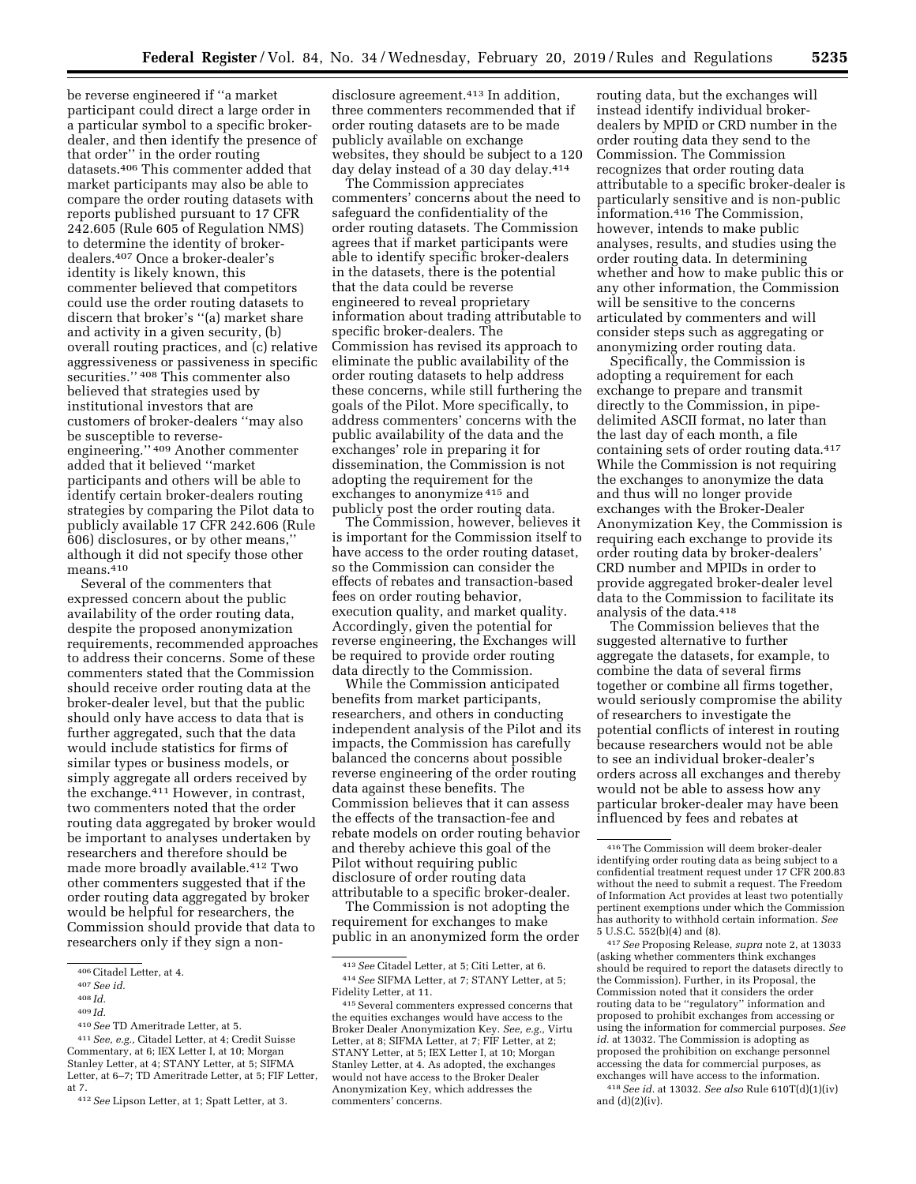be reverse engineered if ''a market participant could direct a large order in a particular symbol to a specific brokerdealer, and then identify the presence of that order'' in the order routing datasets.406 This commenter added that market participants may also be able to compare the order routing datasets with reports published pursuant to 17 CFR 242.605 (Rule 605 of Regulation NMS) to determine the identity of brokerdealers.407 Once a broker-dealer's identity is likely known, this commenter believed that competitors could use the order routing datasets to discern that broker's ''(a) market share and activity in a given security, (b) overall routing practices, and (c) relative aggressiveness or passiveness in specific securities." <sup>408</sup> This commenter also believed that strategies used by institutional investors that are customers of broker-dealers ''may also be susceptible to reverseengineering.'' 409 Another commenter added that it believed ''market participants and others will be able to identify certain broker-dealers routing strategies by comparing the Pilot data to publicly available 17 CFR 242.606 (Rule 606) disclosures, or by other means,'' although it did not specify those other  $means.<sup>410</sup>$ 

Several of the commenters that expressed concern about the public availability of the order routing data, despite the proposed anonymization requirements, recommended approaches to address their concerns. Some of these commenters stated that the Commission should receive order routing data at the broker-dealer level, but that the public should only have access to data that is further aggregated, such that the data would include statistics for firms of similar types or business models, or simply aggregate all orders received by the exchange.411 However, in contrast, two commenters noted that the order routing data aggregated by broker would be important to analyses undertaken by researchers and therefore should be made more broadly available.412 Two other commenters suggested that if the order routing data aggregated by broker would be helpful for researchers, the Commission should provide that data to researchers only if they sign a non-

410*See* TD Ameritrade Letter, at 5.

disclosure agreement.<sup>413</sup> In addition, three commenters recommended that if order routing datasets are to be made publicly available on exchange websites, they should be subject to a 120 day delay instead of a 30 day delay.<sup>414</sup>

The Commission appreciates commenters' concerns about the need to safeguard the confidentiality of the order routing datasets. The Commission agrees that if market participants were able to identify specific broker-dealers in the datasets, there is the potential that the data could be reverse engineered to reveal proprietary information about trading attributable to specific broker-dealers. The Commission has revised its approach to eliminate the public availability of the order routing datasets to help address these concerns, while still furthering the goals of the Pilot. More specifically, to address commenters' concerns with the public availability of the data and the exchanges' role in preparing it for dissemination, the Commission is not adopting the requirement for the exchanges to anonymize 415 and publicly post the order routing data.

The Commission, however, believes it is important for the Commission itself to have access to the order routing dataset, so the Commission can consider the effects of rebates and transaction-based fees on order routing behavior, execution quality, and market quality. Accordingly, given the potential for reverse engineering, the Exchanges will be required to provide order routing data directly to the Commission.

While the Commission anticipated benefits from market participants, researchers, and others in conducting independent analysis of the Pilot and its impacts, the Commission has carefully balanced the concerns about possible reverse engineering of the order routing data against these benefits. The Commission believes that it can assess the effects of the transaction-fee and rebate models on order routing behavior and thereby achieve this goal of the Pilot without requiring public disclosure of order routing data attributable to a specific broker-dealer.

The Commission is not adopting the requirement for exchanges to make public in an anonymized form the order

routing data, but the exchanges will instead identify individual brokerdealers by MPID or CRD number in the order routing data they send to the Commission. The Commission recognizes that order routing data attributable to a specific broker-dealer is particularly sensitive and is non-public information.416 The Commission, however, intends to make public analyses, results, and studies using the order routing data. In determining whether and how to make public this or any other information, the Commission will be sensitive to the concerns articulated by commenters and will consider steps such as aggregating or anonymizing order routing data.

Specifically, the Commission is adopting a requirement for each exchange to prepare and transmit directly to the Commission, in pipedelimited ASCII format, no later than the last day of each month, a file containing sets of order routing data.417 While the Commission is not requiring the exchanges to anonymize the data and thus will no longer provide exchanges with the Broker-Dealer Anonymization Key, the Commission is requiring each exchange to provide its order routing data by broker-dealers' CRD number and MPIDs in order to provide aggregated broker-dealer level data to the Commission to facilitate its analysis of the data.418

The Commission believes that the suggested alternative to further aggregate the datasets, for example, to combine the data of several firms together or combine all firms together, would seriously compromise the ability of researchers to investigate the potential conflicts of interest in routing because researchers would not be able to see an individual broker-dealer's orders across all exchanges and thereby would not be able to assess how any particular broker-dealer may have been influenced by fees and rebates at

417*See* Proposing Release, *supra* note 2, at 13033 (asking whether commenters think exchanges should be required to report the datasets directly to the Commission). Further, in its Proposal, the Commission noted that it considers the order routing data to be ''regulatory'' information and proposed to prohibit exchanges from accessing or using the information for commercial purposes. *See id.* at 13032. The Commission is adopting as proposed the prohibition on exchange personnel accessing the data for commercial purposes, as exchanges will have access to the information. 418*See id.* at 13032. *See also* Rule 610T(d)(1)(iv) and (d)(2)(iv).

<sup>406</sup>Citadel Letter, at 4.

<sup>407</sup>*See id.* 

<sup>408</sup> *Id.* 

<sup>409</sup> *Id.* 

<sup>411</sup>*See, e.g.,* Citadel Letter, at 4; Credit Suisse Commentary, at 6; IEX Letter I, at 10; Morgan Stanley Letter, at 4; STANY Letter, at 5; SIFMA Letter, at 6–7; TD Ameritrade Letter, at 5; FIF Letter, at 7.

<sup>412</sup>*See* Lipson Letter, at 1; Spatt Letter, at 3.

<sup>413</sup>*See* Citadel Letter, at 5; Citi Letter, at 6. 414*See* SIFMA Letter, at 7; STANY Letter, at 5; Fidelity Letter, at 11.

<sup>415</sup>Several commenters expressed concerns that the equities exchanges would have access to the Broker Dealer Anonymization Key. *See, e.g.,* Virtu Letter, at 8; SIFMA Letter, at 7; FIF Letter, at 2; STANY Letter, at 5; IEX Letter I, at 10; Morgan Stanley Letter, at 4. As adopted, the exchanges would not have access to the Broker Dealer Anonymization Key, which addresses the commenters' concerns.

<sup>416</sup>The Commission will deem broker-dealer identifying order routing data as being subject to a confidential treatment request under 17 CFR 200.83 without the need to submit a request. The Freedom of Information Act provides at least two potentially pertinent exemptions under which the Commission has authority to withhold certain information. *See*  5 U.S.C. 552(b)(4) and (8).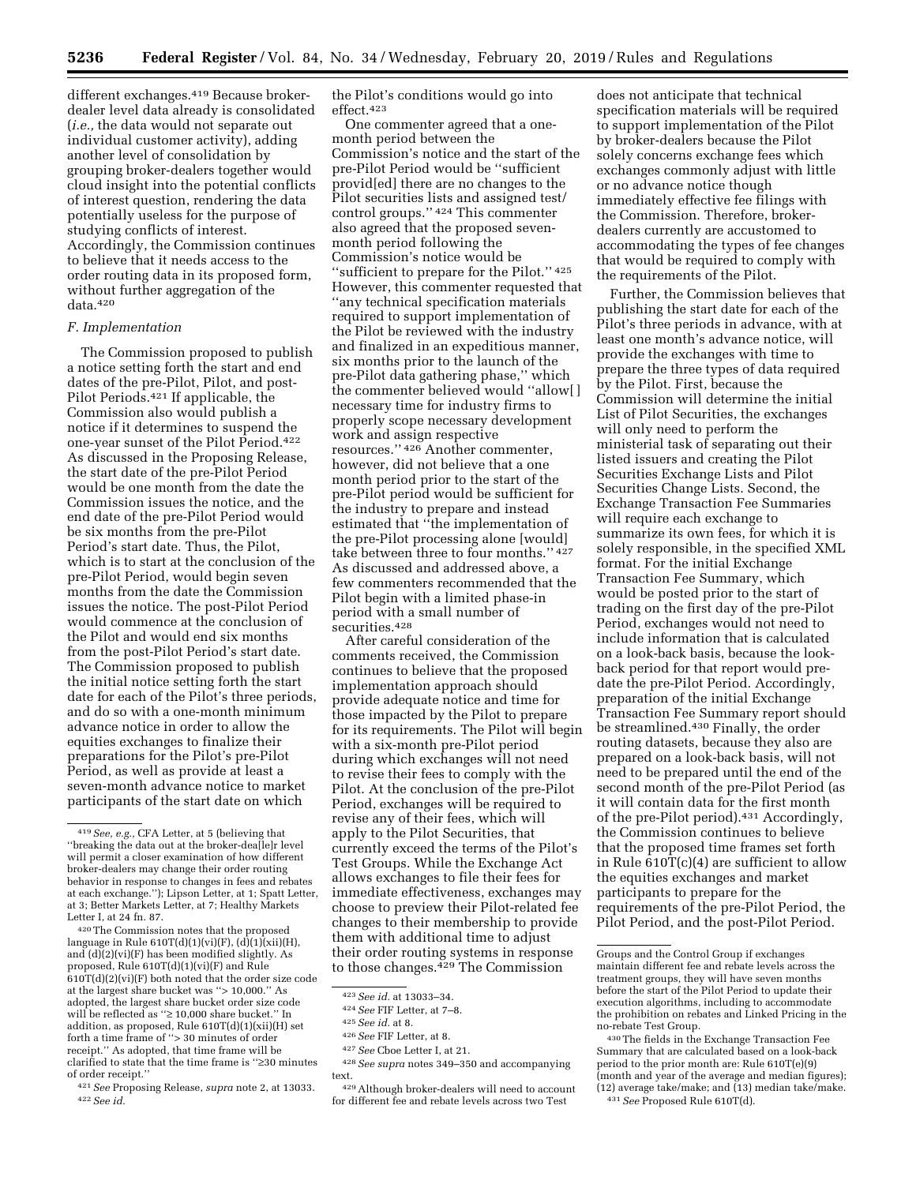different exchanges.419 Because brokerdealer level data already is consolidated (*i.e.,* the data would not separate out individual customer activity), adding another level of consolidation by grouping broker-dealers together would cloud insight into the potential conflicts of interest question, rendering the data potentially useless for the purpose of studying conflicts of interest. Accordingly, the Commission continues to believe that it needs access to the order routing data in its proposed form, without further aggregation of the data.420

## *F. Implementation*

The Commission proposed to publish a notice setting forth the start and end dates of the pre-Pilot, Pilot, and post-Pilot Periods.421 If applicable, the Commission also would publish a notice if it determines to suspend the one-year sunset of the Pilot Period.422 As discussed in the Proposing Release, the start date of the pre-Pilot Period would be one month from the date the Commission issues the notice, and the end date of the pre-Pilot Period would be six months from the pre-Pilot Period's start date. Thus, the Pilot, which is to start at the conclusion of the pre-Pilot Period, would begin seven months from the date the Commission issues the notice. The post-Pilot Period would commence at the conclusion of the Pilot and would end six months from the post-Pilot Period's start date. The Commission proposed to publish the initial notice setting forth the start date for each of the Pilot's three periods, and do so with a one-month minimum advance notice in order to allow the equities exchanges to finalize their preparations for the Pilot's pre-Pilot Period, as well as provide at least a seven-month advance notice to market participants of the start date on which

420The Commission notes that the proposed language in Rule  $610T(d)(1)(vi)(F)$ ,  $(d)(1)(xi)(H)$ , and  $(d)(2)(vi)(F)$  has been modified slightly. As proposed, Rule 610T(d)(1)(vi)(F) and Rule  $610T(d)(2)(vi)(F)$  both noted that the order size code at the largest share bucket was ''> 10,000.'' As adopted, the largest share bucket order size code will be reflected as ''≥ 10,000 share bucket.'' In addition, as proposed, Rule 610T(d)(1)(xii)(H) set forth a time frame of ''> 30 minutes of order receipt.'' As adopted, that time frame will be clarified to state that the time frame is ''≥30 minutes of order receipt.

421*See* Proposing Release, *supra* note 2, at 13033. 422*See id.* 

the Pilot's conditions would go into effect.423

One commenter agreed that a onemonth period between the Commission's notice and the start of the pre-Pilot Period would be ''sufficient provid[ed] there are no changes to the Pilot securities lists and assigned test/ control groups.'' 424 This commenter also agreed that the proposed sevenmonth period following the Commission's notice would be ''sufficient to prepare for the Pilot.'' 425 However, this commenter requested that ''any technical specification materials required to support implementation of the Pilot be reviewed with the industry and finalized in an expeditious manner, six months prior to the launch of the pre-Pilot data gathering phase,'' which the commenter believed would ''allow[ ] necessary time for industry firms to properly scope necessary development work and assign respective resources.'' 426 Another commenter, however, did not believe that a one month period prior to the start of the pre-Pilot period would be sufficient for the industry to prepare and instead estimated that ''the implementation of the pre-Pilot processing alone [would] take between three to four months.'' 427 As discussed and addressed above, a few commenters recommended that the Pilot begin with a limited phase-in period with a small number of securities.428

After careful consideration of the comments received, the Commission continues to believe that the proposed implementation approach should provide adequate notice and time for those impacted by the Pilot to prepare for its requirements. The Pilot will begin with a six-month pre-Pilot period during which exchanges will not need to revise their fees to comply with the Pilot. At the conclusion of the pre-Pilot Period, exchanges will be required to revise any of their fees, which will apply to the Pilot Securities, that currently exceed the terms of the Pilot's Test Groups. While the Exchange Act allows exchanges to file their fees for immediate effectiveness, exchanges may choose to preview their Pilot-related fee changes to their membership to provide them with additional time to adjust their order routing systems in response to those changes.429 The Commission

does not anticipate that technical specification materials will be required to support implementation of the Pilot by broker-dealers because the Pilot solely concerns exchange fees which exchanges commonly adjust with little or no advance notice though immediately effective fee filings with the Commission. Therefore, brokerdealers currently are accustomed to accommodating the types of fee changes that would be required to comply with the requirements of the Pilot.

Further, the Commission believes that publishing the start date for each of the Pilot's three periods in advance, with at least one month's advance notice, will provide the exchanges with time to prepare the three types of data required by the Pilot. First, because the Commission will determine the initial List of Pilot Securities, the exchanges will only need to perform the ministerial task of separating out their listed issuers and creating the Pilot Securities Exchange Lists and Pilot Securities Change Lists. Second, the Exchange Transaction Fee Summaries will require each exchange to summarize its own fees, for which it is solely responsible, in the specified XML format. For the initial Exchange Transaction Fee Summary, which would be posted prior to the start of trading on the first day of the pre-Pilot Period, exchanges would not need to include information that is calculated on a look-back basis, because the lookback period for that report would predate the pre-Pilot Period. Accordingly, preparation of the initial Exchange Transaction Fee Summary report should be streamlined.430 Finally, the order routing datasets, because they also are prepared on a look-back basis, will not need to be prepared until the end of the second month of the pre-Pilot Period (as it will contain data for the first month of the pre-Pilot period).431 Accordingly, the Commission continues to believe that the proposed time frames set forth in Rule 610T(c)(4) are sufficient to allow the equities exchanges and market participants to prepare for the requirements of the pre-Pilot Period, the Pilot Period, and the post-Pilot Period.

<sup>419</sup>*See, e.g.,* CFA Letter, at 5 (believing that ''breaking the data out at the broker-dea[le]r level will permit a closer examination of how different broker-dealers may change their order routing behavior in response to changes in fees and rebates at each exchange.''); Lipson Letter, at 1; Spatt Letter, at 3; Better Markets Letter, at 7; Healthy Markets Letter I, at 24 fn. 87.

<sup>423</sup>*See id.* at 13033–34.

<sup>424</sup>*See* FIF Letter, at 7–8.

<sup>425</sup>*See id.* at 8.

<sup>426</sup>*See* FIF Letter, at 8.

<sup>427</sup>*See* Cboe Letter I, at 21.

<sup>428</sup>*See supra* notes 349–350 and accompanying text.

<sup>429</sup>Although broker-dealers will need to account for different fee and rebate levels across two Test

Groups and the Control Group if exchanges maintain different fee and rebate levels across the treatment groups, they will have seven months before the start of the Pilot Period to update their execution algorithms, including to accommodate the prohibition on rebates and Linked Pricing in the no-rebate Test Group.

<sup>430</sup>The fields in the Exchange Transaction Fee Summary that are calculated based on a look-back period to the prior month are: Rule 610T(e)(9) (month and year of the average and median figures); (12) average take/make; and (13) median take/make. 431*See* Proposed Rule 610T(d).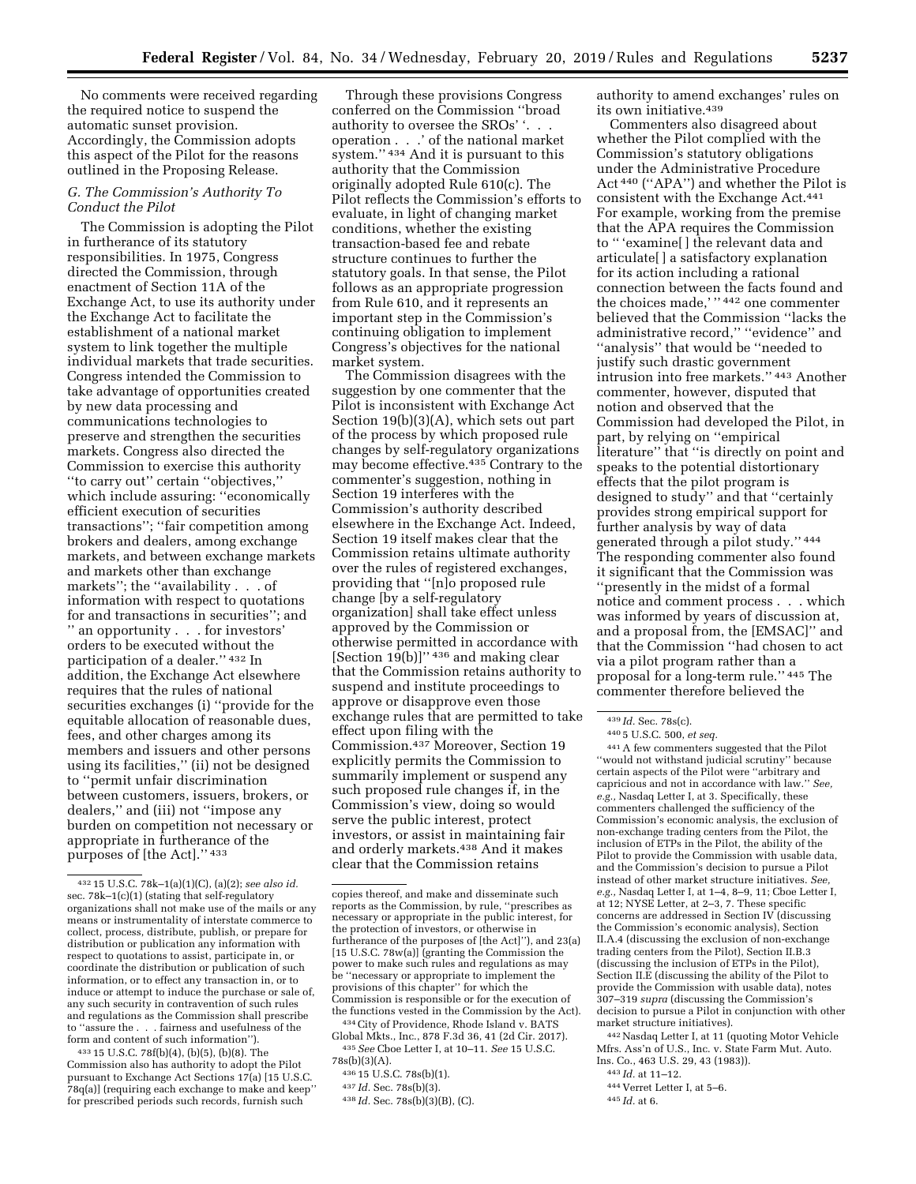No comments were received regarding the required notice to suspend the automatic sunset provision. Accordingly, the Commission adopts this aspect of the Pilot for the reasons outlined in the Proposing Release.

## *G. The Commission's Authority To Conduct the Pilot*

The Commission is adopting the Pilot in furtherance of its statutory responsibilities. In 1975, Congress directed the Commission, through enactment of Section 11A of the Exchange Act, to use its authority under the Exchange Act to facilitate the establishment of a national market system to link together the multiple individual markets that trade securities. Congress intended the Commission to take advantage of opportunities created by new data processing and communications technologies to preserve and strengthen the securities markets. Congress also directed the Commission to exercise this authority ''to carry out'' certain ''objectives,'' which include assuring: "economically" efficient execution of securities transactions''; ''fair competition among brokers and dealers, among exchange markets, and between exchange markets and markets other than exchange markets''; the ''availability . . . of information with respect to quotations for and transactions in securities''; and '' an opportunity . . . for investors' orders to be executed without the participation of a dealer.'' 432 In addition, the Exchange Act elsewhere requires that the rules of national securities exchanges (i) ''provide for the equitable allocation of reasonable dues, fees, and other charges among its members and issuers and other persons using its facilities,'' (ii) not be designed to ''permit unfair discrimination between customers, issuers, brokers, or dealers,'' and (iii) not ''impose any burden on competition not necessary or appropriate in furtherance of the purposes of [the Act].'' 433

433 15 U.S.C. 78f(b)(4), (b)(5), (b)(8). The Commission also has authority to adopt the Pilot pursuant to Exchange Act Sections 17(a) [15 U.S.C. 78q(a)] (requiring each exchange to make and keep'' for prescribed periods such records, furnish such

Through these provisions Congress conferred on the Commission ''broad authority to oversee the SROs' '. . . operation . . .' of the national market system.'' 434 And it is pursuant to this authority that the Commission originally adopted Rule 610(c). The Pilot reflects the Commission's efforts to evaluate, in light of changing market conditions, whether the existing transaction-based fee and rebate structure continues to further the statutory goals. In that sense, the Pilot follows as an appropriate progression from Rule 610, and it represents an important step in the Commission's continuing obligation to implement Congress's objectives for the national market system.

The Commission disagrees with the suggestion by one commenter that the Pilot is inconsistent with Exchange Act Section 19(b)(3)(A), which sets out part of the process by which proposed rule changes by self-regulatory organizations may become effective.435 Contrary to the commenter's suggestion, nothing in Section 19 interferes with the Commission's authority described elsewhere in the Exchange Act. Indeed, Section 19 itself makes clear that the Commission retains ultimate authority over the rules of registered exchanges, providing that ''[n]o proposed rule change [by a self-regulatory organization] shall take effect unless approved by the Commission or otherwise permitted in accordance with [Section  $19(b)$ ]'' <sup>436</sup> and making clear that the Commission retains authority to suspend and institute proceedings to approve or disapprove even those exchange rules that are permitted to take effect upon filing with the Commission.437 Moreover, Section 19 explicitly permits the Commission to summarily implement or suspend any such proposed rule changes if, in the Commission's view, doing so would serve the public interest, protect investors, or assist in maintaining fair and orderly markets.438 And it makes clear that the Commission retains

434City of Providence, Rhode Island v. BATS Global Mkts., Inc., 878 F.3d 36, 41 (2d Cir. 2017).

435*See* Cboe Letter I, at 10–11. *See* 15 U.S.C. 78s(b)(3)(A).

436 15 U.S.C. 78s(b)(1).

authority to amend exchanges' rules on its own initiative.439

Commenters also disagreed about whether the Pilot complied with the Commission's statutory obligations under the Administrative Procedure Act 440 (''APA'') and whether the Pilot is consistent with the Exchange Act.441 For example, working from the premise that the APA requires the Commission to '' 'examine[ ] the relevant data and articulate[ ] a satisfactory explanation for its action including a rational connection between the facts found and the choices made,' '' 442 one commenter believed that the Commission ''lacks the administrative record,'' ''evidence'' and ''analysis'' that would be ''needed to justify such drastic government intrusion into free markets.'' 443 Another commenter, however, disputed that notion and observed that the Commission had developed the Pilot, in part, by relying on ''empirical literature'' that ''is directly on point and speaks to the potential distortionary effects that the pilot program is designed to study'' and that ''certainly provides strong empirical support for further analysis by way of data generated through a pilot study.'' 444 The responding commenter also found it significant that the Commission was ''presently in the midst of a formal notice and comment process . . . which was informed by years of discussion at, and a proposal from, the [EMSAC]'' and that the Commission ''had chosen to act via a pilot program rather than a proposal for a long-term rule.'' 445 The commenter therefore believed the

441A few commenters suggested that the Pilot ''would not withstand judicial scrutiny'' because certain aspects of the Pilot were ''arbitrary and capricious and not in accordance with law.'' *See, e.g.,* Nasdaq Letter I, at 3. Specifically, these commenters challenged the sufficiency of the Commission's economic analysis, the exclusion of non-exchange trading centers from the Pilot, the inclusion of ETPs in the Pilot, the ability of the Pilot to provide the Commission with usable data, and the Commission's decision to pursue a Pilot instead of other market structure initiatives. *See, e.g.,* Nasdaq Letter I, at 1–4, 8–9, 11; Cboe Letter I, at 12; NYSE Letter, at 2–3, 7. These specific concerns are addressed in Section IV (discussing the Commission's economic analysis), Section II.A.4 (discussing the exclusion of non-exchange trading centers from the Pilot), Section II.B.3 (discussing the inclusion of ETPs in the Pilot), Section II.E (discussing the ability of the Pilot to provide the Commission with usable data), notes 307–319 *supra* (discussing the Commission's decision to pursue a Pilot in conjunction with other market structure initiatives).

442Nasdaq Letter I, at 11 (quoting Motor Vehicle Mfrs. Ass'n of U.S., Inc. v. State Farm Mut. Auto. Ins. Co., 463 U.S. 29, 43 (1983)).

443 *Id.* at 11–12.

445 *Id.* at 6.

<sup>432</sup> 15 U.S.C. 78k–1(a)(1)(C), (a)(2); *see also id.*  sec. 78k–1(c)(1) (stating that self-regulatory organizations shall not make use of the mails or any means or instrumentality of interstate commerce to collect, process, distribute, publish, or prepare for distribution or publication any information with respect to quotations to assist, participate in, or coordinate the distribution or publication of such information, or to effect any transaction in, or to induce or attempt to induce the purchase or sale of, any such security in contravention of such rules and regulations as the Commission shall prescribe to ''assure the . . . fairness and usefulness of the form and content of such information'').

copies thereof, and make and disseminate such reports as the Commission, by rule, ''prescribes as necessary or appropriate in the public interest, for the protection of investors, or otherwise in furtherance of the purposes of [the Act]''), and 23(a) [15 U.S.C. 78w(a)] (granting the Commission the power to make such rules and regulations as may be ''necessary or appropriate to implement the provisions of this chapter'' for which the Commission is responsible or for the execution of the functions vested in the Commission by the Act).

<sup>437</sup> *Id.* Sec. 78s(b)(3).

<sup>438</sup> *Id.* Sec. 78s(b)(3)(B), (C).

<sup>439</sup> *Id.* Sec. 78s(c).

<sup>440</sup> 5 U.S.C. 500, *et seq.* 

<sup>444</sup> Verret Letter I, at 5–6.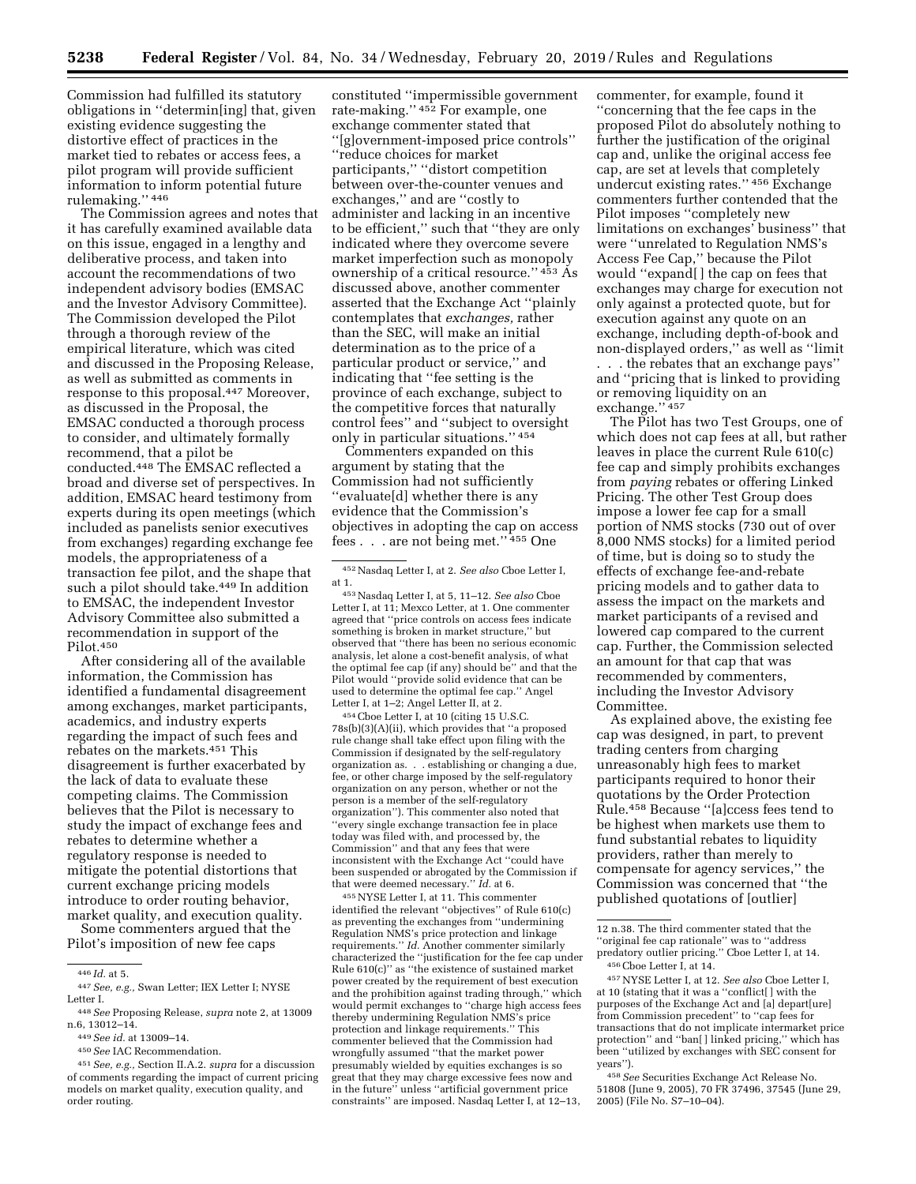Commission had fulfilled its statutory obligations in ''determin[ing] that, given existing evidence suggesting the distortive effect of practices in the market tied to rebates or access fees, a pilot program will provide sufficient information to inform potential future rulemaking.'' 446

The Commission agrees and notes that it has carefully examined available data on this issue, engaged in a lengthy and deliberative process, and taken into account the recommendations of two independent advisory bodies (EMSAC and the Investor Advisory Committee). The Commission developed the Pilot through a thorough review of the empirical literature, which was cited and discussed in the Proposing Release, as well as submitted as comments in response to this proposal.447 Moreover, as discussed in the Proposal, the EMSAC conducted a thorough process to consider, and ultimately formally recommend, that a pilot be conducted.448 The EMSAC reflected a broad and diverse set of perspectives. In addition, EMSAC heard testimony from experts during its open meetings (which included as panelists senior executives from exchanges) regarding exchange fee models, the appropriateness of a transaction fee pilot, and the shape that such a pilot should take.<sup>449</sup> In addition to EMSAC, the independent Investor Advisory Committee also submitted a recommendation in support of the Pilot.450

After considering all of the available information, the Commission has identified a fundamental disagreement among exchanges, market participants, academics, and industry experts regarding the impact of such fees and rebates on the markets.451 This disagreement is further exacerbated by the lack of data to evaluate these competing claims. The Commission believes that the Pilot is necessary to study the impact of exchange fees and rebates to determine whether a regulatory response is needed to mitigate the potential distortions that current exchange pricing models introduce to order routing behavior, market quality, and execution quality.

Some commenters argued that the Pilot's imposition of new fee caps

constituted ''impermissible government rate-making.'' 452 For example, one exchange commenter stated that ''[g]overnment-imposed price controls'' ''reduce choices for market participants,'' ''distort competition between over-the-counter venues and exchanges,'' and are ''costly to administer and lacking in an incentive to be efficient,'' such that ''they are only indicated where they overcome severe market imperfection such as monopoly ownership of a critical resource.'' 453 As discussed above, another commenter asserted that the Exchange Act ''plainly contemplates that *exchanges,* rather than the SEC, will make an initial determination as to the price of a particular product or service,'' and indicating that ''fee setting is the province of each exchange, subject to the competitive forces that naturally control fees'' and ''subject to oversight only in particular situations.'' 454

Commenters expanded on this argument by stating that the Commission had not sufficiently ''evaluate[d] whether there is any evidence that the Commission's objectives in adopting the cap on access fees . . . are not being met.'' 455 One

454Cboe Letter I, at 10 (citing 15 U.S.C. 78s(b)(3)(A)(ii), which provides that ''a proposed rule change shall take effect upon filing with the Commission if designated by the self-regulatory organization as. . . establishing or changing a due, fee, or other charge imposed by the self-regulatory organization on any person, whether or not the person is a member of the self-regulatory organization''). This commenter also noted that ''every single exchange transaction fee in place today was filed with, and processed by, the Commission'' and that any fees that were inconsistent with the Exchange Act ''could have been suspended or abrogated by the Commission if that were deemed necessary.'' *Id.* at 6.

455NYSE Letter I, at 11. This commenter identified the relevant ''objectives'' of Rule 610(c) as preventing the exchanges from ''undermining Regulation NMS's price protection and linkage requirements.'' *Id.* Another commenter similarly characterized the ''justification for the fee cap under Rule 610(c)'' as ''the existence of sustained market power created by the requirement of best execution and the prohibition against trading through,'' which would permit exchanges to ''charge high access fees thereby undermining Regulation NMS's price protection and linkage requirements.'' This commenter believed that the Commission had wrongfully assumed ''that the market power presumably wielded by equities exchanges is so great that they may charge excessive fees now and in the future'' unless ''artificial government price constraints'' are imposed. Nasdaq Letter I, at 12–13,

commenter, for example, found it ''concerning that the fee caps in the proposed Pilot do absolutely nothing to further the justification of the original cap and, unlike the original access fee cap, are set at levels that completely undercut existing rates.'' 456 Exchange commenters further contended that the Pilot imposes ''completely new limitations on exchanges' business'' that were ''unrelated to Regulation NMS's Access Fee Cap,'' because the Pilot would ''expand[ ] the cap on fees that exchanges may charge for execution not only against a protected quote, but for execution against any quote on an exchange, including depth-of-book and non-displayed orders,'' as well as ''limit . . . the rebates that an exchange pays'' and ''pricing that is linked to providing or removing liquidity on an exchange." 457

The Pilot has two Test Groups, one of which does not cap fees at all, but rather leaves in place the current Rule 610(c) fee cap and simply prohibits exchanges from *paying* rebates or offering Linked Pricing. The other Test Group does impose a lower fee cap for a small portion of NMS stocks (730 out of over 8,000 NMS stocks) for a limited period of time, but is doing so to study the effects of exchange fee-and-rebate pricing models and to gather data to assess the impact on the markets and market participants of a revised and lowered cap compared to the current cap. Further, the Commission selected an amount for that cap that was recommended by commenters, including the Investor Advisory Committee.

As explained above, the existing fee cap was designed, in part, to prevent trading centers from charging unreasonably high fees to market participants required to honor their quotations by the Order Protection Rule.458 Because ''[a]ccess fees tend to be highest when markets use them to fund substantial rebates to liquidity providers, rather than merely to compensate for agency services,'' the Commission was concerned that ''the published quotations of [outlier]

457NYSE Letter I, at 12. *See also* Cboe Letter I, at 10 (stating that it was a ''conflict[ ] with the purposes of the Exchange Act and [a] depart[ure] from Commission precedent'' to ''cap fees for transactions that do not implicate intermarket price protection'' and ''ban[ ] linked pricing,'' which has been ''utilized by exchanges with SEC consent for years'').

458*See* Securities Exchange Act Release No. 51808 (June 9, 2005), 70 FR 37496, 37545 (June 29, 2005) (File No. S7–10–04).

<sup>446</sup> *Id.* at 5.

<sup>447</sup>*See, e.g.,* Swan Letter; IEX Letter I; NYSE Letter I.

<sup>448</sup>*See* Proposing Release, *supra* note 2, at 13009 n.6, 13012–14.

<sup>449</sup>*See id.* at 13009–14.

<sup>450</sup>*See* IAC Recommendation.

<sup>451</sup>*See, e.g.,* Section II.A.2. *supra* for a discussion of comments regarding the impact of current pricing models on market quality, execution quality, and order routing.

<sup>452</sup>Nasdaq Letter I, at 2. *See also* Cboe Letter I, at 1.

<sup>453</sup>Nasdaq Letter I, at 5, 11–12. *See also* Cboe Letter I, at 11; Mexco Letter, at 1. One commenter agreed that ''price controls on access fees indicate something is broken in market structure,'' but observed that ''there has been no serious economic analysis, let alone a cost-benefit analysis, of what the optimal fee cap (if any) should be'' and that the Pilot would ''provide solid evidence that can be used to determine the optimal fee cap.'' Angel Letter I, at 1–2; Angel Letter II, at 2.

<sup>12</sup> n.38. The third commenter stated that the ''original fee cap rationale'' was to ''address predatory outlier pricing.'' Cboe Letter I, at 14. 456Cboe Letter I, at 14.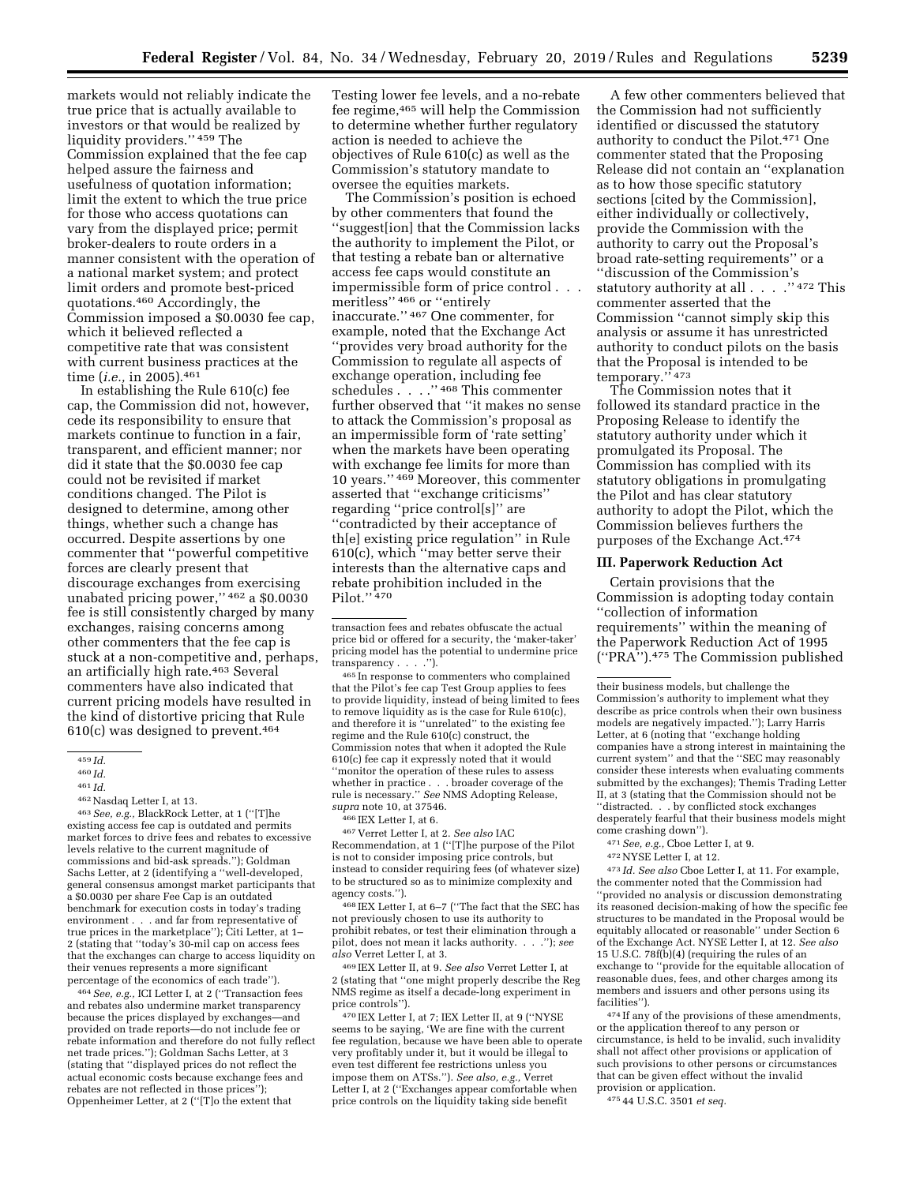markets would not reliably indicate the true price that is actually available to investors or that would be realized by liquidity providers.'' 459 The Commission explained that the fee cap helped assure the fairness and usefulness of quotation information; limit the extent to which the true price for those who access quotations can vary from the displayed price; permit broker-dealers to route orders in a manner consistent with the operation of a national market system; and protect limit orders and promote best-priced quotations.460 Accordingly, the Commission imposed a \$0.0030 fee cap, which it believed reflected a competitive rate that was consistent with current business practices at the time (*i.e.,* in 2005).461

In establishing the Rule 610(c) fee cap, the Commission did not, however, cede its responsibility to ensure that markets continue to function in a fair, transparent, and efficient manner; nor did it state that the \$0.0030 fee cap could not be revisited if market conditions changed. The Pilot is designed to determine, among other things, whether such a change has occurred. Despite assertions by one commenter that ''powerful competitive forces are clearly present that discourage exchanges from exercising unabated pricing power,'' 462 a \$0.0030 fee is still consistently charged by many exchanges, raising concerns among other commenters that the fee cap is stuck at a non-competitive and, perhaps, an artificially high rate.463 Several commenters have also indicated that current pricing models have resulted in the kind of distortive pricing that Rule  $610(c)$  was designed to prevent.<sup>464</sup>

463*See, e.g.,* BlackRock Letter, at 1 (''[T]he existing access fee cap is outdated and permits market forces to drive fees and rebates to excessive levels relative to the current magnitude of commissions and bid-ask spreads.''); Goldman Sachs Letter, at 2 (identifying a ''well-developed, general consensus amongst market participants that a \$0.0030 per share Fee Cap is an outdated benchmark for execution costs in today's trading environment . . . and far from representative of true prices in the marketplace''); Citi Letter, at 1– 2 (stating that ''today's 30-mil cap on access fees that the exchanges can charge to access liquidity on their venues represents a more significant percentage of the economics of each trade'').

464*See, e.g.,* ICI Letter I, at 2 (''Transaction fees and rebates also undermine market transparency because the prices displayed by exchanges—and provided on trade reports—do not include fee or rebate information and therefore do not fully reflect net trade prices.''); Goldman Sachs Letter, at 3 (stating that ''displayed prices do not reflect the actual economic costs because exchange fees and rebates are not reflected in those prices''); Oppenheimer Letter, at 2 (''[T]o the extent that

Testing lower fee levels, and a no-rebate fee regime,465 will help the Commission to determine whether further regulatory action is needed to achieve the objectives of Rule 610(c) as well as the Commission's statutory mandate to oversee the equities markets.

The Commission's position is echoed by other commenters that found the ''suggest[ion] that the Commission lacks the authority to implement the Pilot, or that testing a rebate ban or alternative access fee caps would constitute an impermissible form of price control . . . meritless'' 466 or ''entirely inaccurate.'' 467 One commenter, for example, noted that the Exchange Act ''provides very broad authority for the Commission to regulate all aspects of exchange operation, including fee schedules . . . .'' 468 This commenter further observed that ''it makes no sense to attack the Commission's proposal as an impermissible form of 'rate setting' when the markets have been operating with exchange fee limits for more than 10 years.'' 469 Moreover, this commenter asserted that ''exchange criticisms'' regarding ''price control[s]'' are ''contradicted by their acceptance of th[e] existing price regulation'' in Rule 610(c), which ''may better serve their interests than the alternative caps and rebate prohibition included in the Pilot."<sup>470</sup>

465 In response to commenters who complained that the Pilot's fee cap Test Group applies to fees to provide liquidity, instead of being limited to fees to remove liquidity as is the case for Rule 610(c), and therefore it is ''unrelated'' to the existing fee regime and the Rule 610(c) construct, the Commission notes that when it adopted the Rule 610(c) fee cap it expressly noted that it would ''monitor the operation of these rules to assess whether in practice . . . broader coverage of the rule is necessary.'' *See* NMS Adopting Release, *supra* note 10, at 37546.

466 IEX Letter I, at 6.

467 Verret Letter I, at 2. *See also* IAC Recommendation, at 1 (''[T]he purpose of the Pilot is not to consider imposing price controls, but instead to consider requiring fees (of whatever size) to be structured so as to minimize complexity and agency costs.'').

468 IEX Letter I, at 6–7 (''The fact that the SEC has not previously chosen to use its authority to prohibit rebates, or test their elimination through a pilot, does not mean it lacks authority. . . .''); *see also* Verret Letter I, at 3.

469 IEX Letter II, at 9. *See also* Verret Letter I, at 2 (stating that ''one might properly describe the Reg NMS regime as itself a decade-long experiment in price controls'').

470 IEX Letter I, at 7; IEX Letter II, at 9 (''NYSE seems to be saying, 'We are fine with the current fee regulation, because we have been able to operate very profitably under it, but it would be illegal to even test different fee restrictions unless you impose them on ATSs.''). *See also, e.g.,* Verret Letter I, at 2 (''Exchanges appear comfortable when price controls on the liquidity taking side benefit

A few other commenters believed that the Commission had not sufficiently identified or discussed the statutory authority to conduct the Pilot.471 One commenter stated that the Proposing Release did not contain an ''explanation as to how those specific statutory sections [cited by the Commission], either individually or collectively, provide the Commission with the authority to carry out the Proposal's broad rate-setting requirements'' or a ''discussion of the Commission's statutory authority at all . . . . "472 This commenter asserted that the Commission ''cannot simply skip this analysis or assume it has unrestricted authority to conduct pilots on the basis that the Proposal is intended to be temporary.'' 473

The Commission notes that it followed its standard practice in the Proposing Release to identify the statutory authority under which it promulgated its Proposal. The Commission has complied with its statutory obligations in promulgating the Pilot and has clear statutory authority to adopt the Pilot, which the Commission believes furthers the purposes of the Exchange Act.474

#### **III. Paperwork Reduction Act**

Certain provisions that the Commission is adopting today contain ''collection of information requirements'' within the meaning of the Paperwork Reduction Act of 1995 (''PRA'').475 The Commission published

- 472NYSE Letter I, at 12.
- 

473 *Id. See also* Cboe Letter I, at 11. For example, the commenter noted that the Commission had ''provided no analysis or discussion demonstrating its reasoned decision-making of how the specific fee structures to be mandated in the Proposal would be equitably allocated or reasonable'' under Section 6 of the Exchange Act. NYSE Letter I, at 12. *See also*  15 U.S.C. 78f(b)(4) (requiring the rules of an exchange to ''provide for the equitable allocation of reasonable dues, fees, and other charges among its members and issuers and other persons using its facilities'').

474 If any of the provisions of these amendments, or the application thereof to any person or circumstance, is held to be invalid, such invalidity shall not affect other provisions or application of such provisions to other persons or circumstances that can be given effect without the invalid provision or application.

475 44 U.S.C. 3501 *et seq.* 

 $459$  *Id.* 

<sup>460</sup> *Id.* 

<sup>461</sup> *Id.* 

<sup>462</sup>Nasdaq Letter I, at 13.

transaction fees and rebates obfuscate the actual price bid or offered for a security, the 'maker-taker' pricing model has the potential to undermine price transparency . . . .'').

their business models, but challenge the Commission's authority to implement what they describe as price controls when their own business models are negatively impacted.''); Larry Harris Letter, at 6 (noting that ''exchange holding companies have a strong interest in maintaining the current system'' and that the ''SEC may reasonably consider these interests when evaluating comments submitted by the exchanges); Themis Trading Letter II, at 3 (stating that the Commission should not be ''distracted. . . by conflicted stock exchanges desperately fearful that their business models might come crashing down'').

<sup>471</sup>*See, e.g.,* Cboe Letter I, at 9.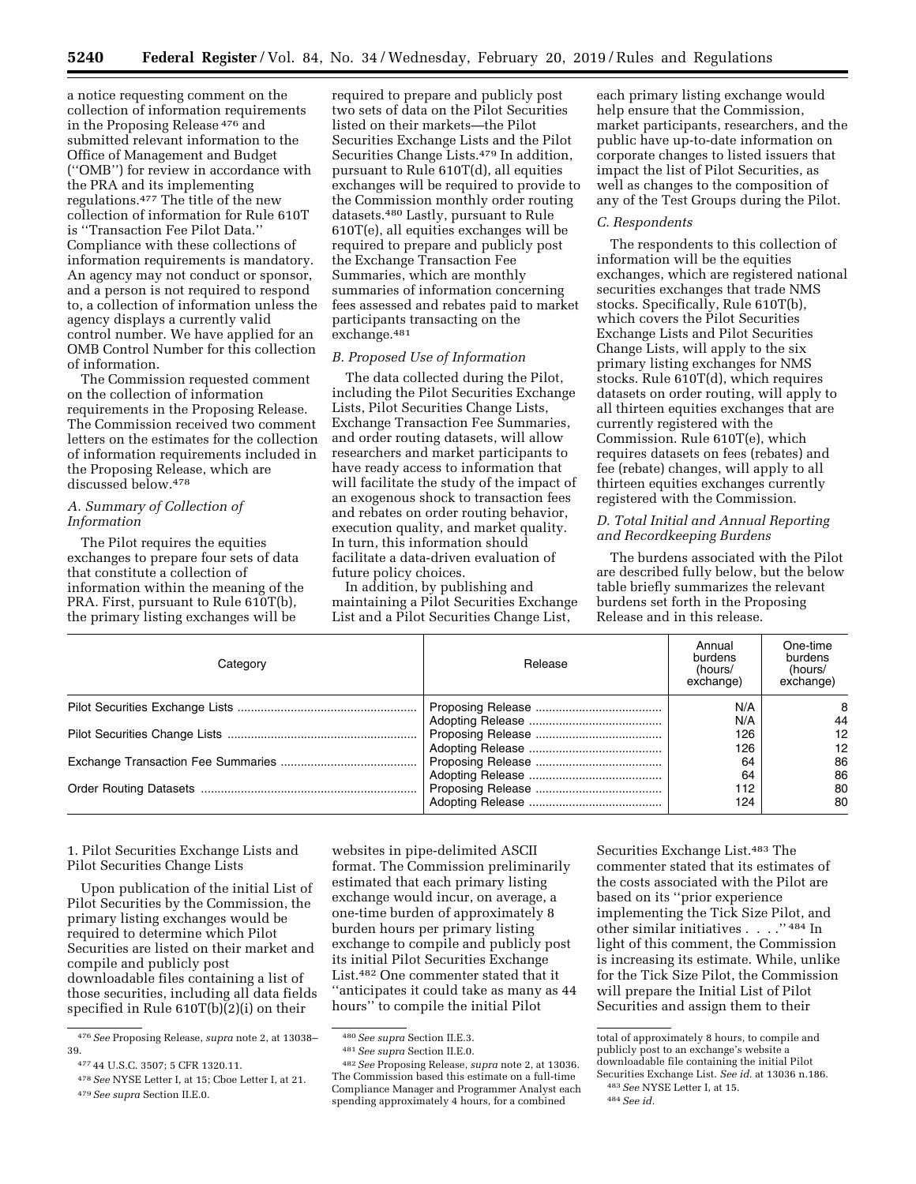a notice requesting comment on the collection of information requirements in the Proposing Release 476 and submitted relevant information to the Office of Management and Budget (''OMB'') for review in accordance with the PRA and its implementing regulations.477 The title of the new collection of information for Rule 610T is ''Transaction Fee Pilot Data.'' Compliance with these collections of information requirements is mandatory. An agency may not conduct or sponsor, and a person is not required to respond to, a collection of information unless the agency displays a currently valid control number. We have applied for an OMB Control Number for this collection of information.

The Commission requested comment on the collection of information requirements in the Proposing Release. The Commission received two comment letters on the estimates for the collection of information requirements included in the Proposing Release, which are discussed below.478

# *A. Summary of Collection of Information*

The Pilot requires the equities exchanges to prepare four sets of data that constitute a collection of information within the meaning of the PRA. First, pursuant to Rule 610T(b), the primary listing exchanges will be

required to prepare and publicly post two sets of data on the Pilot Securities listed on their markets—the Pilot Securities Exchange Lists and the Pilot Securities Change Lists.479 In addition, pursuant to Rule 610T(d), all equities exchanges will be required to provide to the Commission monthly order routing datasets.480 Lastly, pursuant to Rule 610T(e), all equities exchanges will be required to prepare and publicly post the Exchange Transaction Fee Summaries, which are monthly summaries of information concerning fees assessed and rebates paid to market participants transacting on the exchange.481

#### *B. Proposed Use of Information*

The data collected during the Pilot, including the Pilot Securities Exchange Lists, Pilot Securities Change Lists, Exchange Transaction Fee Summaries, and order routing datasets, will allow researchers and market participants to have ready access to information that will facilitate the study of the impact of an exogenous shock to transaction fees and rebates on order routing behavior, execution quality, and market quality. In turn, this information should facilitate a data-driven evaluation of future policy choices.

In addition, by publishing and maintaining a Pilot Securities Exchange List and a Pilot Securities Change List,

each primary listing exchange would help ensure that the Commission, market participants, researchers, and the public have up-to-date information on corporate changes to listed issuers that impact the list of Pilot Securities, as well as changes to the composition of any of the Test Groups during the Pilot.

#### *C. Respondents*

The respondents to this collection of information will be the equities exchanges, which are registered national securities exchanges that trade NMS stocks. Specifically, Rule 610T(b), which covers the Pilot Securities Exchange Lists and Pilot Securities Change Lists, will apply to the six primary listing exchanges for NMS stocks. Rule 610T(d), which requires datasets on order routing, will apply to all thirteen equities exchanges that are currently registered with the Commission. Rule 610T(e), which requires datasets on fees (rebates) and fee (rebate) changes, will apply to all thirteen equities exchanges currently registered with the Commission.

## *D. Total Initial and Annual Reporting and Recordkeeping Burdens*

The burdens associated with the Pilot are described fully below, but the below table briefly summarizes the relevant burdens set forth in the Proposing Release and in this release.

| Category | Release | Annual<br>burdens<br>(hours/<br>exchange) | One-time<br>burdens<br>(hours/<br>exchange) |
|----------|---------|-------------------------------------------|---------------------------------------------|
|          |         | N/A                                       | 8                                           |
|          |         | N/A                                       | 44                                          |
|          |         | 126                                       | 12                                          |
|          |         | 126                                       | $12 \overline{ }$                           |
|          |         | 64                                        | 86                                          |
|          |         | 64                                        | 86                                          |
|          |         | 112                                       | 80                                          |
|          |         | 124                                       | 80                                          |

1. Pilot Securities Exchange Lists and Pilot Securities Change Lists

Upon publication of the initial List of Pilot Securities by the Commission, the primary listing exchanges would be required to determine which Pilot Securities are listed on their market and compile and publicly post downloadable files containing a list of those securities, including all data fields specified in Rule 610T(b)(2)(i) on their

websites in pipe-delimited ASCII format. The Commission preliminarily estimated that each primary listing exchange would incur, on average, a one-time burden of approximately 8 burden hours per primary listing exchange to compile and publicly post its initial Pilot Securities Exchange List.482 One commenter stated that it ''anticipates it could take as many as 44 hours'' to compile the initial Pilot

Securities Exchange List.483 The commenter stated that its estimates of the costs associated with the Pilot are based on its ''prior experience implementing the Tick Size Pilot, and other similar initiatives . . . . "  $^{484}\!$  In light of this comment, the Commission is increasing its estimate. While, unlike for the Tick Size Pilot, the Commission will prepare the Initial List of Pilot Securities and assign them to their

<sup>476</sup>*See* Proposing Release, *supra* note 2, at 13038– 39.

<sup>477</sup> 44 U.S.C. 3507; 5 CFR 1320.11.

<sup>478</sup>*See* NYSE Letter I, at 15; Cboe Letter I, at 21. 479*See supra* Section II.E.0.

<sup>480</sup>*See supra* Section II.E.3.

<sup>481</sup>*See supra* Section II.E.0.

<sup>482</sup>*See* Proposing Release, *supra* note 2, at 13036. The Commission based this estimate on a full-time Compliance Manager and Programmer Analyst each spending approximately 4 hours, for a combined

total of approximately 8 hours, to compile and publicly post to an exchange's website a downloadable file containing the initial Pilot Securities Exchange List. *See id.* at 13036 n.186.

<sup>483</sup>*See* NYSE Letter I, at 15.

<sup>484</sup>*See id.*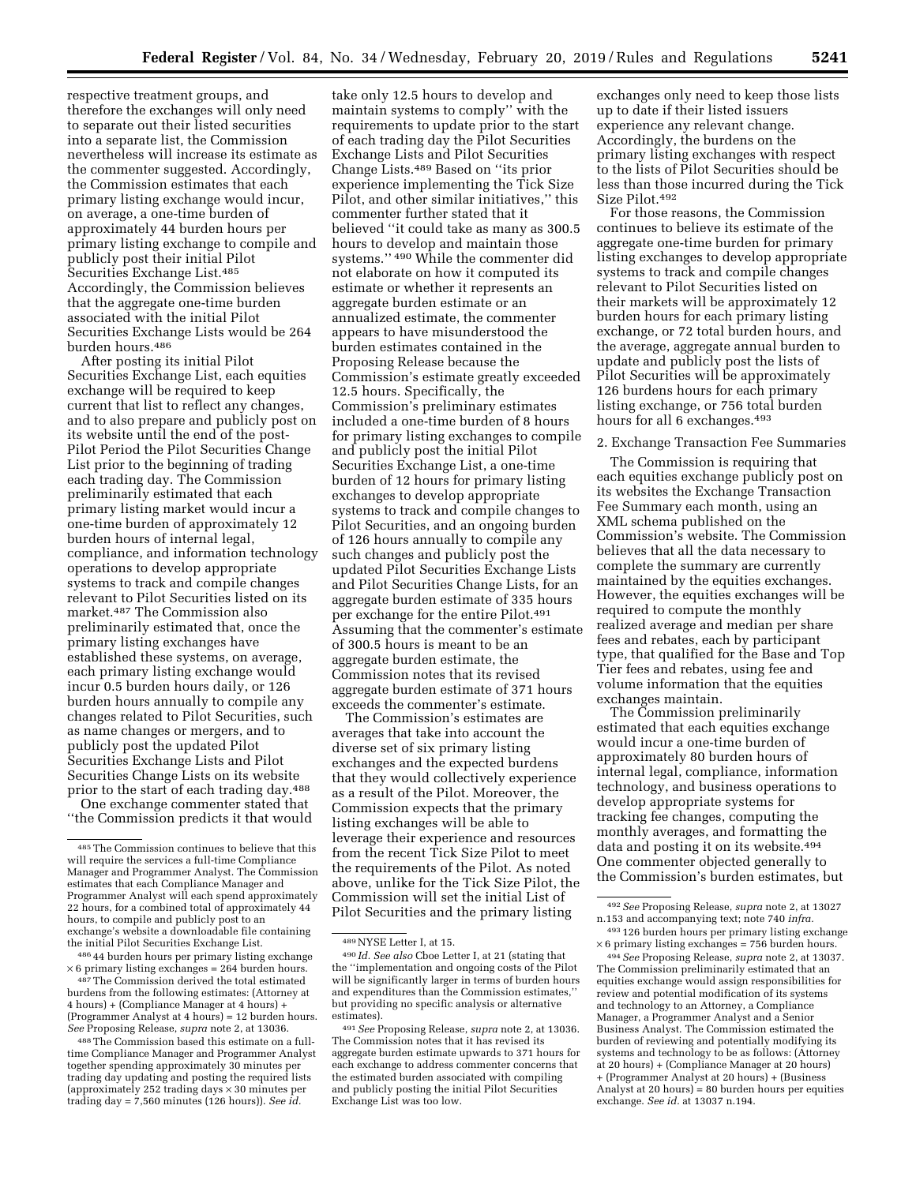respective treatment groups, and therefore the exchanges will only need to separate out their listed securities into a separate list, the Commission nevertheless will increase its estimate as the commenter suggested. Accordingly, the Commission estimates that each primary listing exchange would incur, on average, a one-time burden of approximately 44 burden hours per primary listing exchange to compile and publicly post their initial Pilot Securities Exchange List.485 Accordingly, the Commission believes that the aggregate one-time burden associated with the initial Pilot Securities Exchange Lists would be 264 burden hours.486

After posting its initial Pilot Securities Exchange List, each equities exchange will be required to keep current that list to reflect any changes, and to also prepare and publicly post on its website until the end of the post-Pilot Period the Pilot Securities Change List prior to the beginning of trading each trading day. The Commission preliminarily estimated that each primary listing market would incur a one-time burden of approximately 12 burden hours of internal legal, compliance, and information technology operations to develop appropriate systems to track and compile changes relevant to Pilot Securities listed on its market.487 The Commission also preliminarily estimated that, once the primary listing exchanges have established these systems, on average, each primary listing exchange would incur 0.5 burden hours daily, or 126 burden hours annually to compile any changes related to Pilot Securities, such as name changes or mergers, and to publicly post the updated Pilot Securities Exchange Lists and Pilot Securities Change Lists on its website prior to the start of each trading day.488

One exchange commenter stated that ''the Commission predicts it that would

486 44 burden hours per primary listing exchange  $\times$  6 primary listing exchanges = 264 burden hours. 487The Commission derived the total estimated

burdens from the following estimates: (Attorney at 4 hours) + (Compliance Manager at 4 hours) + (Programmer Analyst at 4 hours) = 12 burden hours. *See* Proposing Release, *supra* note 2, at 13036.

488The Commission based this estimate on a fulltime Compliance Manager and Programmer Analyst together spending approximately 30 minutes per trading day updating and posting the required lists (approximately 252 trading days × 30 minutes per trading day = 7,560 minutes (126 hours)). *See id.* 

take only 12.5 hours to develop and maintain systems to comply'' with the requirements to update prior to the start of each trading day the Pilot Securities Exchange Lists and Pilot Securities Change Lists.489 Based on ''its prior experience implementing the Tick Size Pilot, and other similar initiatives,'' this commenter further stated that it believed ''it could take as many as 300.5 hours to develop and maintain those systems.'' 490 While the commenter did not elaborate on how it computed its estimate or whether it represents an aggregate burden estimate or an annualized estimate, the commenter appears to have misunderstood the burden estimates contained in the Proposing Release because the Commission's estimate greatly exceeded 12.5 hours. Specifically, the Commission's preliminary estimates included a one-time burden of 8 hours for primary listing exchanges to compile and publicly post the initial Pilot Securities Exchange List, a one-time burden of 12 hours for primary listing exchanges to develop appropriate systems to track and compile changes to Pilot Securities, and an ongoing burden of 126 hours annually to compile any such changes and publicly post the updated Pilot Securities Exchange Lists and Pilot Securities Change Lists, for an aggregate burden estimate of 335 hours per exchange for the entire Pilot.491 Assuming that the commenter's estimate of 300.5 hours is meant to be an aggregate burden estimate, the Commission notes that its revised aggregate burden estimate of 371 hours exceeds the commenter's estimate.

The Commission's estimates are averages that take into account the diverse set of six primary listing exchanges and the expected burdens that they would collectively experience as a result of the Pilot. Moreover, the Commission expects that the primary listing exchanges will be able to leverage their experience and resources from the recent Tick Size Pilot to meet the requirements of the Pilot. As noted above, unlike for the Tick Size Pilot, the Commission will set the initial List of Pilot Securities and the primary listing

exchanges only need to keep those lists up to date if their listed issuers experience any relevant change. Accordingly, the burdens on the primary listing exchanges with respect to the lists of Pilot Securities should be less than those incurred during the Tick Size Pilot.492

For those reasons, the Commission continues to believe its estimate of the aggregate one-time burden for primary listing exchanges to develop appropriate systems to track and compile changes relevant to Pilot Securities listed on their markets will be approximately 12 burden hours for each primary listing exchange, or 72 total burden hours, and the average, aggregate annual burden to update and publicly post the lists of Pilot Securities will be approximately 126 burdens hours for each primary listing exchange, or 756 total burden hours for all 6 exchanges.<sup>493</sup>

### 2. Exchange Transaction Fee Summaries

The Commission is requiring that each equities exchange publicly post on its websites the Exchange Transaction Fee Summary each month, using an XML schema published on the Commission's website. The Commission believes that all the data necessary to complete the summary are currently maintained by the equities exchanges. However, the equities exchanges will be required to compute the monthly realized average and median per share fees and rebates, each by participant type, that qualified for the Base and Top Tier fees and rebates, using fee and volume information that the equities exchanges maintain.

The Commission preliminarily estimated that each equities exchange would incur a one-time burden of approximately 80 burden hours of internal legal, compliance, information technology, and business operations to develop appropriate systems for tracking fee changes, computing the monthly averages, and formatting the data and posting it on its website.<sup>494</sup> One commenter objected generally to the Commission's burden estimates, but

494*See* Proposing Release, *supra* note 2, at 13037. The Commission preliminarily estimated that an equities exchange would assign responsibilities for review and potential modification of its systems and technology to an Attorney, a Compliance Manager, a Programmer Analyst and a Senior Business Analyst. The Commission estimated the burden of reviewing and potentially modifying its systems and technology to be as follows: (Attorney at 20 hours) + (Compliance Manager at 20 hours) + (Programmer Analyst at 20 hours) + (Business Analyst at 20 hours) = 80 burden hours per equities exchange. *See id.* at 13037 n.194.

<sup>485</sup>The Commission continues to believe that this will require the services a full-time Compliance Manager and Programmer Analyst. The Commission estimates that each Compliance Manager and Programmer Analyst will each spend approximately 22 hours, for a combined total of approximately 44 hours, to compile and publicly post to an exchange's website a downloadable file containing the initial Pilot Securities Exchange List.

<sup>489</sup>NYSE Letter I, at 15.

<sup>490</sup> *Id. See also* Cboe Letter I, at 21 (stating that the ''implementation and ongoing costs of the Pilot will be significantly larger in terms of burden hours and expenditures than the Commission estimates,'' but providing no specific analysis or alternative estimates).

<sup>491</sup>*See* Proposing Release, *supra* note 2, at 13036. The Commission notes that it has revised its aggregate burden estimate upwards to 371 hours for each exchange to address commenter concerns that the estimated burden associated with compiling and publicly posting the initial Pilot Securities Exchange List was too low.

<sup>492</sup>*See* Proposing Release, *supra* note 2, at 13027 n.153 and accompanying text; note 740 *infra.* 

<sup>493</sup> 126 burden hours per primary listing exchange  $\times$  6 primary listing exchanges = 756 burden hours.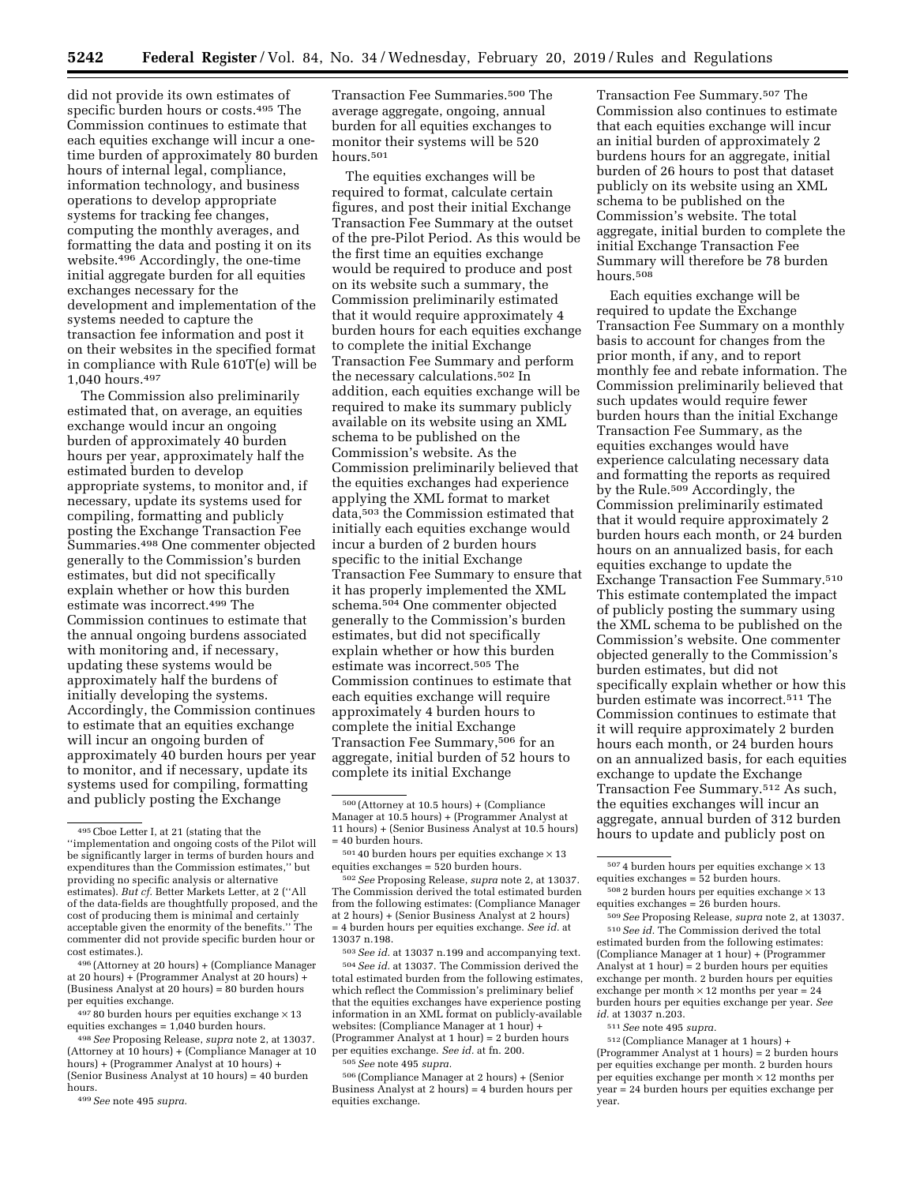did not provide its own estimates of specific burden hours or costs.495 The Commission continues to estimate that each equities exchange will incur a onetime burden of approximately 80 burden hours of internal legal, compliance, information technology, and business operations to develop appropriate systems for tracking fee changes, computing the monthly averages, and formatting the data and posting it on its website.496 Accordingly, the one-time initial aggregate burden for all equities exchanges necessary for the development and implementation of the systems needed to capture the transaction fee information and post it on their websites in the specified format in compliance with Rule 610T(e) will be 1,040 hours.497

The Commission also preliminarily estimated that, on average, an equities exchange would incur an ongoing burden of approximately 40 burden hours per year, approximately half the estimated burden to develop appropriate systems, to monitor and, if necessary, update its systems used for compiling, formatting and publicly posting the Exchange Transaction Fee Summaries.498 One commenter objected generally to the Commission's burden estimates, but did not specifically explain whether or how this burden estimate was incorrect.499 The Commission continues to estimate that the annual ongoing burdens associated with monitoring and, if necessary, updating these systems would be approximately half the burdens of initially developing the systems. Accordingly, the Commission continues to estimate that an equities exchange will incur an ongoing burden of approximately 40 burden hours per year to monitor, and if necessary, update its systems used for compiling, formatting and publicly posting the Exchange

496 (Attorney at 20 hours) + (Compliance Manager at 20 hours) + (Programmer Analyst at 20 hours) + (Business Analyst at 20 hours) = 80 burden hours per equities exchange.

 $49780$  burden hours per equities exchange  $\times$  13 equities exchanges  $= 1,040$  burden hours.

498*See* Proposing Release, *supra* note 2, at 13037. (Attorney at 10 hours) + (Compliance Manager at 10 hours) + (Programmer Analyst at 10 hours) + (Senior Business Analyst at 10 hours) = 40 burden hours.

Transaction Fee Summaries.500 The average aggregate, ongoing, annual burden for all equities exchanges to monitor their systems will be 520 hours.501

The equities exchanges will be required to format, calculate certain figures, and post their initial Exchange Transaction Fee Summary at the outset of the pre-Pilot Period. As this would be the first time an equities exchange would be required to produce and post on its website such a summary, the Commission preliminarily estimated that it would require approximately 4 burden hours for each equities exchange to complete the initial Exchange Transaction Fee Summary and perform the necessary calculations.502 In addition, each equities exchange will be required to make its summary publicly available on its website using an XML schema to be published on the Commission's website. As the Commission preliminarily believed that the equities exchanges had experience applying the XML format to market data,503 the Commission estimated that initially each equities exchange would incur a burden of 2 burden hours specific to the initial Exchange Transaction Fee Summary to ensure that it has properly implemented the XML schema.504 One commenter objected generally to the Commission's burden estimates, but did not specifically explain whether or how this burden estimate was incorrect.505 The Commission continues to estimate that each equities exchange will require approximately 4 burden hours to complete the initial Exchange Transaction Fee Summary,506 for an aggregate, initial burden of 52 hours to complete its initial Exchange

503*See id.* at 13037 n.199 and accompanying text. 504*See id.* at 13037. The Commission derived the total estimated burden from the following estimates, which reflect the Commission's preliminary belief that the equities exchanges have experience posting information in an XML format on publicly-available websites: (Compliance Manager at 1 hour) + (Programmer Analyst at 1 hour) = 2 burden hours per equities exchange. *See id.* at fn. 200. 505*See* note 495 *supra.* 

506 (Compliance Manager at 2 hours) + (Senior Business Analyst at 2 hours) = 4 burden hours per equities exchange.

Transaction Fee Summary.507 The Commission also continues to estimate that each equities exchange will incur an initial burden of approximately 2 burdens hours for an aggregate, initial burden of 26 hours to post that dataset publicly on its website using an XML schema to be published on the Commission's website. The total aggregate, initial burden to complete the initial Exchange Transaction Fee Summary will therefore be 78 burden hours.508

Each equities exchange will be required to update the Exchange Transaction Fee Summary on a monthly basis to account for changes from the prior month, if any, and to report monthly fee and rebate information. The Commission preliminarily believed that such updates would require fewer burden hours than the initial Exchange Transaction Fee Summary, as the equities exchanges would have experience calculating necessary data and formatting the reports as required by the Rule.509 Accordingly, the Commission preliminarily estimated that it would require approximately 2 burden hours each month, or 24 burden hours on an annualized basis, for each equities exchange to update the Exchange Transaction Fee Summary.510 This estimate contemplated the impact of publicly posting the summary using the XML schema to be published on the Commission's website. One commenter objected generally to the Commission's burden estimates, but did not specifically explain whether or how this burden estimate was incorrect.511 The Commission continues to estimate that it will require approximately 2 burden hours each month, or 24 burden hours on an annualized basis, for each equities exchange to update the Exchange Transaction Fee Summary.512 As such, the equities exchanges will incur an aggregate, annual burden of 312 burden hours to update and publicly post on

509*See* Proposing Release, *supra* note 2, at 13037. 510*See id.* The Commission derived the total estimated burden from the following estimates: (Compliance Manager at 1 hour) + (Programmer Analyst at  $1$  hour) =  $2$  burden hours per equities exchange per month. 2 burden hours per equities exchange per month  $\times$  12 months per year = 24 burden hours per equities exchange per year. *See id.* at 13037 n.203.

511*See* note 495 *supra.* 

512 (Compliance Manager at 1 hours) + (Programmer Analyst at 1 hours) = 2 burden hours per equities exchange per month. 2 burden hours per equities exchange per month × 12 months per year = 24 burden hours per equities exchange per year.

<sup>495</sup>Cboe Letter I, at 21 (stating that the ''implementation and ongoing costs of the Pilot will be significantly larger in terms of burden hours and expenditures than the Commission estimates,'' but providing no specific analysis or alternative estimates). *But cf.* Better Markets Letter, at 2 (''All of the data-fields are thoughtfully proposed, and the cost of producing them is minimal and certainly acceptable given the enormity of the benefits.'' The commenter did not provide specific burden hour or cost estimates.).

<sup>499</sup>*See* note 495 *supra.* 

<sup>500</sup> (Attorney at 10.5 hours) + (Compliance Manager at 10.5 hours) + (Programmer Analyst at 11 hours) + (Senior Business Analyst at 10.5 hours)  $\,$  = 40 burden hours.

 $^{501}\,40$  burden hours per equities exchange  $\times\,13$ equities exchanges = 520 burden hours.

<sup>502</sup>*See* Proposing Release, *supra* note 2, at 13037. The Commission derived the total estimated burden from the following estimates: (Compliance Manager at 2 hours) + (Senior Business Analyst at 2 hours) = 4 burden hours per equities exchange. *See id.* at 13037 n.198.

 $^{507}\,4$  burden hours per equities exchange  $\times\,13$ equities exchanges = 52 burden hours.

 $5082$  burden hours per equities exchange  $\times 13$ equities exchanges  $= 26$  burden hours.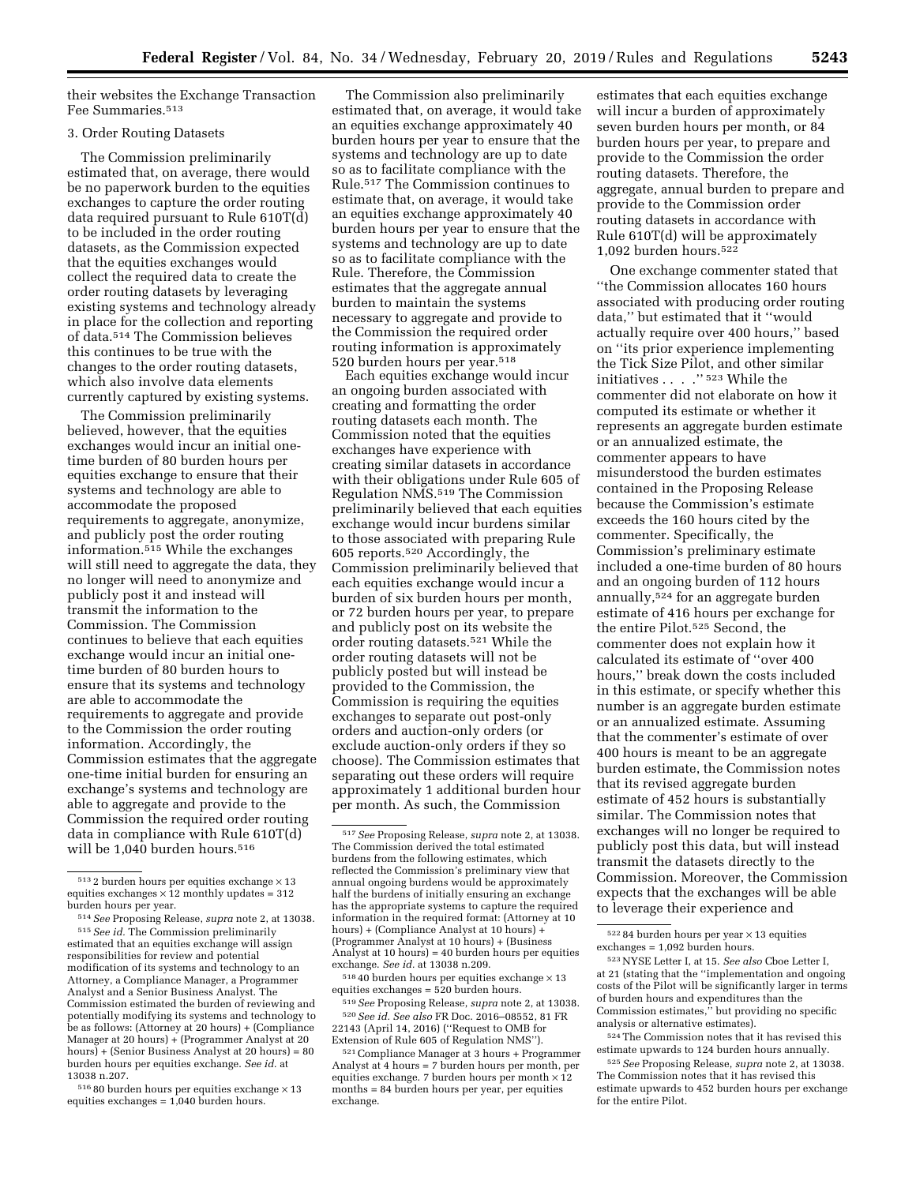their websites the Exchange Transaction Fee Summaries.513

# 3. Order Routing Datasets

The Commission preliminarily estimated that, on average, there would be no paperwork burden to the equities exchanges to capture the order routing data required pursuant to Rule 610T(d) to be included in the order routing datasets, as the Commission expected that the equities exchanges would collect the required data to create the order routing datasets by leveraging existing systems and technology already in place for the collection and reporting of data.514 The Commission believes this continues to be true with the changes to the order routing datasets, which also involve data elements currently captured by existing systems.

The Commission preliminarily believed, however, that the equities exchanges would incur an initial onetime burden of 80 burden hours per equities exchange to ensure that their systems and technology are able to accommodate the proposed requirements to aggregate, anonymize, and publicly post the order routing information.515 While the exchanges will still need to aggregate the data, they no longer will need to anonymize and publicly post it and instead will transmit the information to the Commission. The Commission continues to believe that each equities exchange would incur an initial onetime burden of 80 burden hours to ensure that its systems and technology are able to accommodate the requirements to aggregate and provide to the Commission the order routing information. Accordingly, the Commission estimates that the aggregate one-time initial burden for ensuring an exchange's systems and technology are able to aggregate and provide to the Commission the required order routing data in compliance with Rule 610T(d) will be 1,040 burden hours.<sup>516</sup>

 $51680$  burden hours per equities exchange  $\times 13$ equities exchanges = 1,040 burden hours.

The Commission also preliminarily estimated that, on average, it would take an equities exchange approximately 40 burden hours per year to ensure that the systems and technology are up to date so as to facilitate compliance with the Rule.517 The Commission continues to estimate that, on average, it would take an equities exchange approximately 40 burden hours per year to ensure that the systems and technology are up to date so as to facilitate compliance with the Rule. Therefore, the Commission estimates that the aggregate annual burden to maintain the systems necessary to aggregate and provide to the Commission the required order routing information is approximately 520 burden hours per year.518

Each equities exchange would incur an ongoing burden associated with creating and formatting the order routing datasets each month. The Commission noted that the equities exchanges have experience with creating similar datasets in accordance with their obligations under Rule 605 of Regulation NMS.519 The Commission preliminarily believed that each equities exchange would incur burdens similar to those associated with preparing Rule 605 reports.520 Accordingly, the Commission preliminarily believed that each equities exchange would incur a burden of six burden hours per month, or 72 burden hours per year, to prepare and publicly post on its website the order routing datasets.521 While the order routing datasets will not be publicly posted but will instead be provided to the Commission, the Commission is requiring the equities exchanges to separate out post-only orders and auction-only orders (or exclude auction-only orders if they so choose). The Commission estimates that separating out these orders will require approximately 1 additional burden hour per month. As such, the Commission

 $^{518}$  40 burden hours per equities exchange  $\times\,13$ equities exchanges = 520 burden hours.

519*See* Proposing Release, *supra* note 2, at 13038. 520*See id. See also* FR Doc. 2016–08552, 81 FR 22143 (April 14, 2016) (''Request to OMB for Extension of Rule 605 of Regulation NMS'').

estimates that each equities exchange will incur a burden of approximately seven burden hours per month, or 84 burden hours per year, to prepare and provide to the Commission the order routing datasets. Therefore, the aggregate, annual burden to prepare and provide to the Commission order routing datasets in accordance with Rule 610T(d) will be approximately 1,092 burden hours.522

One exchange commenter stated that ''the Commission allocates 160 hours associated with producing order routing data,'' but estimated that it ''would actually require over 400 hours,'' based on ''its prior experience implementing the Tick Size Pilot, and other similar initiatives . . . . "  $\mathrm{^{523}}$  While the commenter did not elaborate on how it computed its estimate or whether it represents an aggregate burden estimate or an annualized estimate, the commenter appears to have misunderstood the burden estimates contained in the Proposing Release because the Commission's estimate exceeds the 160 hours cited by the commenter. Specifically, the Commission's preliminary estimate included a one-time burden of 80 hours and an ongoing burden of 112 hours annually,524 for an aggregate burden estimate of 416 hours per exchange for the entire Pilot.525 Second, the commenter does not explain how it calculated its estimate of ''over 400 hours,'' break down the costs included in this estimate, or specify whether this number is an aggregate burden estimate or an annualized estimate. Assuming that the commenter's estimate of over 400 hours is meant to be an aggregate burden estimate, the Commission notes that its revised aggregate burden estimate of 452 hours is substantially similar. The Commission notes that exchanges will no longer be required to publicly post this data, but will instead transmit the datasets directly to the Commission. Moreover, the Commission expects that the exchanges will be able to leverage their experience and

524The Commission notes that it has revised this estimate upwards to 124 burden hours annually.

525*See* Proposing Release, *supra* note 2, at 13038. The Commission notes that it has revised this estimate upwards to 452 burden hours per exchange for the entire Pilot.

 $^{513}$  2 burden hours per equities exchange  $\times\,13$ equities exchanges  $\times$  12 monthly updates = 312 burden hours per year.

<sup>514</sup>*See* Proposing Release, *supra* note 2, at 13038. 515*See id.* The Commission preliminarily estimated that an equities exchange will assign responsibilities for review and potential modification of its systems and technology to an Attorney, a Compliance Manager, a Programmer Analyst and a Senior Business Analyst. The Commission estimated the burden of reviewing and potentially modifying its systems and technology to be as follows: (Attorney at 20 hours) + (Compliance Manager at 20 hours) + (Programmer Analyst at 20 hours) + (Senior Business Analyst at 20 hours) = 80 burden hours per equities exchange. *See id.* at 13038 n.207.

<sup>517</sup>*See* Proposing Release, *supra* note 2, at 13038. The Commission derived the total estimated burdens from the following estimates, which reflected the Commission's preliminary view that annual ongoing burdens would be approximately half the burdens of initially ensuring an exchange has the appropriate systems to capture the required information in the required format: (Attorney at 10 hours) + (Compliance Analyst at 10 hours) + (Programmer Analyst at 10 hours) + (Business Analyst at 10 hours) = 40 burden hours per equities exchange. *See id.* at 13038 n.209.

<sup>521</sup>Compliance Manager at 3 hours + Programmer Analyst at 4 hours = 7 burden hours per month, per equities exchange. 7 burden hours per month  $\times 12$ months = 84 burden hours per year, per equities exchange.

 $^{522}\,84$  burden hours per year  $\times\,13$  equities exchanges = 1,092 burden hours.

<sup>523</sup>NYSE Letter I, at 15. *See also* Cboe Letter I, at 21 (stating that the ''implementation and ongoing costs of the Pilot will be significantly larger in terms of burden hours and expenditures than the Commission estimates,'' but providing no specific analysis or alternative estimates).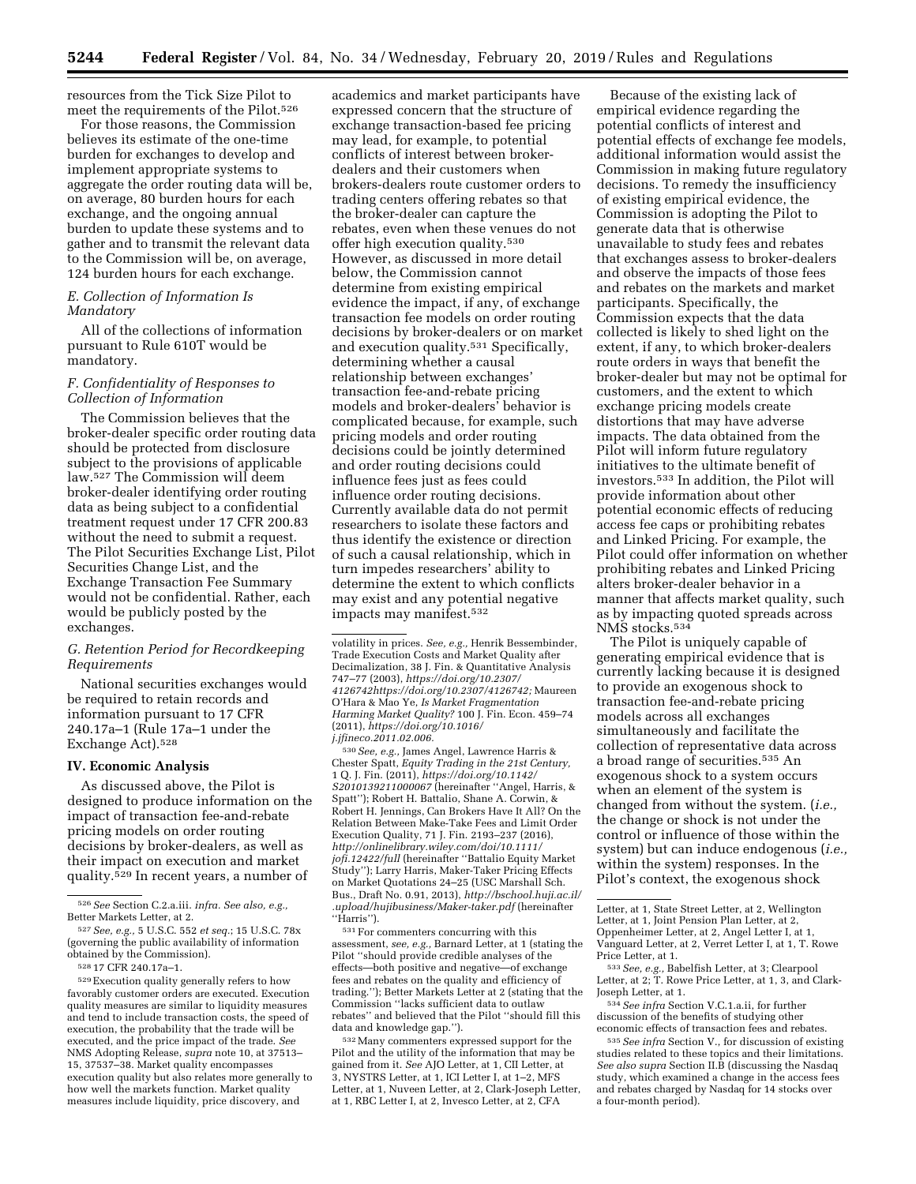resources from the Tick Size Pilot to meet the requirements of the Pilot.<sup>526</sup>

For those reasons, the Commission believes its estimate of the one-time burden for exchanges to develop and implement appropriate systems to aggregate the order routing data will be, on average, 80 burden hours for each exchange, and the ongoing annual burden to update these systems and to gather and to transmit the relevant data to the Commission will be, on average, 124 burden hours for each exchange.

# *E. Collection of Information Is Mandatory*

All of the collections of information pursuant to Rule 610T would be mandatory.

### *F. Confidentiality of Responses to Collection of Information*

The Commission believes that the broker-dealer specific order routing data should be protected from disclosure subject to the provisions of applicable law.527 The Commission will deem broker-dealer identifying order routing data as being subject to a confidential treatment request under 17 CFR 200.83 without the need to submit a request. The Pilot Securities Exchange List, Pilot Securities Change List, and the Exchange Transaction Fee Summary would not be confidential. Rather, each would be publicly posted by the exchanges.

# *G. Retention Period for Recordkeeping Requirements*

National securities exchanges would be required to retain records and information pursuant to 17 CFR 240.17a–1 (Rule 17a–1 under the Exchange Act).528

#### **IV. Economic Analysis**

As discussed above, the Pilot is designed to produce information on the impact of transaction fee-and-rebate pricing models on order routing decisions by broker-dealers, as well as their impact on execution and market quality.529 In recent years, a number of

529Execution quality generally refers to how favorably customer orders are executed. Execution quality measures are similar to liquidity measures and tend to include transaction costs, the speed of execution, the probability that the trade will be executed, and the price impact of the trade. *See*  NMS Adopting Release, *supra* note 10, at 37513– 15, 37537–38. Market quality encompasses execution quality but also relates more generally to how well the markets function. Market quality measures include liquidity, price discovery, and

academics and market participants have expressed concern that the structure of exchange transaction-based fee pricing may lead, for example, to potential conflicts of interest between brokerdealers and their customers when brokers-dealers route customer orders to trading centers offering rebates so that the broker-dealer can capture the rebates, even when these venues do not offer high execution quality.530 However, as discussed in more detail below, the Commission cannot determine from existing empirical evidence the impact, if any, of exchange transaction fee models on order routing decisions by broker-dealers or on market and execution quality.531 Specifically, determining whether a causal relationship between exchanges' transaction fee-and-rebate pricing models and broker-dealers' behavior is complicated because, for example, such pricing models and order routing decisions could be jointly determined and order routing decisions could influence fees just as fees could influence order routing decisions. Currently available data do not permit researchers to isolate these factors and thus identify the existence or direction of such a causal relationship, which in turn impedes researchers' ability to determine the extent to which conflicts may exist and any potential negative impacts may manifest.532

volatility in prices. *See, e.g.,* Henrik Bessembinder, Trade Execution Costs and Market Quality after Decimalization, 38 J. Fin. & Quantitative Analysis 747–77 (2003), *[https://doi.org/10.2307/](https://doi.org/10.2307/4126742)  [4126742https://doi.org/10.2307/4126742;](https://doi.org/10.2307/4126742)* Maureen O'Hara & Mao Ye, *Is Market Fragmentation Harming Market Quality?* 100 J. Fin. Econ. 459–74 (2011), *[https://doi.org/10.1016/](https://doi.org/10.1016/j.jfineco.2011.02.006) [j.jfineco.2011.02.006.](https://doi.org/10.1016/j.jfineco.2011.02.006)* 

530*See, e.g.,* James Angel, Lawrence Harris & Chester Spatt, *Equity Trading in the 21st Century,*  1 Q. J. Fin. (2011), *[https://doi.org/10.1142/](https://doi.org/10.1142/S2010139211000067) [S2010139211000067](https://doi.org/10.1142/S2010139211000067)* (hereinafter ''Angel, Harris, & Spatt''); Robert H. Battalio, Shane A. Corwin, & Robert H. Jennings, Can Brokers Have It All? On the Relation Between Make-Take Fees and Limit Order Execution Quality, 71 J. Fin. 2193–237 (2016), *[http://onlinelibrary.wiley.com/doi/10.1111/](http://onlinelibrary.wiley.com/doi/10.1111/jofi.12422/full) [jofi.12422/full](http://onlinelibrary.wiley.com/doi/10.1111/jofi.12422/full)* (hereinafter ''Battalio Equity Market Study''); Larry Harris, Maker-Taker Pricing Effects on Market Quotations 24–25 (USC Marshall Sch. Bus., Draft No. 0.91, 2013), *[http://bschool.huji.ac.il/](http://bschool.huji.ac.il/.upload/hujibusiness/Maker-taker.pdf)  [.upload/hujibusiness/Maker-taker.pdf](http://bschool.huji.ac.il/.upload/hujibusiness/Maker-taker.pdf)* (hereinafter ''Harris'').

531For commenters concurring with this assessment, *see, e.g.,* Barnard Letter, at 1 (stating the Pilot ''should provide credible analyses of the effects—both positive and negative—of exchange fees and rebates on the quality and efficiency of trading.''); Better Markets Letter at 2 (stating that the Commission ''lacks sufficient data to outlaw rebates'' and believed that the Pilot ''should fill this data and knowledge gap.'').

532Many commenters expressed support for the Pilot and the utility of the information that may be gained from it. *See* AJO Letter, at 1, CII Letter, at 3, NYSTRS Letter, at 1, ICI Letter I, at 1–2, MFS Letter, at 1, Nuveen Letter, at 2, Clark-Joseph Letter, at 1, RBC Letter I, at 2, Invesco Letter, at 2, CFA

Because of the existing lack of empirical evidence regarding the potential conflicts of interest and potential effects of exchange fee models, additional information would assist the Commission in making future regulatory decisions. To remedy the insufficiency of existing empirical evidence, the Commission is adopting the Pilot to generate data that is otherwise unavailable to study fees and rebates that exchanges assess to broker-dealers and observe the impacts of those fees and rebates on the markets and market participants. Specifically, the Commission expects that the data collected is likely to shed light on the extent, if any, to which broker-dealers route orders in ways that benefit the broker-dealer but may not be optimal for customers, and the extent to which exchange pricing models create distortions that may have adverse impacts. The data obtained from the Pilot will inform future regulatory initiatives to the ultimate benefit of investors.533 In addition, the Pilot will provide information about other potential economic effects of reducing access fee caps or prohibiting rebates and Linked Pricing. For example, the Pilot could offer information on whether prohibiting rebates and Linked Pricing alters broker-dealer behavior in a manner that affects market quality, such as by impacting quoted spreads across NMS stocks.534

The Pilot is uniquely capable of generating empirical evidence that is currently lacking because it is designed to provide an exogenous shock to transaction fee-and-rebate pricing models across all exchanges simultaneously and facilitate the collection of representative data across a broad range of securities.535 An exogenous shock to a system occurs when an element of the system is changed from without the system. (*i.e.,*  the change or shock is not under the control or influence of those within the system) but can induce endogenous (*i.e.,*  within the system) responses. In the Pilot's context, the exogenous shock

discussion of the benefits of studying other economic effects of transaction fees and rebates.

535*See infra* Section V., for discussion of existing studies related to these topics and their limitations. *See also supra* Section II.B (discussing the Nasdaq study, which examined a change in the access fees and rebates charged by Nasdaq for 14 stocks over a four-month period).

<sup>526</sup>*See* Section C.2.a.iii. *infra. See also, e.g.,*  Better Markets Letter, at 2.

<sup>527</sup>*See, e.g.,* 5 U.S.C. 552 *et seq.*; 15 U.S.C. 78x (governing the public availability of information obtained by the Commission).

<sup>528</sup> 17 CFR 240.17a–1.

Letter, at 1, State Street Letter, at 2, Wellington Letter, at 1, Joint Pension Plan Letter, at 2, Oppenheimer Letter, at 2, Angel Letter I, at 1, Vanguard Letter, at 2, Verret Letter I, at 1, T. Rowe

 $^{533}\,See,\,e.g.,$  Babelfish Letter, at 3; Clearpool Letter, at 2; T. Rowe Price Letter, at 1, 3, and Clark-Joseph Letter, at 1. 534*See infra* Section V.C.1.a.ii, for further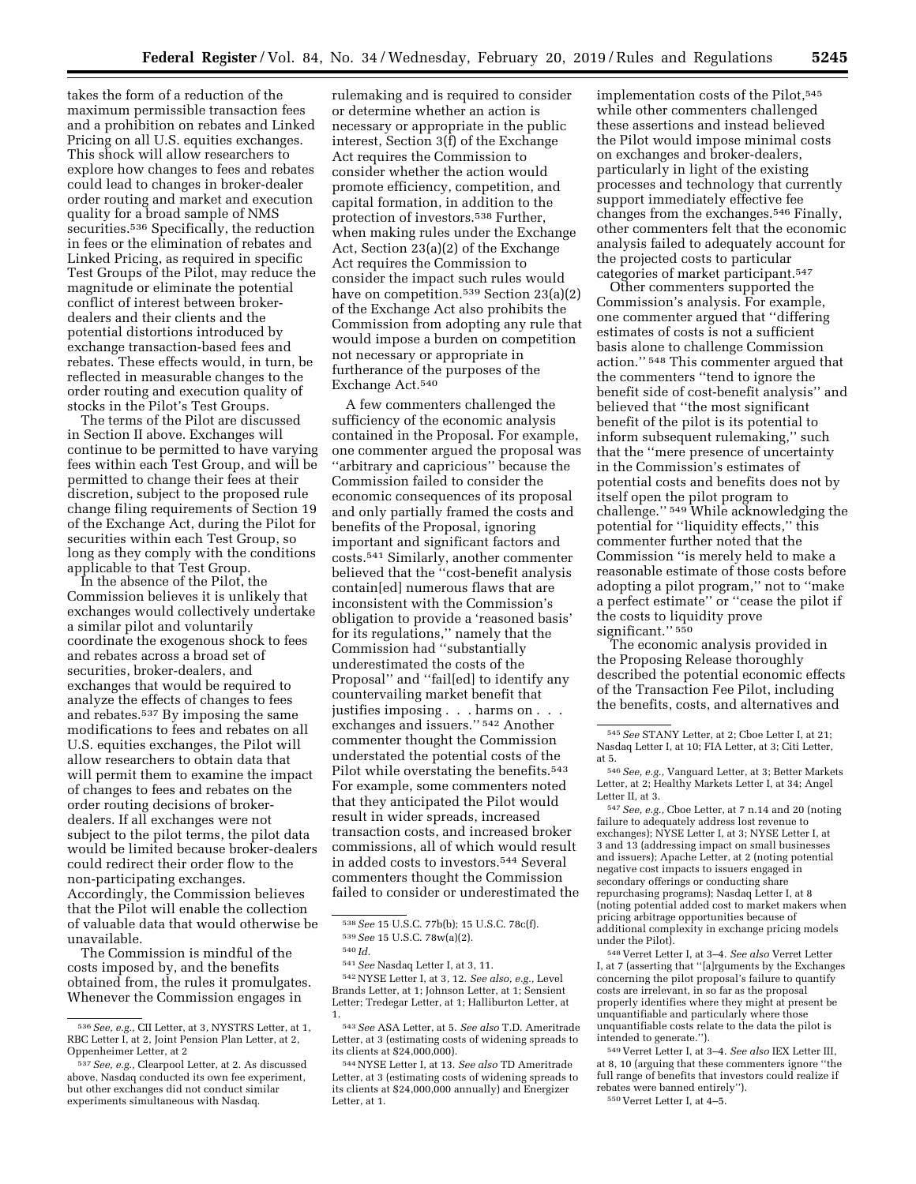takes the form of a reduction of the maximum permissible transaction fees and a prohibition on rebates and Linked Pricing on all U.S. equities exchanges. This shock will allow researchers to explore how changes to fees and rebates could lead to changes in broker-dealer order routing and market and execution quality for a broad sample of NMS securities.<sup>536</sup> Specifically, the reduction in fees or the elimination of rebates and Linked Pricing, as required in specific Test Groups of the Pilot, may reduce the magnitude or eliminate the potential conflict of interest between brokerdealers and their clients and the potential distortions introduced by exchange transaction-based fees and rebates. These effects would, in turn, be reflected in measurable changes to the order routing and execution quality of stocks in the Pilot's Test Groups.

The terms of the Pilot are discussed in Section II above. Exchanges will continue to be permitted to have varying fees within each Test Group, and will be permitted to change their fees at their discretion, subject to the proposed rule change filing requirements of Section 19 of the Exchange Act, during the Pilot for securities within each Test Group, so long as they comply with the conditions applicable to that Test Group.

In the absence of the Pilot, the Commission believes it is unlikely that exchanges would collectively undertake a similar pilot and voluntarily coordinate the exogenous shock to fees and rebates across a broad set of securities, broker-dealers, and exchanges that would be required to analyze the effects of changes to fees and rebates.537 By imposing the same modifications to fees and rebates on all U.S. equities exchanges, the Pilot will allow researchers to obtain data that will permit them to examine the impact of changes to fees and rebates on the order routing decisions of brokerdealers. If all exchanges were not subject to the pilot terms, the pilot data would be limited because broker-dealers could redirect their order flow to the non-participating exchanges. Accordingly, the Commission believes that the Pilot will enable the collection of valuable data that would otherwise be unavailable.

The Commission is mindful of the costs imposed by, and the benefits obtained from, the rules it promulgates. Whenever the Commission engages in

rulemaking and is required to consider or determine whether an action is necessary or appropriate in the public interest, Section 3(f) of the Exchange Act requires the Commission to consider whether the action would promote efficiency, competition, and capital formation, in addition to the protection of investors.538 Further, when making rules under the Exchange Act, Section 23(a)(2) of the Exchange Act requires the Commission to consider the impact such rules would have on competition.539 Section 23(a)(2) of the Exchange Act also prohibits the Commission from adopting any rule that would impose a burden on competition not necessary or appropriate in furtherance of the purposes of the Exchange Act.540

A few commenters challenged the sufficiency of the economic analysis contained in the Proposal. For example, one commenter argued the proposal was ''arbitrary and capricious'' because the Commission failed to consider the economic consequences of its proposal and only partially framed the costs and benefits of the Proposal, ignoring important and significant factors and costs.541 Similarly, another commenter believed that the ''cost-benefit analysis contain[ed] numerous flaws that are inconsistent with the Commission's obligation to provide a 'reasoned basis' for its regulations,'' namely that the Commission had ''substantially underestimated the costs of the Proposal'' and ''fail[ed] to identify any countervailing market benefit that justifies imposing . . . harms on . . . exchanges and issuers.'' 542 Another commenter thought the Commission understated the potential costs of the Pilot while overstating the benefits.<sup>543</sup> For example, some commenters noted that they anticipated the Pilot would result in wider spreads, increased transaction costs, and increased broker commissions, all of which would result in added costs to investors.544 Several commenters thought the Commission failed to consider or underestimated the

542NYSE Letter I, at 3, 12. *See also, e.g.,* Level Brands Letter, at 1; Johnson Letter, at 1; Sensient Letter; Tredegar Letter, at 1; Halliburton Letter, at 1.

544NYSE Letter I, at 13. *See also* TD Ameritrade Letter, at 3 (estimating costs of widening spreads to its clients at \$24,000,000 annually) and Energizer Letter, at 1.

implementation costs of the Pilot, 545 while other commenters challenged these assertions and instead believed the Pilot would impose minimal costs on exchanges and broker-dealers, particularly in light of the existing processes and technology that currently support immediately effective fee changes from the exchanges.546 Finally, other commenters felt that the economic analysis failed to adequately account for the projected costs to particular categories of market participant.547

Other commenters supported the Commission's analysis. For example, one commenter argued that ''differing estimates of costs is not a sufficient basis alone to challenge Commission action.'' 548 This commenter argued that the commenters ''tend to ignore the benefit side of cost-benefit analysis'' and believed that ''the most significant benefit of the pilot is its potential to inform subsequent rulemaking,'' such that the ''mere presence of uncertainty in the Commission's estimates of potential costs and benefits does not by itself open the pilot program to challenge.'' 549 While acknowledging the potential for ''liquidity effects,'' this commenter further noted that the Commission ''is merely held to make a reasonable estimate of those costs before adopting a pilot program,'' not to ''make a perfect estimate'' or ''cease the pilot if the costs to liquidity prove significant.'' 550

The economic analysis provided in the Proposing Release thoroughly described the potential economic effects of the Transaction Fee Pilot, including the benefits, costs, and alternatives and

548 Verret Letter I, at 3–4. *See also* Verret Letter I, at 7 (asserting that ''[a]rguments by the Exchanges concerning the pilot proposal's failure to quantify costs are irrelevant, in so far as the proposal properly identifies where they might at present be unquantifiable and particularly where those unquantifiable costs relate to the data the pilot is intended to generate.'').

549 Verret Letter I, at 3–4. *See also* IEX Letter III, at 8, 10 (arguing that these commenters ignore ''the full range of benefits that investors could realize if rebates were banned entirely''). 550 Verret Letter I, at 4–5.

<sup>536</sup>*See, e.g.,* CII Letter, at 3, NYSTRS Letter, at 1, RBC Letter I, at 2, Joint Pension Plan Letter, at 2, Oppenheimer Letter, at 2

<sup>537</sup>*See, e.g.,* Clearpool Letter, at 2. As discussed above, Nasdaq conducted its own fee experiment, but other exchanges did not conduct similar experiments simultaneous with Nasdaq.

<sup>538</sup>*See* 15 U.S.C. 77b(b); 15 U.S.C. 78c(f). 539*See* 15 U.S.C. 78w(a)(2). 540 *Id.* 

<sup>541</sup>*See* Nasdaq Letter I, at 3, 11.

<sup>543</sup>*See* ASA Letter, at 5. *See also* T.D. Ameritrade Letter, at 3 (estimating costs of widening spreads to its clients at \$24,000,000).

<sup>545</sup>*See* STANY Letter, at 2; Cboe Letter I, at 21; Nasdaq Letter I, at 10; FIA Letter, at 3; Citi Letter, at 5.

<sup>546</sup>*See, e.g.,* Vanguard Letter, at 3; Better Markets Letter, at 2; Healthy Markets Letter I, at 34; Angel Letter II, at 3.

<sup>547</sup>*See, e.g.,* Cboe Letter, at 7 n.14 and 20 (noting failure to adequately address lost revenue to exchanges); NYSE Letter I, at 3; NYSE Letter I, at 3 and 13 (addressing impact on small businesses and issuers); Apache Letter, at 2 (noting potential negative cost impacts to issuers engaged in secondary offerings or conducting share repurchasing programs); Nasdaq Letter I, at 8 (noting potential added cost to market makers when pricing arbitrage opportunities because of additional complexity in exchange pricing models under the Pilot).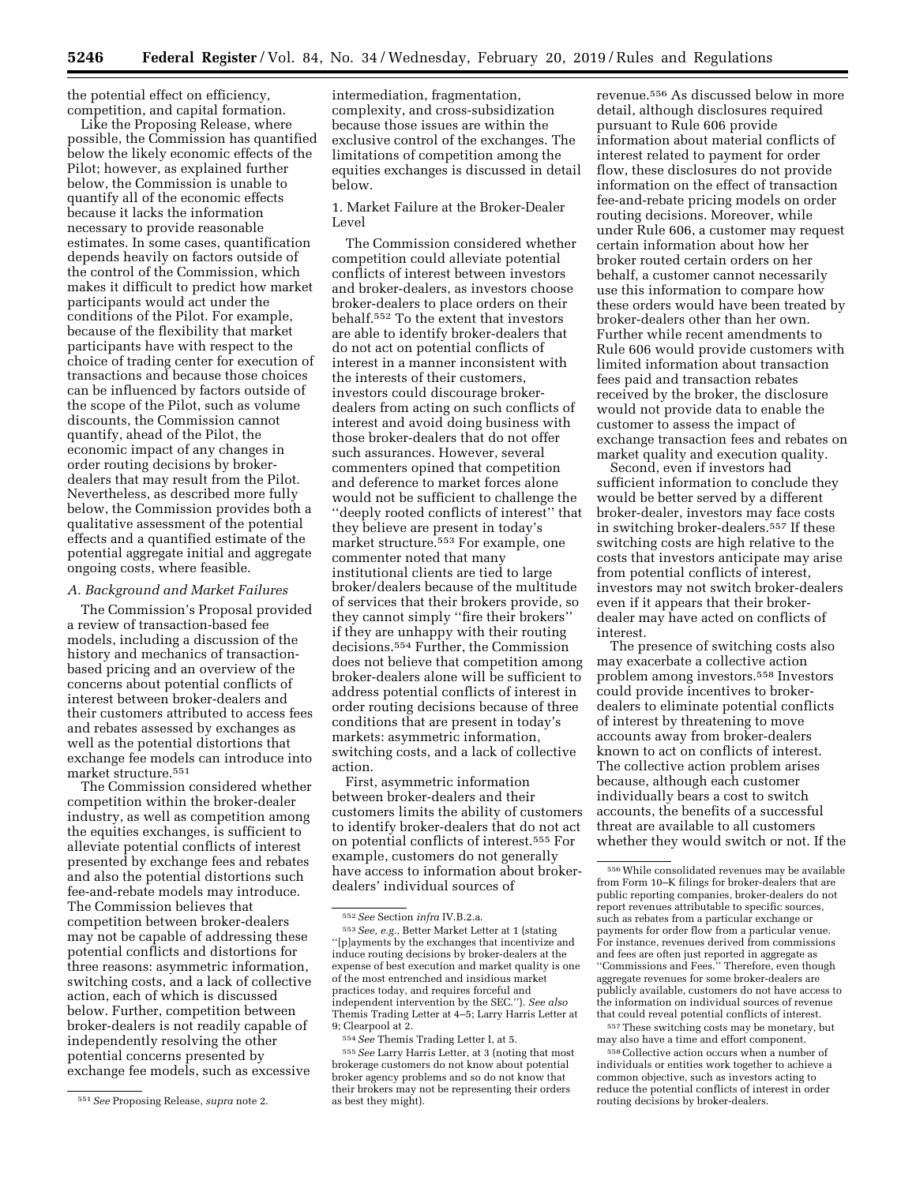the potential effect on efficiency, competition, and capital formation.

Like the Proposing Release, where possible, the Commission has quantified below the likely economic effects of the Pilot; however, as explained further below, the Commission is unable to quantify all of the economic effects because it lacks the information necessary to provide reasonable estimates. In some cases, quantification depends heavily on factors outside of the control of the Commission, which makes it difficult to predict how market participants would act under the conditions of the Pilot. For example, because of the flexibility that market participants have with respect to the choice of trading center for execution of transactions and because those choices can be influenced by factors outside of the scope of the Pilot, such as volume discounts, the Commission cannot quantify, ahead of the Pilot, the economic impact of any changes in order routing decisions by brokerdealers that may result from the Pilot. Nevertheless, as described more fully below, the Commission provides both a qualitative assessment of the potential effects and a quantified estimate of the potential aggregate initial and aggregate ongoing costs, where feasible.

#### *A. Background and Market Failures*

The Commission's Proposal provided a review of transaction-based fee models, including a discussion of the history and mechanics of transactionbased pricing and an overview of the concerns about potential conflicts of interest between broker-dealers and their customers attributed to access fees and rebates assessed by exchanges as well as the potential distortions that exchange fee models can introduce into market structure.551

The Commission considered whether competition within the broker-dealer industry, as well as competition among the equities exchanges, is sufficient to alleviate potential conflicts of interest presented by exchange fees and rebates and also the potential distortions such fee-and-rebate models may introduce. The Commission believes that competition between broker-dealers may not be capable of addressing these potential conflicts and distortions for three reasons: asymmetric information, switching costs, and a lack of collective action, each of which is discussed below. Further, competition between broker-dealers is not readily capable of independently resolving the other potential concerns presented by exchange fee models, such as excessive

intermediation, fragmentation, complexity, and cross-subsidization because those issues are within the exclusive control of the exchanges. The limitations of competition among the equities exchanges is discussed in detail below.

1. Market Failure at the Broker-Dealer Level

The Commission considered whether competition could alleviate potential conflicts of interest between investors and broker-dealers, as investors choose broker-dealers to place orders on their behalf.552 To the extent that investors are able to identify broker-dealers that do not act on potential conflicts of interest in a manner inconsistent with the interests of their customers, investors could discourage brokerdealers from acting on such conflicts of interest and avoid doing business with those broker-dealers that do not offer such assurances. However, several commenters opined that competition and deference to market forces alone would not be sufficient to challenge the ''deeply rooted conflicts of interest'' that they believe are present in today's market structure.553 For example, one commenter noted that many institutional clients are tied to large broker/dealers because of the multitude of services that their brokers provide, so they cannot simply ''fire their brokers'' if they are unhappy with their routing decisions.554 Further, the Commission does not believe that competition among broker-dealers alone will be sufficient to address potential conflicts of interest in order routing decisions because of three conditions that are present in today's markets: asymmetric information, switching costs, and a lack of collective action.

First, asymmetric information between broker-dealers and their customers limits the ability of customers to identify broker-dealers that do not act on potential conflicts of interest.555 For example, customers do not generally have access to information about brokerdealers' individual sources of

revenue.556 As discussed below in more detail, although disclosures required pursuant to Rule 606 provide information about material conflicts of interest related to payment for order flow, these disclosures do not provide information on the effect of transaction fee-and-rebate pricing models on order routing decisions. Moreover, while under Rule 606, a customer may request certain information about how her broker routed certain orders on her behalf, a customer cannot necessarily use this information to compare how these orders would have been treated by broker-dealers other than her own. Further while recent amendments to Rule 606 would provide customers with limited information about transaction fees paid and transaction rebates received by the broker, the disclosure would not provide data to enable the customer to assess the impact of exchange transaction fees and rebates on market quality and execution quality.

Second, even if investors had sufficient information to conclude they would be better served by a different broker-dealer, investors may face costs in switching broker-dealers.557 If these switching costs are high relative to the costs that investors anticipate may arise from potential conflicts of interest, investors may not switch broker-dealers even if it appears that their brokerdealer may have acted on conflicts of interest.

The presence of switching costs also may exacerbate a collective action problem among investors.558 Investors could provide incentives to brokerdealers to eliminate potential conflicts of interest by threatening to move accounts away from broker-dealers known to act on conflicts of interest. The collective action problem arises because, although each customer individually bears a cost to switch accounts, the benefits of a successful threat are available to all customers whether they would switch or not. If the

557These switching costs may be monetary, but may also have a time and effort component.

558Collective action occurs when a number of individuals or entities work together to achieve a common objective, such as investors acting to reduce the potential conflicts of interest in order routing decisions by broker-dealers.

<sup>551</sup>*See* Proposing Release, *supra* note 2.

<sup>552</sup>*See* Section *infra* IV.B.2.a.

<sup>553</sup>*See, e.g.,* Better Market Letter at 1 (stating ''[p]ayments by the exchanges that incentivize and induce routing decisions by broker-dealers at the expense of best execution and market quality is one of the most entrenched and insidious market practices today, and requires forceful and independent intervention by the SEC.''). *See also*  Themis Trading Letter at 4–5; Larry Harris Letter at 9; Clearpool at 2.

<sup>554</sup>*See* Themis Trading Letter I, at 5.

<sup>555</sup>*See* Larry Harris Letter, at 3 (noting that most brokerage customers do not know about potential broker agency problems and so do not know that their brokers may not be representing their orders as best they might).

<sup>556</sup>While consolidated revenues may be available from Form 10–K filings for broker-dealers that are public reporting companies, broker-dealers do not report revenues attributable to specific sources, such as rebates from a particular exchange or payments for order flow from a particular venue. For instance, revenues derived from commissions and fees are often just reported in aggregate as ''Commissions and Fees.'' Therefore, even though aggregate revenues for some broker-dealers are publicly available, customers do not have access to the information on individual sources of revenue that could reveal potential conflicts of interest.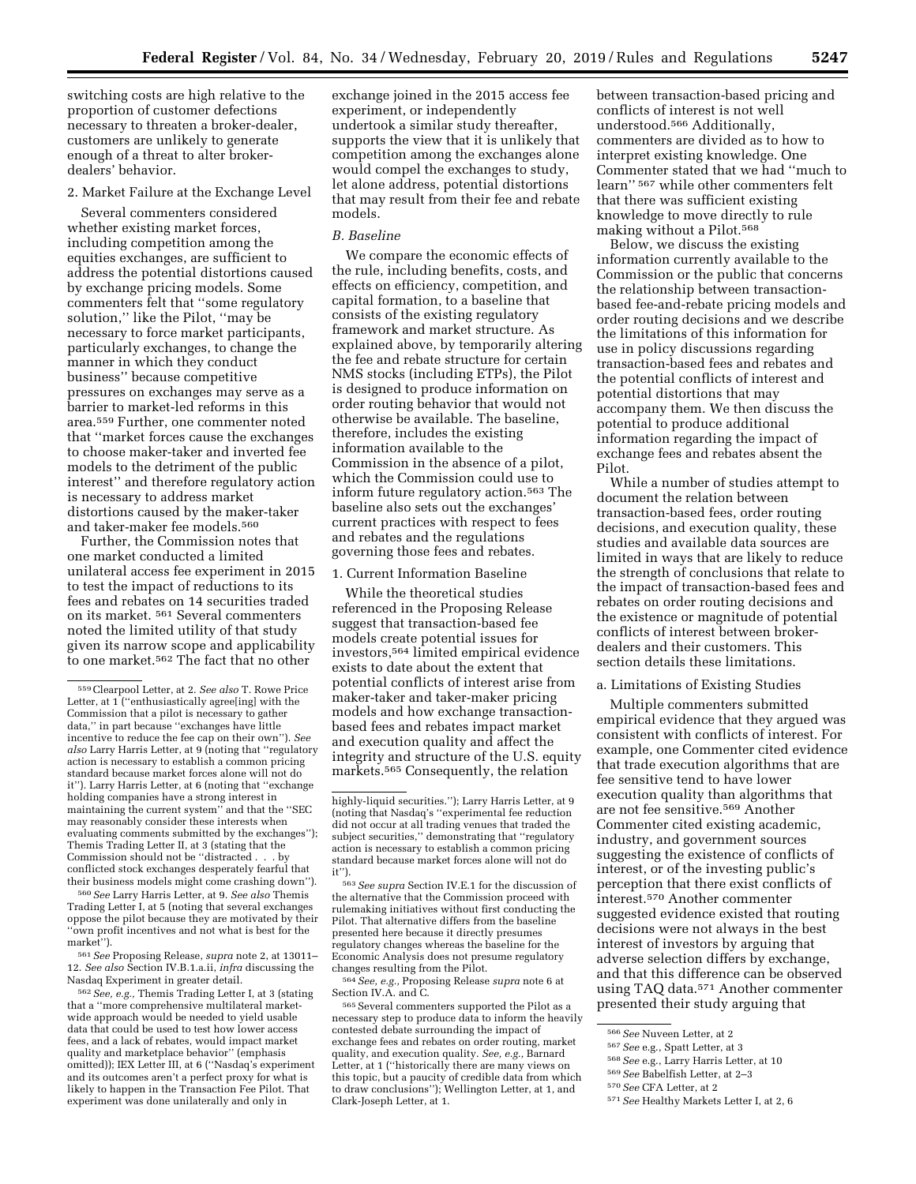switching costs are high relative to the proportion of customer defections necessary to threaten a broker-dealer, customers are unlikely to generate enough of a threat to alter brokerdealers' behavior.

#### 2. Market Failure at the Exchange Level

Several commenters considered whether existing market forces, including competition among the equities exchanges, are sufficient to address the potential distortions caused by exchange pricing models. Some commenters felt that ''some regulatory solution,'' like the Pilot, ''may be necessary to force market participants, particularly exchanges, to change the manner in which they conduct business'' because competitive pressures on exchanges may serve as a barrier to market-led reforms in this area.559 Further, one commenter noted that ''market forces cause the exchanges to choose maker-taker and inverted fee models to the detriment of the public interest'' and therefore regulatory action is necessary to address market distortions caused by the maker-taker and taker-maker fee models.560

Further, the Commission notes that one market conducted a limited unilateral access fee experiment in 2015 to test the impact of reductions to its fees and rebates on 14 securities traded on its market. 561 Several commenters noted the limited utility of that study given its narrow scope and applicability to one market.562 The fact that no other

560*See* Larry Harris Letter, at 9. *See also* Themis Trading Letter I, at 5 (noting that several exchanges oppose the pilot because they are motivated by their ''own profit incentives and not what is best for the market'').

561*See* Proposing Release, *supra* note 2, at 13011– 12. *See also* Section IV.B.1.a.ii, *infra* discussing the Nasdaq Experiment in greater detail.

562*See, e.g.,* Themis Trading Letter I, at 3 (stating that a ''more comprehensive multilateral marketwide approach would be needed to yield usable data that could be used to test how lower access fees, and a lack of rebates, would impact market quality and marketplace behavior'' (emphasis omitted)); IEX Letter III, at 6 (''Nasdaq's experiment and its outcomes aren't a perfect proxy for what is likely to happen in the Transaction Fee Pilot. That experiment was done unilaterally and only in

exchange joined in the 2015 access fee experiment, or independently undertook a similar study thereafter, supports the view that it is unlikely that competition among the exchanges alone would compel the exchanges to study, let alone address, potential distortions that may result from their fee and rebate models.

# *B. Baseline*

We compare the economic effects of the rule, including benefits, costs, and effects on efficiency, competition, and capital formation, to a baseline that consists of the existing regulatory framework and market structure. As explained above, by temporarily altering the fee and rebate structure for certain NMS stocks (including ETPs), the Pilot is designed to produce information on order routing behavior that would not otherwise be available. The baseline, therefore, includes the existing information available to the Commission in the absence of a pilot, which the Commission could use to inform future regulatory action.563 The baseline also sets out the exchanges' current practices with respect to fees and rebates and the regulations governing those fees and rebates.

#### 1. Current Information Baseline

While the theoretical studies referenced in the Proposing Release suggest that transaction-based fee models create potential issues for investors,564 limited empirical evidence exists to date about the extent that potential conflicts of interest arise from maker-taker and taker-maker pricing models and how exchange transactionbased fees and rebates impact market and execution quality and affect the integrity and structure of the U.S. equity markets.565 Consequently, the relation

563*See supra* Section IV.E.1 for the discussion of the alternative that the Commission proceed with rulemaking initiatives without first conducting the Pilot. That alternative differs from the baseline presented here because it directly presumes regulatory changes whereas the baseline for the Economic Analysis does not presume regulatory changes resulting from the Pilot.

564*See, e.g.,* Proposing Release *supra* note 6 at Section IV.A. and C.

565Several commenters supported the Pilot as a necessary step to produce data to inform the heavily contested debate surrounding the impact of exchange fees and rebates on order routing, market quality, and execution quality. *See, e.g.,* Barnard Letter, at 1 (''historically there are many views on this topic, but a paucity of credible data from which to draw conclusions''); Wellington Letter, at 1, and Clark-Joseph Letter, at 1.

between transaction-based pricing and conflicts of interest is not well understood.566 Additionally, commenters are divided as to how to interpret existing knowledge. One Commenter stated that we had ''much to learn'' 567 while other commenters felt that there was sufficient existing knowledge to move directly to rule making without a Pilot.568

Below, we discuss the existing information currently available to the Commission or the public that concerns the relationship between transactionbased fee-and-rebate pricing models and order routing decisions and we describe the limitations of this information for use in policy discussions regarding transaction-based fees and rebates and the potential conflicts of interest and potential distortions that may accompany them. We then discuss the potential to produce additional information regarding the impact of exchange fees and rebates absent the Pilot.

While a number of studies attempt to document the relation between transaction-based fees, order routing decisions, and execution quality, these studies and available data sources are limited in ways that are likely to reduce the strength of conclusions that relate to the impact of transaction-based fees and rebates on order routing decisions and the existence or magnitude of potential conflicts of interest between brokerdealers and their customers. This section details these limitations.

## a. Limitations of Existing Studies

Multiple commenters submitted empirical evidence that they argued was consistent with conflicts of interest. For example, one Commenter cited evidence that trade execution algorithms that are fee sensitive tend to have lower execution quality than algorithms that are not fee sensitive.569 Another Commenter cited existing academic, industry, and government sources suggesting the existence of conflicts of interest, or of the investing public's perception that there exist conflicts of interest.570 Another commenter suggested evidence existed that routing decisions were not always in the best interest of investors by arguing that adverse selection differs by exchange, and that this difference can be observed using TAQ data.571 Another commenter presented their study arguing that

<sup>559</sup>Clearpool Letter, at 2. *See also* T. Rowe Price Letter, at  $1$ <sup>"</sup> ("enthusiastically agree<sup>[ing]</sup> with the Commission that a pilot is necessary to gather data,'' in part because ''exchanges have little incentive to reduce the fee cap on their own''). *See also* Larry Harris Letter, at 9 (noting that ''regulatory action is necessary to establish a common pricing standard because market forces alone will not do it''). Larry Harris Letter, at 6 (noting that ''exchange holding companies have a strong interest in maintaining the current system'' and that the ''SEC may reasonably consider these interests when evaluating comments submitted by the exchanges''); Themis Trading Letter II, at 3 (stating that the Commission should not be ''distracted . . . by conflicted stock exchanges desperately fearful that their business models might come crashing down'').

highly-liquid securities.''); Larry Harris Letter, at 9 (noting that Nasdaq's ''experimental fee reduction did not occur at all trading venues that traded the subject securities,'' demonstrating that ''regulatory action is necessary to establish a common pricing standard because market forces alone will not do it'').

<sup>566</sup>*See* Nuveen Letter, at 2

<sup>567</sup>*See* e.g., Spatt Letter, at 3

<sup>568</sup>*See* e.g., Larry Harris Letter, at 10

<sup>569</sup>*See* Babelfish Letter, at 2–3

<sup>570</sup>*See* CFA Letter, at 2

<sup>571</sup>*See* Healthy Markets Letter I, at 2, 6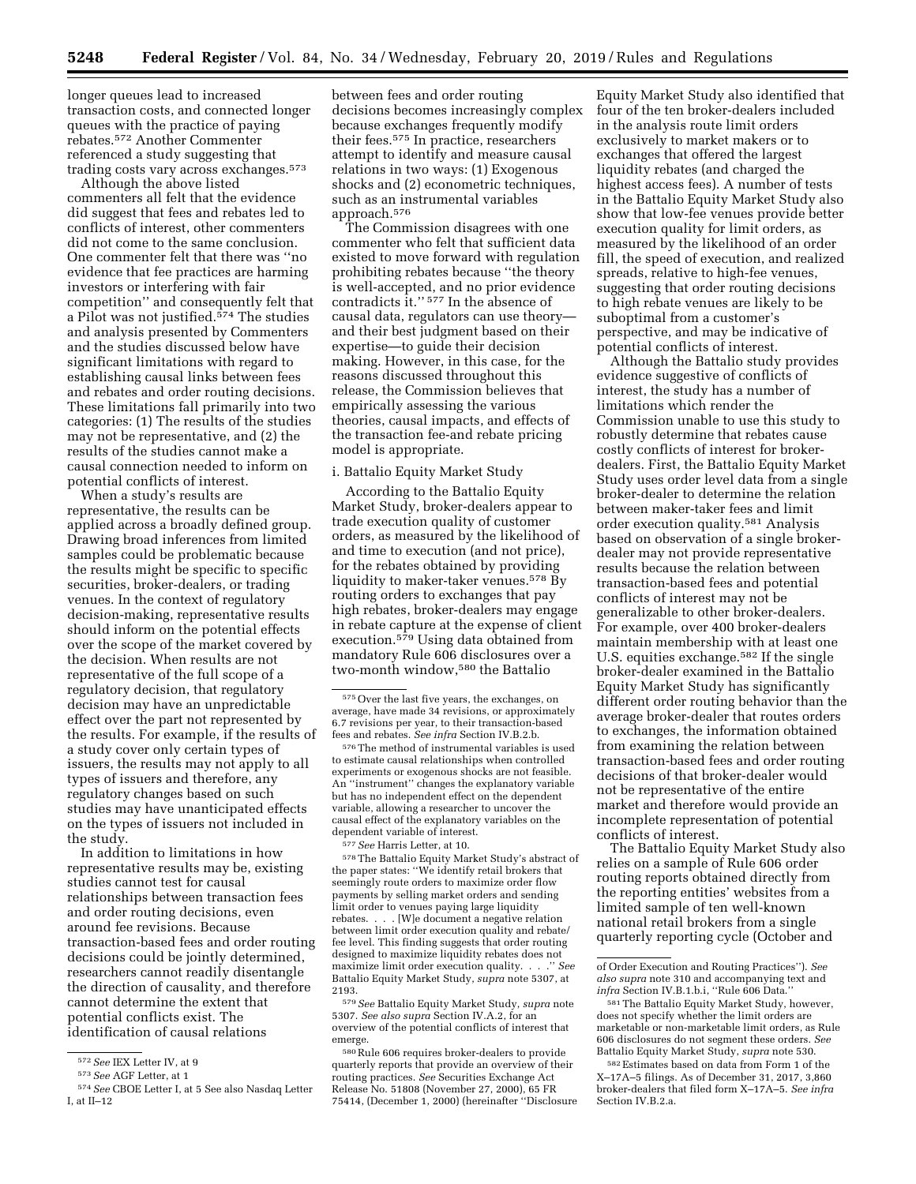longer queues lead to increased transaction costs, and connected longer queues with the practice of paying rebates.572 Another Commenter referenced a study suggesting that trading costs vary across exchanges.573

Although the above listed commenters all felt that the evidence did suggest that fees and rebates led to conflicts of interest, other commenters did not come to the same conclusion. One commenter felt that there was ''no evidence that fee practices are harming investors or interfering with fair competition'' and consequently felt that a Pilot was not justified.<sup>574</sup> The studies and analysis presented by Commenters and the studies discussed below have significant limitations with regard to establishing causal links between fees and rebates and order routing decisions. These limitations fall primarily into two categories: (1) The results of the studies may not be representative, and (2) the results of the studies cannot make a causal connection needed to inform on potential conflicts of interest.

When a study's results are representative, the results can be applied across a broadly defined group. Drawing broad inferences from limited samples could be problematic because the results might be specific to specific securities, broker-dealers, or trading venues. In the context of regulatory decision-making, representative results should inform on the potential effects over the scope of the market covered by the decision. When results are not representative of the full scope of a regulatory decision, that regulatory decision may have an unpredictable effect over the part not represented by the results. For example, if the results of a study cover only certain types of issuers, the results may not apply to all types of issuers and therefore, any regulatory changes based on such studies may have unanticipated effects on the types of issuers not included in the study.

In addition to limitations in how representative results may be, existing studies cannot test for causal relationships between transaction fees and order routing decisions, even around fee revisions. Because transaction-based fees and order routing decisions could be jointly determined, researchers cannot readily disentangle the direction of causality, and therefore cannot determine the extent that potential conflicts exist. The identification of causal relations

between fees and order routing decisions becomes increasingly complex because exchanges frequently modify their fees.575 In practice, researchers attempt to identify and measure causal relations in two ways: (1) Exogenous shocks and (2) econometric techniques, such as an instrumental variables approach.576

The Commission disagrees with one commenter who felt that sufficient data existed to move forward with regulation prohibiting rebates because ''the theory is well-accepted, and no prior evidence contradicts it.'' 577 In the absence of causal data, regulators can use theory and their best judgment based on their expertise—to guide their decision making. However, in this case, for the reasons discussed throughout this release, the Commission believes that empirically assessing the various theories, causal impacts, and effects of the transaction fee-and rebate pricing model is appropriate.

#### i. Battalio Equity Market Study

According to the Battalio Equity Market Study, broker-dealers appear to trade execution quality of customer orders, as measured by the likelihood of and time to execution (and not price), for the rebates obtained by providing liquidity to maker-taker venues.578 By routing orders to exchanges that pay high rebates, broker-dealers may engage in rebate capture at the expense of client execution.579 Using data obtained from mandatory Rule 606 disclosures over a two-month window,580 the Battalio

578The Battalio Equity Market Study's abstract of the paper states: ''We identify retail brokers that seemingly route orders to maximize order flow payments by selling market orders and sending limit order to venues paying large liquidity rebates. . . . [W]e document a negative relation between limit order execution quality and rebate/ fee level. This finding suggests that order routing designed to maximize liquidity rebates does not maximize limit order execution quality. . . .'' *See*  Battalio Equity Market Study, *supra* note 5307, at 2193.

579*See* Battalio Equity Market Study, *supra* note 5307. *See also supra* Section IV.A.2, for an overview of the potential conflicts of interest that emerge.

580Rule 606 requires broker-dealers to provide quarterly reports that provide an overview of their routing practices. *See* Securities Exchange Act Release No. 51808 (November 27, 2000), 65 FR 75414, (December 1, 2000) (hereinafter ''Disclosure Equity Market Study also identified that four of the ten broker-dealers included in the analysis route limit orders exclusively to market makers or to exchanges that offered the largest liquidity rebates (and charged the highest access fees). A number of tests in the Battalio Equity Market Study also show that low-fee venues provide better execution quality for limit orders, as measured by the likelihood of an order fill, the speed of execution, and realized spreads, relative to high-fee venues, suggesting that order routing decisions to high rebate venues are likely to be suboptimal from a customer's perspective, and may be indicative of potential conflicts of interest.

Although the Battalio study provides evidence suggestive of conflicts of interest, the study has a number of limitations which render the Commission unable to use this study to robustly determine that rebates cause costly conflicts of interest for brokerdealers. First, the Battalio Equity Market Study uses order level data from a single broker-dealer to determine the relation between maker-taker fees and limit order execution quality.581 Analysis based on observation of a single brokerdealer may not provide representative results because the relation between transaction-based fees and potential conflicts of interest may not be generalizable to other broker-dealers. For example, over 400 broker-dealers maintain membership with at least one U.S. equities exchange.582 If the single broker-dealer examined in the Battalio Equity Market Study has significantly different order routing behavior than the average broker-dealer that routes orders to exchanges, the information obtained from examining the relation between transaction-based fees and order routing decisions of that broker-dealer would not be representative of the entire market and therefore would provide an incomplete representation of potential conflicts of interest.

The Battalio Equity Market Study also relies on a sample of Rule 606 order routing reports obtained directly from the reporting entities' websites from a limited sample of ten well-known national retail brokers from a single quarterly reporting cycle (October and

<sup>572</sup>*See* IEX Letter IV, at 9

<sup>573</sup>*See* AGF Letter, at 1

<sup>574</sup>*See* CBOE Letter I, at 5 See also Nasdaq Letter I, at II–12

<sup>575</sup>Over the last five years, the exchanges, on average, have made 34 revisions, or approximately 6.7 revisions per year, to their transaction-based fees and rebates. *See infra* Section IV.B.2.b.

 $\rm ^{576}$  The method of instrumental variables is used to estimate causal relationships when controlled experiments or exogenous shocks are not feasible. An ''instrument'' changes the explanatory variable but has no independent effect on the dependent variable, allowing a researcher to uncover the causal effect of the explanatory variables on the dependent variable of interest.

<sup>577</sup>*See* Harris Letter, at 10.

of Order Execution and Routing Practices''). *See also supra* note 310 and accompanying text and *infra* Section IV.B.1.b.i, ''Rule 606 Data.''

<sup>581</sup>The Battalio Equity Market Study, however, does not specify whether the limit orders are marketable or non-marketable limit orders, as Rule 606 disclosures do not segment these orders. *See*  Battalio Equity Market Study, *supra* note 530.

<sup>582</sup>Estimates based on data from Form 1 of the X–17A–5 filings. As of December 31, 2017, 3,860 broker-dealers that filed form X–17A–5. *See infra*  Section IV.B.2.a.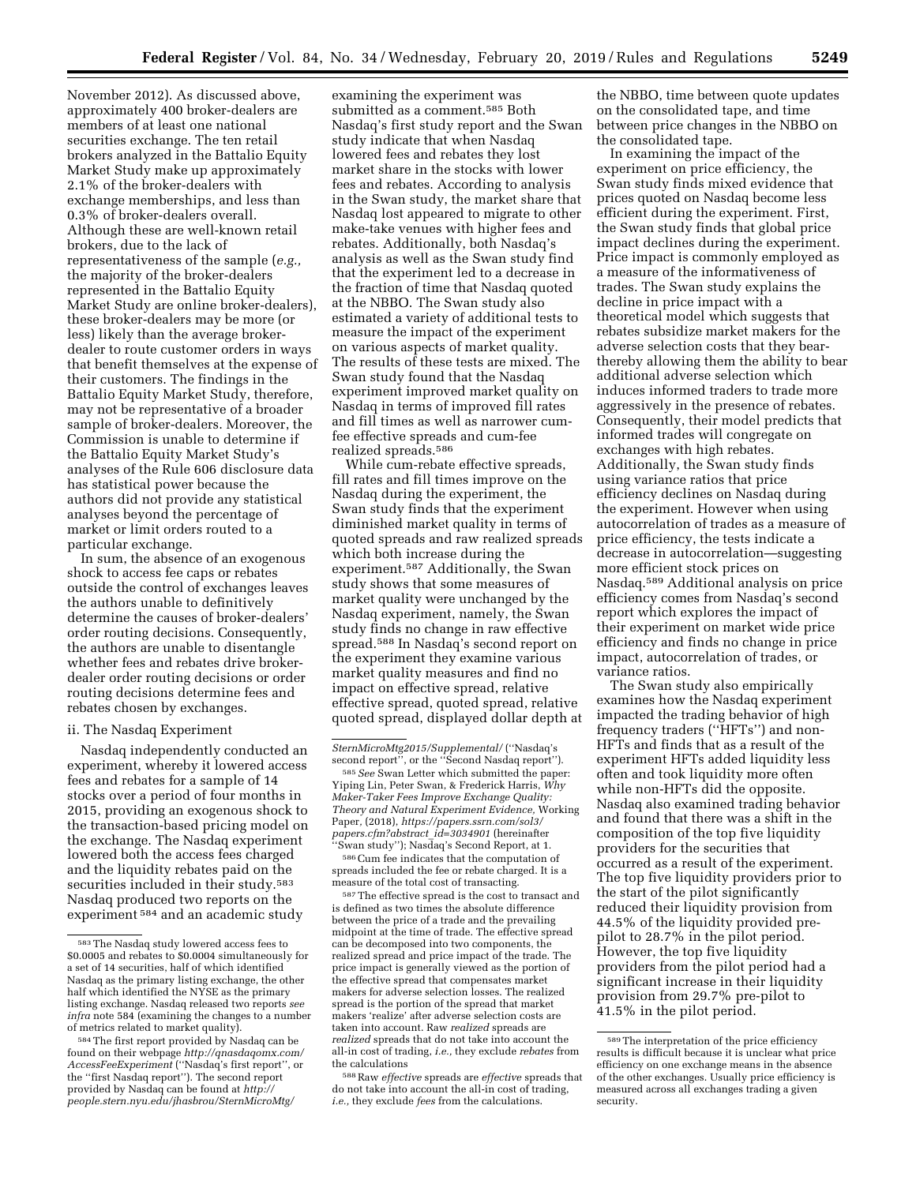November 2012). As discussed above, approximately 400 broker-dealers are members of at least one national securities exchange. The ten retail brokers analyzed in the Battalio Equity Market Study make up approximately 2.1% of the broker-dealers with exchange memberships, and less than 0.3% of broker-dealers overall. Although these are well-known retail brokers, due to the lack of representativeness of the sample (*e.g.,*  the majority of the broker-dealers represented in the Battalio Equity Market Study are online broker-dealers), these broker-dealers may be more (or less) likely than the average brokerdealer to route customer orders in ways that benefit themselves at the expense of their customers. The findings in the Battalio Equity Market Study, therefore, may not be representative of a broader sample of broker-dealers. Moreover, the Commission is unable to determine if the Battalio Equity Market Study's analyses of the Rule 606 disclosure data has statistical power because the authors did not provide any statistical analyses beyond the percentage of market or limit orders routed to a particular exchange.

In sum, the absence of an exogenous shock to access fee caps or rebates outside the control of exchanges leaves the authors unable to definitively determine the causes of broker-dealers' order routing decisions. Consequently, the authors are unable to disentangle whether fees and rebates drive brokerdealer order routing decisions or order routing decisions determine fees and rebates chosen by exchanges.

#### ii. The Nasdaq Experiment

Nasdaq independently conducted an experiment, whereby it lowered access fees and rebates for a sample of 14 stocks over a period of four months in 2015, providing an exogenous shock to the transaction-based pricing model on the exchange. The Nasdaq experiment lowered both the access fees charged and the liquidity rebates paid on the securities included in their study.<sup>583</sup> Nasdaq produced two reports on the experiment 584 and an academic study

examining the experiment was submitted as a comment.585 Both Nasdaq's first study report and the Swan study indicate that when Nasdaq lowered fees and rebates they lost market share in the stocks with lower fees and rebates. According to analysis in the Swan study, the market share that Nasdaq lost appeared to migrate to other make-take venues with higher fees and rebates. Additionally, both Nasdaq's analysis as well as the Swan study find that the experiment led to a decrease in the fraction of time that Nasdaq quoted at the NBBO. The Swan study also estimated a variety of additional tests to measure the impact of the experiment on various aspects of market quality. The results of these tests are mixed. The Swan study found that the Nasdaq experiment improved market quality on Nasdaq in terms of improved fill rates and fill times as well as narrower cumfee effective spreads and cum-fee realized spreads.586

While cum-rebate effective spreads, fill rates and fill times improve on the Nasdaq during the experiment, the Swan study finds that the experiment diminished market quality in terms of quoted spreads and raw realized spreads which both increase during the experiment.<sup>587</sup> Additionally, the Swan study shows that some measures of market quality were unchanged by the Nasdaq experiment, namely, the Swan study finds no change in raw effective spread.588 In Nasdaq's second report on the experiment they examine various market quality measures and find no impact on effective spread, relative effective spread, quoted spread, relative quoted spread, displayed dollar depth at

586Cum fee indicates that the computation of spreads included the fee or rebate charged. It is a measure of the total cost of transacting.

587The effective spread is the cost to transact and is defined as two times the absolute difference between the price of a trade and the prevailing midpoint at the time of trade. The effective spread can be decomposed into two components, the realized spread and price impact of the trade. The price impact is generally viewed as the portion of the effective spread that compensates market makers for adverse selection losses. The realized spread is the portion of the spread that market makers 'realize' after adverse selection costs are taken into account. Raw *realized* spreads are *realized* spreads that do not take into account the all-in cost of trading, *i.e.,* they exclude *rebates* from the calculations

588Raw *effective* spreads are *effective* spreads that do not take into account the all-in cost of trading, *i.e.,* they exclude *fees* from the calculations.

the NBBO, time between quote updates on the consolidated tape, and time between price changes in the NBBO on the consolidated tape.

In examining the impact of the experiment on price efficiency, the Swan study finds mixed evidence that prices quoted on Nasdaq become less efficient during the experiment. First, the Swan study finds that global price impact declines during the experiment. Price impact is commonly employed as a measure of the informativeness of trades. The Swan study explains the decline in price impact with a theoretical model which suggests that rebates subsidize market makers for the adverse selection costs that they bearthereby allowing them the ability to bear additional adverse selection which induces informed traders to trade more aggressively in the presence of rebates. Consequently, their model predicts that informed trades will congregate on exchanges with high rebates. Additionally, the Swan study finds using variance ratios that price efficiency declines on Nasdaq during the experiment. However when using autocorrelation of trades as a measure of price efficiency, the tests indicate a decrease in autocorrelation—suggesting more efficient stock prices on Nasdaq.589 Additional analysis on price efficiency comes from Nasdaq's second report which explores the impact of their experiment on market wide price efficiency and finds no change in price impact, autocorrelation of trades, or variance ratios.

The Swan study also empirically examines how the Nasdaq experiment impacted the trading behavior of high frequency traders (''HFTs'') and non-HFTs and finds that as a result of the experiment HFTs added liquidity less often and took liquidity more often while non-HFTs did the opposite. Nasdaq also examined trading behavior and found that there was a shift in the composition of the top five liquidity providers for the securities that occurred as a result of the experiment. The top five liquidity providers prior to the start of the pilot significantly reduced their liquidity provision from 44.5% of the liquidity provided prepilot to 28.7% in the pilot period. However, the top five liquidity providers from the pilot period had a significant increase in their liquidity provision from 29.7% pre-pilot to 41.5% in the pilot period.

<sup>583</sup>The Nasdaq study lowered access fees to \$0.0005 and rebates to \$0.0004 simultaneously for a set of 14 securities, half of which identified Nasdaq as the primary listing exchange, the other half which identified the NYSE as the primary listing exchange. Nasdaq released two reports *see infra* note 584 (examining the changes to a number of metrics related to market quality).

<sup>584</sup>The first report provided by Nasdaq can be found on their webpage *[http://qnasdaqomx.com/](http://qnasdaqomx.com/AccessFeeExperiment) [AccessFeeExperiment](http://qnasdaqomx.com/AccessFeeExperiment)* (''Nasdaq's first report'', or the ''first Nasdaq report''). The second report provided by Nasdaq can be found at *[http://](http://people.stern.nyu.edu/jhasbrou/SternMicroMtg/SternMicroMtg2015/Supplemental/) [people.stern.nyu.edu/jhasbrou/SternMicroMtg/](http://people.stern.nyu.edu/jhasbrou/SternMicroMtg/SternMicroMtg2015/Supplemental/)* 

*[SternMicroMtg2015/Supplemental/](http://people.stern.nyu.edu/jhasbrou/SternMicroMtg/SternMicroMtg2015/Supplemental/)* (''Nasdaq's second report'', or the ''Second Nasdaq report'').

<sup>585</sup>*See* Swan Letter which submitted the paper: Yiping Lin, Peter Swan, & Frederick Harris, *Why Maker-Taker Fees Improve Exchange Quality: Theory and Natural Experiment Evidence,* Working Paper*,* (2018), *[https://papers.ssrn.com/sol3/](https://papers.ssrn.com/sol3/papers.cfm?abstract_id=3034901) [papers.cfm?abstract](https://papers.ssrn.com/sol3/papers.cfm?abstract_id=3034901)*\_*id=3034901* (hereinafter ''Swan study''); Nasdaq's Second Report, at 1.

<sup>589</sup>The interpretation of the price efficiency results is difficult because it is unclear what price efficiency on one exchange means in the absence of the other exchanges. Usually price efficiency is measured across all exchanges trading a given security.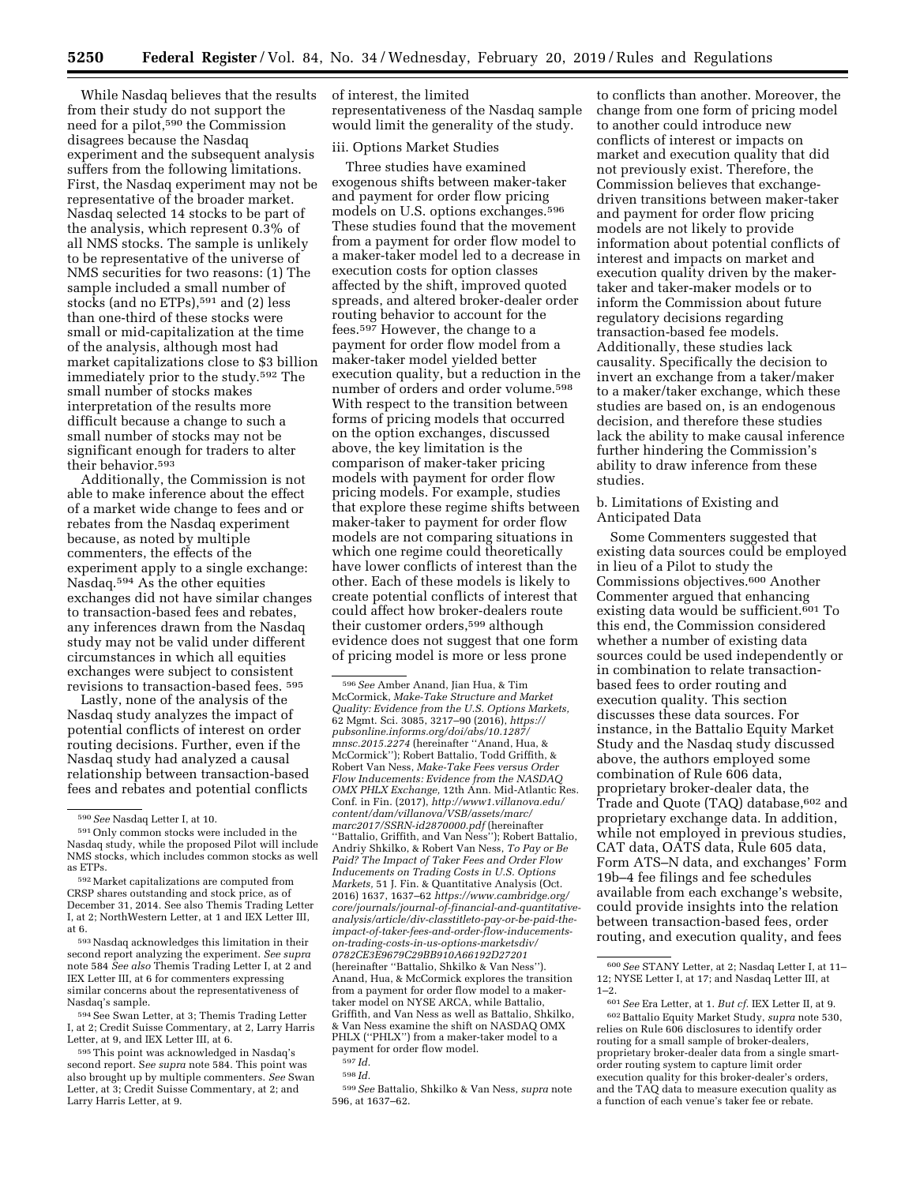While Nasdaq believes that the results from their study do not support the need for a pilot,590 the Commission disagrees because the Nasdaq experiment and the subsequent analysis suffers from the following limitations. First, the Nasdaq experiment may not be representative of the broader market. Nasdaq selected 14 stocks to be part of the analysis, which represent 0.3% of all NMS stocks. The sample is unlikely to be representative of the universe of NMS securities for two reasons: (1) The sample included a small number of stocks (and no ETPs),591 and (2) less than one-third of these stocks were small or mid-capitalization at the time of the analysis, although most had market capitalizations close to \$3 billion immediately prior to the study.592 The small number of stocks makes interpretation of the results more difficult because a change to such a small number of stocks may not be significant enough for traders to alter their behavior.<sup>593</sup>

Additionally, the Commission is not able to make inference about the effect of a market wide change to fees and or rebates from the Nasdaq experiment because, as noted by multiple commenters, the effects of the experiment apply to a single exchange: Nasdaq.594 As the other equities exchanges did not have similar changes to transaction-based fees and rebates, any inferences drawn from the Nasdaq study may not be valid under different circumstances in which all equities exchanges were subject to consistent revisions to transaction-based fees. 595

Lastly, none of the analysis of the Nasdaq study analyzes the impact of potential conflicts of interest on order routing decisions. Further, even if the Nasdaq study had analyzed a causal relationship between transaction-based fees and rebates and potential conflicts

593Nasdaq acknowledges this limitation in their second report analyzing the experiment. *See supra*  note 584 *See also* Themis Trading Letter I, at 2 and IEX Letter III, at 6 for commenters expressing similar concerns about the representativeness of Nasdaq's sample.

594See Swan Letter, at 3; Themis Trading Letter I, at 2; Credit Suisse Commentary, at 2, Larry Harris Letter, at 9, and IEX Letter III, at 6.

595This point was acknowledged in Nasdaq's second report. S*ee supra* note 584. This point was also brought up by multiple commenters. *See* Swan Letter, at 3; Credit Suisse Commentary, at 2; and Larry Harris Letter, at 9.

of interest, the limited representativeness of the Nasdaq sample would limit the generality of the study.

# iii. Options Market Studies

Three studies have examined exogenous shifts between maker-taker and payment for order flow pricing models on U.S. options exchanges.596 These studies found that the movement from a payment for order flow model to a maker-taker model led to a decrease in execution costs for option classes affected by the shift, improved quoted spreads, and altered broker-dealer order routing behavior to account for the fees.597 However, the change to a payment for order flow model from a maker-taker model yielded better execution quality, but a reduction in the number of orders and order volume.<sup>598</sup> With respect to the transition between forms of pricing models that occurred on the option exchanges, discussed above, the key limitation is the comparison of maker-taker pricing models with payment for order flow pricing models. For example, studies that explore these regime shifts between maker-taker to payment for order flow models are not comparing situations in which one regime could theoretically have lower conflicts of interest than the other. Each of these models is likely to create potential conflicts of interest that could affect how broker-dealers route their customer orders,599 although evidence does not suggest that one form of pricing model is more or less prone

596*See* Amber Anand, Jian Hua, & Tim McCormick, *Make-Take Structure and Market Quality: Evidence from the U.S. Options Markets,*  62 Mgmt. Sci. 3085, 3217–90 (2016), *[https://](https://pubsonline.informs.org/doi/abs/10.1287/mnsc.2015.2274) [pubsonline.informs.org/doi/abs/10.1287/](https://pubsonline.informs.org/doi/abs/10.1287/mnsc.2015.2274) [mnsc.2015.2274](https://pubsonline.informs.org/doi/abs/10.1287/mnsc.2015.2274)* (hereinafter ''Anand, Hua, & McCormick''); Robert Battalio, Todd Griffith, & Robert Van Ness, *Make-Take Fees versus Order Flow Inducements: Evidence from the NASDAQ OMX PHLX Exchange,* 12th Ann. Mid-Atlantic Res. Conf. in Fin. (2017), *[http://www1.villanova.edu/](http://www1.villanova.edu/content/dam/villanova/VSB/assets/marc/marc2017/SSRN-id2870000.pdf) [content/dam/villanova/VSB/assets/marc/](http://www1.villanova.edu/content/dam/villanova/VSB/assets/marc/marc2017/SSRN-id2870000.pdf)  [marc2017/SSRN-id2870000.pdf](http://www1.villanova.edu/content/dam/villanova/VSB/assets/marc/marc2017/SSRN-id2870000.pdf)* (hereinafter ''Battalio, Griffith, and Van Ness''); Robert Battalio, Andriy Shkilko, & Robert Van Ness, *To Pay or Be Paid? The Impact of Taker Fees and Order Flow Inducements on Trading Costs in U.S. Options Markets,* 51 J. Fin. & Quantitative Analysis (Oct. 2016) 1637, 1637–62 *[https://www.cambridge.org/](https://www.cambridge.org/core/journals/journal-of-financial-and-quantitative-analysis/article/div-classtitleto-pay-or-be-paid-the-impact-of-taker-fees-and-order-flow-inducements-on-trading-costs-in-us-options-marketsdiv/0782CE3E9679C29BB910A66192D27201)  [core/journals/journal-of-financial-and-quantitative](https://www.cambridge.org/core/journals/journal-of-financial-and-quantitative-analysis/article/div-classtitleto-pay-or-be-paid-the-impact-of-taker-fees-and-order-flow-inducements-on-trading-costs-in-us-options-marketsdiv/0782CE3E9679C29BB910A66192D27201)[analysis/article/div-classtitleto-pay-or-be-paid-the](https://www.cambridge.org/core/journals/journal-of-financial-and-quantitative-analysis/article/div-classtitleto-pay-or-be-paid-the-impact-of-taker-fees-and-order-flow-inducements-on-trading-costs-in-us-options-marketsdiv/0782CE3E9679C29BB910A66192D27201)[impact-of-taker-fees-and-order-flow-inducements](https://www.cambridge.org/core/journals/journal-of-financial-and-quantitative-analysis/article/div-classtitleto-pay-or-be-paid-the-impact-of-taker-fees-and-order-flow-inducements-on-trading-costs-in-us-options-marketsdiv/0782CE3E9679C29BB910A66192D27201)[on-trading-costs-in-us-options-marketsdiv/](https://www.cambridge.org/core/journals/journal-of-financial-and-quantitative-analysis/article/div-classtitleto-pay-or-be-paid-the-impact-of-taker-fees-and-order-flow-inducements-on-trading-costs-in-us-options-marketsdiv/0782CE3E9679C29BB910A66192D27201)  [0782CE3E9679C29BB910A66192D27201](https://www.cambridge.org/core/journals/journal-of-financial-and-quantitative-analysis/article/div-classtitleto-pay-or-be-paid-the-impact-of-taker-fees-and-order-flow-inducements-on-trading-costs-in-us-options-marketsdiv/0782CE3E9679C29BB910A66192D27201)*  (hereinafter ''Battalio, Shkilko & Van Ness''). Anand, Hua, & McCormick explores the transition from a payment for order flow model to a makertaker model on NYSE ARCA, while Battalio, Griffith, and Van Ness as well as Battalio, Shkilko, & Van Ness examine the shift on NASDAQ OMX PHLX (''PHLX'') from a maker-taker model to a payment for order flow model.

597 *Id.* 

598 *Id.* 

599*See* Battalio, Shkilko & Van Ness, *supra* note 596, at 1637–62.

to conflicts than another. Moreover, the change from one form of pricing model to another could introduce new conflicts of interest or impacts on market and execution quality that did not previously exist. Therefore, the Commission believes that exchangedriven transitions between maker-taker and payment for order flow pricing models are not likely to provide information about potential conflicts of interest and impacts on market and execution quality driven by the makertaker and taker-maker models or to inform the Commission about future regulatory decisions regarding transaction-based fee models. Additionally, these studies lack causality. Specifically the decision to invert an exchange from a taker/maker to a maker/taker exchange, which these studies are based on, is an endogenous decision, and therefore these studies lack the ability to make causal inference further hindering the Commission's ability to draw inference from these studies.

b. Limitations of Existing and Anticipated Data

Some Commenters suggested that existing data sources could be employed in lieu of a Pilot to study the Commissions objectives.600 Another Commenter argued that enhancing existing data would be sufficient.<sup>601</sup> To this end, the Commission considered whether a number of existing data sources could be used independently or in combination to relate transactionbased fees to order routing and execution quality. This section discusses these data sources. For instance, in the Battalio Equity Market Study and the Nasdaq study discussed above, the authors employed some combination of Rule 606 data, proprietary broker-dealer data, the Trade and Quote (TAQ) database,<sup>602</sup> and proprietary exchange data. In addition, while not employed in previous studies, CAT data, OATS data, Rule 605 data, Form ATS–N data, and exchanges' Form 19b–4 fee filings and fee schedules available from each exchange's website, could provide insights into the relation between transaction-based fees, order routing, and execution quality, and fees

<sup>590</sup>*See* Nasdaq Letter I, at 10.

<sup>591</sup>Only common stocks were included in the Nasdaq study, while the proposed Pilot will include NMS stocks, which includes common stocks as well as ETPs.

<sup>592</sup>Market capitalizations are computed from CRSP shares outstanding and stock price, as of December 31, 2014. See also Themis Trading Letter I, at 2; NorthWestern Letter, at 1 and IEX Letter III, at 6.

<sup>600</sup>*See* STANY Letter, at 2; Nasdaq Letter I, at 11– 12; NYSE Letter I, at 17; and Nasdaq Letter III, at  $1 - 2$ .

<sup>601</sup>*See* Era Letter, at 1. *But cf.* IEX Letter II, at 9. 602Battalio Equity Market Study, *supra* note 530, relies on Rule 606 disclosures to identify order routing for a small sample of broker-dealers, proprietary broker-dealer data from a single smartorder routing system to capture limit order execution quality for this broker-dealer's orders, and the TAQ data to measure execution quality as a function of each venue's taker fee or rebate.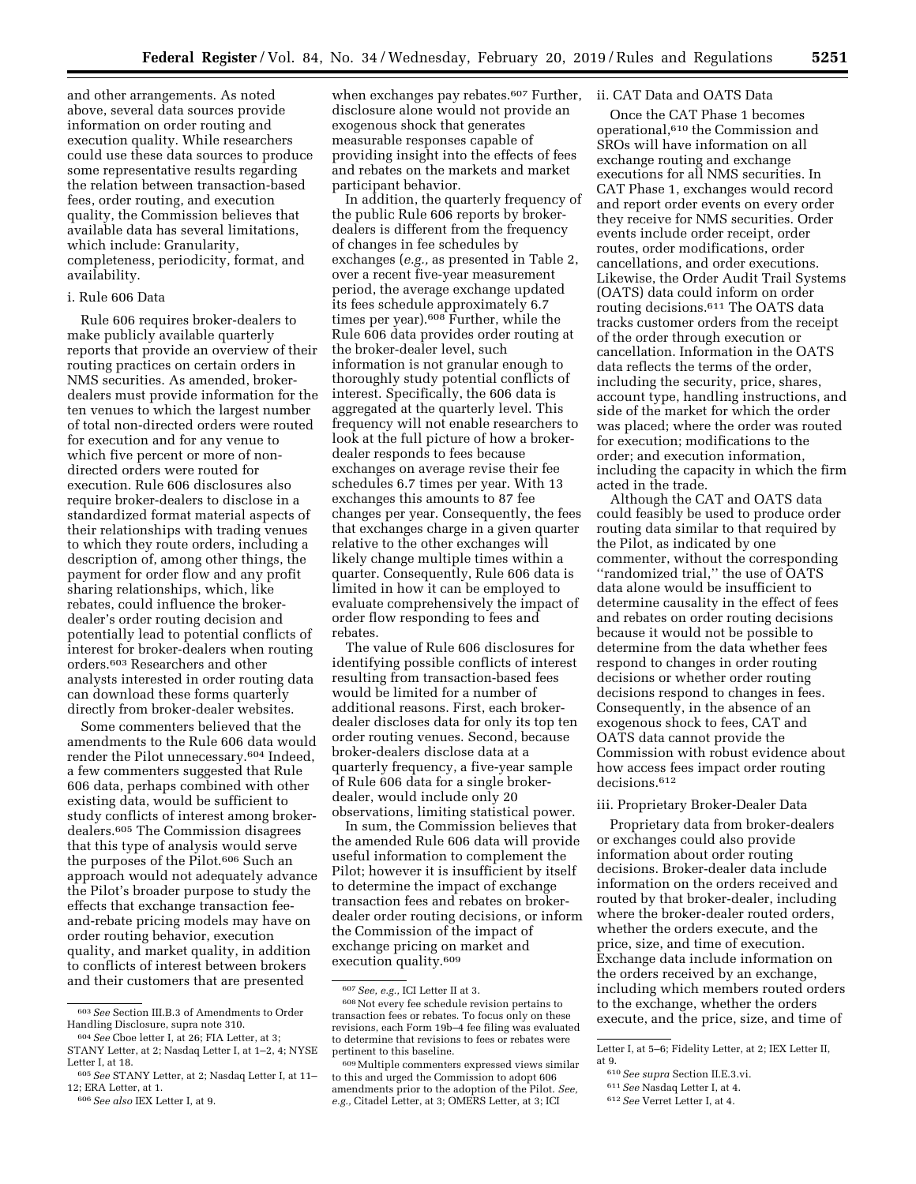and other arrangements. As noted above, several data sources provide information on order routing and execution quality. While researchers could use these data sources to produce some representative results regarding the relation between transaction-based fees, order routing, and execution quality, the Commission believes that available data has several limitations, which include: Granularity, completeness, periodicity, format, and availability.

# i. Rule 606 Data

Rule 606 requires broker-dealers to make publicly available quarterly reports that provide an overview of their routing practices on certain orders in NMS securities. As amended, brokerdealers must provide information for the ten venues to which the largest number of total non-directed orders were routed for execution and for any venue to which five percent or more of nondirected orders were routed for execution. Rule 606 disclosures also require broker-dealers to disclose in a standardized format material aspects of their relationships with trading venues to which they route orders, including a description of, among other things, the payment for order flow and any profit sharing relationships, which, like rebates, could influence the brokerdealer's order routing decision and potentially lead to potential conflicts of interest for broker-dealers when routing orders.603 Researchers and other analysts interested in order routing data can download these forms quarterly directly from broker-dealer websites.

Some commenters believed that the amendments to the Rule 606 data would render the Pilot unnecessary.604 Indeed, a few commenters suggested that Rule 606 data, perhaps combined with other existing data, would be sufficient to study conflicts of interest among brokerdealers.605 The Commission disagrees that this type of analysis would serve the purposes of the Pilot.606 Such an approach would not adequately advance the Pilot's broader purpose to study the effects that exchange transaction feeand-rebate pricing models may have on order routing behavior, execution quality, and market quality, in addition to conflicts of interest between brokers and their customers that are presented

when exchanges pay rebates.<sup>607</sup> Further, ii. CAT Data and OATS Data disclosure alone would not provide an exogenous shock that generates measurable responses capable of providing insight into the effects of fees and rebates on the markets and market participant behavior.

In addition, the quarterly frequency of the public Rule 606 reports by brokerdealers is different from the frequency of changes in fee schedules by exchanges (*e.g.,* as presented in Table 2, over a recent five-year measurement period, the average exchange updated its fees schedule approximately 6.7 times per year).608 Further, while the Rule 606 data provides order routing at the broker-dealer level, such information is not granular enough to thoroughly study potential conflicts of interest. Specifically, the 606 data is aggregated at the quarterly level. This frequency will not enable researchers to look at the full picture of how a brokerdealer responds to fees because exchanges on average revise their fee schedules 6.7 times per year. With 13 exchanges this amounts to 87 fee changes per year. Consequently, the fees that exchanges charge in a given quarter relative to the other exchanges will likely change multiple times within a quarter. Consequently, Rule 606 data is limited in how it can be employed to evaluate comprehensively the impact of order flow responding to fees and rebates.

The value of Rule 606 disclosures for identifying possible conflicts of interest resulting from transaction-based fees would be limited for a number of additional reasons. First, each brokerdealer discloses data for only its top ten order routing venues. Second, because broker-dealers disclose data at a quarterly frequency, a five-year sample of Rule 606 data for a single brokerdealer, would include only 20 observations, limiting statistical power.

In sum, the Commission believes that the amended Rule 606 data will provide useful information to complement the Pilot; however it is insufficient by itself to determine the impact of exchange transaction fees and rebates on brokerdealer order routing decisions, or inform the Commission of the impact of exchange pricing on market and execution quality.<sup>609</sup>

Once the CAT Phase 1 becomes operational,610 the Commission and SROs will have information on all exchange routing and exchange executions for all NMS securities. In CAT Phase 1, exchanges would record and report order events on every order they receive for NMS securities. Order events include order receipt, order routes, order modifications, order cancellations, and order executions. Likewise, the Order Audit Trail Systems (OATS) data could inform on order routing decisions.611 The OATS data tracks customer orders from the receipt of the order through execution or cancellation. Information in the OATS data reflects the terms of the order, including the security, price, shares, account type, handling instructions, and side of the market for which the order was placed; where the order was routed for execution; modifications to the order; and execution information, including the capacity in which the firm acted in the trade.

Although the CAT and OATS data could feasibly be used to produce order routing data similar to that required by the Pilot, as indicated by one commenter, without the corresponding ''randomized trial,'' the use of OATS data alone would be insufficient to determine causality in the effect of fees and rebates on order routing decisions because it would not be possible to determine from the data whether fees respond to changes in order routing decisions or whether order routing decisions respond to changes in fees. Consequently, in the absence of an exogenous shock to fees, CAT and OATS data cannot provide the Commission with robust evidence about how access fees impact order routing decisions.612

#### iii. Proprietary Broker-Dealer Data

Proprietary data from broker-dealers or exchanges could also provide information about order routing decisions. Broker-dealer data include information on the orders received and routed by that broker-dealer, including where the broker-dealer routed orders, whether the orders execute, and the price, size, and time of execution. Exchange data include information on the orders received by an exchange, including which members routed orders to the exchange, whether the orders execute, and the price, size, and time of

<sup>603</sup>*See* Section III.B.3 of Amendments to Order Handling Disclosure, supra note 310.

<sup>604</sup>*See* Cboe letter I, at 26; FIA Letter, at 3; STANY Letter, at 2; Nasdaq Letter I, at 1–2, 4; NYSE Letter I, at 18.

<sup>605</sup>*See* STANY Letter, at 2; Nasdaq Letter I, at 11– 12; ERA Letter, at 1.

<sup>606</sup>*See also* IEX Letter I, at 9.

<sup>607</sup>*See, e.g.,* ICI Letter II at 3.

<sup>608</sup>Not every fee schedule revision pertains to transaction fees or rebates. To focus only on these revisions, each Form 19b–4 fee filing was evaluated to determine that revisions to fees or rebates were pertinent to this baseline.

<sup>609</sup>Multiple commenters expressed views similar to this and urged the Commission to adopt 606 amendments prior to the adoption of the Pilot. *See, e.g.,* Citadel Letter, at 3; OMERS Letter, at 3; ICI

Letter I, at 5–6; Fidelity Letter, at 2; IEX Letter II, at 9.

<sup>610</sup>*See supra* Section II.E.3.vi.

<sup>611</sup>*See* Nasdaq Letter I, at 4.

<sup>612</sup>*See* Verret Letter I, at 4.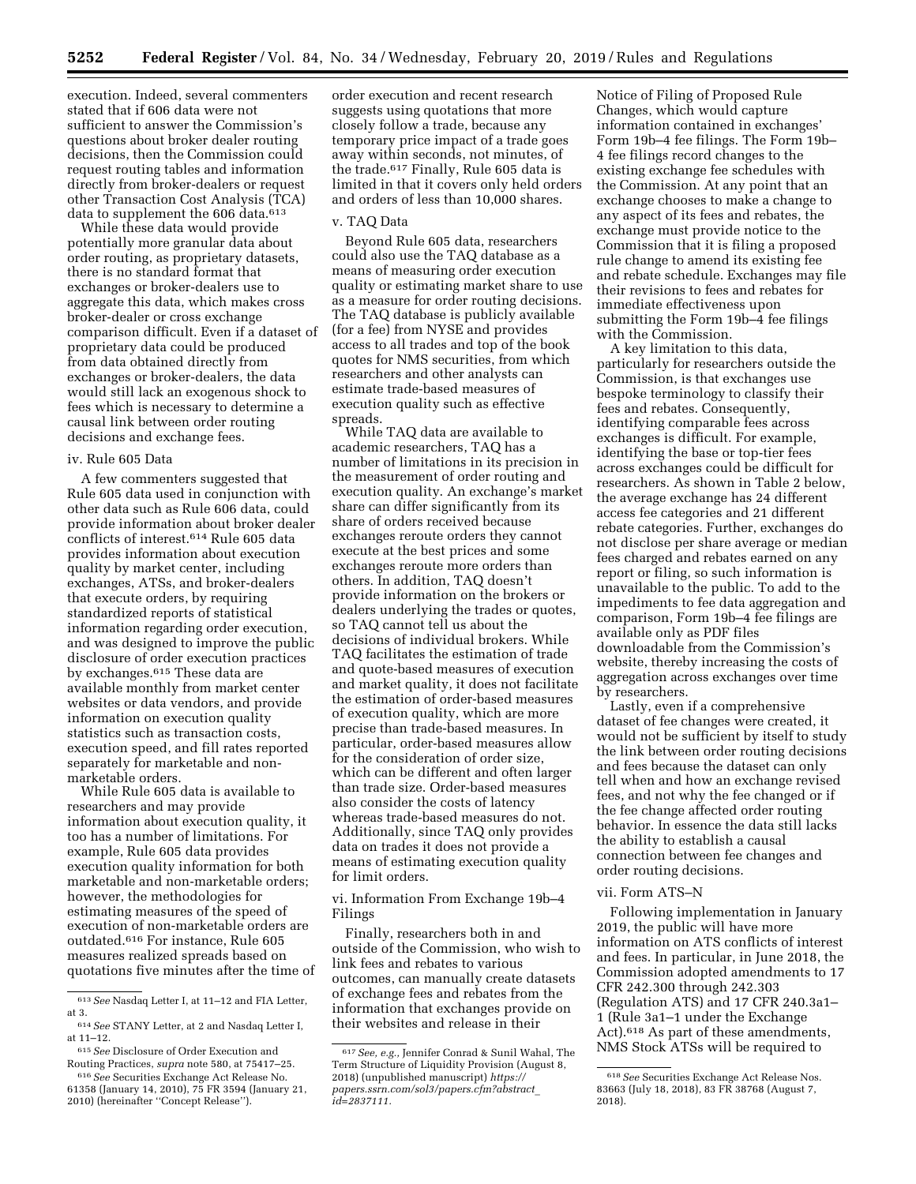execution. Indeed, several commenters stated that if 606 data were not sufficient to answer the Commission's questions about broker dealer routing decisions, then the Commission could request routing tables and information directly from broker-dealers or request other Transaction Cost Analysis (TCA) data to supplement the 606 data.<sup>613</sup>

While these data would provide potentially more granular data about order routing, as proprietary datasets, there is no standard format that exchanges or broker-dealers use to aggregate this data, which makes cross broker-dealer or cross exchange comparison difficult. Even if a dataset of proprietary data could be produced from data obtained directly from exchanges or broker-dealers, the data would still lack an exogenous shock to fees which is necessary to determine a causal link between order routing decisions and exchange fees.

# iv. Rule 605 Data

A few commenters suggested that Rule 605 data used in conjunction with other data such as Rule 606 data, could provide information about broker dealer conflicts of interest.614 Rule 605 data provides information about execution quality by market center, including exchanges, ATSs, and broker-dealers that execute orders, by requiring standardized reports of statistical information regarding order execution, and was designed to improve the public disclosure of order execution practices by exchanges.615 These data are available monthly from market center websites or data vendors, and provide information on execution quality statistics such as transaction costs, execution speed, and fill rates reported separately for marketable and nonmarketable orders.

While Rule 605 data is available to researchers and may provide information about execution quality, it too has a number of limitations. For example, Rule 605 data provides execution quality information for both marketable and non-marketable orders; however, the methodologies for estimating measures of the speed of execution of non-marketable orders are outdated.616 For instance, Rule 605 measures realized spreads based on quotations five minutes after the time of

order execution and recent research suggests using quotations that more closely follow a trade, because any temporary price impact of a trade goes away within seconds, not minutes, of the trade.617 Finally, Rule 605 data is limited in that it covers only held orders and orders of less than 10,000 shares.

### v. TAQ Data

Beyond Rule 605 data, researchers could also use the TAQ database as a means of measuring order execution quality or estimating market share to use as a measure for order routing decisions. The TAQ database is publicly available (for a fee) from NYSE and provides access to all trades and top of the book quotes for NMS securities, from which researchers and other analysts can estimate trade-based measures of execution quality such as effective spreads.

While TAQ data are available to academic researchers, TAQ has a number of limitations in its precision in the measurement of order routing and execution quality. An exchange's market share can differ significantly from its share of orders received because exchanges reroute orders they cannot execute at the best prices and some exchanges reroute more orders than others. In addition, TAQ doesn't provide information on the brokers or dealers underlying the trades or quotes, so TAQ cannot tell us about the decisions of individual brokers. While TAQ facilitates the estimation of trade and quote-based measures of execution and market quality, it does not facilitate the estimation of order-based measures of execution quality, which are more precise than trade-based measures. In particular, order-based measures allow for the consideration of order size, which can be different and often larger than trade size. Order-based measures also consider the costs of latency whereas trade-based measures do not. Additionally, since TAQ only provides data on trades it does not provide a means of estimating execution quality for limit orders.

vi. Information From Exchange 19b–4 Filings

Finally, researchers both in and outside of the Commission, who wish to link fees and rebates to various outcomes, can manually create datasets of exchange fees and rebates from the information that exchanges provide on their websites and release in their

Notice of Filing of Proposed Rule Changes, which would capture information contained in exchanges' Form 19b–4 fee filings. The Form 19b– 4 fee filings record changes to the existing exchange fee schedules with the Commission. At any point that an exchange chooses to make a change to any aspect of its fees and rebates, the exchange must provide notice to the Commission that it is filing a proposed rule change to amend its existing fee and rebate schedule. Exchanges may file their revisions to fees and rebates for immediate effectiveness upon submitting the Form 19b–4 fee filings with the Commission.

A key limitation to this data, particularly for researchers outside the Commission, is that exchanges use bespoke terminology to classify their fees and rebates. Consequently, identifying comparable fees across exchanges is difficult. For example, identifying the base or top-tier fees across exchanges could be difficult for researchers. As shown in Table 2 below, the average exchange has 24 different access fee categories and 21 different rebate categories. Further, exchanges do not disclose per share average or median fees charged and rebates earned on any report or filing, so such information is unavailable to the public. To add to the impediments to fee data aggregation and comparison, Form 19b–4 fee filings are available only as PDF files downloadable from the Commission's website, thereby increasing the costs of aggregation across exchanges over time by researchers.

Lastly, even if a comprehensive dataset of fee changes were created, it would not be sufficient by itself to study the link between order routing decisions and fees because the dataset can only tell when and how an exchange revised fees, and not why the fee changed or if the fee change affected order routing behavior. In essence the data still lacks the ability to establish a causal connection between fee changes and order routing decisions.

#### vii. Form ATS–N

Following implementation in January 2019, the public will have more information on ATS conflicts of interest and fees. In particular, in June 2018, the Commission adopted amendments to 17 CFR 242.300 through 242.303 (Regulation ATS) and 17 CFR 240.3a1– 1 (Rule 3a1–1 under the Exchange Act).<sup>618</sup> As part of these amendments, NMS Stock ATSs will be required to

<sup>613</sup>*See* Nasdaq Letter I, at 11–12 and FIA Letter, at 3.

<sup>614</sup>*See* STANY Letter, at 2 and Nasdaq Letter I, at 11–12.

<sup>615</sup>*See* Disclosure of Order Execution and Routing Practices, *supra* note 580, at 75417–25.

<sup>616</sup>*See* Securities Exchange Act Release No. 61358 (January 14, 2010), 75 FR 3594 (January 21, 2010) (hereinafter ''Concept Release'').

<sup>617</sup>*See, e.g.,* Jennifer Conrad & Sunil Wahal, The Term Structure of Liquidity Provision (August 8, 2018) (unpublished manuscript) *[https://](https://papers.ssrn.com/sol3/papers.cfm?abstract_id=2837111) [papers.ssrn.com/sol3/papers.cfm?abstract](https://papers.ssrn.com/sol3/papers.cfm?abstract_id=2837111)*\_ *[id=2837111.](https://papers.ssrn.com/sol3/papers.cfm?abstract_id=2837111)* 

<sup>618</sup>*See* Securities Exchange Act Release Nos. 83663 (July 18, 2018), 83 FR 38768 (August 7, 2018).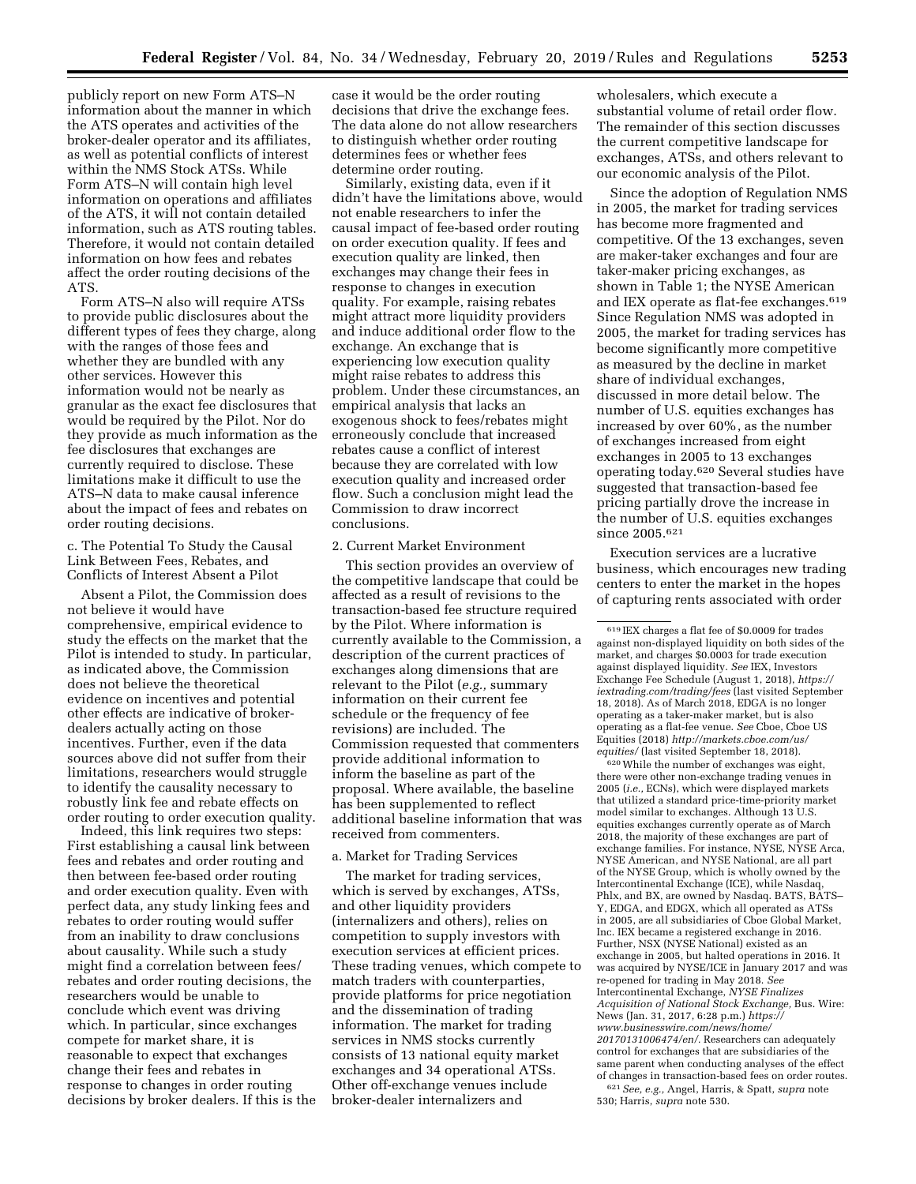publicly report on new Form ATS–N information about the manner in which the ATS operates and activities of the broker-dealer operator and its affiliates, as well as potential conflicts of interest within the NMS Stock ATSs. While Form ATS–N will contain high level information on operations and affiliates of the ATS, it will not contain detailed information, such as ATS routing tables. Therefore, it would not contain detailed information on how fees and rebates affect the order routing decisions of the ATS.

Form ATS–N also will require ATSs to provide public disclosures about the different types of fees they charge, along with the ranges of those fees and whether they are bundled with any other services. However this information would not be nearly as granular as the exact fee disclosures that would be required by the Pilot. Nor do they provide as much information as the fee disclosures that exchanges are currently required to disclose. These limitations make it difficult to use the ATS–N data to make causal inference about the impact of fees and rebates on order routing decisions.

c. The Potential To Study the Causal Link Between Fees, Rebates, and Conflicts of Interest Absent a Pilot

Absent a Pilot, the Commission does not believe it would have comprehensive, empirical evidence to study the effects on the market that the Pilot is intended to study. In particular, as indicated above, the Commission does not believe the theoretical evidence on incentives and potential other effects are indicative of brokerdealers actually acting on those incentives. Further, even if the data sources above did not suffer from their limitations, researchers would struggle to identify the causality necessary to robustly link fee and rebate effects on order routing to order execution quality.

Indeed, this link requires two steps: First establishing a causal link between fees and rebates and order routing and then between fee-based order routing and order execution quality. Even with perfect data, any study linking fees and rebates to order routing would suffer from an inability to draw conclusions about causality. While such a study might find a correlation between fees/ rebates and order routing decisions, the researchers would be unable to conclude which event was driving which. In particular, since exchanges compete for market share, it is reasonable to expect that exchanges change their fees and rebates in response to changes in order routing decisions by broker dealers. If this is the case it would be the order routing decisions that drive the exchange fees. The data alone do not allow researchers to distinguish whether order routing determines fees or whether fees determine order routing.

Similarly, existing data, even if it didn't have the limitations above, would not enable researchers to infer the causal impact of fee-based order routing on order execution quality. If fees and execution quality are linked, then exchanges may change their fees in response to changes in execution quality. For example, raising rebates might attract more liquidity providers and induce additional order flow to the exchange. An exchange that is experiencing low execution quality might raise rebates to address this problem. Under these circumstances, an empirical analysis that lacks an exogenous shock to fees/rebates might erroneously conclude that increased rebates cause a conflict of interest because they are correlated with low execution quality and increased order flow. Such a conclusion might lead the Commission to draw incorrect conclusions.

# 2. Current Market Environment

This section provides an overview of the competitive landscape that could be affected as a result of revisions to the transaction-based fee structure required by the Pilot. Where information is currently available to the Commission, a description of the current practices of exchanges along dimensions that are relevant to the Pilot (*e.g.,* summary information on their current fee schedule or the frequency of fee revisions) are included. The Commission requested that commenters provide additional information to inform the baseline as part of the proposal. Where available, the baseline has been supplemented to reflect additional baseline information that was received from commenters.

#### a. Market for Trading Services

The market for trading services, which is served by exchanges, ATSs, and other liquidity providers (internalizers and others), relies on competition to supply investors with execution services at efficient prices. These trading venues, which compete to match traders with counterparties, provide platforms for price negotiation and the dissemination of trading information. The market for trading services in NMS stocks currently consists of 13 national equity market exchanges and 34 operational ATSs. Other off-exchange venues include broker-dealer internalizers and

wholesalers, which execute a substantial volume of retail order flow. The remainder of this section discusses the current competitive landscape for exchanges, ATSs, and others relevant to our economic analysis of the Pilot.

Since the adoption of Regulation NMS in 2005, the market for trading services has become more fragmented and competitive. Of the 13 exchanges, seven are maker-taker exchanges and four are taker-maker pricing exchanges, as shown in Table 1; the NYSE American and IEX operate as flat-fee exchanges.<sup>619</sup> Since Regulation NMS was adopted in 2005, the market for trading services has become significantly more competitive as measured by the decline in market share of individual exchanges, discussed in more detail below. The number of U.S. equities exchanges has increased by over 60%, as the number of exchanges increased from eight exchanges in 2005 to 13 exchanges operating today.620 Several studies have suggested that transaction-based fee pricing partially drove the increase in the number of U.S. equities exchanges since 2005.621

Execution services are a lucrative business, which encourages new trading centers to enter the market in the hopes of capturing rents associated with order

620While the number of exchanges was eight, there were other non-exchange trading venues in 2005 (*i.e.,* ECNs), which were displayed markets that utilized a standard price-time-priority market model similar to exchanges. Although 13 U.S. equities exchanges currently operate as of March 2018, the majority of these exchanges are part of exchange families. For instance, NYSE, NYSE Arca, NYSE American, and NYSE National, are all part of the NYSE Group, which is wholly owned by the Intercontinental Exchange (ICE), while Nasdaq, Phlx, and BX, are owned by Nasdaq. BATS, BATS– Y, EDGA, and EDGX, which all operated as ATSs in 2005, are all subsidiaries of Cboe Global Market, Inc. IEX became a registered exchange in 2016. Further, NSX (NYSE National) existed as an exchange in 2005, but halted operations in 2016. It was acquired by NYSE/ICE in January 2017 and was re-opened for trading in May 2018. *See*  Intercontinental Exchange, *NYSE Finalizes Acquisition of National Stock Exchange,* Bus. Wire: News (Jan. 31, 2017, 6:28 p.m.) *[https://](https://www.businesswire.com/news/home/20170131006474/en/) [www.businesswire.com/news/home/](https://www.businesswire.com/news/home/20170131006474/en/)  [20170131006474/en/.](https://www.businesswire.com/news/home/20170131006474/en/)* Researchers can adequately control for exchanges that are subsidiaries of the same parent when conducting analyses of the effect of changes in transaction-based fees on order routes. 621*See, e.g.,* Angel, Harris, & Spatt, *supra* note

530; Harris, *supra* note 530.

<sup>619</sup> IEX charges a flat fee of \$0.0009 for trades against non-displayed liquidity on both sides of the market, and charges \$0.0003 for trade execution against displayed liquidity. *See* IEX, Investors Exchange Fee Schedule (August 1, 2018), *[https://](https://iextrading.com/trading/fees) [iextrading.com/trading/fees](https://iextrading.com/trading/fees)* (last visited September 18, 2018). As of March 2018, EDGA is no longer operating as a taker-maker market, but is also operating as a flat-fee venue. *See* Cboe, Cboe US Equities (2018) *[http://markets.cboe.com/us/](http://markets.cboe.com/us/equities/)  [equities/](http://markets.cboe.com/us/equities/)* (last visited September 18, 2018).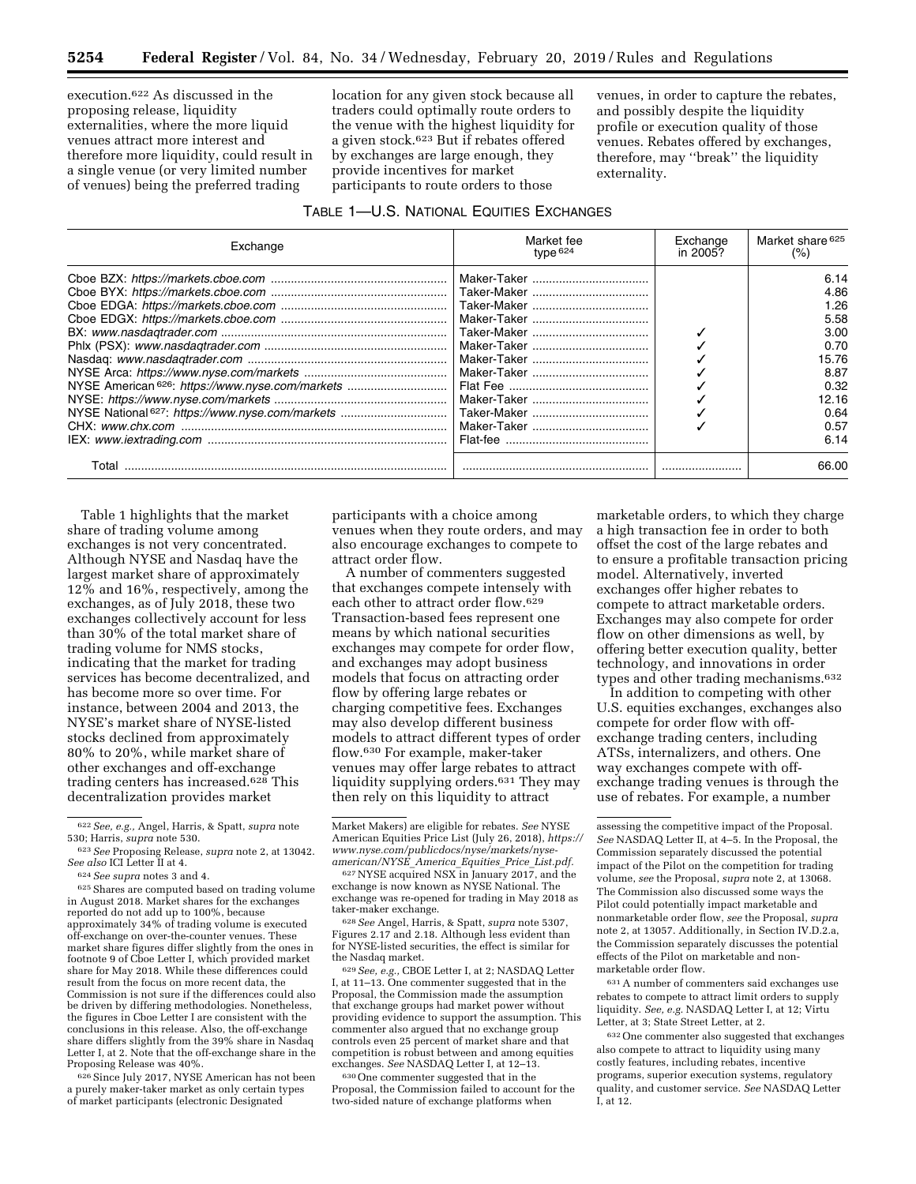execution.622 As discussed in the proposing release, liquidity externalities, where the more liquid venues attract more interest and therefore more liquidity, could result in a single venue (or very limited number of venues) being the preferred trading

location for any given stock because all traders could optimally route orders to the venue with the highest liquidity for a given stock.623 But if rebates offered by exchanges are large enough, they provide incentives for market participants to route orders to those

### TABLE 1—U.S. NATIONAL EQUITIES EXCHANGES

venues, in order to capture the rebates, and possibly despite the liquidity profile or execution quality of those venues. Rebates offered by exchanges, therefore, may ''break'' the liquidity externality.

| Exchange                                                    | Market fee<br>type $624$ | Exchange<br>in 2005? | Market share 625<br>$(\%)$ |  |
|-------------------------------------------------------------|--------------------------|----------------------|----------------------------|--|
|                                                             |                          |                      | 6.14                       |  |
|                                                             |                          |                      | 4.86                       |  |
|                                                             |                          |                      | 1.26                       |  |
|                                                             |                          |                      | 5.58                       |  |
|                                                             |                          |                      | 3.00                       |  |
|                                                             |                          |                      | 0.70                       |  |
|                                                             |                          |                      | 15.76                      |  |
|                                                             |                          |                      | 8.87                       |  |
| NYSE American <sup>626</sup> : https://www.nyse.com/markets |                          |                      | 0.32                       |  |
|                                                             |                          |                      | 12.16                      |  |
| NYSE National 627: https://www.nyse.com/markets             |                          |                      | 0.64                       |  |
|                                                             |                          |                      | 0.57                       |  |
|                                                             |                          |                      | 6.14                       |  |
| Total                                                       |                          |                      | 66.00                      |  |

Table 1 highlights that the market share of trading volume among exchanges is not very concentrated. Although NYSE and Nasdaq have the largest market share of approximately 12% and 16%, respectively, among the exchanges, as of July 2018, these two exchanges collectively account for less than 30% of the total market share of trading volume for NMS stocks, indicating that the market for trading services has become decentralized, and has become more so over time. For instance, between 2004 and 2013, the NYSE's market share of NYSE-listed stocks declined from approximately 80% to 20%, while market share of other exchanges and off-exchange trading centers has increased.628 This decentralization provides market

<sup>626</sup> Since July 2017, NYSE American has not been a purely maker-taker market as only certain types of market participants (electronic Designated

participants with a choice among venues when they route orders, and may also encourage exchanges to compete to attract order flow.

A number of commenters suggested that exchanges compete intensely with each other to attract order flow.629 Transaction-based fees represent one means by which national securities exchanges may compete for order flow, and exchanges may adopt business models that focus on attracting order flow by offering large rebates or charging competitive fees. Exchanges may also develop different business models to attract different types of order flow.630 For example, maker-taker venues may offer large rebates to attract liquidity supplying orders.631 They may then rely on this liquidity to attract

<sup>628</sup> See Angel, Harris, & Spatt, *supra* note 5307, Figures 2.17 and 2.18. Although less evident than for NYSE-listed securities, the effect is similar for

629 See, e.g., CBOE Letter I, at 2; NASDAQ Letter I, at 11–13. One commenter suggested that in the Proposal, the Commission made the assumption that exchange groups had market power without providing evidence to support the assumption. This commenter also argued that no exchange group controls even 25 percent of market share and that competition is robust between and among equities exchanges. *See* NASDAQ Letter I, at 12–13.

630One commenter suggested that in the Proposal, the Commission failed to account for the two-sided nature of exchange platforms when

marketable orders, to which they charge a high transaction fee in order to both offset the cost of the large rebates and to ensure a profitable transaction pricing model. Alternatively, inverted exchanges offer higher rebates to compete to attract marketable orders. Exchanges may also compete for order flow on other dimensions as well, by offering better execution quality, better technology, and innovations in order types and other trading mechanisms.632

In addition to competing with other U.S. equities exchanges, exchanges also compete for order flow with offexchange trading centers, including ATSs, internalizers, and others. One way exchanges compete with offexchange trading venues is through the use of rebates. For example, a number

631A number of commenters said exchanges use rebates to compete to attract limit orders to supply liquidity. *See, e.g.* NASDAQ Letter I, at 12; Virtu Letter, at 3; State Street Letter, at 2.

632One commenter also suggested that exchanges also compete to attract to liquidity using many costly features, including rebates, incentive programs, superior execution systems, regulatory quality, and customer service. *See* NASDAQ Letter I, at 12.

<sup>622</sup>*See, e.g.,* Angel, Harris, & Spatt, *supra* note

<sup>530;</sup> Harris, *supra* note 530.<br><sup>623</sup> *See* Proposing Release, *supra* note 2, at 13042.<br>*See also* ICI Letter II at 4.

<sup>&</sup>lt;sup>624</sup> *See supra* notes 3 and 4.<br><sup>625</sup> Shares are computed based on trading volume in August 2018. Market shares for the exchanges reported do not add up to 100%, because approximately 34% of trading volume is executed off-exchange on over-the-counter venues. These market share figures differ slightly from the ones in footnote 9 of Cboe Letter I, which provided market share for May 2018. While these differences could result from the focus on more recent data, the Commission is not sure if the differences could also be driven by differing methodologies. Nonetheless, the figures in Cboe Letter I are consistent with the conclusions in this release. Also, the off-exchange share differs slightly from the 39% share in Nasdaq Letter I, at 2. Note that the off-exchange share in the Proposing Release was 40%.

Market Makers) are eligible for rebates. *See* NYSE American Equities Price List (July 26, 2018), *[https://](https://www.nyse.com/publicdocs/nyse/markets/nyse-american/NYSE_America_Equities_Price_List.pdf)  [www.nyse.com/publicdocs/nyse/markets/nyse](https://www.nyse.com/publicdocs/nyse/markets/nyse-american/NYSE_America_Equities_Price_List.pdf)[american/NYSE](https://www.nyse.com/publicdocs/nyse/markets/nyse-american/NYSE_America_Equities_Price_List.pdf)*\_*America*\_*Equities*\_*Price*\_*List.pdf.* 

<sup>627</sup>NYSE acquired NSX in January 2017, and the exchange is now known as NYSE National. The exchange was re-opened for trading in May 2018 as

assessing the competitive impact of the Proposal. *See* NASDAQ Letter II, at 4–5. In the Proposal, the Commission separately discussed the potential impact of the Pilot on the competition for trading volume, *see* the Proposal, *supra* note 2, at 13068. The Commission also discussed some ways the Pilot could potentially impact marketable and nonmarketable order flow, *see* the Proposal, *supra*  note 2, at 13057. Additionally, in Section IV.D.2.a, the Commission separately discusses the potential effects of the Pilot on marketable and nonmarketable order flow.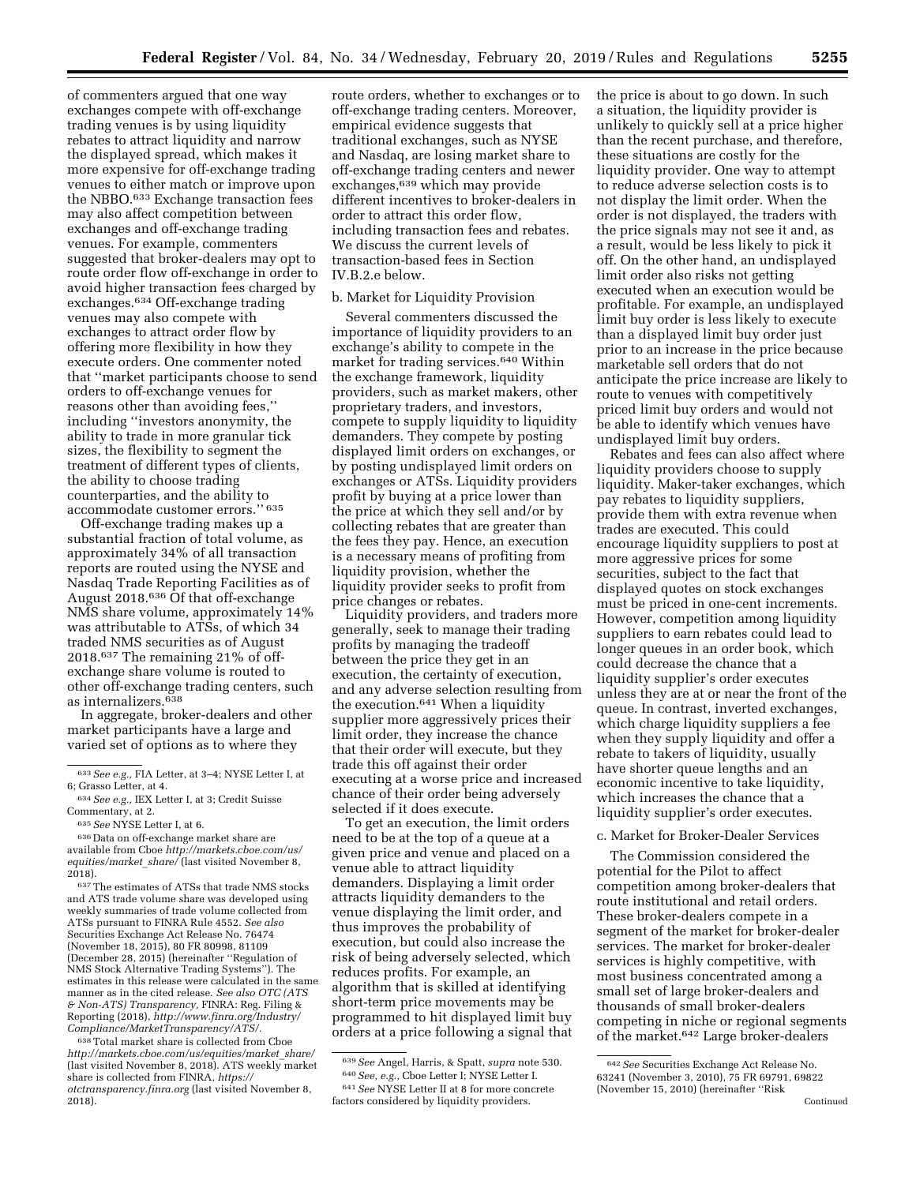of commenters argued that one way exchanges compete with off-exchange trading venues is by using liquidity rebates to attract liquidity and narrow the displayed spread, which makes it more expensive for off-exchange trading venues to either match or improve upon the NBBO.633 Exchange transaction fees may also affect competition between exchanges and off-exchange trading venues. For example, commenters suggested that broker-dealers may opt to route order flow off-exchange in order to avoid higher transaction fees charged by exchanges.634 Off-exchange trading venues may also compete with exchanges to attract order flow by offering more flexibility in how they execute orders. One commenter noted that ''market participants choose to send orders to off-exchange venues for reasons other than avoiding fees,'' including ''investors anonymity, the ability to trade in more granular tick sizes, the flexibility to segment the treatment of different types of clients, the ability to choose trading counterparties, and the ability to accommodate customer errors.'' 635

Off-exchange trading makes up a substantial fraction of total volume, as approximately 34% of all transaction reports are routed using the NYSE and Nasdaq Trade Reporting Facilities as of August 2018.636 Of that off-exchange NMS share volume, approximately 14% was attributable to ATSs, of which 34 traded NMS securities as of August 2018.637 The remaining 21% of offexchange share volume is routed to other off-exchange trading centers, such as internalizers.638

In aggregate, broker-dealers and other market participants have a large and varied set of options as to where they

636 Data on off-exchange market share are available from Cboe *[http://markets.cboe.com/us/](http://markets.cboe.com/us/equities/market_share/) [equities/market](http://markets.cboe.com/us/equities/market_share/)*\_*share/* (last visited November 8, 2018).

637The estimates of ATSs that trade NMS stocks and ATS trade volume share was developed using weekly summaries of trade volume collected from ATSs pursuant to FINRA Rule 4552. *See also*  Securities Exchange Act Release No. 76474 (November 18, 2015), 80 FR 80998, 81109 (December 28, 2015) (hereinafter ''Regulation of NMS Stock Alternative Trading Systems''). The estimates in this release were calculated in the same manner as in the cited release. *See also OTC (ATS & Non-ATS) Transparency,* FINRA: Reg. Filing & Reporting (2018), *[http://www.finra.org/Industry/](http://www.finra.org/Industry/Compliance/MarketTransparency/ATS/)  [Compliance/MarketTransparency/ATS/.](http://www.finra.org/Industry/Compliance/MarketTransparency/ATS/)* 

638Total market share is collected from Cboe *[http://markets.cboe.com/us/equities/market](http://markets.cboe.com/us/equities/market_share/)*\_*share/*  (last visited November 8, 2018). ATS weekly market share is collected from FINRA, *[https://](https://otctransparency.finra.org) [otctransparency.finra.org](https://otctransparency.finra.org)* (last visited November 8, 2018).

route orders, whether to exchanges or to off-exchange trading centers. Moreover, empirical evidence suggests that traditional exchanges, such as NYSE and Nasdaq, are losing market share to off-exchange trading centers and newer exchanges,639 which may provide different incentives to broker-dealers in order to attract this order flow, including transaction fees and rebates. We discuss the current levels of transaction-based fees in Section IV.B.2.e below.

#### b. Market for Liquidity Provision

Several commenters discussed the importance of liquidity providers to an exchange's ability to compete in the market for trading services.640 Within the exchange framework, liquidity providers, such as market makers, other proprietary traders, and investors, compete to supply liquidity to liquidity demanders. They compete by posting displayed limit orders on exchanges, or by posting undisplayed limit orders on exchanges or ATSs. Liquidity providers profit by buying at a price lower than the price at which they sell and/or by collecting rebates that are greater than the fees they pay. Hence, an execution is a necessary means of profiting from liquidity provision, whether the liquidity provider seeks to profit from price changes or rebates.

Liquidity providers, and traders more generally, seek to manage their trading profits by managing the tradeoff between the price they get in an execution, the certainty of execution, and any adverse selection resulting from the execution.641 When a liquidity supplier more aggressively prices their limit order, they increase the chance that their order will execute, but they trade this off against their order executing at a worse price and increased chance of their order being adversely selected if it does execute.

To get an execution, the limit orders need to be at the top of a queue at a given price and venue and placed on a venue able to attract liquidity demanders. Displaying a limit order attracts liquidity demanders to the venue displaying the limit order, and thus improves the probability of execution, but could also increase the risk of being adversely selected, which reduces profits. For example, an algorithm that is skilled at identifying short-term price movements may be programmed to hit displayed limit buy orders at a price following a signal that the price is about to go down. In such a situation, the liquidity provider is unlikely to quickly sell at a price higher than the recent purchase, and therefore, these situations are costly for the liquidity provider. One way to attempt to reduce adverse selection costs is to not display the limit order. When the order is not displayed, the traders with the price signals may not see it and, as a result, would be less likely to pick it off. On the other hand, an undisplayed limit order also risks not getting executed when an execution would be profitable. For example, an undisplayed limit buy order is less likely to execute than a displayed limit buy order just prior to an increase in the price because marketable sell orders that do not anticipate the price increase are likely to route to venues with competitively priced limit buy orders and would not be able to identify which venues have undisplayed limit buy orders.

Rebates and fees can also affect where liquidity providers choose to supply liquidity. Maker-taker exchanges, which pay rebates to liquidity suppliers, provide them with extra revenue when trades are executed. This could encourage liquidity suppliers to post at more aggressive prices for some securities, subject to the fact that displayed quotes on stock exchanges must be priced in one-cent increments. However, competition among liquidity suppliers to earn rebates could lead to longer queues in an order book, which could decrease the chance that a liquidity supplier's order executes unless they are at or near the front of the queue. In contrast, inverted exchanges, which charge liquidity suppliers a fee when they supply liquidity and offer a rebate to takers of liquidity, usually have shorter queue lengths and an economic incentive to take liquidity, which increases the chance that a liquidity supplier's order executes.

#### c. Market for Broker-Dealer Services

The Commission considered the potential for the Pilot to affect competition among broker-dealers that route institutional and retail orders. These broker-dealers compete in a segment of the market for broker-dealer services. The market for broker-dealer services is highly competitive, with most business concentrated among a small set of large broker-dealers and thousands of small broker-dealers competing in niche or regional segments of the market.642 Large broker-dealers

<sup>633</sup>*See e.g.,* FIA Letter, at 3–4; NYSE Letter I, at 6; Grasso Letter, at 4.

<sup>634</sup>*See e.g.,* IEX Letter I, at 3; Credit Suisse Commentary, at 2.

<sup>635</sup>*See* NYSE Letter I, at 6.

<sup>639</sup>*See* Angel, Harris, & Spatt, *supra* note 530. 640*See, e.g.,* Cboe Letter I; NYSE Letter I.

<sup>641</sup>*See* NYSE Letter II at 8 for more concrete factors considered by liquidity providers.

<sup>642</sup>*See* Securities Exchange Act Release No. 63241 (November 3, 2010), 75 FR 69791, 69822 (November 15, 2010) (hereinafter ''Risk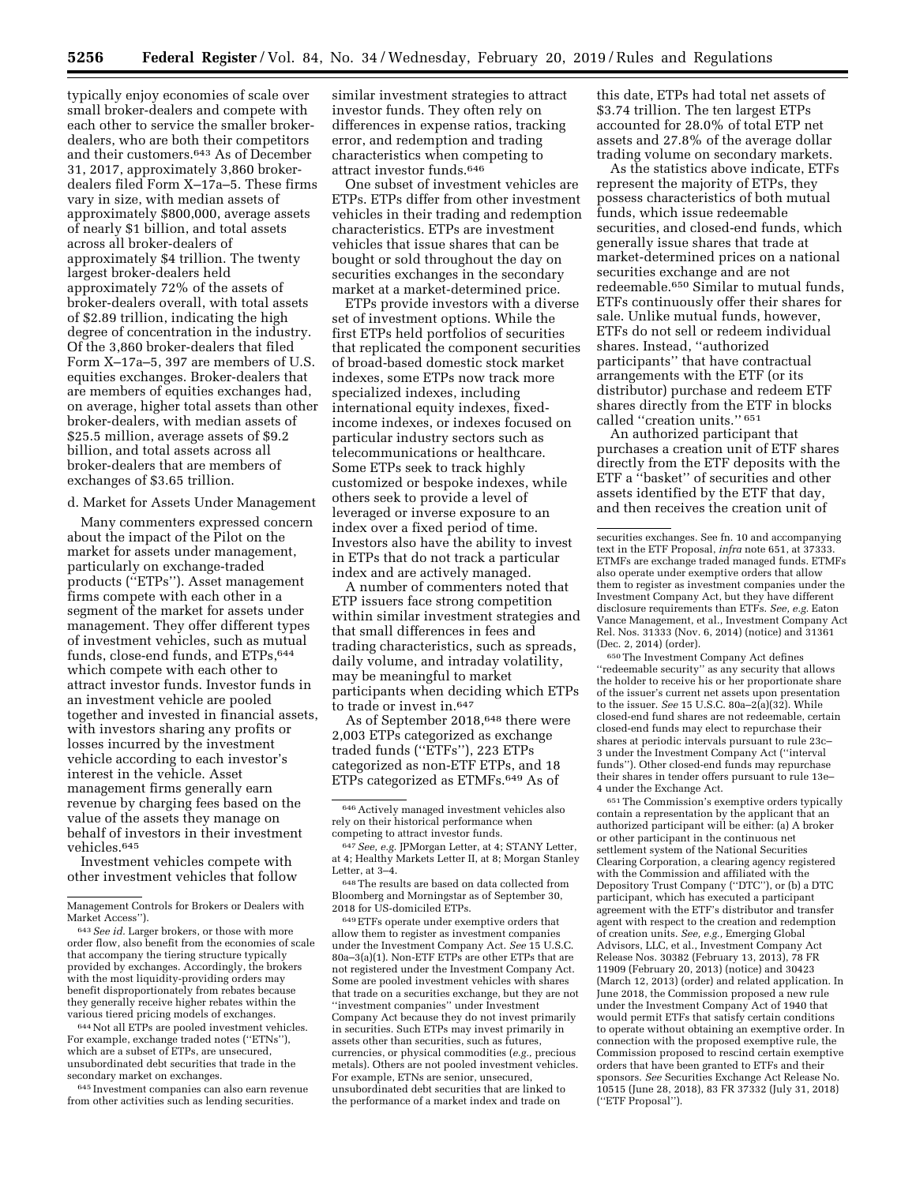typically enjoy economies of scale over small broker-dealers and compete with each other to service the smaller brokerdealers, who are both their competitors and their customers.643 As of December 31, 2017, approximately 3,860 brokerdealers filed Form X–17a–5. These firms vary in size, with median assets of approximately \$800,000, average assets of nearly \$1 billion, and total assets across all broker-dealers of approximately \$4 trillion. The twenty largest broker-dealers held approximately 72% of the assets of broker-dealers overall, with total assets of \$2.89 trillion, indicating the high degree of concentration in the industry. Of the 3,860 broker-dealers that filed Form X–17a–5, 397 are members of U.S. equities exchanges. Broker-dealers that are members of equities exchanges had, on average, higher total assets than other broker-dealers, with median assets of \$25.5 million, average assets of \$9.2 billion, and total assets across all broker-dealers that are members of exchanges of \$3.65 trillion.

d. Market for Assets Under Management

Many commenters expressed concern about the impact of the Pilot on the market for assets under management, particularly on exchange-traded products (''ETPs''). Asset management firms compete with each other in a segment of the market for assets under management. They offer different types of investment vehicles, such as mutual funds, close-end funds, and ETPs, 644 which compete with each other to attract investor funds. Investor funds in an investment vehicle are pooled together and invested in financial assets, with investors sharing any profits or losses incurred by the investment vehicle according to each investor's interest in the vehicle. Asset management firms generally earn revenue by charging fees based on the value of the assets they manage on behalf of investors in their investment vehicles.645

Investment vehicles compete with other investment vehicles that follow

644Not all ETPs are pooled investment vehicles. For example, exchange traded notes (''ETNs''), which are a subset of ETPs, are unsecured, unsubordinated debt securities that trade in the secondary market on exchanges.

645 Investment companies can also earn revenue from other activities such as lending securities.

similar investment strategies to attract investor funds. They often rely on differences in expense ratios, tracking error, and redemption and trading characteristics when competing to attract investor funds.646

One subset of investment vehicles are ETPs. ETPs differ from other investment vehicles in their trading and redemption characteristics. ETPs are investment vehicles that issue shares that can be bought or sold throughout the day on securities exchanges in the secondary market at a market-determined price.

ETPs provide investors with a diverse set of investment options. While the first ETPs held portfolios of securities that replicated the component securities of broad-based domestic stock market indexes, some ETPs now track more specialized indexes, including international equity indexes, fixedincome indexes, or indexes focused on particular industry sectors such as telecommunications or healthcare. Some ETPs seek to track highly customized or bespoke indexes, while others seek to provide a level of leveraged or inverse exposure to an index over a fixed period of time. Investors also have the ability to invest in ETPs that do not track a particular index and are actively managed.

A number of commenters noted that ETP issuers face strong competition within similar investment strategies and that small differences in fees and trading characteristics, such as spreads, daily volume, and intraday volatility, may be meaningful to market participants when deciding which ETPs to trade or invest in.647

As of September 2018,648 there were 2,003 ETPs categorized as exchange traded funds (''ETFs''), 223 ETPs categorized as non-ETF ETPs, and 18 ETPs categorized as ETMFs.649 As of

649ETFs operate under exemptive orders that allow them to register as investment companies under the Investment Company Act. *See* 15 U.S.C. 80a–3(a)(1). Non-ETF ETPs are other ETPs that are not registered under the Investment Company Act. Some are pooled investment vehicles with shares that trade on a securities exchange, but they are not ''investment companies'' under Investment Company Act because they do not invest primarily in securities. Such ETPs may invest primarily in assets other than securities, such as futures, currencies, or physical commodities (*e.g.,* precious metals). Others are not pooled investment vehicles. For example, ETNs are senior, unsecured, unsubordinated debt securities that are linked to the performance of a market index and trade on

this date, ETPs had total net assets of \$3.74 trillion. The ten largest ETPs accounted for 28.0% of total ETP net assets and 27.8% of the average dollar trading volume on secondary markets.

As the statistics above indicate, ETFs represent the majority of ETPs, they possess characteristics of both mutual funds, which issue redeemable securities, and closed-end funds, which generally issue shares that trade at market-determined prices on a national securities exchange and are not redeemable.650 Similar to mutual funds, ETFs continuously offer their shares for sale. Unlike mutual funds, however, ETFs do not sell or redeem individual shares. Instead, ''authorized participants'' that have contractual arrangements with the ETF (or its distributor) purchase and redeem ETF shares directly from the ETF in blocks called ''creation units.'' 651

An authorized participant that purchases a creation unit of ETF shares directly from the ETF deposits with the ETF a ''basket'' of securities and other assets identified by the ETF that day, and then receives the creation unit of

650The Investment Company Act defines ''redeemable security'' as any security that allows the holder to receive his or her proportionate share of the issuer's current net assets upon presentation to the issuer. *See* 15 U.S.C. 80a–2(a)(32). While closed-end fund shares are not redeemable, certain closed-end funds may elect to repurchase their shares at periodic intervals pursuant to rule 23c– 3 under the Investment Company Act (''interval funds''). Other closed-end funds may repurchase their shares in tender offers pursuant to rule 13e– 4 under the Exchange Act.

651The Commission's exemptive orders typically contain a representation by the applicant that an authorized participant will be either: (a) A broker or other participant in the continuous net settlement system of the National Securities Clearing Corporation, a clearing agency registered with the Commission and affiliated with the Depository Trust Company (''DTC''), or (b) a DTC participant, which has executed a participant agreement with the ETF's distributor and transfer agent with respect to the creation and redemption of creation units. *See, e.g.,* Emerging Global Advisors, LLC, et al., Investment Company Act Release Nos. 30382 (February 13, 2013), 78 FR 11909 (February 20, 2013) (notice) and 30423 (March 12, 2013) (order) and related application. In June 2018, the Commission proposed a new rule under the Investment Company Act of 1940 that would permit ETFs that satisfy certain conditions to operate without obtaining an exemptive order. In connection with the proposed exemptive rule, the Commission proposed to rescind certain exemptive orders that have been granted to ETFs and their sponsors. *See* Securities Exchange Act Release No. 10515 (June 28, 2018), 83 FR 37332 (July 31, 2018) (''ETF Proposal'').

Management Controls for Brokers or Dealers with Market Access'').

<sup>643</sup>*See id.* Larger brokers, or those with more order flow, also benefit from the economies of scale that accompany the tiering structure typically provided by exchanges. Accordingly, the brokers with the most liquidity-providing orders may benefit disproportionately from rebates because they generally receive higher rebates within the various tiered pricing models of exchanges.

<sup>646</sup>Actively managed investment vehicles also rely on their historical performance when competing to attract investor funds.

<sup>647</sup>*See, e.g.* JPMorgan Letter, at 4; STANY Letter, at 4; Healthy Markets Letter II, at 8; Morgan Stanley Letter, at 3–4.

<sup>648</sup>The results are based on data collected from Bloomberg and Morningstar as of September 30, 2018 for US-domiciled ETPs.

securities exchanges. See fn. 10 and accompanying text in the ETF Proposal, *infra* note 651, at 37333. ETMFs are exchange traded managed funds. ETMFs also operate under exemptive orders that allow them to register as investment companies under the Investment Company Act, but they have different disclosure requirements than ETFs. *See, e.g.* Eaton Vance Management, et al., Investment Company Act Rel. Nos. 31333 (Nov. 6, 2014) (notice) and 31361 (Dec. 2, 2014) (order).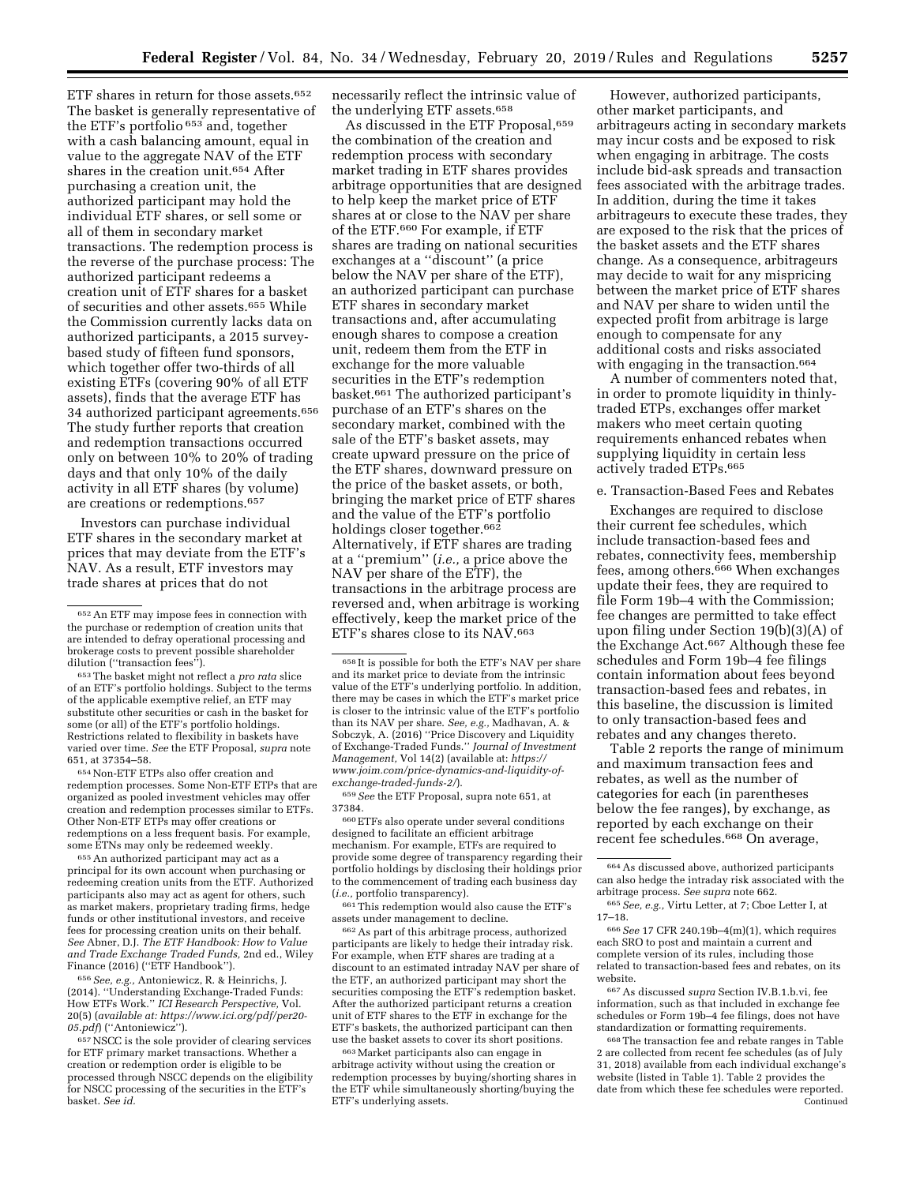ETF shares in return for those assets.<sup>652</sup> The basket is generally representative of the ETF's portfolio 653 and, together with a cash balancing amount, equal in value to the aggregate NAV of the ETF shares in the creation unit.654 After purchasing a creation unit, the authorized participant may hold the individual ETF shares, or sell some or all of them in secondary market transactions. The redemption process is the reverse of the purchase process: The authorized participant redeems a creation unit of ETF shares for a basket of securities and other assets.655 While the Commission currently lacks data on authorized participants, a 2015 surveybased study of fifteen fund sponsors, which together offer two-thirds of all existing ETFs (covering 90% of all ETF assets), finds that the average ETF has 34 authorized participant agreements.656 The study further reports that creation and redemption transactions occurred only on between 10% to 20% of trading days and that only 10% of the daily activity in all ETF shares (by volume) are creations or redemptions.657

Investors can purchase individual ETF shares in the secondary market at prices that may deviate from the ETF's NAV. As a result, ETF investors may trade shares at prices that do not

653The basket might not reflect a *pro rata* slice of an ETF's portfolio holdings. Subject to the terms of the applicable exemptive relief, an ETF may substitute other securities or cash in the basket for some (or all) of the ETF's portfolio holdings. Restrictions related to flexibility in baskets have varied over time. *See* the ETF Proposal, *supra* note 651, at 37354–58.

654Non-ETF ETPs also offer creation and redemption processes. Some Non-ETF ETPs that are organized as pooled investment vehicles may offer creation and redemption processes similar to ETFs. Other Non-ETF ETPs may offer creations or redemptions on a less frequent basis. For example, some ETNs may only be redeemed weekly.

655An authorized participant may act as a principal for its own account when purchasing or redeeming creation units from the ETF. Authorized participants also may act as agent for others, such as market makers, proprietary trading firms, hedge funds or other institutional investors, and receive fees for processing creation units on their behalf. *See* Abner, D.J. *The ETF Handbook: How to Value and Trade Exchange Traded Funds,* 2nd ed., Wiley Finance (2016) (''ETF Handbook'').

656*See, e.g.,* Antoniewicz, R. & Heinrichs, J. (2014). ''Understanding Exchange-Traded Funds: How ETFs Work.'' *ICI Research Perspective,* Vol. 20(5) (*available at: [https://www.ici.org/pdf/per20-](https://www.ici.org/pdf/per20-05.pdf) [05.pdf](https://www.ici.org/pdf/per20-05.pdf)*) (''Antoniewicz'').

657NSCC is the sole provider of clearing services for ETF primary market transactions. Whether a creation or redemption order is eligible to be processed through NSCC depends on the eligibility for NSCC processing of the securities in the ETF's basket. *See id.* 

necessarily reflect the intrinsic value of the underlying ETF assets.658

As discussed in the ETF Proposal, 659 the combination of the creation and redemption process with secondary market trading in ETF shares provides arbitrage opportunities that are designed to help keep the market price of ETF shares at or close to the NAV per share of the ETF.660 For example, if ETF shares are trading on national securities exchanges at a ''discount'' (a price below the NAV per share of the ETF), an authorized participant can purchase ETF shares in secondary market transactions and, after accumulating enough shares to compose a creation unit, redeem them from the ETF in exchange for the more valuable securities in the ETF's redemption basket.661 The authorized participant's purchase of an ETF's shares on the secondary market, combined with the sale of the ETF's basket assets, may create upward pressure on the price of the ETF shares, downward pressure on the price of the basket assets, or both, bringing the market price of ETF shares and the value of the ETF's portfolio holdings closer together.<sup>662</sup> Alternatively, if ETF shares are trading at a ''premium'' (*i.e.,* a price above the NAV per share of the ETF), the transactions in the arbitrage process are reversed and, when arbitrage is working effectively, keep the market price of the ETF's shares close to its NAV.<sup>663</sup>

658 It is possible for both the ETF's NAV per share and its market price to deviate from the intrinsic value of the ETF's underlying portfolio. In addition, there may be cases in which the ETF's market price is closer to the intrinsic value of the ETF's portfolio than its NAV per share. *See, e.g.,* Madhavan, A. & Sobczyk, A. (2016) ''Price Discovery and Liquidity of Exchange-Traded Funds.'' *Journal of Investment Management,* Vol 14(2) (available at: *[https://](https://www.joim.com/price-dynamics-and-liquidity-of-exchange-traded-funds-2/) [www.joim.com/price-dynamics-and-liquidity-of](https://www.joim.com/price-dynamics-and-liquidity-of-exchange-traded-funds-2/)[exchange-traded-funds-2/](https://www.joim.com/price-dynamics-and-liquidity-of-exchange-traded-funds-2/)*).

659*See* the ETF Proposal, supra note 651, at 37384.

660ETFs also operate under several conditions designed to facilitate an efficient arbitrage mechanism. For example, ETFs are required to provide some degree of transparency regarding their portfolio holdings by disclosing their holdings prior to the commencement of trading each business day (*i.e.,* portfolio transparency).

661This redemption would also cause the ETF's assets under management to decline.

662As part of this arbitrage process, authorized participants are likely to hedge their intraday risk. For example, when ETF shares are trading at a discount to an estimated intraday NAV per share of the ETF, an authorized participant may short the securities composing the ETF's redemption basket. After the authorized participant returns a creation unit of ETF shares to the ETF in exchange for the ETF's baskets, the authorized participant can then use the basket assets to cover its short positions.

663Market participants also can engage in arbitrage activity without using the creation or redemption processes by buying/shorting shares in the ETF while simultaneously shorting/buying the ETF's underlying assets.

However, authorized participants, other market participants, and arbitrageurs acting in secondary markets may incur costs and be exposed to risk when engaging in arbitrage. The costs include bid-ask spreads and transaction fees associated with the arbitrage trades. In addition, during the time it takes arbitrageurs to execute these trades, they are exposed to the risk that the prices of the basket assets and the ETF shares change. As a consequence, arbitrageurs may decide to wait for any mispricing between the market price of ETF shares and NAV per share to widen until the expected profit from arbitrage is large enough to compensate for any additional costs and risks associated with engaging in the transaction.<sup>664</sup>

A number of commenters noted that, in order to promote liquidity in thinlytraded ETPs, exchanges offer market makers who meet certain quoting requirements enhanced rebates when supplying liquidity in certain less actively traded ETPs.665

# e. Transaction-Based Fees and Rebates

Exchanges are required to disclose their current fee schedules, which include transaction-based fees and rebates, connectivity fees, membership fees, among others.666 When exchanges update their fees, they are required to file Form 19b–4 with the Commission; fee changes are permitted to take effect upon filing under Section 19(b)(3)(A) of the Exchange Act.667 Although these fee schedules and Form 19b–4 fee filings contain information about fees beyond transaction-based fees and rebates, in this baseline, the discussion is limited to only transaction-based fees and rebates and any changes thereto.

Table 2 reports the range of minimum and maximum transaction fees and rebates, as well as the number of categories for each (in parentheses below the fee ranges), by exchange, as reported by each exchange on their recent fee schedules.668 On average,

667As discussed *supra* Section IV.B.1.b.vi, fee information, such as that included in exchange fee schedules or Form 19b–4 fee filings, does not have standardization or formatting requirements.

668The transaction fee and rebate ranges in Table 2 are collected from recent fee schedules (as of July 31, 2018) available from each individual exchange's website (listed in Table 1). Table 2 provides the date from which these fee schedules were reported. Continued

<sup>652</sup>An ETF may impose fees in connection with the purchase or redemption of creation units that are intended to defray operational processing and brokerage costs to prevent possible shareholder dilution ("transaction fees").

<sup>664</sup>As discussed above, authorized participants can also hedge the intraday risk associated with the arbitrage process. *See supra* note 662.

<sup>665</sup>*See, e.g.,* Virtu Letter, at 7; Cboe Letter I, at 17–18.

<sup>666</sup>*See* 17 CFR 240.19b–4(m)(1), which requires each SRO to post and maintain a current and complete version of its rules, including those related to transaction-based fees and rebates, on its website.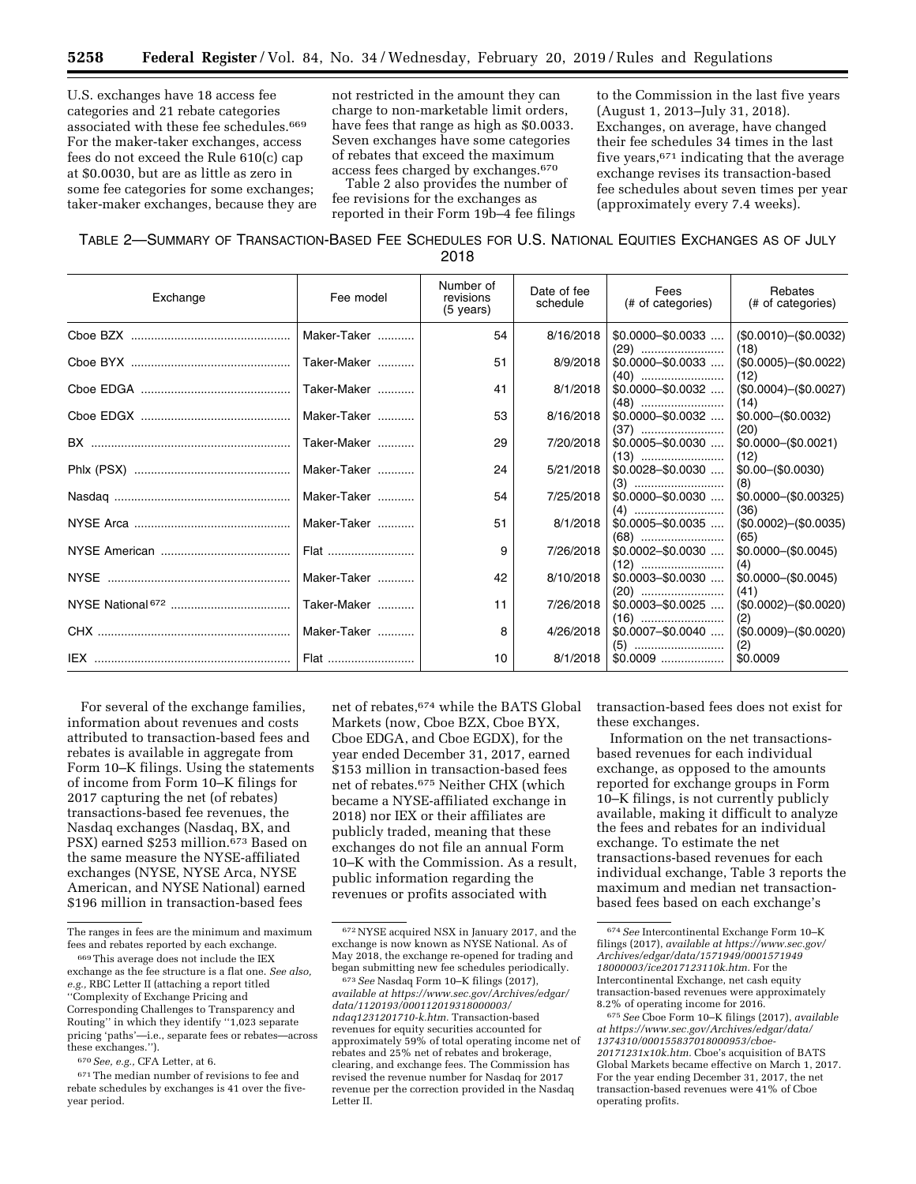U.S. exchanges have 18 access fee categories and 21 rebate categories associated with these fee schedules.669 For the maker-taker exchanges, access fees do not exceed the Rule 610(c) cap at \$0.0030, but are as little as zero in some fee categories for some exchanges; taker-maker exchanges, because they are not restricted in the amount they can charge to non-marketable limit orders, have fees that range as high as \$0.0033. Seven exchanges have some categories of rebates that exceed the maximum access fees charged by exchanges.670

Table 2 also provides the number of fee revisions for the exchanges as reported in their Form 19b–4 fee filings to the Commission in the last five years (August 1, 2013–July 31, 2018). Exchanges, on average, have changed their fee schedules 34 times in the last five years, $671$  indicating that the average exchange revises its transaction-based fee schedules about seven times per year (approximately every 7.4 weeks).

# TABLE 2—SUMMARY OF TRANSACTION-BASED FEE SCHEDULES FOR U.S. NATIONAL EQUITIES EXCHANGES AS OF JULY 2018

| Exchange | Fee model   | Number of<br>revisions<br>(5 years) | Date of fee<br>schedule | Fees<br>(# of categories) | Rebates<br>(# of categories)            |
|----------|-------------|-------------------------------------|-------------------------|---------------------------|-----------------------------------------|
|          | Maker-Taker | 54                                  | 8/16/2018               | $$0.0000 - $0.0033$       | $($0.0010) - ($0.0032)$                 |
|          | Taker-Maker | 51                                  | 8/9/2018                | $$0.0000 - $0.0033$       | (18)<br>$($0.0005) - ($0.0022)$<br>(12) |
|          | Taker-Maker | 41                                  | 8/1/2018                | $$0.0000 - $0.0032$       | $($0.0004) - ($0.0027)$                 |
|          | Maker-Taker | 53                                  | 8/16/2018               | $$0.0000 - $0.0032$       | (14)<br>$$0.000-($0.0032)$              |
|          | Taker-Maker | 29                                  | 7/20/2018               | $$0.0005 - $0.0030$       | (20)<br>$$0.0000-($0.0021)$             |
|          | Maker-Taker | 24                                  | 5/21/2018               | $$0.0028 - $0.0030$       | (12)<br>$$0.00-($0.0030)$<br>(8)        |
|          | Maker-Taker | 54                                  | 7/25/2018               | $$0.0000 - $0.0030$       | $$0.0000-($0.00325)$                    |
|          | Maker-Taker | 51                                  | 8/1/2018                | $$0.0005 - $0.0035$       | (36)<br>$($0.0002) - ($0.0035)$<br>(65) |
|          | Flat        | 9                                   | 7/26/2018               | $$0.0002 - $0.0030$       | $$0.0000-($0.0045)$                     |
|          | Maker-Taker | 42                                  | 8/10/2018               | $$0.0003 - $0.0030$       | (4)<br>$$0.0000-(\$0.0045)$<br>(41)     |
|          | Taker-Maker | 11                                  | 7/26/2018               | $$0.0003 - $0.0025$       | $($0.0002) - ($0.0020)$                 |
|          | Maker-Taker | 8                                   | 4/26/2018               | $$0.0007 - $0.0040$       | (2)<br>$($0.0009) - ($0.0020)$<br>(2)   |
|          | Flat        | 10                                  | 8/1/2018                |                           | \$0.0009                                |

For several of the exchange families, information about revenues and costs attributed to transaction-based fees and rebates is available in aggregate from Form 10–K filings. Using the statements of income from Form 10–K filings for 2017 capturing the net (of rebates) transactions-based fee revenues, the Nasdaq exchanges (Nasdaq, BX, and PSX) earned \$253 million.673 Based on the same measure the NYSE-affiliated exchanges (NYSE, NYSE Arca, NYSE American, and NYSE National) earned \$196 million in transaction-based fees

670*See, e.g.,* CFA Letter, at 6.

net of rebates,674 while the BATS Global Markets (now, Cboe BZX, Cboe BYX, Cboe EDGA, and Cboe EGDX), for the year ended December 31, 2017, earned \$153 million in transaction-based fees net of rebates.675 Neither CHX (which became a NYSE-affiliated exchange in 2018) nor IEX or their affiliates are publicly traded, meaning that these exchanges do not file an annual Form 10–K with the Commission. As a result, public information regarding the revenues or profits associated with

transaction-based fees does not exist for these exchanges.

Information on the net transactionsbased revenues for each individual exchange, as opposed to the amounts reported for exchange groups in Form 10–K filings, is not currently publicly available, making it difficult to analyze the fees and rebates for an individual exchange. To estimate the net transactions-based revenues for each individual exchange, Table 3 reports the maximum and median net transactionbased fees based on each exchange's

The ranges in fees are the minimum and maximum fees and rebates reported by each exchange.

<sup>669</sup>This average does not include the IEX exchange as the fee structure is a flat one. *See also, e.g.,* RBC Letter II (attaching a report titled ''Complexity of Exchange Pricing and Corresponding Challenges to Transparency and Routing'' in which they identify ''1,023 separate pricing 'paths'—i.e., separate fees or rebates—across these exchanges.'').

 $^{671}\mathrm{The}$  median number of revisions to fee and rebate schedules by exchanges is 41 over the fiveyear period.

<sup>672</sup>NYSE acquired NSX in January 2017, and the exchange is now known as NYSE National. As of May 2018, the exchange re-opened for trading and began submitting new fee schedules periodically.

<sup>673</sup>*See* Nasdaq Form 10–K filings (2017), *available at [https://www.sec.gov/Archives/edgar/](https://www.sec.gov/Archives/edgar/data/1120193/000112019318000003/ndaq1231201710-k.htm) [data/1120193/000112019318000003/](https://www.sec.gov/Archives/edgar/data/1120193/000112019318000003/ndaq1231201710-k.htm)  [ndaq1231201710-k.htm.](https://www.sec.gov/Archives/edgar/data/1120193/000112019318000003/ndaq1231201710-k.htm)* Transaction-based revenues for equity securities accounted for approximately 59% of total operating income net of rebates and 25% net of rebates and brokerage, clearing, and exchange fees. The Commission has revised the revenue number for Nasdaq for 2017 revenue per the correction provided in the Nasdaq Letter II.

<sup>674</sup>*See* Intercontinental Exchange Form 10–K filings (2017), *available at [https://www.sec.gov/](https://www.sec.gov/Archives/edgar/data/1571949/000157194918000003/ice2017123110k.htm) [Archives/edgar/data/1571949/0001571949](https://www.sec.gov/Archives/edgar/data/1571949/000157194918000003/ice2017123110k.htm) [18000003/ice2017123110k.htm.](https://www.sec.gov/Archives/edgar/data/1571949/000157194918000003/ice2017123110k.htm)* For the Intercontinental Exchange, net cash equity transaction-based revenues were approximately 8.2% of operating income for 2016.

<sup>675</sup>*See* Cboe Form 10–K filings (2017), *available at [https://www.sec.gov/Archives/edgar/data/](https://www.sec.gov/Archives/edgar/data/1374310/000155837018000953/cboe-20171231x10k.htm) [1374310/000155837018000953/cboe-](https://www.sec.gov/Archives/edgar/data/1374310/000155837018000953/cboe-20171231x10k.htm)[20171231x10k.htm.](https://www.sec.gov/Archives/edgar/data/1374310/000155837018000953/cboe-20171231x10k.htm)* Cboe's acquisition of BATS Global Markets became effective on March 1, 2017. For the year ending December 31, 2017, the net transaction-based revenues were 41% of Cboe operating profits.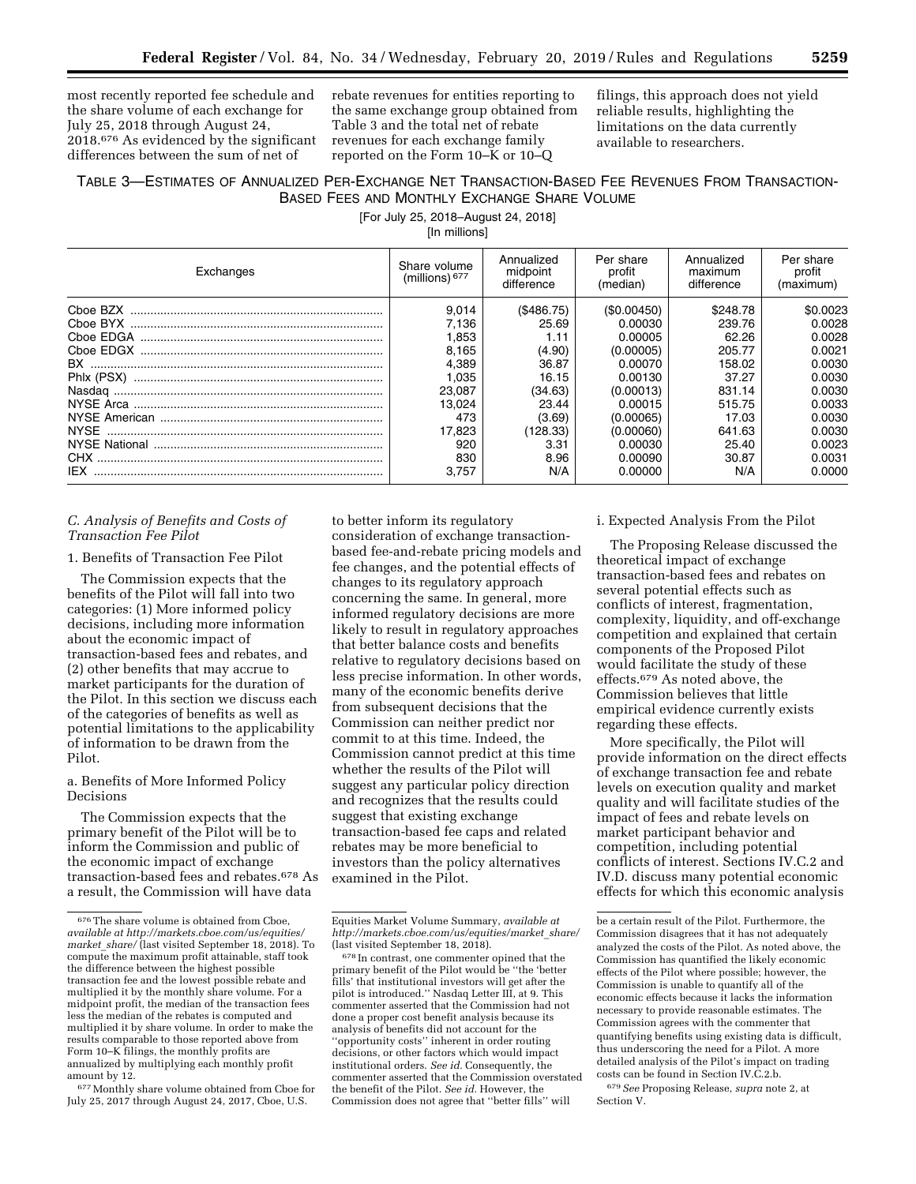most recently reported fee schedule and the share volume of each exchange for July 25, 2018 through August 24, 2018.676 As evidenced by the significant differences between the sum of net of

rebate revenues for entities reporting to the same exchange group obtained from Table 3 and the total net of rebate revenues for each exchange family reported on the Form 10–K or 10–Q

filings, this approach does not yield reliable results, highlighting the limitations on the data currently available to researchers.

# TABLE 3—ESTIMATES OF ANNUALIZED PER-EXCHANGE NET TRANSACTION-BASED FEE REVENUES FROM TRANSACTION-BASED FEES AND MONTHLY EXCHANGE SHARE VOLUME

[For July 25, 2018–August 24, 2018]

[In millions]

| Exchanges  | Share volume<br>(millions) $677$ | Annualized<br>midpoint<br>difference | Per share<br>profit<br>(median) | Annualized<br>maximum<br>difference | Per share<br>profit<br>(maximum) |
|------------|----------------------------------|--------------------------------------|---------------------------------|-------------------------------------|----------------------------------|
|            | 9.014                            | (S486.75)                            | (S0.00450)                      | \$248.78                            | \$0.0023                         |
|            | 7.136                            | 25.69                                | 0.00030                         | 239.76                              | 0.0028                           |
|            | 1.853                            | 1.11                                 | 0.00005                         | 62.26                               | 0.0028                           |
|            | 8.165                            | (4.90)                               | (0.00005)                       | 205.77                              | 0.0021                           |
|            | 4.389                            | 36.87                                | 0.00070                         | 158.02                              | 0.0030                           |
| Phix (PSX) | 1.035                            | 16.15                                | 0.00130                         | 37.27                               | 0.0030                           |
|            | 23.087                           | (34.63)                              | (0.00013)                       | 831.14                              | 0.0030                           |
|            | 13.024                           | 23.44                                | 0.00015                         | 515.75                              | 0.0033                           |
|            | 473                              | (3.69)                               | (0.00065)                       | 17.03                               | 0.0030                           |
|            | 17.823                           | (128.33)                             | (0.00060)                       | 641.63                              | 0.0030                           |
|            | 920                              | 3.31                                 | 0.00030                         | 25.40                               | 0.0023                           |
|            | 830                              | 8.96                                 | 0.00090                         | 30.87                               | 0.0031                           |
| IFX.       | 3.757                            | N/A                                  | 0.00000                         | N/A                                 | 0.0000                           |

# *C. Analysis of Benefits and Costs of Transaction Fee Pilot*

### 1. Benefits of Transaction Fee Pilot

The Commission expects that the benefits of the Pilot will fall into two categories: (1) More informed policy decisions, including more information about the economic impact of transaction-based fees and rebates, and (2) other benefits that may accrue to market participants for the duration of the Pilot. In this section we discuss each of the categories of benefits as well as potential limitations to the applicability of information to be drawn from the Pilot.

# a. Benefits of More Informed Policy Decisions

The Commission expects that the primary benefit of the Pilot will be to inform the Commission and public of the economic impact of exchange transaction-based fees and rebates.678 As a result, the Commission will have data

677Monthly share volume obtained from Cboe for July 25, 2017 through August 24, 2017, Cboe, U.S.

to better inform its regulatory consideration of exchange transactionbased fee-and-rebate pricing models and fee changes, and the potential effects of changes to its regulatory approach concerning the same. In general, more informed regulatory decisions are more likely to result in regulatory approaches that better balance costs and benefits relative to regulatory decisions based on less precise information. In other words, many of the economic benefits derive from subsequent decisions that the Commission can neither predict nor commit to at this time. Indeed, the Commission cannot predict at this time whether the results of the Pilot will suggest any particular policy direction and recognizes that the results could suggest that existing exchange transaction-based fee caps and related rebates may be more beneficial to investors than the policy alternatives examined in the Pilot.

678 In contrast, one commenter opined that the primary benefit of the Pilot would be ''the 'better fills' that institutional investors will get after the pilot is introduced.'' Nasdaq Letter III, at 9. This commenter asserted that the Commission had not done a proper cost benefit analysis because its analysis of benefits did not account for the ''opportunity costs'' inherent in order routing decisions, or other factors which would impact institutional orders. *See id.* Consequently, the commenter asserted that the Commission overstated the benefit of the Pilot. *See id.* However, the Commission does not agree that ''better fills'' will

#### i. Expected Analysis From the Pilot

The Proposing Release discussed the theoretical impact of exchange transaction-based fees and rebates on several potential effects such as conflicts of interest, fragmentation, complexity, liquidity, and off-exchange competition and explained that certain components of the Proposed Pilot would facilitate the study of these effects.679 As noted above, the Commission believes that little empirical evidence currently exists regarding these effects.

More specifically, the Pilot will provide information on the direct effects of exchange transaction fee and rebate levels on execution quality and market quality and will facilitate studies of the impact of fees and rebate levels on market participant behavior and competition, including potential conflicts of interest. Sections IV.C.2 and IV.D. discuss many potential economic effects for which this economic analysis

679*See* Proposing Release, *supra* note 2, at Section V.

 $^{676}\mathrm{The}$  share volume is obtained from Cboe, *available at [http://markets.cboe.com/us/equities/](http://markets.cboe.com/us/equities/market_share/)  [market](http://markets.cboe.com/us/equities/market_share/)*\_*share/* (last visited September 18, 2018). To compute the maximum profit attainable, staff took the difference between the highest possible transaction fee and the lowest possible rebate and multiplied it by the monthly share volume. For a midpoint profit, the median of the transaction fees less the median of the rebates is computed and multiplied it by share volume. In order to make the results comparable to those reported above from Form 10–K filings, the monthly profits are annualized by multiplying each monthly profit amount by 12.

Equities Market Volume Summary, *available at [http://markets.cboe.com/us/equities/market](http://markets.cboe.com/us/equities/market_share/)*\_*share/*  (last visited September 18, 2018).

be a certain result of the Pilot. Furthermore, the Commission disagrees that it has not adequately analyzed the costs of the Pilot. As noted above, the Commission has quantified the likely economic effects of the Pilot where possible; however, the Commission is unable to quantify all of the economic effects because it lacks the information necessary to provide reasonable estimates. The Commission agrees with the commenter that quantifying benefits using existing data is difficult, thus underscoring the need for a Pilot. A more detailed analysis of the Pilot's impact on trading costs can be found in Section IV.C.2.b.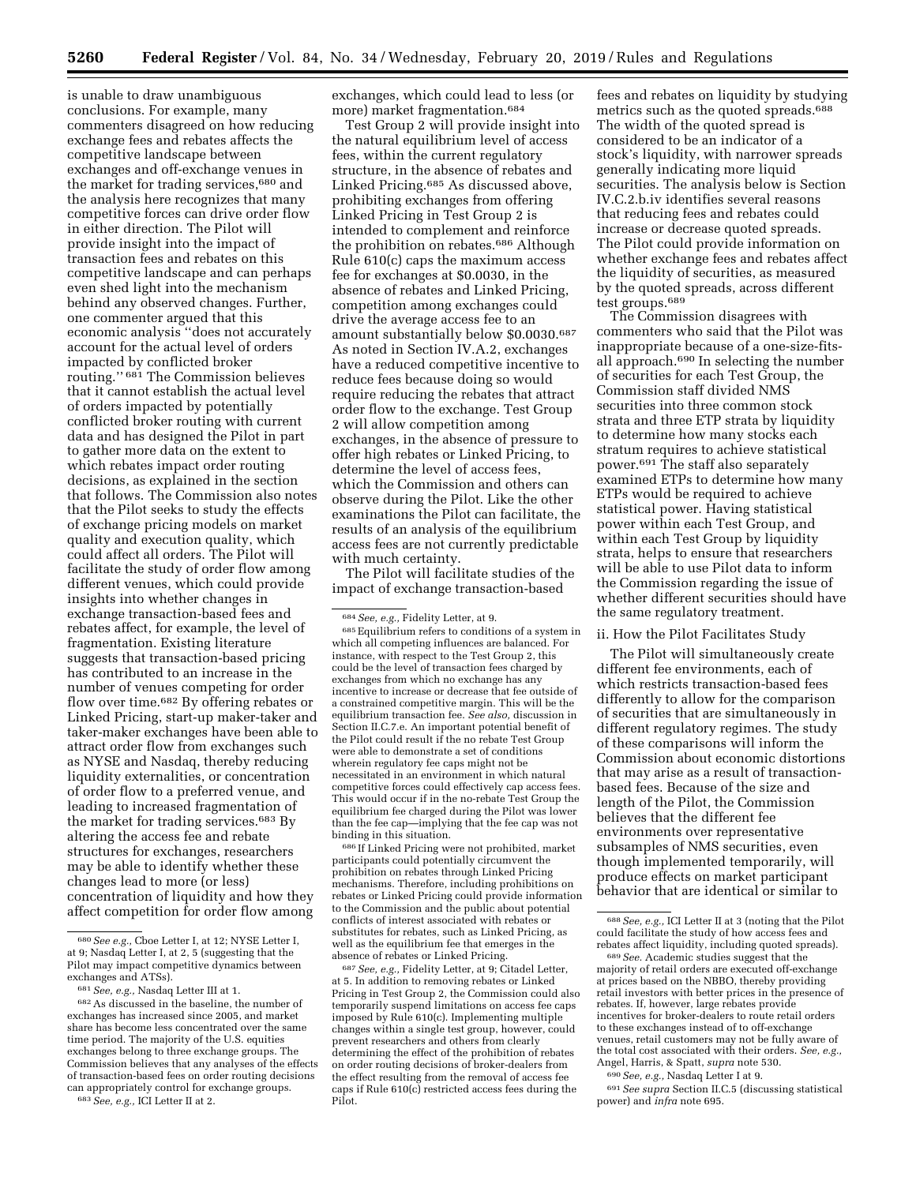is unable to draw unambiguous conclusions. For example, many commenters disagreed on how reducing exchange fees and rebates affects the competitive landscape between exchanges and off-exchange venues in the market for trading services,680 and the analysis here recognizes that many competitive forces can drive order flow in either direction. The Pilot will provide insight into the impact of transaction fees and rebates on this competitive landscape and can perhaps even shed light into the mechanism behind any observed changes. Further, one commenter argued that this economic analysis ''does not accurately account for the actual level of orders impacted by conflicted broker routing.'' 681 The Commission believes that it cannot establish the actual level of orders impacted by potentially conflicted broker routing with current data and has designed the Pilot in part to gather more data on the extent to which rebates impact order routing decisions, as explained in the section that follows. The Commission also notes that the Pilot seeks to study the effects of exchange pricing models on market quality and execution quality, which could affect all orders. The Pilot will facilitate the study of order flow among different venues, which could provide insights into whether changes in exchange transaction-based fees and rebates affect, for example, the level of fragmentation. Existing literature suggests that transaction-based pricing has contributed to an increase in the number of venues competing for order flow over time.682 By offering rebates or Linked Pricing, start-up maker-taker and taker-maker exchanges have been able to attract order flow from exchanges such as NYSE and Nasdaq, thereby reducing liquidity externalities, or concentration of order flow to a preferred venue, and leading to increased fragmentation of the market for trading services.683 By altering the access fee and rebate structures for exchanges, researchers may be able to identify whether these changes lead to more (or less) concentration of liquidity and how they affect competition for order flow among

683*See, e.g.,* ICI Letter II at 2.

exchanges, which could lead to less (or more) market fragmentation.684

Test Group 2 will provide insight into the natural equilibrium level of access fees, within the current regulatory structure, in the absence of rebates and Linked Pricing.<sup>685</sup> As discussed above, prohibiting exchanges from offering Linked Pricing in Test Group 2 is intended to complement and reinforce the prohibition on rebates.686 Although Rule 610(c) caps the maximum access fee for exchanges at \$0.0030, in the absence of rebates and Linked Pricing, competition among exchanges could drive the average access fee to an amount substantially below \$0.0030.687 As noted in Section IV.A.2, exchanges have a reduced competitive incentive to reduce fees because doing so would require reducing the rebates that attract order flow to the exchange. Test Group 2 will allow competition among exchanges, in the absence of pressure to offer high rebates or Linked Pricing, to determine the level of access fees, which the Commission and others can observe during the Pilot. Like the other examinations the Pilot can facilitate, the results of an analysis of the equilibrium access fees are not currently predictable with much certainty.

The Pilot will facilitate studies of the impact of exchange transaction-based

685Equilibrium refers to conditions of a system in which all competing influences are balanced. For instance, with respect to the Test Group 2, this could be the level of transaction fees charged by exchanges from which no exchange has any incentive to increase or decrease that fee outside of a constrained competitive margin. This will be the equilibrium transaction fee. *See also,* discussion in Section II.C.7.e. An important potential benefit of the Pilot could result if the no rebate Test Group were able to demonstrate a set of conditions wherein regulatory fee caps might not be necessitated in an environment in which natural competitive forces could effectively cap access fees. This would occur if in the no-rebate Test Group the equilibrium fee charged during the Pilot was lower than the fee cap—implying that the fee cap was not binding in this situation.

686 If Linked Pricing were not prohibited, market participants could potentially circumvent the prohibition on rebates through Linked Pricing mechanisms. Therefore, including prohibitions on rebates or Linked Pricing could provide information to the Commission and the public about potential conflicts of interest associated with rebates or substitutes for rebates, such as Linked Pricing, as well as the equilibrium fee that emerges in the absence of rebates or Linked Pricing.

687*See, e.g.,* Fidelity Letter, at 9; Citadel Letter, at 5. In addition to removing rebates or Linked Pricing in Test Group 2, the Commission could also temporarily suspend limitations on access fee caps imposed by Rule 610(c). Implementing multiple changes within a single test group, however, could prevent researchers and others from clearly determining the effect of the prohibition of rebates on order routing decisions of broker-dealers from the effect resulting from the removal of access fee caps if Rule 610(c) restricted access fees during the Pilot.

fees and rebates on liquidity by studying metrics such as the quoted spreads.<sup>688</sup> The width of the quoted spread is considered to be an indicator of a stock's liquidity, with narrower spreads generally indicating more liquid securities. The analysis below is Section IV.C.2.b.iv identifies several reasons that reducing fees and rebates could increase or decrease quoted spreads. The Pilot could provide information on whether exchange fees and rebates affect the liquidity of securities, as measured by the quoted spreads, across different test groups.689

The Commission disagrees with commenters who said that the Pilot was inappropriate because of a one-size-fitsall approach.690 In selecting the number of securities for each Test Group, the Commission staff divided NMS securities into three common stock strata and three ETP strata by liquidity to determine how many stocks each stratum requires to achieve statistical power.691 The staff also separately examined ETPs to determine how many ETPs would be required to achieve statistical power. Having statistical power within each Test Group, and within each Test Group by liquidity strata, helps to ensure that researchers will be able to use Pilot data to inform the Commission regarding the issue of whether different securities should have the same regulatory treatment.

#### ii. How the Pilot Facilitates Study

The Pilot will simultaneously create different fee environments, each of which restricts transaction-based fees differently to allow for the comparison of securities that are simultaneously in different regulatory regimes. The study of these comparisons will inform the Commission about economic distortions that may arise as a result of transactionbased fees. Because of the size and length of the Pilot, the Commission believes that the different fee environments over representative subsamples of NMS securities, even though implemented temporarily, will produce effects on market participant behavior that are identical or similar to

majority of retail orders are executed off-exchange at prices based on the NBBO, thereby providing retail investors with better prices in the presence of rebates. If, however, large rebates provide incentives for broker-dealers to route retail orders to these exchanges instead of to off-exchange venues, retail customers may not be fully aware of the total cost associated with their orders. *See, e.g.,*  Angel, Harris, & Spatt, *supra* note 530.

690*See, e.g.,* Nasdaq Letter I at 9.

691*See supra* Section II.C.5 (discussing statistical power) and *infra* note 695.

<sup>680</sup>*See e.g.,* Cboe Letter I, at 12; NYSE Letter I, at 9; Nasdaq Letter I, at 2, 5 (suggesting that the Pilot may impact competitive dynamics between exchanges and ATSs).

<sup>681</sup>*See, e.g.,* Nasdaq Letter III at 1.

<sup>682</sup>As discussed in the baseline, the number of exchanges has increased since 2005, and market share has become less concentrated over the same time period. The majority of the U.S. equities exchanges belong to three exchange groups. The Commission believes that any analyses of the effects of transaction-based fees on order routing decisions can appropriately control for exchange groups.

<sup>684</sup>*See, e.g.,* Fidelity Letter, at 9.

<sup>688</sup>*See, e.g.,* ICI Letter II at 3 (noting that the Pilot could facilitate the study of how access fees and rebates affect liquidity, including quoted spreads). 689*See.* Academic studies suggest that the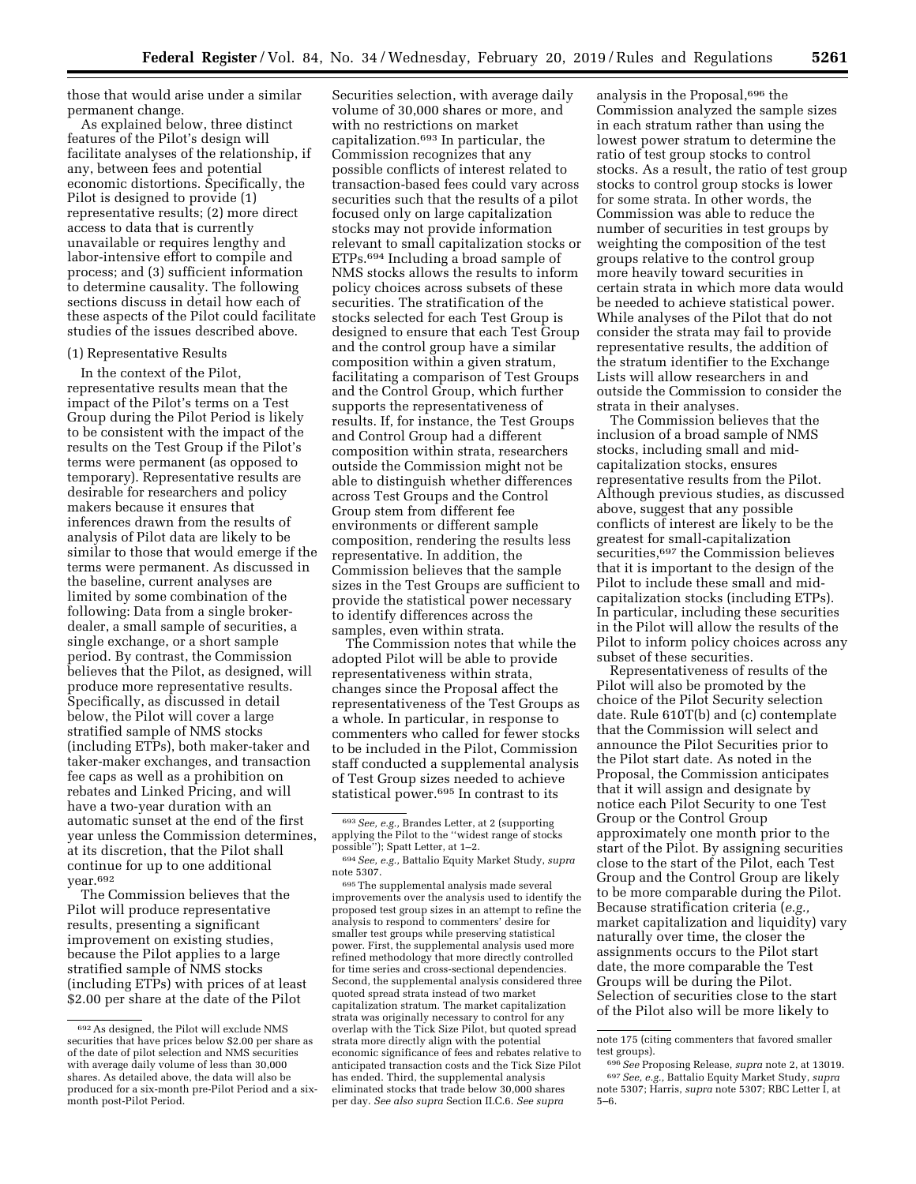those that would arise under a similar permanent change.

As explained below, three distinct features of the Pilot's design will facilitate analyses of the relationship, if any, between fees and potential economic distortions. Specifically, the Pilot is designed to provide (1) representative results; (2) more direct access to data that is currently unavailable or requires lengthy and labor-intensive effort to compile and process; and (3) sufficient information to determine causality. The following sections discuss in detail how each of these aspects of the Pilot could facilitate studies of the issues described above.

#### (1) Representative Results

In the context of the Pilot, representative results mean that the impact of the Pilot's terms on a Test Group during the Pilot Period is likely to be consistent with the impact of the results on the Test Group if the Pilot's terms were permanent (as opposed to temporary). Representative results are desirable for researchers and policy makers because it ensures that inferences drawn from the results of analysis of Pilot data are likely to be similar to those that would emerge if the terms were permanent. As discussed in the baseline, current analyses are limited by some combination of the following: Data from a single brokerdealer, a small sample of securities, a single exchange, or a short sample period. By contrast, the Commission believes that the Pilot, as designed, will produce more representative results. Specifically, as discussed in detail below, the Pilot will cover a large stratified sample of NMS stocks (including ETPs), both maker-taker and taker-maker exchanges, and transaction fee caps as well as a prohibition on rebates and Linked Pricing, and will have a two-year duration with an automatic sunset at the end of the first year unless the Commission determines, at its discretion, that the Pilot shall continue for up to one additional year.692

The Commission believes that the Pilot will produce representative results, presenting a significant improvement on existing studies, because the Pilot applies to a large stratified sample of NMS stocks (including ETPs) with prices of at least \$2.00 per share at the date of the Pilot

Securities selection, with average daily volume of 30,000 shares or more, and with no restrictions on market capitalization.693 In particular, the Commission recognizes that any possible conflicts of interest related to transaction-based fees could vary across securities such that the results of a pilot focused only on large capitalization stocks may not provide information relevant to small capitalization stocks or ETPs.694 Including a broad sample of NMS stocks allows the results to inform policy choices across subsets of these securities. The stratification of the stocks selected for each Test Group is designed to ensure that each Test Group and the control group have a similar composition within a given stratum, facilitating a comparison of Test Groups and the Control Group, which further supports the representativeness of results. If, for instance, the Test Groups and Control Group had a different composition within strata, researchers outside the Commission might not be able to distinguish whether differences across Test Groups and the Control Group stem from different fee environments or different sample composition, rendering the results less representative. In addition, the Commission believes that the sample sizes in the Test Groups are sufficient to provide the statistical power necessary to identify differences across the samples, even within strata.

The Commission notes that while the adopted Pilot will be able to provide representativeness within strata, changes since the Proposal affect the representativeness of the Test Groups as a whole. In particular, in response to commenters who called for fewer stocks to be included in the Pilot, Commission staff conducted a supplemental analysis of Test Group sizes needed to achieve statistical power.695 In contrast to its

695The supplemental analysis made several improvements over the analysis used to identify the proposed test group sizes in an attempt to refine the analysis to respond to commenters' desire for smaller test groups while preserving statistical power. First, the supplemental analysis used more refined methodology that more directly controlled for time series and cross-sectional dependencies. Second, the supplemental analysis considered three quoted spread strata instead of two market capitalization stratum. The market capitalization strata was originally necessary to control for any overlap with the Tick Size Pilot, but quoted spread strata more directly align with the potential economic significance of fees and rebates relative to anticipated transaction costs and the Tick Size Pilot has ended. Third, the supplemental analysis eliminated stocks that trade below 30,000 shares per day. *See also supra* Section II.C.6. *See supra* 

analysis in the Proposal,<sup>696</sup> the Commission analyzed the sample sizes in each stratum rather than using the lowest power stratum to determine the ratio of test group stocks to control stocks. As a result, the ratio of test group stocks to control group stocks is lower for some strata. In other words, the Commission was able to reduce the number of securities in test groups by weighting the composition of the test groups relative to the control group more heavily toward securities in certain strata in which more data would be needed to achieve statistical power. While analyses of the Pilot that do not consider the strata may fail to provide representative results, the addition of the stratum identifier to the Exchange Lists will allow researchers in and outside the Commission to consider the strata in their analyses.

The Commission believes that the inclusion of a broad sample of NMS stocks, including small and midcapitalization stocks, ensures representative results from the Pilot. Although previous studies, as discussed above, suggest that any possible conflicts of interest are likely to be the greatest for small-capitalization securities,697 the Commission believes that it is important to the design of the Pilot to include these small and midcapitalization stocks (including ETPs). In particular, including these securities in the Pilot will allow the results of the Pilot to inform policy choices across any subset of these securities.

Representativeness of results of the Pilot will also be promoted by the choice of the Pilot Security selection date. Rule 610T(b) and (c) contemplate that the Commission will select and announce the Pilot Securities prior to the Pilot start date. As noted in the Proposal, the Commission anticipates that it will assign and designate by notice each Pilot Security to one Test Group or the Control Group approximately one month prior to the start of the Pilot. By assigning securities close to the start of the Pilot, each Test Group and the Control Group are likely to be more comparable during the Pilot. Because stratification criteria (*e.g.,*  market capitalization and liquidity) vary naturally over time, the closer the assignments occurs to the Pilot start date, the more comparable the Test Groups will be during the Pilot. Selection of securities close to the start of the Pilot also will be more likely to

<sup>692</sup>As designed, the Pilot will exclude NMS securities that have prices below \$2.00 per share as of the date of pilot selection and NMS securities with average daily volume of less than 30,000 shares. As detailed above, the data will also be produced for a six-month pre-Pilot Period and a sixmonth post-Pilot Period.

<sup>693</sup>*See, e.g.,* Brandes Letter, at 2 (supporting applying the Pilot to the ''widest range of stocks possible''); Spatt Letter, at 1–2.

<sup>694</sup>*See, e.g.,* Battalio Equity Market Study, *supra*  note 5307.

note 175 (citing commenters that favored smaller

test groups). 696*See* Proposing Release, *supra* note 2, at 13019. 697*See, e.g.,* Battalio Equity Market Study, *supra*  note 5307; Harris, *supra* note 5307; RBC Letter I, at 5–6.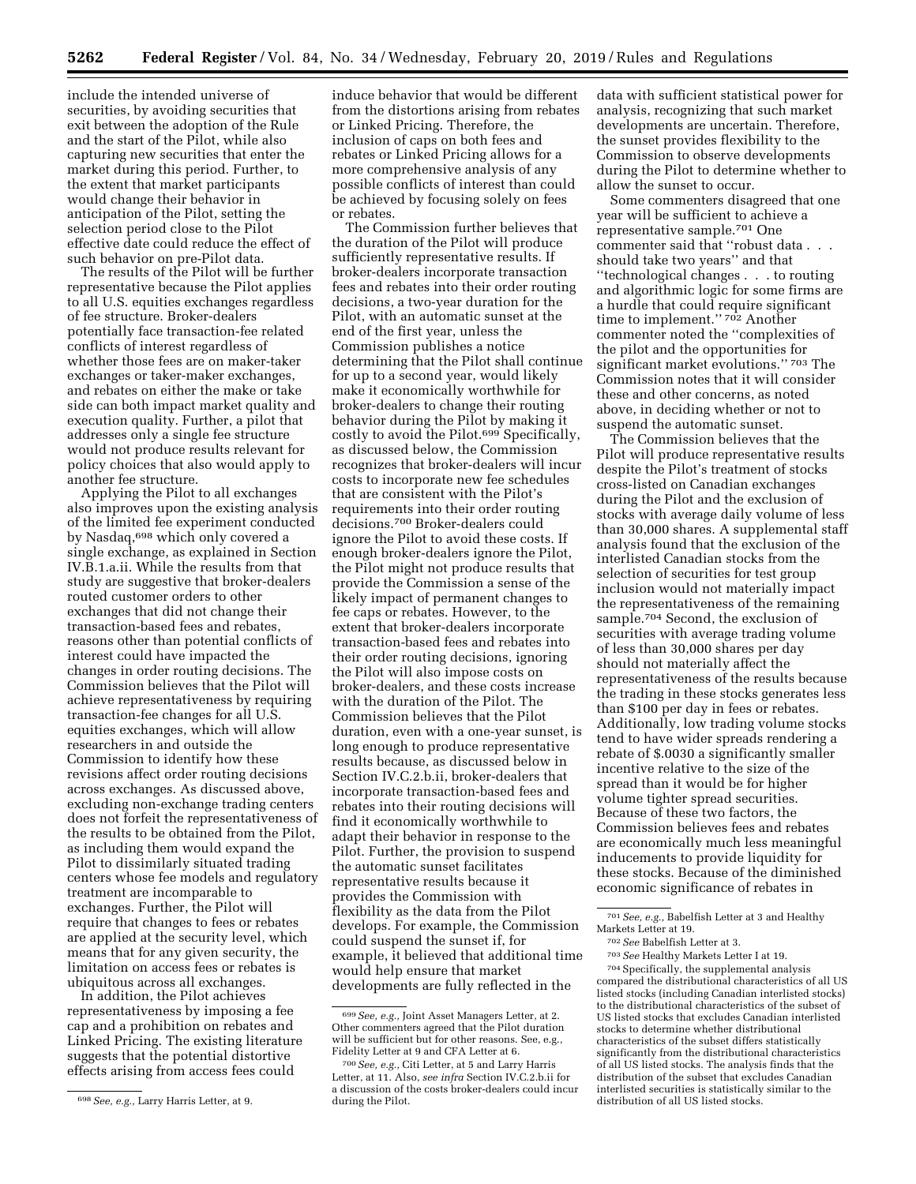include the intended universe of securities, by avoiding securities that exit between the adoption of the Rule and the start of the Pilot, while also capturing new securities that enter the market during this period. Further, to the extent that market participants would change their behavior in anticipation of the Pilot, setting the selection period close to the Pilot effective date could reduce the effect of such behavior on pre-Pilot data.

The results of the Pilot will be further representative because the Pilot applies to all U.S. equities exchanges regardless of fee structure. Broker-dealers potentially face transaction-fee related conflicts of interest regardless of whether those fees are on maker-taker exchanges or taker-maker exchanges, and rebates on either the make or take side can both impact market quality and execution quality. Further, a pilot that addresses only a single fee structure would not produce results relevant for policy choices that also would apply to another fee structure.

Applying the Pilot to all exchanges also improves upon the existing analysis of the limited fee experiment conducted by Nasdaq,698 which only covered a single exchange, as explained in Section IV.B.1.a.ii. While the results from that study are suggestive that broker-dealers routed customer orders to other exchanges that did not change their transaction-based fees and rebates, reasons other than potential conflicts of interest could have impacted the changes in order routing decisions. The Commission believes that the Pilot will achieve representativeness by requiring transaction-fee changes for all U.S. equities exchanges, which will allow researchers in and outside the Commission to identify how these revisions affect order routing decisions across exchanges. As discussed above, excluding non-exchange trading centers does not forfeit the representativeness of the results to be obtained from the Pilot, as including them would expand the Pilot to dissimilarly situated trading centers whose fee models and regulatory treatment are incomparable to exchanges. Further, the Pilot will require that changes to fees or rebates are applied at the security level, which means that for any given security, the limitation on access fees or rebates is ubiquitous across all exchanges.

In addition, the Pilot achieves representativeness by imposing a fee cap and a prohibition on rebates and Linked Pricing. The existing literature suggests that the potential distortive effects arising from access fees could

induce behavior that would be different from the distortions arising from rebates or Linked Pricing. Therefore, the inclusion of caps on both fees and rebates or Linked Pricing allows for a more comprehensive analysis of any possible conflicts of interest than could be achieved by focusing solely on fees or rebates.

The Commission further believes that the duration of the Pilot will produce sufficiently representative results. If broker-dealers incorporate transaction fees and rebates into their order routing decisions, a two-year duration for the Pilot, with an automatic sunset at the end of the first year, unless the Commission publishes a notice determining that the Pilot shall continue for up to a second year, would likely make it economically worthwhile for broker-dealers to change their routing behavior during the Pilot by making it costly to avoid the Pilot.699 Specifically, as discussed below, the Commission recognizes that broker-dealers will incur costs to incorporate new fee schedules that are consistent with the Pilot's requirements into their order routing decisions.700 Broker-dealers could ignore the Pilot to avoid these costs. If enough broker-dealers ignore the Pilot, the Pilot might not produce results that provide the Commission a sense of the likely impact of permanent changes to fee caps or rebates. However, to the extent that broker-dealers incorporate transaction-based fees and rebates into their order routing decisions, ignoring the Pilot will also impose costs on broker-dealers, and these costs increase with the duration of the Pilot. The Commission believes that the Pilot duration, even with a one-year sunset, is long enough to produce representative results because, as discussed below in Section IV.C.2.b.ii, broker-dealers that incorporate transaction-based fees and rebates into their routing decisions will find it economically worthwhile to adapt their behavior in response to the Pilot. Further, the provision to suspend the automatic sunset facilitates representative results because it provides the Commission with flexibility as the data from the Pilot develops. For example, the Commission could suspend the sunset if, for example, it believed that additional time would help ensure that market developments are fully reflected in the

data with sufficient statistical power for analysis, recognizing that such market developments are uncertain. Therefore, the sunset provides flexibility to the Commission to observe developments during the Pilot to determine whether to allow the sunset to occur.

Some commenters disagreed that one year will be sufficient to achieve a representative sample.701 One commenter said that ''robust data . . . should take two years'' and that ''technological changes . . . to routing and algorithmic logic for some firms are a hurdle that could require significant time to implement."<sup>702</sup> Another commenter noted the ''complexities of the pilot and the opportunities for significant market evolutions.'' 703 The Commission notes that it will consider these and other concerns, as noted above, in deciding whether or not to suspend the automatic sunset.

The Commission believes that the Pilot will produce representative results despite the Pilot's treatment of stocks cross-listed on Canadian exchanges during the Pilot and the exclusion of stocks with average daily volume of less than 30,000 shares. A supplemental staff analysis found that the exclusion of the interlisted Canadian stocks from the selection of securities for test group inclusion would not materially impact the representativeness of the remaining sample.704 Second, the exclusion of securities with average trading volume of less than 30,000 shares per day should not materially affect the representativeness of the results because the trading in these stocks generates less than \$100 per day in fees or rebates. Additionally, low trading volume stocks tend to have wider spreads rendering a rebate of \$.0030 a significantly smaller incentive relative to the size of the spread than it would be for higher volume tighter spread securities. Because of these two factors, the Commission believes fees and rebates are economically much less meaningful inducements to provide liquidity for these stocks. Because of the diminished economic significance of rebates in

704Specifically, the supplemental analysis compared the distributional characteristics of all US listed stocks (including Canadian interlisted stocks) to the distributional characteristics of the subset of US listed stocks that excludes Canadian interlisted stocks to determine whether distributional characteristics of the subset differs statistically significantly from the distributional characteristics of all US listed stocks. The analysis finds that the distribution of the subset that excludes Canadian interlisted securities is statistically similar to the distribution of all US listed stocks.

<sup>698</sup>*See, e.g.,* Larry Harris Letter, at 9.

<sup>699</sup>*See, e.g.,* Joint Asset Managers Letter, at 2. Other commenters agreed that the Pilot duration will be sufficient but for other reasons. See, e.g., Fidelity Letter at 9 and CFA Letter at 6.

<sup>700</sup>*See, e.g.,* Citi Letter, at 5 and Larry Harris Letter, at 11. Also, *see infra* Section IV.C.2.b.ii for a discussion of the costs broker-dealers could incur during the Pilot.

<sup>701</sup>*See, e.g.,* Babelfish Letter at 3 and Healthy Markets Letter at 19.

<sup>702</sup>*See* Babelfish Letter at 3.

<sup>703</sup>*See* Healthy Markets Letter I at 19.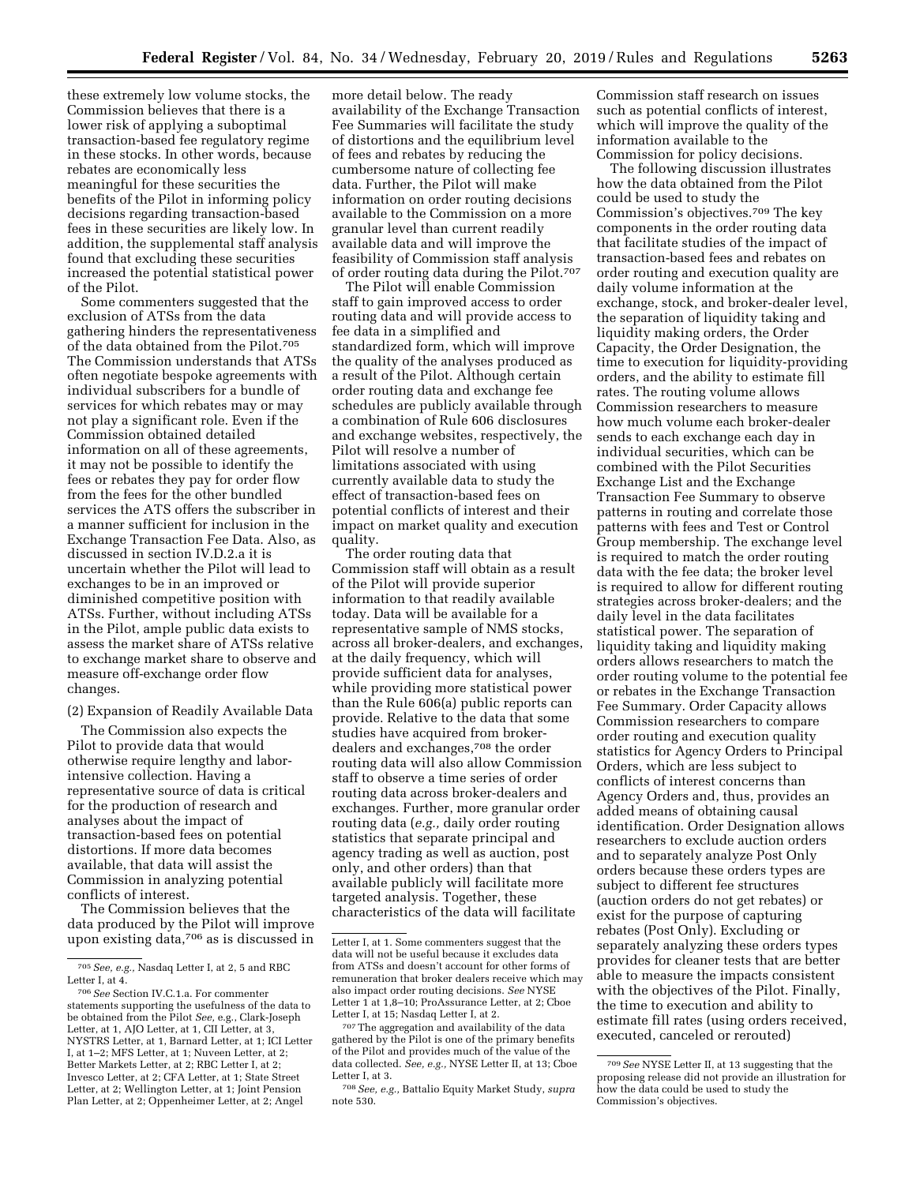these extremely low volume stocks, the Commission believes that there is a lower risk of applying a suboptimal transaction-based fee regulatory regime in these stocks. In other words, because rebates are economically less meaningful for these securities the benefits of the Pilot in informing policy decisions regarding transaction-based fees in these securities are likely low. In addition, the supplemental staff analysis found that excluding these securities increased the potential statistical power of the Pilot.

Some commenters suggested that the exclusion of ATSs from the data gathering hinders the representativeness of the data obtained from the Pilot.705 The Commission understands that ATSs often negotiate bespoke agreements with individual subscribers for a bundle of services for which rebates may or may not play a significant role. Even if the Commission obtained detailed information on all of these agreements, it may not be possible to identify the fees or rebates they pay for order flow from the fees for the other bundled services the ATS offers the subscriber in a manner sufficient for inclusion in the Exchange Transaction Fee Data. Also, as discussed in section IV.D.2.a it is uncertain whether the Pilot will lead to exchanges to be in an improved or diminished competitive position with ATSs. Further, without including ATSs in the Pilot, ample public data exists to assess the market share of ATSs relative to exchange market share to observe and measure off-exchange order flow changes.

(2) Expansion of Readily Available Data

The Commission also expects the Pilot to provide data that would otherwise require lengthy and laborintensive collection. Having a representative source of data is critical for the production of research and analyses about the impact of transaction-based fees on potential distortions. If more data becomes available, that data will assist the Commission in analyzing potential conflicts of interest.

The Commission believes that the data produced by the Pilot will improve upon existing data,706 as is discussed in more detail below. The ready availability of the Exchange Transaction Fee Summaries will facilitate the study of distortions and the equilibrium level of fees and rebates by reducing the cumbersome nature of collecting fee data. Further, the Pilot will make information on order routing decisions available to the Commission on a more granular level than current readily available data and will improve the feasibility of Commission staff analysis of order routing data during the Pilot.707

The Pilot will enable Commission staff to gain improved access to order routing data and will provide access to fee data in a simplified and standardized form, which will improve the quality of the analyses produced as a result of the Pilot. Although certain order routing data and exchange fee schedules are publicly available through a combination of Rule 606 disclosures and exchange websites, respectively, the Pilot will resolve a number of limitations associated with using currently available data to study the effect of transaction-based fees on potential conflicts of interest and their impact on market quality and execution quality.

The order routing data that Commission staff will obtain as a result of the Pilot will provide superior information to that readily available today. Data will be available for a representative sample of NMS stocks, across all broker-dealers, and exchanges, at the daily frequency, which will provide sufficient data for analyses, while providing more statistical power than the Rule 606(a) public reports can provide. Relative to the data that some studies have acquired from brokerdealers and exchanges,708 the order routing data will also allow Commission staff to observe a time series of order routing data across broker-dealers and exchanges. Further, more granular order routing data (*e.g.,* daily order routing statistics that separate principal and agency trading as well as auction, post only, and other orders) than that available publicly will facilitate more targeted analysis. Together, these characteristics of the data will facilitate

Commission staff research on issues such as potential conflicts of interest, which will improve the quality of the information available to the Commission for policy decisions.

The following discussion illustrates how the data obtained from the Pilot could be used to study the Commission's objectives.709 The key components in the order routing data that facilitate studies of the impact of transaction-based fees and rebates on order routing and execution quality are daily volume information at the exchange, stock, and broker-dealer level, the separation of liquidity taking and liquidity making orders, the Order Capacity, the Order Designation, the time to execution for liquidity-providing orders, and the ability to estimate fill rates. The routing volume allows Commission researchers to measure how much volume each broker-dealer sends to each exchange each day in individual securities, which can be combined with the Pilot Securities Exchange List and the Exchange Transaction Fee Summary to observe patterns in routing and correlate those patterns with fees and Test or Control Group membership. The exchange level is required to match the order routing data with the fee data; the broker level is required to allow for different routing strategies across broker-dealers; and the daily level in the data facilitates statistical power. The separation of liquidity taking and liquidity making orders allows researchers to match the order routing volume to the potential fee or rebates in the Exchange Transaction Fee Summary. Order Capacity allows Commission researchers to compare order routing and execution quality statistics for Agency Orders to Principal Orders, which are less subject to conflicts of interest concerns than Agency Orders and, thus, provides an added means of obtaining causal identification. Order Designation allows researchers to exclude auction orders and to separately analyze Post Only orders because these orders types are subject to different fee structures (auction orders do not get rebates) or exist for the purpose of capturing rebates (Post Only). Excluding or separately analyzing these orders types provides for cleaner tests that are better able to measure the impacts consistent with the objectives of the Pilot. Finally, the time to execution and ability to estimate fill rates (using orders received, executed, canceled or rerouted)

<sup>705</sup>*See, e.g.,* Nasdaq Letter I, at 2, 5 and RBC Letter I, at 4.

<sup>706</sup>*See* Section IV.C.1.a. For commenter statements supporting the usefulness of the data to be obtained from the Pilot *See,* e.g., Clark-Joseph Letter, at 1, AJO Letter, at 1, CII Letter, at 3, NYSTRS Letter, at 1, Barnard Letter, at 1; ICI Letter I, at 1–2; MFS Letter, at 1; Nuveen Letter, at 2; Better Markets Letter, at 2; RBC Letter I, at 2; Invesco Letter, at 2; CFA Letter, at 1; State Street Letter, at 2; Wellington Letter, at 1; Joint Pension Plan Letter, at 2; Oppenheimer Letter, at 2; Angel

Letter I, at 1. Some commenters suggest that the data will not be useful because it excludes data from ATSs and doesn't account for other forms of remuneration that broker dealers receive which may also impact order routing decisions. *See* NYSE Letter 1 at 1,8-10; ProAssurance Letter, at 2; Cboe Letter I, at 15; Nasdaq Letter I, at 2.

<sup>707</sup>The aggregation and availability of the data gathered by the Pilot is one of the primary benefits of the Pilot and provides much of the value of the data collected. *See, e.g.,* NYSE Letter II, at 13; Cboe Letter I, at 3.

<sup>708</sup>*See, e.g.,* Battalio Equity Market Study, *supra*  note 530.

<sup>709</sup>*See* NYSE Letter II, at 13 suggesting that the proposing release did not provide an illustration for how the data could be used to study the Commission's objectives.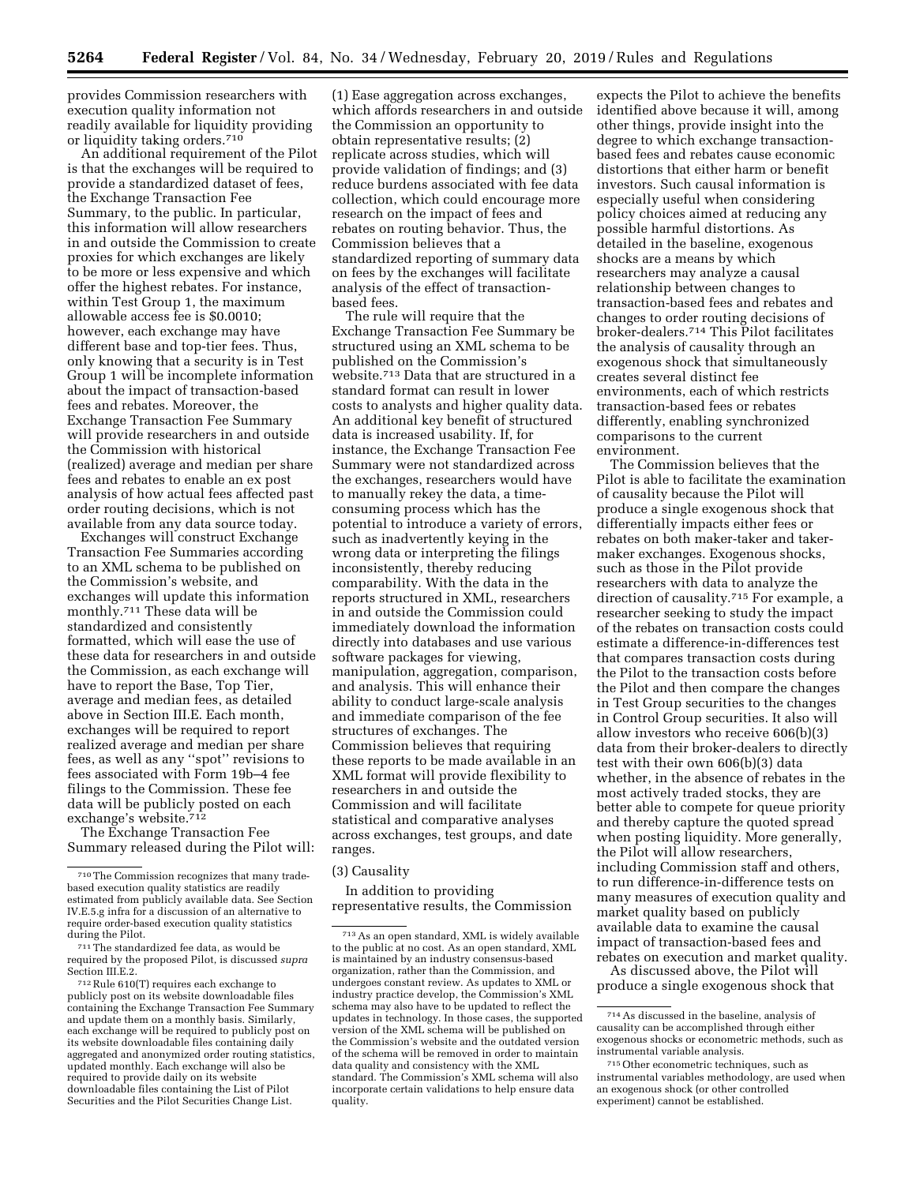provides Commission researchers with execution quality information not readily available for liquidity providing or liquidity taking orders.710

An additional requirement of the Pilot is that the exchanges will be required to provide a standardized dataset of fees, the Exchange Transaction Fee Summary, to the public. In particular, this information will allow researchers in and outside the Commission to create proxies for which exchanges are likely to be more or less expensive and which offer the highest rebates. For instance, within Test Group 1, the maximum allowable access fee is \$0.0010; however, each exchange may have different base and top-tier fees. Thus, only knowing that a security is in Test Group 1 will be incomplete information about the impact of transaction-based fees and rebates. Moreover, the Exchange Transaction Fee Summary will provide researchers in and outside the Commission with historical (realized) average and median per share fees and rebates to enable an ex post analysis of how actual fees affected past order routing decisions, which is not available from any data source today.

Exchanges will construct Exchange Transaction Fee Summaries according to an XML schema to be published on the Commission's website, and exchanges will update this information monthly.711 These data will be standardized and consistently formatted, which will ease the use of these data for researchers in and outside the Commission, as each exchange will have to report the Base, Top Tier, average and median fees, as detailed above in Section III.E. Each month, exchanges will be required to report realized average and median per share fees, as well as any ''spot'' revisions to fees associated with Form 19b–4 fee filings to the Commission. These fee data will be publicly posted on each exchange's website.712

The Exchange Transaction Fee Summary released during the Pilot will:

 $\rm ^{712}Rule$   $\rm 610(T)$  requires each exchange to publicly post on its website downloadable files containing the Exchange Transaction Fee Summary and update them on a monthly basis. Similarly, each exchange will be required to publicly post on its website downloadable files containing daily aggregated and anonymized order routing statistics, updated monthly. Each exchange will also be required to provide daily on its website downloadable files containing the List of Pilot Securities and the Pilot Securities Change List.

(1) Ease aggregation across exchanges, which affords researchers in and outside the Commission an opportunity to obtain representative results; (2) replicate across studies, which will provide validation of findings; and (3) reduce burdens associated with fee data collection, which could encourage more research on the impact of fees and rebates on routing behavior. Thus, the Commission believes that a standardized reporting of summary data on fees by the exchanges will facilitate analysis of the effect of transactionbased fees.

The rule will require that the Exchange Transaction Fee Summary be structured using an XML schema to be published on the Commission's website.713 Data that are structured in a standard format can result in lower costs to analysts and higher quality data. An additional key benefit of structured data is increased usability. If, for instance, the Exchange Transaction Fee Summary were not standardized across the exchanges, researchers would have to manually rekey the data, a timeconsuming process which has the potential to introduce a variety of errors, such as inadvertently keying in the wrong data or interpreting the filings inconsistently, thereby reducing comparability. With the data in the reports structured in XML, researchers in and outside the Commission could immediately download the information directly into databases and use various software packages for viewing, manipulation, aggregation, comparison, and analysis. This will enhance their ability to conduct large-scale analysis and immediate comparison of the fee structures of exchanges. The Commission believes that requiring these reports to be made available in an XML format will provide flexibility to researchers in and outside the Commission and will facilitate statistical and comparative analyses across exchanges, test groups, and date ranges.

# (3) Causality

In addition to providing representative results, the Commission

expects the Pilot to achieve the benefits identified above because it will, among other things, provide insight into the degree to which exchange transactionbased fees and rebates cause economic distortions that either harm or benefit investors. Such causal information is especially useful when considering policy choices aimed at reducing any possible harmful distortions. As detailed in the baseline, exogenous shocks are a means by which researchers may analyze a causal relationship between changes to transaction-based fees and rebates and changes to order routing decisions of broker-dealers.714 This Pilot facilitates the analysis of causality through an exogenous shock that simultaneously creates several distinct fee environments, each of which restricts transaction-based fees or rebates differently, enabling synchronized comparisons to the current environment.

The Commission believes that the Pilot is able to facilitate the examination of causality because the Pilot will produce a single exogenous shock that differentially impacts either fees or rebates on both maker-taker and takermaker exchanges. Exogenous shocks, such as those in the Pilot provide researchers with data to analyze the direction of causality.715 For example, a researcher seeking to study the impact of the rebates on transaction costs could estimate a difference-in-differences test that compares transaction costs during the Pilot to the transaction costs before the Pilot and then compare the changes in Test Group securities to the changes in Control Group securities. It also will allow investors who receive 606(b)(3) data from their broker-dealers to directly test with their own 606(b)(3) data whether, in the absence of rebates in the most actively traded stocks, they are better able to compete for queue priority and thereby capture the quoted spread when posting liquidity. More generally, the Pilot will allow researchers, including Commission staff and others, to run difference-in-difference tests on many measures of execution quality and market quality based on publicly available data to examine the causal impact of transaction-based fees and rebates on execution and market quality.

As discussed above, the Pilot will produce a single exogenous shock that

<sup>710</sup>The Commission recognizes that many tradebased execution quality statistics are readily estimated from publicly available data. See Section IV.E.5.g infra for a discussion of an alternative to require order-based execution quality statistics

 $711$ The standardized fee data, as would be required by the proposed Pilot, is discussed *supra* 

<sup>713</sup>As an open standard, XML is widely available to the public at no cost. As an open standard, XML is maintained by an industry consensus-based organization, rather than the Commission, and undergoes constant review. As updates to XML or industry practice develop, the Commission's XML schema may also have to be updated to reflect the updates in technology. In those cases, the supported version of the XML schema will be published on the Commission's website and the outdated version of the schema will be removed in order to maintain data quality and consistency with the XML standard. The Commission's XML schema will also incorporate certain validations to help ensure data quality.

<sup>714</sup>As discussed in the baseline, analysis of causality can be accomplished through either exogenous shocks or econometric methods, such as instrumental variable analysis.

<sup>715</sup>Other econometric techniques, such as instrumental variables methodology, are used when an exogenous shock (or other controlled experiment) cannot be established.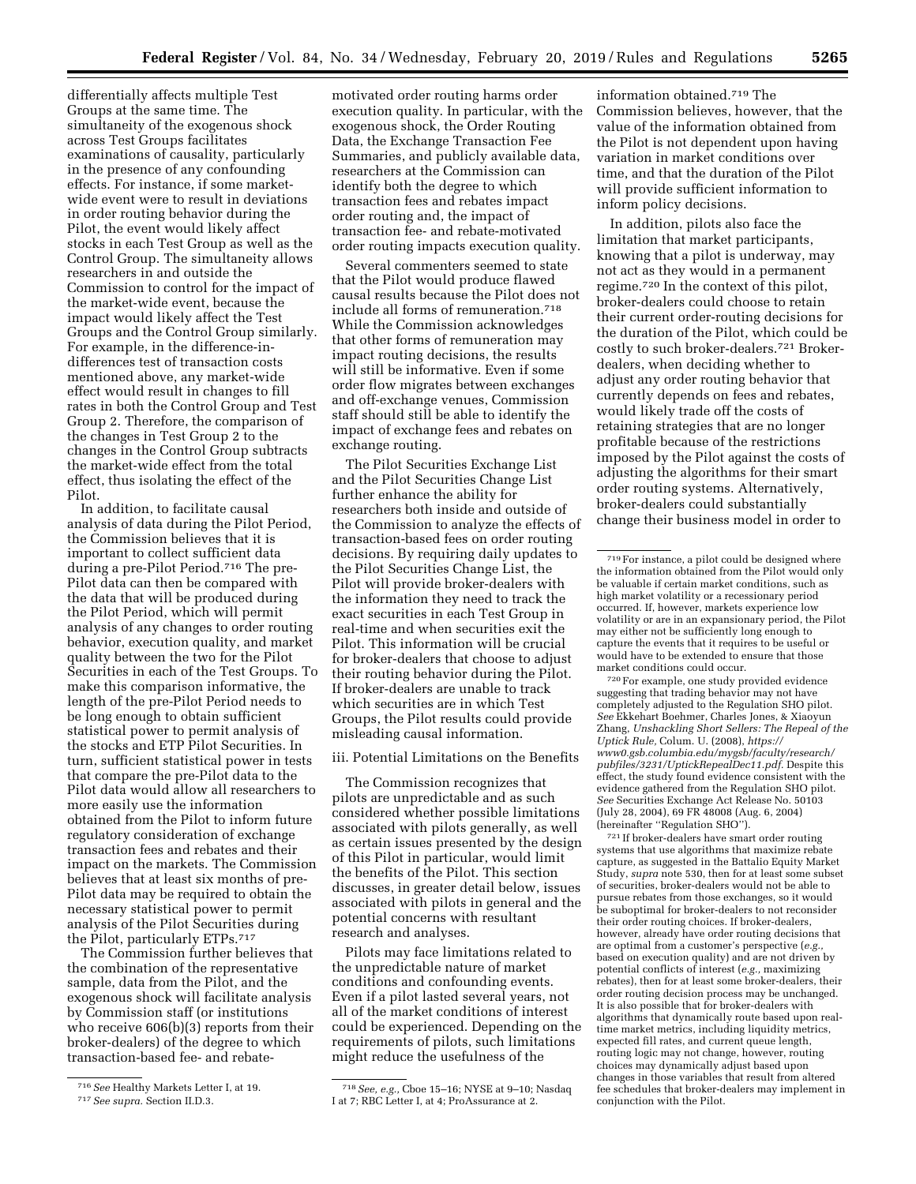differentially affects multiple Test Groups at the same time. The simultaneity of the exogenous shock across Test Groups facilitates examinations of causality, particularly in the presence of any confounding effects. For instance, if some marketwide event were to result in deviations in order routing behavior during the Pilot, the event would likely affect stocks in each Test Group as well as the Control Group. The simultaneity allows researchers in and outside the Commission to control for the impact of the market-wide event, because the impact would likely affect the Test Groups and the Control Group similarly. For example, in the difference-indifferences test of transaction costs mentioned above, any market-wide effect would result in changes to fill rates in both the Control Group and Test Group 2. Therefore, the comparison of the changes in Test Group 2 to the changes in the Control Group subtracts the market-wide effect from the total effect, thus isolating the effect of the Pilot.

In addition, to facilitate causal analysis of data during the Pilot Period, the Commission believes that it is important to collect sufficient data during a pre-Pilot Period.716 The pre-Pilot data can then be compared with the data that will be produced during the Pilot Period, which will permit analysis of any changes to order routing behavior, execution quality, and market quality between the two for the Pilot Securities in each of the Test Groups. To make this comparison informative, the length of the pre-Pilot Period needs to be long enough to obtain sufficient statistical power to permit analysis of the stocks and ETP Pilot Securities. In turn, sufficient statistical power in tests that compare the pre-Pilot data to the Pilot data would allow all researchers to more easily use the information obtained from the Pilot to inform future regulatory consideration of exchange transaction fees and rebates and their impact on the markets. The Commission believes that at least six months of pre-Pilot data may be required to obtain the necessary statistical power to permit analysis of the Pilot Securities during the Pilot, particularly ETPs.717

The Commission further believes that the combination of the representative sample, data from the Pilot, and the exogenous shock will facilitate analysis by Commission staff (or institutions who receive 606(b)(3) reports from their broker-dealers) of the degree to which transaction-based fee- and rebate-

motivated order routing harms order execution quality. In particular, with the exogenous shock, the Order Routing Data, the Exchange Transaction Fee Summaries, and publicly available data, researchers at the Commission can identify both the degree to which transaction fees and rebates impact order routing and, the impact of transaction fee- and rebate-motivated order routing impacts execution quality.

Several commenters seemed to state that the Pilot would produce flawed causal results because the Pilot does not include all forms of remuneration.718 While the Commission acknowledges that other forms of remuneration may impact routing decisions, the results will still be informative. Even if some order flow migrates between exchanges and off-exchange venues, Commission staff should still be able to identify the impact of exchange fees and rebates on exchange routing.

The Pilot Securities Exchange List and the Pilot Securities Change List further enhance the ability for researchers both inside and outside of the Commission to analyze the effects of transaction-based fees on order routing decisions. By requiring daily updates to the Pilot Securities Change List, the Pilot will provide broker-dealers with the information they need to track the exact securities in each Test Group in real-time and when securities exit the Pilot. This information will be crucial for broker-dealers that choose to adjust their routing behavior during the Pilot. If broker-dealers are unable to track which securities are in which Test Groups, the Pilot results could provide misleading causal information.

iii. Potential Limitations on the Benefits

The Commission recognizes that pilots are unpredictable and as such considered whether possible limitations associated with pilots generally, as well as certain issues presented by the design of this Pilot in particular, would limit the benefits of the Pilot. This section discusses, in greater detail below, issues associated with pilots in general and the potential concerns with resultant research and analyses.

Pilots may face limitations related to the unpredictable nature of market conditions and confounding events. Even if a pilot lasted several years, not all of the market conditions of interest could be experienced. Depending on the requirements of pilots, such limitations might reduce the usefulness of the

information obtained.719 The Commission believes, however, that the value of the information obtained from the Pilot is not dependent upon having variation in market conditions over time, and that the duration of the Pilot will provide sufficient information to inform policy decisions.

In addition, pilots also face the limitation that market participants, knowing that a pilot is underway, may not act as they would in a permanent regime.720 In the context of this pilot, broker-dealers could choose to retain their current order-routing decisions for the duration of the Pilot, which could be costly to such broker-dealers.721 Brokerdealers, when deciding whether to adjust any order routing behavior that currently depends on fees and rebates, would likely trade off the costs of retaining strategies that are no longer profitable because of the restrictions imposed by the Pilot against the costs of adjusting the algorithms for their smart order routing systems. Alternatively, broker-dealers could substantially change their business model in order to

720For example, one study provided evidence suggesting that trading behavior may not have completely adjusted to the Regulation SHO pilot. *See* Ekkehart Boehmer, Charles Jones, & Xiaoyun Zhang, *Unshackling Short Sellers: The Repeal of the Uptick Rule,* Colum. U. (2008), *[https://](https://www0.gsb.columbia.edu/mygsb/faculty/research/pubfiles/3231/UptickRepealDec11.pdf) [www0.gsb.columbia.edu/mygsb/faculty/research/](https://www0.gsb.columbia.edu/mygsb/faculty/research/pubfiles/3231/UptickRepealDec11.pdf)  [pubfiles/3231/UptickRepealDec11.pdf.](https://www0.gsb.columbia.edu/mygsb/faculty/research/pubfiles/3231/UptickRepealDec11.pdf)* Despite this effect, the study found evidence consistent with the evidence gathered from the Regulation SHO pilot. *See* Securities Exchange Act Release No. 50103 (July 28, 2004), 69 FR 48008 (Aug. 6, 2004) (hereinafter ''Regulation SHO'').

 $^{\rm 721}$  If broker-dealers have smart order routing systems that use algorithms that maximize rebate capture, as suggested in the Battalio Equity Market Study, *supra* note 530, then for at least some subset of securities, broker-dealers would not be able to pursue rebates from those exchanges, so it would be suboptimal for broker-dealers to not reconsider their order routing choices. If broker-dealers, however, already have order routing decisions that are optimal from a customer's perspective (*e.g.,*  based on execution quality) and are not driven by potential conflicts of interest (*e.g.,* maximizing rebates), then for at least some broker-dealers, their order routing decision process may be unchanged. It is also possible that for broker-dealers with algorithms that dynamically route based upon realtime market metrics, including liquidity metrics, expected fill rates, and current queue length, routing logic may not change, however, routing choices may dynamically adjust based upon changes in those variables that result from altered fee schedules that broker-dealers may implement in conjunction with the Pilot.

<sup>716</sup>*See* Healthy Markets Letter I, at 19.

<sup>717</sup>*See supra.* Section II.D.3.

<sup>718</sup>*See, e.g.,* Cboe 15–16; NYSE at 9–10; Nasdaq I at 7; RBC Letter I, at 4; ProAssurance at 2.

<sup>719</sup>For instance, a pilot could be designed where the information obtained from the Pilot would only be valuable if certain market conditions, such as high market volatility or a recessionary period occurred. If, however, markets experience low volatility or are in an expansionary period, the Pilot may either not be sufficiently long enough to capture the events that it requires to be useful or would have to be extended to ensure that those market conditions could occur.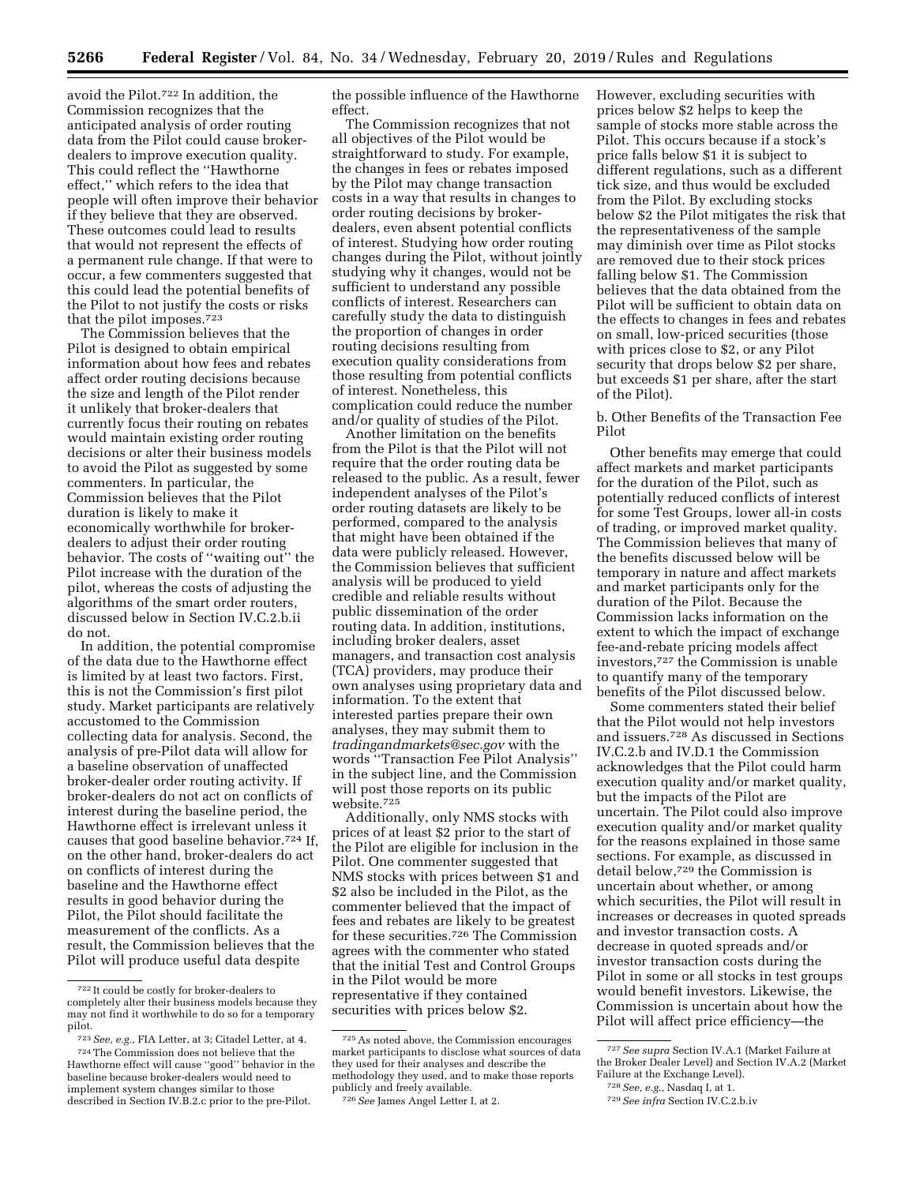avoid the Pilot.722 In addition, the Commission recognizes that the anticipated analysis of order routing data from the Pilot could cause brokerdealers to improve execution quality. This could reflect the ''Hawthorne effect,'' which refers to the idea that people will often improve their behavior if they believe that they are observed. These outcomes could lead to results that would not represent the effects of a permanent rule change. If that were to occur, a few commenters suggested that this could lead the potential benefits of the Pilot to not justify the costs or risks that the pilot imposes.723

The Commission believes that the Pilot is designed to obtain empirical information about how fees and rebates affect order routing decisions because the size and length of the Pilot render it unlikely that broker-dealers that currently focus their routing on rebates would maintain existing order routing decisions or alter their business models to avoid the Pilot as suggested by some commenters. In particular, the Commission believes that the Pilot duration is likely to make it economically worthwhile for brokerdealers to adjust their order routing behavior. The costs of ''waiting out'' the Pilot increase with the duration of the pilot, whereas the costs of adjusting the algorithms of the smart order routers, discussed below in Section IV.C.2.b.ii do not.

In addition, the potential compromise of the data due to the Hawthorne effect is limited by at least two factors. First, this is not the Commission's first pilot study. Market participants are relatively accustomed to the Commission collecting data for analysis. Second, the analysis of pre-Pilot data will allow for a baseline observation of unaffected broker-dealer order routing activity. If broker-dealers do not act on conflicts of interest during the baseline period, the Hawthorne effect is irrelevant unless it causes that good baseline behavior.724 If, on the other hand, broker-dealers do act on conflicts of interest during the baseline and the Hawthorne effect results in good behavior during the Pilot, the Pilot should facilitate the measurement of the conflicts. As a result, the Commission believes that the Pilot will produce useful data despite

the possible influence of the Hawthorne effect.

The Commission recognizes that not all objectives of the Pilot would be straightforward to study. For example, the changes in fees or rebates imposed by the Pilot may change transaction costs in a way that results in changes to order routing decisions by brokerdealers, even absent potential conflicts of interest. Studying how order routing changes during the Pilot, without jointly studying why it changes, would not be sufficient to understand any possible conflicts of interest. Researchers can carefully study the data to distinguish the proportion of changes in order routing decisions resulting from execution quality considerations from those resulting from potential conflicts of interest. Nonetheless, this complication could reduce the number and/or quality of studies of the Pilot.

Another limitation on the benefits from the Pilot is that the Pilot will not require that the order routing data be released to the public. As a result, fewer independent analyses of the Pilot's order routing datasets are likely to be performed, compared to the analysis that might have been obtained if the data were publicly released. However, the Commission believes that sufficient analysis will be produced to yield credible and reliable results without public dissemination of the order routing data. In addition, institutions, including broker dealers, asset managers, and transaction cost analysis (TCA) providers, may produce their own analyses using proprietary data and information. To the extent that interested parties prepare their own analyses, they may submit them to *[tradingandmarkets@sec.gov](mailto:tradingandmarkets@sec.gov)* with the words ''Transaction Fee Pilot Analysis'' in the subject line, and the Commission will post those reports on its public website.725

Additionally, only NMS stocks with prices of at least \$2 prior to the start of the Pilot are eligible for inclusion in the Pilot. One commenter suggested that NMS stocks with prices between \$1 and \$2 also be included in the Pilot, as the commenter believed that the impact of fees and rebates are likely to be greatest for these securities.726 The Commission agrees with the commenter who stated that the initial Test and Control Groups in the Pilot would be more representative if they contained securities with prices below \$2.

However, excluding securities with prices below \$2 helps to keep the sample of stocks more stable across the Pilot. This occurs because if a stock's price falls below \$1 it is subject to different regulations, such as a different tick size, and thus would be excluded from the Pilot. By excluding stocks below \$2 the Pilot mitigates the risk that the representativeness of the sample may diminish over time as Pilot stocks are removed due to their stock prices falling below \$1. The Commission believes that the data obtained from the Pilot will be sufficient to obtain data on the effects to changes in fees and rebates on small, low-priced securities (those with prices close to \$2, or any Pilot security that drops below \$2 per share, but exceeds \$1 per share, after the start of the Pilot).

b. Other Benefits of the Transaction Fee Pilot

Other benefits may emerge that could affect markets and market participants for the duration of the Pilot, such as potentially reduced conflicts of interest for some Test Groups, lower all-in costs of trading, or improved market quality. The Commission believes that many of the benefits discussed below will be temporary in nature and affect markets and market participants only for the duration of the Pilot. Because the Commission lacks information on the extent to which the impact of exchange fee-and-rebate pricing models affect investors,727 the Commission is unable to quantify many of the temporary benefits of the Pilot discussed below.

Some commenters stated their belief that the Pilot would not help investors and issuers.728 As discussed in Sections IV.C.2.b and IV.D.1 the Commission acknowledges that the Pilot could harm execution quality and/or market quality, but the impacts of the Pilot are uncertain. The Pilot could also improve execution quality and/or market quality for the reasons explained in those same sections. For example, as discussed in detail below,729 the Commission is uncertain about whether, or among which securities, the Pilot will result in increases or decreases in quoted spreads and investor transaction costs. A decrease in quoted spreads and/or investor transaction costs during the Pilot in some or all stocks in test groups would benefit investors. Likewise, the Commission is uncertain about how the Pilot will affect price efficiency—the

<sup>722</sup> It could be costly for broker-dealers to completely alter their business models because they may not find it worthwhile to do so for a temporary pilot.

<sup>723</sup>*See, e.g.,* FIA Letter, at 3; Citadel Letter, at 4. 724The Commission does not believe that the Hawthorne effect will cause ''good'' behavior in the baseline because broker-dealers would need to implement system changes similar to those described in Section IV.B.2.c prior to the pre-Pilot.

<sup>725</sup>As noted above, the Commission encourages market participants to disclose what sources of data they used for their analyses and describe the methodology they used, and to make those reports publicly and freely available.

<sup>726</sup>*See* James Angel Letter I, at 2.

<sup>727</sup>*See supra* Section IV.A.1 (Market Failure at the Broker Dealer Level) and Section IV.A.2 (Market Failure at the Exchange Level).

<sup>728</sup>*See, e.g.,* Nasdaq I, at 1.

<sup>729</sup>*See infra* Section IV.C.2.b.iv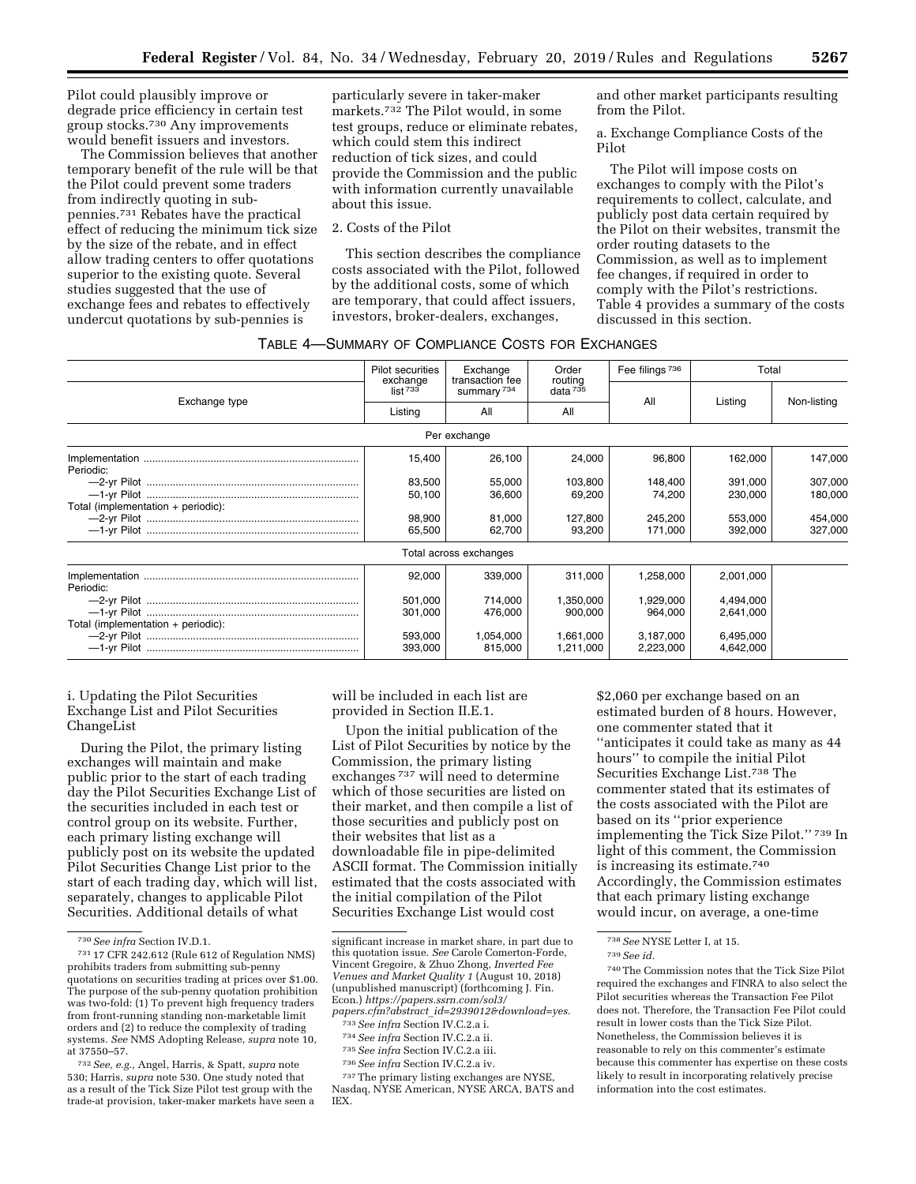Pilot could plausibly improve or degrade price efficiency in certain test group stocks.730 Any improvements would benefit issuers and investors.

The Commission believes that another temporary benefit of the rule will be that the Pilot could prevent some traders from indirectly quoting in subpennies.731 Rebates have the practical effect of reducing the minimum tick size by the size of the rebate, and in effect allow trading centers to offer quotations superior to the existing quote. Several studies suggested that the use of exchange fees and rebates to effectively undercut quotations by sub-pennies is

particularly severe in taker-maker markets.732 The Pilot would, in some test groups, reduce or eliminate rebates, which could stem this indirect reduction of tick sizes, and could provide the Commission and the public with information currently unavailable about this issue.

# 2. Costs of the Pilot

This section describes the compliance costs associated with the Pilot, followed by the additional costs, some of which are temporary, that could affect issuers, investors, broker-dealers, exchanges,

and other market participants resulting from the Pilot.

a. Exchange Compliance Costs of the Pilot

The Pilot will impose costs on exchanges to comply with the Pilot's requirements to collect, calculate, and publicly post data certain required by the Pilot on their websites, transmit the order routing datasets to the Commission, as well as to implement fee changes, if required in order to comply with the Pilot's restrictions. Table 4 provides a summary of the costs discussed in this section.

|  | TABLE 4-SUMMARY OF COMPLIANCE COSTS FOR EXCHANGES |
|--|---------------------------------------------------|
|--|---------------------------------------------------|

|                                    | Pilot securities                  | Exchange<br>transaction fee<br>summary <sup>734</sup> | Order<br>routing<br>data <sup>735</sup> | Fee filings <sup>736</sup> | Total     |             |
|------------------------------------|-----------------------------------|-------------------------------------------------------|-----------------------------------------|----------------------------|-----------|-------------|
| Exchange type                      | exchange<br>$list$ <sup>733</sup> |                                                       |                                         | All                        | Listina   | Non-listing |
|                                    | Listing                           | All                                                   | All                                     |                            |           |             |
|                                    |                                   | Per exchange                                          |                                         |                            |           |             |
| Periodic:                          | 15,400                            | 26,100                                                | 24,000                                  | 96,800                     | 162,000   | 147,000     |
|                                    | 83,500                            | 55,000                                                | 103,800                                 | 148.400                    | 391,000   | 307,000     |
|                                    | 50,100                            | 36,600                                                | 69,200                                  | 74,200                     | 230,000   | 180,000     |
| Total (implementation + periodic): |                                   |                                                       |                                         |                            |           |             |
|                                    | 98,900                            | 81,000                                                | 127.800                                 | 245.200                    | 553.000   | 454,000     |
|                                    | 65,500                            | 62,700                                                | 93,200                                  | 171,000                    | 392,000   | 327,000     |
|                                    |                                   | Total across exchanges                                |                                         |                            |           |             |
| Periodic:                          | 92,000                            | 339,000                                               | 311.000                                 | 1,258,000                  | 2,001,000 |             |
|                                    | 501,000                           | 714,000                                               | 1,350,000                               | 1,929,000                  | 4,494,000 |             |
|                                    | 301,000                           | 476.000                                               | 900.000                                 | 964.000                    | 2.641.000 |             |
| Total (implementation + periodic): |                                   |                                                       |                                         |                            |           |             |
|                                    | 593,000                           | 1,054,000                                             | 1,661,000                               | 3,187,000                  | 6,495,000 |             |
|                                    | 393,000                           | 815,000                                               | 1,211,000                               | 2,223,000                  | 4,642,000 |             |

i. Updating the Pilot Securities Exchange List and Pilot Securities ChangeList

During the Pilot, the primary listing exchanges will maintain and make public prior to the start of each trading day the Pilot Securities Exchange List of the securities included in each test or control group on its website. Further, each primary listing exchange will publicly post on its website the updated Pilot Securities Change List prior to the start of each trading day, which will list, separately, changes to applicable Pilot Securities. Additional details of what

732*See, e.g.,* Angel, Harris, & Spatt, *supra* note 530; Harris, *supra* note 530. One study noted that as a result of the Tick Size Pilot test group with the trade-at provision, taker-maker markets have seen a will be included in each list are provided in Section II.E.1.

Upon the initial publication of the List of Pilot Securities by notice by the Commission, the primary listing exchanges 737 will need to determine which of those securities are listed on their market, and then compile a list of those securities and publicly post on their websites that list as a downloadable file in pipe-delimited ASCII format. The Commission initially estimated that the costs associated with the initial compilation of the Pilot Securities Exchange List would cost

- 
- 736*See infra* Section IV.C.2.a iv.

\$2,060 per exchange based on an estimated burden of 8 hours. However, one commenter stated that it ''anticipates it could take as many as 44 hours'' to compile the initial Pilot Securities Exchange List.738 The commenter stated that its estimates of the costs associated with the Pilot are based on its ''prior experience implementing the Tick Size Pilot.'' 739 In light of this comment, the Commission is increasing its estimate.740 Accordingly, the Commission estimates that each primary listing exchange would incur, on average, a one-time

<sup>730</sup>*See infra* Section IV.D.1.

<sup>731</sup> 17 CFR 242.612 (Rule 612 of Regulation NMS) prohibits traders from submitting sub-penny quotations on securities trading at prices over \$1.00. The purpose of the sub-penny quotation prohibition was two-fold: (1) To prevent high frequency traders from front-running standing non-marketable limit orders and (2) to reduce the complexity of trading systems. *See* NMS Adopting Release, *supra* note 10, at 37550–57.

significant increase in market share, in part due to this quotation issue. *See* Carole Comerton-Forde, Vincent Gregoire, & Zhuo Zhong, *Inverted Fee Venues and Market Quality 1* (August 10, 2018) (unpublished manuscript) (forthcoming J. Fin. Econ.) *[https://papers.ssrn.com/sol3/](https://papers.ssrn.com/sol3/papers.cfm?abstract_id=2939012&download=yes)  papers.cfm?abstract*\_*[id=2939012&download=yes.](https://papers.ssrn.com/sol3/papers.cfm?abstract_id=2939012&download=yes)* 

<sup>733</sup>*See infra* Section IV.C.2.a i. 734*See infra* Section IV.C.2.a ii. 735*See infra* Section IV.C.2.a iii.

<sup>737</sup>The primary listing exchanges are NYSE, Nasdaq, NYSE American, NYSE ARCA, BATS and IEX.

<sup>738</sup>*See* NYSE Letter I, at 15.

<sup>739</sup>*See id.* 

<sup>740</sup>The Commission notes that the Tick Size Pilot required the exchanges and FINRA to also select the Pilot securities whereas the Transaction Fee Pilot does not. Therefore, the Transaction Fee Pilot could result in lower costs than the Tick Size Pilot. Nonetheless, the Commission believes it is reasonable to rely on this commenter's estimate because this commenter has expertise on these costs likely to result in incorporating relatively precise information into the cost estimates.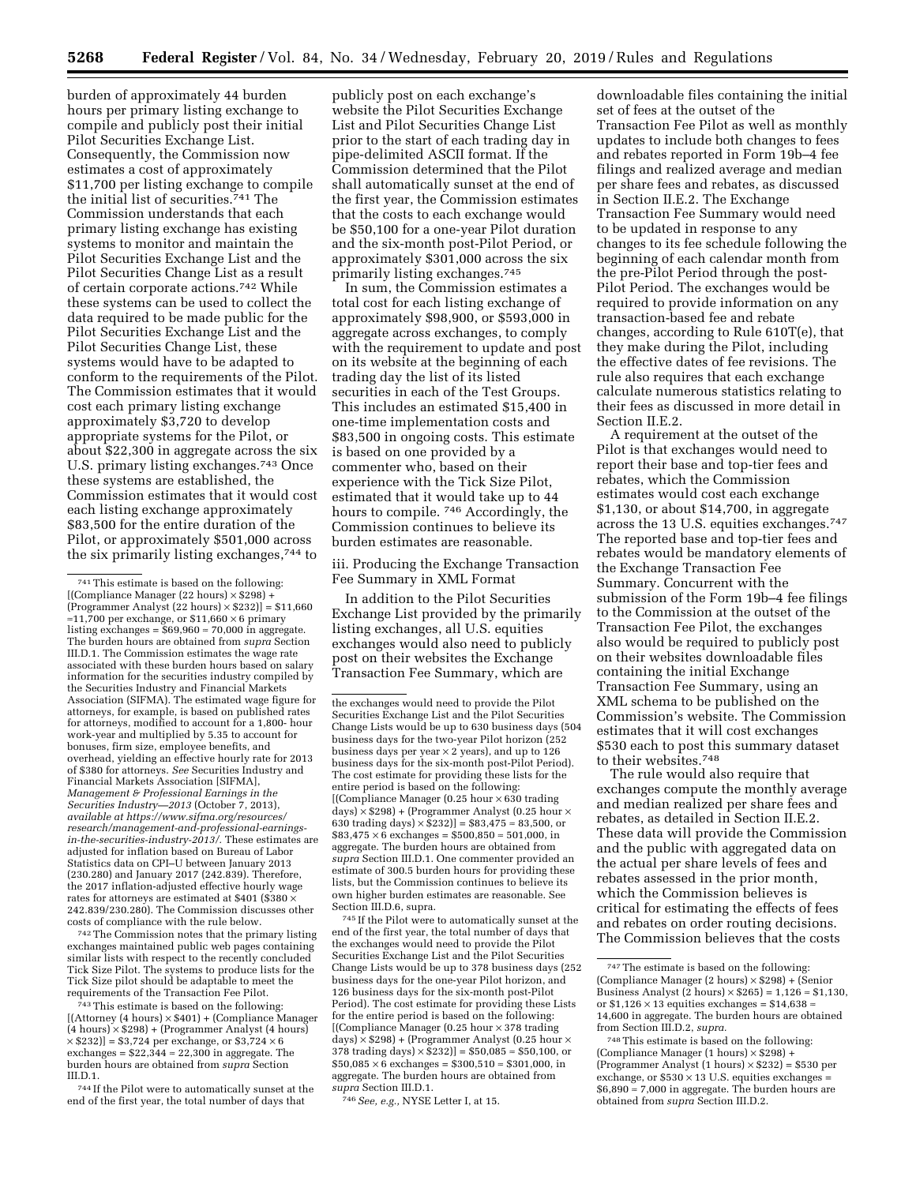burden of approximately 44 burden hours per primary listing exchange to compile and publicly post their initial Pilot Securities Exchange List. Consequently, the Commission now estimates a cost of approximately \$11,700 per listing exchange to compile the initial list of securities.741 The Commission understands that each primary listing exchange has existing systems to monitor and maintain the Pilot Securities Exchange List and the Pilot Securities Change List as a result of certain corporate actions.742 While these systems can be used to collect the data required to be made public for the Pilot Securities Exchange List and the Pilot Securities Change List, these systems would have to be adapted to conform to the requirements of the Pilot. The Commission estimates that it would cost each primary listing exchange approximately \$3,720 to develop appropriate systems for the Pilot, or about \$22,300 in aggregate across the six U.S. primary listing exchanges.743 Once these systems are established, the Commission estimates that it would cost each listing exchange approximately \$83,500 for the entire duration of the Pilot, or approximately \$501,000 across the six primarily listing exchanges,744 to

742The Commission notes that the primary listing exchanges maintained public web pages containing similar lists with respect to the recently concluded Tick Size Pilot. The systems to produce lists for the Tick Size pilot should be adaptable to meet the

 $743$  This estimate is based on the following: [(Attorney (4 hours) × \$401) + (Compliance Manager (4 hours) × \$298) + (Programmer Analyst (4 hours)  $\times$  \$232)] = \$3,724 per exchange, or \$3,724  $\times$  6 exchanges =  $$22,344 \approx 22,300$  in aggregate. The burden hours are obtained from *supra* Section

744 If the Pilot were to automatically sunset at the end of the first year, the total number of days that

publicly post on each exchange's website the Pilot Securities Exchange List and Pilot Securities Change List prior to the start of each trading day in pipe-delimited ASCII format. If the Commission determined that the Pilot shall automatically sunset at the end of the first year, the Commission estimates that the costs to each exchange would be \$50,100 for a one-year Pilot duration and the six-month post-Pilot Period, or approximately \$301,000 across the six primarily listing exchanges.745

In sum, the Commission estimates a total cost for each listing exchange of approximately \$98,900, or \$593,000 in aggregate across exchanges, to comply with the requirement to update and post on its website at the beginning of each trading day the list of its listed securities in each of the Test Groups. This includes an estimated \$15,400 in one-time implementation costs and \$83,500 in ongoing costs. This estimate is based on one provided by a commenter who, based on their experience with the Tick Size Pilot, estimated that it would take up to 44 hours to compile. 746 Accordingly, the Commission continues to believe its burden estimates are reasonable.

iii. Producing the Exchange Transaction Fee Summary in XML Format

In addition to the Pilot Securities Exchange List provided by the primarily listing exchanges, all U.S. equities exchanges would also need to publicly post on their websites the Exchange Transaction Fee Summary, which are

745 If the Pilot were to automatically sunset at the end of the first year, the total number of days that the exchanges would need to provide the Pilot Securities Exchange List and the Pilot Securities Change Lists would be up to 378 business days (252 business days for the one-year Pilot horizon, and 126 business days for the six-month post-Pilot Period). The cost estimate for providing these Lists for the entire period is based on the following: [(Compliance Manager (0.25 hour × 378 trading days)  $\times$  \$298) + (Programmer Analyst (0.25 hour  $\times$ 378 trading days)  $\times$  \$232)] = \$50,085  $\approx$  \$50,100, or  $$50,085 \times 6$  exchanges = \$300,510  $\approx$  \$301,000, in aggregate. The burden hours are obtained from *supra* Section III.D.1.

746*See, e.g.,* NYSE Letter I, at 15.

downloadable files containing the initial set of fees at the outset of the Transaction Fee Pilot as well as monthly updates to include both changes to fees and rebates reported in Form 19b–4 fee filings and realized average and median per share fees and rebates, as discussed in Section II.E.2. The Exchange Transaction Fee Summary would need to be updated in response to any changes to its fee schedule following the beginning of each calendar month from the pre-Pilot Period through the post-Pilot Period. The exchanges would be required to provide information on any transaction-based fee and rebate changes, according to Rule 610T(e), that they make during the Pilot, including the effective dates of fee revisions. The rule also requires that each exchange calculate numerous statistics relating to their fees as discussed in more detail in Section II.E.2.

A requirement at the outset of the Pilot is that exchanges would need to report their base and top-tier fees and rebates, which the Commission estimates would cost each exchange \$1,130, or about \$14,700, in aggregate across the 13 U.S. equities exchanges.747 The reported base and top-tier fees and rebates would be mandatory elements of the Exchange Transaction Fee Summary. Concurrent with the submission of the Form 19b–4 fee filings to the Commission at the outset of the Transaction Fee Pilot, the exchanges also would be required to publicly post on their websites downloadable files containing the initial Exchange Transaction Fee Summary, using an XML schema to be published on the Commission's website. The Commission estimates that it will cost exchanges \$530 each to post this summary dataset to their websites.748

The rule would also require that exchanges compute the monthly average and median realized per share fees and rebates, as detailed in Section II.E.2. These data will provide the Commission and the public with aggregated data on the actual per share levels of fees and rebates assessed in the prior month, which the Commission believes is critical for estimating the effects of fees and rebates on order routing decisions. The Commission believes that the costs

<sup>741</sup>This estimate is based on the following: [(Compliance Manager (22 hours) × \$298) +  $(Programmer Analysis (22 hours) \times $232)] = $11,660$ ≈11,700 per exchange, or \$11,660 × 6 primary listing exchanges =  $$69,960 \approx 70,000$  in aggregate. The burden hours are obtained from *supra* Section III.D.1. The Commission estimates the wage rate associated with these burden hours based on salary information for the securities industry compiled by the Securities Industry and Financial Markets Association (SIFMA). The estimated wage figure for attorneys, for example, is based on published rates for attorneys, modified to account for a 1,800- hour work-year and multiplied by 5.35 to account for bonuses, firm size, employee benefits, and overhead, yielding an effective hourly rate for 2013 of \$380 for attorneys. *See* Securities Industry and Financial Markets Association [SIFMA], *Management & Professional Earnings in the Securities Industry—2013* (October 7, 2013), *available at [https://www.sifma.org/resources/](https://www.sifma.org/resources/research/management-and-professional-earnings-in-the-securities-industry-2013/)  [research/management-and-professional-earnings](https://www.sifma.org/resources/research/management-and-professional-earnings-in-the-securities-industry-2013/)[in-the-securities-industry-2013/.](https://www.sifma.org/resources/research/management-and-professional-earnings-in-the-securities-industry-2013/)* These estimates are adjusted for inflation based on Bureau of Labor Statistics data on CPI–U between January 2013 (230.280) and January 2017 (242.839). Therefore, the 2017 inflation-adjusted effective hourly wage rates for attorneys are estimated at \$401 (\$380  $\times$ 242.839/230.280). The Commission discusses other costs of compliance with the rule below.

the exchanges would need to provide the Pilot Securities Exchange List and the Pilot Securities Change Lists would be up to 630 business days (504 business days for the two-year Pilot horizon (252 business days per year  $\times$  2 years), and up to 126 business days for the six-month post-Pilot Period). The cost estimate for providing these lists for the entire period is based on the following: [(Compliance Manager  $(0.25$  hour  $\times 630$  trading days)  $\times$  \$298) + (Programmer Analyst (0.25 hour  $\times$ 630 trading days)  $\times$  \$232)] = \$83,475  $\approx$  83,500, or  $$83,475 \times 6$  exchanges =  $$500,850 \approx 501,000$ , in aggregate. The burden hours are obtained from *supra* Section III.D.1. One commenter provided an estimate of 300.5 burden hours for providing these lists, but the Commission continues to believe its own higher burden estimates are reasonable. See Section III.D.6, supra.

<sup>747</sup>The estimate is based on the following: (Compliance Manager (2 hours)  $\times$  \$298) + (Senior Business Analyst (2 hours)  $\times$  \$265) = 1,126  $\approx$  \$1,130. or \$1,126  $\times$  13 equities exchanges = \$14,638  $\approx$ 14,600 in aggregate. The burden hours are obtained from Section III.D.2, *supra.* 

<sup>748</sup>This estimate is based on the following: (Compliance Manager (1 hours) × \$298) + (Programmer Analyst (1 hours)  $\times$  \$232) = \$530 per exchange, or  $$530 \times 13$  U.S. equities exchanges =  $$6,890 \approx 7,000$  in aggregate. The burden hours are obtained from *supra* Section III.D.2.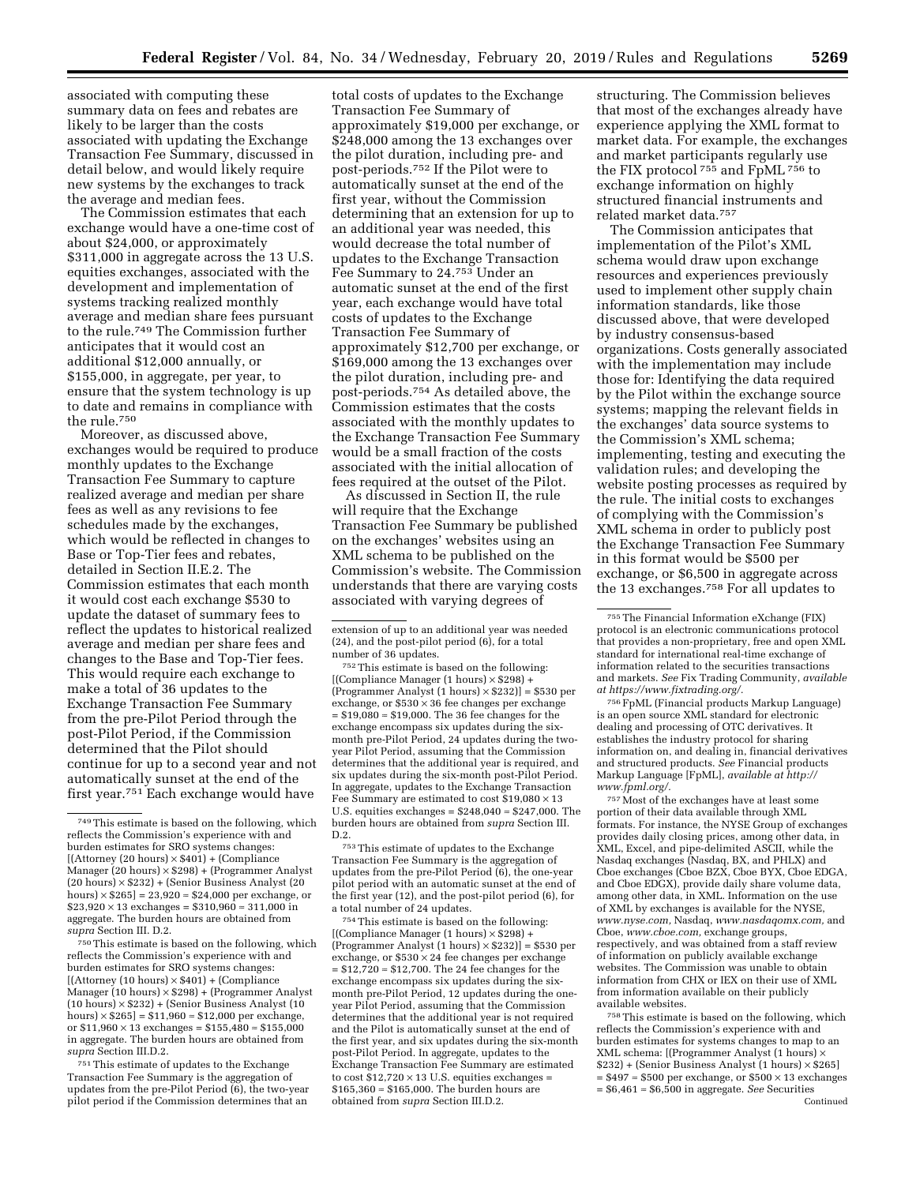associated with computing these summary data on fees and rebates are likely to be larger than the costs associated with updating the Exchange Transaction Fee Summary, discussed in detail below, and would likely require new systems by the exchanges to track the average and median fees.

The Commission estimates that each exchange would have a one-time cost of about \$24,000, or approximately \$311,000 in aggregate across the 13 U.S. equities exchanges, associated with the development and implementation of systems tracking realized monthly average and median share fees pursuant to the rule.749 The Commission further anticipates that it would cost an additional \$12,000 annually, or \$155,000, in aggregate, per year, to ensure that the system technology is up to date and remains in compliance with the rule.750

Moreover, as discussed above, exchanges would be required to produce monthly updates to the Exchange Transaction Fee Summary to capture realized average and median per share fees as well as any revisions to fee schedules made by the exchanges, which would be reflected in changes to Base or Top-Tier fees and rebates, detailed in Section II.E.2. The Commission estimates that each month it would cost each exchange \$530 to update the dataset of summary fees to reflect the updates to historical realized average and median per share fees and changes to the Base and Top-Tier fees. This would require each exchange to make a total of 36 updates to the Exchange Transaction Fee Summary from the pre-Pilot Period through the post-Pilot Period, if the Commission determined that the Pilot should continue for up to a second year and not automatically sunset at the end of the first year.751 Each exchange would have

750This estimate is based on the following, which reflects the Commission's experience with and burden estimates for SRO systems changes:  $[(\text{Attorney (10 hours)} \times $401) + (\text{Compleance})$ Manager (10 hours) × \$298) + (Programmer Analyst (10 hours) × \$232) + (Senior Business Analyst (10 hours)  $\times$  \$265] = \$11,960  $\approx$  \$12,000 per exchange. or  $11,960 \times 13$  exchanges =  $155,480 \approx 155,000$ in aggregate. The burden hours are obtained from *supra* Section III.D.2.

751This estimate of updates to the Exchange Transaction Fee Summary is the aggregation of updates from the pre-Pilot Period (6), the two-year pilot period if the Commission determines that an

total costs of updates to the Exchange Transaction Fee Summary of approximately \$19,000 per exchange, or \$248,000 among the 13 exchanges over the pilot duration, including pre- and post-periods.752 If the Pilot were to automatically sunset at the end of the first year, without the Commission determining that an extension for up to an additional year was needed, this would decrease the total number of updates to the Exchange Transaction Fee Summary to 24.753 Under an automatic sunset at the end of the first year, each exchange would have total costs of updates to the Exchange Transaction Fee Summary of approximately \$12,700 per exchange, or \$169,000 among the 13 exchanges over the pilot duration, including pre- and post-periods.754 As detailed above, the Commission estimates that the costs associated with the monthly updates to the Exchange Transaction Fee Summary would be a small fraction of the costs associated with the initial allocation of fees required at the outset of the Pilot.

As discussed in Section II, the rule will require that the Exchange Transaction Fee Summary be published on the exchanges' websites using an XML schema to be published on the Commission's website. The Commission understands that there are varying costs associated with varying degrees of

754This estimate is based on the following: [(Compliance Manager (1 hours) × \$298) + (Programmer Analyst (1 hours) × \$232)] = \$530 per exchange, or  $$530 \times 24$  fee changes per exchange = \$12,720 ≈ \$12,700. The 24 fee changes for the exchange encompass six updates during the sixmonth pre-Pilot Period, 12 updates during the oneyear Pilot Period, assuming that the Commission determines that the additional year is not required and the Pilot is automatically sunset at the end of the first year, and six updates during the six-month post-Pilot Period. In aggregate, updates to the Exchange Transaction Fee Summary are estimated to cost  $$12,720 \times 13$  U.S. equities exchanges = \$165,360 ≈ \$165,000. The burden hours are obtained from *supra* Section III.D.2.

structuring. The Commission believes that most of the exchanges already have experience applying the XML format to market data. For example, the exchanges and market participants regularly use the FIX protocol 755 and FpML 756 to exchange information on highly structured financial instruments and related market data.757

The Commission anticipates that implementation of the Pilot's XML schema would draw upon exchange resources and experiences previously used to implement other supply chain information standards, like those discussed above, that were developed by industry consensus-based organizations. Costs generally associated with the implementation may include those for: Identifying the data required by the Pilot within the exchange source systems; mapping the relevant fields in the exchanges' data source systems to the Commission's XML schema; implementing, testing and executing the validation rules; and developing the website posting processes as required by the rule. The initial costs to exchanges of complying with the Commission's XML schema in order to publicly post the Exchange Transaction Fee Summary in this format would be \$500 per exchange, or \$6,500 in aggregate across the 13 exchanges.758 For all updates to

756FpML (Financial products Markup Language) is an open source XML standard for electronic dealing and processing of OTC derivatives. It establishes the industry protocol for sharing information on, and dealing in, financial derivatives and structured products. *See* Financial products Markup Language [FpML], *available at [http://](http://www.fpml.org/) [www.fpml.org/.](http://www.fpml.org/)* 

757Most of the exchanges have at least some portion of their data available through XML formats. For instance, the NYSE Group of exchanges provides daily closing prices, among other data, in XML, Excel, and pipe-delimited ASCII, while the Nasdaq exchanges (Nasdaq, BX, and PHLX) and Cboe exchanges (Cboe BZX, Cboe BYX, Cboe EDGA, and Cboe EDGX), provide daily share volume data, among other data, in XML. Information on the use of XML by exchanges is available for the NYSE, *[www.nyse.com,](http://www.nyse.com)* Nasdaq, *[www.nasdaqomx.com,](http://www.nasdaqomx.com)* and Cboe, *[www.cboe.com,](http://www.cboe.com)* exchange groups, respectively, and was obtained from a staff review of information on publicly available exchange websites. The Commission was unable to obtain information from CHX or IEX on their use of XML from information available on their publicly available websites.

758This estimate is based on the following, which reflects the Commission's experience with and burden estimates for systems changes to map to an XML schema: [(Programmer Analyst (1 hours) × \$232) + (Senior Business Analyst (1 hours) × \$265]  $= $497 \approx $500$  per exchange, or  $$500 \times 13$  exchanges = \$6,461 ≈ \$6,500 in aggregate. *See* Securities Continued

<sup>749</sup>This estimate is based on the following, which reflects the Commission's experience with and burden estimates for SRO systems changes:  $[(\text{Attoney} (20 \text{ hours}) \times $401) + (\text{Compleance})$ Manager (20 hours) × \$298) + (Programmer Analyst (20 hours) × \$232) + (Senior Business Analyst (20 hours)  $\times$  \$265] = 23,920  $\approx$  \$24,000 per exchange, or  $$23,920 \times 13$  exchanges =  $$310,960 \approx 311,000$  in aggregate. The burden hours are obtained from *supra* Section III. D.2.

extension of up to an additional year was needed (24), and the post-pilot period (6), for a total number of 36 updates.

<sup>752</sup>This estimate is based on the following:  $[(Compliance Manager (1 hours) \times $298] +$ (Programmer Analyst (1 hours) × \$232)] = \$530 per exchange, or  $$530 \times 36$  fee changes per exchange  $= $19,080 \approx $19,000$ . The 36 fee changes for the exchange encompass six updates during the sixmonth pre-Pilot Period, 24 updates during the twoyear Pilot Period, assuming that the Commission determines that the additional year is required, and six updates during the six-month post-Pilot Period. In aggregate, updates to the Exchange Transaction Fee Summary are estimated to cost  $$19,080 \times 13$ U.S. equities exchanges =  $$248,040 \approx $247,000$ . The burden hours are obtained from *supra* Section III. D.2.

<sup>753</sup>This estimate of updates to the Exchange Transaction Fee Summary is the aggregation of updates from the pre-Pilot Period (6), the one-year pilot period with an automatic sunset at the end of the first year (12), and the post-pilot period (6), for a total number of 24 updates.

<sup>755</sup>The Financial Information eXchange (FIX) protocol is an electronic communications protocol that provides a non-proprietary, free and open XML standard for international real-time exchange of information related to the securities transactions and markets. *See* Fix Trading Community, *available at [https://www.fixtrading.org/.](https://www.fixtrading.org/)*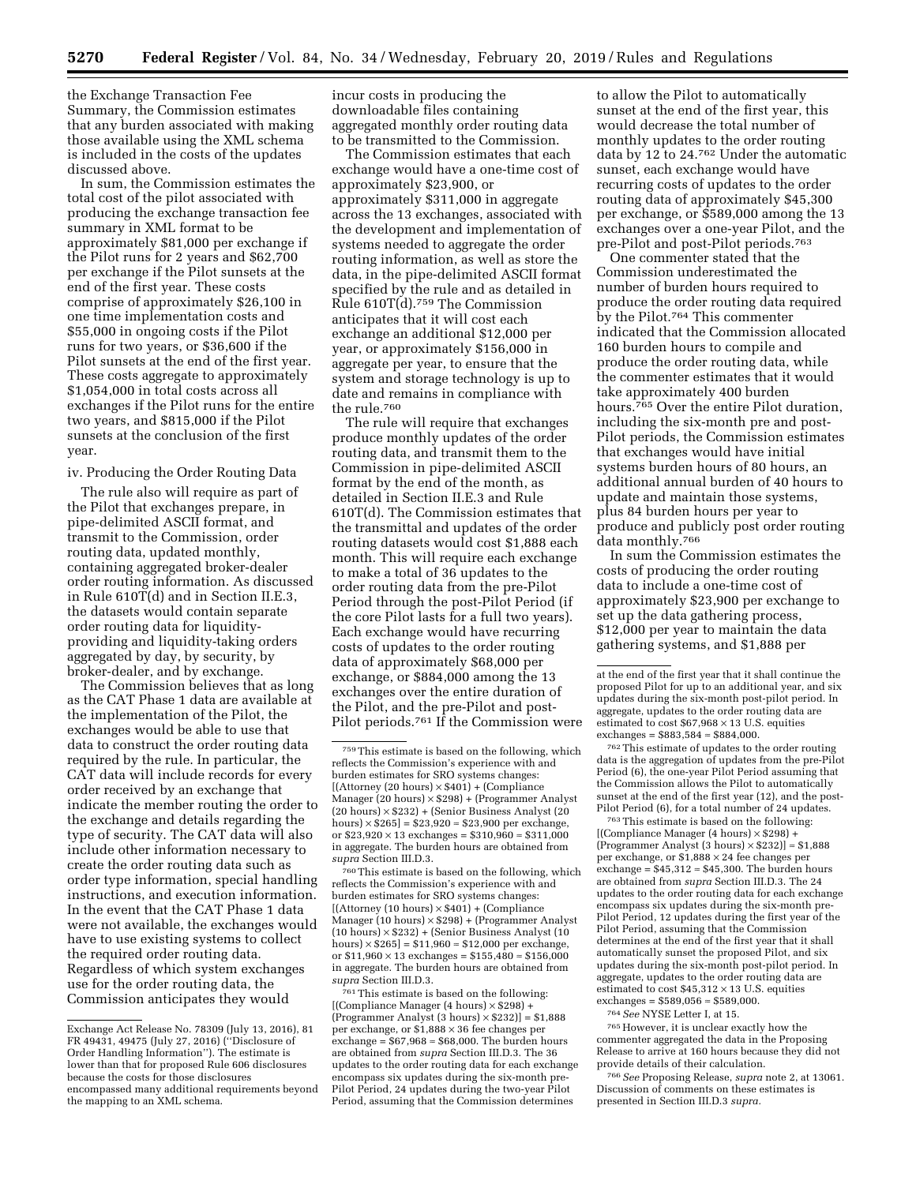the Exchange Transaction Fee Summary, the Commission estimates that any burden associated with making those available using the XML schema is included in the costs of the updates discussed above.

In sum, the Commission estimates the total cost of the pilot associated with producing the exchange transaction fee summary in XML format to be approximately \$81,000 per exchange if the Pilot runs for 2 years and \$62,700 per exchange if the Pilot sunsets at the end of the first year. These costs comprise of approximately \$26,100 in one time implementation costs and \$55,000 in ongoing costs if the Pilot runs for two years, or \$36,600 if the Pilot sunsets at the end of the first year. These costs aggregate to approximately \$1,054,000 in total costs across all exchanges if the Pilot runs for the entire two years, and \$815,000 if the Pilot sunsets at the conclusion of the first year.

#### iv. Producing the Order Routing Data

The rule also will require as part of the Pilot that exchanges prepare, in pipe-delimited ASCII format, and transmit to the Commission, order routing data, updated monthly, containing aggregated broker-dealer order routing information. As discussed in Rule 610T(d) and in Section II.E.3, the datasets would contain separate order routing data for liquidityproviding and liquidity-taking orders aggregated by day, by security, by broker-dealer, and by exchange.

The Commission believes that as long as the CAT Phase 1 data are available at the implementation of the Pilot, the exchanges would be able to use that data to construct the order routing data required by the rule. In particular, the CAT data will include records for every order received by an exchange that indicate the member routing the order to the exchange and details regarding the type of security. The CAT data will also include other information necessary to create the order routing data such as order type information, special handling instructions, and execution information. In the event that the CAT Phase 1 data were not available, the exchanges would have to use existing systems to collect the required order routing data. Regardless of which system exchanges use for the order routing data, the Commission anticipates they would

incur costs in producing the downloadable files containing aggregated monthly order routing data to be transmitted to the Commission.

The Commission estimates that each exchange would have a one-time cost of approximately \$23,900, or approximately \$311,000 in aggregate across the 13 exchanges, associated with the development and implementation of systems needed to aggregate the order routing information, as well as store the data, in the pipe-delimited ASCII format specified by the rule and as detailed in Rule 610T(d).759 The Commission anticipates that it will cost each exchange an additional \$12,000 per year, or approximately \$156,000 in aggregate per year, to ensure that the system and storage technology is up to date and remains in compliance with the rule.760

The rule will require that exchanges produce monthly updates of the order routing data, and transmit them to the Commission in pipe-delimited ASCII format by the end of the month, as detailed in Section II.E.3 and Rule 610T(d). The Commission estimates that the transmittal and updates of the order routing datasets would cost \$1,888 each month. This will require each exchange to make a total of 36 updates to the order routing data from the pre-Pilot Period through the post-Pilot Period (if the core Pilot lasts for a full two years). Each exchange would have recurring costs of updates to the order routing data of approximately \$68,000 per exchange, or \$884,000 among the 13 exchanges over the entire duration of the Pilot, and the pre-Pilot and post-Pilot periods.<sup>761</sup> If the Commission were

760This estimate is based on the following, which reflects the Commission's experience with and burden estimates for SRO systems changes:  $[(\text{Attoney} (10 \text{ hours}) \times $401) + (\text{Complique})$ Manager  $(10 \text{ hours}) \times $298$ ) + (Programmer Analyst (10 hours) × \$232) + (Senior Business Analyst (10 hours)  $\times$  \$265] = \$11,960  $\approx$  \$12,000 per exchange, or \$11,960  $\times$  13 exchanges = \$155,480 ≈ \$156,000 in aggregate. The burden hours are obtained from *supra* Section III.D.3.

761This estimate is based on the following: [(Compliance Manager (4 hours) × \$298) + (Programmer Analyst (3 hours)  $\times$  \$232)] = \$1,888 per exchange, or \$1,888 × 36 fee changes per  $\text{exchange} = $67,968 \approx $68,000$ . The burden hours are obtained from *supra* Section III.D.3. The 36 updates to the order routing data for each exchange encompass six updates during the six-month pre-Pilot Period, 24 updates during the two-year Pilot Period, assuming that the Commission determines

to allow the Pilot to automatically sunset at the end of the first year, this would decrease the total number of monthly updates to the order routing data by 12 to 24.762 Under the automatic sunset, each exchange would have recurring costs of updates to the order routing data of approximately \$45,300 per exchange, or \$589,000 among the 13 exchanges over a one-year Pilot, and the pre-Pilot and post-Pilot periods.763

One commenter stated that the Commission underestimated the number of burden hours required to produce the order routing data required by the Pilot.764 This commenter indicated that the Commission allocated 160 burden hours to compile and produce the order routing data, while the commenter estimates that it would take approximately 400 burden hours.<sup>765</sup> Over the entire Pilot duration. including the six-month pre and post-Pilot periods, the Commission estimates that exchanges would have initial systems burden hours of 80 hours, an additional annual burden of 40 hours to update and maintain those systems, plus 84 burden hours per year to produce and publicly post order routing data monthly.766

In sum the Commission estimates the costs of producing the order routing data to include a one-time cost of approximately \$23,900 per exchange to set up the data gathering process, \$12,000 per year to maintain the data gathering systems, and \$1,888 per

762This estimate of updates to the order routing data is the aggregation of updates from the pre-Pilot Period (6), the one-year Pilot Period assuming that the Commission allows the Pilot to automatically sunset at the end of the first year (12), and the post-Pilot Period (6), for a total number of 24 updates.

763This estimate is based on the following: [(Compliance Manager (4 hours) × \$298) + (Programmer Analyst (3 hours)  $\times$  \$232)]  $\approx$  \$1,888 per exchange, or \$1,888 × 24 fee changes per exchange =  $$45,312 \approx $45,300$ . The burden hours are obtained from *supra* Section III.D.3. The 24 updates to the order routing data for each exchange encompass six updates during the six-month pre-Pilot Period, 12 updates during the first year of the Pilot Period, assuming that the Commission determines at the end of the first year that it shall automatically sunset the proposed Pilot, and six updates during the six-month post-pilot period. In aggregate, updates to the order routing data are estimated to cost  $$45,312 \times 13$  U.S. equities exchanges =  $$589,056 \approx $589,000$ .

764*See* NYSE Letter I, at 15.

765However, it is unclear exactly how the commenter aggregated the data in the Proposing Release to arrive at 160 hours because they did not provide details of their calculation.

766*See* Proposing Release, *supra* note 2, at 13061. Discussion of comments on these estimates is presented in Section III.D.3 *supra.* 

Exchange Act Release No. 78309 (July 13, 2016), 81 FR 49431, 49475 (July 27, 2016) (''Disclosure of Order Handling Information''). The estimate is lower than that for proposed Rule 606 disclosures because the costs for those disclosures encompassed many additional requirements beyond the mapping to an XML schema.

<sup>759</sup>This estimate is based on the following, which reflects the Commission's experience with and burden estimates for SRO systems changes:  $[(\text{Attorney (20 hours)} \times \$401) + (\text{Compliance})$ Manager (20 hours) × \$298) + (Programmer Analyst (20 hours) × \$232) + (Senior Business Analyst (20 hours) × \$265] = \$23,920 ≈ \$23,900 per exchange, or  $$23,920 \times 13$  exchanges =  $$310,960 \approx $311,000$ in aggregate. The burden hours are obtained from *supra* Section III.D.3.

at the end of the first year that it shall continue the proposed Pilot for up to an additional year, and six updates during the six-month post-pilot period. In aggregate, updates to the order routing data are estimated to cost  $$67,968 \times 13$  U.S. equities exchanges =  $$883,584 \approx $884,000$ .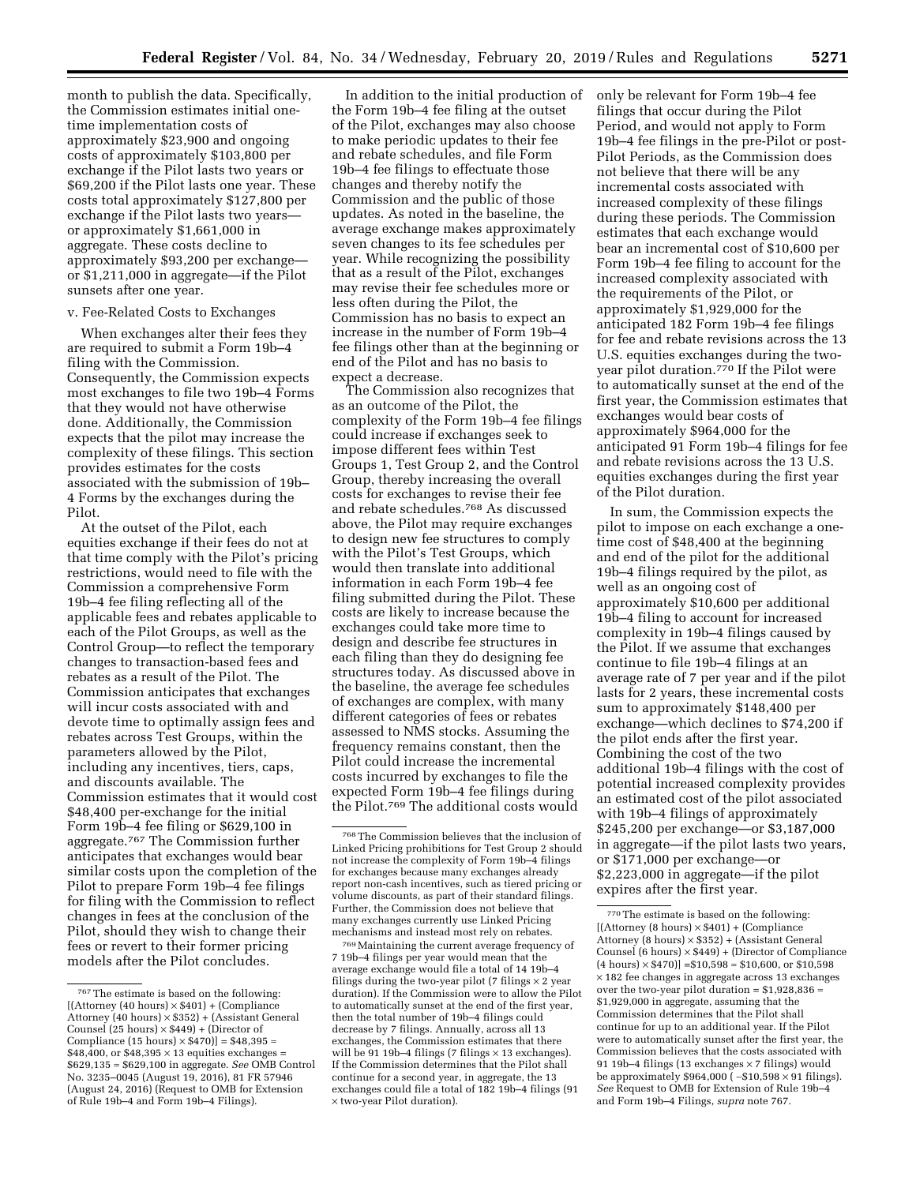month to publish the data. Specifically, the Commission estimates initial onetime implementation costs of approximately \$23,900 and ongoing costs of approximately \$103,800 per exchange if the Pilot lasts two years or \$69,200 if the Pilot lasts one year. These costs total approximately \$127,800 per exchange if the Pilot lasts two years or approximately \$1,661,000 in aggregate. These costs decline to approximately \$93,200 per exchange or \$1,211,000 in aggregate—if the Pilot sunsets after one year.

### v. Fee-Related Costs to Exchanges

When exchanges alter their fees they are required to submit a Form 19b–4 filing with the Commission. Consequently, the Commission expects most exchanges to file two 19b–4 Forms that they would not have otherwise done. Additionally, the Commission expects that the pilot may increase the complexity of these filings. This section provides estimates for the costs associated with the submission of 19b– 4 Forms by the exchanges during the Pilot.

At the outset of the Pilot, each equities exchange if their fees do not at that time comply with the Pilot's pricing restrictions, would need to file with the Commission a comprehensive Form 19b–4 fee filing reflecting all of the applicable fees and rebates applicable to each of the Pilot Groups, as well as the Control Group—to reflect the temporary changes to transaction-based fees and rebates as a result of the Pilot. The Commission anticipates that exchanges will incur costs associated with and devote time to optimally assign fees and rebates across Test Groups, within the parameters allowed by the Pilot, including any incentives, tiers, caps, and discounts available. The Commission estimates that it would cost \$48,400 per-exchange for the initial Form 19b–4 fee filing or \$629,100 in aggregate.767 The Commission further anticipates that exchanges would bear similar costs upon the completion of the Pilot to prepare Form 19b–4 fee filings for filing with the Commission to reflect changes in fees at the conclusion of the Pilot, should they wish to change their fees or revert to their former pricing models after the Pilot concludes.

In addition to the initial production of the Form 19b–4 fee filing at the outset of the Pilot, exchanges may also choose to make periodic updates to their fee and rebate schedules, and file Form 19b–4 fee filings to effectuate those changes and thereby notify the Commission and the public of those updates. As noted in the baseline, the average exchange makes approximately seven changes to its fee schedules per year. While recognizing the possibility that as a result of the Pilot, exchanges may revise their fee schedules more or less often during the Pilot, the Commission has no basis to expect an increase in the number of Form 19b–4 fee filings other than at the beginning or end of the Pilot and has no basis to expect a decrease.

The Commission also recognizes that as an outcome of the Pilot, the complexity of the Form 19b–4 fee filings could increase if exchanges seek to impose different fees within Test Groups 1, Test Group 2, and the Control Group, thereby increasing the overall costs for exchanges to revise their fee and rebate schedules.768 As discussed above, the Pilot may require exchanges to design new fee structures to comply with the Pilot's Test Groups, which would then translate into additional information in each Form 19b–4 fee filing submitted during the Pilot. These costs are likely to increase because the exchanges could take more time to design and describe fee structures in each filing than they do designing fee structures today. As discussed above in the baseline, the average fee schedules of exchanges are complex, with many different categories of fees or rebates assessed to NMS stocks. Assuming the frequency remains constant, then the Pilot could increase the incremental costs incurred by exchanges to file the expected Form 19b–4 fee filings during the Pilot.769 The additional costs would

769Maintaining the current average frequency of 7 19b–4 filings per year would mean that the average exchange would file a total of 14 19b–4 filings during the two-year pilot (7 filings  $\times$  2 year duration). If the Commission were to allow the Pilot to automatically sunset at the end of the first year, then the total number of 19b–4 filings could decrease by 7 filings. Annually, across all 13 exchanges, the Commission estimates that there will be  $91$  19b-4 filings (7 filings  $\times$  13 exchanges). If the Commission determines that the Pilot shall continue for a second year, in aggregate, the 13 exchanges could file a total of 182 19b–4 filings (91 × two-year Pilot duration).

only be relevant for Form 19b–4 fee filings that occur during the Pilot Period, and would not apply to Form 19b–4 fee filings in the pre-Pilot or post-Pilot Periods, as the Commission does not believe that there will be any incremental costs associated with increased complexity of these filings during these periods. The Commission estimates that each exchange would bear an incremental cost of \$10,600 per Form 19b–4 fee filing to account for the increased complexity associated with the requirements of the Pilot, or approximately \$1,929,000 for the anticipated 182 Form 19b–4 fee filings for fee and rebate revisions across the 13 U.S. equities exchanges during the twoyear pilot duration.770 If the Pilot were to automatically sunset at the end of the first year, the Commission estimates that exchanges would bear costs of approximately \$964,000 for the anticipated 91 Form 19b–4 filings for fee and rebate revisions across the 13 U.S. equities exchanges during the first year of the Pilot duration.

In sum, the Commission expects the pilot to impose on each exchange a onetime cost of \$48,400 at the beginning and end of the pilot for the additional 19b–4 filings required by the pilot, as well as an ongoing cost of approximately \$10,600 per additional 19b–4 filing to account for increased complexity in 19b–4 filings caused by the Pilot. If we assume that exchanges continue to file 19b–4 filings at an average rate of 7 per year and if the pilot lasts for 2 years, these incremental costs sum to approximately \$148,400 per exchange—which declines to \$74,200 if the pilot ends after the first year. Combining the cost of the two additional 19b–4 filings with the cost of potential increased complexity provides an estimated cost of the pilot associated with 19b–4 filings of approximately \$245,200 per exchange—or \$3,187,000 in aggregate—if the pilot lasts two years, or \$171,000 per exchange—or \$2,223,000 in aggregate—if the pilot expires after the first year.

 $^{767}\mathrm{The}$  estimate is based on the following:  $[(\text{Attoney } (40 \text{ hours}) \times $401) + (\text{Compliance})$ Attorney (40 hours) × \$352) + (Assistant General Counsel  $(25 \text{ hours}) \times $449$  + (Director of Compliance (15 hours)  $\times$  \$470)] = \$48,395  $\approx$  $$48,400$ , or  $$48,395 \times 13$  equities exchanges = \$629,135 ≈ \$629,100 in aggregate. *See* OMB Control No. 3235–0045 (August 19, 2016), 81 FR 57946 (August 24, 2016) (Request to OMB for Extension of Rule 19b–4 and Form 19b–4 Filings).

<sup>768</sup>The Commission believes that the inclusion of Linked Pricing prohibitions for Test Group 2 should not increase the complexity of Form 19b–4 filings for exchanges because many exchanges already report non-cash incentives, such as tiered pricing or volume discounts, as part of their standard filings. Further, the Commission does not believe that many exchanges currently use Linked Pricing mechanisms and instead most rely on rebates.

<sup>770</sup>The estimate is based on the following:  $[(\text{Attoney } (8 \text{ hours}) \times $401) + (\text{Compleance})$ Attorney (8 hours) × \$352) + (Assistant General Counsel (6 hours)  $\times$  \$449) + (Director of Compliance  $(4 \text{ hours}) \times $470]$  = \$10,598  $\approx $10,600$ , or \$10,598  $\times\,182$  fee changes in aggregate across 13 exchanges over the two-year pilot duration =  $\$1,\!928,\!836$   $\approx$ \$1,929,000 in aggregate, assuming that the Commission determines that the Pilot shall continue for up to an additional year. If the Pilot were to automatically sunset after the first year, the Commission believes that the costs associated with 91 19b–4 filings (13 exchanges × 7 filings) would be approximately \$964,000 ( ∼\$10,598 × 91 filings). *See* Request to OMB for Extension of Rule 19b–4 and Form 19b–4 Filings, *supra* note 767.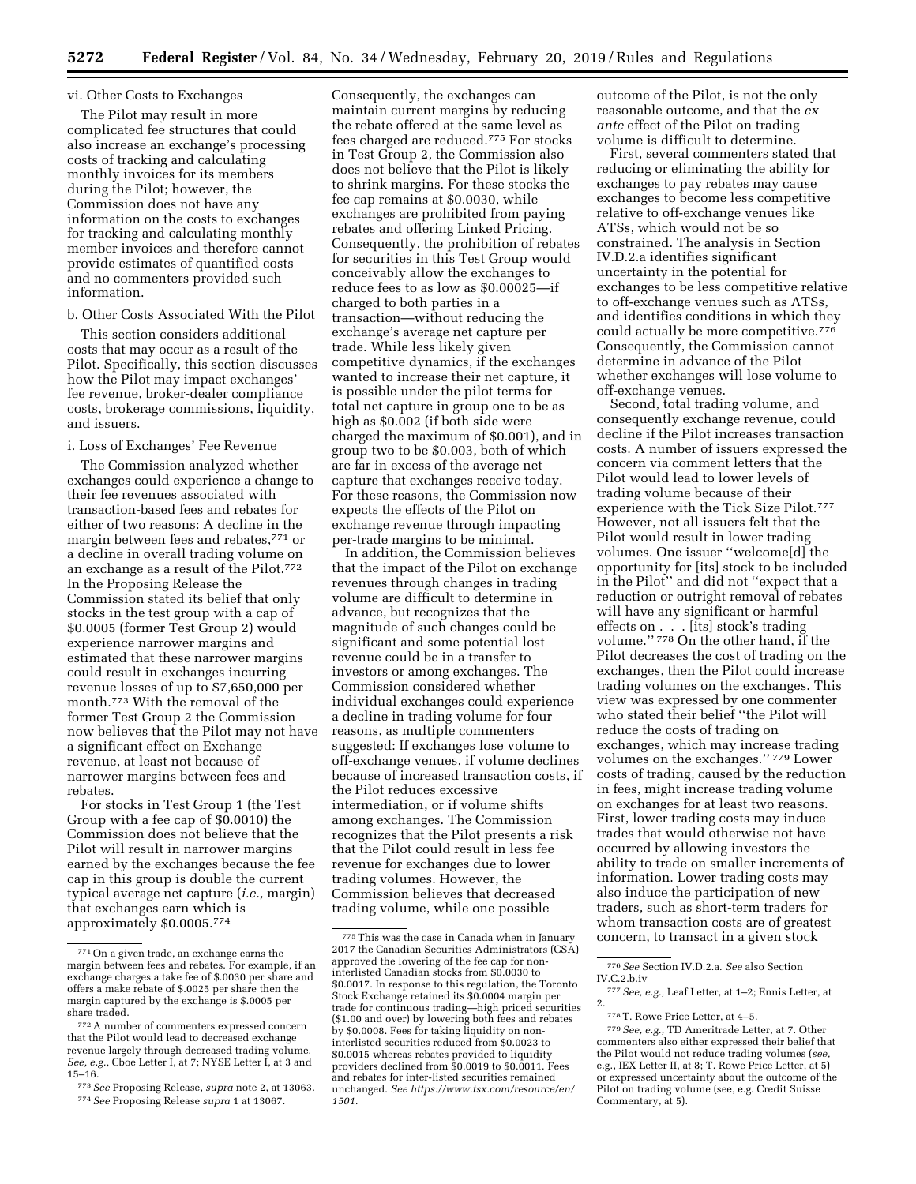#### vi. Other Costs to Exchanges

The Pilot may result in more complicated fee structures that could also increase an exchange's processing costs of tracking and calculating monthly invoices for its members during the Pilot; however, the Commission does not have any information on the costs to exchanges for tracking and calculating monthly member invoices and therefore cannot provide estimates of quantified costs and no commenters provided such information.

b. Other Costs Associated With the Pilot

This section considers additional costs that may occur as a result of the Pilot. Specifically, this section discusses how the Pilot may impact exchanges' fee revenue, broker-dealer compliance costs, brokerage commissions, liquidity, and issuers.

i. Loss of Exchanges' Fee Revenue

The Commission analyzed whether exchanges could experience a change to their fee revenues associated with transaction-based fees and rebates for either of two reasons: A decline in the margin between fees and rebates,771 or a decline in overall trading volume on an exchange as a result of the Pilot.772 In the Proposing Release the Commission stated its belief that only stocks in the test group with a cap of \$0.0005 (former Test Group 2) would experience narrower margins and estimated that these narrower margins could result in exchanges incurring revenue losses of up to \$7,650,000 per month.773 With the removal of the former Test Group 2 the Commission now believes that the Pilot may not have a significant effect on Exchange revenue, at least not because of narrower margins between fees and rebates.

For stocks in Test Group 1 (the Test Group with a fee cap of \$0.0010) the Commission does not believe that the Pilot will result in narrower margins earned by the exchanges because the fee cap in this group is double the current typical average net capture (*i.e.,* margin) that exchanges earn which is approximately \$0.0005.774

773*See* Proposing Release, *supra* note 2, at 13063. 774*See* Proposing Release *supra* 1 at 13067.

Consequently, the exchanges can maintain current margins by reducing the rebate offered at the same level as fees charged are reduced.775 For stocks in Test Group 2, the Commission also does not believe that the Pilot is likely to shrink margins. For these stocks the fee cap remains at \$0.0030, while exchanges are prohibited from paying rebates and offering Linked Pricing. Consequently, the prohibition of rebates for securities in this Test Group would conceivably allow the exchanges to reduce fees to as low as \$0.00025—if charged to both parties in a transaction—without reducing the exchange's average net capture per trade. While less likely given competitive dynamics, if the exchanges wanted to increase their net capture, it is possible under the pilot terms for total net capture in group one to be as high as \$0.002 (if both side were charged the maximum of \$0.001), and in group two to be \$0.003, both of which are far in excess of the average net capture that exchanges receive today. For these reasons, the Commission now expects the effects of the Pilot on exchange revenue through impacting per-trade margins to be minimal.

In addition, the Commission believes that the impact of the Pilot on exchange revenues through changes in trading volume are difficult to determine in advance, but recognizes that the magnitude of such changes could be significant and some potential lost revenue could be in a transfer to investors or among exchanges. The Commission considered whether individual exchanges could experience a decline in trading volume for four reasons, as multiple commenters suggested: If exchanges lose volume to off-exchange venues, if volume declines because of increased transaction costs, if the Pilot reduces excessive intermediation, or if volume shifts among exchanges. The Commission recognizes that the Pilot presents a risk that the Pilot could result in less fee revenue for exchanges due to lower trading volumes. However, the Commission believes that decreased trading volume, while one possible

outcome of the Pilot, is not the only reasonable outcome, and that the *ex ante* effect of the Pilot on trading volume is difficult to determine.

First, several commenters stated that reducing or eliminating the ability for exchanges to pay rebates may cause exchanges to become less competitive relative to off-exchange venues like ATSs, which would not be so constrained. The analysis in Section IV.D.2.a identifies significant uncertainty in the potential for exchanges to be less competitive relative to off-exchange venues such as ATSs, and identifies conditions in which they could actually be more competitive.776 Consequently, the Commission cannot determine in advance of the Pilot whether exchanges will lose volume to off-exchange venues.

Second, total trading volume, and consequently exchange revenue, could decline if the Pilot increases transaction costs. A number of issuers expressed the concern via comment letters that the Pilot would lead to lower levels of trading volume because of their experience with the Tick Size Pilot.777 However, not all issuers felt that the Pilot would result in lower trading volumes. One issuer ''welcome[d] the opportunity for [its] stock to be included in the Pilot'' and did not ''expect that a reduction or outright removal of rebates will have any significant or harmful effects on . . . [its] stock's trading volume.'' 778 On the other hand, if the Pilot decreases the cost of trading on the exchanges, then the Pilot could increase trading volumes on the exchanges. This view was expressed by one commenter who stated their belief ''the Pilot will reduce the costs of trading on exchanges, which may increase trading volumes on the exchanges.'' 779 Lower costs of trading, caused by the reduction in fees, might increase trading volume on exchanges for at least two reasons. First, lower trading costs may induce trades that would otherwise not have occurred by allowing investors the ability to trade on smaller increments of information. Lower trading costs may also induce the participation of new traders, such as short-term traders for whom transaction costs are of greatest concern, to transact in a given stock

<sup>771</sup>On a given trade, an exchange earns the margin between fees and rebates. For example, if an exchange charges a take fee of \$.0030 per share and offers a make rebate of \$.0025 per share then the margin captured by the exchange is \$.0005 per share traded.

<sup>772</sup>A number of commenters expressed concern that the Pilot would lead to decreased exchange revenue largely through decreased trading volume. *See, e.g.,* Cboe Letter I, at 7; NYSE Letter I, at 3 and 15–16.

<sup>775</sup>This was the case in Canada when in January 2017 the Canadian Securities Administrators (CSA) approved the lowering of the fee cap for noninterlisted Canadian stocks from \$0.0030 to \$0.0017. In response to this regulation, the Toronto Stock Exchange retained its \$0.0004 margin per trade for continuous trading—high priced securities (\$1.00 and over) by lowering both fees and rebates by \$0.0008. Fees for taking liquidity on noninterlisted securities reduced from \$0.0023 to \$0.0015 whereas rebates provided to liquidity providers declined from \$0.0019 to \$0.0011. Fees and rebates for inter-listed securities remained unchanged. *See [https://www.tsx.com/resource/en/](https://www.tsx.com/resource/en/1501) [1501.](https://www.tsx.com/resource/en/1501)* 

<sup>776</sup>*See* Section IV.D.2.a. *See* also Section

 $^{777}\,See,\,e.g.,$  Leaf Letter, at 1–2; Ennis Letter, at 2.

<sup>778</sup>T. Rowe Price Letter, at 4–5.

<sup>779</sup>*See, e.g.,* TD Ameritrade Letter, at 7. Other commenters also either expressed their belief that the Pilot would not reduce trading volumes (*see,*  e.g., IEX Letter II, at 8; T. Rowe Price Letter, at 5) or expressed uncertainty about the outcome of the Pilot on trading volume (see, e.g. Credit Suisse Commentary, at 5).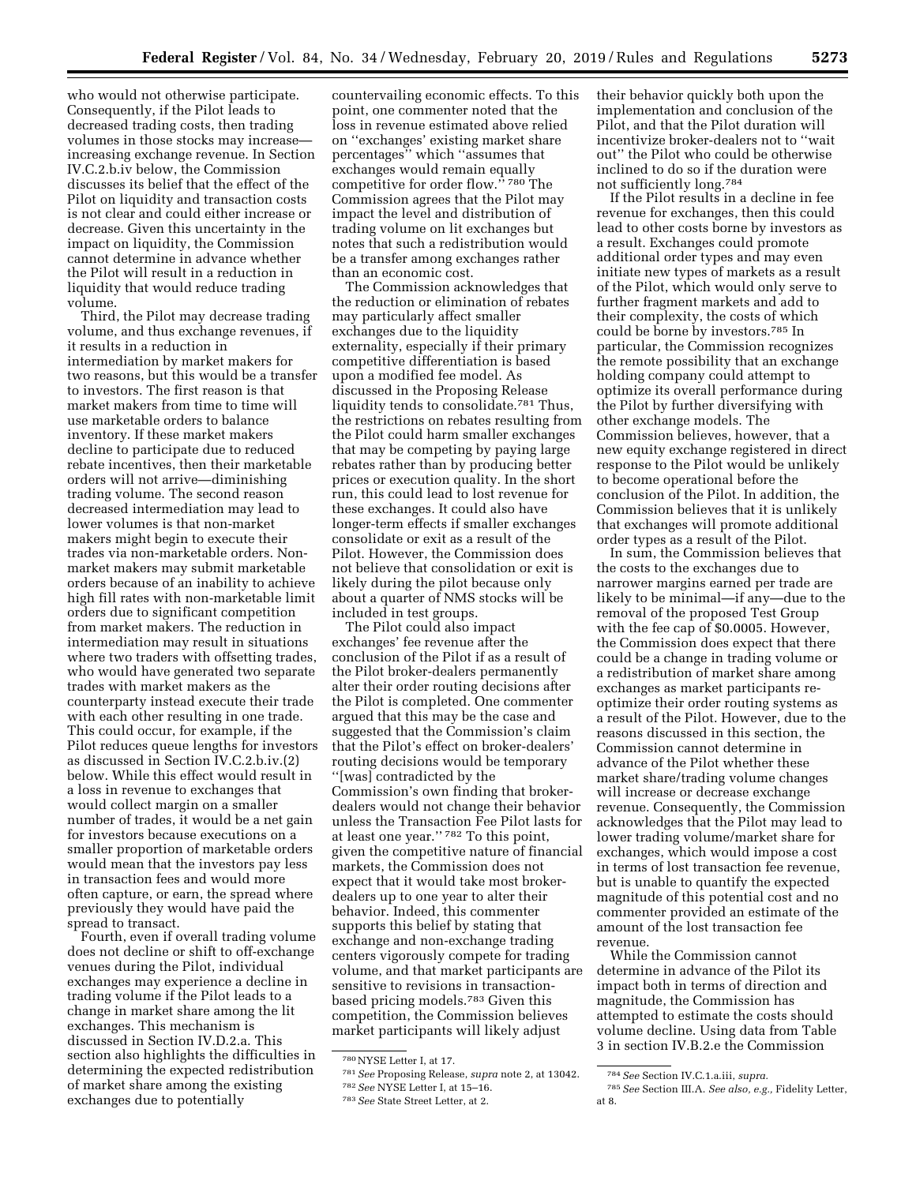who would not otherwise participate. Consequently, if the Pilot leads to decreased trading costs, then trading volumes in those stocks may increase increasing exchange revenue. In Section IV.C.2.b.iv below, the Commission discusses its belief that the effect of the Pilot on liquidity and transaction costs is not clear and could either increase or decrease. Given this uncertainty in the impact on liquidity, the Commission cannot determine in advance whether the Pilot will result in a reduction in liquidity that would reduce trading volume.

Third, the Pilot may decrease trading volume, and thus exchange revenues, if it results in a reduction in intermediation by market makers for two reasons, but this would be a transfer to investors. The first reason is that market makers from time to time will use marketable orders to balance inventory. If these market makers decline to participate due to reduced rebate incentives, then their marketable orders will not arrive—diminishing trading volume. The second reason decreased intermediation may lead to lower volumes is that non-market makers might begin to execute their trades via non-marketable orders. Nonmarket makers may submit marketable orders because of an inability to achieve high fill rates with non-marketable limit orders due to significant competition from market makers. The reduction in intermediation may result in situations where two traders with offsetting trades, who would have generated two separate trades with market makers as the counterparty instead execute their trade with each other resulting in one trade. This could occur, for example, if the Pilot reduces queue lengths for investors as discussed in Section IV.C.2.b.iv.(2) below. While this effect would result in a loss in revenue to exchanges that would collect margin on a smaller number of trades, it would be a net gain for investors because executions on a smaller proportion of marketable orders would mean that the investors pay less in transaction fees and would more often capture, or earn, the spread where previously they would have paid the spread to transact.

Fourth, even if overall trading volume does not decline or shift to off-exchange venues during the Pilot, individual exchanges may experience a decline in trading volume if the Pilot leads to a change in market share among the lit exchanges. This mechanism is discussed in Section IV.D.2.a. This section also highlights the difficulties in determining the expected redistribution of market share among the existing exchanges due to potentially

countervailing economic effects. To this point, one commenter noted that the loss in revenue estimated above relied on ''exchanges' existing market share percentages'' which ''assumes that exchanges would remain equally competitive for order flow."<sup>780</sup> The Commission agrees that the Pilot may impact the level and distribution of trading volume on lit exchanges but notes that such a redistribution would be a transfer among exchanges rather than an economic cost.

The Commission acknowledges that the reduction or elimination of rebates may particularly affect smaller exchanges due to the liquidity externality, especially if their primary competitive differentiation is based upon a modified fee model. As discussed in the Proposing Release liquidity tends to consolidate.781 Thus, the restrictions on rebates resulting from the Pilot could harm smaller exchanges that may be competing by paying large rebates rather than by producing better prices or execution quality. In the short run, this could lead to lost revenue for these exchanges. It could also have longer-term effects if smaller exchanges consolidate or exit as a result of the Pilot. However, the Commission does not believe that consolidation or exit is likely during the pilot because only about a quarter of NMS stocks will be included in test groups.

The Pilot could also impact exchanges' fee revenue after the conclusion of the Pilot if as a result of the Pilot broker-dealers permanently alter their order routing decisions after the Pilot is completed. One commenter argued that this may be the case and suggested that the Commission's claim that the Pilot's effect on broker-dealers' routing decisions would be temporary ''[was] contradicted by the Commission's own finding that brokerdealers would not change their behavior unless the Transaction Fee Pilot lasts for at least one year.'' 782 To this point, given the competitive nature of financial markets, the Commission does not expect that it would take most brokerdealers up to one year to alter their behavior. Indeed, this commenter supports this belief by stating that exchange and non-exchange trading centers vigorously compete for trading volume, and that market participants are sensitive to revisions in transactionbased pricing models.783 Given this competition, the Commission believes market participants will likely adjust

781*See* Proposing Release, *supra* note 2, at 13042. 782*See* NYSE Letter I, at 15–16.

their behavior quickly both upon the implementation and conclusion of the Pilot, and that the Pilot duration will incentivize broker-dealers not to ''wait out'' the Pilot who could be otherwise inclined to do so if the duration were not sufficiently long.784

If the Pilot results in a decline in fee revenue for exchanges, then this could lead to other costs borne by investors as a result. Exchanges could promote additional order types and may even initiate new types of markets as a result of the Pilot, which would only serve to further fragment markets and add to their complexity, the costs of which could be borne by investors.785 In particular, the Commission recognizes the remote possibility that an exchange holding company could attempt to optimize its overall performance during the Pilot by further diversifying with other exchange models. The Commission believes, however, that a new equity exchange registered in direct response to the Pilot would be unlikely to become operational before the conclusion of the Pilot. In addition, the Commission believes that it is unlikely that exchanges will promote additional order types as a result of the Pilot.

In sum, the Commission believes that the costs to the exchanges due to narrower margins earned per trade are likely to be minimal—if any—due to the removal of the proposed Test Group with the fee cap of \$0.0005. However, the Commission does expect that there could be a change in trading volume or a redistribution of market share among exchanges as market participants reoptimize their order routing systems as a result of the Pilot. However, due to the reasons discussed in this section, the Commission cannot determine in advance of the Pilot whether these market share/trading volume changes will increase or decrease exchange revenue. Consequently, the Commission acknowledges that the Pilot may lead to lower trading volume/market share for exchanges, which would impose a cost in terms of lost transaction fee revenue, but is unable to quantify the expected magnitude of this potential cost and no commenter provided an estimate of the amount of the lost transaction fee revenue.

While the Commission cannot determine in advance of the Pilot its impact both in terms of direction and magnitude, the Commission has attempted to estimate the costs should volume decline. Using data from Table 3 in section IV.B.2.e the Commission

<sup>780</sup>NYSE Letter I, at 17.

<sup>783</sup>*See* State Street Letter, at 2.

<sup>784</sup>*See* Section IV.C.1.a.iii, *supra.* 

<sup>785</sup>*See* Section III.A. *See also, e.g.,* Fidelity Letter, at 8.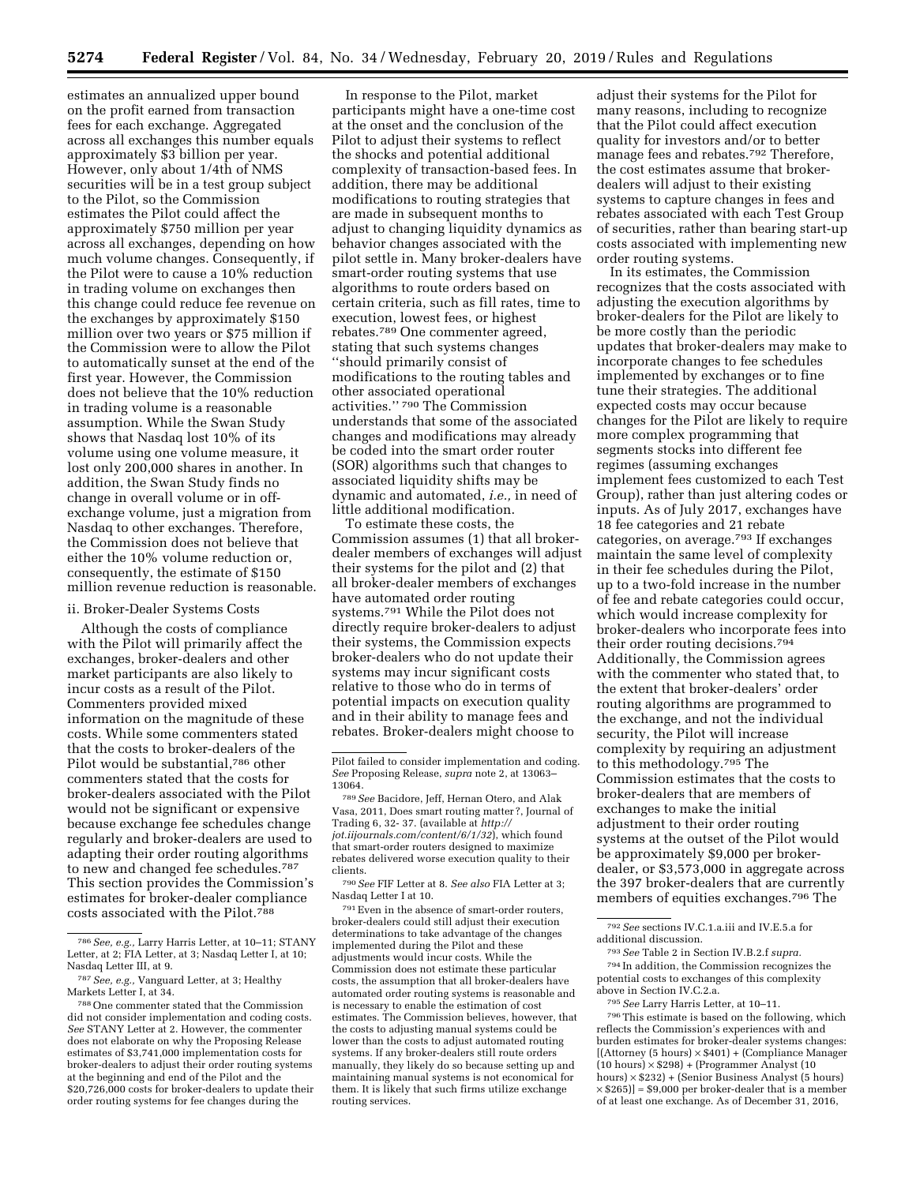estimates an annualized upper bound on the profit earned from transaction fees for each exchange. Aggregated across all exchanges this number equals approximately \$3 billion per year. However, only about 1/4th of NMS securities will be in a test group subject to the Pilot, so the Commission estimates the Pilot could affect the approximately \$750 million per year across all exchanges, depending on how much volume changes. Consequently, if the Pilot were to cause a 10% reduction in trading volume on exchanges then this change could reduce fee revenue on the exchanges by approximately \$150 million over two years or \$75 million if the Commission were to allow the Pilot to automatically sunset at the end of the first year. However, the Commission does not believe that the 10% reduction in trading volume is a reasonable assumption. While the Swan Study shows that Nasdaq lost 10% of its volume using one volume measure, it lost only 200,000 shares in another. In addition, the Swan Study finds no change in overall volume or in offexchange volume, just a migration from Nasdaq to other exchanges. Therefore, the Commission does not believe that either the 10% volume reduction or, consequently, the estimate of \$150 million revenue reduction is reasonable.

#### ii. Broker-Dealer Systems Costs

Although the costs of compliance with the Pilot will primarily affect the exchanges, broker-dealers and other market participants are also likely to incur costs as a result of the Pilot. Commenters provided mixed information on the magnitude of these costs. While some commenters stated that the costs to broker-dealers of the Pilot would be substantial,786 other commenters stated that the costs for broker-dealers associated with the Pilot would not be significant or expensive because exchange fee schedules change regularly and broker-dealers are used to adapting their order routing algorithms to new and changed fee schedules.787 This section provides the Commission's estimates for broker-dealer compliance costs associated with the Pilot.788

In response to the Pilot, market participants might have a one-time cost at the onset and the conclusion of the Pilot to adjust their systems to reflect the shocks and potential additional complexity of transaction-based fees. In addition, there may be additional modifications to routing strategies that are made in subsequent months to adjust to changing liquidity dynamics as behavior changes associated with the pilot settle in. Many broker-dealers have smart-order routing systems that use algorithms to route orders based on certain criteria, such as fill rates, time to execution, lowest fees, or highest rebates.789 One commenter agreed, stating that such systems changes ''should primarily consist of modifications to the routing tables and other associated operational activities.'' 790 The Commission understands that some of the associated changes and modifications may already be coded into the smart order router (SOR) algorithms such that changes to associated liquidity shifts may be dynamic and automated, *i.e.,* in need of little additional modification.

To estimate these costs, the Commission assumes (1) that all brokerdealer members of exchanges will adjust their systems for the pilot and (2) that all broker-dealer members of exchanges have automated order routing systems.791 While the Pilot does not directly require broker-dealers to adjust their systems, the Commission expects broker-dealers who do not update their systems may incur significant costs relative to those who do in terms of potential impacts on execution quality and in their ability to manage fees and rebates. Broker-dealers might choose to

790*See* FIF Letter at 8. *See also* FIA Letter at 3; Nasdaq Letter I at 10.

 $791\mathrm{\,E}$  ven in the absence of smart-order routers, broker-dealers could still adjust their execution determinations to take advantage of the changes implemented during the Pilot and these adjustments would incur costs. While the Commission does not estimate these particular costs, the assumption that all broker-dealers have automated order routing systems is reasonable and is necessary to enable the estimation of cost estimates. The Commission believes, however, that the costs to adjusting manual systems could be lower than the costs to adjust automated routing systems. If any broker-dealers still route orders manually, they likely do so because setting up and maintaining manual systems is not economical for them. It is likely that such firms utilize exchange routing services.

adjust their systems for the Pilot for many reasons, including to recognize that the Pilot could affect execution quality for investors and/or to better manage fees and rebates.792 Therefore, the cost estimates assume that brokerdealers will adjust to their existing systems to capture changes in fees and rebates associated with each Test Group of securities, rather than bearing start-up costs associated with implementing new order routing systems.

In its estimates, the Commission recognizes that the costs associated with adjusting the execution algorithms by broker-dealers for the Pilot are likely to be more costly than the periodic updates that broker-dealers may make to incorporate changes to fee schedules implemented by exchanges or to fine tune their strategies. The additional expected costs may occur because changes for the Pilot are likely to require more complex programming that segments stocks into different fee regimes (assuming exchanges implement fees customized to each Test Group), rather than just altering codes or inputs. As of July 2017, exchanges have 18 fee categories and 21 rebate categories, on average.793 If exchanges maintain the same level of complexity in their fee schedules during the Pilot, up to a two-fold increase in the number of fee and rebate categories could occur, which would increase complexity for broker-dealers who incorporate fees into their order routing decisions.794 Additionally, the Commission agrees with the commenter who stated that, to the extent that broker-dealers' order routing algorithms are programmed to the exchange, and not the individual security, the Pilot will increase complexity by requiring an adjustment to this methodology.795 The Commission estimates that the costs to broker-dealers that are members of exchanges to make the initial adjustment to their order routing systems at the outset of the Pilot would be approximately \$9,000 per brokerdealer, or \$3,573,000 in aggregate across the 397 broker-dealers that are currently members of equities exchanges.796 The

<sup>786</sup>*See, e.g.,* Larry Harris Letter, at 10–11; STANY Letter, at 2; FIA Letter, at 3; Nasdaq Letter I, at 10; Nasdaq Letter III, at 9.

<sup>787</sup>*See, e.g.,* Vanguard Letter, at 3; Healthy Markets Letter I, at 34.

<sup>788</sup>One commenter stated that the Commission did not consider implementation and coding costs. *See* STANY Letter at 2. However, the commenter does not elaborate on why the Proposing Release estimates of \$3,741,000 implementation costs for broker-dealers to adjust their order routing systems at the beginning and end of the Pilot and the \$20,726,000 costs for broker-dealers to update their order routing systems for fee changes during the

Pilot failed to consider implementation and coding. *See* Proposing Release, *supra* note 2, at 13063– 13064.

<sup>789</sup>*See* Bacidore, Jeff, Hernan Otero, and Alak Vasa, 2011, Does smart routing matter ?, Journal of Trading 6, 32- 37. (available at *[http://](http://jot.iijournals.com/content/6/1/32) [jot.iijournals.com/content/6/1/32](http://jot.iijournals.com/content/6/1/32)*), which found that smart-order routers designed to maximize rebates delivered worse execution quality to their clients.

<sup>792</sup>*See* sections IV.C.1.a.iii and IV.E.5.a for additional discussion.

<sup>793</sup>*See* Table 2 in Section IV.B.2.f *supra.*  794 In addition, the Commission recognizes the potential costs to exchanges of this complexity above in Section IV.C.2.a.

<sup>795</sup>*See* Larry Harris Letter, at 10–11.

<sup>796</sup>This estimate is based on the following, which reflects the Commission's experiences with and burden estimates for broker-dealer systems changes: [(Attorney (5 hours) × \$401) + (Compliance Manager  $(10 \text{ hours}) \times $298$ ) + (Programmer Analyst (10 hours) × \$232) + (Senior Business Analyst (5 hours)  $\times$  \$265)]  $\approx$  \$9,000 per broker-dealer that is a member of at least one exchange. As of December 31, 2016,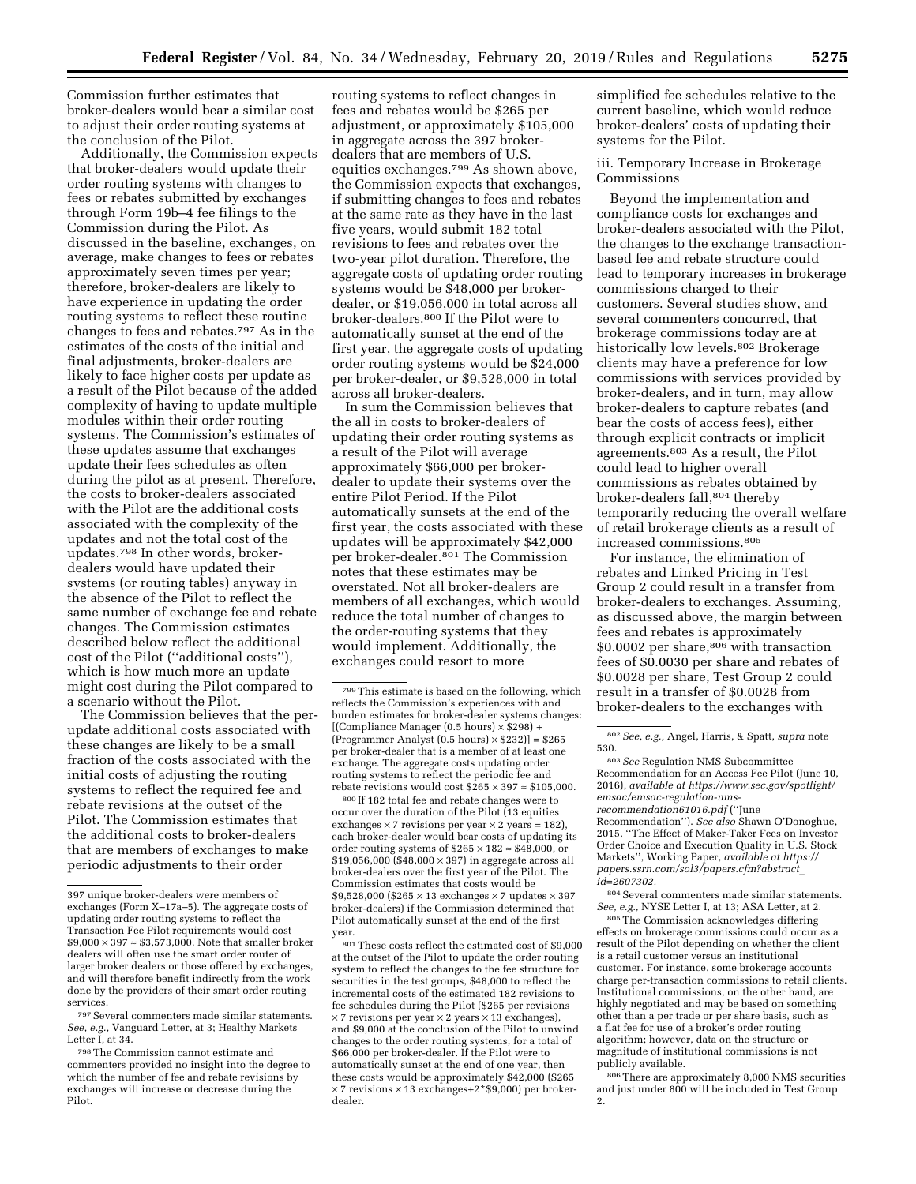Commission further estimates that broker-dealers would bear a similar cost to adjust their order routing systems at the conclusion of the Pilot.

Additionally, the Commission expects that broker-dealers would update their order routing systems with changes to fees or rebates submitted by exchanges through Form 19b–4 fee filings to the Commission during the Pilot. As discussed in the baseline, exchanges, on average, make changes to fees or rebates approximately seven times per year; therefore, broker-dealers are likely to have experience in updating the order routing systems to reflect these routine changes to fees and rebates.797 As in the estimates of the costs of the initial and final adjustments, broker-dealers are likely to face higher costs per update as a result of the Pilot because of the added complexity of having to update multiple modules within their order routing systems. The Commission's estimates of these updates assume that exchanges update their fees schedules as often during the pilot as at present. Therefore, the costs to broker-dealers associated with the Pilot are the additional costs associated with the complexity of the updates and not the total cost of the updates.798 In other words, brokerdealers would have updated their systems (or routing tables) anyway in the absence of the Pilot to reflect the same number of exchange fee and rebate changes. The Commission estimates described below reflect the additional cost of the Pilot (''additional costs''), which is how much more an update might cost during the Pilot compared to a scenario without the Pilot.

The Commission believes that the perupdate additional costs associated with these changes are likely to be a small fraction of the costs associated with the initial costs of adjusting the routing systems to reflect the required fee and rebate revisions at the outset of the Pilot. The Commission estimates that the additional costs to broker-dealers that are members of exchanges to make periodic adjustments to their order

routing systems to reflect changes in fees and rebates would be \$265 per adjustment, or approximately \$105,000 in aggregate across the 397 brokerdealers that are members of U.S. equities exchanges.799 As shown above, the Commission expects that exchanges, if submitting changes to fees and rebates at the same rate as they have in the last five years, would submit 182 total revisions to fees and rebates over the two-year pilot duration. Therefore, the aggregate costs of updating order routing systems would be \$48,000 per brokerdealer, or \$19,056,000 in total across all broker-dealers.800 If the Pilot were to automatically sunset at the end of the first year, the aggregate costs of updating order routing systems would be \$24,000 per broker-dealer, or \$9,528,000 in total across all broker-dealers.

In sum the Commission believes that the all in costs to broker-dealers of updating their order routing systems as a result of the Pilot will average approximately \$66,000 per brokerdealer to update their systems over the entire Pilot Period. If the Pilot automatically sunsets at the end of the first year, the costs associated with these updates will be approximately \$42,000 per broker-dealer.<sup>801</sup> The Commission notes that these estimates may be overstated. Not all broker-dealers are members of all exchanges, which would reduce the total number of changes to the order-routing systems that they would implement. Additionally, the exchanges could resort to more

800 If 182 total fee and rebate changes were to occur over the duration of the Pilot (13 equities exchanges  $\times$  7 revisions per year  $\times$  2 years = 182), each broker-dealer would bear costs of updating its order routing systems of  $$265 \times 182 \approx $48,000$ , or  $$19,056,000$  (\$48,000  $\times$  397) in aggregate across all broker-dealers over the first year of the Pilot. The Commission estimates that costs would be \$9,528,000 (\$265  $\times$  13 exchanges  $\times$  7 updates  $\times$  397 broker-dealers) if the Commission determined that Pilot automatically sunset at the end of the first year.

 $^{\rm 801}$  These costs reflect the estimated cost of  $\$9,\!000$ at the outset of the Pilot to update the order routing system to reflect the changes to the fee structure for securities in the test groups, \$48,000 to reflect the incremental costs of the estimated 182 revisions to fee schedules during the Pilot (\$265 per revisions  $\times$  7 revisions per year  $\times$  2 years  $\times$  13 exchanges), and \$9,000 at the conclusion of the Pilot to unwind changes to the order routing systems, for a total of \$66,000 per broker-dealer. If the Pilot were to automatically sunset at the end of one year, then these costs would be approximately \$42,000 (\$265  $\times$  7 revisions  $\times$  13 exchanges+2\*\$9,000) per brokerdealer.

simplified fee schedules relative to the current baseline, which would reduce broker-dealers' costs of updating their systems for the Pilot.

# iii. Temporary Increase in Brokerage Commissions

Beyond the implementation and compliance costs for exchanges and broker-dealers associated with the Pilot, the changes to the exchange transactionbased fee and rebate structure could lead to temporary increases in brokerage commissions charged to their customers. Several studies show, and several commenters concurred, that brokerage commissions today are at historically low levels.<sup>802</sup> Brokerage clients may have a preference for low commissions with services provided by broker-dealers, and in turn, may allow broker-dealers to capture rebates (and bear the costs of access fees), either through explicit contracts or implicit agreements.803 As a result, the Pilot could lead to higher overall commissions as rebates obtained by broker-dealers fall,804 thereby temporarily reducing the overall welfare of retail brokerage clients as a result of increased commissions.805

For instance, the elimination of rebates and Linked Pricing in Test Group 2 could result in a transfer from broker-dealers to exchanges. Assuming, as discussed above, the margin between fees and rebates is approximately \$0.0002 per share,<sup>806</sup> with transaction fees of \$0.0030 per share and rebates of \$0.0028 per share, Test Group 2 could result in a transfer of \$0.0028 from broker-dealers to the exchanges with

Recommendation''). *See also* Shawn O'Donoghue, 2015, ''The Effect of Maker-Taker Fees on Investor Order Choice and Execution Quality in U.S. Stock Markets'', Working Paper, *available at [https://](https://papers.ssrn.com/sol3/papers.cfm?abstract_id=2607302) [papers.ssrn.com/sol3/papers.cfm?abstract](https://papers.ssrn.com/sol3/papers.cfm?abstract_id=2607302)*\_ *[id=2607302.](https://papers.ssrn.com/sol3/papers.cfm?abstract_id=2607302)* 

804Several commenters made similar statements. *See, e.g.,* NYSE Letter I, at 13; ASA Letter, at 2.

805The Commission acknowledges differing effects on brokerage commissions could occur as a result of the Pilot depending on whether the client is a retail customer versus an institutional customer. For instance, some brokerage accounts charge per-transaction commissions to retail clients. Institutional commissions, on the other hand, are highly negotiated and may be based on something other than a per trade or per share basis, such as a flat fee for use of a broker's order routing algorithm; however, data on the structure or magnitude of institutional commissions is not publicly available.

806There are approximately 8,000 NMS securities and just under 800 will be included in Test Group 2.

<sup>397</sup> unique broker-dealers were members of exchanges (Form X–17a–5). The aggregate costs of updating order routing systems to reflect the Transaction Fee Pilot requirements would cost  $$9,000 \times 397 \approx $3,573,000$ . Note that smaller broker dealers will often use the smart order router of larger broker dealers or those offered by exchanges, and will therefore benefit indirectly from the work done by the providers of their smart order routing services.

<sup>797</sup>Several commenters made similar statements. *See, e.g.,* Vanguard Letter, at 3; Healthy Markets Letter I, at 34.

<sup>798</sup>The Commission cannot estimate and commenters provided no insight into the degree to which the number of fee and rebate revisions by exchanges will increase or decrease during the Pilot.

<sup>799</sup>This estimate is based on the following, which reflects the Commission's experiences with and burden estimates for broker-dealer systems changes: [(Compliance Manager (0.5 hours) × \$298) + (Programmer Analyst  $(0.5 \text{ hours}) \times $232]$ ] = \$265 per broker-dealer that is a member of at least one exchange. The aggregate costs updating order routing systems to reflect the periodic fee and rebate revisions would cost  $$265 \times 397 \approx $105,000$ .

<sup>802</sup>*See, e.g.,* Angel, Harris, & Spatt, *supra* note 530.

<sup>803</sup>*See* Regulation NMS Subcommittee Recommendation for an Access Fee Pilot (June 10, 2016), *available at [https://www.sec.gov/spotlight/](https://www.sec.gov/spotlight/emsac/emsac-regulation-nms-recommendation61016.pdf) [emsac/emsac-regulation-nms](https://www.sec.gov/spotlight/emsac/emsac-regulation-nms-recommendation61016.pdf)[recommendation61016.pdf](https://www.sec.gov/spotlight/emsac/emsac-regulation-nms-recommendation61016.pdf)* (''June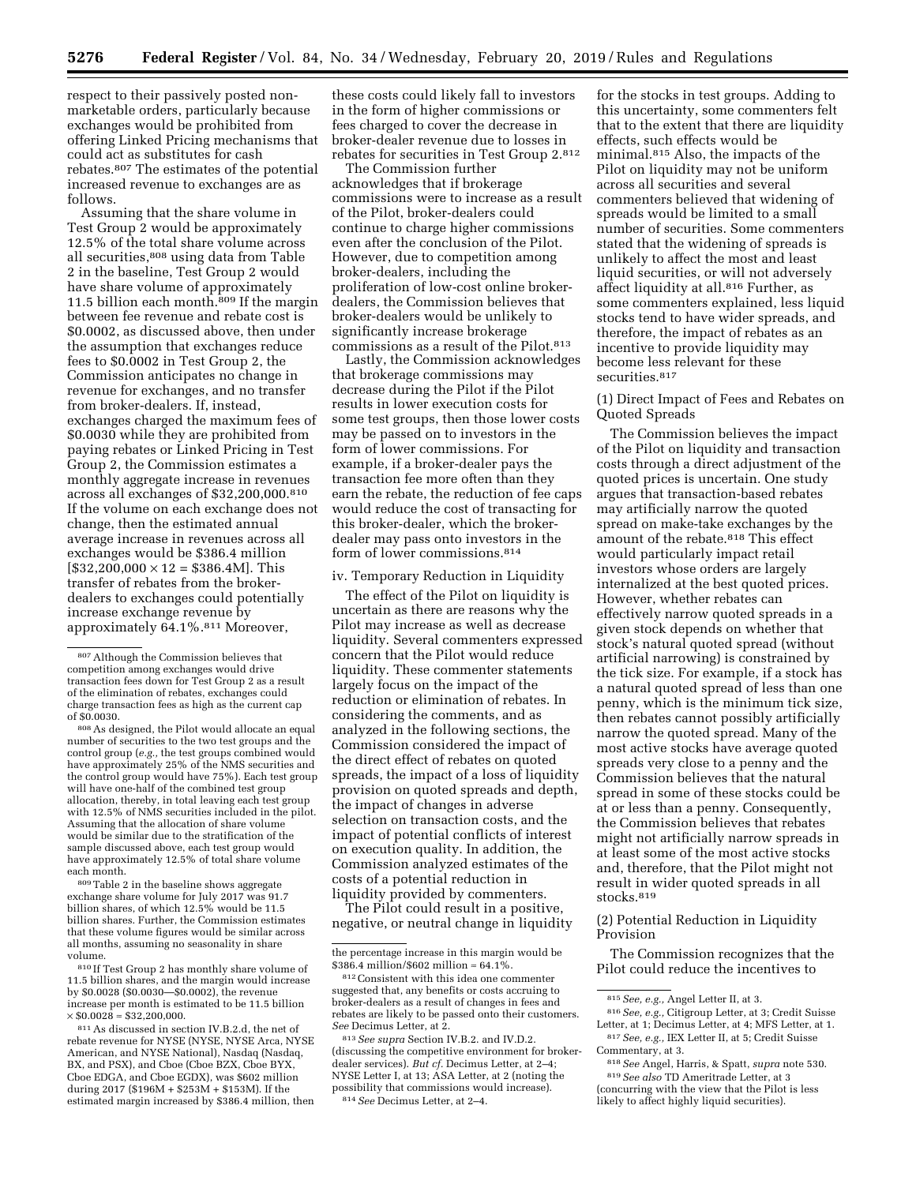respect to their passively posted nonmarketable orders, particularly because exchanges would be prohibited from offering Linked Pricing mechanisms that could act as substitutes for cash rebates.807 The estimates of the potential increased revenue to exchanges are as follows.

Assuming that the share volume in Test Group 2 would be approximately 12.5% of the total share volume across all securities,  $^{808}$  using data from Table 2 in the baseline, Test Group 2 would have share volume of approximately 11.5 billion each month.809 If the margin between fee revenue and rebate cost is \$0.0002, as discussed above, then under the assumption that exchanges reduce fees to \$0.0002 in Test Group 2, the Commission anticipates no change in revenue for exchanges, and no transfer from broker-dealers. If, instead, exchanges charged the maximum fees of \$0.0030 while they are prohibited from paying rebates or Linked Pricing in Test Group 2, the Commission estimates a monthly aggregate increase in revenues across all exchanges of \$32,200,000.810 If the volume on each exchange does not change, then the estimated annual average increase in revenues across all exchanges would be \$386.4 million  $[$32,200,000 \times 12 = $386.4M]$ . This transfer of rebates from the brokerdealers to exchanges could potentially increase exchange revenue by approximately 64.1%.811 Moreover,

808As designed, the Pilot would allocate an equal number of securities to the two test groups and the control group (*e.g.,* the test groups combined would have approximately 25% of the NMS securities and the control group would have 75%). Each test group will have one-half of the combined test group allocation, thereby, in total leaving each test group with 12.5% of NMS securities included in the pilot. Assuming that the allocation of share volume would be similar due to the stratification of the sample discussed above, each test group would have approximately 12.5% of total share volume each month.

809Table 2 in the baseline shows aggregate exchange share volume for July 2017 was 91.7 billion shares, of which 12.5% would be 11.5 billion shares. Further, the Commission estimates that these volume figures would be similar across all months, assuming no seasonality in share volume.

810 If Test Group 2 has monthly share volume of 11.5 billion shares, and the margin would increase by \$0.0028 (\$0.0030—\$0.0002), the revenue increase per month is estimated to be 11.5 billion  $\times$  \$0.0028  $\approx$  \$32,200,000.

811As discussed in section IV.B.2.d, the net of rebate revenue for NYSE (NYSE, NYSE Arca, NYSE American, and NYSE National), Nasdaq (Nasdaq, BX, and PSX), and Cboe (Cboe BZX, Cboe BYX, Cboe EDGA, and Cboe EGDX), was \$602 million during 2017 (\$196M + \$253M + \$153M). If the estimated margin increased by \$386.4 million, then

these costs could likely fall to investors in the form of higher commissions or fees charged to cover the decrease in broker-dealer revenue due to losses in rebates for securities in Test Group 2.812

The Commission further acknowledges that if brokerage commissions were to increase as a result of the Pilot, broker-dealers could continue to charge higher commissions even after the conclusion of the Pilot. However, due to competition among broker-dealers, including the proliferation of low-cost online brokerdealers, the Commission believes that broker-dealers would be unlikely to significantly increase brokerage commissions as a result of the Pilot.<sup>813</sup>

Lastly, the Commission acknowledges that brokerage commissions may decrease during the Pilot if the Pilot results in lower execution costs for some test groups, then those lower costs may be passed on to investors in the form of lower commissions. For example, if a broker-dealer pays the transaction fee more often than they earn the rebate, the reduction of fee caps would reduce the cost of transacting for this broker-dealer, which the brokerdealer may pass onto investors in the form of lower commissions.814

#### iv. Temporary Reduction in Liquidity

The effect of the Pilot on liquidity is uncertain as there are reasons why the Pilot may increase as well as decrease liquidity. Several commenters expressed concern that the Pilot would reduce liquidity. These commenter statements largely focus on the impact of the reduction or elimination of rebates. In considering the comments, and as analyzed in the following sections, the Commission considered the impact of the direct effect of rebates on quoted spreads, the impact of a loss of liquidity provision on quoted spreads and depth, the impact of changes in adverse selection on transaction costs, and the impact of potential conflicts of interest on execution quality. In addition, the Commission analyzed estimates of the costs of a potential reduction in liquidity provided by commenters.

The Pilot could result in a positive, negative, or neutral change in liquidity

813*See supra* Section IV.B.2. and IV.D.2. (discussing the competitive environment for brokerdealer services). *But cf.* Decimus Letter, at 2–4; NYSE Letter I, at 13; ASA Letter, at 2 (noting the possibility that commissions would increase). 814*See* Decimus Letter, at 2–4.

for the stocks in test groups. Adding to this uncertainty, some commenters felt that to the extent that there are liquidity effects, such effects would be minimal.815 Also, the impacts of the Pilot on liquidity may not be uniform across all securities and several commenters believed that widening of spreads would be limited to a small number of securities. Some commenters stated that the widening of spreads is unlikely to affect the most and least liquid securities, or will not adversely affect liquidity at all.816 Further, as some commenters explained, less liquid stocks tend to have wider spreads, and therefore, the impact of rebates as an incentive to provide liquidity may become less relevant for these securities.<sup>817</sup>

(1) Direct Impact of Fees and Rebates on Quoted Spreads

The Commission believes the impact of the Pilot on liquidity and transaction costs through a direct adjustment of the quoted prices is uncertain. One study argues that transaction-based rebates may artificially narrow the quoted spread on make-take exchanges by the amount of the rebate.818 This effect would particularly impact retail investors whose orders are largely internalized at the best quoted prices. However, whether rebates can effectively narrow quoted spreads in a given stock depends on whether that stock's natural quoted spread (without artificial narrowing) is constrained by the tick size. For example, if a stock has a natural quoted spread of less than one penny, which is the minimum tick size, then rebates cannot possibly artificially narrow the quoted spread. Many of the most active stocks have average quoted spreads very close to a penny and the Commission believes that the natural spread in some of these stocks could be at or less than a penny. Consequently, the Commission believes that rebates might not artificially narrow spreads in at least some of the most active stocks and, therefore, that the Pilot might not result in wider quoted spreads in all stocks.819

(2) Potential Reduction in Liquidity Provision

The Commission recognizes that the Pilot could reduce the incentives to

816*See, e.g.,* Citigroup Letter, at 3; Credit Suisse Letter, at 1; Decimus Letter, at 4; MFS Letter, at 1.

818*See* Angel, Harris, & Spatt, *supra* note 530. 819*See also* TD Ameritrade Letter, at 3 (concurring with the view that the Pilot is less likely to affect highly liquid securities).

<sup>807</sup>Although the Commission believes that competition among exchanges would drive transaction fees down for Test Group 2 as a result of the elimination of rebates, exchanges could charge transaction fees as high as the current cap of \$0.0030.

the percentage increase in this margin would be \$386.4 million/\$602 million ≈ 64.1%

<sup>812</sup>Consistent with this idea one commenter suggested that, any benefits or costs accruing to broker-dealers as a result of changes in fees and rebates are likely to be passed onto their customers. *See* Decimus Letter, at 2.

<sup>815</sup>*See, e.g.,* Angel Letter II, at 3.

<sup>817</sup>*See, e.g.,* IEX Letter II, at 5; Credit Suisse Commentary, at 3.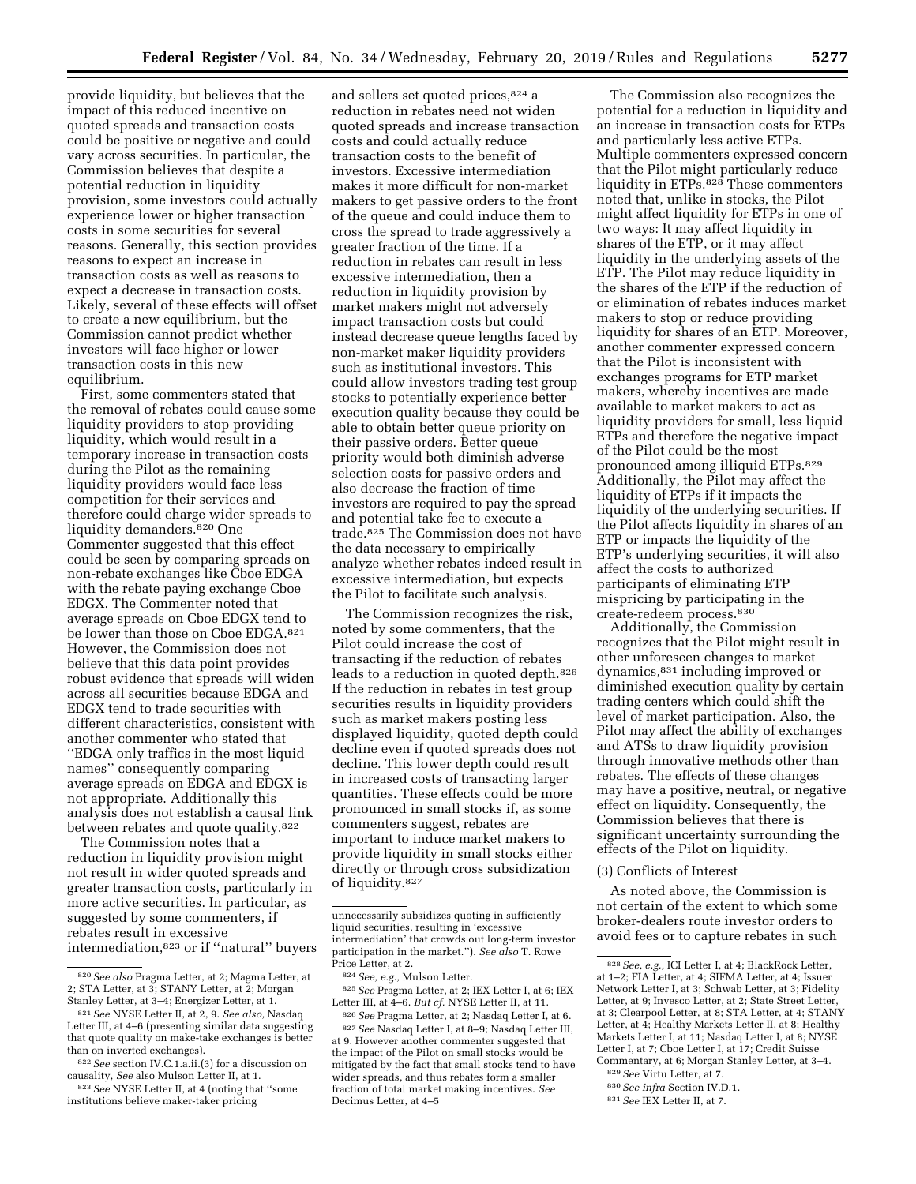provide liquidity, but believes that the impact of this reduced incentive on quoted spreads and transaction costs could be positive or negative and could vary across securities. In particular, the Commission believes that despite a potential reduction in liquidity provision, some investors could actually experience lower or higher transaction costs in some securities for several reasons. Generally, this section provides reasons to expect an increase in transaction costs as well as reasons to expect a decrease in transaction costs. Likely, several of these effects will offset to create a new equilibrium, but the Commission cannot predict whether investors will face higher or lower transaction costs in this new equilibrium.

First, some commenters stated that the removal of rebates could cause some liquidity providers to stop providing liquidity, which would result in a temporary increase in transaction costs during the Pilot as the remaining liquidity providers would face less competition for their services and therefore could charge wider spreads to liquidity demanders.<sup>820</sup> One Commenter suggested that this effect could be seen by comparing spreads on non-rebate exchanges like Cboe EDGA with the rebate paying exchange Cboe EDGX. The Commenter noted that average spreads on Cboe EDGX tend to be lower than those on Cboe EDGA.821 However, the Commission does not believe that this data point provides robust evidence that spreads will widen across all securities because EDGA and EDGX tend to trade securities with different characteristics, consistent with another commenter who stated that ''EDGA only traffics in the most liquid names'' consequently comparing average spreads on EDGA and EDGX is not appropriate. Additionally this analysis does not establish a causal link between rebates and quote quality.822

The Commission notes that a reduction in liquidity provision might not result in wider quoted spreads and greater transaction costs, particularly in more active securities. In particular, as suggested by some commenters, if rebates result in excessive intermediation,823 or if ''natural'' buyers

and sellers set quoted prices,824 a reduction in rebates need not widen quoted spreads and increase transaction costs and could actually reduce transaction costs to the benefit of investors. Excessive intermediation makes it more difficult for non-market makers to get passive orders to the front of the queue and could induce them to cross the spread to trade aggressively a greater fraction of the time. If a reduction in rebates can result in less excessive intermediation, then a reduction in liquidity provision by market makers might not adversely impact transaction costs but could instead decrease queue lengths faced by non-market maker liquidity providers such as institutional investors. This could allow investors trading test group stocks to potentially experience better execution quality because they could be able to obtain better queue priority on their passive orders. Better queue priority would both diminish adverse selection costs for passive orders and also decrease the fraction of time investors are required to pay the spread and potential take fee to execute a trade.825 The Commission does not have the data necessary to empirically analyze whether rebates indeed result in excessive intermediation, but expects the Pilot to facilitate such analysis.

The Commission recognizes the risk, noted by some commenters, that the Pilot could increase the cost of transacting if the reduction of rebates leads to a reduction in quoted depth.826 If the reduction in rebates in test group securities results in liquidity providers such as market makers posting less displayed liquidity, quoted depth could decline even if quoted spreads does not decline. This lower depth could result in increased costs of transacting larger quantities. These effects could be more pronounced in small stocks if, as some commenters suggest, rebates are important to induce market makers to provide liquidity in small stocks either directly or through cross subsidization of liquidity.827

The Commission also recognizes the potential for a reduction in liquidity and an increase in transaction costs for ETPs and particularly less active ETPs. Multiple commenters expressed concern that the Pilot might particularly reduce liquidity in ETPs.<sup>828</sup> These commenters noted that, unlike in stocks, the Pilot might affect liquidity for ETPs in one of two ways: It may affect liquidity in shares of the ETP, or it may affect liquidity in the underlying assets of the ETP. The Pilot may reduce liquidity in the shares of the ETP if the reduction of or elimination of rebates induces market makers to stop or reduce providing liquidity for shares of an ETP. Moreover, another commenter expressed concern that the Pilot is inconsistent with exchanges programs for ETP market makers, whereby incentives are made available to market makers to act as liquidity providers for small, less liquid ETPs and therefore the negative impact of the Pilot could be the most pronounced among illiquid ETPs.829 Additionally, the Pilot may affect the liquidity of ETPs if it impacts the liquidity of the underlying securities. If the Pilot affects liquidity in shares of an ETP or impacts the liquidity of the ETP's underlying securities, it will also affect the costs to authorized participants of eliminating ETP mispricing by participating in the create-redeem process.830

Additionally, the Commission recognizes that the Pilot might result in other unforeseen changes to market dynamics,831 including improved or diminished execution quality by certain trading centers which could shift the level of market participation. Also, the Pilot may affect the ability of exchanges and ATSs to draw liquidity provision through innovative methods other than rebates. The effects of these changes may have a positive, neutral, or negative effect on liquidity. Consequently, the Commission believes that there is significant uncertainty surrounding the effects of the Pilot on liquidity.

#### (3) Conflicts of Interest

As noted above, the Commission is not certain of the extent to which some broker-dealers route investor orders to avoid fees or to capture rebates in such

829*See* Virtu Letter, at 7.

<sup>820</sup>*See also* Pragma Letter, at 2; Magma Letter, at 2; STA Letter, at 3; STANY Letter, at 2; Morgan Stanley Letter, at 3–4; Energizer Letter, at 1.

<sup>821</sup>*See* NYSE Letter II, at 2, 9. *See also,* Nasdaq Letter III, at 4–6 (presenting similar data suggesting that quote quality on make-take exchanges is better than on inverted exchanges).

<sup>822</sup>*See* section IV.C.1.a.ii.(3) for a discussion on causality, *See* also Mulson Letter II, at 1.

<sup>823</sup>*See* NYSE Letter II, at 4 (noting that ''some institutions believe maker-taker pricing

unnecessarily subsidizes quoting in sufficiently liquid securities, resulting in 'excessive intermediation' that crowds out long-term investor participation in the market.''). *See also* T. Rowe Price Letter, at 2.

<sup>824</sup>*See, e.g.,* Mulson Letter.

<sup>825</sup>*See* Pragma Letter, at 2; IEX Letter I, at 6; IEX Letter III, at 4–6. *But cf.* NYSE Letter II, at 11. 826*See* Pragma Letter, at 2; Nasdaq Letter I, at 6.

<sup>827</sup>*See* Nasdaq Letter I, at 8–9; Nasdaq Letter III, at 9. However another commenter suggested that the impact of the Pilot on small stocks would be mitigated by the fact that small stocks tend to have wider spreads, and thus rebates form a smaller fraction of total market making incentives. *See*  Decimus Letter, at 4–5

<sup>828</sup>*See, e.g.,* ICI Letter I, at 4; BlackRock Letter, at 1–2; FIA Letter, at 4; SIFMA Letter, at 4; Issuer Network Letter I, at 3; Schwab Letter, at 3; Fidelity Letter, at 9; Invesco Letter, at 2; State Street Letter, at 3; Clearpool Letter, at 8; STA Letter, at 4; STANY Letter, at 4; Healthy Markets Letter II, at 8; Healthy Markets Letter I, at 11; Nasdaq Letter I, at 8; NYSE Letter I, at 7; Cboe Letter I, at 17; Credit Suisse Commentary, at 6; Morgan Stanley Letter, at 3–4.

<sup>830</sup>*See infra* Section IV.D.1.

<sup>831</sup>*See* IEX Letter II, at 7.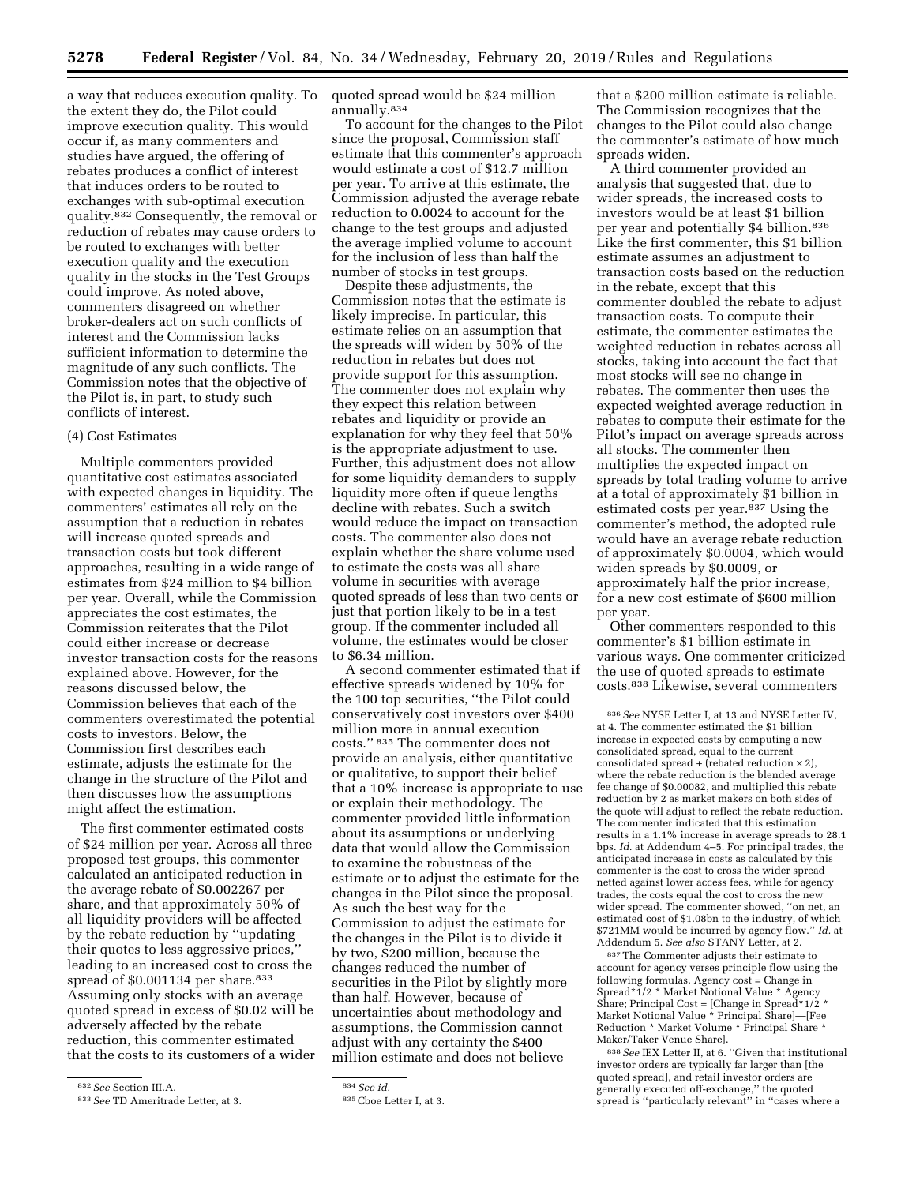a way that reduces execution quality. To the extent they do, the Pilot could improve execution quality. This would occur if, as many commenters and studies have argued, the offering of rebates produces a conflict of interest that induces orders to be routed to exchanges with sub-optimal execution quality.832 Consequently, the removal or reduction of rebates may cause orders to be routed to exchanges with better execution quality and the execution quality in the stocks in the Test Groups could improve. As noted above, commenters disagreed on whether broker-dealers act on such conflicts of interest and the Commission lacks sufficient information to determine the magnitude of any such conflicts. The Commission notes that the objective of the Pilot is, in part, to study such conflicts of interest.

## (4) Cost Estimates

Multiple commenters provided quantitative cost estimates associated with expected changes in liquidity. The commenters' estimates all rely on the assumption that a reduction in rebates will increase quoted spreads and transaction costs but took different approaches, resulting in a wide range of estimates from \$24 million to \$4 billion per year. Overall, while the Commission appreciates the cost estimates, the Commission reiterates that the Pilot could either increase or decrease investor transaction costs for the reasons explained above. However, for the reasons discussed below, the Commission believes that each of the commenters overestimated the potential costs to investors. Below, the Commission first describes each estimate, adjusts the estimate for the change in the structure of the Pilot and then discusses how the assumptions might affect the estimation.

The first commenter estimated costs of \$24 million per year. Across all three proposed test groups, this commenter calculated an anticipated reduction in the average rebate of \$0.002267 per share, and that approximately 50% of all liquidity providers will be affected by the rebate reduction by ''updating their quotes to less aggressive prices,'' leading to an increased cost to cross the spread of \$0.001134 per share.<sup>833</sup> Assuming only stocks with an average quoted spread in excess of \$0.02 will be adversely affected by the rebate reduction, this commenter estimated that the costs to its customers of a wider quoted spread would be \$24 million annually.834

To account for the changes to the Pilot since the proposal, Commission staff estimate that this commenter's approach would estimate a cost of \$12.7 million per year. To arrive at this estimate, the Commission adjusted the average rebate reduction to 0.0024 to account for the change to the test groups and adjusted the average implied volume to account for the inclusion of less than half the number of stocks in test groups.

Despite these adjustments, the Commission notes that the estimate is likely imprecise. In particular, this estimate relies on an assumption that the spreads will widen by 50% of the reduction in rebates but does not provide support for this assumption. The commenter does not explain why they expect this relation between rebates and liquidity or provide an explanation for why they feel that 50% is the appropriate adjustment to use. Further, this adjustment does not allow for some liquidity demanders to supply liquidity more often if queue lengths decline with rebates. Such a switch would reduce the impact on transaction costs. The commenter also does not explain whether the share volume used to estimate the costs was all share volume in securities with average quoted spreads of less than two cents or just that portion likely to be in a test group. If the commenter included all volume, the estimates would be closer to \$6.34 million.

A second commenter estimated that if effective spreads widened by 10% for the 100 top securities, ''the Pilot could conservatively cost investors over \$400 million more in annual execution costs.'' 835 The commenter does not provide an analysis, either quantitative or qualitative, to support their belief that a 10% increase is appropriate to use or explain their methodology. The commenter provided little information about its assumptions or underlying data that would allow the Commission to examine the robustness of the estimate or to adjust the estimate for the changes in the Pilot since the proposal. As such the best way for the Commission to adjust the estimate for the changes in the Pilot is to divide it by two, \$200 million, because the changes reduced the number of securities in the Pilot by slightly more than half. However, because of uncertainties about methodology and assumptions, the Commission cannot adjust with any certainty the \$400 million estimate and does not believe

834*See id.* 

that a \$200 million estimate is reliable. The Commission recognizes that the changes to the Pilot could also change the commenter's estimate of how much spreads widen.

A third commenter provided an analysis that suggested that, due to wider spreads, the increased costs to investors would be at least \$1 billion per year and potentially \$4 billion.836 Like the first commenter, this \$1 billion estimate assumes an adjustment to transaction costs based on the reduction in the rebate, except that this commenter doubled the rebate to adjust transaction costs. To compute their estimate, the commenter estimates the weighted reduction in rebates across all stocks, taking into account the fact that most stocks will see no change in rebates. The commenter then uses the expected weighted average reduction in rebates to compute their estimate for the Pilot's impact on average spreads across all stocks. The commenter then multiplies the expected impact on spreads by total trading volume to arrive at a total of approximately \$1 billion in estimated costs per year.<sup>837</sup> Using the commenter's method, the adopted rule would have an average rebate reduction of approximately \$0.0004, which would widen spreads by \$0.0009, or approximately half the prior increase, for a new cost estimate of \$600 million per year.

Other commenters responded to this commenter's \$1 billion estimate in various ways. One commenter criticized the use of quoted spreads to estimate costs.838 Likewise, several commenters

837The Commenter adjusts their estimate to account for agency verses principle flow using the following formulas. Agency cost = Change in Spread\*1/2 \* Market Notional Value \* Agency Share; Principal Cost = [Change in Spread\*1/2 \* Market Notional Value \* Principal Share]—[Fee Reduction \* Market Volume \* Principal Share \* Maker/Taker Venue Share].

838*See* IEX Letter II, at 6. ''Given that institutional investor orders are typically far larger than [the quoted spread], and retail investor orders are generally executed off-exchange,'' the quoted spread is ''particularly relevant'' in ''cases where a

<sup>832</sup>*See* Section III.A.

<sup>833</sup>*See* TD Ameritrade Letter, at 3.

<sup>835</sup>Cboe Letter I, at 3.

<sup>836</sup>*See* NYSE Letter I, at 13 and NYSE Letter IV, at 4. The commenter estimated the \$1 billion increase in expected costs by computing a new consolidated spread, equal to the current consolidated spread + (rebated reduction  $\times$  2), where the rebate reduction is the blended average fee change of \$0.00082, and multiplied this rebate reduction by 2 as market makers on both sides of the quote will adjust to reflect the rebate reduction. The commenter indicated that this estimation results in a 1.1% increase in average spreads to 28.1 bps. *Id.* at Addendum 4–5. For principal trades, the anticipated increase in costs as calculated by this commenter is the cost to cross the wider spread netted against lower access fees, while for agency trades, the costs equal the cost to cross the new wider spread. The commenter showed, ''on net, an estimated cost of \$1.08bn to the industry, of which \$721MM would be incurred by agency flow.'' *Id.* at Addendum 5. *See also* STANY Letter, at 2.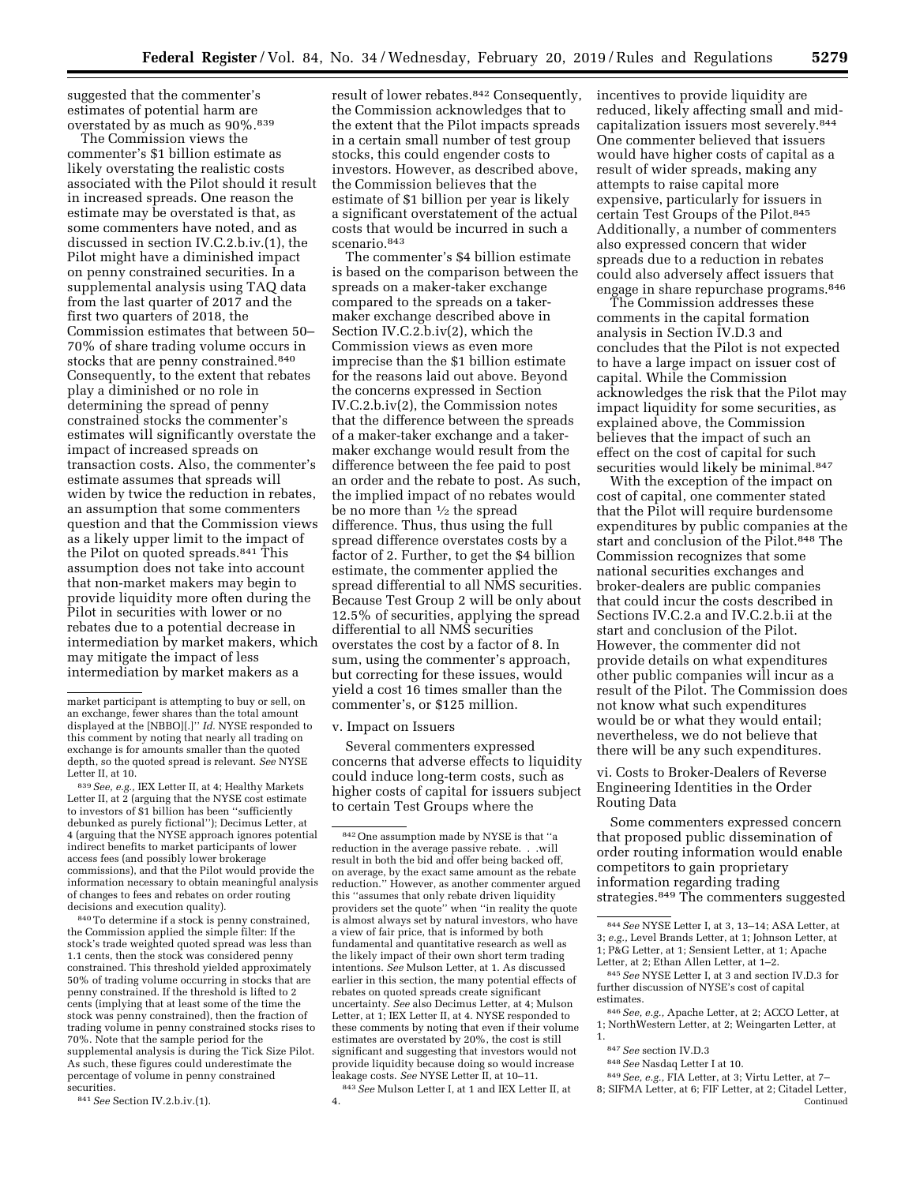suggested that the commenter's estimates of potential harm are overstated by as much as 90%.839

The Commission views the commenter's \$1 billion estimate as likely overstating the realistic costs associated with the Pilot should it result in increased spreads. One reason the estimate may be overstated is that, as some commenters have noted, and as discussed in section IV.C.2.b.iv.(1), the Pilot might have a diminished impact on penny constrained securities. In a supplemental analysis using TAQ data from the last quarter of 2017 and the first two quarters of 2018, the Commission estimates that between 50– 70% of share trading volume occurs in stocks that are penny constrained.840 Consequently, to the extent that rebates play a diminished or no role in determining the spread of penny constrained stocks the commenter's estimates will significantly overstate the impact of increased spreads on transaction costs. Also, the commenter's estimate assumes that spreads will widen by twice the reduction in rebates, an assumption that some commenters question and that the Commission views as a likely upper limit to the impact of the Pilot on quoted spreads.841 This assumption does not take into account that non-market makers may begin to provide liquidity more often during the Pilot in securities with lower or no rebates due to a potential decrease in intermediation by market makers, which may mitigate the impact of less intermediation by market makers as a

839*See, e.g.,* IEX Letter II, at 4; Healthy Markets Letter II, at 2 (arguing that the NYSE cost estimate to investors of \$1 billion has been ''sufficiently debunked as purely fictional''); Decimus Letter, at 4 (arguing that the NYSE approach ignores potential indirect benefits to market participants of lower access fees (and possibly lower brokerage commissions), and that the Pilot would provide the information necessary to obtain meaningful analysis of changes to fees and rebates on order routing decisions and execution quality).

840To determine if a stock is penny constrained, the Commission applied the simple filter: If the stock's trade weighted quoted spread was less than 1.1 cents, then the stock was considered penny constrained. This threshold yielded approximately 50% of trading volume occurring in stocks that are penny constrained. If the threshold is lifted to 2 cents (implying that at least some of the time the stock was penny constrained), then the fraction of trading volume in penny constrained stocks rises to 70%. Note that the sample period for the supplemental analysis is during the Tick Size Pilot. As such, these figures could underestimate the percentage of volume in penny constrained securities.

841*See* Section IV.2.b.iv.(1).

result of lower rebates.<sup>842</sup> Consequently, the Commission acknowledges that to the extent that the Pilot impacts spreads in a certain small number of test group stocks, this could engender costs to investors. However, as described above, the Commission believes that the estimate of \$1 billion per year is likely a significant overstatement of the actual costs that would be incurred in such a scenario. 843

The commenter's \$4 billion estimate is based on the comparison between the spreads on a maker-taker exchange compared to the spreads on a takermaker exchange described above in Section IV.C.2.b.iv(2), which the Commission views as even more imprecise than the \$1 billion estimate for the reasons laid out above. Beyond the concerns expressed in Section IV.C.2.b.iv(2), the Commission notes that the difference between the spreads of a maker-taker exchange and a takermaker exchange would result from the difference between the fee paid to post an order and the rebate to post. As such, the implied impact of no rebates would be no more than 1⁄2 the spread difference. Thus, thus using the full spread difference overstates costs by a factor of 2. Further, to get the \$4 billion estimate, the commenter applied the spread differential to all NMS securities. Because Test Group 2 will be only about 12.5% of securities, applying the spread differential to all NMS securities overstates the cost by a factor of 8. In sum, using the commenter's approach, but correcting for these issues, would yield a cost 16 times smaller than the commenter's, or \$125 million.

#### v. Impact on Issuers

Several commenters expressed concerns that adverse effects to liquidity could induce long-term costs, such as higher costs of capital for issuers subject to certain Test Groups where the

842One assumption made by NYSE is that ''a reduction in the average passive rebate. . .will result in both the bid and offer being backed off, on average, by the exact same amount as the rebate reduction.'' However, as another commenter argued this ''assumes that only rebate driven liquidity providers set the quote'' when ''in reality the quote is almost always set by natural investors, who have a view of fair price, that is informed by both fundamental and quantitative research as well as the likely impact of their own short term trading intentions. *See* Mulson Letter, at 1. As discussed earlier in this section, the many potential effects of rebates on quoted spreads create significant uncertainty. *See* also Decimus Letter, at 4; Mulson Letter, at 1; IEX Letter II, at 4. NYSE responded to these comments by noting that even if their volume estimates are overstated by 20%, the cost is still significant and suggesting that investors would not provide liquidity because doing so would increase leakage costs. *See* NYSE Letter II, at 10–11.

843*See* Mulson Letter I, at 1 and IEX Letter II, at 4.

incentives to provide liquidity are reduced, likely affecting small and midcapitalization issuers most severely.844 One commenter believed that issuers would have higher costs of capital as a result of wider spreads, making any attempts to raise capital more expensive, particularly for issuers in certain Test Groups of the Pilot.845 Additionally, a number of commenters also expressed concern that wider spreads due to a reduction in rebates could also adversely affect issuers that engage in share repurchase programs.846

The Commission addresses these comments in the capital formation analysis in Section IV.D.3 and concludes that the Pilot is not expected to have a large impact on issuer cost of capital. While the Commission acknowledges the risk that the Pilot may impact liquidity for some securities, as explained above, the Commission believes that the impact of such an effect on the cost of capital for such securities would likely be minimal.<sup>847</sup>

With the exception of the impact on cost of capital, one commenter stated that the Pilot will require burdensome expenditures by public companies at the start and conclusion of the Pilot.848 The Commission recognizes that some national securities exchanges and broker-dealers are public companies that could incur the costs described in Sections IV.C.2.a and IV.C.2.b.ii at the start and conclusion of the Pilot. However, the commenter did not provide details on what expenditures other public companies will incur as a result of the Pilot. The Commission does not know what such expenditures would be or what they would entail; nevertheless, we do not believe that there will be any such expenditures.

vi. Costs to Broker-Dealers of Reverse Engineering Identities in the Order Routing Data

Some commenters expressed concern that proposed public dissemination of order routing information would enable competitors to gain proprietary information regarding trading strategies.849 The commenters suggested

845*See* NYSE Letter I, at 3 and section IV.D.3 for further discussion of NYSE's cost of capital estimates.

846*See, e.g.,* Apache Letter, at 2; ACCO Letter, at 1; NorthWestern Letter, at 2; Weingarten Letter, at 1.

848*See* Nasdaq Letter I at 10.

market participant is attempting to buy or sell, on an exchange, fewer shares than the total amount displayed at the [NBBO][.]'' *Id.* NYSE responded to this comment by noting that nearly all trading on exchange is for amounts smaller than the quoted depth, so the quoted spread is relevant. *See* NYSE Letter II, at 10.

<sup>844</sup>*See* NYSE Letter I, at 3, 13–14; ASA Letter, at 3; *e.g.,* Level Brands Letter, at 1; Johnson Letter, at 1; P&G Letter, at 1; Sensient Letter, at 1; Apache Letter, at 2; Ethan Allen Letter, at 1–2.

<sup>847</sup>*See* section IV.D.3

<sup>849</sup>*See, e.g.,* FIA Letter, at 3; Virtu Letter, at 7–

<sup>8;</sup> SIFMA Letter, at 6; FIF Letter, at 2; Citadel Letter, Continued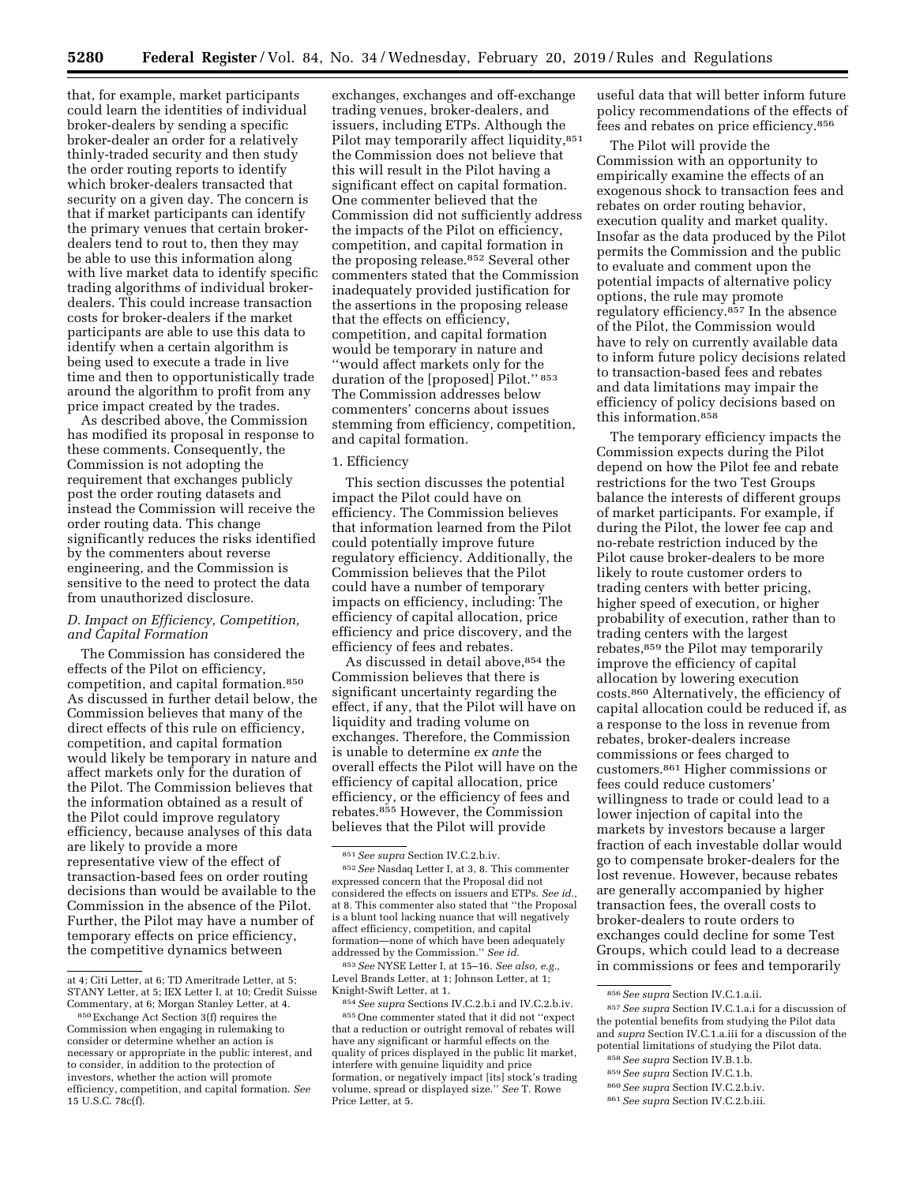that, for example, market participants could learn the identities of individual broker-dealers by sending a specific broker-dealer an order for a relatively thinly-traded security and then study the order routing reports to identify which broker-dealers transacted that security on a given day. The concern is that if market participants can identify the primary venues that certain brokerdealers tend to rout to, then they may be able to use this information along with live market data to identify specific trading algorithms of individual brokerdealers. This could increase transaction costs for broker-dealers if the market participants are able to use this data to identify when a certain algorithm is being used to execute a trade in live time and then to opportunistically trade around the algorithm to profit from any price impact created by the trades.

As described above, the Commission has modified its proposal in response to these comments. Consequently, the Commission is not adopting the requirement that exchanges publicly post the order routing datasets and instead the Commission will receive the order routing data. This change significantly reduces the risks identified by the commenters about reverse engineering, and the Commission is sensitive to the need to protect the data from unauthorized disclosure.

# *D. Impact on Efficiency, Competition, and Capital Formation*

The Commission has considered the effects of the Pilot on efficiency, competition, and capital formation.850 As discussed in further detail below, the Commission believes that many of the direct effects of this rule on efficiency, competition, and capital formation would likely be temporary in nature and affect markets only for the duration of the Pilot. The Commission believes that the information obtained as a result of the Pilot could improve regulatory efficiency, because analyses of this data are likely to provide a more representative view of the effect of transaction-based fees on order routing decisions than would be available to the Commission in the absence of the Pilot. Further, the Pilot may have a number of temporary effects on price efficiency, the competitive dynamics between

exchanges, exchanges and off-exchange trading venues, broker-dealers, and issuers, including ETPs. Although the Pilot may temporarily affect liquidity, 851 the Commission does not believe that this will result in the Pilot having a significant effect on capital formation. One commenter believed that the Commission did not sufficiently address the impacts of the Pilot on efficiency, competition, and capital formation in the proposing release.852 Several other commenters stated that the Commission inadequately provided justification for the assertions in the proposing release that the effects on efficiency, competition, and capital formation would be temporary in nature and ''would affect markets only for the duration of the [proposed] Pilot.'' 853 The Commission addresses below commenters' concerns about issues stemming from efficiency, competition, and capital formation.

#### 1. Efficiency

This section discusses the potential impact the Pilot could have on efficiency. The Commission believes that information learned from the Pilot could potentially improve future regulatory efficiency. Additionally, the Commission believes that the Pilot could have a number of temporary impacts on efficiency, including: The efficiency of capital allocation, price efficiency and price discovery, and the efficiency of fees and rebates.

As discussed in detail above, 854 the Commission believes that there is significant uncertainty regarding the effect, if any, that the Pilot will have on liquidity and trading volume on exchanges. Therefore, the Commission is unable to determine *ex ante* the overall effects the Pilot will have on the efficiency of capital allocation, price efficiency, or the efficiency of fees and rebates.855 However, the Commission believes that the Pilot will provide

853*See* NYSE Letter I, at 15–16. *See also, e.g.,*  Level Brands Letter, at 1; Johnson Letter, at 1; Knight-Swift Letter, at 1.

854*See supra* Sections IV.C.2.b.i and IV.C.2.b.iv. 855One commenter stated that it did not ''expect that a reduction or outright removal of rebates will have any significant or harmful effects on the quality of prices displayed in the public lit market, interfere with genuine liquidity and price formation, or negatively impact [its] stock's trading volume, spread or displayed size.'' *See* T. Rowe Price Letter, at 5.

useful data that will better inform future policy recommendations of the effects of fees and rebates on price efficiency.856

The Pilot will provide the Commission with an opportunity to empirically examine the effects of an exogenous shock to transaction fees and rebates on order routing behavior, execution quality and market quality. Insofar as the data produced by the Pilot permits the Commission and the public to evaluate and comment upon the potential impacts of alternative policy options, the rule may promote regulatory efficiency.857 In the absence of the Pilot, the Commission would have to rely on currently available data to inform future policy decisions related to transaction-based fees and rebates and data limitations may impair the efficiency of policy decisions based on this information.858

The temporary efficiency impacts the Commission expects during the Pilot depend on how the Pilot fee and rebate restrictions for the two Test Groups balance the interests of different groups of market participants. For example, if during the Pilot, the lower fee cap and no-rebate restriction induced by the Pilot cause broker-dealers to be more likely to route customer orders to trading centers with better pricing, higher speed of execution, or higher probability of execution, rather than to trading centers with the largest rebates,859 the Pilot may temporarily improve the efficiency of capital allocation by lowering execution costs.860 Alternatively, the efficiency of capital allocation could be reduced if, as a response to the loss in revenue from rebates, broker-dealers increase commissions or fees charged to customers.861 Higher commissions or fees could reduce customers' willingness to trade or could lead to a lower injection of capital into the markets by investors because a larger fraction of each investable dollar would go to compensate broker-dealers for the lost revenue. However, because rebates are generally accompanied by higher transaction fees, the overall costs to broker-dealers to route orders to exchanges could decline for some Test Groups, which could lead to a decrease in commissions or fees and temporarily

858*See supra* Section IV.B.1.b. 859*See supra* Section IV.C.1.b.

at 4; Citi Letter, at 6; TD Ameritrade Letter, at 5; STANY Letter, at 5; IEX Letter I, at 10; Credit Suisse Commentary, at 6; Morgan Stanley Letter, at 4.

<sup>850</sup>Exchange Act Section 3(f) requires the Commission when engaging in rulemaking to consider or determine whether an action is necessary or appropriate in the public interest, and to consider, in addition to the protection of investors, whether the action will promote efficiency, competition, and capital formation. *See*  15 U.S.C. 78c(f).

<sup>851</sup>*See supra* Section IV.C.2.b.iv.

<sup>852</sup>*See* Nasdaq Letter I, at 3, 8. This commenter expressed concern that the Proposal did not considered the effects on issuers and ETPs. *See id.,*  at 8. This commenter also stated that ''the Proposal is a blunt tool lacking nuance that will negatively affect efficiency, competition, and capital formation—none of which have been adequately addressed by the Commission.'' *See id.* 

<sup>856</sup>*See supra* Section IV.C.1.a.ii.

<sup>857</sup>*See supra* Section IV.C.1.a.i for a discussion of the potential benefits from studying the Pilot data and *supra* Section IV.C.1.a.iii for a discussion of the potential limitations of studying the Pilot data.

<sup>860</sup>*See supra* Section IV.C.2.b.iv. 861*See supra* Section IV.C.2.b.iii.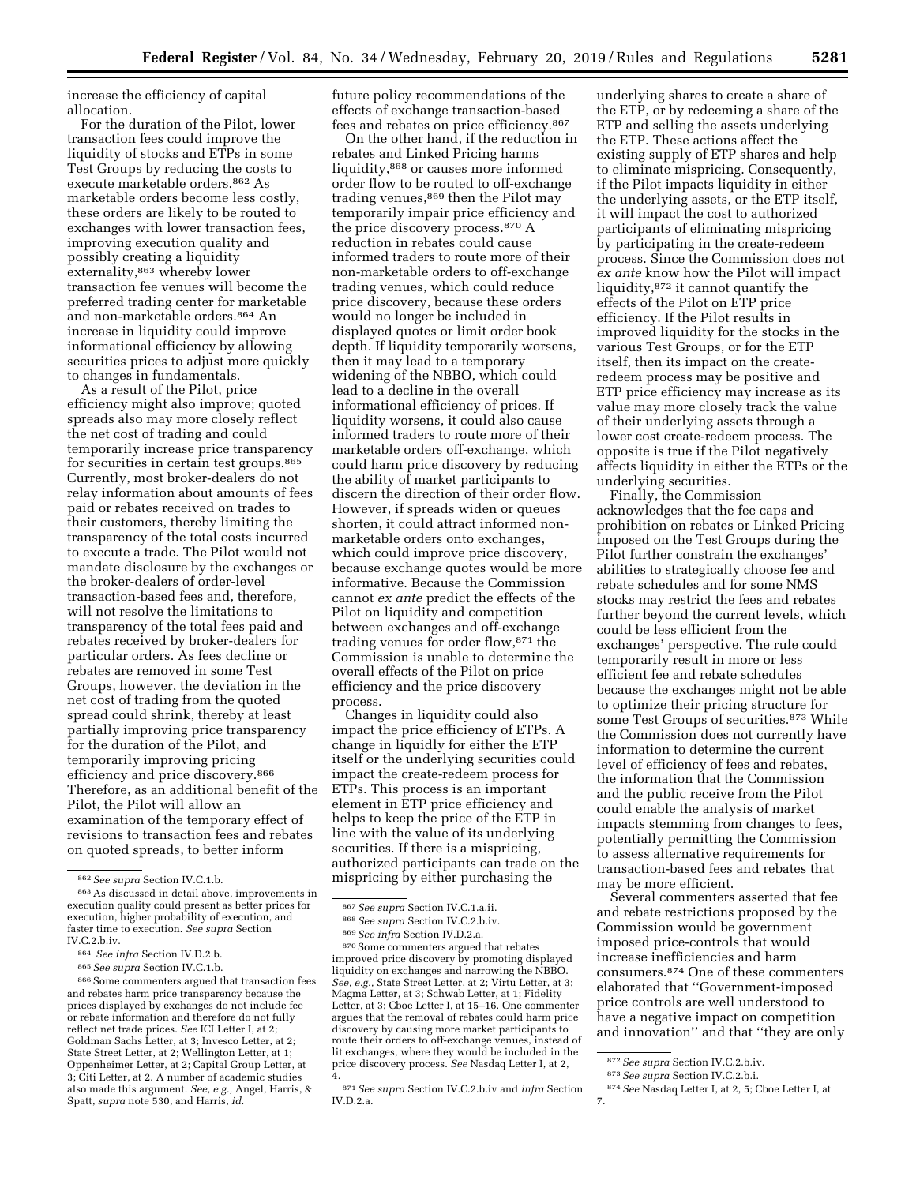increase the efficiency of capital allocation.

For the duration of the Pilot, lower transaction fees could improve the liquidity of stocks and ETPs in some Test Groups by reducing the costs to execute marketable orders.862 As marketable orders become less costly, these orders are likely to be routed to exchanges with lower transaction fees, improving execution quality and possibly creating a liquidity externality,863 whereby lower transaction fee venues will become the preferred trading center for marketable and non-marketable orders.864 An increase in liquidity could improve informational efficiency by allowing securities prices to adjust more quickly to changes in fundamentals.

As a result of the Pilot, price efficiency might also improve; quoted spreads also may more closely reflect the net cost of trading and could temporarily increase price transparency for securities in certain test groups.865 Currently, most broker-dealers do not relay information about amounts of fees paid or rebates received on trades to their customers, thereby limiting the transparency of the total costs incurred to execute a trade. The Pilot would not mandate disclosure by the exchanges or the broker-dealers of order-level transaction-based fees and, therefore, will not resolve the limitations to transparency of the total fees paid and rebates received by broker-dealers for particular orders. As fees decline or rebates are removed in some Test Groups, however, the deviation in the net cost of trading from the quoted spread could shrink, thereby at least partially improving price transparency for the duration of the Pilot, and temporarily improving pricing efficiency and price discovery.866 Therefore, as an additional benefit of the Pilot, the Pilot will allow an examination of the temporary effect of revisions to transaction fees and rebates on quoted spreads, to better inform

future policy recommendations of the effects of exchange transaction-based fees and rebates on price efficiency.867

On the other hand, if the reduction in rebates and Linked Pricing harms liquidity,868 or causes more informed order flow to be routed to off-exchange trading venues,<sup>869</sup> then the Pilot may temporarily impair price efficiency and the price discovery process.870 A reduction in rebates could cause informed traders to route more of their non-marketable orders to off-exchange trading venues, which could reduce price discovery, because these orders would no longer be included in displayed quotes or limit order book depth. If liquidity temporarily worsens, then it may lead to a temporary widening of the NBBO, which could lead to a decline in the overall informational efficiency of prices. If liquidity worsens, it could also cause informed traders to route more of their marketable orders off-exchange, which could harm price discovery by reducing the ability of market participants to discern the direction of their order flow. However, if spreads widen or queues shorten, it could attract informed nonmarketable orders onto exchanges, which could improve price discovery, because exchange quotes would be more informative. Because the Commission cannot *ex ante* predict the effects of the Pilot on liquidity and competition between exchanges and off-exchange trading venues for order flow,871 the Commission is unable to determine the overall effects of the Pilot on price efficiency and the price discovery process.

Changes in liquidity could also impact the price efficiency of ETPs. A change in liquidly for either the ETP itself or the underlying securities could impact the create-redeem process for ETPs. This process is an important element in ETP price efficiency and helps to keep the price of the ETP in line with the value of its underlying securities. If there is a mispricing, authorized participants can trade on the mispricing by either purchasing the

underlying shares to create a share of the ETP, or by redeeming a share of the ETP and selling the assets underlying the ETP. These actions affect the existing supply of ETP shares and help to eliminate mispricing. Consequently, if the Pilot impacts liquidity in either the underlying assets, or the ETP itself, it will impact the cost to authorized participants of eliminating mispricing by participating in the create-redeem process. Since the Commission does not *ex ante* know how the Pilot will impact liquidity,872 it cannot quantify the effects of the Pilot on ETP price efficiency. If the Pilot results in improved liquidity for the stocks in the various Test Groups, or for the ETP itself, then its impact on the createredeem process may be positive and ETP price efficiency may increase as its value may more closely track the value of their underlying assets through a lower cost create-redeem process. The opposite is true if the Pilot negatively affects liquidity in either the ETPs or the underlying securities.

Finally, the Commission acknowledges that the fee caps and prohibition on rebates or Linked Pricing imposed on the Test Groups during the Pilot further constrain the exchanges' abilities to strategically choose fee and rebate schedules and for some NMS stocks may restrict the fees and rebates further beyond the current levels, which could be less efficient from the exchanges' perspective. The rule could temporarily result in more or less efficient fee and rebate schedules because the exchanges might not be able to optimize their pricing structure for some Test Groups of securities.873 While the Commission does not currently have information to determine the current level of efficiency of fees and rebates, the information that the Commission and the public receive from the Pilot could enable the analysis of market impacts stemming from changes to fees, potentially permitting the Commission to assess alternative requirements for transaction-based fees and rebates that may be more efficient.

Several commenters asserted that fee and rebate restrictions proposed by the Commission would be government imposed price-controls that would increase inefficiencies and harm consumers.874 One of these commenters elaborated that ''Government-imposed price controls are well understood to have a negative impact on competition and innovation'' and that ''they are only

<sup>862</sup>*See supra* Section IV.C.1.b.

<sup>863</sup>As discussed in detail above, improvements in execution quality could present as better prices for execution, higher probability of execution, and faster time to execution. *See supra* Section IV.C.2.b.iv.

<sup>864</sup> *See infra* Section IV.D.2.b.

<sup>865</sup>*See supra* Section IV.C.1.b. 866Some commenters argued that transaction fees and rebates harm price transparency because the prices displayed by exchanges do not include fee or rebate information and therefore do not fully reflect net trade prices. *See* ICI Letter I, at 2; Goldman Sachs Letter, at 3; Invesco Letter, at 2; State Street Letter, at 2; Wellington Letter, at 1; Oppenheimer Letter, at 2; Capital Group Letter, at 3; Citi Letter, at 2. A number of academic studies also made this argument. *See, e.g.,* Angel, Harris, & Spatt, *supra* note 530, and Harris, *id.* 

<sup>&</sup>lt;sup>867</sup> See supra Section IV.C.1.a.ii.<br><sup>868</sup> See supra Section IV.D.2.a.<br><sup>869</sup> See infra Section IV.D.2.a. <sup>870</sup> Some commenters argued that rebates

improved price discovery by promoting displayed liquidity on exchanges and narrowing the NBBO. *See, e.g.,* State Street Letter, at 2; Virtu Letter, at 3; Magma Letter, at 3; Schwab Letter, at 1; Fidelity Letter, at 3; Cboe Letter I, at 15–16. One commenter argues that the removal of rebates could harm price discovery by causing more market participants to route their orders to off-exchange venues, instead of lit exchanges, where they would be included in the price discovery process. *See* Nasdaq Letter I, at 2, 4.

<sup>871</sup>*See supra* Section IV.C.2.b.iv and *infra* Section IV.D.2.a.

<sup>872</sup>*See supra* Section IV.C.2.b.iv.

<sup>873</sup>*See supra* Section IV.C.2.b.i.

<sup>874</sup>*See* Nasdaq Letter I, at 2, 5; Cboe Letter I, at

<sup>7.</sup>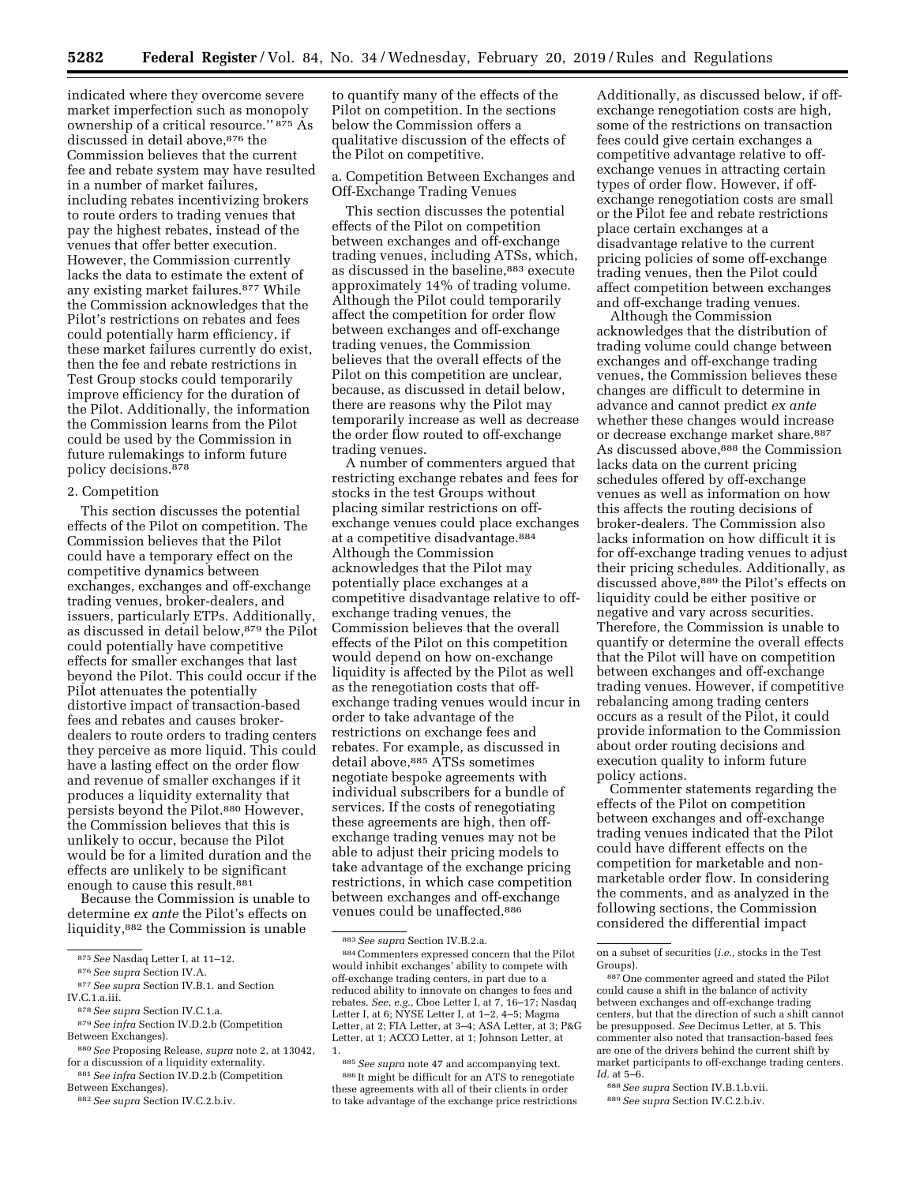indicated where they overcome severe market imperfection such as monopoly ownership of a critical resource.'' 875 As discussed in detail above, 876 the Commission believes that the current fee and rebate system may have resulted in a number of market failures, including rebates incentivizing brokers to route orders to trading venues that pay the highest rebates, instead of the venues that offer better execution. However, the Commission currently lacks the data to estimate the extent of any existing market failures.877 While the Commission acknowledges that the Pilot's restrictions on rebates and fees could potentially harm efficiency, if these market failures currently do exist, then the fee and rebate restrictions in Test Group stocks could temporarily improve efficiency for the duration of the Pilot. Additionally, the information the Commission learns from the Pilot could be used by the Commission in future rulemakings to inform future policy decisions.<sup>878</sup>

# 2. Competition

This section discusses the potential effects of the Pilot on competition. The Commission believes that the Pilot could have a temporary effect on the competitive dynamics between exchanges, exchanges and off-exchange trading venues, broker-dealers, and issuers, particularly ETPs. Additionally, as discussed in detail below,879 the Pilot could potentially have competitive effects for smaller exchanges that last beyond the Pilot. This could occur if the Pilot attenuates the potentially distortive impact of transaction-based fees and rebates and causes brokerdealers to route orders to trading centers they perceive as more liquid. This could have a lasting effect on the order flow and revenue of smaller exchanges if it produces a liquidity externality that persists beyond the Pilot.<sup>880</sup> However, the Commission believes that this is unlikely to occur, because the Pilot would be for a limited duration and the effects are unlikely to be significant enough to cause this result.<sup>881</sup>

Because the Commission is unable to determine *ex ante* the Pilot's effects on liquidity,882 the Commission is unable

879*See infra* Section IV.D.2.b (Competition Between Exchanges).

to quantify many of the effects of the Pilot on competition. In the sections below the Commission offers a qualitative discussion of the effects of the Pilot on competitive.

### a. Competition Between Exchanges and Off-Exchange Trading Venues

This section discusses the potential effects of the Pilot on competition between exchanges and off-exchange trading venues, including ATSs, which, as discussed in the baseline,<sup>883</sup> execute approximately 14% of trading volume. Although the Pilot could temporarily affect the competition for order flow between exchanges and off-exchange trading venues, the Commission believes that the overall effects of the Pilot on this competition are unclear, because, as discussed in detail below, there are reasons why the Pilot may temporarily increase as well as decrease the order flow routed to off-exchange trading venues.

A number of commenters argued that restricting exchange rebates and fees for stocks in the test Groups without placing similar restrictions on offexchange venues could place exchanges at a competitive disadvantage.884 Although the Commission acknowledges that the Pilot may potentially place exchanges at a competitive disadvantage relative to offexchange trading venues, the Commission believes that the overall effects of the Pilot on this competition would depend on how on-exchange liquidity is affected by the Pilot as well as the renegotiation costs that offexchange trading venues would incur in order to take advantage of the restrictions on exchange fees and rebates. For example, as discussed in detail above, 885 ATSs sometimes negotiate bespoke agreements with individual subscribers for a bundle of services. If the costs of renegotiating these agreements are high, then offexchange trading venues may not be able to adjust their pricing models to take advantage of the exchange pricing restrictions, in which case competition between exchanges and off-exchange venues could be unaffected.886

Additionally, as discussed below, if offexchange renegotiation costs are high, some of the restrictions on transaction fees could give certain exchanges a competitive advantage relative to offexchange venues in attracting certain types of order flow. However, if offexchange renegotiation costs are small or the Pilot fee and rebate restrictions place certain exchanges at a disadvantage relative to the current pricing policies of some off-exchange trading venues, then the Pilot could affect competition between exchanges and off-exchange trading venues.

Although the Commission acknowledges that the distribution of trading volume could change between exchanges and off-exchange trading venues, the Commission believes these changes are difficult to determine in advance and cannot predict *ex ante*  whether these changes would increase or decrease exchange market share.<sup>887</sup> As discussed above,<sup>888</sup> the Commission lacks data on the current pricing schedules offered by off-exchange venues as well as information on how this affects the routing decisions of broker-dealers. The Commission also lacks information on how difficult it is for off-exchange trading venues to adjust their pricing schedules. Additionally, as discussed above,889 the Pilot's effects on liquidity could be either positive or negative and vary across securities. Therefore, the Commission is unable to quantify or determine the overall effects that the Pilot will have on competition between exchanges and off-exchange trading venues. However, if competitive rebalancing among trading centers occurs as a result of the Pilot, it could provide information to the Commission about order routing decisions and execution quality to inform future policy actions.

Commenter statements regarding the effects of the Pilot on competition between exchanges and off-exchange trading venues indicated that the Pilot could have different effects on the competition for marketable and nonmarketable order flow. In considering the comments, and as analyzed in the following sections, the Commission considered the differential impact

<sup>875</sup>*See* Nasdaq Letter I, at 11–12.

<sup>876</sup>*See supra* Section IV.A.

<sup>877</sup>*See supra* Section IV.B.1. and Section

IV.C.1.a.iii.

<sup>878</sup>*See supra* Section IV.C.1.a.

<sup>880</sup>*See* Proposing Release, *supra* note 2, at 13042, for a discussion of a liquidity externality.

<sup>881</sup>*See infra* Section IV.D.2.b (Competition Between Exchanges).

<sup>882</sup>*See supra* Section IV.C.2.b.iv.

<sup>883</sup>*See supra* Section IV.B.2.a.

<sup>884</sup>Commenters expressed concern that the Pilot would inhibit exchanges' ability to compete with off-exchange trading centers, in part due to a reduced ability to innovate on changes to fees and rebates. *See, e.g.,* Cboe Letter I, at 7, 16–17; Nasdaq Letter I, at 6; NYSE Letter I, at 1–2, 4–5; Magma Letter, at 2; FIA Letter, at 3–4; ASA Letter, at 3; P&G Letter, at 1; ACCO Letter, at 1; Johnson Letter, at 1.

<sup>885</sup>*See supra* note 47 and accompanying text. 886 It might be difficult for an ATS to renegotiate these agreements with all of their clients in order to take advantage of the exchange price restrictions

on a subset of securities (*i.e.,* stocks in the Test Groups).

<sup>887</sup>One commenter agreed and stated the Pilot could cause a shift in the balance of activity between exchanges and off-exchange trading centers, but that the direction of such a shift cannot be presupposed. *See* Decimus Letter, at 5. This commenter also noted that transaction-based fees are one of the drivers behind the current shift by market participants to off-exchange trading centers. *Id.* at 5–6.

<sup>888</sup>*See supra* Section IV.B.1.b.vii.

<sup>889</sup>*See supra* Section IV.C.2.b.iv.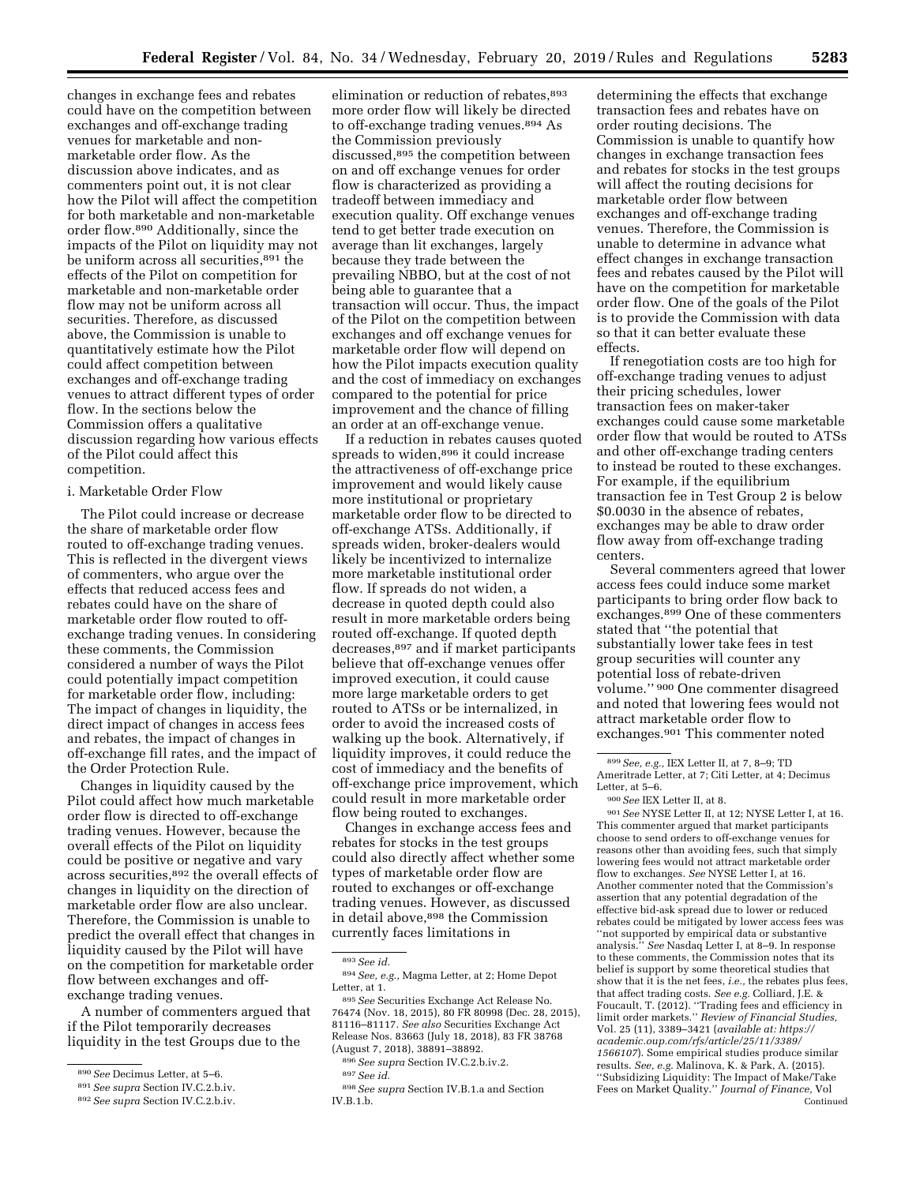changes in exchange fees and rebates could have on the competition between exchanges and off-exchange trading venues for marketable and nonmarketable order flow. As the discussion above indicates, and as commenters point out, it is not clear how the Pilot will affect the competition for both marketable and non-marketable order flow.890 Additionally, since the impacts of the Pilot on liquidity may not be uniform across all securities,<sup>891</sup> the effects of the Pilot on competition for marketable and non-marketable order flow may not be uniform across all securities. Therefore, as discussed above, the Commission is unable to quantitatively estimate how the Pilot could affect competition between exchanges and off-exchange trading venues to attract different types of order flow. In the sections below the Commission offers a qualitative discussion regarding how various effects of the Pilot could affect this competition.

#### i. Marketable Order Flow

The Pilot could increase or decrease the share of marketable order flow routed to off-exchange trading venues. This is reflected in the divergent views of commenters, who argue over the effects that reduced access fees and rebates could have on the share of marketable order flow routed to offexchange trading venues. In considering these comments, the Commission considered a number of ways the Pilot could potentially impact competition for marketable order flow, including: The impact of changes in liquidity, the direct impact of changes in access fees and rebates, the impact of changes in off-exchange fill rates, and the impact of the Order Protection Rule.

Changes in liquidity caused by the Pilot could affect how much marketable order flow is directed to off-exchange trading venues. However, because the overall effects of the Pilot on liquidity could be positive or negative and vary across securities,892 the overall effects of changes in liquidity on the direction of marketable order flow are also unclear. Therefore, the Commission is unable to predict the overall effect that changes in liquidity caused by the Pilot will have on the competition for marketable order flow between exchanges and offexchange trading venues.

A number of commenters argued that if the Pilot temporarily decreases liquidity in the test Groups due to the

elimination or reduction of rebates.<sup>893</sup> more order flow will likely be directed to off-exchange trading venues.894 As the Commission previously discussed,895 the competition between on and off exchange venues for order flow is characterized as providing a tradeoff between immediacy and execution quality. Off exchange venues tend to get better trade execution on average than lit exchanges, largely because they trade between the prevailing NBBO, but at the cost of not being able to guarantee that a transaction will occur. Thus, the impact of the Pilot on the competition between exchanges and off exchange venues for marketable order flow will depend on how the Pilot impacts execution quality and the cost of immediacy on exchanges compared to the potential for price improvement and the chance of filling an order at an off-exchange venue.

If a reduction in rebates causes quoted spreads to widen,<sup>896</sup> it could increase the attractiveness of off-exchange price improvement and would likely cause more institutional or proprietary marketable order flow to be directed to off-exchange ATSs. Additionally, if spreads widen, broker-dealers would likely be incentivized to internalize more marketable institutional order flow. If spreads do not widen, a decrease in quoted depth could also result in more marketable orders being routed off-exchange. If quoted depth decreases,897 and if market participants believe that off-exchange venues offer improved execution, it could cause more large marketable orders to get routed to ATSs or be internalized, in order to avoid the increased costs of walking up the book. Alternatively, if liquidity improves, it could reduce the cost of immediacy and the benefits of off-exchange price improvement, which could result in more marketable order flow being routed to exchanges.

Changes in exchange access fees and rebates for stocks in the test groups could also directly affect whether some types of marketable order flow are routed to exchanges or off-exchange trading venues. However, as discussed in detail above,<sup>898</sup> the Commission currently faces limitations in

896*See supra* Section IV.C.2.b.iv.2.

determining the effects that exchange transaction fees and rebates have on order routing decisions. The Commission is unable to quantify how changes in exchange transaction fees and rebates for stocks in the test groups will affect the routing decisions for marketable order flow between exchanges and off-exchange trading venues. Therefore, the Commission is unable to determine in advance what effect changes in exchange transaction fees and rebates caused by the Pilot will have on the competition for marketable order flow. One of the goals of the Pilot is to provide the Commission with data so that it can better evaluate these effects.

If renegotiation costs are too high for off-exchange trading venues to adjust their pricing schedules, lower transaction fees on maker-taker exchanges could cause some marketable order flow that would be routed to ATSs and other off-exchange trading centers to instead be routed to these exchanges. For example, if the equilibrium transaction fee in Test Group 2 is below \$0.0030 in the absence of rebates, exchanges may be able to draw order flow away from off-exchange trading centers.

Several commenters agreed that lower access fees could induce some market participants to bring order flow back to exchanges.899 One of these commenters stated that ''the potential that substantially lower take fees in test group securities will counter any potential loss of rebate-driven volume.'' 900 One commenter disagreed and noted that lowering fees would not attract marketable order flow to exchanges.901 This commenter noted

901*See* NYSE Letter II, at 12; NYSE Letter I, at 16. This commenter argued that market participants choose to send orders to off-exchange venues for reasons other than avoiding fees, such that simply lowering fees would not attract marketable order flow to exchanges. *See* NYSE Letter I, at 16. Another commenter noted that the Commission's assertion that any potential degradation of the effective bid-ask spread due to lower or reduced rebates could be mitigated by lower access fees was ''not supported by empirical data or substantive analysis.'' *See* Nasdaq Letter I, at 8–9. In response to these comments, the Commission notes that its belief is support by some theoretical studies that show that it is the net fees, *i.e.,* the rebates plus fees, that affect trading costs. *See e.g.* Colliard, J.E. & Foucault, T. (2012). ''Trading fees and efficiency in limit order markets.'' *Review of Financial Studies,*  Vol. 25 (11), 3389–3421 (*available at: [https://](https://academic.oup.com/rfs/article/25/11/3389/1566107) [academic.oup.com/rfs/article/25/11/3389/](https://academic.oup.com/rfs/article/25/11/3389/1566107)  [1566107](https://academic.oup.com/rfs/article/25/11/3389/1566107)*). Some empirical studies produce similar results. *See, e.g.* Malinova, K. & Park, A. (2015). ''Subsidizing Liquidity: The Impact of Make/Take Fees on Market Quality.'' *Journal of Finance,* Vol Continued

<sup>890</sup>*See* Decimus Letter, at 5–6.

<sup>891</sup>*See supra* Section IV.C.2.b.iv.

<sup>892</sup>*See supra* Section IV.C.2.b.iv.

<sup>893</sup>*See id.* 

<sup>894</sup>*See, e.g.,* Magma Letter, at 2; Home Depot Letter, at 1.

<sup>895</sup>*See* Securities Exchange Act Release No. 76474 (Nov. 18, 2015), 80 FR 80998 (Dec. 28, 2015), 81116–81117. *See also* Securities Exchange Act Release Nos. 83663 (July 18, 2018), 83 FR 38768 (August 7, 2018), 38891–38892.

<sup>897</sup>*See id.* 

<sup>898</sup>*See supra* Section IV.B.1.a and Section IV.B.1.b.

<sup>899</sup>*See, e.g.,* IEX Letter II, at 7, 8–9; TD Ameritrade Letter, at 7; Citi Letter, at 4; Decimus Letter, at 5–6.

<sup>900</sup>*See* IEX Letter II, at 8.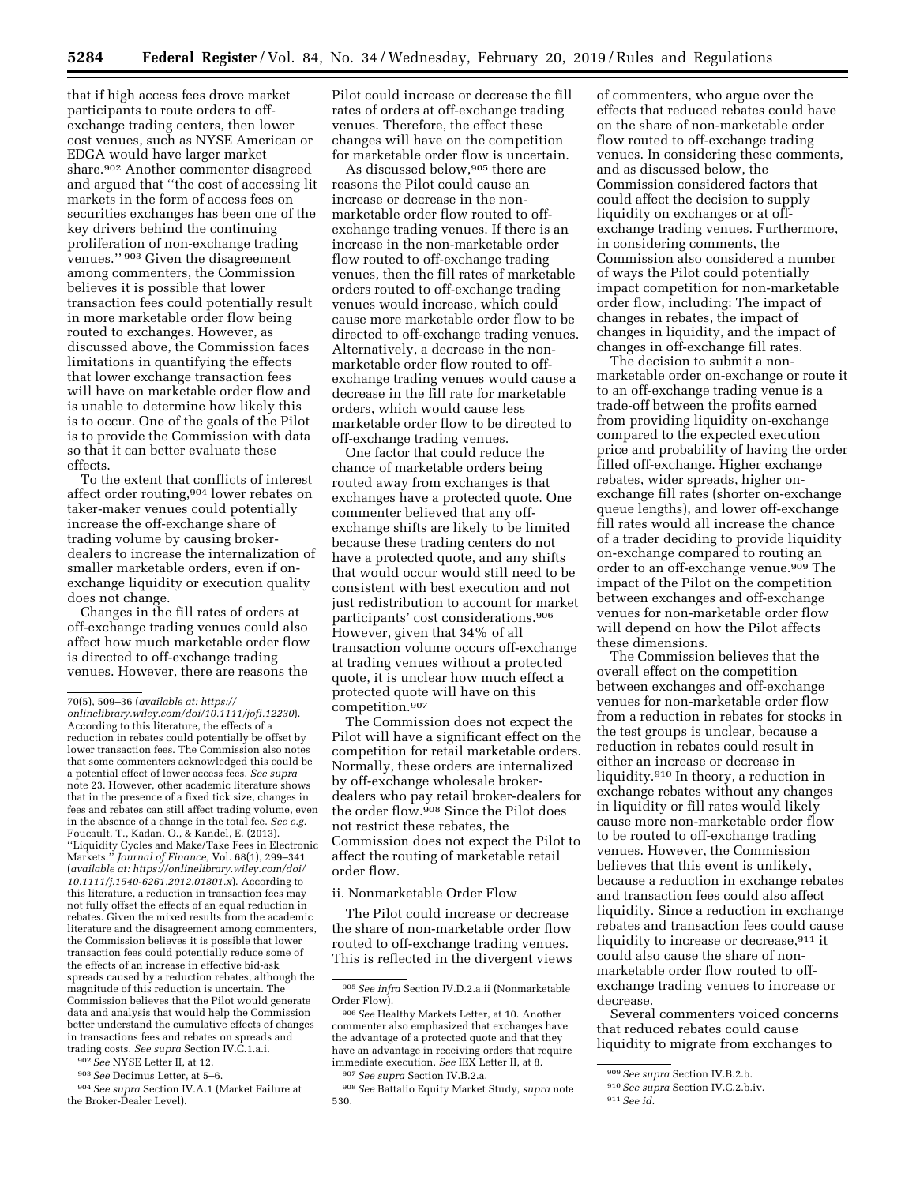that if high access fees drove market participants to route orders to offexchange trading centers, then lower cost venues, such as NYSE American or EDGA would have larger market share.902 Another commenter disagreed and argued that ''the cost of accessing lit markets in the form of access fees on securities exchanges has been one of the key drivers behind the continuing proliferation of non-exchange trading venues.'' 903 Given the disagreement among commenters, the Commission believes it is possible that lower transaction fees could potentially result in more marketable order flow being routed to exchanges. However, as discussed above, the Commission faces limitations in quantifying the effects that lower exchange transaction fees will have on marketable order flow and is unable to determine how likely this is to occur. One of the goals of the Pilot is to provide the Commission with data so that it can better evaluate these effects.

To the extent that conflicts of interest affect order routing,904 lower rebates on taker-maker venues could potentially increase the off-exchange share of trading volume by causing brokerdealers to increase the internalization of smaller marketable orders, even if onexchange liquidity or execution quality does not change.

Changes in the fill rates of orders at off-exchange trading venues could also affect how much marketable order flow is directed to off-exchange trading venues. However, there are reasons the

902*See* NYSE Letter II, at 12.

903*See* Decimus Letter, at 5–6.

904*See supra* Section IV.A.1 (Market Failure at the Broker-Dealer Level).

Pilot could increase or decrease the fill rates of orders at off-exchange trading venues. Therefore, the effect these changes will have on the competition for marketable order flow is uncertain.

As discussed below, 905 there are reasons the Pilot could cause an increase or decrease in the nonmarketable order flow routed to offexchange trading venues. If there is an increase in the non-marketable order flow routed to off-exchange trading venues, then the fill rates of marketable orders routed to off-exchange trading venues would increase, which could cause more marketable order flow to be directed to off-exchange trading venues. Alternatively, a decrease in the nonmarketable order flow routed to offexchange trading venues would cause a decrease in the fill rate for marketable orders, which would cause less marketable order flow to be directed to off-exchange trading venues.

One factor that could reduce the chance of marketable orders being routed away from exchanges is that exchanges have a protected quote. One commenter believed that any offexchange shifts are likely to be limited because these trading centers do not have a protected quote, and any shifts that would occur would still need to be consistent with best execution and not just redistribution to account for market participants' cost considerations.906 However, given that 34% of all transaction volume occurs off-exchange at trading venues without a protected quote, it is unclear how much effect a protected quote will have on this competition.907

The Commission does not expect the Pilot will have a significant effect on the competition for retail marketable orders. Normally, these orders are internalized by off-exchange wholesale brokerdealers who pay retail broker-dealers for the order flow.908 Since the Pilot does not restrict these rebates, the Commission does not expect the Pilot to affect the routing of marketable retail order flow.

### ii. Nonmarketable Order Flow

The Pilot could increase or decrease the share of non-marketable order flow routed to off-exchange trading venues. This is reflected in the divergent views of commenters, who argue over the effects that reduced rebates could have on the share of non-marketable order flow routed to off-exchange trading venues. In considering these comments, and as discussed below, the Commission considered factors that could affect the decision to supply liquidity on exchanges or at offexchange trading venues. Furthermore, in considering comments, the Commission also considered a number of ways the Pilot could potentially impact competition for non-marketable order flow, including: The impact of changes in rebates, the impact of changes in liquidity, and the impact of changes in off-exchange fill rates.

The decision to submit a nonmarketable order on-exchange or route it to an off-exchange trading venue is a trade-off between the profits earned from providing liquidity on-exchange compared to the expected execution price and probability of having the order filled off-exchange. Higher exchange rebates, wider spreads, higher onexchange fill rates (shorter on-exchange queue lengths), and lower off-exchange fill rates would all increase the chance of a trader deciding to provide liquidity on-exchange compared to routing an order to an off-exchange venue.<sup>909</sup> The impact of the Pilot on the competition between exchanges and off-exchange venues for non-marketable order flow will depend on how the Pilot affects these dimensions.

The Commission believes that the overall effect on the competition between exchanges and off-exchange venues for non-marketable order flow from a reduction in rebates for stocks in the test groups is unclear, because a reduction in rebates could result in either an increase or decrease in liquidity.910 In theory, a reduction in exchange rebates without any changes in liquidity or fill rates would likely cause more non-marketable order flow to be routed to off-exchange trading venues. However, the Commission believes that this event is unlikely, because a reduction in exchange rebates and transaction fees could also affect liquidity. Since a reduction in exchange rebates and transaction fees could cause liquidity to increase or decrease.<sup>911</sup> it could also cause the share of nonmarketable order flow routed to offexchange trading venues to increase or decrease.

Several commenters voiced concerns that reduced rebates could cause liquidity to migrate from exchanges to

<sup>70(5), 509–36 (</sup>*available at: [https://](https://onlinelibrary.wiley.com/doi/10.1111/jofi.12230)*

*[onlinelibrary.wiley.com/doi/10.1111/jofi.12230](https://onlinelibrary.wiley.com/doi/10.1111/jofi.12230)*). According to this literature, the effects of a reduction in rebates could potentially be offset by lower transaction fees. The Commission also notes that some commenters acknowledged this could be a potential effect of lower access fees. *See supra*  note 23. However, other academic literature shows that in the presence of a fixed tick size, changes in fees and rebates can still affect trading volume, even in the absence of a change in the total fee. *See e.g.*  Foucault, T., Kadan, O., & Kandel, E. (2013). ''Liquidity Cycles and Make/Take Fees in Electronic Markets.'' *Journal of Finance,* Vol. 68(1), 299–341 (*available at: [https://onlinelibrary.wiley.com/doi/](https://onlinelibrary.wiley.com/doi/10.1111/j.1540-6261.2012.01801.x) [10.1111/j.1540-6261.2012.01801.x](https://onlinelibrary.wiley.com/doi/10.1111/j.1540-6261.2012.01801.x)*). According to this literature, a reduction in transaction fees may not fully offset the effects of an equal reduction in rebates. Given the mixed results from the academic literature and the disagreement among commenters, the Commission believes it is possible that lower transaction fees could potentially reduce some of the effects of an increase in effective bid-ask spreads caused by a reduction rebates, although the magnitude of this reduction is uncertain. The Commission believes that the Pilot would generate data and analysis that would help the Commission better understand the cumulative effects of changes in transactions fees and rebates on spreads and trading costs. *See supra* Section IV.C.1.a.i.

<sup>905</sup>*See infra* Section IV.D.2.a.ii (Nonmarketable Order Flow).

<sup>906</sup>*See* Healthy Markets Letter, at 10. Another commenter also emphasized that exchanges have the advantage of a protected quote and that they have an advantage in receiving orders that require immediate execution. *See* IEX Letter II, at 8.

<sup>907</sup>*See supra* Section IV.B.2.a.

<sup>908</sup>*See* Battalio Equity Market Study, *supra* note 530.

<sup>909</sup>*See supra* Section IV.B.2.b.

<sup>910</sup>*See supra* Section IV.C.2.b.iv.

<sup>911</sup>*See id.*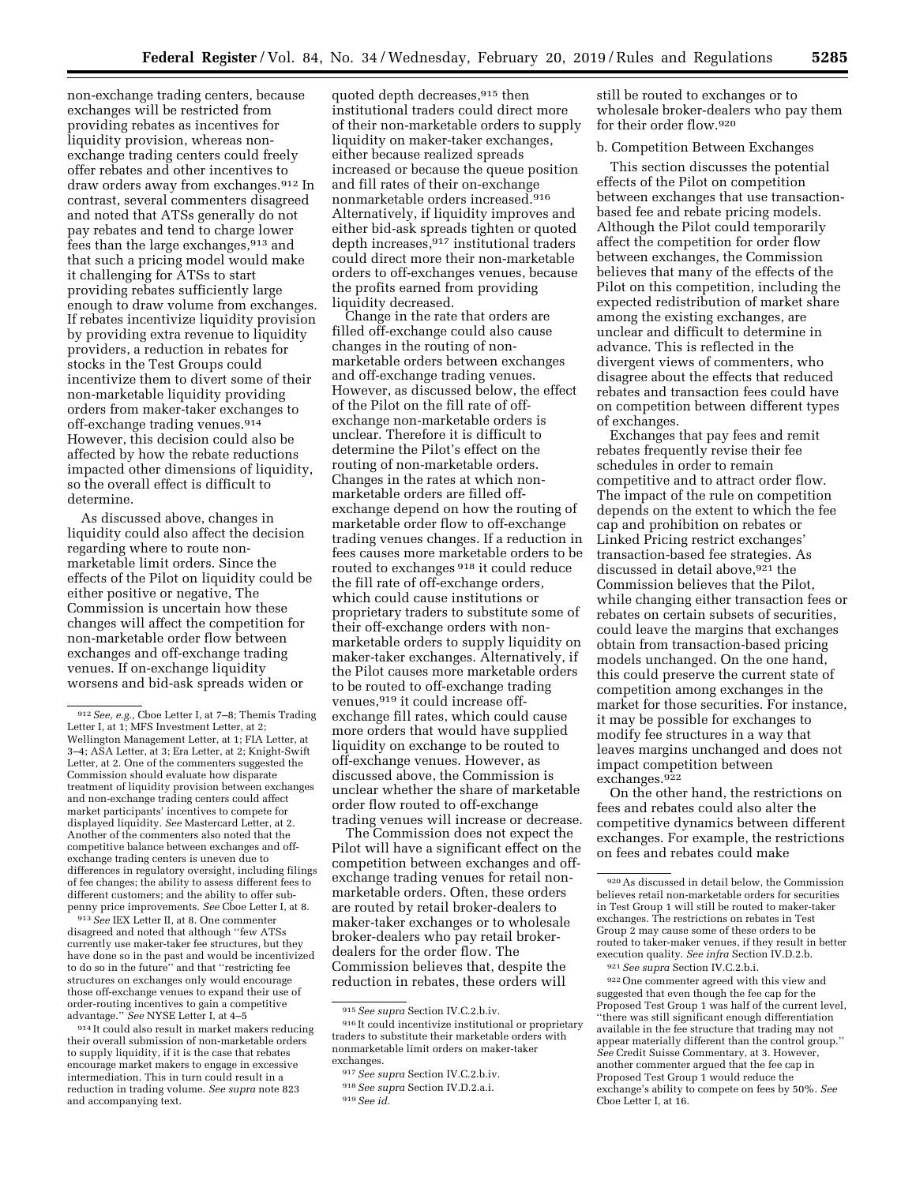non-exchange trading centers, because exchanges will be restricted from providing rebates as incentives for liquidity provision, whereas nonexchange trading centers could freely offer rebates and other incentives to draw orders away from exchanges.912 In contrast, several commenters disagreed and noted that ATSs generally do not pay rebates and tend to charge lower fees than the large exchanges,913 and that such a pricing model would make it challenging for ATSs to start providing rebates sufficiently large enough to draw volume from exchanges. If rebates incentivize liquidity provision by providing extra revenue to liquidity providers, a reduction in rebates for stocks in the Test Groups could incentivize them to divert some of their non-marketable liquidity providing orders from maker-taker exchanges to off-exchange trading venues.914 However, this decision could also be affected by how the rebate reductions impacted other dimensions of liquidity, so the overall effect is difficult to determine.

As discussed above, changes in liquidity could also affect the decision regarding where to route nonmarketable limit orders. Since the effects of the Pilot on liquidity could be either positive or negative, The Commission is uncertain how these changes will affect the competition for non-marketable order flow between exchanges and off-exchange trading venues. If on-exchange liquidity worsens and bid-ask spreads widen or

913*See* IEX Letter II, at 8. One commenter disagreed and noted that although ''few ATSs currently use maker-taker fee structures, but they have done so in the past and would be incentivized to do so in the future'' and that ''restricting fee structures on exchanges only would encourage those off-exchange venues to expand their use of order-routing incentives to gain a competitive advantage.'' *See* NYSE Letter I, at 4–5

914 It could also result in market makers reducing their overall submission of non-marketable orders to supply liquidity, if it is the case that rebates encourage market makers to engage in excessive intermediation. This in turn could result in a reduction in trading volume. *See supra* note 823 and accompanying text.

quoted depth decreases, 915 then institutional traders could direct more of their non-marketable orders to supply liquidity on maker-taker exchanges, either because realized spreads increased or because the queue position and fill rates of their on-exchange nonmarketable orders increased.916 Alternatively, if liquidity improves and either bid-ask spreads tighten or quoted depth increases, 917 institutional traders could direct more their non-marketable orders to off-exchanges venues, because the profits earned from providing liquidity decreased.

Change in the rate that orders are filled off-exchange could also cause changes in the routing of nonmarketable orders between exchanges and off-exchange trading venues. However, as discussed below, the effect of the Pilot on the fill rate of offexchange non-marketable orders is unclear. Therefore it is difficult to determine the Pilot's effect on the routing of non-marketable orders. Changes in the rates at which nonmarketable orders are filled offexchange depend on how the routing of marketable order flow to off-exchange trading venues changes. If a reduction in fees causes more marketable orders to be routed to exchanges 918 it could reduce the fill rate of off-exchange orders, which could cause institutions or proprietary traders to substitute some of their off-exchange orders with nonmarketable orders to supply liquidity on maker-taker exchanges. Alternatively, if the Pilot causes more marketable orders to be routed to off-exchange trading venues, 919 it could increase offexchange fill rates, which could cause more orders that would have supplied liquidity on exchange to be routed to off-exchange venues. However, as discussed above, the Commission is unclear whether the share of marketable order flow routed to off-exchange trading venues will increase or decrease.

The Commission does not expect the Pilot will have a significant effect on the competition between exchanges and offexchange trading venues for retail nonmarketable orders. Often, these orders are routed by retail broker-dealers to maker-taker exchanges or to wholesale broker-dealers who pay retail brokerdealers for the order flow. The Commission believes that, despite the reduction in rebates, these orders will

still be routed to exchanges or to wholesale broker-dealers who pay them for their order flow.920

#### b. Competition Between Exchanges

This section discusses the potential effects of the Pilot on competition between exchanges that use transactionbased fee and rebate pricing models. Although the Pilot could temporarily affect the competition for order flow between exchanges, the Commission believes that many of the effects of the Pilot on this competition, including the expected redistribution of market share among the existing exchanges, are unclear and difficult to determine in advance. This is reflected in the divergent views of commenters, who disagree about the effects that reduced rebates and transaction fees could have on competition between different types of exchanges.

Exchanges that pay fees and remit rebates frequently revise their fee schedules in order to remain competitive and to attract order flow. The impact of the rule on competition depends on the extent to which the fee cap and prohibition on rebates or Linked Pricing restrict exchanges' transaction-based fee strategies. As discussed in detail above, 921 the Commission believes that the Pilot, while changing either transaction fees or rebates on certain subsets of securities, could leave the margins that exchanges obtain from transaction-based pricing models unchanged. On the one hand, this could preserve the current state of competition among exchanges in the market for those securities. For instance, it may be possible for exchanges to modify fee structures in a way that leaves margins unchanged and does not impact competition between exchanges.<sup>922</sup>

On the other hand, the restrictions on fees and rebates could also alter the competitive dynamics between different exchanges. For example, the restrictions on fees and rebates could make

 $^{922}\mathrm{One}$  commenter agreed with this view and suggested that even though the fee cap for the Proposed Test Group 1 was half of the current level, ''there was still significant enough differentiation available in the fee structure that trading may not appear materially different than the control group.'' *See* Credit Suisse Commentary, at 3. However, another commenter argued that the fee cap in Proposed Test Group 1 would reduce the exchange's ability to compete on fees by 50%. *See*  Cboe Letter I, at 16.

<sup>912</sup>*See, e.g.,* Cboe Letter I, at 7–8; Themis Trading Letter I, at 1; MFS Investment Letter, at 2; Wellington Management Letter, at 1; FIA Letter, at 3–4; ASA Letter, at 3; Era Letter, at 2; Knight-Swift Letter, at 2. One of the commenters suggested the Commission should evaluate how disparate treatment of liquidity provision between exchanges and non-exchange trading centers could affect market participants' incentives to compete for displayed liquidity. *See* Mastercard Letter, at 2. Another of the commenters also noted that the competitive balance between exchanges and offexchange trading centers is uneven due to differences in regulatory oversight, including filings of fee changes; the ability to assess different fees to different customers; and the ability to offer subpenny price improvements. See Cboe Letter I, at 8.

<sup>915</sup>*See supra* Section IV.C.2.b.iv.

<sup>916</sup> It could incentivize institutional or proprietary traders to substitute their marketable orders with nonmarketable limit orders on maker-taker exchanges.

<sup>917</sup>*See supra* Section IV.C.2.b.iv. 918*See supra* Section IV.D.2.a.i.

<sup>919</sup>*See id.* 

<sup>920</sup>As discussed in detail below, the Commission believes retail non-marketable orders for securities in Test Group 1 will still be routed to maker-taker exchanges. The restrictions on rebates in Test Group 2 may cause some of these orders to be routed to taker-maker venues, if they result in better execution quality. *See infra* Section IV.D.2.b.

<sup>921</sup>*See supra* Section IV.C.2.b.i.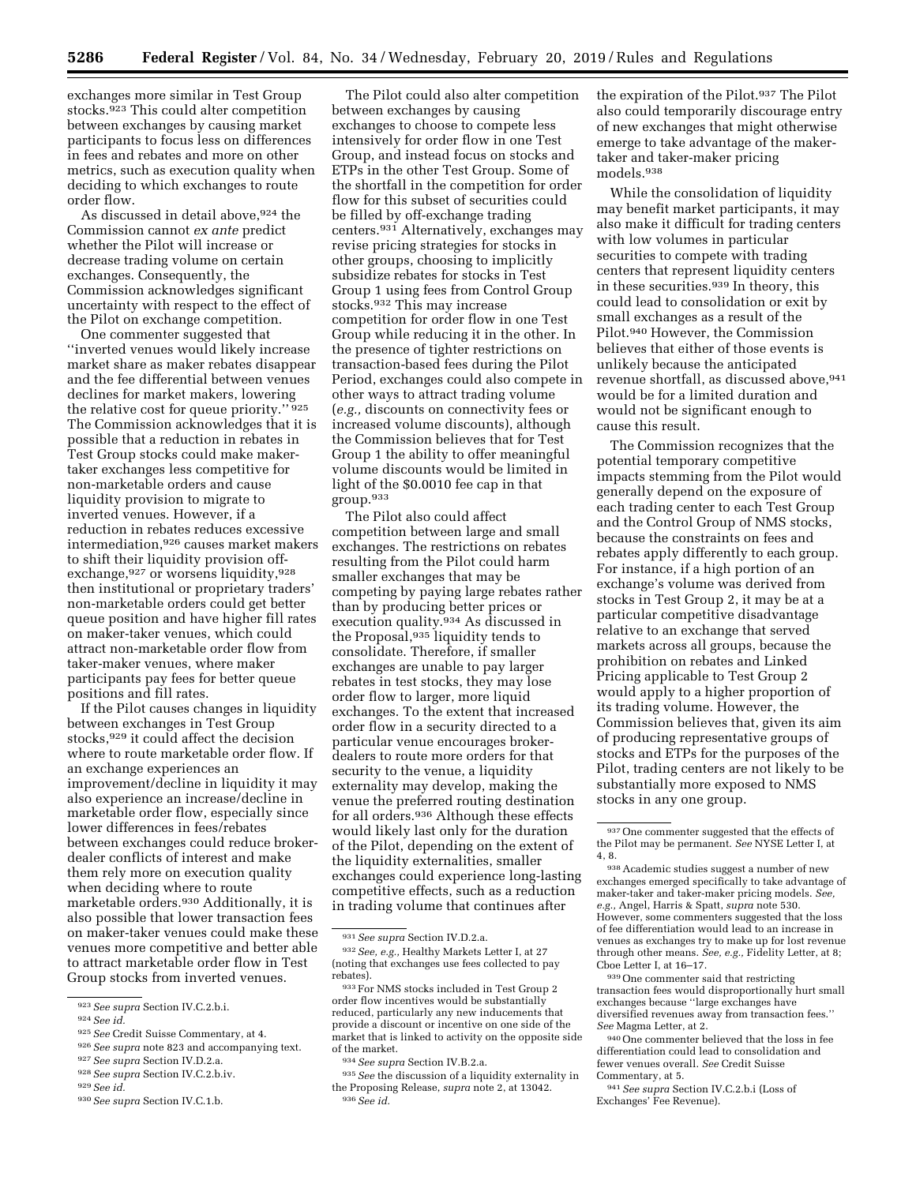exchanges more similar in Test Group stocks.923 This could alter competition between exchanges by causing market participants to focus less on differences in fees and rebates and more on other metrics, such as execution quality when deciding to which exchanges to route order flow.

As discussed in detail above,924 the Commission cannot *ex ante* predict whether the Pilot will increase or decrease trading volume on certain exchanges. Consequently, the Commission acknowledges significant uncertainty with respect to the effect of the Pilot on exchange competition.

One commenter suggested that ''inverted venues would likely increase market share as maker rebates disappear and the fee differential between venues declines for market makers, lowering the relative cost for queue priority." 925 The Commission acknowledges that it is possible that a reduction in rebates in Test Group stocks could make makertaker exchanges less competitive for non-marketable orders and cause liquidity provision to migrate to inverted venues. However, if a reduction in rebates reduces excessive intermediation,926 causes market makers to shift their liquidity provision offexchange,927 or worsens liquidity,928 then institutional or proprietary traders' non-marketable orders could get better queue position and have higher fill rates on maker-taker venues, which could attract non-marketable order flow from taker-maker venues, where maker participants pay fees for better queue positions and fill rates.

If the Pilot causes changes in liquidity between exchanges in Test Group stocks,929 it could affect the decision where to route marketable order flow. If an exchange experiences an improvement/decline in liquidity it may also experience an increase/decline in marketable order flow, especially since lower differences in fees/rebates between exchanges could reduce brokerdealer conflicts of interest and make them rely more on execution quality when deciding where to route marketable orders.930 Additionally, it is also possible that lower transaction fees on maker-taker venues could make these venues more competitive and better able to attract marketable order flow in Test Group stocks from inverted venues.

The Pilot could also alter competition between exchanges by causing exchanges to choose to compete less intensively for order flow in one Test Group, and instead focus on stocks and ETPs in the other Test Group. Some of the shortfall in the competition for order flow for this subset of securities could be filled by off-exchange trading centers.931 Alternatively, exchanges may revise pricing strategies for stocks in other groups, choosing to implicitly subsidize rebates for stocks in Test Group 1 using fees from Control Group stocks.932 This may increase competition for order flow in one Test Group while reducing it in the other. In the presence of tighter restrictions on transaction-based fees during the Pilot Period, exchanges could also compete in other ways to attract trading volume (*e.g.,* discounts on connectivity fees or increased volume discounts), although the Commission believes that for Test Group 1 the ability to offer meaningful volume discounts would be limited in light of the \$0.0010 fee cap in that group.933

The Pilot also could affect competition between large and small exchanges. The restrictions on rebates resulting from the Pilot could harm smaller exchanges that may be competing by paying large rebates rather than by producing better prices or execution quality.934 As discussed in the Proposal,935 liquidity tends to consolidate. Therefore, if smaller exchanges are unable to pay larger rebates in test stocks, they may lose order flow to larger, more liquid exchanges. To the extent that increased order flow in a security directed to a particular venue encourages brokerdealers to route more orders for that security to the venue, a liquidity externality may develop, making the venue the preferred routing destination for all orders.936 Although these effects would likely last only for the duration of the Pilot, depending on the extent of the liquidity externalities, smaller exchanges could experience long-lasting competitive effects, such as a reduction in trading volume that continues after

the expiration of the Pilot.937 The Pilot also could temporarily discourage entry of new exchanges that might otherwise emerge to take advantage of the makertaker and taker-maker pricing models.938

While the consolidation of liquidity may benefit market participants, it may also make it difficult for trading centers with low volumes in particular securities to compete with trading centers that represent liquidity centers in these securities.939 In theory, this could lead to consolidation or exit by small exchanges as a result of the Pilot.940 However, the Commission believes that either of those events is unlikely because the anticipated revenue shortfall, as discussed above, 941 would be for a limited duration and would not be significant enough to cause this result.

The Commission recognizes that the potential temporary competitive impacts stemming from the Pilot would generally depend on the exposure of each trading center to each Test Group and the Control Group of NMS stocks, because the constraints on fees and rebates apply differently to each group. For instance, if a high portion of an exchange's volume was derived from stocks in Test Group 2, it may be at a particular competitive disadvantage relative to an exchange that served markets across all groups, because the prohibition on rebates and Linked Pricing applicable to Test Group 2 would apply to a higher proportion of its trading volume. However, the Commission believes that, given its aim of producing representative groups of stocks and ETPs for the purposes of the Pilot, trading centers are not likely to be substantially more exposed to NMS stocks in any one group.

939One commenter said that restricting transaction fees would disproportionally hurt small exchanges because ''large exchanges have diversified revenues away from transaction fees.'' *See* Magma Letter, at 2.

940One commenter believed that the loss in fee differentiation could lead to consolidation and fewer venues overall. *See* Credit Suisse Commentary, at 5.

941*See supra* Section IV.C.2.b.i (Loss of Exchanges' Fee Revenue).

<sup>923</sup>*See supra* Section IV.C.2.b.i.

<sup>924</sup>*See id.* 

<sup>925</sup>*See* Credit Suisse Commentary, at 4.

<sup>926</sup>*See supra* note 823 and accompanying text.

<sup>927</sup>*See supra* Section IV.D.2.a.

<sup>928</sup>*See supra* Section IV.C.2.b.iv.

<sup>929</sup>*See id.* 

<sup>930</sup>*See supra* Section IV.C.1.b.

<sup>931</sup>*See supra* Section IV.D.2.a.

<sup>932</sup>*See, e.g.,* Healthy Markets Letter I, at 27 (noting that exchanges use fees collected to pay rebates).

<sup>933</sup>For NMS stocks included in Test Group 2 order flow incentives would be substantially reduced, particularly any new inducements that provide a discount or incentive on one side of the market that is linked to activity on the opposite side of the market.

<sup>934</sup>*See supra* Section IV.B.2.a.

<sup>935</sup>*See* the discussion of a liquidity externality in the Proposing Release, *supra* note 2, at 13042. 936*See id.* 

<sup>937</sup>One commenter suggested that the effects of the Pilot may be permanent. *See* NYSE Letter I, at 4, 8.

<sup>938</sup>Academic studies suggest a number of new exchanges emerged specifically to take advantage of maker-taker and taker-maker pricing models. *See, e.g.,* Angel, Harris & Spatt, *supra* note 530. However, some commenters suggested that the loss of fee differentiation would lead to an increase in venues as exchanges try to make up for lost revenue through other means. *See, e.g.,* Fidelity Letter, at 8; Cboe Letter I, at 16–17.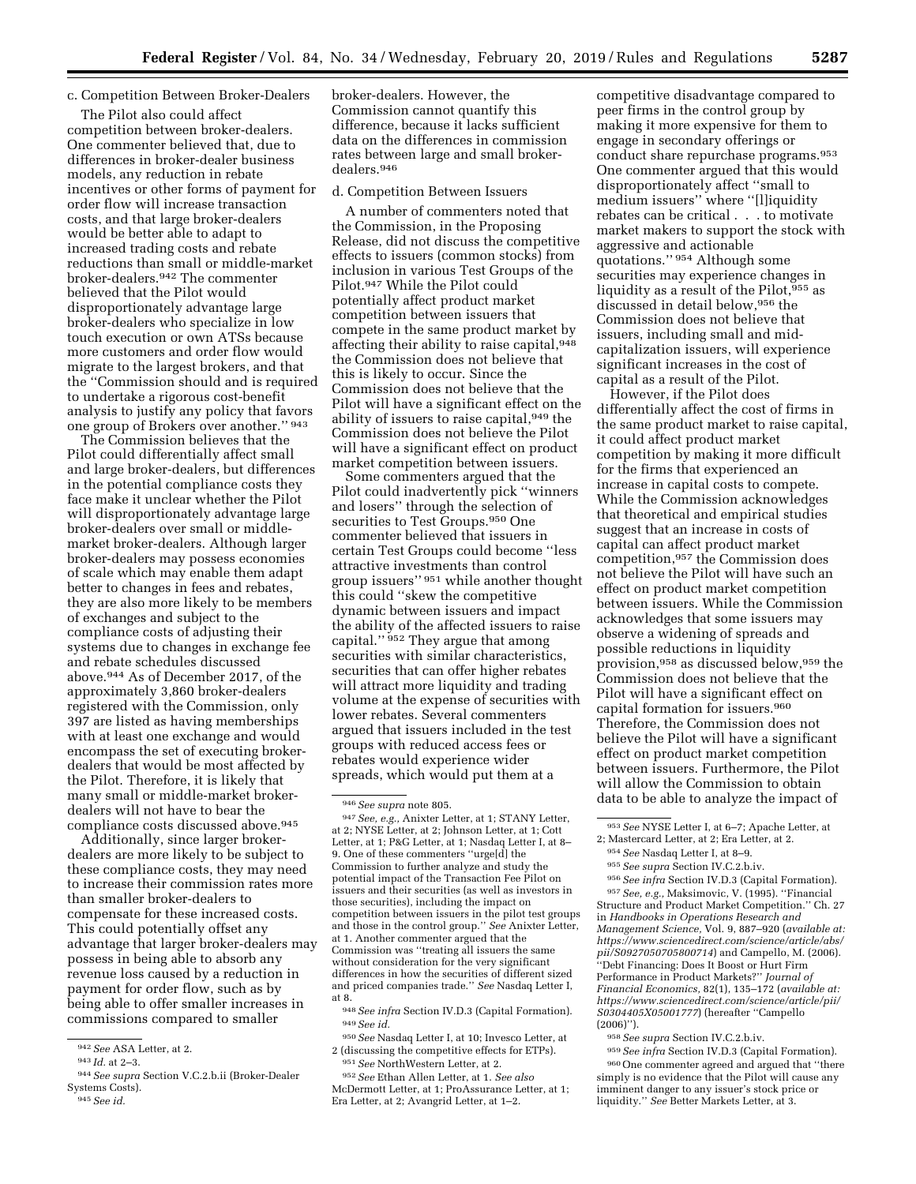# c. Competition Between Broker-Dealers

The Pilot also could affect competition between broker-dealers. One commenter believed that, due to differences in broker-dealer business models, any reduction in rebate incentives or other forms of payment for order flow will increase transaction costs, and that large broker-dealers would be better able to adapt to increased trading costs and rebate reductions than small or middle-market broker-dealers.942 The commenter believed that the Pilot would disproportionately advantage large broker-dealers who specialize in low touch execution or own ATSs because more customers and order flow would migrate to the largest brokers, and that the ''Commission should and is required to undertake a rigorous cost-benefit analysis to justify any policy that favors one group of Brokers over another.'' 943

The Commission believes that the Pilot could differentially affect small and large broker-dealers, but differences in the potential compliance costs they face make it unclear whether the Pilot will disproportionately advantage large broker-dealers over small or middlemarket broker-dealers. Although larger broker-dealers may possess economies of scale which may enable them adapt better to changes in fees and rebates, they are also more likely to be members of exchanges and subject to the compliance costs of adjusting their systems due to changes in exchange fee and rebate schedules discussed above.944 As of December 2017, of the approximately 3,860 broker-dealers registered with the Commission, only 397 are listed as having memberships with at least one exchange and would encompass the set of executing brokerdealers that would be most affected by the Pilot. Therefore, it is likely that many small or middle-market brokerdealers will not have to bear the compliance costs discussed above.945

Additionally, since larger brokerdealers are more likely to be subject to these compliance costs, they may need to increase their commission rates more than smaller broker-dealers to compensate for these increased costs. This could potentially offset any advantage that larger broker-dealers may possess in being able to absorb any revenue loss caused by a reduction in payment for order flow, such as by being able to offer smaller increases in commissions compared to smaller

945*See id.* 

broker-dealers. However, the Commission cannot quantify this difference, because it lacks sufficient data on the differences in commission rates between large and small brokerdealers.946

#### d. Competition Between Issuers

A number of commenters noted that the Commission, in the Proposing Release, did not discuss the competitive effects to issuers (common stocks) from inclusion in various Test Groups of the Pilot.947 While the Pilot could potentially affect product market competition between issuers that compete in the same product market by affecting their ability to raise capital, 948 the Commission does not believe that this is likely to occur. Since the Commission does not believe that the Pilot will have a significant effect on the ability of issuers to raise capital, 949 the Commission does not believe the Pilot will have a significant effect on product market competition between issuers.

Some commenters argued that the Pilot could inadvertently pick ''winners and losers'' through the selection of securities to Test Groups.950 One commenter believed that issuers in certain Test Groups could become ''less attractive investments than control group issuers'' 951 while another thought this could ''skew the competitive dynamic between issuers and impact the ability of the affected issuers to raise capital."<sup>952</sup> They argue that among securities with similar characteristics, securities that can offer higher rebates will attract more liquidity and trading volume at the expense of securities with lower rebates. Several commenters argued that issuers included in the test groups with reduced access fees or rebates would experience wider spreads, which would put them at a

947*See, e.g.,* Anixter Letter, at 1; STANY Letter, at 2; NYSE Letter, at 2; Johnson Letter, at 1; Cott Letter, at 1; P&G Letter, at 1; Nasdaq Letter I, at 8– 9. One of these commenters ''urge[d] the Commission to further analyze and study the potential impact of the Transaction Fee Pilot on issuers and their securities (as well as investors in those securities), including the impact on competition between issuers in the pilot test groups and those in the control group.'' *See* Anixter Letter, at 1. Another commenter argued that the Commission was ''treating all issuers the same without consideration for the very significant differences in how the securities of different sized and priced companies trade.'' *See* Nasdaq Letter I, at 8.

948*See infra* Section IV.D.3 (Capital Formation). 949*See id.* 

950*See* Nasdaq Letter I, at 10; Invesco Letter, at 2 (discussing the competitive effects for ETPs). 951*See* NorthWestern Letter, at 2.

competitive disadvantage compared to peer firms in the control group by making it more expensive for them to engage in secondary offerings or conduct share repurchase programs.953 One commenter argued that this would disproportionately affect ''small to medium issuers'' where ''[l]iquidity rebates can be critical . . . to motivate market makers to support the stock with aggressive and actionable quotations.'' 954 Although some securities may experience changes in liquidity as a result of the Pilot,955 as discussed in detail below,956 the Commission does not believe that issuers, including small and midcapitalization issuers, will experience significant increases in the cost of capital as a result of the Pilot.

However, if the Pilot does differentially affect the cost of firms in the same product market to raise capital, it could affect product market competition by making it more difficult for the firms that experienced an increase in capital costs to compete. While the Commission acknowledges that theoretical and empirical studies suggest that an increase in costs of capital can affect product market competition,957 the Commission does not believe the Pilot will have such an effect on product market competition between issuers. While the Commission acknowledges that some issuers may observe a widening of spreads and possible reductions in liquidity provision,958 as discussed below,959 the Commission does not believe that the Pilot will have a significant effect on capital formation for issuers.960 Therefore, the Commission does not believe the Pilot will have a significant effect on product market competition between issuers. Furthermore, the Pilot will allow the Commission to obtain data to be able to analyze the impact of

957*See, e.g.,* Maksimovic, V. (1995). ''Financial Structure and Product Market Competition.'' Ch. 27 in *Handbooks in Operations Research and Management Science,* Vol. 9, 887–920 (*available at: [https://www.sciencedirect.com/science/article/abs/](https://www.sciencedirect.com/science/article/abs/pii/S0927050705800714) [pii/S0927050705800714](https://www.sciencedirect.com/science/article/abs/pii/S0927050705800714)*) and Campello, M. (2006). ''Debt Financing: Does It Boost or Hurt Firm Performance in Product Markets?'' *Journal of Financial Economics,* 82(1), 135–172 (*available at: [https://www.sciencedirect.com/science/article/pii/](https://www.sciencedirect.com/science/article/pii/S0304405X05001777)  [S0304405X05001777](https://www.sciencedirect.com/science/article/pii/S0304405X05001777)*) (hereafter ''Campello (2006)'').

958*See supra* Section IV.C.2.b.iv.

959*See infra* Section IV.D.3 (Capital Formation). 960One commenter agreed and argued that ''there simply is no evidence that the Pilot will cause any imminent danger to any issuer's stock price or liquidity.'' *See* Better Markets Letter, at 3.

<sup>942</sup>*See* ASA Letter, at 2.

<sup>943</sup> *Id.* at 2–3.

<sup>944</sup>*See supra* Section V.C.2.b.ii (Broker-Dealer Systems Costs).

<sup>946</sup>*See supra* note 805.

<sup>952</sup>*See* Ethan Allen Letter, at 1. *See also*  McDermott Letter, at 1; ProAssurance Letter, at 1; Era Letter, at 2; Avangrid Letter, at 1–2.

<sup>953</sup>*See* NYSE Letter I, at 6–7; Apache Letter, at 2; Mastercard Letter, at 2; Era Letter, at 2.

<sup>954</sup>*See* Nasdaq Letter I, at 8–9.

<sup>955</sup>*See supra* Section IV.C.2.b.iv.

<sup>956</sup>*See infra* Section IV.D.3 (Capital Formation).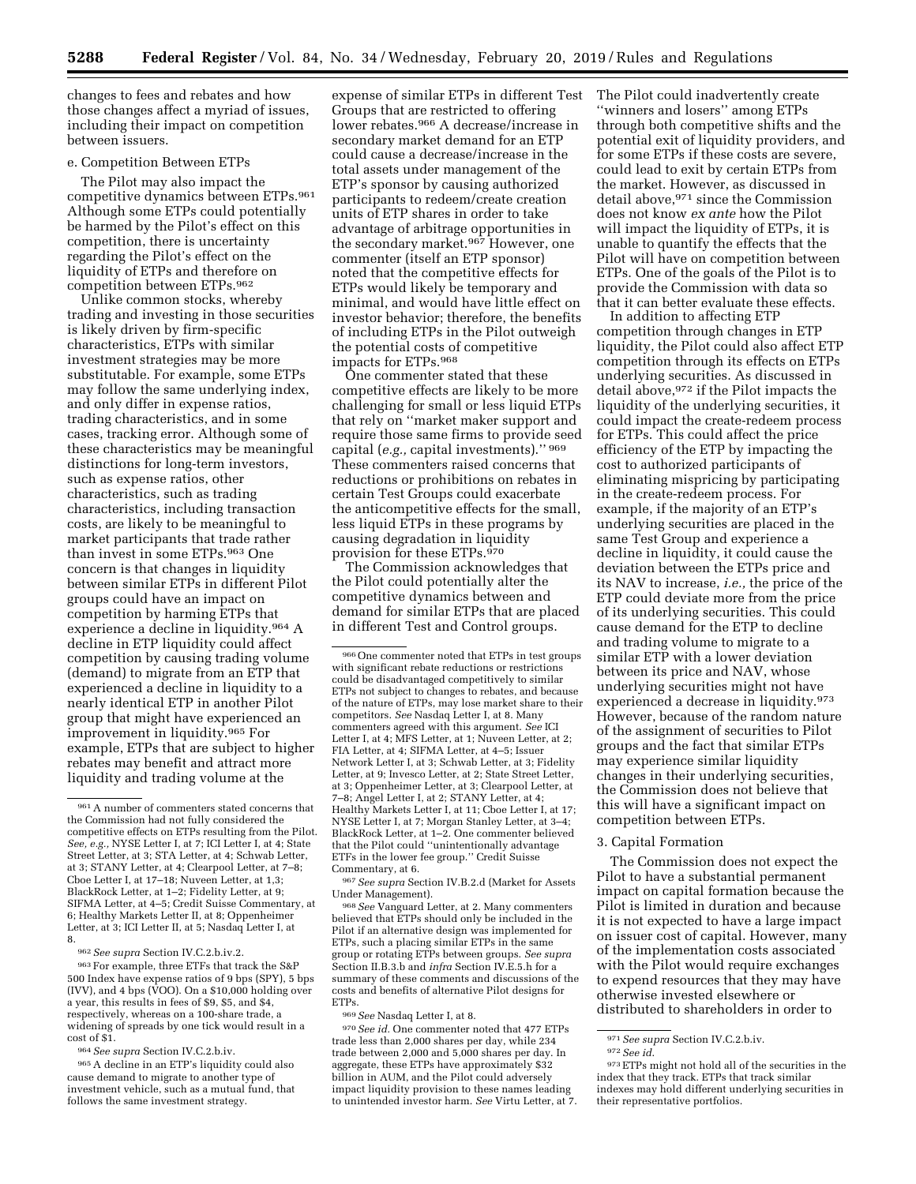changes to fees and rebates and how those changes affect a myriad of issues, including their impact on competition between issuers.

#### e. Competition Between ETPs

The Pilot may also impact the competitive dynamics between ETPs.961 Although some ETPs could potentially be harmed by the Pilot's effect on this competition, there is uncertainty regarding the Pilot's effect on the liquidity of ETPs and therefore on competition between ETPs.962

Unlike common stocks, whereby trading and investing in those securities is likely driven by firm-specific characteristics, ETPs with similar investment strategies may be more substitutable. For example, some ETPs may follow the same underlying index, and only differ in expense ratios, trading characteristics, and in some cases, tracking error. Although some of these characteristics may be meaningful distinctions for long-term investors, such as expense ratios, other characteristics, such as trading characteristics, including transaction costs, are likely to be meaningful to market participants that trade rather than invest in some ETPs.963 One concern is that changes in liquidity between similar ETPs in different Pilot groups could have an impact on competition by harming ETPs that experience a decline in liquidity.964 A decline in ETP liquidity could affect competition by causing trading volume (demand) to migrate from an ETP that experienced a decline in liquidity to a nearly identical ETP in another Pilot group that might have experienced an improvement in liquidity.965 For example, ETPs that are subject to higher rebates may benefit and attract more liquidity and trading volume at the

962*See supra* Section IV.C.2.b.iv.2.

963For example, three ETFs that track the S&P 500 Index have expense ratios of 9 bps (SPY), 5 bps  $(IVV)$ , and 4 bps  $(VOO)$ . On a \$10,000 holding over a year, this results in fees of \$9, \$5, and \$4, respectively, whereas on a 100-share trade, a widening of spreads by one tick would result in a cost of \$1.

964*See supra* Section IV.C.2.b.iv.

965A decline in an ETP's liquidity could also cause demand to migrate to another type of investment vehicle, such as a mutual fund, that follows the same investment strategy.

expense of similar ETPs in different Test Groups that are restricted to offering lower rebates.966 A decrease/increase in secondary market demand for an ETP could cause a decrease/increase in the total assets under management of the ETP's sponsor by causing authorized participants to redeem/create creation units of ETP shares in order to take advantage of arbitrage opportunities in the secondary market.967 However, one commenter (itself an ETP sponsor) noted that the competitive effects for ETPs would likely be temporary and minimal, and would have little effect on investor behavior; therefore, the benefits of including ETPs in the Pilot outweigh the potential costs of competitive impacts for ETPs.968

One commenter stated that these competitive effects are likely to be more challenging for small or less liquid ETPs that rely on ''market maker support and require those same firms to provide seed capital (*e.g.,* capital investments).'' 969 These commenters raised concerns that reductions or prohibitions on rebates in certain Test Groups could exacerbate the anticompetitive effects for the small, less liquid ETPs in these programs by causing degradation in liquidity provision for these ETPs.<sup>970</sup>

The Commission acknowledges that the Pilot could potentially alter the competitive dynamics between and demand for similar ETPs that are placed in different Test and Control groups.

967*See supra* Section IV.B.2.d (Market for Assets Under Management).

968*See* Vanguard Letter, at 2. Many commenters believed that ETPs should only be included in the Pilot if an alternative design was implemented for ETPs, such a placing similar ETPs in the same group or rotating ETPs between groups. *See supra*  Section II.B.3.b and *infra* Section IV.E.5.h for a summary of these comments and discussions of the costs and benefits of alternative Pilot designs for ETPs.

969*See* Nasdaq Letter I, at 8.

970*See id.* One commenter noted that 477 ETPs trade less than 2,000 shares per day, while 234 trade between 2,000 and 5,000 shares per day. In aggregate, these ETPs have approximately \$32 billion in AUM, and the Pilot could adversely impact liquidity provision to these names leading to unintended investor harm. *See* Virtu Letter, at 7. The Pilot could inadvertently create ''winners and losers'' among ETPs through both competitive shifts and the potential exit of liquidity providers, and for some ETPs if these costs are severe, could lead to exit by certain ETPs from the market. However, as discussed in detail above,971 since the Commission does not know *ex ante* how the Pilot will impact the liquidity of ETPs, it is unable to quantify the effects that the Pilot will have on competition between ETPs. One of the goals of the Pilot is to provide the Commission with data so that it can better evaluate these effects.

In addition to affecting ETP competition through changes in ETP liquidity, the Pilot could also affect ETP competition through its effects on ETPs underlying securities. As discussed in detail above,972 if the Pilot impacts the liquidity of the underlying securities, it could impact the create-redeem process for ETPs. This could affect the price efficiency of the ETP by impacting the cost to authorized participants of eliminating mispricing by participating in the create-redeem process. For example, if the majority of an ETP's underlying securities are placed in the same Test Group and experience a decline in liquidity, it could cause the deviation between the ETPs price and its NAV to increase, *i.e.,* the price of the ETP could deviate more from the price of its underlying securities. This could cause demand for the ETP to decline and trading volume to migrate to a similar ETP with a lower deviation between its price and NAV, whose underlying securities might not have experienced a decrease in liquidity.973 However, because of the random nature of the assignment of securities to Pilot groups and the fact that similar ETPs may experience similar liquidity changes in their underlying securities, the Commission does not believe that this will have a significant impact on competition between ETPs.

#### 3. Capital Formation

The Commission does not expect the Pilot to have a substantial permanent impact on capital formation because the Pilot is limited in duration and because it is not expected to have a large impact on issuer cost of capital. However, many of the implementation costs associated with the Pilot would require exchanges to expend resources that they may have otherwise invested elsewhere or distributed to shareholders in order to

<sup>961</sup>A number of commenters stated concerns that the Commission had not fully considered the competitive effects on ETPs resulting from the Pilot. *See, e.g.,* NYSE Letter I, at 7; ICI Letter I, at 4; State Street Letter, at 3; STA Letter, at 4; Schwab Letter, at 3; STANY Letter, at 4; Clearpool Letter, at 7–8; Cboe Letter I, at 17–18; Nuveen Letter, at 1,3; BlackRock Letter, at 1–2; Fidelity Letter, at 9; SIFMA Letter, at 4–5; Credit Suisse Commentary, at 6; Healthy Markets Letter II, at 8; Oppenheimer Letter, at 3; ICI Letter II, at 5; Nasdaq Letter I, at 8.

<sup>966</sup>One commenter noted that ETPs in test groups with significant rebate reductions or restrictions could be disadvantaged competitively to similar ETPs not subject to changes to rebates, and because of the nature of ETPs, may lose market share to their competitors. *See* Nasdaq Letter I, at 8. Many commenters agreed with this argument. *See* ICI Letter I, at 4; MFS Letter, at 1; Nuveen Letter, at 2; FIA Letter, at 4; SIFMA Letter, at 4–5; Issuer Network Letter I, at 3; Schwab Letter, at 3; Fidelity Letter, at 9; Invesco Letter, at 2; State Street Letter, at 3; Oppenheimer Letter, at 3; Clearpool Letter, at 7–8; Angel Letter I, at 2; STANY Letter, at 4; Healthy Markets Letter I, at 11; Cboe Letter I, at 17; NYSE Letter I, at 7; Morgan Stanley Letter, at 3–4; BlackRock Letter, at 1–2. One commenter believed that the Pilot could ''unintentionally advantage ETFs in the lower fee group.'' Credit Suisse Commentary, at 6.

<sup>971</sup>*See supra* Section IV.C.2.b.iv. 972*See id*. 973ETPs might not hold all of the securities in the index that they track. ETPs that track similar indexes may hold different underlying securities in their representative portfolios.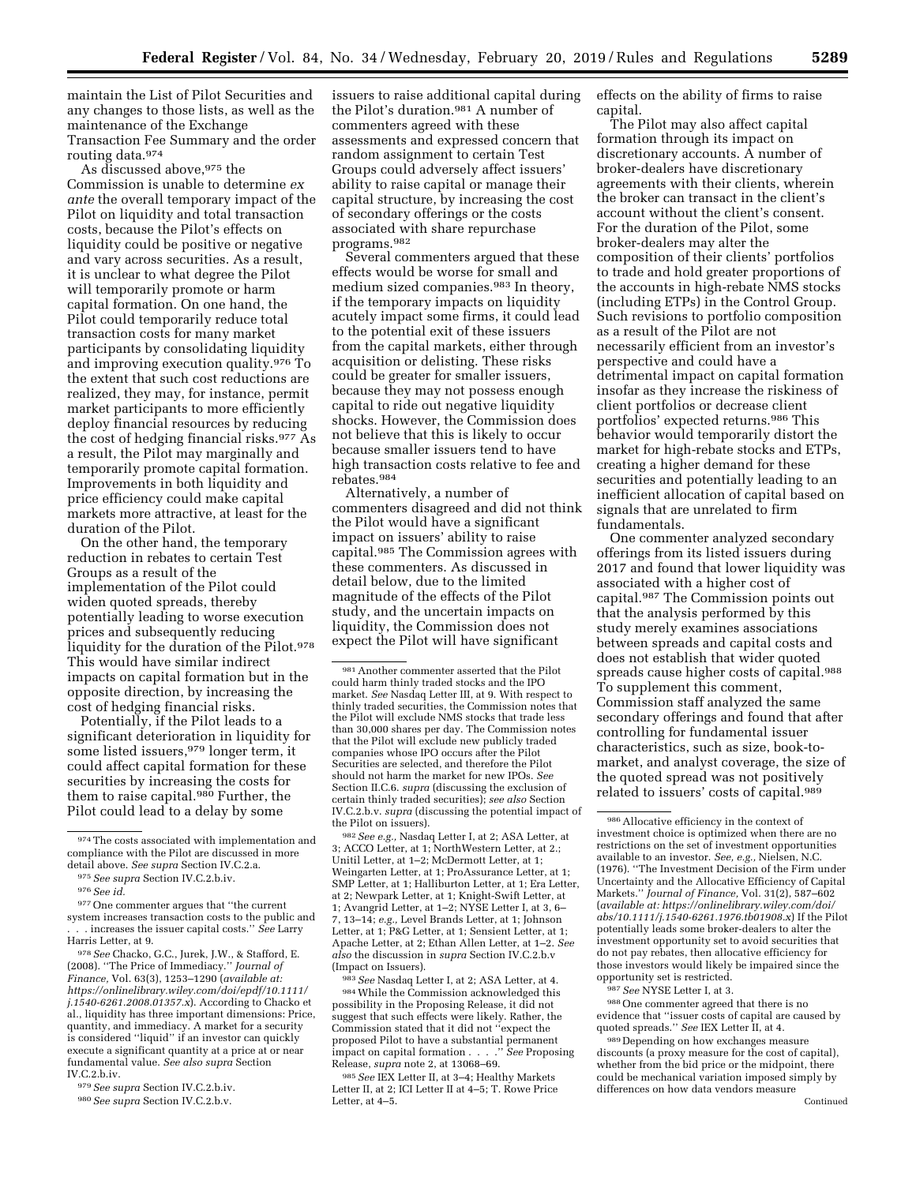maintain the List of Pilot Securities and any changes to those lists, as well as the maintenance of the Exchange Transaction Fee Summary and the order routing data.974

As discussed above, <sup>975</sup> the Commission is unable to determine *ex ante* the overall temporary impact of the Pilot on liquidity and total transaction costs, because the Pilot's effects on liquidity could be positive or negative and vary across securities. As a result, it is unclear to what degree the Pilot will temporarily promote or harm capital formation. On one hand, the Pilot could temporarily reduce total transaction costs for many market participants by consolidating liquidity and improving execution quality.976 To the extent that such cost reductions are realized, they may, for instance, permit market participants to more efficiently deploy financial resources by reducing the cost of hedging financial risks.977 As a result, the Pilot may marginally and temporarily promote capital formation. Improvements in both liquidity and price efficiency could make capital markets more attractive, at least for the duration of the Pilot.

On the other hand, the temporary reduction in rebates to certain Test Groups as a result of the implementation of the Pilot could widen quoted spreads, thereby potentially leading to worse execution prices and subsequently reducing liquidity for the duration of the Pilot.978 This would have similar indirect impacts on capital formation but in the opposite direction, by increasing the cost of hedging financial risks.

Potentially, if the Pilot leads to a significant deterioration in liquidity for some listed issuers,979 longer term, it could affect capital formation for these securities by increasing the costs for them to raise capital.980 Further, the Pilot could lead to a delay by some

978*See* Chacko, G.C., Jurek, J.W., & Stafford, E. (2008). ''The Price of Immediacy.'' *Journal of Finance,* Vol. 63(3), 1253–1290 (*available at: [https://onlinelibrary.wiley.com/doi/epdf/10.1111/](https://onlinelibrary.wiley.com/doi/epdf/10.1111/j.1540-6261.2008.01357.x)  [j.1540-6261.2008.01357.x](https://onlinelibrary.wiley.com/doi/epdf/10.1111/j.1540-6261.2008.01357.x)*). According to Chacko et al., liquidity has three important dimensions: Price, quantity, and immediacy. A market for a security is considered ''liquid'' if an investor can quickly execute a significant quantity at a price at or near fundamental value. *See also supra* Section IV.C.2.b.iv.

979*See supra* Section IV.C.2.b.iv.

issuers to raise additional capital during the Pilot's duration.981 A number of commenters agreed with these assessments and expressed concern that random assignment to certain Test Groups could adversely affect issuers' ability to raise capital or manage their capital structure, by increasing the cost of secondary offerings or the costs associated with share repurchase programs.982

Several commenters argued that these effects would be worse for small and medium sized companies.983 In theory, if the temporary impacts on liquidity acutely impact some firms, it could lead to the potential exit of these issuers from the capital markets, either through acquisition or delisting. These risks could be greater for smaller issuers, because they may not possess enough capital to ride out negative liquidity shocks. However, the Commission does not believe that this is likely to occur because smaller issuers tend to have high transaction costs relative to fee and rebates.984

Alternatively, a number of commenters disagreed and did not think the Pilot would have a significant impact on issuers' ability to raise capital.985 The Commission agrees with these commenters. As discussed in detail below, due to the limited magnitude of the effects of the Pilot study, and the uncertain impacts on liquidity, the Commission does not expect the Pilot will have significant

983*See* Nasdaq Letter I, at 2; ASA Letter, at 4. 984While the Commission acknowledged this possibility in the Proposing Release, it did not suggest that such effects were likely. Rather, the Commission stated that it did not ''expect the proposed Pilot to have a substantial permanent impact on capital formation . . . .'' *See* Proposing Release, *supra* note 2, at 13068–69.

985*See* IEX Letter II, at 3–4; Healthy Markets Letter II, at 2; ICI Letter II at 4–5; T. Rowe Price Letter, at 4–5.

effects on the ability of firms to raise capital.

The Pilot may also affect capital formation through its impact on discretionary accounts. A number of broker-dealers have discretionary agreements with their clients, wherein the broker can transact in the client's account without the client's consent. For the duration of the Pilot, some broker-dealers may alter the composition of their clients' portfolios to trade and hold greater proportions of the accounts in high-rebate NMS stocks (including ETPs) in the Control Group. Such revisions to portfolio composition as a result of the Pilot are not necessarily efficient from an investor's perspective and could have a detrimental impact on capital formation insofar as they increase the riskiness of client portfolios or decrease client portfolios' expected returns.986 This behavior would temporarily distort the market for high-rebate stocks and ETPs, creating a higher demand for these securities and potentially leading to an inefficient allocation of capital based on signals that are unrelated to firm fundamentals.

One commenter analyzed secondary offerings from its listed issuers during 2017 and found that lower liquidity was associated with a higher cost of capital.987 The Commission points out that the analysis performed by this study merely examines associations between spreads and capital costs and does not establish that wider quoted spreads cause higher costs of capital.988 To supplement this comment, Commission staff analyzed the same secondary offerings and found that after controlling for fundamental issuer characteristics, such as size, book-tomarket, and analyst coverage, the size of the quoted spread was not positively related to issuers' costs of capital.989

987*See* NYSE Letter I, at 3.

988One commenter agreed that there is no evidence that ''issuer costs of capital are caused by quoted spreads.'' *See* IEX Letter II, at 4.

989 Depending on how exchanges measure discounts (a proxy measure for the cost of capital), whether from the bid price or the midpoint, there could be mechanical variation imposed simply by differences on how data vendors measure

<sup>974</sup>The costs associated with implementation and compliance with the Pilot are discussed in more detail above. *See supra* Section IV.C.2.a.

<sup>975</sup>*See supra* Section IV.C.2.b.iv.

<sup>976</sup>*See id.* 

<sup>977</sup>One commenter argues that ''the current system increases transaction costs to the public and . . . increases the issuer capital costs.'' *See* Larry Harris Letter, at 9.

<sup>980</sup>*See supra* Section IV.C.2.b.v.

<sup>981</sup>Another commenter asserted that the Pilot could harm thinly traded stocks and the IPO market. *See* Nasdaq Letter III, at 9. With respect to thinly traded securities, the Commission notes that the Pilot will exclude NMS stocks that trade less than 30,000 shares per day. The Commission notes that the Pilot will exclude new publicly traded companies whose IPO occurs after the Pilot Securities are selected, and therefore the Pilot should not harm the market for new IPOs. *See*  Section II.C.6. *supra* (discussing the exclusion of certain thinly traded securities); *see also* Section IV.C.2.b.v. *supra* (discussing the potential impact of the Pilot on issuers).

<sup>982</sup>*See e.g.,* Nasdaq Letter I, at 2; ASA Letter, at 3; ACCO Letter, at 1; NorthWestern Letter, at 2.; Unitil Letter, at 1–2; McDermott Letter, at 1; Weingarten Letter, at 1; ProAssurance Letter, at 1; SMP Letter, at 1; Halliburton Letter, at 1; Era Letter, at 2; Newpark Letter, at 1; Knight-Swift Letter, at 1; Avangrid Letter, at 1–2; NYSE Letter I, at 3, 6– 7, 13–14; *e.g.,* Level Brands Letter, at 1; Johnson Letter, at 1; P&G Letter, at 1; Sensient Letter, at 1; Apache Letter, at 2; Ethan Allen Letter, at 1–2. *See also* the discussion in *supra* Section IV.C.2.b.v (Impact on Issuers).

<sup>986</sup>Allocative efficiency in the context of investment choice is optimized when there are no restrictions on the set of investment opportunities available to an investor. *See, e.g.,* Nielsen, N.C. (1976). ''The Investment Decision of the Firm under Uncertainty and the Allocative Efficiency of Capital Markets.'' *Journal of Finance,* Vol. 31(2), 587–602 (*available at: [https://onlinelibrary.wiley.com/doi/](https://onlinelibrary.wiley.com/doi/abs/10.1111/j.1540-6261.1976.tb01908.x) [abs/10.1111/j.1540-6261.1976.tb01908.x](https://onlinelibrary.wiley.com/doi/abs/10.1111/j.1540-6261.1976.tb01908.x)*) If the Pilot potentially leads some broker-dealers to alter the investment opportunity set to avoid securities that do not pay rebates, then allocative efficiency for those investors would likely be impaired since the opportunity set is restricted.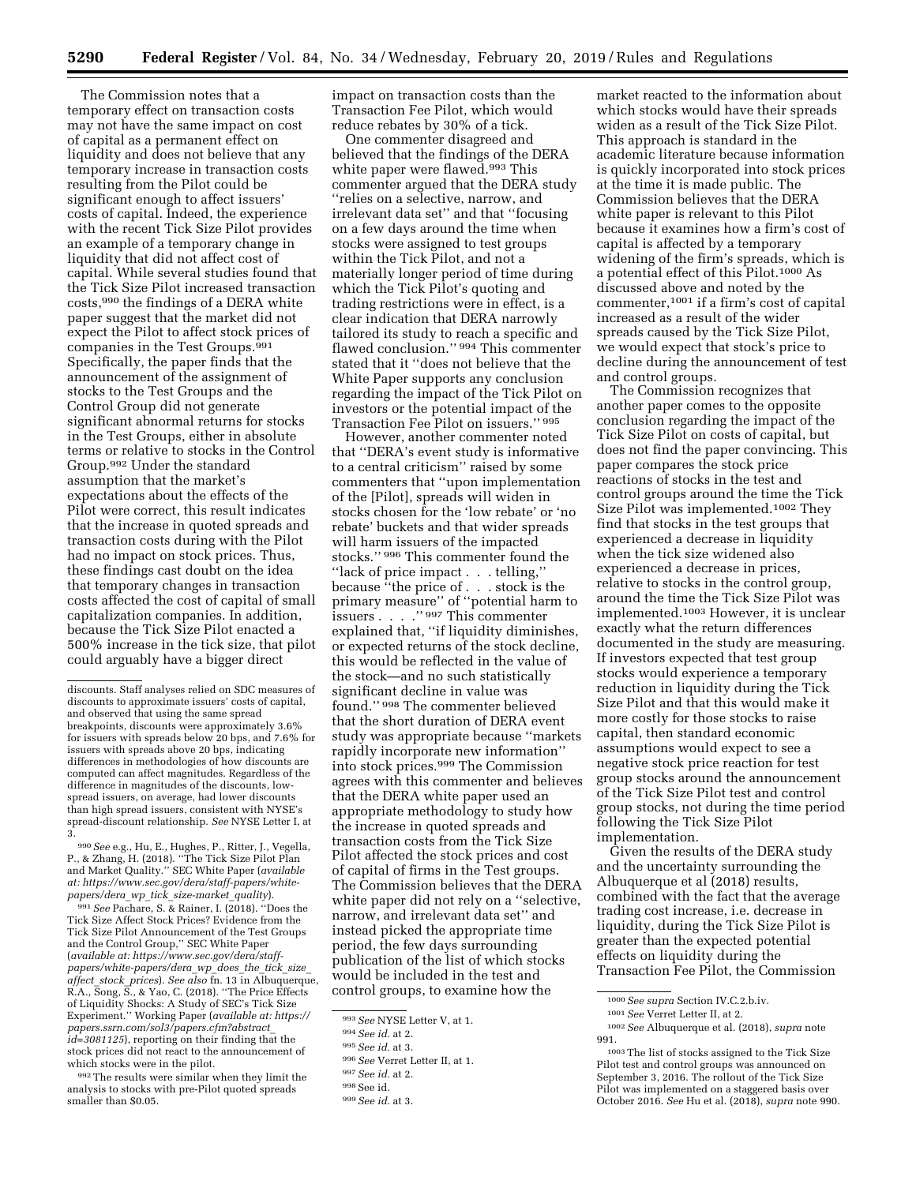The Commission notes that a temporary effect on transaction costs may not have the same impact on cost of capital as a permanent effect on liquidity and does not believe that any temporary increase in transaction costs resulting from the Pilot could be significant enough to affect issuers' costs of capital. Indeed, the experience with the recent Tick Size Pilot provides an example of a temporary change in liquidity that did not affect cost of capital. While several studies found that the Tick Size Pilot increased transaction costs,990 the findings of a DERA white paper suggest that the market did not expect the Pilot to affect stock prices of companies in the Test Groups.991 Specifically, the paper finds that the announcement of the assignment of stocks to the Test Groups and the Control Group did not generate significant abnormal returns for stocks in the Test Groups, either in absolute terms or relative to stocks in the Control Group.992 Under the standard assumption that the market's expectations about the effects of the Pilot were correct, this result indicates that the increase in quoted spreads and transaction costs during with the Pilot had no impact on stock prices. Thus, these findings cast doubt on the idea that temporary changes in transaction costs affected the cost of capital of small capitalization companies. In addition, because the Tick Size Pilot enacted a 500% increase in the tick size, that pilot could arguably have a bigger direct

991*See* Pachare, S. & Rainer, I. (2018). ''Does the Tick Size Affect Stock Prices? Evidence from the Tick Size Pilot Announcement of the Test Groups and the Control Group,'' SEC White Paper (*available at: [https://www.sec.gov/dera/staff](https://www.sec.gov/dera/staff-papers/white-papers/dera_wp_does_the_tick_size_affect_stock_prices)[papers/white-papers/dera](https://www.sec.gov/dera/staff-papers/white-papers/dera_wp_does_the_tick_size_affect_stock_prices)*\_*wp*\_*does*\_*the*\_*tick*\_*size*\_ *affect*\_*stock*\_*[prices](https://www.sec.gov/dera/staff-papers/white-papers/dera_wp_does_the_tick_size_affect_stock_prices)*). *See also* fn. 13 in Albuquerque, R.A., Song, S., & Yao, C. (2018). ''The Price Effects of Liquidity Shocks: A Study of SEC's Tick Size Experiment.'' Working Paper (*available at: [https://](https://papers.ssrn.com/sol3/papers.cfm?abstract_id=3081125) [papers.ssrn.com/sol3/papers.cfm?abstract](https://papers.ssrn.com/sol3/papers.cfm?abstract_id=3081125)*\_ *[id=3081125](https://papers.ssrn.com/sol3/papers.cfm?abstract_id=3081125)*), reporting on their finding that the stock prices did not react to the announcement of which stocks were in the pilot.

992The results were similar when they limit the analysis to stocks with pre-Pilot quoted spreads smaller than \$0.05.

impact on transaction costs than the Transaction Fee Pilot, which would reduce rebates by 30% of a tick.

One commenter disagreed and believed that the findings of the DERA white paper were flawed.<sup>993</sup> This commenter argued that the DERA study ''relies on a selective, narrow, and irrelevant data set'' and that ''focusing on a few days around the time when stocks were assigned to test groups within the Tick Pilot, and not a materially longer period of time during which the Tick Pilot's quoting and trading restrictions were in effect, is a clear indication that DERA narrowly tailored its study to reach a specific and flawed conclusion.'' 994 This commenter stated that it ''does not believe that the White Paper supports any conclusion regarding the impact of the Tick Pilot on investors or the potential impact of the Transaction Fee Pilot on issuers.'' 995

However, another commenter noted that ''DERA's event study is informative to a central criticism'' raised by some commenters that ''upon implementation of the [Pilot], spreads will widen in stocks chosen for the 'low rebate' or 'no rebate' buckets and that wider spreads will harm issuers of the impacted stocks.'' 996 This commenter found the ''lack of price impact . . . telling,'' because ''the price of . . . stock is the primary measure'' of ''potential harm to issuers . . . .'' 997 This commenter explained that, ''if liquidity diminishes, or expected returns of the stock decline, this would be reflected in the value of the stock—and no such statistically significant decline in value was found.'' 998 The commenter believed that the short duration of DERA event study was appropriate because ''markets rapidly incorporate new information'' into stock prices.999 The Commission agrees with this commenter and believes that the DERA white paper used an appropriate methodology to study how the increase in quoted spreads and transaction costs from the Tick Size Pilot affected the stock prices and cost of capital of firms in the Test groups. The Commission believes that the DERA white paper did not rely on a ''selective, narrow, and irrelevant data set'' and instead picked the appropriate time period, the few days surrounding publication of the list of which stocks would be included in the test and control groups, to examine how the

market reacted to the information about which stocks would have their spreads widen as a result of the Tick Size Pilot. This approach is standard in the academic literature because information is quickly incorporated into stock prices at the time it is made public. The Commission believes that the DERA white paper is relevant to this Pilot because it examines how a firm's cost of capital is affected by a temporary widening of the firm's spreads, which is a potential effect of this Pilot.1000 As discussed above and noted by the commenter,1001 if a firm's cost of capital increased as a result of the wider spreads caused by the Tick Size Pilot, we would expect that stock's price to decline during the announcement of test and control groups.

The Commission recognizes that another paper comes to the opposite conclusion regarding the impact of the Tick Size Pilot on costs of capital, but does not find the paper convincing. This paper compares the stock price reactions of stocks in the test and control groups around the time the Tick Size Pilot was implemented.1002 They find that stocks in the test groups that experienced a decrease in liquidity when the tick size widened also experienced a decrease in prices, relative to stocks in the control group, around the time the Tick Size Pilot was implemented.1003 However, it is unclear exactly what the return differences documented in the study are measuring. If investors expected that test group stocks would experience a temporary reduction in liquidity during the Tick Size Pilot and that this would make it more costly for those stocks to raise capital, then standard economic assumptions would expect to see a negative stock price reaction for test group stocks around the announcement of the Tick Size Pilot test and control group stocks, not during the time period following the Tick Size Pilot implementation.

Given the results of the DERA study and the uncertainty surrounding the Albuquerque et al (2018) results, combined with the fact that the average trading cost increase, i.e. decrease in liquidity, during the Tick Size Pilot is greater than the expected potential effects on liquidity during the Transaction Fee Pilot, the Commission

discounts. Staff analyses relied on SDC measures of discounts to approximate issuers' costs of capital, and observed that using the same spread breakpoints, discounts were approximately 3.6% for issuers with spreads below 20 bps, and 7.6% for issuers with spreads above 20 bps, indicating differences in methodologies of how discounts are computed can affect magnitudes. Regardless of the difference in magnitudes of the discounts, lowspread issuers, on average, had lower discounts than high spread issuers, consistent with NYSE's spread-discount relationship. *See* NYSE Letter I, at 3.

<sup>990</sup>*See* e.g., Hu, E., Hughes, P., Ritter, J., Vegella, P., & Zhang, H. (2018). ''The Tick Size Pilot Plan and Market Quality.'' SEC White Paper (*available at: [https://www.sec.gov/dera/staff-papers/white](https://www.sec.gov/dera/staff-papers/white-papers/dera_wp_tick_size-market_quality)[papers/dera](https://www.sec.gov/dera/staff-papers/white-papers/dera_wp_tick_size-market_quality)*\_*wp*\_*tick*\_*size-market*\_*quality*).

<sup>993</sup>*See* NYSE Letter V, at 1.

<sup>994</sup>*See id.* at 2.

<sup>995</sup>*See id.* at 3.

<sup>996</sup>*See* Verret Letter II, at 1.

<sup>997</sup>*See id.* at 2.

<sup>998</sup>See id*.* 

<sup>999</sup>*See id.* at 3.

<sup>1000</sup>*See supra* Section IV.C.2.b.iv.

<sup>1001</sup>*See* Verret Letter II, at 2.

<sup>1002</sup>*See* Albuquerque et al. (2018), *supra* note 991.

<sup>1003</sup>The list of stocks assigned to the Tick Size Pilot test and control groups was announced on September 3, 2016. The rollout of the Tick Size Pilot was implemented on a staggered basis over October 2016. *See* Hu et al. (2018), *supra* note 990.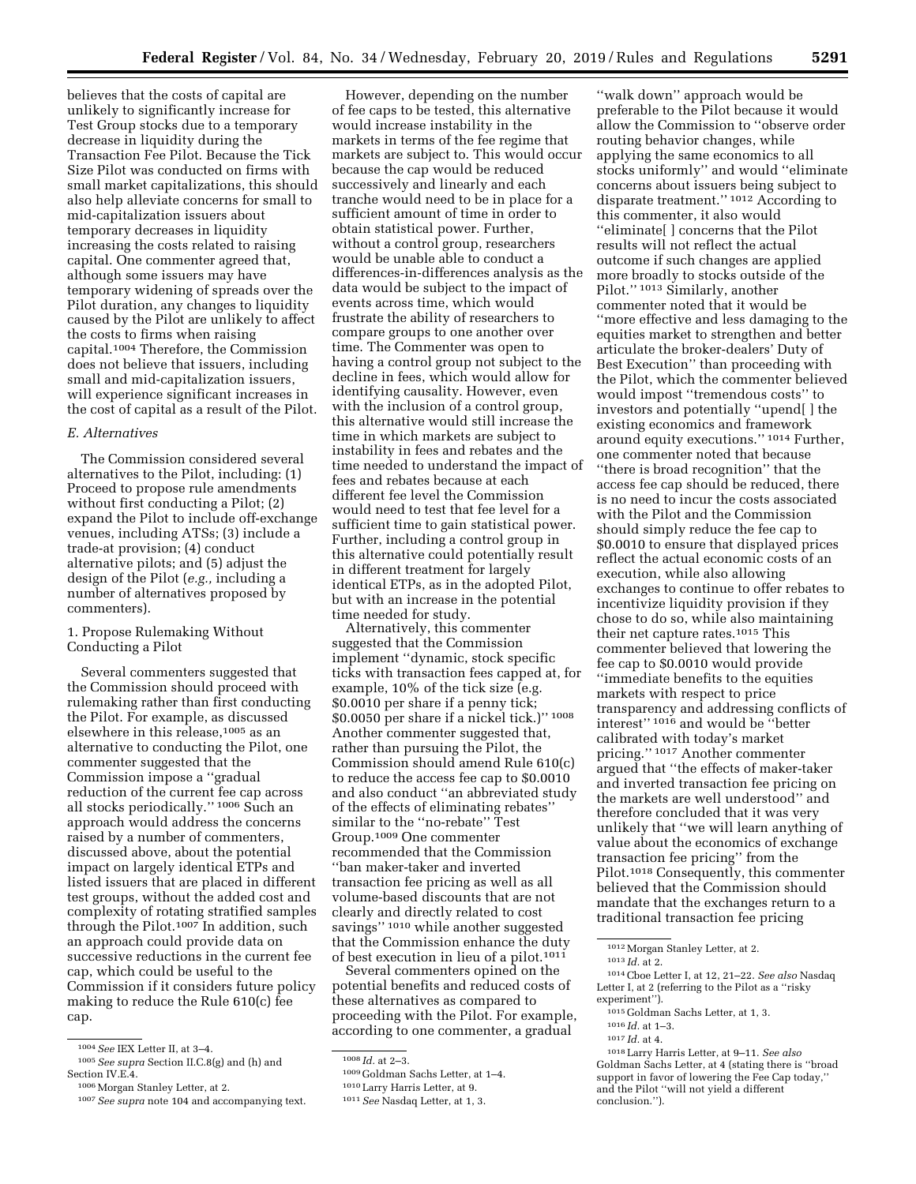believes that the costs of capital are unlikely to significantly increase for Test Group stocks due to a temporary decrease in liquidity during the Transaction Fee Pilot. Because the Tick Size Pilot was conducted on firms with small market capitalizations, this should also help alleviate concerns for small to mid-capitalization issuers about temporary decreases in liquidity increasing the costs related to raising capital. One commenter agreed that, although some issuers may have temporary widening of spreads over the Pilot duration, any changes to liquidity caused by the Pilot are unlikely to affect the costs to firms when raising capital.1004 Therefore, the Commission does not believe that issuers, including small and mid-capitalization issuers, will experience significant increases in the cost of capital as a result of the Pilot.

# *E. Alternatives*

The Commission considered several alternatives to the Pilot, including: (1) Proceed to propose rule amendments without first conducting a Pilot; (2) expand the Pilot to include off-exchange venues, including ATSs; (3) include a trade-at provision; (4) conduct alternative pilots; and (5) adjust the design of the Pilot (*e.g.,* including a number of alternatives proposed by commenters).

1. Propose Rulemaking Without Conducting a Pilot

Several commenters suggested that the Commission should proceed with rulemaking rather than first conducting the Pilot. For example, as discussed elsewhere in this release,<sup>1005</sup> as an alternative to conducting the Pilot, one commenter suggested that the Commission impose a ''gradual reduction of the current fee cap across all stocks periodically.'' 1006 Such an approach would address the concerns raised by a number of commenters, discussed above, about the potential impact on largely identical ETPs and listed issuers that are placed in different test groups, without the added cost and complexity of rotating stratified samples through the Pilot.1007 In addition, such an approach could provide data on successive reductions in the current fee cap, which could be useful to the Commission if it considers future policy making to reduce the Rule 610(c) fee cap.

However, depending on the number of fee caps to be tested, this alternative would increase instability in the markets in terms of the fee regime that markets are subject to. This would occur because the cap would be reduced successively and linearly and each tranche would need to be in place for a sufficient amount of time in order to obtain statistical power. Further, without a control group, researchers would be unable able to conduct a differences-in-differences analysis as the data would be subject to the impact of events across time, which would frustrate the ability of researchers to compare groups to one another over time. The Commenter was open to having a control group not subject to the decline in fees, which would allow for identifying causality. However, even with the inclusion of a control group, this alternative would still increase the time in which markets are subject to instability in fees and rebates and the time needed to understand the impact of fees and rebates because at each different fee level the Commission would need to test that fee level for a sufficient time to gain statistical power. Further, including a control group in this alternative could potentially result in different treatment for largely identical ETPs, as in the adopted Pilot, but with an increase in the potential time needed for study.

Alternatively, this commenter suggested that the Commission implement ''dynamic, stock specific ticks with transaction fees capped at, for example, 10% of the tick size (e.g. \$0.0010 per share if a penny tick; \$0.0050 per share if a nickel tick.)'' 1008 Another commenter suggested that, rather than pursuing the Pilot, the Commission should amend Rule 610(c) to reduce the access fee cap to \$0.0010 and also conduct ''an abbreviated study of the effects of eliminating rebates'' similar to the ''no-rebate'' Test Group.1009 One commenter recommended that the Commission ''ban maker-taker and inverted transaction fee pricing as well as all volume-based discounts that are not clearly and directly related to cost savings'' 1010 while another suggested that the Commission enhance the duty of best execution in lieu of a pilot.1011

Several commenters opined on the potential benefits and reduced costs of these alternatives as compared to proceeding with the Pilot. For example, according to one commenter, a gradual

''walk down'' approach would be preferable to the Pilot because it would allow the Commission to ''observe order routing behavior changes, while applying the same economics to all stocks uniformly'' and would ''eliminate concerns about issuers being subject to disparate treatment.'' 1012 According to this commenter, it also would ''eliminate[ ] concerns that the Pilot results will not reflect the actual outcome if such changes are applied more broadly to stocks outside of the Pilot.'' 1013 Similarly, another commenter noted that it would be ''more effective and less damaging to the equities market to strengthen and better articulate the broker-dealers' Duty of Best Execution'' than proceeding with the Pilot, which the commenter believed would impost ''tremendous costs'' to investors and potentially ''upend[ ] the existing economics and framework around equity executions.'' 1014 Further, one commenter noted that because ''there is broad recognition'' that the access fee cap should be reduced, there is no need to incur the costs associated with the Pilot and the Commission should simply reduce the fee cap to \$0.0010 to ensure that displayed prices reflect the actual economic costs of an execution, while also allowing exchanges to continue to offer rebates to incentivize liquidity provision if they chose to do so, while also maintaining their net capture rates.1015 This commenter believed that lowering the fee cap to \$0.0010 would provide ''immediate benefits to the equities markets with respect to price transparency and addressing conflicts of interest'' 1016 and would be ''better calibrated with today's market pricing.'' 1017 Another commenter argued that ''the effects of maker-taker and inverted transaction fee pricing on the markets are well understood'' and therefore concluded that it was very unlikely that ''we will learn anything of value about the economics of exchange transaction fee pricing'' from the Pilot.1018 Consequently, this commenter believed that the Commission should mandate that the exchanges return to a traditional transaction fee pricing

<sup>1004</sup>*See* IEX Letter II, at 3–4.

<sup>1005</sup>*See supra* Section II.C.8(g) and (h) and Section IV.E.4.

<sup>1006</sup>Morgan Stanley Letter, at 2.

<sup>1007</sup>*See supra* note 104 and accompanying text.

<sup>1008</sup> *Id.* at 2–3.

<sup>1009</sup> Goldman Sachs Letter, at 1–4.

<sup>1010</sup>Larry Harris Letter, at 9.

<sup>1011</sup>*See* Nasdaq Letter, at 1, 3.

<sup>1012</sup>Morgan Stanley Letter, at 2.

<sup>1013</sup> *Id.* at 2.

<sup>1014</sup>Cboe Letter I, at 12, 21–22. *See also* Nasdaq Letter I, at 2 (referring to the Pilot as a ''risky experiment'').

<sup>1015</sup> Goldman Sachs Letter, at 1, 3.

<sup>1016</sup> *Id.* at 1–3.

<sup>1017</sup> *Id.* at 4.

<sup>1018</sup>Larry Harris Letter, at 9–11. *See also*  Goldman Sachs Letter, at 4 (stating there is ''broad support in favor of lowering the Fee Cap today,'' and the Pilot ''will not yield a different conclusion.'').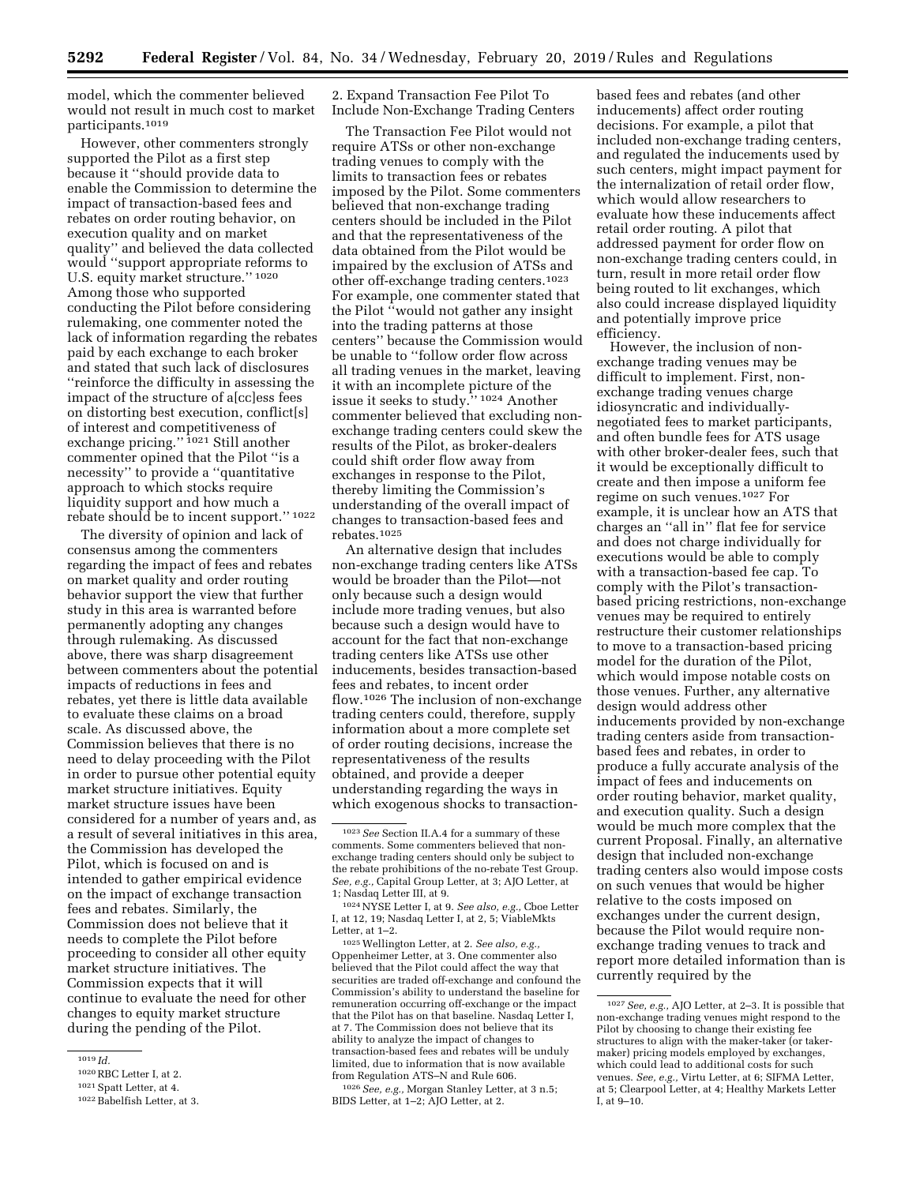model, which the commenter believed would not result in much cost to market participants.1019

However, other commenters strongly supported the Pilot as a first step because it ''should provide data to enable the Commission to determine the impact of transaction-based fees and rebates on order routing behavior, on execution quality and on market quality'' and believed the data collected would ''support appropriate reforms to U.S. equity market structure.'' 1020 Among those who supported conducting the Pilot before considering rulemaking, one commenter noted the lack of information regarding the rebates paid by each exchange to each broker and stated that such lack of disclosures ''reinforce the difficulty in assessing the impact of the structure of a[cc]ess fees on distorting best execution, conflict[s] of interest and competitiveness of exchange pricing.'' 1021 Still another commenter opined that the Pilot ''is a necessity'' to provide a ''quantitative approach to which stocks require liquidity support and how much a rebate should be to incent support."  $1022$ 

The diversity of opinion and lack of consensus among the commenters regarding the impact of fees and rebates on market quality and order routing behavior support the view that further study in this area is warranted before permanently adopting any changes through rulemaking. As discussed above, there was sharp disagreement between commenters about the potential impacts of reductions in fees and rebates, yet there is little data available to evaluate these claims on a broad scale. As discussed above, the Commission believes that there is no need to delay proceeding with the Pilot in order to pursue other potential equity market structure initiatives. Equity market structure issues have been considered for a number of years and, as a result of several initiatives in this area, the Commission has developed the Pilot, which is focused on and is intended to gather empirical evidence on the impact of exchange transaction fees and rebates. Similarly, the Commission does not believe that it needs to complete the Pilot before proceeding to consider all other equity market structure initiatives. The Commission expects that it will continue to evaluate the need for other changes to equity market structure during the pending of the Pilot.

2. Expand Transaction Fee Pilot To Include Non-Exchange Trading Centers

The Transaction Fee Pilot would not require ATSs or other non-exchange trading venues to comply with the limits to transaction fees or rebates imposed by the Pilot. Some commenters believed that non-exchange trading centers should be included in the Pilot and that the representativeness of the data obtained from the Pilot would be impaired by the exclusion of ATSs and other off-exchange trading centers.1023 For example, one commenter stated that the Pilot ''would not gather any insight into the trading patterns at those centers'' because the Commission would be unable to ''follow order flow across all trading venues in the market, leaving it with an incomplete picture of the issue it seeks to study.'' 1024 Another commenter believed that excluding nonexchange trading centers could skew the results of the Pilot, as broker-dealers could shift order flow away from exchanges in response to the Pilot, thereby limiting the Commission's understanding of the overall impact of changes to transaction-based fees and rebates.1025

An alternative design that includes non-exchange trading centers like ATSs would be broader than the Pilot—not only because such a design would include more trading venues, but also because such a design would have to account for the fact that non-exchange trading centers like ATSs use other inducements, besides transaction-based fees and rebates, to incent order flow.1026 The inclusion of non-exchange trading centers could, therefore, supply information about a more complete set of order routing decisions, increase the representativeness of the results obtained, and provide a deeper understanding regarding the ways in which exogenous shocks to transaction-

1024NYSE Letter I, at 9. *See also, e.g.,* Cboe Letter I, at 12, 19; Nasdaq Letter I, at 2, 5; ViableMkts Letter, at 1–2.

1025Wellington Letter, at 2. *See also, e.g.,*  Oppenheimer Letter, at 3. One commenter also believed that the Pilot could affect the way that securities are traded off-exchange and confound the Commission's ability to understand the baseline for remuneration occurring off-exchange or the impact that the Pilot has on that baseline. Nasdaq Letter I, at 7. The Commission does not believe that its ability to analyze the impact of changes to transaction-based fees and rebates will be unduly limited, due to information that is now available from Regulation ATS–N and Rule 606.

1026*See, e.g.,* Morgan Stanley Letter, at 3 n.5; BIDS Letter, at 1–2; AJO Letter, at 2.

based fees and rebates (and other inducements) affect order routing decisions. For example, a pilot that included non-exchange trading centers, and regulated the inducements used by such centers, might impact payment for the internalization of retail order flow, which would allow researchers to evaluate how these inducements affect retail order routing. A pilot that addressed payment for order flow on non-exchange trading centers could, in turn, result in more retail order flow being routed to lit exchanges, which also could increase displayed liquidity and potentially improve price efficiency.

However, the inclusion of nonexchange trading venues may be difficult to implement. First, nonexchange trading venues charge idiosyncratic and individuallynegotiated fees to market participants, and often bundle fees for ATS usage with other broker-dealer fees, such that it would be exceptionally difficult to create and then impose a uniform fee regime on such venues.1027 For example, it is unclear how an ATS that charges an ''all in'' flat fee for service and does not charge individually for executions would be able to comply with a transaction-based fee cap. To comply with the Pilot's transactionbased pricing restrictions, non-exchange venues may be required to entirely restructure their customer relationships to move to a transaction-based pricing model for the duration of the Pilot, which would impose notable costs on those venues. Further, any alternative design would address other inducements provided by non-exchange trading centers aside from transactionbased fees and rebates, in order to produce a fully accurate analysis of the impact of fees and inducements on order routing behavior, market quality, and execution quality. Such a design would be much more complex that the current Proposal. Finally, an alternative design that included non-exchange trading centers also would impose costs on such venues that would be higher relative to the costs imposed on exchanges under the current design, because the Pilot would require nonexchange trading venues to track and report more detailed information than is currently required by the

<sup>1019</sup> *Id.* 

<sup>1020</sup>RBC Letter I, at 2.

<sup>1021</sup>Spatt Letter, at 4.

<sup>1022</sup>Babelfish Letter, at 3.

<sup>1023</sup>*See* Section II.A.4 for a summary of these comments. Some commenters believed that nonexchange trading centers should only be subject to the rebate prohibitions of the no-rebate Test Group. *See, e.g.,* Capital Group Letter, at 3; AJO Letter, at 1; Nasdaq Letter III, at 9.

<sup>1027</sup>*See, e.g.,* AJO Letter, at 2–3. It is possible that non-exchange trading venues might respond to the Pilot by choosing to change their existing fee structures to align with the maker-taker (or takermaker) pricing models employed by exchanges, which could lead to additional costs for such venues. *See, e.g.,* Virtu Letter, at 6; SIFMA Letter, at 5; Clearpool Letter, at 4; Healthy Markets Letter I, at 9–10.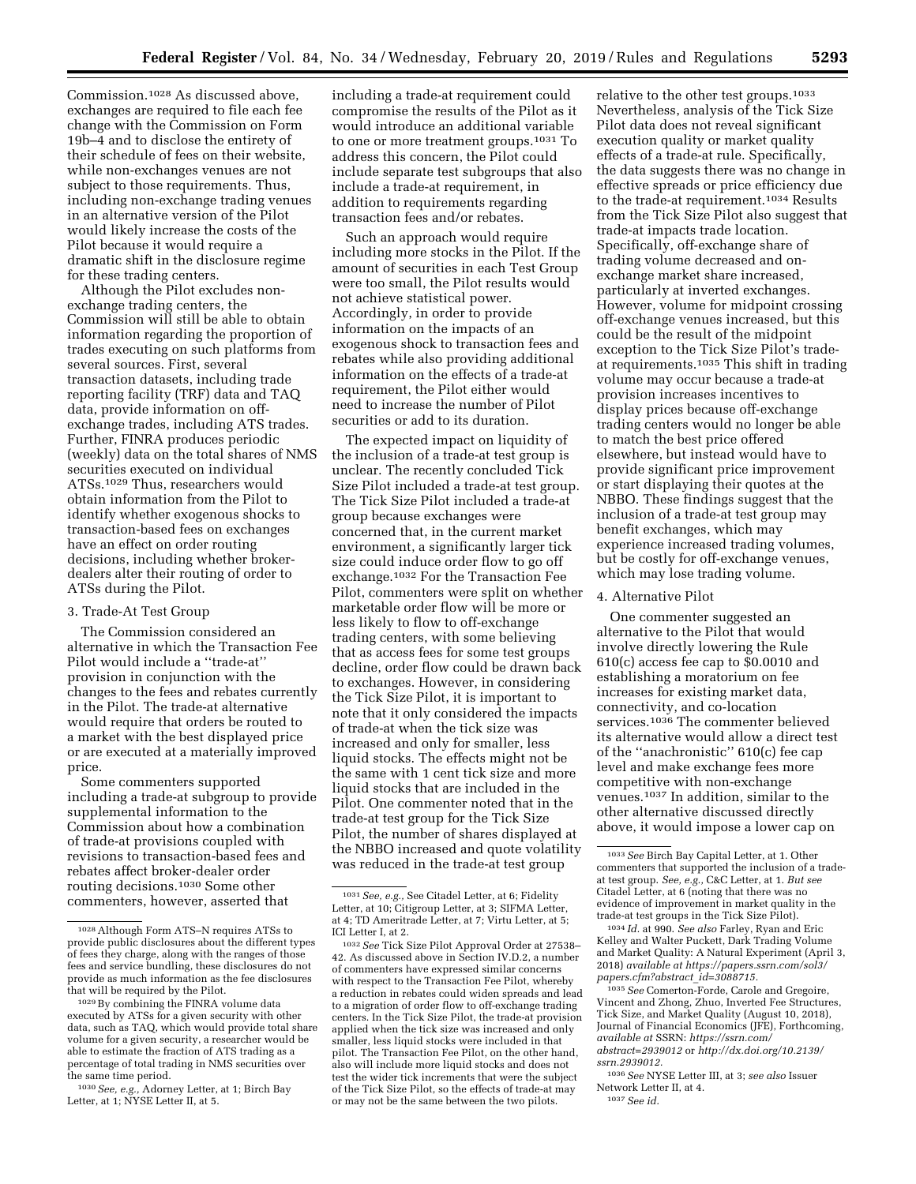Commission.1028 As discussed above, exchanges are required to file each fee change with the Commission on Form 19b–4 and to disclose the entirety of their schedule of fees on their website, while non-exchanges venues are not subject to those requirements. Thus, including non-exchange trading venues in an alternative version of the Pilot would likely increase the costs of the Pilot because it would require a dramatic shift in the disclosure regime for these trading centers.

Although the Pilot excludes nonexchange trading centers, the Commission will still be able to obtain information regarding the proportion of trades executing on such platforms from several sources. First, several transaction datasets, including trade reporting facility (TRF) data and TAQ data, provide information on offexchange trades, including ATS trades. Further, FINRA produces periodic (weekly) data on the total shares of NMS securities executed on individual ATSs.1029 Thus, researchers would obtain information from the Pilot to identify whether exogenous shocks to transaction-based fees on exchanges have an effect on order routing decisions, including whether brokerdealers alter their routing of order to ATSs during the Pilot.

#### 3. Trade-At Test Group

The Commission considered an alternative in which the Transaction Fee Pilot would include a ''trade-at'' provision in conjunction with the changes to the fees and rebates currently in the Pilot. The trade-at alternative would require that orders be routed to a market with the best displayed price or are executed at a materially improved price.

Some commenters supported including a trade-at subgroup to provide supplemental information to the Commission about how a combination of trade-at provisions coupled with revisions to transaction-based fees and rebates affect broker-dealer order routing decisions.1030 Some other commenters, however, asserted that

including a trade-at requirement could compromise the results of the Pilot as it would introduce an additional variable to one or more treatment groups.1031 To address this concern, the Pilot could include separate test subgroups that also include a trade-at requirement, in addition to requirements regarding transaction fees and/or rebates.

Such an approach would require including more stocks in the Pilot. If the amount of securities in each Test Group were too small, the Pilot results would not achieve statistical power. Accordingly, in order to provide information on the impacts of an exogenous shock to transaction fees and rebates while also providing additional information on the effects of a trade-at requirement, the Pilot either would need to increase the number of Pilot securities or add to its duration.

The expected impact on liquidity of the inclusion of a trade-at test group is unclear. The recently concluded Tick Size Pilot included a trade-at test group. The Tick Size Pilot included a trade-at group because exchanges were concerned that, in the current market environment, a significantly larger tick size could induce order flow to go off exchange.1032 For the Transaction Fee Pilot, commenters were split on whether marketable order flow will be more or less likely to flow to off-exchange trading centers, with some believing that as access fees for some test groups decline, order flow could be drawn back to exchanges. However, in considering the Tick Size Pilot, it is important to note that it only considered the impacts of trade-at when the tick size was increased and only for smaller, less liquid stocks. The effects might not be the same with 1 cent tick size and more liquid stocks that are included in the Pilot. One commenter noted that in the trade-at test group for the Tick Size Pilot, the number of shares displayed at the NBBO increased and quote volatility was reduced in the trade-at test group

relative to the other test groups.1033 Nevertheless, analysis of the Tick Size Pilot data does not reveal significant execution quality or market quality effects of a trade-at rule. Specifically, the data suggests there was no change in effective spreads or price efficiency due to the trade-at requirement.1034 Results from the Tick Size Pilot also suggest that trade-at impacts trade location. Specifically, off-exchange share of trading volume decreased and onexchange market share increased, particularly at inverted exchanges. However, volume for midpoint crossing off-exchange venues increased, but this could be the result of the midpoint exception to the Tick Size Pilot's tradeat requirements.1035 This shift in trading volume may occur because a trade-at provision increases incentives to display prices because off-exchange trading centers would no longer be able to match the best price offered elsewhere, but instead would have to provide significant price improvement or start displaying their quotes at the NBBO. These findings suggest that the inclusion of a trade-at test group may benefit exchanges, which may experience increased trading volumes, but be costly for off-exchange venues, which may lose trading volume.

### 4. Alternative Pilot

One commenter suggested an alternative to the Pilot that would involve directly lowering the Rule 610(c) access fee cap to \$0.0010 and establishing a moratorium on fee increases for existing market data, connectivity, and co-location services.1036 The commenter believed its alternative would allow a direct test of the ''anachronistic'' 610(c) fee cap level and make exchange fees more competitive with non-exchange venues.1037 In addition, similar to the other alternative discussed directly above, it would impose a lower cap on

1035*See* Comerton-Forde, Carole and Gregoire, Vincent and Zhong, Zhuo, Inverted Fee Structures, Tick Size, and Market Quality (August 10, 2018), Journal of Financial Economics (JFE), Forthcoming, *available at* SSRN: *[https://ssrn.com/](https://ssrn.com/abstract=2939012) [abstract=2939012](https://ssrn.com/abstract=2939012)* or *[http://dx.doi.org/10.2139/](http://dx.doi.org/10.2139/ssrn.2939012)  [ssrn.2939012.](http://dx.doi.org/10.2139/ssrn.2939012)* 

1036*See* NYSE Letter III, at 3; *see also* Issuer Network Letter II, at 4.

1037*See id.* 

<sup>1028</sup>Although Form ATS–N requires ATSs to provide public disclosures about the different types of fees they charge, along with the ranges of those fees and service bundling, these disclosures do not provide as much information as the fee disclosures that will be required by the Pilot.

<sup>1029</sup>By combining the FINRA volume data executed by ATSs for a given security with other data, such as TAQ, which would provide total share volume for a given security, a researcher would be able to estimate the fraction of ATS trading as a percentage of total trading in NMS securities over the same time period.

<sup>1030</sup>*See, e.g.,* Adorney Letter, at 1; Birch Bay Letter, at 1; NYSE Letter II, at 5.

<sup>1031</sup>*See, e.g.,* See Citadel Letter, at 6; Fidelity Letter, at 10; Citigroup Letter, at 3; SIFMA Letter, at 4; TD Ameritrade Letter, at 7; Virtu Letter, at 5; ICI Letter I, at 2.

<sup>1032</sup>*See* Tick Size Pilot Approval Order at 27538– 42. As discussed above in Section IV.D.2, a number of commenters have expressed similar concerns with respect to the Transaction Fee Pilot, whereby a reduction in rebates could widen spreads and lead to a migration of order flow to off-exchange trading centers. In the Tick Size Pilot, the trade-at provision applied when the tick size was increased and only smaller, less liquid stocks were included in that pilot. The Transaction Fee Pilot, on the other hand, also will include more liquid stocks and does not test the wider tick increments that were the subject of the Tick Size Pilot, so the effects of trade-at may or may not be the same between the two pilots.

<sup>1033</sup>*See* Birch Bay Capital Letter, at 1. Other commenters that supported the inclusion of a tradeat test group. *See, e.g.,* C&C Letter, at 1. *But see*  Citadel Letter, at 6 (noting that there was no evidence of improvement in market quality in the trade-at test groups in the Tick Size Pilot).

<sup>1034</sup> *Id.* at 990. *See also* Farley, Ryan and Eric Kelley and Walter Puckett, Dark Trading Volume and Market Quality: A Natural Experiment (April 3, 2018) *available at [https://papers.ssrn.com/sol3/](https://papers.ssrn.com/sol3/papers.cfm?abstract_id=3088715) [papers.cfm?abstract](https://papers.ssrn.com/sol3/papers.cfm?abstract_id=3088715)*\_*id=3088715.*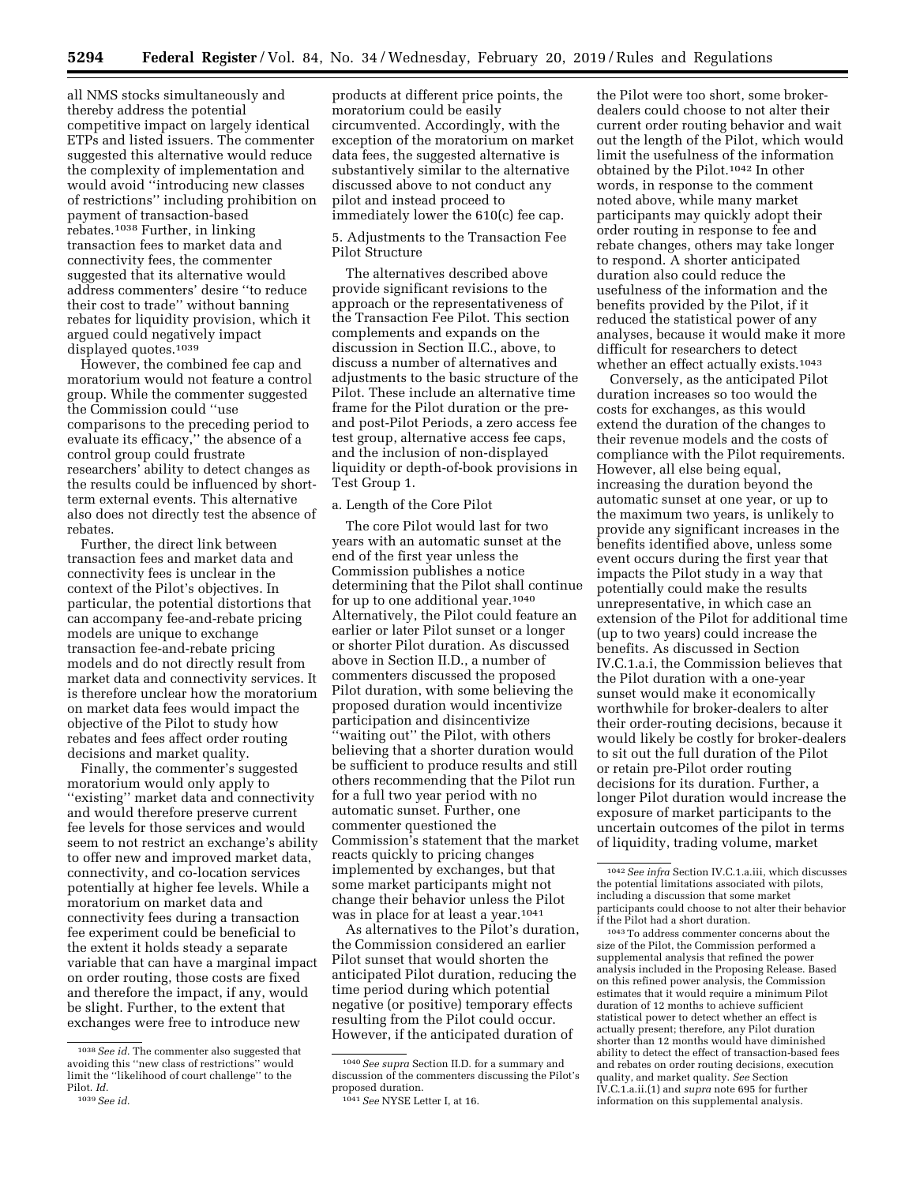all NMS stocks simultaneously and thereby address the potential competitive impact on largely identical ETPs and listed issuers. The commenter suggested this alternative would reduce the complexity of implementation and would avoid ''introducing new classes of restrictions'' including prohibition on payment of transaction-based rebates.1038 Further, in linking transaction fees to market data and connectivity fees, the commenter suggested that its alternative would address commenters' desire ''to reduce their cost to trade'' without banning rebates for liquidity provision, which it argued could negatively impact displayed quotes.1039

However, the combined fee cap and moratorium would not feature a control group. While the commenter suggested the Commission could ''use comparisons to the preceding period to evaluate its efficacy,'' the absence of a control group could frustrate researchers' ability to detect changes as the results could be influenced by shortterm external events. This alternative also does not directly test the absence of rebates.

Further, the direct link between transaction fees and market data and connectivity fees is unclear in the context of the Pilot's objectives. In particular, the potential distortions that can accompany fee-and-rebate pricing models are unique to exchange transaction fee-and-rebate pricing models and do not directly result from market data and connectivity services. It is therefore unclear how the moratorium on market data fees would impact the objective of the Pilot to study how rebates and fees affect order routing decisions and market quality.

Finally, the commenter's suggested moratorium would only apply to ''existing'' market data and connectivity and would therefore preserve current fee levels for those services and would seem to not restrict an exchange's ability to offer new and improved market data, connectivity, and co-location services potentially at higher fee levels. While a moratorium on market data and connectivity fees during a transaction fee experiment could be beneficial to the extent it holds steady a separate variable that can have a marginal impact on order routing, those costs are fixed and therefore the impact, if any, would be slight. Further, to the extent that exchanges were free to introduce new

products at different price points, the moratorium could be easily circumvented. Accordingly, with the exception of the moratorium on market data fees, the suggested alternative is substantively similar to the alternative discussed above to not conduct any pilot and instead proceed to immediately lower the 610(c) fee cap.

# 5. Adjustments to the Transaction Fee Pilot Structure

The alternatives described above provide significant revisions to the approach or the representativeness of the Transaction Fee Pilot. This section complements and expands on the discussion in Section II.C., above, to discuss a number of alternatives and adjustments to the basic structure of the Pilot. These include an alternative time frame for the Pilot duration or the preand post-Pilot Periods, a zero access fee test group, alternative access fee caps, and the inclusion of non-displayed liquidity or depth-of-book provisions in Test Group 1.

# a. Length of the Core Pilot

The core Pilot would last for two years with an automatic sunset at the end of the first year unless the Commission publishes a notice determining that the Pilot shall continue for up to one additional year.1040 Alternatively, the Pilot could feature an earlier or later Pilot sunset or a longer or shorter Pilot duration. As discussed above in Section II.D., a number of commenters discussed the proposed Pilot duration, with some believing the proposed duration would incentivize participation and disincentivize 'waiting out'' the Pilot, with others believing that a shorter duration would be sufficient to produce results and still others recommending that the Pilot run for a full two year period with no automatic sunset. Further, one commenter questioned the Commission's statement that the market reacts quickly to pricing changes implemented by exchanges, but that some market participants might not change their behavior unless the Pilot was in place for at least a year.<sup>1041</sup>

As alternatives to the Pilot's duration, the Commission considered an earlier Pilot sunset that would shorten the anticipated Pilot duration, reducing the time period during which potential negative (or positive) temporary effects resulting from the Pilot could occur. However, if the anticipated duration of

the Pilot were too short, some brokerdealers could choose to not alter their current order routing behavior and wait out the length of the Pilot, which would limit the usefulness of the information obtained by the Pilot.1042 In other words, in response to the comment noted above, while many market participants may quickly adopt their order routing in response to fee and rebate changes, others may take longer to respond. A shorter anticipated duration also could reduce the usefulness of the information and the benefits provided by the Pilot, if it reduced the statistical power of any analyses, because it would make it more difficult for researchers to detect whether an effect actually exists.1043

Conversely, as the anticipated Pilot duration increases so too would the costs for exchanges, as this would extend the duration of the changes to their revenue models and the costs of compliance with the Pilot requirements. However, all else being equal, increasing the duration beyond the automatic sunset at one year, or up to the maximum two years, is unlikely to provide any significant increases in the benefits identified above, unless some event occurs during the first year that impacts the Pilot study in a way that potentially could make the results unrepresentative, in which case an extension of the Pilot for additional time (up to two years) could increase the benefits. As discussed in Section IV.C.1.a.i, the Commission believes that the Pilot duration with a one-year sunset would make it economically worthwhile for broker-dealers to alter their order-routing decisions, because it would likely be costly for broker-dealers to sit out the full duration of the Pilot or retain pre-Pilot order routing decisions for its duration. Further, a longer Pilot duration would increase the exposure of market participants to the uncertain outcomes of the pilot in terms of liquidity, trading volume, market

1043To address commenter concerns about the size of the Pilot, the Commission performed a supplemental analysis that refined the power analysis included in the Proposing Release. Based on this refined power analysis, the Commission estimates that it would require a minimum Pilot duration of 12 months to achieve sufficient statistical power to detect whether an effect is actually present; therefore, any Pilot duration shorter than 12 months would have diminished ability to detect the effect of transaction-based fees and rebates on order routing decisions, execution quality, and market quality. *See* Section IV.C.1.a.ii.(1) and *supra* note 695 for further information on this supplemental analysis.

<sup>1038</sup>*See id.* The commenter also suggested that avoiding this ''new class of restrictions'' would limit the ''likelihood of court challenge'' to the Pilot. *Id.* 

<sup>1039</sup>*See id.* 

<sup>1040</sup>*See supra* Section II.D. for a summary and discussion of the commenters discussing the Pilot's proposed duration.

<sup>1041</sup>*See* NYSE Letter I, at 16.

<sup>1042</sup>*See infra* Section IV.C.1.a.iii, which discusses the potential limitations associated with pilots, including a discussion that some market participants could choose to not alter their behavior if the Pilot had a short duration.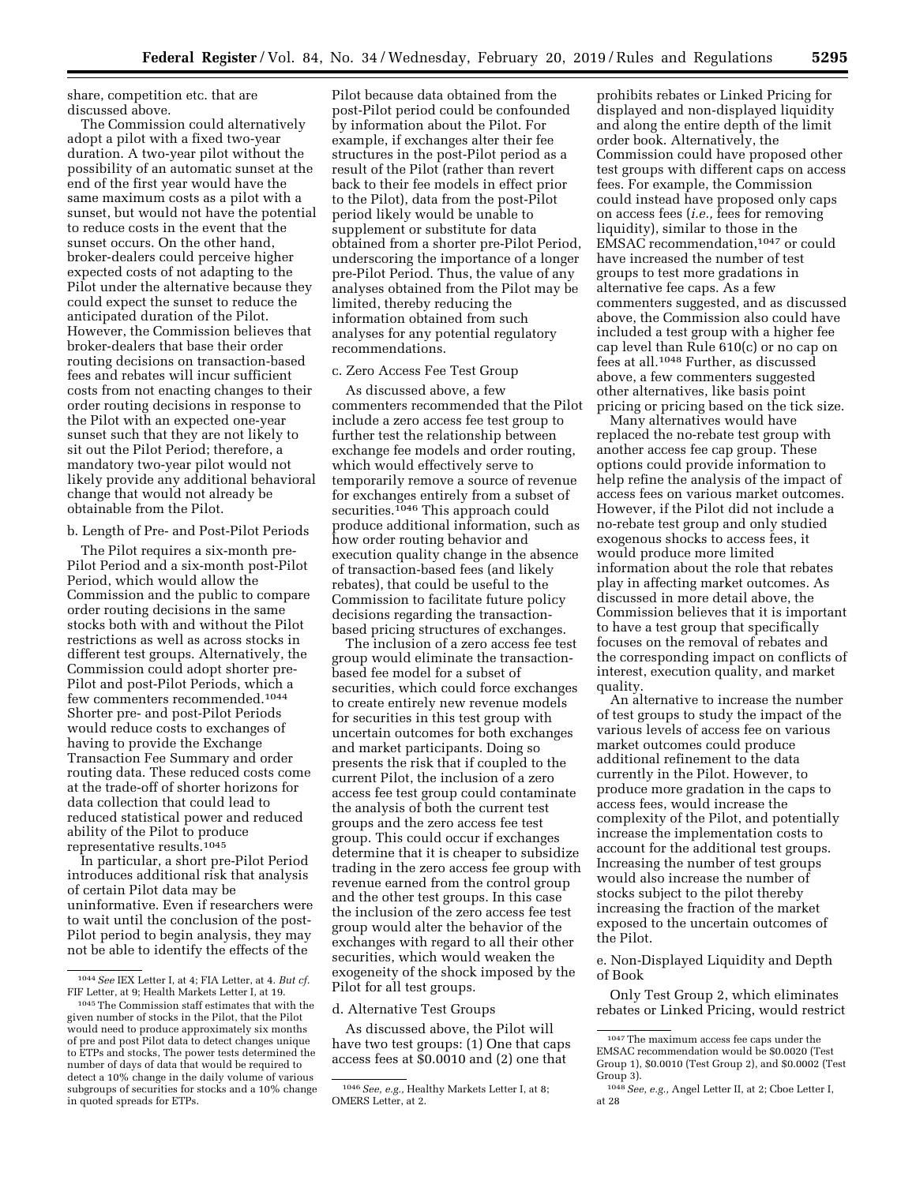share, competition etc. that are discussed above.

The Commission could alternatively adopt a pilot with a fixed two-year duration. A two-year pilot without the possibility of an automatic sunset at the end of the first year would have the same maximum costs as a pilot with a sunset, but would not have the potential to reduce costs in the event that the sunset occurs. On the other hand, broker-dealers could perceive higher expected costs of not adapting to the Pilot under the alternative because they could expect the sunset to reduce the anticipated duration of the Pilot. However, the Commission believes that broker-dealers that base their order routing decisions on transaction-based fees and rebates will incur sufficient costs from not enacting changes to their order routing decisions in response to the Pilot with an expected one-year sunset such that they are not likely to sit out the Pilot Period; therefore, a mandatory two-year pilot would not likely provide any additional behavioral change that would not already be obtainable from the Pilot.

# b. Length of Pre- and Post-Pilot Periods

The Pilot requires a six-month pre-Pilot Period and a six-month post-Pilot Period, which would allow the Commission and the public to compare order routing decisions in the same stocks both with and without the Pilot restrictions as well as across stocks in different test groups. Alternatively, the Commission could adopt shorter pre-Pilot and post-Pilot Periods, which a few commenters recommended.1044 Shorter pre- and post-Pilot Periods would reduce costs to exchanges of having to provide the Exchange Transaction Fee Summary and order routing data. These reduced costs come at the trade-off of shorter horizons for data collection that could lead to reduced statistical power and reduced ability of the Pilot to produce representative results.1045

In particular, a short pre-Pilot Period introduces additional risk that analysis of certain Pilot data may be uninformative. Even if researchers were to wait until the conclusion of the post-Pilot period to begin analysis, they may not be able to identify the effects of the

Pilot because data obtained from the post-Pilot period could be confounded by information about the Pilot. For example, if exchanges alter their fee structures in the post-Pilot period as a result of the Pilot (rather than revert back to their fee models in effect prior to the Pilot), data from the post-Pilot period likely would be unable to supplement or substitute for data obtained from a shorter pre-Pilot Period, underscoring the importance of a longer pre-Pilot Period. Thus, the value of any analyses obtained from the Pilot may be limited, thereby reducing the information obtained from such analyses for any potential regulatory recommendations.

# c. Zero Access Fee Test Group

As discussed above, a few commenters recommended that the Pilot include a zero access fee test group to further test the relationship between exchange fee models and order routing, which would effectively serve to temporarily remove a source of revenue for exchanges entirely from a subset of securities.<sup>1046</sup> This approach could produce additional information, such as how order routing behavior and execution quality change in the absence of transaction-based fees (and likely rebates), that could be useful to the Commission to facilitate future policy decisions regarding the transactionbased pricing structures of exchanges.

The inclusion of a zero access fee test group would eliminate the transactionbased fee model for a subset of securities, which could force exchanges to create entirely new revenue models for securities in this test group with uncertain outcomes for both exchanges and market participants. Doing so presents the risk that if coupled to the current Pilot, the inclusion of a zero access fee test group could contaminate the analysis of both the current test groups and the zero access fee test group. This could occur if exchanges determine that it is cheaper to subsidize trading in the zero access fee group with revenue earned from the control group and the other test groups. In this case the inclusion of the zero access fee test group would alter the behavior of the exchanges with regard to all their other securities, which would weaken the exogeneity of the shock imposed by the Pilot for all test groups.

#### d. Alternative Test Groups

As discussed above, the Pilot will have two test groups: (1) One that caps access fees at \$0.0010 and (2) one that

prohibits rebates or Linked Pricing for displayed and non-displayed liquidity and along the entire depth of the limit order book. Alternatively, the Commission could have proposed other test groups with different caps on access fees. For example, the Commission could instead have proposed only caps on access fees (*i.e.,* fees for removing liquidity), similar to those in the EMSAC recommendation,1047 or could have increased the number of test groups to test more gradations in alternative fee caps. As a few commenters suggested, and as discussed above, the Commission also could have included a test group with a higher fee cap level than Rule 610(c) or no cap on fees at all.1048 Further, as discussed above, a few commenters suggested other alternatives, like basis point pricing or pricing based on the tick size.

Many alternatives would have replaced the no-rebate test group with another access fee cap group. These options could provide information to help refine the analysis of the impact of access fees on various market outcomes. However, if the Pilot did not include a no-rebate test group and only studied exogenous shocks to access fees, it would produce more limited information about the role that rebates play in affecting market outcomes. As discussed in more detail above, the Commission believes that it is important to have a test group that specifically focuses on the removal of rebates and the corresponding impact on conflicts of interest, execution quality, and market quality.

An alternative to increase the number of test groups to study the impact of the various levels of access fee on various market outcomes could produce additional refinement to the data currently in the Pilot. However, to produce more gradation in the caps to access fees, would increase the complexity of the Pilot, and potentially increase the implementation costs to account for the additional test groups. Increasing the number of test groups would also increase the number of stocks subject to the pilot thereby increasing the fraction of the market exposed to the uncertain outcomes of the Pilot.

e. Non-Displayed Liquidity and Depth of Book

Only Test Group 2, which eliminates rebates or Linked Pricing, would restrict

<sup>1044</sup>*See* IEX Letter I, at 4; FIA Letter, at 4. *But cf.*  FIF Letter, at 9; Health Markets Letter I, at 19.

<sup>1045</sup>The Commission staff estimates that with the given number of stocks in the Pilot, that the Pilot would need to produce approximately six months of pre and post Pilot data to detect changes unique to ETPs and stocks, The power tests determined the number of days of data that would be required to detect a 10% change in the daily volume of various subgroups of securities for stocks and a 10% change in quoted spreads for ETPs.

<sup>1046</sup>*See, e.g.,* Healthy Markets Letter I, at 8; OMERS Letter, at 2.

<sup>1047</sup>The maximum access fee caps under the EMSAC recommendation would be \$0.0020 (Test Group 1), \$0.0010 (Test Group 2), and \$0.0002 (Test Group 3).

<sup>1048</sup>*See, e.g.,* Angel Letter II, at 2; Cboe Letter I, at 28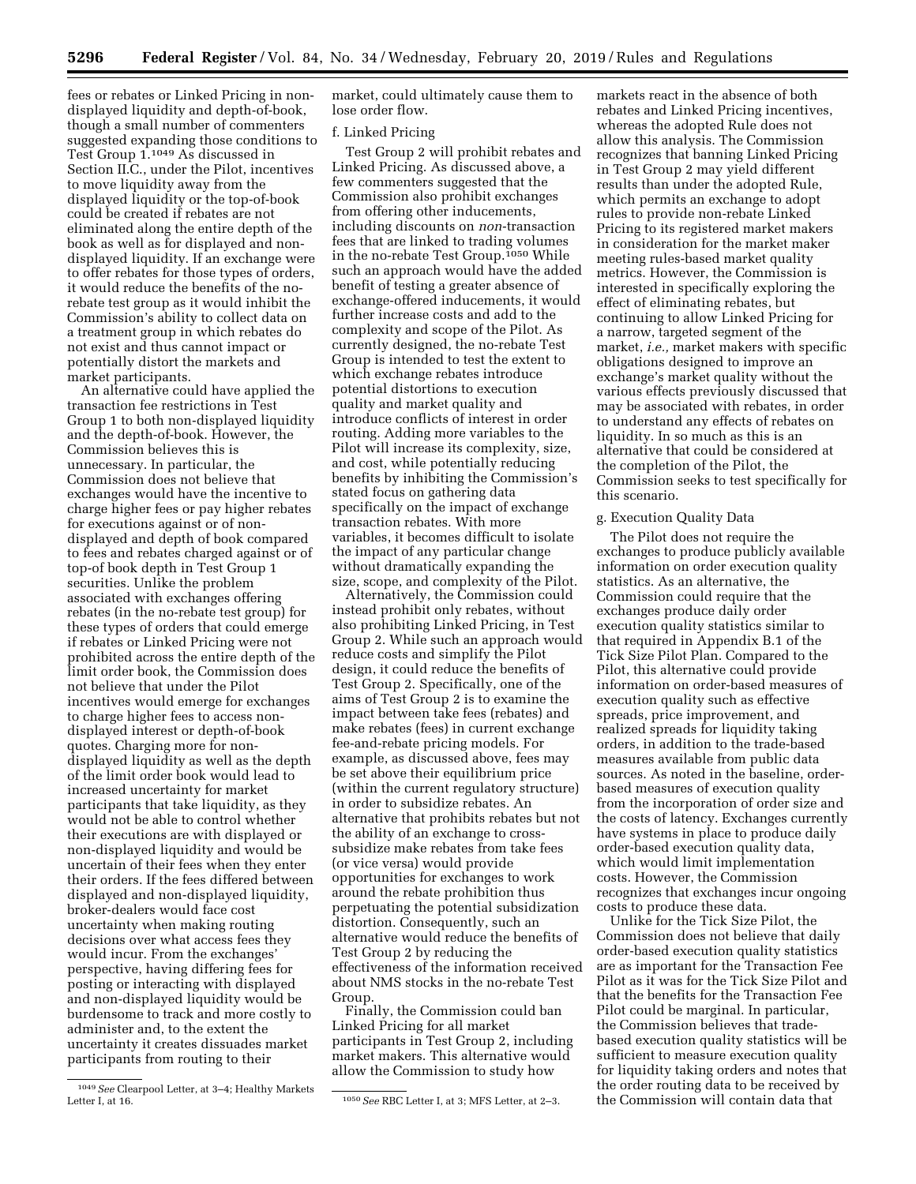fees or rebates or Linked Pricing in nondisplayed liquidity and depth-of-book, though a small number of commenters suggested expanding those conditions to Test Group 1.1049 As discussed in Section II.C., under the Pilot, incentives to move liquidity away from the displayed liquidity or the top-of-book could be created if rebates are not eliminated along the entire depth of the book as well as for displayed and nondisplayed liquidity. If an exchange were to offer rebates for those types of orders, it would reduce the benefits of the norebate test group as it would inhibit the Commission's ability to collect data on a treatment group in which rebates do not exist and thus cannot impact or potentially distort the markets and market participants.

An alternative could have applied the transaction fee restrictions in Test Group 1 to both non-displayed liquidity and the depth-of-book. However, the Commission believes this is unnecessary. In particular, the Commission does not believe that exchanges would have the incentive to charge higher fees or pay higher rebates for executions against or of nondisplayed and depth of book compared to fees and rebates charged against or of top-of book depth in Test Group 1 securities. Unlike the problem associated with exchanges offering rebates (in the no-rebate test group) for these types of orders that could emerge if rebates or Linked Pricing were not prohibited across the entire depth of the limit order book, the Commission does not believe that under the Pilot incentives would emerge for exchanges to charge higher fees to access nondisplayed interest or depth-of-book quotes. Charging more for nondisplayed liquidity as well as the depth of the limit order book would lead to increased uncertainty for market participants that take liquidity, as they would not be able to control whether their executions are with displayed or non-displayed liquidity and would be uncertain of their fees when they enter their orders. If the fees differed between displayed and non-displayed liquidity, broker-dealers would face cost uncertainty when making routing decisions over what access fees they would incur. From the exchanges' perspective, having differing fees for posting or interacting with displayed and non-displayed liquidity would be burdensome to track and more costly to administer and, to the extent the uncertainty it creates dissuades market participants from routing to their

market, could ultimately cause them to lose order flow.

#### f. Linked Pricing

Test Group 2 will prohibit rebates and Linked Pricing. As discussed above, a few commenters suggested that the Commission also prohibit exchanges from offering other inducements, including discounts on *non*-transaction fees that are linked to trading volumes in the no-rebate Test Group.1050 While such an approach would have the added benefit of testing a greater absence of exchange-offered inducements, it would further increase costs and add to the complexity and scope of the Pilot. As currently designed, the no-rebate Test Group is intended to test the extent to which exchange rebates introduce potential distortions to execution quality and market quality and introduce conflicts of interest in order routing. Adding more variables to the Pilot will increase its complexity, size, and cost, while potentially reducing benefits by inhibiting the Commission's stated focus on gathering data specifically on the impact of exchange transaction rebates. With more variables, it becomes difficult to isolate the impact of any particular change without dramatically expanding the size, scope, and complexity of the Pilot.

Alternatively, the Commission could instead prohibit only rebates, without also prohibiting Linked Pricing, in Test Group 2. While such an approach would reduce costs and simplify the Pilot design, it could reduce the benefits of Test Group 2. Specifically, one of the aims of Test Group 2 is to examine the impact between take fees (rebates) and make rebates (fees) in current exchange fee-and-rebate pricing models. For example, as discussed above, fees may be set above their equilibrium price (within the current regulatory structure) in order to subsidize rebates. An alternative that prohibits rebates but not the ability of an exchange to crosssubsidize make rebates from take fees (or vice versa) would provide opportunities for exchanges to work around the rebate prohibition thus perpetuating the potential subsidization distortion. Consequently, such an alternative would reduce the benefits of Test Group 2 by reducing the effectiveness of the information received about NMS stocks in the no-rebate Test Group.

Finally, the Commission could ban Linked Pricing for all market participants in Test Group 2, including market makers. This alternative would allow the Commission to study how

markets react in the absence of both rebates and Linked Pricing incentives, whereas the adopted Rule does not allow this analysis. The Commission recognizes that banning Linked Pricing in Test Group 2 may yield different results than under the adopted Rule, which permits an exchange to adopt rules to provide non-rebate Linked Pricing to its registered market makers in consideration for the market maker meeting rules-based market quality metrics. However, the Commission is interested in specifically exploring the effect of eliminating rebates, but continuing to allow Linked Pricing for a narrow, targeted segment of the market, *i.e.,* market makers with specific obligations designed to improve an exchange's market quality without the various effects previously discussed that may be associated with rebates, in order to understand any effects of rebates on liquidity. In so much as this is an alternative that could be considered at the completion of the Pilot, the Commission seeks to test specifically for this scenario.

# g. Execution Quality Data

The Pilot does not require the exchanges to produce publicly available information on order execution quality statistics. As an alternative, the Commission could require that the exchanges produce daily order execution quality statistics similar to that required in Appendix B.1 of the Tick Size Pilot Plan. Compared to the Pilot, this alternative could provide information on order-based measures of execution quality such as effective spreads, price improvement, and realized spreads for liquidity taking orders, in addition to the trade-based measures available from public data sources. As noted in the baseline, orderbased measures of execution quality from the incorporation of order size and the costs of latency. Exchanges currently have systems in place to produce daily order-based execution quality data, which would limit implementation costs. However, the Commission recognizes that exchanges incur ongoing costs to produce these data.

Unlike for the Tick Size Pilot, the Commission does not believe that daily order-based execution quality statistics are as important for the Transaction Fee Pilot as it was for the Tick Size Pilot and that the benefits for the Transaction Fee Pilot could be marginal. In particular, the Commission believes that tradebased execution quality statistics will be sufficient to measure execution quality for liquidity taking orders and notes that the order routing data to be received by the Commission will contain data that

<sup>1049</sup>*See* Clearpool Letter, at 3–4; Healthy Markets

<sup>1050</sup> See RBC Letter I, at 3; MFS Letter, at 2-3.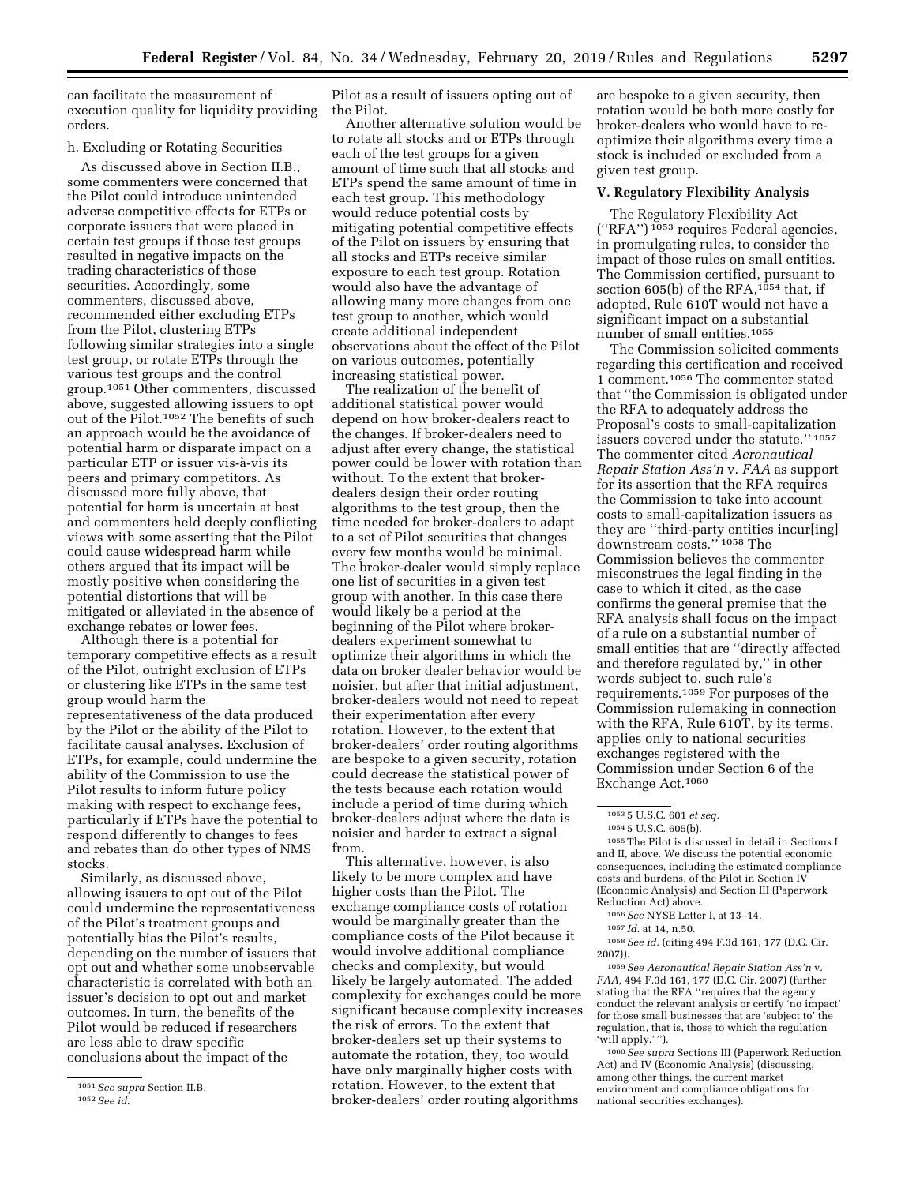can facilitate the measurement of execution quality for liquidity providing orders.

# h. Excluding or Rotating Securities

As discussed above in Section II.B., some commenters were concerned that the Pilot could introduce unintended adverse competitive effects for ETPs or corporate issuers that were placed in certain test groups if those test groups resulted in negative impacts on the trading characteristics of those securities. Accordingly, some commenters, discussed above, recommended either excluding ETPs from the Pilot, clustering ETPs following similar strategies into a single test group, or rotate ETPs through the various test groups and the control group.1051 Other commenters, discussed above, suggested allowing issuers to opt out of the Pilot.1052 The benefits of such an approach would be the avoidance of potential harm or disparate impact on a particular ETP or issuer vis-à-vis its peers and primary competitors. As discussed more fully above, that potential for harm is uncertain at best and commenters held deeply conflicting views with some asserting that the Pilot could cause widespread harm while others argued that its impact will be mostly positive when considering the potential distortions that will be mitigated or alleviated in the absence of exchange rebates or lower fees.

Although there is a potential for temporary competitive effects as a result of the Pilot, outright exclusion of ETPs or clustering like ETPs in the same test group would harm the representativeness of the data produced by the Pilot or the ability of the Pilot to facilitate causal analyses. Exclusion of ETPs, for example, could undermine the ability of the Commission to use the Pilot results to inform future policy making with respect to exchange fees, particularly if ETPs have the potential to respond differently to changes to fees and rebates than do other types of NMS stocks.

Similarly, as discussed above, allowing issuers to opt out of the Pilot could undermine the representativeness of the Pilot's treatment groups and potentially bias the Pilot's results, depending on the number of issuers that opt out and whether some unobservable characteristic is correlated with both an issuer's decision to opt out and market outcomes. In turn, the benefits of the Pilot would be reduced if researchers are less able to draw specific conclusions about the impact of the

Pilot as a result of issuers opting out of the Pilot.

Another alternative solution would be to rotate all stocks and or ETPs through each of the test groups for a given amount of time such that all stocks and ETPs spend the same amount of time in each test group. This methodology would reduce potential costs by mitigating potential competitive effects of the Pilot on issuers by ensuring that all stocks and ETPs receive similar exposure to each test group. Rotation would also have the advantage of allowing many more changes from one test group to another, which would create additional independent observations about the effect of the Pilot on various outcomes, potentially increasing statistical power.

The realization of the benefit of additional statistical power would depend on how broker-dealers react to the changes. If broker-dealers need to adjust after every change, the statistical power could be lower with rotation than without. To the extent that brokerdealers design their order routing algorithms to the test group, then the time needed for broker-dealers to adapt to a set of Pilot securities that changes every few months would be minimal. The broker-dealer would simply replace one list of securities in a given test group with another. In this case there would likely be a period at the beginning of the Pilot where brokerdealers experiment somewhat to optimize their algorithms in which the data on broker dealer behavior would be noisier, but after that initial adjustment, broker-dealers would not need to repeat their experimentation after every rotation. However, to the extent that broker-dealers' order routing algorithms are bespoke to a given security, rotation could decrease the statistical power of the tests because each rotation would include a period of time during which broker-dealers adjust where the data is noisier and harder to extract a signal from.

This alternative, however, is also likely to be more complex and have higher costs than the Pilot. The exchange compliance costs of rotation would be marginally greater than the compliance costs of the Pilot because it would involve additional compliance checks and complexity, but would likely be largely automated. The added complexity for exchanges could be more significant because complexity increases the risk of errors. To the extent that broker-dealers set up their systems to automate the rotation, they, too would have only marginally higher costs with rotation. However, to the extent that broker-dealers' order routing algorithms

are bespoke to a given security, then rotation would be both more costly for broker-dealers who would have to reoptimize their algorithms every time a stock is included or excluded from a given test group.

# **V. Regulatory Flexibility Analysis**

The Regulatory Flexibility Act (''RFA'') 1053 requires Federal agencies, in promulgating rules, to consider the impact of those rules on small entities. The Commission certified, pursuant to section 605(b) of the RFA, $1054$  that, if adopted, Rule 610T would not have a significant impact on a substantial number of small entities.1055

The Commission solicited comments regarding this certification and received 1 comment.1056 The commenter stated that ''the Commission is obligated under the RFA to adequately address the Proposal's costs to small-capitalization issuers covered under the statute.'' 1057 The commenter cited *Aeronautical Repair Station Ass'n* v. *FAA* as support for its assertion that the RFA requires the Commission to take into account costs to small-capitalization issuers as they are ''third-party entities incur[ing] downstream costs."<sup>1058</sup> The Commission believes the commenter misconstrues the legal finding in the case to which it cited, as the case confirms the general premise that the RFA analysis shall focus on the impact of a rule on a substantial number of small entities that are ''directly affected and therefore regulated by,'' in other words subject to, such rule's requirements.1059 For purposes of the Commission rulemaking in connection with the RFA, Rule 610T, by its terms, applies only to national securities exchanges registered with the Commission under Section 6 of the Exchange Act.1060

 $^{\rm 1055}$  The Pilot is discussed in detail in Sections I and II, above. We discuss the potential economic consequences, including the estimated compliance costs and burdens, of the Pilot in Section IV (Economic Analysis) and Section III (Paperwork Reduction Act) above.

1058*See id.* (citing 494 F.3d 161, 177 (D.C. Cir. 2007)).

1059*See Aeronautical Repair Station Ass'n* v. *FAA,* 494 F.3d 161, 177 (D.C. Cir. 2007) (further stating that the RFA "requires that the agency conduct the relevant analysis or certify 'no impact' for those small businesses that are 'subject to' the regulation, that is, those to which the regulation 'will apply.' '').

1060*See supra* Sections III (Paperwork Reduction Act) and IV (Economic Analysis) (discussing, among other things, the current market environment and compliance obligations for national securities exchanges).

<sup>1051</sup>*See supra* Section II.B. 1052*See id.* 

<sup>1053</sup> 5 U.S.C. 601 *et seq.* 

<sup>1054</sup> 5 U.S.C. 605(b).

<sup>1056</sup>*See* NYSE Letter I, at 13–14.

<sup>1057</sup> *Id.* at 14, n.50.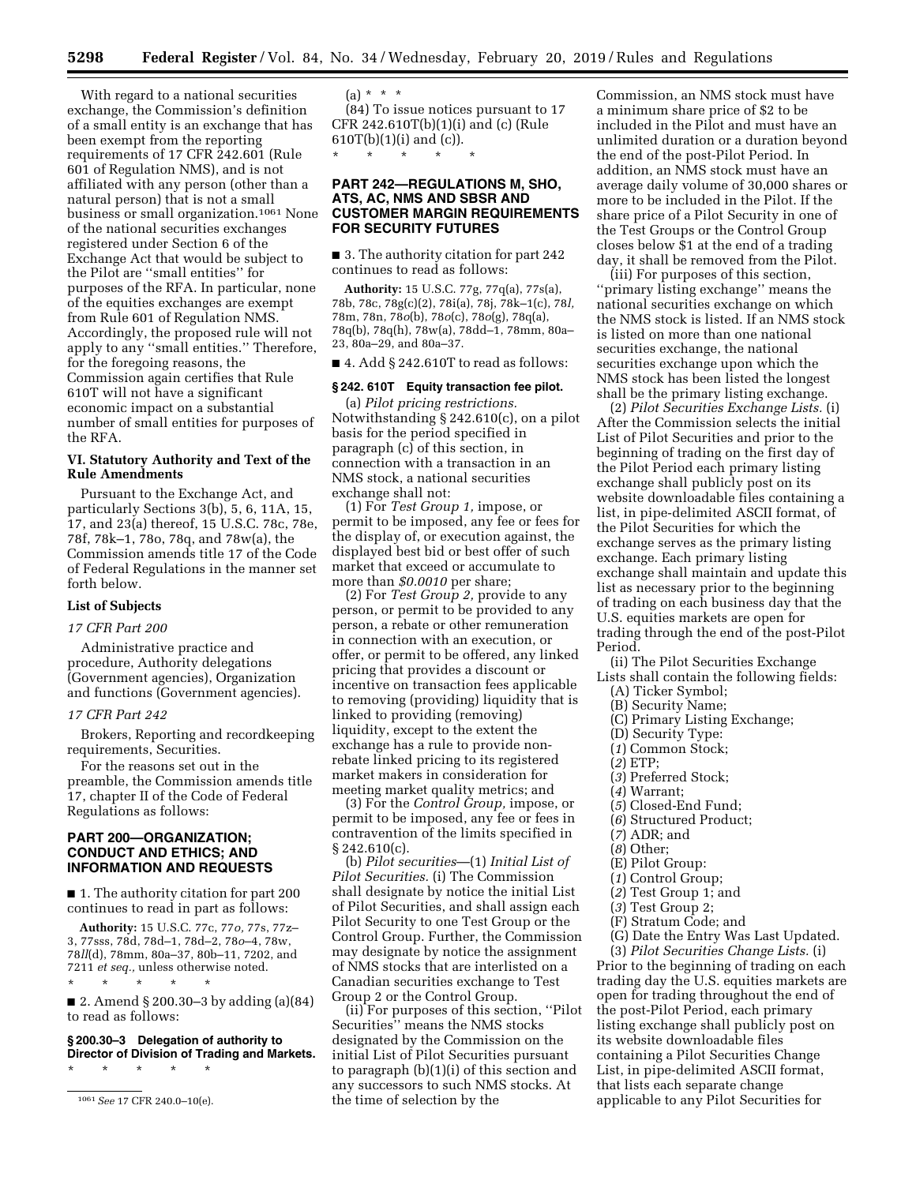With regard to a national securities exchange, the Commission's definition of a small entity is an exchange that has been exempt from the reporting requirements of 17 CFR 242.601 (Rule 601 of Regulation NMS), and is not affiliated with any person (other than a natural person) that is not a small business or small organization.1061 None of the national securities exchanges registered under Section 6 of the Exchange Act that would be subject to the Pilot are ''small entities'' for purposes of the RFA. In particular, none of the equities exchanges are exempt from Rule 601 of Regulation NMS. Accordingly, the proposed rule will not apply to any ''small entities.'' Therefore, for the foregoing reasons, the Commission again certifies that Rule 610T will not have a significant economic impact on a substantial number of small entities for purposes of the RFA.

# **VI. Statutory Authority and Text of the Rule Amendments**

Pursuant to the Exchange Act, and particularly Sections 3(b), 5, 6, 11A, 15, 17, and 23(a) thereof, 15 U.S.C. 78c, 78e, 78f, 78k–1, 78o, 78q, and 78w(a), the Commission amends title 17 of the Code of Federal Regulations in the manner set forth below.

# **List of Subjects**

# *17 CFR Part 200*

Administrative practice and procedure, Authority delegations (Government agencies), Organization and functions (Government agencies).

# *17 CFR Part 242*

Brokers, Reporting and recordkeeping requirements, Securities.

For the reasons set out in the preamble, the Commission amends title 17, chapter II of the Code of Federal Regulations as follows:

# **PART 200—ORGANIZATION; CONDUCT AND ETHICS; AND INFORMATION AND REQUESTS**

■ 1. The authority citation for part 200 continues to read in part as follows:

**Authority:** 15 U.S.C. 77c, 77*o,* 77s, 77z– 3, 77sss, 78d, 78d–1, 78d–2, 78*o*–4, 78w, 78*ll*(d), 78mm, 80a–37, 80b–11, 7202, and 7211 *et seq.,* unless otherwise noted. \* \* \* \* \*

■ 2. Amend § 200.30–3 by adding (a)(84) to read as follows:

**§ 200.30–3 Delegation of authority to Director of Division of Trading and Markets.** 

\* \* \* \* \*

 $(a) * * * *$ (84) To issue notices pursuant to 17 CFR 242.610T(b)(1)(i) and (c) (Rule  $610T(b)(1)(i)$  and  $(c)$ ). \* \* \* \* \*

# **PART 242—REGULATIONS M, SHO, ATS, AC, NMS AND SBSR AND CUSTOMER MARGIN REQUIREMENTS FOR SECURITY FUTURES**

■ 3. The authority citation for part 242 continues to read as follows:

**Authority:** 15 U.S.C. 77g, 77q(a), 77s(a), 78b, 78c, 78g(c)(2), 78i(a), 78j, 78k–1(c), 78*l,*  78m, 78n, 78*o*(b), 78*o*(c), 78*o*(g), 78q(a), 78q(b), 78q(h), 78w(a), 78dd–1, 78mm, 80a– 23, 80a–29, and 80a–37.

 $\blacksquare$  4. Add § 242.610T to read as follows:

### **§ 242. 610T Equity transaction fee pilot.**

(a) *Pilot pricing restrictions.*  Notwithstanding § 242.610(c), on a pilot basis for the period specified in paragraph (c) of this section, in connection with a transaction in an NMS stock, a national securities exchange shall not:

(1) For *Test Group 1,* impose, or permit to be imposed, any fee or fees for the display of, or execution against, the displayed best bid or best offer of such market that exceed or accumulate to more than *\$0.0010* per share;

(2) For *Test Group 2,* provide to any person, or permit to be provided to any person, a rebate or other remuneration in connection with an execution, or offer, or permit to be offered, any linked pricing that provides a discount or incentive on transaction fees applicable to removing (providing) liquidity that is linked to providing (removing) liquidity, except to the extent the exchange has a rule to provide nonrebate linked pricing to its registered market makers in consideration for meeting market quality metrics; and

(3) For the *Control Group,* impose, or permit to be imposed, any fee or fees in contravention of the limits specified in  $§ 242.610(c).$ 

(b) *Pilot securities*—(1) *Initial List of Pilot Securities.* (i) The Commission shall designate by notice the initial List of Pilot Securities, and shall assign each Pilot Security to one Test Group or the Control Group. Further, the Commission may designate by notice the assignment of NMS stocks that are interlisted on a Canadian securities exchange to Test Group 2 or the Control Group.

(ii) For purposes of this section, ''Pilot Securities'' means the NMS stocks designated by the Commission on the initial List of Pilot Securities pursuant to paragraph (b)(1)(i) of this section and any successors to such NMS stocks. At the time of selection by the

Commission, an NMS stock must have a minimum share price of \$2 to be included in the Pilot and must have an unlimited duration or a duration beyond the end of the post-Pilot Period. In addition, an NMS stock must have an average daily volume of 30,000 shares or more to be included in the Pilot. If the share price of a Pilot Security in one of the Test Groups or the Control Group closes below \$1 at the end of a trading day, it shall be removed from the Pilot.

(iii) For purposes of this section, ''primary listing exchange'' means the national securities exchange on which the NMS stock is listed. If an NMS stock is listed on more than one national securities exchange, the national securities exchange upon which the NMS stock has been listed the longest shall be the primary listing exchange.

(2) *Pilot Securities Exchange Lists.* (i) After the Commission selects the initial List of Pilot Securities and prior to the beginning of trading on the first day of the Pilot Period each primary listing exchange shall publicly post on its website downloadable files containing a list, in pipe-delimited ASCII format, of the Pilot Securities for which the exchange serves as the primary listing exchange. Each primary listing exchange shall maintain and update this list as necessary prior to the beginning of trading on each business day that the U.S. equities markets are open for trading through the end of the post-Pilot Period.

(ii) The Pilot Securities Exchange

- Lists shall contain the following fields: (A) Ticker Symbol;
	- (B) Security Name;
	- (C) Primary Listing Exchange;
	- (D) Security Type:
	- (*1*) Common Stock;
	- (*2*) ETP;
	- (*3*) Preferred Stock;
	- (*4*) Warrant;
	- (*5*) Closed-End Fund;
	- (*6*) Structured Product;
	- (*7*) ADR; and
	- (*8*) Other;
	- (E) Pilot Group:
	- (*1*) Control Group; (*2*) Test Group 1; and
	- (*3*) Test Group 2;
	-
	- (F) Stratum Code; and (G) Date the Entry Was Last Updated.

(3) *Pilot Securities Change Lists.* (i)

Prior to the beginning of trading on each trading day the U.S. equities markets are open for trading throughout the end of the post-Pilot Period, each primary listing exchange shall publicly post on its website downloadable files containing a Pilot Securities Change List, in pipe-delimited ASCII format, that lists each separate change applicable to any Pilot Securities for

<sup>1061</sup>*See* 17 CFR 240.0–10(e).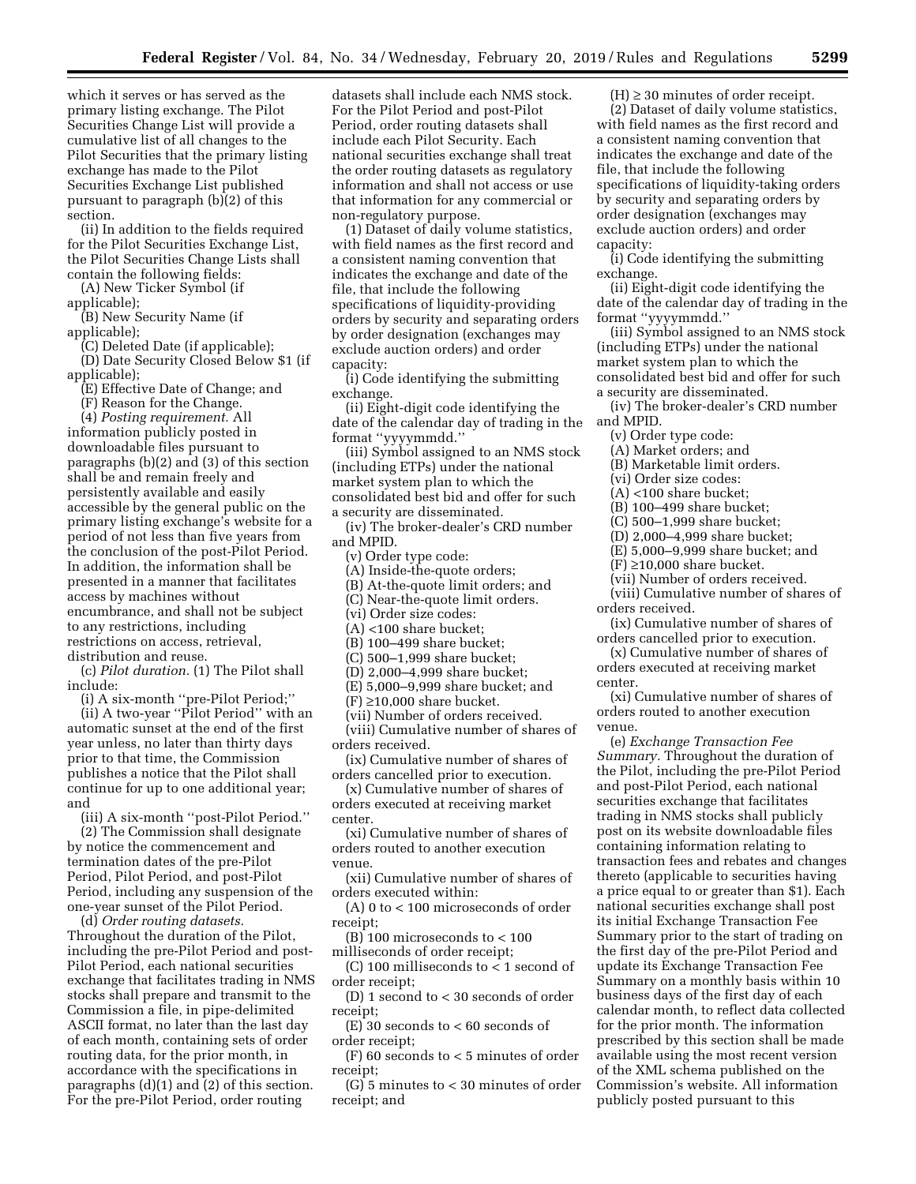which it serves or has served as the primary listing exchange. The Pilot Securities Change List will provide a cumulative list of all changes to the Pilot Securities that the primary listing exchange has made to the Pilot Securities Exchange List published pursuant to paragraph (b)(2) of this section.

(ii) In addition to the fields required for the Pilot Securities Exchange List, the Pilot Securities Change Lists shall contain the following fields:

(A) New Ticker Symbol (if

applicable);

(B) New Security Name (if applicable);

(C) Deleted Date (if applicable);

(D) Date Security Closed Below \$1 (if applicable);

(E) Effective Date of Change; and

(F) Reason for the Change.

(4) *Posting requirement.* All information publicly posted in downloadable files pursuant to paragraphs (b)(2) and (3) of this section shall be and remain freely and persistently available and easily accessible by the general public on the primary listing exchange's website for a period of not less than five years from the conclusion of the post-Pilot Period. In addition, the information shall be presented in a manner that facilitates access by machines without encumbrance, and shall not be subject to any restrictions, including restrictions on access, retrieval, distribution and reuse.

(c) *Pilot duration.* (1) The Pilot shall include:

(i) A six-month ''pre-Pilot Period;''

(ii) A two-year ''Pilot Period'' with an automatic sunset at the end of the first year unless, no later than thirty days prior to that time, the Commission publishes a notice that the Pilot shall continue for up to one additional year; and

(iii) A six-month ''post-Pilot Period.'' (2) The Commission shall designate by notice the commencement and termination dates of the pre-Pilot Period, Pilot Period, and post-Pilot Period, including any suspension of the one-year sunset of the Pilot Period.

(d) *Order routing datasets.*  Throughout the duration of the Pilot, including the pre-Pilot Period and post-Pilot Period, each national securities exchange that facilitates trading in NMS stocks shall prepare and transmit to the Commission a file, in pipe-delimited ASCII format, no later than the last day of each month, containing sets of order routing data, for the prior month, in accordance with the specifications in paragraphs (d)(1) and (2) of this section. For the pre-Pilot Period, order routing

datasets shall include each NMS stock. For the Pilot Period and post-Pilot Period, order routing datasets shall include each Pilot Security. Each national securities exchange shall treat the order routing datasets as regulatory information and shall not access or use that information for any commercial or non-regulatory purpose.

(1) Dataset of daily volume statistics, with field names as the first record and a consistent naming convention that indicates the exchange and date of the file, that include the following specifications of liquidity-providing orders by security and separating orders by order designation (exchanges may exclude auction orders) and order capacity:

(i) Code identifying the submitting exchange.

(ii) Eight-digit code identifying the date of the calendar day of trading in the format ''yyyymmdd.''

(iii) Symbol assigned to an NMS stock (including ETPs) under the national market system plan to which the consolidated best bid and offer for such a security are disseminated.

(iv) The broker-dealer's CRD number and MPID.

(v) Order type code:

(A) Inside-the-quote orders;

(B) At-the-quote limit orders; and

(C) Near-the-quote limit orders.

(vi) Order size codes:

(A) <100 share bucket;

(B) 100–499 share bucket;

(C) 500–1,999 share bucket;

(D) 2,000–4,999 share bucket;

(E) 5,000–9,999 share bucket; and

 $(F) \geq 10,000$  share bucket.

(vii) Number of orders received.

(viii) Cumulative number of shares of orders received.

(ix) Cumulative number of shares of orders cancelled prior to execution.

(x) Cumulative number of shares of orders executed at receiving market center.

(xi) Cumulative number of shares of orders routed to another execution venue.

(xii) Cumulative number of shares of orders executed within:

(A) 0 to < 100 microseconds of order receipt;

(B) 100 microseconds to < 100 milliseconds of order receipt;

(C) 100 milliseconds to < 1 second of order receipt;

(D) 1 second to < 30 seconds of order receipt;

(E) 30 seconds to < 60 seconds of order receipt;

(F) 60 seconds to < 5 minutes of order receipt;

(G) 5 minutes to < 30 minutes of order receipt; and

 $(H) \geq 30$  minutes of order receipt.

(2) Dataset of daily volume statistics, with field names as the first record and a consistent naming convention that indicates the exchange and date of the file, that include the following specifications of liquidity-taking orders by security and separating orders by order designation (exchanges may exclude auction orders) and order capacity:

(i) Code identifying the submitting exchange.

(ii) Eight-digit code identifying the date of the calendar day of trading in the format ''yyyymmdd.''

(iii) Symbol assigned to an NMS stock (including ETPs) under the national market system plan to which the consolidated best bid and offer for such a security are disseminated.

(iv) The broker-dealer's CRD number and MPID.

(v) Order type code:

(A) Market orders; and

(B) Marketable limit orders.

(vi) Order size codes:

(A) <100 share bucket;

(B) 100–499 share bucket;

(C) 500–1,999 share bucket;

(D) 2,000–4,999 share bucket;

(E) 5,000–9,999 share bucket; and

 $(F) \geq 10,000$  share bucket.

(vii) Number of orders received.

(viii) Cumulative number of shares of orders received.

(ix) Cumulative number of shares of orders cancelled prior to execution.

(x) Cumulative number of shares of orders executed at receiving market center.

(xi) Cumulative number of shares of orders routed to another execution venue.

(e) *Exchange Transaction Fee Summary.* Throughout the duration of the Pilot, including the pre-Pilot Period and post-Pilot Period, each national securities exchange that facilitates trading in NMS stocks shall publicly post on its website downloadable files containing information relating to transaction fees and rebates and changes thereto (applicable to securities having a price equal to or greater than \$1). Each national securities exchange shall post its initial Exchange Transaction Fee Summary prior to the start of trading on the first day of the pre-Pilot Period and update its Exchange Transaction Fee Summary on a monthly basis within 10 business days of the first day of each calendar month, to reflect data collected for the prior month. The information prescribed by this section shall be made available using the most recent version of the XML schema published on the Commission's website. All information publicly posted pursuant to this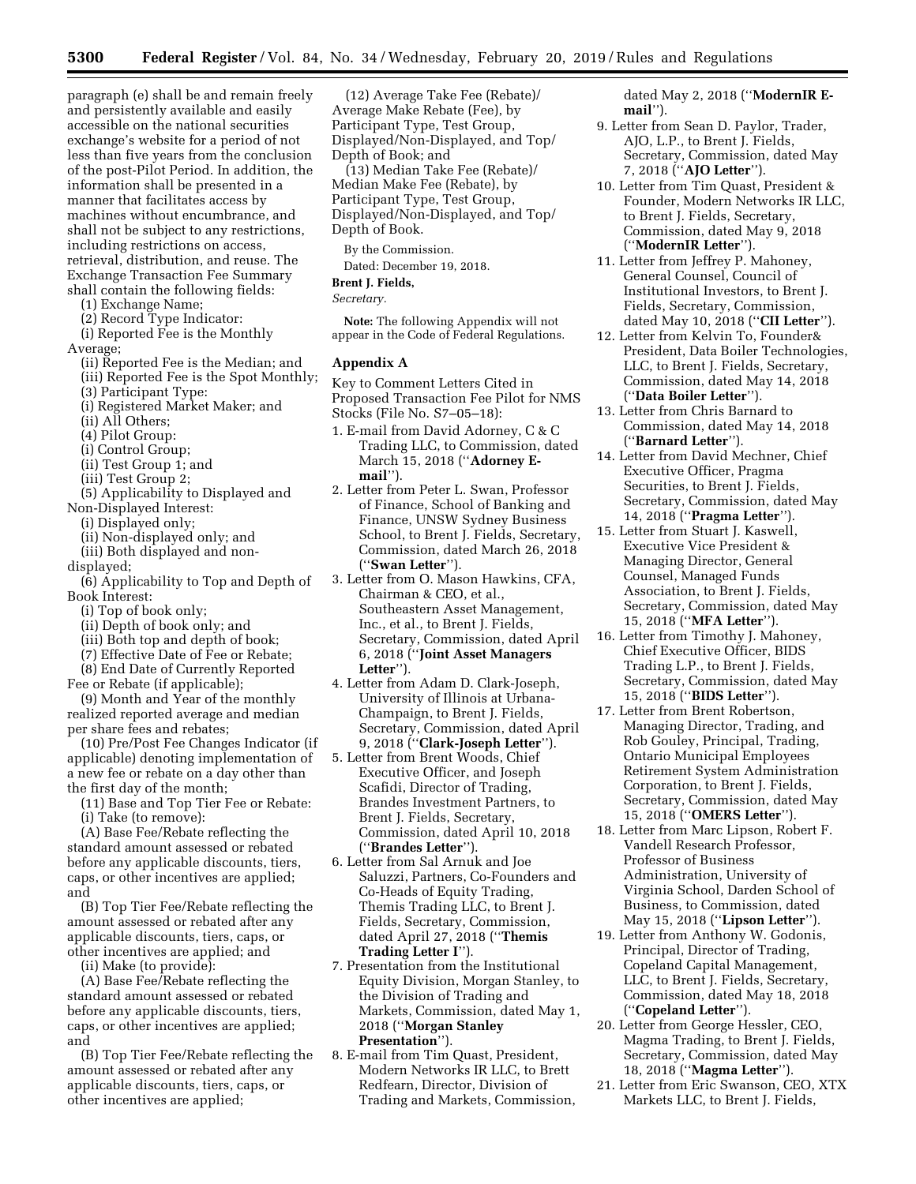paragraph (e) shall be and remain freely and persistently available and easily accessible on the national securities exchange's website for a period of not less than five years from the conclusion of the post-Pilot Period. In addition, the information shall be presented in a manner that facilitates access by machines without encumbrance, and shall not be subject to any restrictions, including restrictions on access, retrieval, distribution, and reuse. The Exchange Transaction Fee Summary shall contain the following fields:

- (1) Exchange Name;
- (2) Record Type Indicator:
- (i) Reported Fee is the Monthly
- Average;
	- (ii) Reported Fee is the Median; and
	- (iii) Reported Fee is the Spot Monthly;
	- (3) Participant Type:
	- (i) Registered Market Maker; and
	- (ii) All Others;
	- (4) Pilot Group:
	- (i) Control Group;
	- (ii) Test Group 1; and
	- (iii) Test Group 2;
- (5) Applicability to Displayed and Non-Displayed Interest:
	- (i) Displayed only;
	- (ii) Non-displayed only; and
	- (iii) Both displayed and non-
- displayed;
- (6) Applicability to Top and Depth of Book Interest:
	- (i) Top of book only;
	- (ii) Depth of book only; and
	- (iii) Both top and depth of book;
	- (7) Effective Date of Fee or Rebate;
	- (8) End Date of Currently Reported
- Fee or Rebate (if applicable);
- (9) Month and Year of the monthly realized reported average and median per share fees and rebates;

(10) Pre/Post Fee Changes Indicator (if applicable) denoting implementation of a new fee or rebate on a day other than the first day of the month;

(11) Base and Top Tier Fee or Rebate: (i) Take (to remove):

(A) Base Fee/Rebate reflecting the

standard amount assessed or rebated before any applicable discounts, tiers, caps, or other incentives are applied; and

(B) Top Tier Fee/Rebate reflecting the amount assessed or rebated after any applicable discounts, tiers, caps, or other incentives are applied; and

(ii) Make (to provide):

(A) Base Fee/Rebate reflecting the standard amount assessed or rebated before any applicable discounts, tiers, caps, or other incentives are applied; and

(B) Top Tier Fee/Rebate reflecting the amount assessed or rebated after any applicable discounts, tiers, caps, or other incentives are applied;

(12) Average Take Fee (Rebate)/ Average Make Rebate (Fee), by Participant Type, Test Group, Displayed/Non-Displayed, and Top/ Depth of Book; and

(13) Median Take Fee (Rebate)/ Median Make Fee (Rebate), by Participant Type, Test Group, Displayed/Non-Displayed, and Top/ Depth of Book.

By the Commission. Dated: December 19, 2018.

#### **Brent J. Fields,**

*Secretary.* 

**Note:** The following Appendix will not appear in the Code of Federal Regulations.

#### **Appendix A**

Key to Comment Letters Cited in Proposed Transaction Fee Pilot for NMS Stocks (File No. S7–05–18):

- 1. E-mail from David Adorney, C & C Trading LLC, to Commission, dated March 15, 2018 (''**Adorney Email**'').
- 2. Letter from Peter L. Swan, Professor of Finance, School of Banking and Finance, UNSW Sydney Business School, to Brent J. Fields, Secretary, Commission, dated March 26, 2018 (''**Swan Letter**'').
- 3. Letter from O. Mason Hawkins, CFA, Chairman & CEO, et al., Southeastern Asset Management, Inc., et al., to Brent J. Fields, Secretary, Commission, dated April 6, 2018 (''**Joint Asset Managers Letter**'').
- 4. Letter from Adam D. Clark-Joseph, University of Illinois at Urbana-Champaign, to Brent J. Fields, Secretary, Commission, dated April 9, 2018 (''**Clark-Joseph Letter**'').
- 5. Letter from Brent Woods, Chief Executive Officer, and Joseph Scafidi, Director of Trading, Brandes Investment Partners, to Brent J. Fields, Secretary, Commission, dated April 10, 2018 (''**Brandes Letter**'').
- 6. Letter from Sal Arnuk and Joe Saluzzi, Partners, Co-Founders and Co-Heads of Equity Trading, Themis Trading LLC, to Brent J. Fields, Secretary, Commission, dated April 27, 2018 (''**Themis Trading Letter I**'').
- 7. Presentation from the Institutional Equity Division, Morgan Stanley, to the Division of Trading and Markets, Commission, dated May 1, 2018 (''**Morgan Stanley Presentation**'').
- 8. E-mail from Tim Quast, President, Modern Networks IR LLC, to Brett Redfearn, Director, Division of Trading and Markets, Commission,

dated May 2, 2018 (''**ModernIR Email**'').

- 9. Letter from Sean D. Paylor, Trader, AJO, L.P., to Brent J. Fields, Secretary, Commission, dated May 7, 2018 (''**AJO Letter**'').
- 10. Letter from Tim Quast, President & Founder, Modern Networks IR LLC, to Brent J. Fields, Secretary, Commission, dated May 9, 2018 (''**ModernIR Letter**'').
- 11. Letter from Jeffrey P. Mahoney, General Counsel, Council of Institutional Investors, to Brent J. Fields, Secretary, Commission, dated May 10, 2018 (''**CII Letter**'').
- 12. Letter from Kelvin To, Founder& President, Data Boiler Technologies, LLC, to Brent J. Fields, Secretary, Commission, dated May 14, 2018 (''**Data Boiler Letter**'').
- 13. Letter from Chris Barnard to Commission, dated May 14, 2018 (''**Barnard Letter**'').
- 14. Letter from David Mechner, Chief Executive Officer, Pragma Securities, to Brent J. Fields, Secretary, Commission, dated May 14, 2018 (''**Pragma Letter**'').
- 15. Letter from Stuart J. Kaswell, Executive Vice President & Managing Director, General Counsel, Managed Funds Association, to Brent J. Fields, Secretary, Commission, dated May 15, 2018 (''**MFA Letter**'').
- 16. Letter from Timothy J. Mahoney, Chief Executive Officer, BIDS Trading L.P., to Brent J. Fields, Secretary, Commission, dated May 15, 2018 (''**BIDS Letter**'').
- 17. Letter from Brent Robertson, Managing Director, Trading, and Rob Gouley, Principal, Trading, Ontario Municipal Employees Retirement System Administration Corporation, to Brent J. Fields, Secretary, Commission, dated May 15, 2018 (''**OMERS Letter**'').
- 18. Letter from Marc Lipson, Robert F. Vandell Research Professor, Professor of Business Administration, University of Virginia School, Darden School of Business, to Commission, dated May 15, 2018 (''**Lipson Letter**'').
- 19. Letter from Anthony W. Godonis, Principal, Director of Trading, Copeland Capital Management, LLC, to Brent J. Fields, Secretary, Commission, dated May 18, 2018 (''**Copeland Letter**'').
- 20. Letter from George Hessler, CEO, Magma Trading, to Brent J. Fields, Secretary, Commission, dated May 18, 2018 (''**Magma Letter**'').
- 21. Letter from Eric Swanson, CEO, XTX Markets LLC, to Brent J. Fields,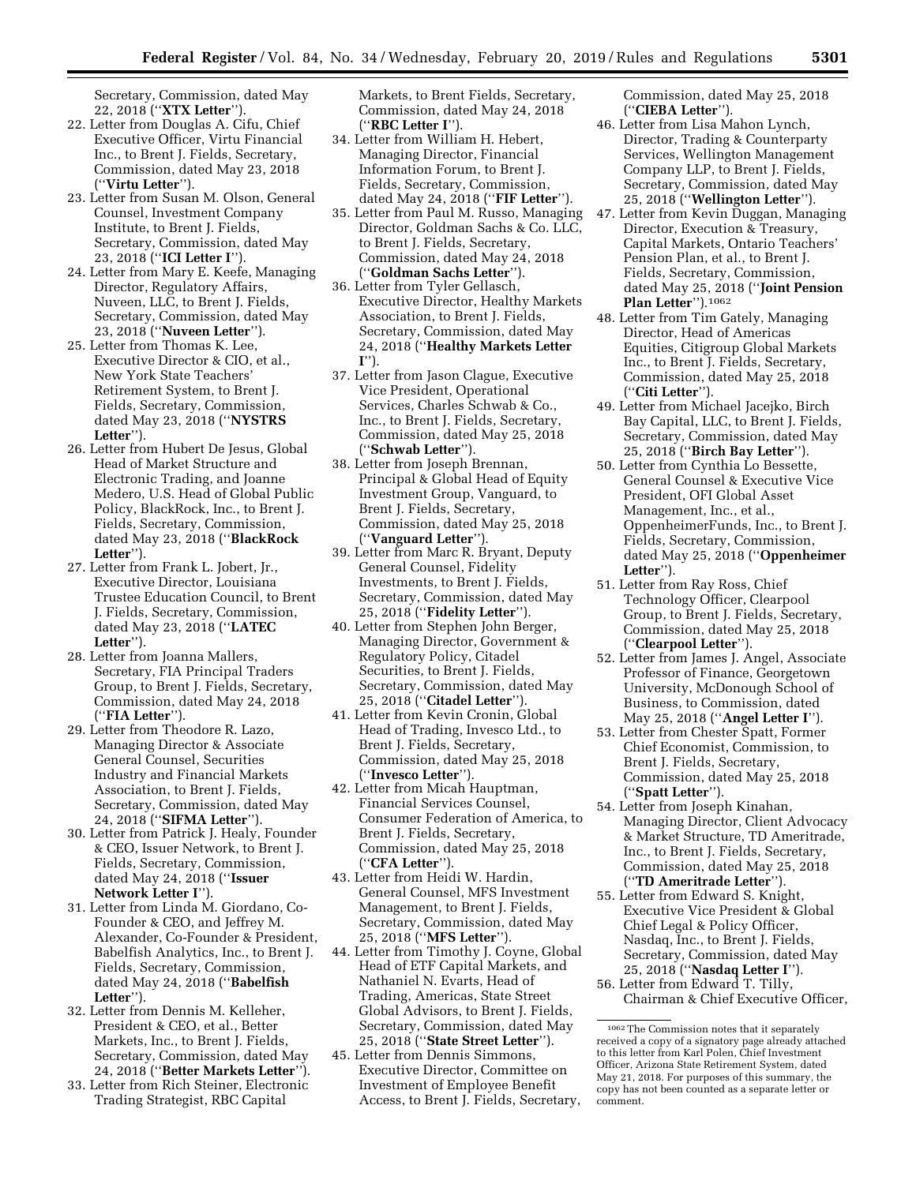Secretary, Commission, dated May 22, 2018 (''**XTX Letter**'').

- 22. Letter from Douglas A. Cifu, Chief Executive Officer, Virtu Financial Inc., to Brent J. Fields, Secretary, Commission, dated May 23, 2018 (''**Virtu Letter**'').
- 23. Letter from Susan M. Olson, General Counsel, Investment Company Institute, to Brent J. Fields, Secretary, Commission, dated May 23, 2018 (''**ICI Letter I**'').
- 24. Letter from Mary E. Keefe, Managing Director, Regulatory Affairs, Nuveen, LLC, to Brent J. Fields, Secretary, Commission, dated May 23, 2018 (''**Nuveen Letter**'').
- 25. Letter from Thomas K. Lee, Executive Director & CIO, et al., New York State Teachers' Retirement System, to Brent J. Fields, Secretary, Commission, dated May 23, 2018 (''**NYSTRS Letter**'').
- 26. Letter from Hubert De Jesus, Global Head of Market Structure and Electronic Trading, and Joanne Medero, U.S. Head of Global Public Policy, BlackRock, Inc., to Brent J. Fields, Secretary, Commission, dated May 23, 2018 (''**BlackRock Letter**'').
- 27. Letter from Frank L. Jobert, Jr., Executive Director, Louisiana Trustee Education Council, to Brent J. Fields, Secretary, Commission, dated May 23, 2018 (''**LATEC Letter**'').
- 28. Letter from Joanna Mallers, Secretary, FIA Principal Traders Group, to Brent J. Fields, Secretary, Commission, dated May 24, 2018 (''**FIA Letter**'').
- 29. Letter from Theodore R. Lazo, Managing Director & Associate General Counsel, Securities Industry and Financial Markets Association, to Brent J. Fields, Secretary, Commission, dated May 24, 2018 (''**SIFMA Letter**'').
- 30. Letter from Patrick J. Healy, Founder & CEO, Issuer Network, to Brent J. Fields, Secretary, Commission, dated May 24, 2018 (''**Issuer Network Letter I**'').
- 31. Letter from Linda M. Giordano, Co-Founder & CEO, and Jeffrey M. Alexander, Co-Founder & President, Babelfish Analytics, Inc., to Brent J. Fields, Secretary, Commission, dated May 24, 2018 (''**Babelfish Letter**'').
- 32. Letter from Dennis M. Kelleher, President & CEO, et al., Better Markets, Inc., to Brent J. Fields, Secretary, Commission, dated May 24, 2018 (''**Better Markets Letter**'').
- 33. Letter from Rich Steiner, Electronic Trading Strategist, RBC Capital

Markets, to Brent Fields, Secretary, Commission, dated May 24, 2018 (''**RBC Letter I**'').

- 34. Letter from William H. Hebert, Managing Director, Financial Information Forum, to Brent J. Fields, Secretary, Commission, dated May 24, 2018 (''**FIF Letter**'').
- 35. Letter from Paul M. Russo, Managing Director, Goldman Sachs & Co. LLC, to Brent J. Fields, Secretary, Commission, dated May 24, 2018 (''**Goldman Sachs Letter**'').
- 36. Letter from Tyler Gellasch, Executive Director, Healthy Markets Association, to Brent J. Fields, Secretary, Commission, dated May 24, 2018 (''**Healthy Markets Letter I**'').
- 37. Letter from Jason Clague, Executive Vice President, Operational Services, Charles Schwab & Co., Inc., to Brent J. Fields, Secretary, Commission, dated May 25, 2018 (''**Schwab Letter**'').
- 38. Letter from Joseph Brennan, Principal & Global Head of Equity Investment Group, Vanguard, to Brent J. Fields, Secretary, Commission, dated May 25, 2018 (''**Vanguard Letter**'').
- 39. Letter from Marc R. Bryant, Deputy General Counsel, Fidelity Investments, to Brent J. Fields, Secretary, Commission, dated May 25, 2018 (''**Fidelity Letter**'').
- 40. Letter from Stephen John Berger, Managing Director, Government & Regulatory Policy, Citadel Securities, to Brent J. Fields, Secretary, Commission, dated May 25, 2018 (''**Citadel Letter**'').
- 41. Letter from Kevin Cronin, Global Head of Trading, Invesco Ltd., to Brent J. Fields, Secretary, Commission, dated May 25, 2018 (''**Invesco Letter**'').
- 42. Letter from Micah Hauptman, Financial Services Counsel, Consumer Federation of America, to Brent J. Fields, Secretary, Commission, dated May 25, 2018 (''**CFA Letter**'').
- 43. Letter from Heidi W. Hardin, General Counsel, MFS Investment Management, to Brent J. Fields, Secretary, Commission, dated May 25, 2018 (''**MFS Letter**'').
- 44. Letter from Timothy J. Coyne, Global Head of ETF Capital Markets, and Nathaniel N. Evarts, Head of Trading, Americas, State Street Global Advisors, to Brent J. Fields, Secretary, Commission, dated May 25, 2018 (''**State Street Letter**'').
- 45. Letter from Dennis Simmons, Executive Director, Committee on Investment of Employee Benefit Access, to Brent J. Fields, Secretary,

Commission, dated May 25, 2018 (''**CIEBA Letter**'').

- 46. Letter from Lisa Mahon Lynch, Director, Trading & Counterparty Services, Wellington Management Company LLP, to Brent J. Fields, Secretary, Commission, dated May 25, 2018 (''**Wellington Letter**'').
- 47. Letter from Kevin Duggan, Managing Director, Execution & Treasury, Capital Markets, Ontario Teachers' Pension Plan, et al., to Brent J. Fields, Secretary, Commission, dated May 25, 2018 (''**Joint Pension Plan Letter**'').1062
- 48. Letter from Tim Gately, Managing Director, Head of Americas Equities, Citigroup Global Markets Inc., to Brent J. Fields, Secretary, Commission, dated May 25, 2018 (''**Citi Letter**'').
- 49. Letter from Michael Jacejko, Birch Bay Capital, LLC, to Brent J. Fields, Secretary, Commission, dated May 25, 2018 (''**Birch Bay Letter**'').
- 50. Letter from Cynthia Lo Bessette, General Counsel & Executive Vice President, OFI Global Asset Management, Inc., et al., OppenheimerFunds, Inc., to Brent J. Fields, Secretary, Commission, dated May 25, 2018 (''**Oppenheimer Letter**'').
- 51. Letter from Ray Ross, Chief Technology Officer, Clearpool Group, to Brent J. Fields, Secretary, Commission, dated May 25, 2018 (''**Clearpool Letter**'').
- 52. Letter from James J. Angel, Associate Professor of Finance, Georgetown University, McDonough School of Business, to Commission, dated May 25, 2018 (''**Angel Letter I**'').
- 53. Letter from Chester Spatt, Former Chief Economist, Commission, to Brent J. Fields, Secretary, Commission, dated May 25, 2018 (''**Spatt Letter**'').
- 54. Letter from Joseph Kinahan, Managing Director, Client Advocacy & Market Structure, TD Ameritrade, Inc., to Brent J. Fields, Secretary, Commission, dated May 25, 2018 (''**TD Ameritrade Letter**'').
- 55. Letter from Edward S. Knight, Executive Vice President & Global Chief Legal & Policy Officer, Nasdaq, Inc., to Brent J. Fields, Secretary, Commission, dated May 25, 2018 (''**Nasdaq Letter I**'').
- 56. Letter from Edward T. Tilly, Chairman & Chief Executive Officer,

<sup>1062</sup>The Commission notes that it separately received a copy of a signatory page already attached to this letter from Karl Polen, Chief Investment Officer, Arizona State Retirement System, dated May 21, 2018. For purposes of this summary, the copy has not been counted as a separate letter or comment.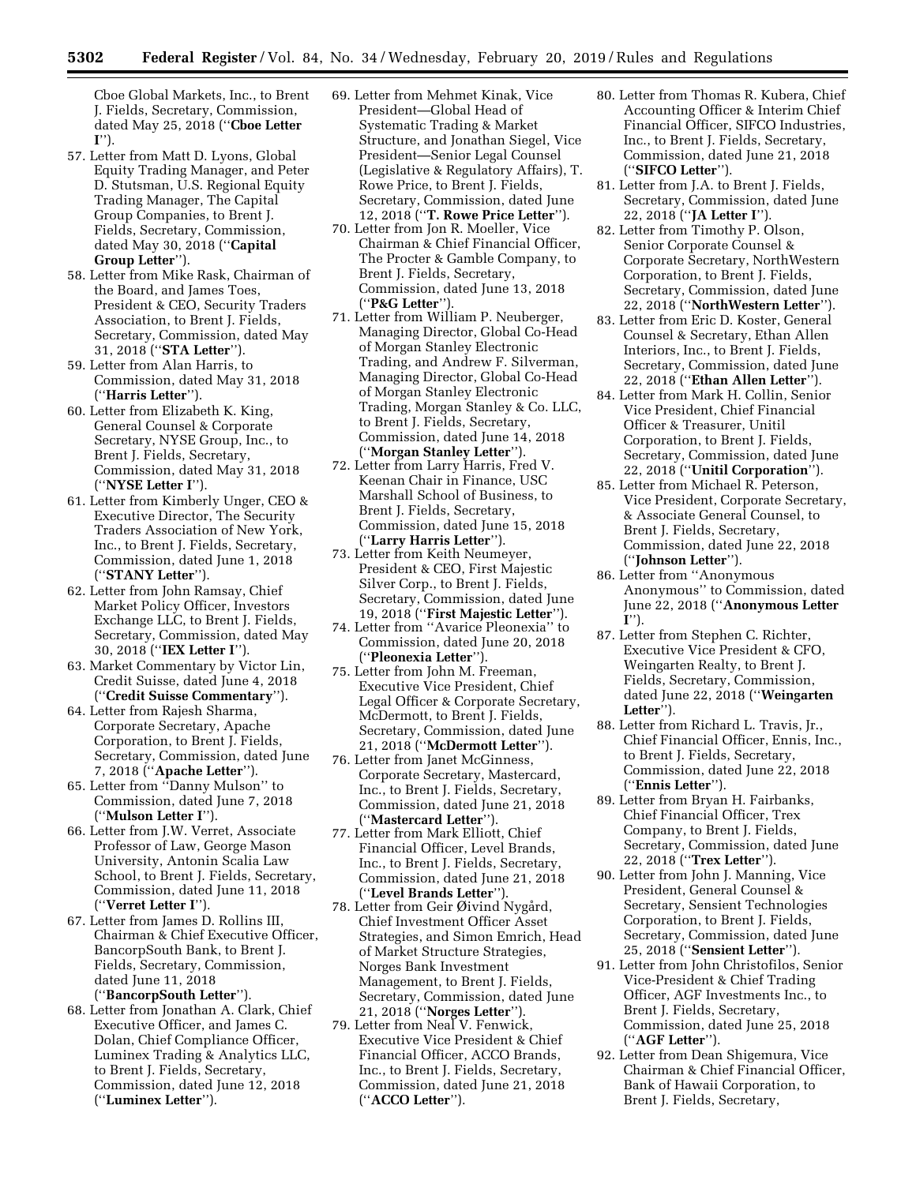Cboe Global Markets, Inc., to Brent J. Fields, Secretary, Commission, dated May 25, 2018 (''**Cboe Letter I**'').

- 57. Letter from Matt D. Lyons, Global Equity Trading Manager, and Peter D. Stutsman, U.S. Regional Equity Trading Manager, The Capital Group Companies, to Brent J. Fields, Secretary, Commission, dated May 30, 2018 (''**Capital Group Letter**'').
- 58. Letter from Mike Rask, Chairman of the Board, and James Toes, President & CEO, Security Traders Association, to Brent J. Fields, Secretary, Commission, dated May 31, 2018 (''**STA Letter**'').
- 59. Letter from Alan Harris, to Commission, dated May 31, 2018 (''**Harris Letter**'').
- 60. Letter from Elizabeth K. King, General Counsel & Corporate Secretary, NYSE Group, Inc., to Brent J. Fields, Secretary, Commission, dated May 31, 2018 (''**NYSE Letter I**'').
- 61. Letter from Kimberly Unger, CEO & Executive Director, The Security Traders Association of New York, Inc., to Brent J. Fields, Secretary, Commission, dated June 1, 2018 (''**STANY Letter**'').
- 62. Letter from John Ramsay, Chief Market Policy Officer, Investors Exchange LLC, to Brent J. Fields, Secretary, Commission, dated May 30, 2018 (''**IEX Letter I**'').
- 63. Market Commentary by Victor Lin, Credit Suisse, dated June 4, 2018 (''**Credit Suisse Commentary**'').
- 64. Letter from Rajesh Sharma, Corporate Secretary, Apache Corporation, to Brent J. Fields, Secretary, Commission, dated June 7, 2018 (''**Apache Letter**'').
- 65. Letter from ''Danny Mulson'' to Commission, dated June 7, 2018 (''**Mulson Letter I**'').
- 66. Letter from J.W. Verret, Associate Professor of Law, George Mason University, Antonin Scalia Law School, to Brent J. Fields, Secretary, Commission, dated June 11, 2018 (''**Verret Letter I**'').
- 67. Letter from James D. Rollins III, Chairman & Chief Executive Officer, BancorpSouth Bank, to Brent J. Fields, Secretary, Commission, dated June 11, 2018 (''**BancorpSouth Letter**'').
- 68. Letter from Jonathan A. Clark, Chief Executive Officer, and James C. Dolan, Chief Compliance Officer, Luminex Trading & Analytics LLC, to Brent J. Fields, Secretary, Commission, dated June 12, 2018 (''**Luminex Letter**'').
- 69. Letter from Mehmet Kinak, Vice President—Global Head of Systematic Trading & Market Structure, and Jonathan Siegel, Vice President—Senior Legal Counsel (Legislative & Regulatory Affairs), T. Rowe Price, to Brent J. Fields, Secretary, Commission, dated June 12, 2018 (''**T. Rowe Price Letter**'').
- 70. Letter from Jon R. Moeller, Vice Chairman & Chief Financial Officer, The Procter & Gamble Company, to Brent J. Fields, Secretary, Commission, dated June 13, 2018 (''**P&G Letter**'').
- 71. Letter from William P. Neuberger, Managing Director, Global Co-Head of Morgan Stanley Electronic Trading, and Andrew F. Silverman, Managing Director, Global Co-Head of Morgan Stanley Electronic Trading, Morgan Stanley & Co. LLC, to Brent J. Fields, Secretary, Commission, dated June 14, 2018 (''**Morgan Stanley Letter**'').
- 72. Letter from Larry Harris, Fred V. Keenan Chair in Finance, USC Marshall School of Business, to Brent J. Fields, Secretary, Commission, dated June 15, 2018 (''**Larry Harris Letter**'').
- 73. Letter from Keith Neumeyer, President & CEO, First Majestic Silver Corp., to Brent J. Fields, Secretary, Commission, dated June 19, 2018 (''**First Majestic Letter**'').
- 74. Letter from ''Avarice Pleonexia'' to Commission, dated June 20, 2018 (''**Pleonexia Letter**'').
- 75. Letter from John M. Freeman, Executive Vice President, Chief Legal Officer & Corporate Secretary, McDermott, to Brent J. Fields, Secretary, Commission, dated June 21, 2018 (''**McDermott Letter**'').
- 76. Letter from Janet McGinness, Corporate Secretary, Mastercard, Inc., to Brent J. Fields, Secretary, Commission, dated June 21, 2018 (''**Mastercard Letter**'').
- 77. Letter from Mark Elliott, Chief Financial Officer, Level Brands, Inc., to Brent J. Fields, Secretary, Commission, dated June 21, 2018 (''**Level Brands Letter**'').
- 78. Letter from Geir Øivind Nygård, Chief Investment Officer Asset Strategies, and Simon Emrich, Head of Market Structure Strategies, Norges Bank Investment Management, to Brent J. Fields, Secretary, Commission, dated June 21, 2018 (''**Norges Letter**'').
- 79. Letter from Neal V. Fenwick, Executive Vice President & Chief Financial Officer, ACCO Brands, Inc., to Brent J. Fields, Secretary, Commission, dated June 21, 2018 (''**ACCO Letter**'').
- 80. Letter from Thomas R. Kubera, Chief Accounting Officer & Interim Chief Financial Officer, SIFCO Industries, Inc., to Brent J. Fields, Secretary, Commission, dated June 21, 2018 (''**SIFCO Letter**'').
- 81. Letter from J.A. to Brent J. Fields, Secretary, Commission, dated June 22, 2018 (''**JA Letter I**'').
- 82. Letter from Timothy P. Olson, Senior Corporate Counsel & Corporate Secretary, NorthWestern Corporation, to Brent J. Fields, Secretary, Commission, dated June 22, 2018 (''**NorthWestern Letter**'').
- 83. Letter from Eric D. Koster, General Counsel & Secretary, Ethan Allen Interiors, Inc., to Brent J. Fields, Secretary, Commission, dated June 22, 2018 (''**Ethan Allen Letter**'').
- 84. Letter from Mark H. Collin, Senior Vice President, Chief Financial Officer & Treasurer, Unitil Corporation, to Brent J. Fields, Secretary, Commission, dated June 22, 2018 (''**Unitil Corporation**'').
- 85. Letter from Michael R. Peterson, Vice President, Corporate Secretary, & Associate General Counsel, to Brent J. Fields, Secretary, Commission, dated June 22, 2018 (''**Johnson Letter**'').
- 86. Letter from ''Anonymous Anonymous'' to Commission, dated June 22, 2018 (''**Anonymous Letter I**'').
- 87. Letter from Stephen C. Richter, Executive Vice President & CFO, Weingarten Realty, to Brent J. Fields, Secretary, Commission, dated June 22, 2018 (''**Weingarten Letter**'').
- 88. Letter from Richard L. Travis, Jr., Chief Financial Officer, Ennis, Inc., to Brent J. Fields, Secretary, Commission, dated June 22, 2018 (''**Ennis Letter**'').
- 89. Letter from Bryan H. Fairbanks, Chief Financial Officer, Trex Company, to Brent J. Fields, Secretary, Commission, dated June 22, 2018 (''**Trex Letter**'').
- 90. Letter from John J. Manning, Vice President, General Counsel & Secretary, Sensient Technologies Corporation, to Brent J. Fields, Secretary, Commission, dated June 25, 2018 (''**Sensient Letter**'').
- 91. Letter from John Christofilos, Senior Vice-President & Chief Trading Officer, AGF Investments Inc., to Brent J. Fields, Secretary, Commission, dated June 25, 2018 (''**AGF Letter**'').
- 92. Letter from Dean Shigemura, Vice Chairman & Chief Financial Officer, Bank of Hawaii Corporation, to Brent J. Fields, Secretary,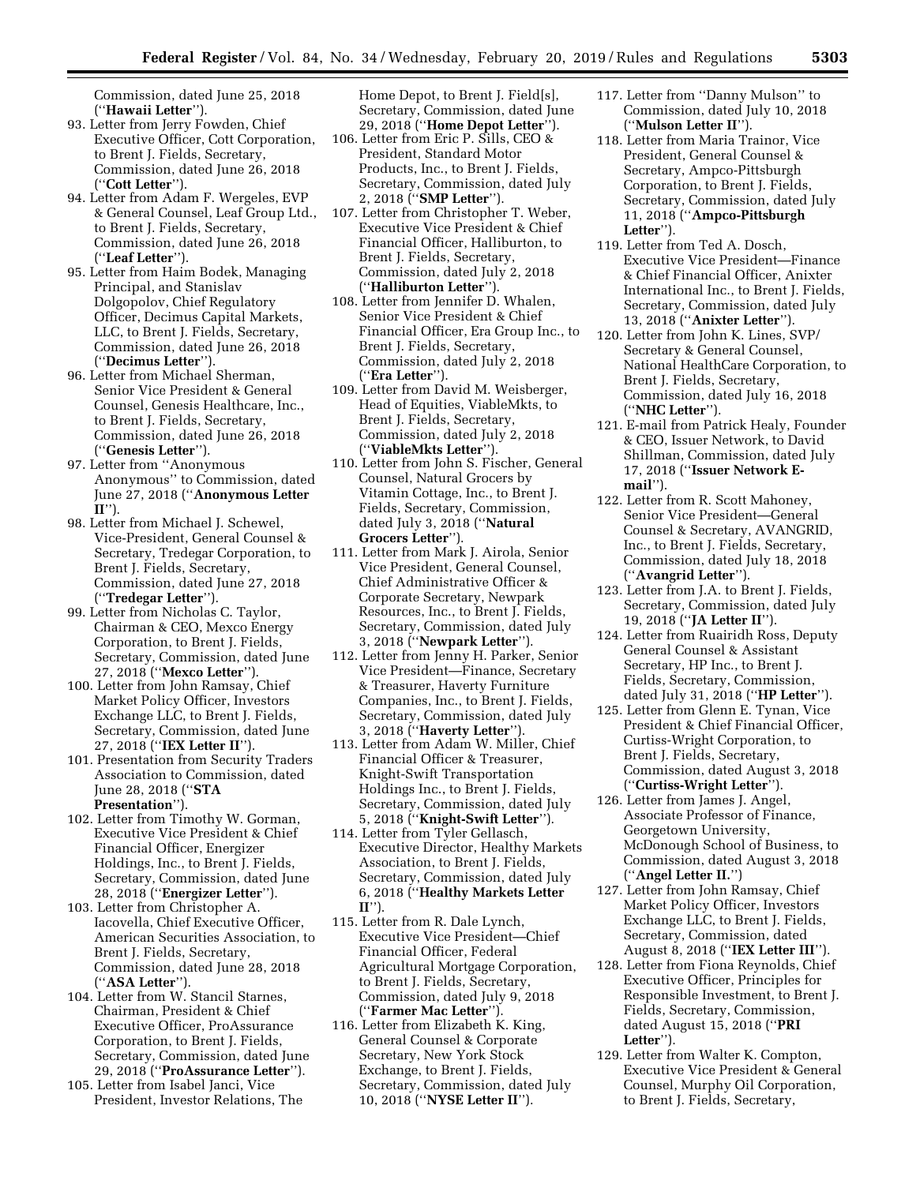Commission, dated June 25, 2018 (''**Hawaii Letter**'').

- 93. Letter from Jerry Fowden, Chief Executive Officer, Cott Corporation, to Brent J. Fields, Secretary, Commission, dated June 26, 2018 (''**Cott Letter**'').
- 94. Letter from Adam F. Wergeles, EVP & General Counsel, Leaf Group Ltd., to Brent J. Fields, Secretary, Commission, dated June 26, 2018 (''**Leaf Letter**'').
- 95. Letter from Haim Bodek, Managing Principal, and Stanislav Dolgopolov, Chief Regulatory Officer, Decimus Capital Markets, LLC, to Brent J. Fields, Secretary, Commission, dated June 26, 2018 (''**Decimus Letter**'').
- 96. Letter from Michael Sherman, Senior Vice President & General Counsel, Genesis Healthcare, Inc., to Brent J. Fields, Secretary, Commission, dated June 26, 2018 (''**Genesis Letter**'').
- 97. Letter from ''Anonymous Anonymous'' to Commission, dated June 27, 2018 (''**Anonymous Letter II**'').
- 98. Letter from Michael J. Schewel, Vice-President, General Counsel & Secretary, Tredegar Corporation, to Brent J. Fields, Secretary, Commission, dated June 27, 2018 (''**Tredegar Letter**'').
- 99. Letter from Nicholas C. Taylor, Chairman & CEO, Mexco Energy Corporation, to Brent J. Fields, Secretary, Commission, dated June 27, 2018 (''**Mexco Letter**'').
- 100. Letter from John Ramsay, Chief Market Policy Officer, Investors Exchange LLC, to Brent J. Fields, Secretary, Commission, dated June 27, 2018 (''**IEX Letter II**'').
- 101. Presentation from Security Traders Association to Commission, dated June 28, 2018 (''**STA Presentation**'').
- 102. Letter from Timothy W. Gorman, Executive Vice President & Chief Financial Officer, Energizer Holdings, Inc., to Brent J. Fields, Secretary, Commission, dated June 28, 2018 (''**Energizer Letter**'').
- 103. Letter from Christopher A. Iacovella, Chief Executive Officer, American Securities Association, to Brent J. Fields, Secretary, Commission, dated June 28, 2018 (''**ASA Letter**'').
- 104. Letter from W. Stancil Starnes, Chairman, President & Chief Executive Officer, ProAssurance Corporation, to Brent J. Fields, Secretary, Commission, dated June 29, 2018 (''**ProAssurance Letter**'').
- 105. Letter from Isabel Janci, Vice President, Investor Relations, The

Home Depot, to Brent J. Field[s], Secretary, Commission, dated June 29, 2018 (''**Home Depot Letter**'').

- 106. Letter from Eric P. Sills, CEO & President, Standard Motor Products, Inc., to Brent J. Fields, Secretary, Commission, dated July 2, 2018 (''**SMP Letter**'').
- 107. Letter from Christopher T. Weber, Executive Vice President & Chief Financial Officer, Halliburton, to Brent J. Fields, Secretary, Commission, dated July 2, 2018 (''**Halliburton Letter**'').
- 108. Letter from Jennifer D. Whalen, Senior Vice President & Chief Financial Officer, Era Group Inc., to Brent J. Fields, Secretary, Commission, dated July 2, 2018 (''**Era Letter**'').
- 109. Letter from David M. Weisberger, Head of Equities, ViableMkts, to Brent J. Fields, Secretary, Commission, dated July 2, 2018 (''**ViableMkts Letter**'').
- 110. Letter from John S. Fischer, General Counsel, Natural Grocers by Vitamin Cottage, Inc., to Brent J. Fields, Secretary, Commission, dated July 3, 2018 (''**Natural Grocers Letter**'').
- 111. Letter from Mark J. Airola, Senior Vice President, General Counsel, Chief Administrative Officer & Corporate Secretary, Newpark Resources, Inc., to Brent J. Fields, Secretary, Commission, dated July 3, 2018 (''**Newpark Letter**'').
- 112. Letter from Jenny H. Parker, Senior Vice President—Finance, Secretary & Treasurer, Haverty Furniture Companies, Inc., to Brent J. Fields, Secretary, Commission, dated July 3, 2018 (''**Haverty Letter**'').
- 113. Letter from Adam W. Miller, Chief Financial Officer & Treasurer, Knight-Swift Transportation Holdings Inc., to Brent J. Fields, Secretary, Commission, dated July 5, 2018 (''**Knight-Swift Letter**'').
- 114. Letter from Tyler Gellasch, Executive Director, Healthy Markets Association, to Brent J. Fields, Secretary, Commission, dated July 6, 2018 (''**Healthy Markets Letter II**'').
- 115. Letter from R. Dale Lynch, Executive Vice President—Chief Financial Officer, Federal Agricultural Mortgage Corporation, to Brent J. Fields, Secretary, Commission, dated July 9, 2018 (''**Farmer Mac Letter**'').
- 116. Letter from Elizabeth K. King, General Counsel & Corporate Secretary, New York Stock Exchange, to Brent J. Fields, Secretary, Commission, dated July 10, 2018 (''**NYSE Letter II**'').
- 117. Letter from ''Danny Mulson'' to Commission, dated July 10, 2018 (''**Mulson Letter II**'').
- 118. Letter from Maria Trainor, Vice President, General Counsel & Secretary, Ampco-Pittsburgh Corporation, to Brent J. Fields, Secretary, Commission, dated July 11, 2018 (''**Ampco-Pittsburgh Letter**'').
- 119. Letter from Ted A. Dosch, Executive Vice President—Finance & Chief Financial Officer, Anixter International Inc., to Brent J. Fields, Secretary, Commission, dated July 13, 2018 (''**Anixter Letter**'').
- 120. Letter from John K. Lines, SVP/ Secretary & General Counsel, National HealthCare Corporation, to Brent J. Fields, Secretary, Commission, dated July 16, 2018 (''**NHC Letter**'').
- 121. E-mail from Patrick Healy, Founder & CEO, Issuer Network, to David Shillman, Commission, dated July 17, 2018 (''**Issuer Network Email**'').
- 122. Letter from R. Scott Mahoney, Senior Vice President—General Counsel & Secretary, AVANGRID, Inc., to Brent J. Fields, Secretary, Commission, dated July 18, 2018 (''**Avangrid Letter**'').
- 123. Letter from J.A. to Brent J. Fields, Secretary, Commission, dated July 19, 2018 (''**JA Letter II**'').
- 124. Letter from Ruairidh Ross, Deputy General Counsel & Assistant Secretary, HP Inc., to Brent J. Fields, Secretary, Commission, dated July 31, 2018 (''**HP Letter**'').
- 125. Letter from Glenn E. Tynan, Vice President & Chief Financial Officer, Curtiss-Wright Corporation, to Brent J. Fields, Secretary, Commission, dated August 3, 2018 (''**Curtiss-Wright Letter**'').
- 126. Letter from James J. Angel, Associate Professor of Finance, Georgetown University, McDonough School of Business, to Commission, dated August 3, 2018 (''**Angel Letter II.**'')
- 127. Letter from John Ramsay, Chief Market Policy Officer, Investors Exchange LLC, to Brent J. Fields, Secretary, Commission, dated August 8, 2018 (''**IEX Letter III**'').
- 128. Letter from Fiona Reynolds, Chief Executive Officer, Principles for Responsible Investment, to Brent J. Fields, Secretary, Commission, dated August 15, 2018 (''**PRI Letter**'').
- 129. Letter from Walter K. Compton, Executive Vice President & General Counsel, Murphy Oil Corporation, to Brent J. Fields, Secretary,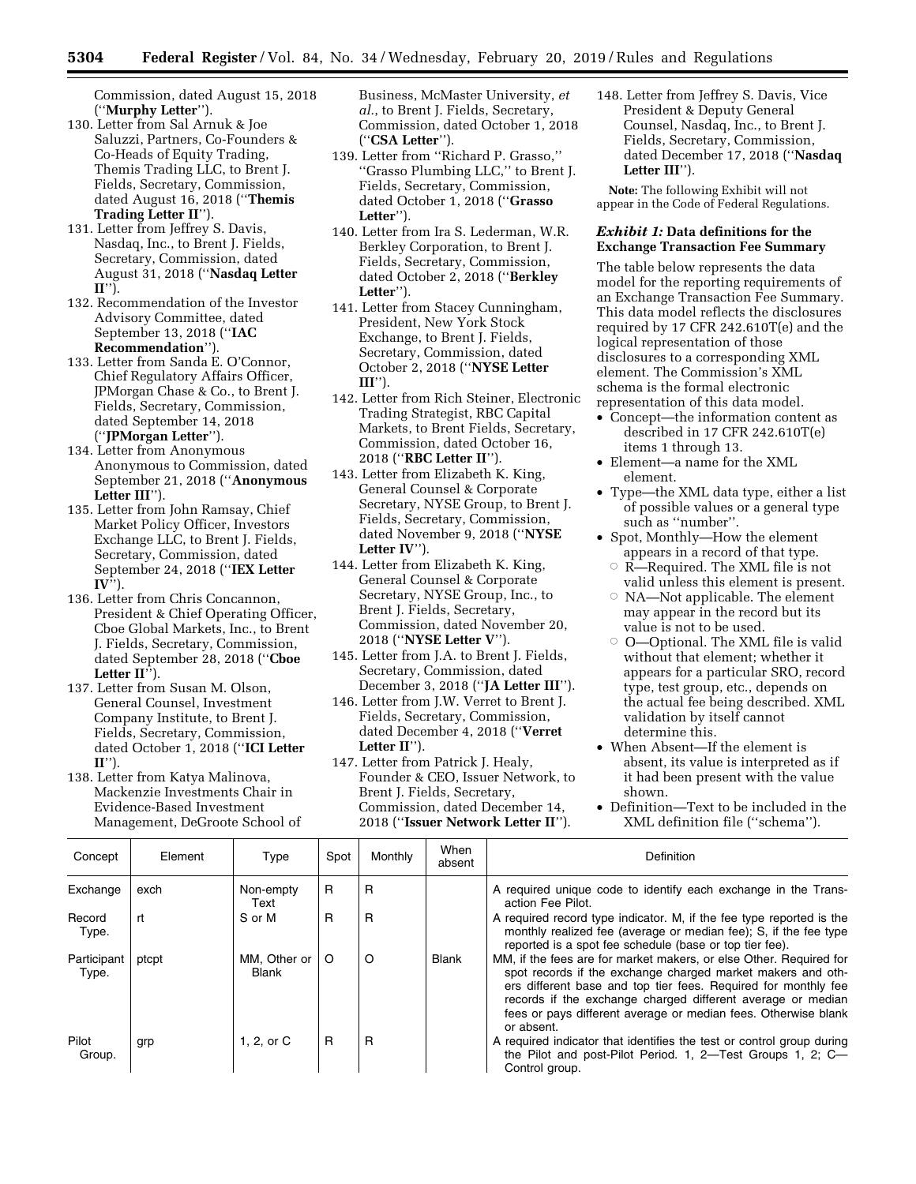Commission, dated August 15, 2018 (''**Murphy Letter**'').

- 130. Letter from Sal Arnuk & Joe Saluzzi, Partners, Co-Founders & Co-Heads of Equity Trading, Themis Trading LLC, to Brent J. Fields, Secretary, Commission, dated August 16, 2018 (''**Themis Trading Letter II**'').
- 131. Letter from Jeffrey S. Davis, Nasdaq, Inc., to Brent J. Fields, Secretary, Commission, dated August 31, 2018 (''**Nasdaq Letter II**'').
- 132. Recommendation of the Investor Advisory Committee, dated September 13, 2018 (''**IAC Recommendation**'').
- 133. Letter from Sanda E. O'Connor, Chief Regulatory Affairs Officer, JPMorgan Chase & Co., to Brent J. Fields, Secretary, Commission, dated September 14, 2018 (''**JPMorgan Letter**'').
- 134. Letter from Anonymous Anonymous to Commission, dated September 21, 2018 (''**Anonymous Letter III**'').
- 135. Letter from John Ramsay, Chief Market Policy Officer, Investors Exchange LLC, to Brent J. Fields, Secretary, Commission, dated September 24, 2018 (''**IEX Letter IV**'').
- 136. Letter from Chris Concannon, President & Chief Operating Officer, Cboe Global Markets, Inc., to Brent J. Fields, Secretary, Commission, dated September 28, 2018 (''**Cboe Letter II**'').
- 137. Letter from Susan M. Olson, General Counsel, Investment Company Institute, to Brent J. Fields, Secretary, Commission, dated October 1, 2018 (''**ICI Letter II**'').
- 138. Letter from Katya Malinova, Mackenzie Investments Chair in Evidence-Based Investment Management, DeGroote School of

Business, McMaster University, *et al.*, to Brent J. Fields, Secretary, Commission, dated October 1, 2018 (''**CSA Letter**'').

- 139. Letter from ''Richard P. Grasso,'' ''Grasso Plumbing LLC,'' to Brent J. Fields, Secretary, Commission, dated October 1, 2018 (''**Grasso Letter**'').
- 140. Letter from Ira S. Lederman, W.R. Berkley Corporation, to Brent J. Fields, Secretary, Commission, dated October 2, 2018 (''**Berkley Letter**'').
- 141. Letter from Stacey Cunningham, President, New York Stock Exchange, to Brent J. Fields, Secretary, Commission, dated October 2, 2018 (''**NYSE Letter**   $III''$
- 142. Letter from Rich Steiner, Electronic Trading Strategist, RBC Capital Markets, to Brent Fields, Secretary, Commission, dated October 16, 2018 (''**RBC Letter II**'').
- 143. Letter from Elizabeth K. King, General Counsel & Corporate Secretary, NYSE Group, to Brent J. Fields, Secretary, Commission, dated November 9, 2018 (''**NYSE Letter IV**'').
- 144. Letter from Elizabeth K. King, General Counsel & Corporate Secretary, NYSE Group, Inc., to Brent J. Fields, Secretary, Commission, dated November 20, 2018 (''**NYSE Letter V**'').
- 145. Letter from J.A. to Brent J. Fields, Secretary, Commission, dated December 3, 2018 (''**JA Letter III**'').
- 146. Letter from J.W. Verret to Brent J. Fields, Secretary, Commission, dated December 4, 2018 (''**Verret Letter II**'').
- 147. Letter from Patrick J. Healy, Founder & CEO, Issuer Network, to Brent J. Fields, Secretary, Commission, dated December 14, 2018 (''**Issuer Network Letter II**'').

148. Letter from Jeffrey S. Davis, Vice President & Deputy General Counsel, Nasdaq, Inc., to Brent J. Fields, Secretary, Commission, dated December 17, 2018 (''**Nasdaq Letter III**'').

**Note:** The following Exhibit will not appear in the Code of Federal Regulations.

# *Exhibit 1:* **Data definitions for the Exchange Transaction Fee Summary**

The table below represents the data model for the reporting requirements of an Exchange Transaction Fee Summary. This data model reflects the disclosures required by 17 CFR 242.610T(e) and the logical representation of those disclosures to a corresponding XML element. The Commission's XML schema is the formal electronic representation of this data model.

- Concept—the information content as described in 17 CFR 242.610T(e) items 1 through 13.
- Element—a name for the XML element.
- Type—the XML data type, either a list of possible values or a general type such as ''number''.
- Spot, Monthly—How the element appears in a record of that type.
	- $\circ$  R—Required. The XML file is not valid unless this element is present.
	- $\circ$  NA—Not applicable. The element may appear in the record but its value is not to be used.
	- $\circ$  O—Optional. The XML file is valid without that element; whether it appears for a particular SRO, record type, test group, etc., depends on the actual fee being described. XML validation by itself cannot determine this.
- When Absent—If the element is absent, its value is interpreted as if it had been present with the value shown.
- Definition—Text to be included in the XML definition file (''schema'').

| Concept              | Element | Type                           | Spot | Monthly | When<br>absent | Definition                                                                                                                                                                                                                                                                                                                                         |
|----------------------|---------|--------------------------------|------|---------|----------------|----------------------------------------------------------------------------------------------------------------------------------------------------------------------------------------------------------------------------------------------------------------------------------------------------------------------------------------------------|
| Exchange             | exch    | Non-empty<br>Text              | R    | R       |                | A required unique code to identify each exchange in the Trans-<br>action Fee Pilot.                                                                                                                                                                                                                                                                |
| Record<br>Type.      | rt      | S or M                         | R    | R       |                | A required record type indicator. M, if the fee type reported is the<br>monthly realized fee (average or median fee); S, if the fee type<br>reported is a spot fee schedule (base or top tier fee).                                                                                                                                                |
| Participant<br>Type. | ptcpt   | MM. Other or  <br><b>Blank</b> | O    | $\circ$ | <b>Blank</b>   | MM, if the fees are for market makers, or else Other. Required for<br>spot records if the exchange charged market makers and oth-<br>ers different base and top tier fees. Required for monthly fee<br>records if the exchange charged different average or median<br>fees or pays different average or median fees. Otherwise blank<br>or absent. |
| Pilot<br>Group.      | grp     | 1, 2, or C                     | R    | R       |                | A required indicator that identifies the test or control group during<br>the Pilot and post-Pilot Period. 1, 2-Test Groups 1, 2; C-<br>Control group.                                                                                                                                                                                              |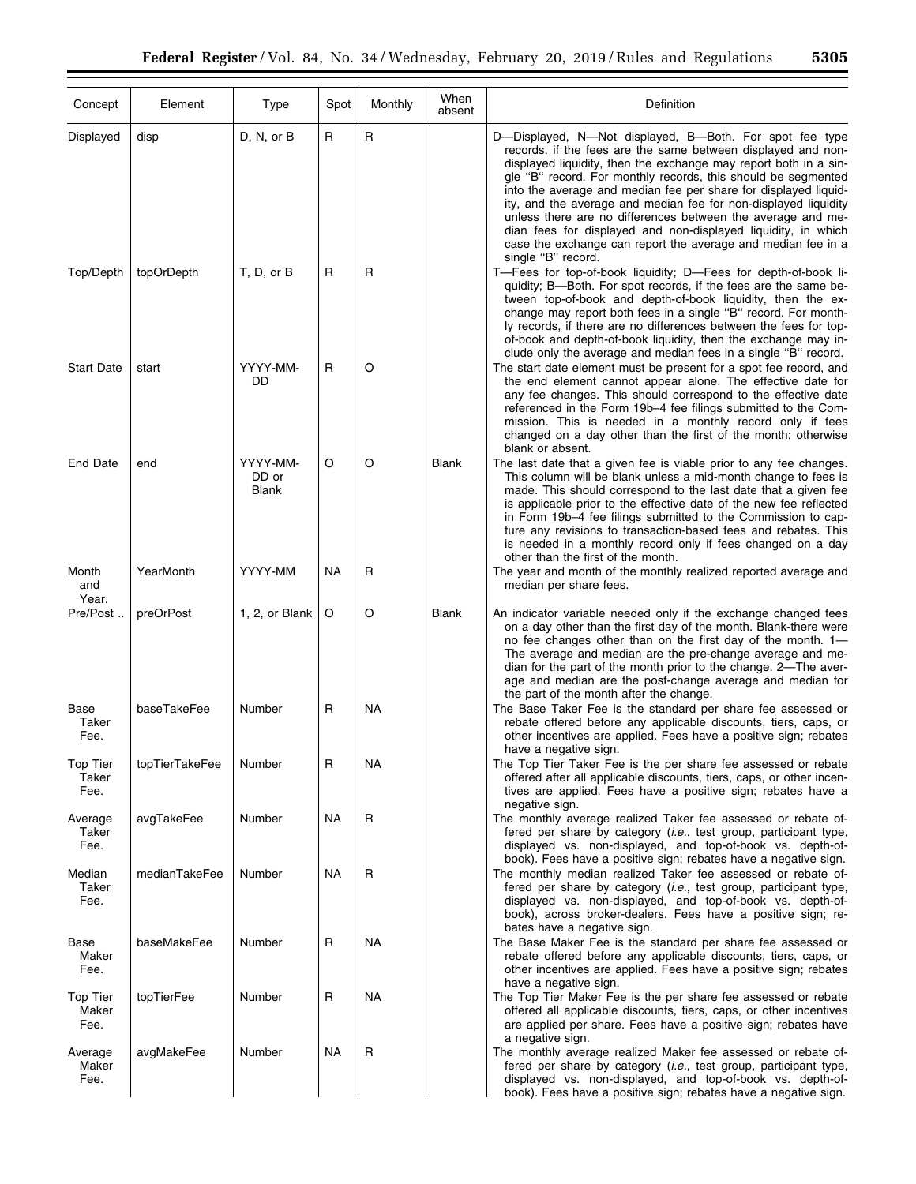| Concept                          | Element        | Type                              | Spot      | Monthly      | When<br>absent | Definition                                                                                                                                                                                                                                                                                                                                                                                                                                                                                                                                                                                                               |
|----------------------------------|----------------|-----------------------------------|-----------|--------------|----------------|--------------------------------------------------------------------------------------------------------------------------------------------------------------------------------------------------------------------------------------------------------------------------------------------------------------------------------------------------------------------------------------------------------------------------------------------------------------------------------------------------------------------------------------------------------------------------------------------------------------------------|
| Displayed                        | disp           | D, N, or B                        | R         | R            |                | D-Displayed, N-Not displayed, B-Both. For spot fee type<br>records, if the fees are the same between displayed and non-<br>displayed liquidity, then the exchange may report both in a sin-<br>gle "B" record. For monthly records, this should be segmented<br>into the average and median fee per share for displayed liquid-<br>ity, and the average and median fee for non-displayed liquidity<br>unless there are no differences between the average and me-<br>dian fees for displayed and non-displayed liquidity, in which<br>case the exchange can report the average and median fee in a<br>single "B" record. |
| Top/Depth                        | topOrDepth     | T, D, or B                        | R         | $\mathsf{R}$ |                | T-Fees for top-of-book liquidity; D-Fees for depth-of-book li-<br>quidity; B-Both. For spot records, if the fees are the same be-<br>tween top-of-book and depth-of-book liquidity, then the ex-<br>change may report both fees in a single "B" record. For month-<br>ly records, if there are no differences between the fees for top-<br>of-book and depth-of-book liquidity, then the exchange may in-<br>clude only the average and median fees in a single "B" record.                                                                                                                                              |
| <b>Start Date</b>                | start          | YYYY-MM-<br>DD                    | R         | O            |                | The start date element must be present for a spot fee record, and<br>the end element cannot appear alone. The effective date for<br>any fee changes. This should correspond to the effective date<br>referenced in the Form 19b-4 fee filings submitted to the Com-<br>mission. This is needed in a monthly record only if fees<br>changed on a day other than the first of the month; otherwise<br>blank or absent.                                                                                                                                                                                                     |
| <b>End Date</b>                  | end            | YYYY-MM-<br>DD or<br><b>Blank</b> | O         | O            | <b>Blank</b>   | The last date that a given fee is viable prior to any fee changes.<br>This column will be blank unless a mid-month change to fees is<br>made. This should correspond to the last date that a given fee<br>is applicable prior to the effective date of the new fee reflected<br>in Form 19b-4 fee filings submitted to the Commission to cap-<br>ture any revisions to transaction-based fees and rebates. This<br>is needed in a monthly record only if fees changed on a day<br>other than the first of the month.                                                                                                     |
| Month<br>and<br>Year.            | YearMonth      | YYYY-MM                           | <b>NA</b> | R            |                | The year and month of the monthly realized reported average and<br>median per share fees.                                                                                                                                                                                                                                                                                                                                                                                                                                                                                                                                |
| Pre/Post                         | preOrPost      | 1, 2, or Blank                    | $\circ$   | O            | Blank          | An indicator variable needed only if the exchange changed fees<br>on a day other than the first day of the month. Blank-there were<br>no fee changes other than on the first day of the month. 1-<br>The average and median are the pre-change average and me-<br>dian for the part of the month prior to the change. 2—The aver-<br>age and median are the post-change average and median for<br>the part of the month after the change.                                                                                                                                                                                |
| Base<br>Taker<br>Fee.            | baseTakeFee    | Number                            | R         | NA           |                | The Base Taker Fee is the standard per share fee assessed or<br>rebate offered before any applicable discounts, tiers, caps, or<br>other incentives are applied. Fees have a positive sign; rebates<br>have a negative sign.                                                                                                                                                                                                                                                                                                                                                                                             |
| <b>Top Tier</b><br>Taker<br>Fee. | topTierTakeFee | Number                            | R         | NA           |                | The Top Tier Taker Fee is the per share fee assessed or rebate<br>offered after all applicable discounts, tiers, caps, or other incen-<br>tives are applied. Fees have a positive sign; rebates have a<br>negative sign.                                                                                                                                                                                                                                                                                                                                                                                                 |
| Average<br>Taker<br>Fee.         | avgTakeFee     | Number                            | NA        | R            |                | The monthly average realized Taker fee assessed or rebate of-<br>fered per share by category (i.e., test group, participant type,<br>displayed vs. non-displayed, and top-of-book vs. depth-of-<br>book). Fees have a positive sign; rebates have a negative sign.                                                                                                                                                                                                                                                                                                                                                       |
| Median<br>Taker<br>Fee.          | medianTakeFee  | Number                            | ΝA        | R            |                | The monthly median realized Taker fee assessed or rebate of-<br>fered per share by category (i.e., test group, participant type,<br>displayed vs. non-displayed, and top-of-book vs. depth-of-<br>book), across broker-dealers. Fees have a positive sign; re-<br>bates have a negative sign.                                                                                                                                                                                                                                                                                                                            |
| Base<br>Maker<br>Fee.            | baseMakeFee    | Number                            | R         | NA           |                | The Base Maker Fee is the standard per share fee assessed or<br>rebate offered before any applicable discounts, tiers, caps, or<br>other incentives are applied. Fees have a positive sign; rebates<br>have a negative sign.                                                                                                                                                                                                                                                                                                                                                                                             |
| <b>Top Tier</b><br>Maker<br>Fee. | topTierFee     | Number                            | R         | NA           |                | The Top Tier Maker Fee is the per share fee assessed or rebate<br>offered all applicable discounts, tiers, caps, or other incentives<br>are applied per share. Fees have a positive sign; rebates have<br>a negative sign.                                                                                                                                                                                                                                                                                                                                                                                               |
| Average<br>Maker<br>Fee.         | avgMakeFee     | Number                            | ΝA        | R            |                | The monthly average realized Maker fee assessed or rebate of-<br>fered per share by category (i.e., test group, participant type,<br>displayed vs. non-displayed, and top-of-book vs. depth-of-<br>book). Fees have a positive sign; rebates have a negative sign.                                                                                                                                                                                                                                                                                                                                                       |